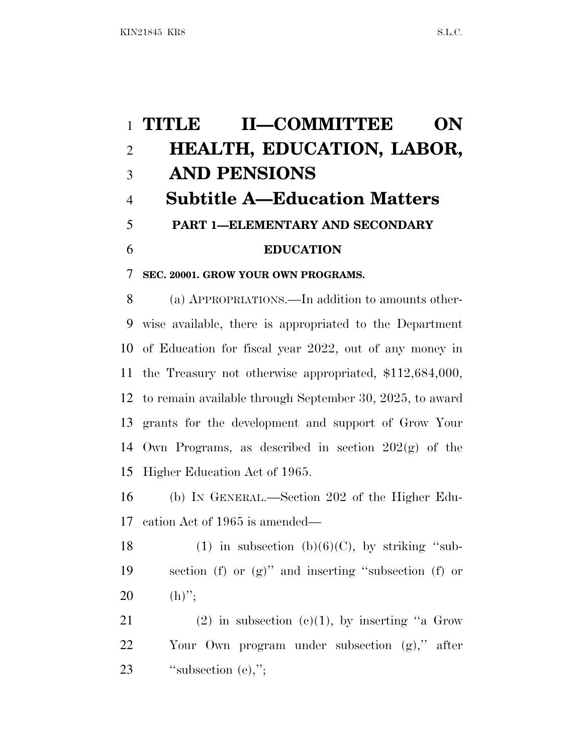# **TITLE II—COMMITTEE ON HEALTH, EDUCATION, LABOR, AND PENSIONS Subtitle A—Education Matters PART 1—ELEMENTARY AND SECONDARY EDUCATION**

**SEC. 20001. GROW YOUR OWN PROGRAMS.**

 (a) APPROPRIATIONS.—In addition to amounts other- wise available, there is appropriated to the Department of Education for fiscal year 2022, out of any money in the Treasury not otherwise appropriated, \$112,684,000, to remain available through September 30, 2025, to award grants for the development and support of Grow Your Own Programs, as described in section 202(g) of the Higher Education Act of 1965.

 (b) I<sup>N</sup> GENERAL.—Section 202 of the Higher Edu-cation Act of 1965 is amended—

18 (1) in subsection  $(b)(6)(C)$ , by striking "sub- section (f) or (g)'' and inserting ''subsection (f) or 20 (h)";

21 (2) in subsection  $(c)(1)$ , by inserting "a Grow" Your Own program under subsection (g),'' after 23 ''subsection (e),":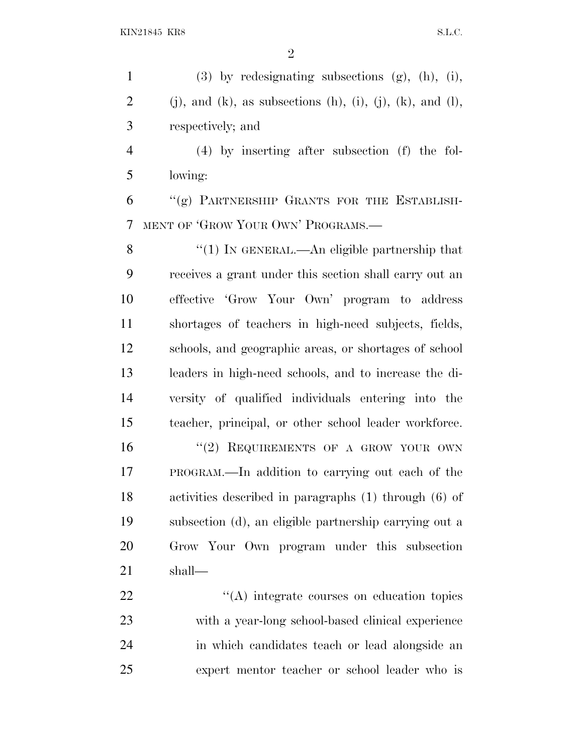(3) by redesignating subsections (g), (h), (i), 2 (j), and (k), as subsections (h), (i), (j), (k), and (l), respectively; and

 (4) by inserting after subsection (f) the fol-lowing:

 "(g) PARTNERSHIP GRANTS FOR THE ESTABLISH-MENT OF 'GROW YOUR OWN' PROGRAMS.—

8 "(1) IN GENERAL.—An eligible partnership that receives a grant under this section shall carry out an effective 'Grow Your Own' program to address shortages of teachers in high-need subjects, fields, schools, and geographic areas, or shortages of school leaders in high-need schools, and to increase the di- versity of qualified individuals entering into the teacher, principal, or other school leader workforce.

16 "(2) REQUIREMENTS OF A GROW YOUR OWN PROGRAM.—In addition to carrying out each of the activities described in paragraphs (1) through (6) of subsection (d), an eligible partnership carrying out a Grow Your Own program under this subsection shall—

 $\langle (A) \rangle$  integrate courses on education topics with a year-long school-based clinical experience in which candidates teach or lead alongside an expert mentor teacher or school leader who is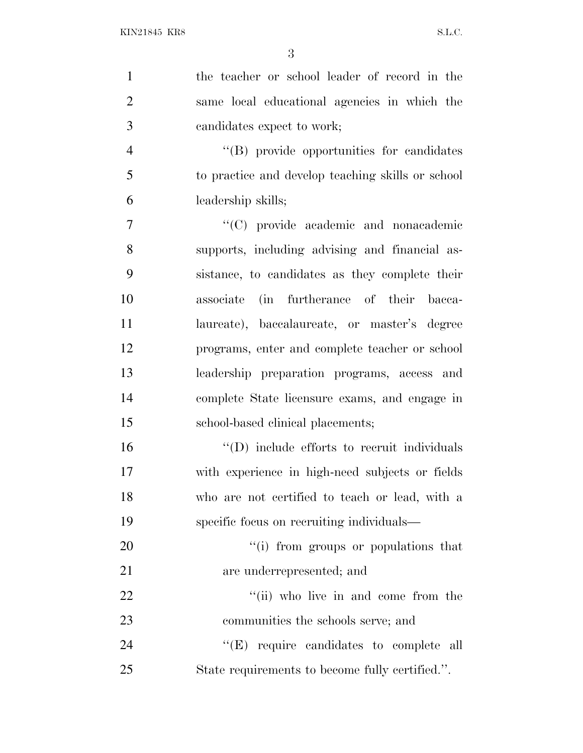| $\mathbf{1}$   | the teacher or school leader of record in the       |
|----------------|-----------------------------------------------------|
| $\overline{2}$ | same local educational agencies in which the        |
| 3              | candidates expect to work;                          |
| $\overline{4}$ | "(B) provide opportunities for candidates           |
| 5              | to practice and develop teaching skills or school   |
| 6              | leadership skills;                                  |
| 7              | "(C) provide academic and nonacademic               |
| 8              | supports, including advising and financial as-      |
| 9              | sistance, to candidates as they complete their      |
| 10             | (in furtherance of their bacca-<br>associate        |
| 11             | laureate), baccalaureate, or master's degree        |
| 12             | programs, enter and complete teacher or school      |
| 13             | leadership preparation programs, access and         |
| 14             | complete State licensure exams, and engage in       |
| 15             | school-based clinical placements;                   |
| 16             | $\lq\lq$ (D) include efforts to recruit individuals |
| 17             | with experience in high-need subjects or fields     |
| 18             | who are not certified to teach or lead, with a      |
| 19             | specific focus on recruiting individuals—           |
| 20             | "(i) from groups or populations that                |
| 21             | are underrepresented; and                           |
| 22             | "(ii) who live in and come from the                 |
| 23             | communities the schools serve; and                  |
| 24             | "(E) require candidates to complete all             |
| 25             | State requirements to become fully certified.".     |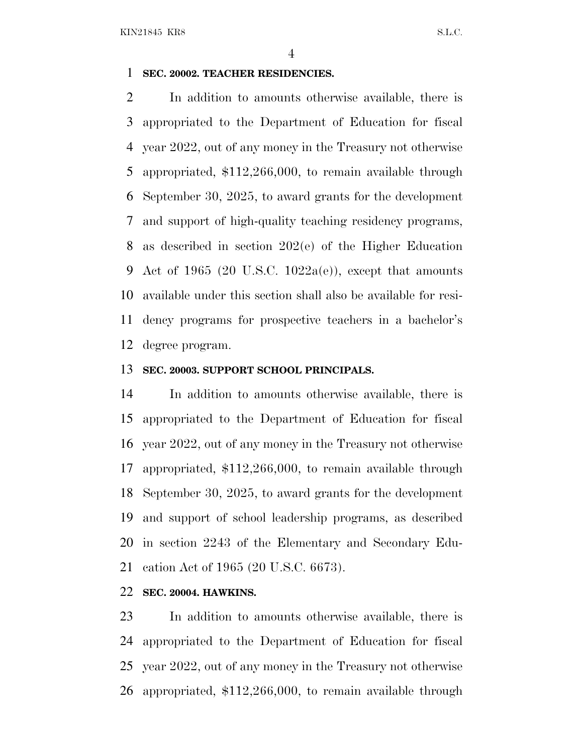#### **SEC. 20002. TEACHER RESIDENCIES.**

 In addition to amounts otherwise available, there is appropriated to the Department of Education for fiscal year 2022, out of any money in the Treasury not otherwise appropriated, \$112,266,000, to remain available through September 30, 2025, to award grants for the development and support of high-quality teaching residency programs, as described in section 202(e) of the Higher Education 9 Act of 1965 (20 U.S.C. 1022a(e)), except that amounts available under this section shall also be available for resi- dency programs for prospective teachers in a bachelor's degree program.

#### **SEC. 20003. SUPPORT SCHOOL PRINCIPALS.**

 In addition to amounts otherwise available, there is appropriated to the Department of Education for fiscal year 2022, out of any money in the Treasury not otherwise appropriated, \$112,266,000, to remain available through September 30, 2025, to award grants for the development and support of school leadership programs, as described in section 2243 of the Elementary and Secondary Edu-cation Act of 1965 (20 U.S.C. 6673).

#### **SEC. 20004. HAWKINS.**

 In addition to amounts otherwise available, there is appropriated to the Department of Education for fiscal year 2022, out of any money in the Treasury not otherwise appropriated, \$112,266,000, to remain available through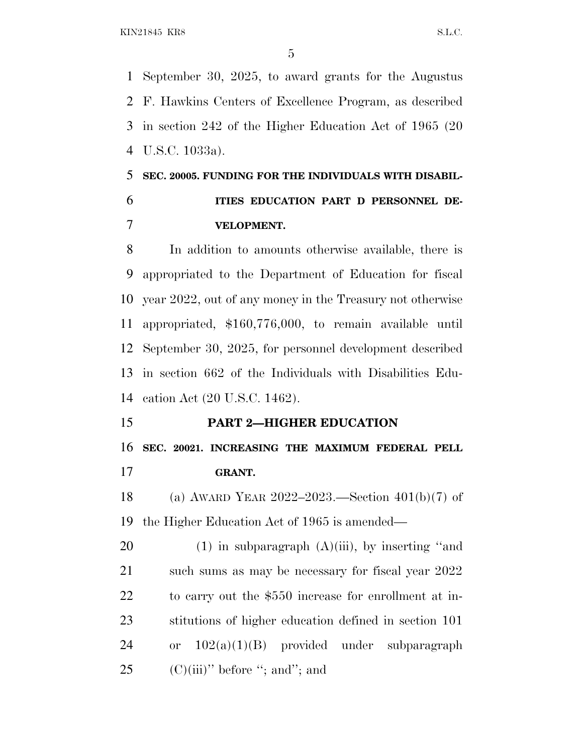September 30, 2025, to award grants for the Augustus F. Hawkins Centers of Excellence Program, as described in section 242 of the Higher Education Act of 1965 (20 U.S.C. 1033a).

## **SEC. 20005. FUNDING FOR THE INDIVIDUALS WITH DISABIL- ITIES EDUCATION PART D PERSONNEL DE-VELOPMENT.**

 In addition to amounts otherwise available, there is appropriated to the Department of Education for fiscal year 2022, out of any money in the Treasury not otherwise appropriated, \$160,776,000, to remain available until September 30, 2025, for personnel development described in section 662 of the Individuals with Disabilities Edu-cation Act (20 U.S.C. 1462).

## **PART 2—HIGHER EDUCATION SEC. 20021. INCREASING THE MAXIMUM FEDERAL PELL GRANT.**

 (a) AWARD YEAR 2022–2023.—Section 401(b)(7) of the Higher Education Act of 1965 is amended—

20 (1) in subparagraph  $(A)(iii)$ , by inserting "and such sums as may be necessary for fiscal year 2022 to carry out the \$550 increase for enrollment at in- stitutions of higher education defined in section 101 or 102(a)(1)(B) provided under subparagraph 25 (C)(iii)'' before "; and"; and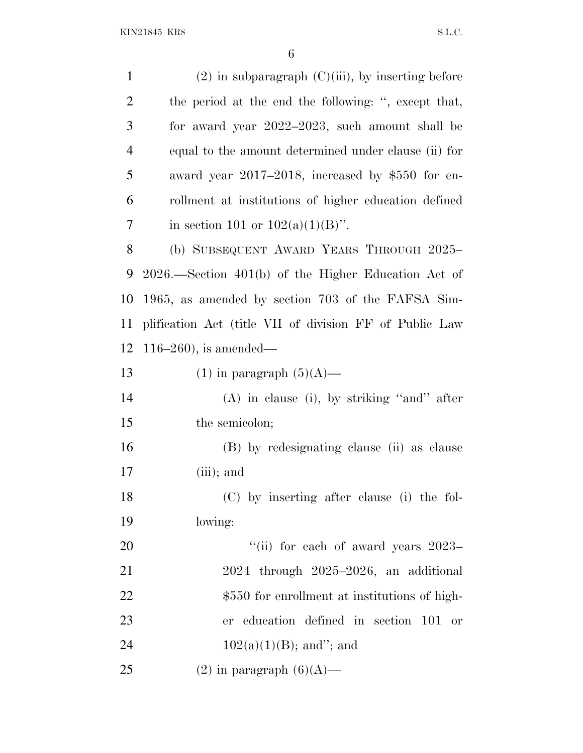| $\mathbf{1}$   | $(2)$ in subparagraph $(C)(iii)$ , by inserting before   |
|----------------|----------------------------------------------------------|
| $\overline{2}$ | the period at the end the following: ", except that,     |
| 3              | for award year 2022–2023, such amount shall be           |
| $\overline{4}$ | equal to the amount determined under clause (ii) for     |
| 5              | award year 2017–2018, increased by \$550 for en-         |
| 6              | rollment at institutions of higher education defined     |
| 7              | in section 101 or $102(a)(1)(B)$ ".                      |
| 8              | (b) SUBSEQUENT AWARD YEARS THROUGH 2025-                 |
| 9              | $2026$ . Section $401(b)$ of the Higher Education Act of |
| 10             | 1965, as amended by section 703 of the FAFSA Sim-        |
| 11             | plification Act (title VII of division FF of Public Law  |
| 12             | 116–260), is amended—                                    |
| 13             | $(1)$ in paragraph $(5)(A)$ —                            |
| 14             | $(A)$ in clause (i), by striking "and" after             |
| 15             | the semicolon;                                           |
| 16             | (B) by redesignating clause (ii) as clause               |
| 17             | $(iii)$ ; and                                            |
| 18             | (C) by inserting after clause (i) the fol-               |
| 19             | lowing:                                                  |
| 20             | "(ii) for each of award years $2023-$                    |
| 21             | $2024$ through $2025-2026$ , an additional               |
| 22             | \$550 for enrollment at institutions of high-            |
| 23             | er education defined in section 101 or                   |
| 24             | $102(a)(1)(B)$ ; and"; and                               |
| 25             | $(2)$ in paragraph $(6)(A)$ —                            |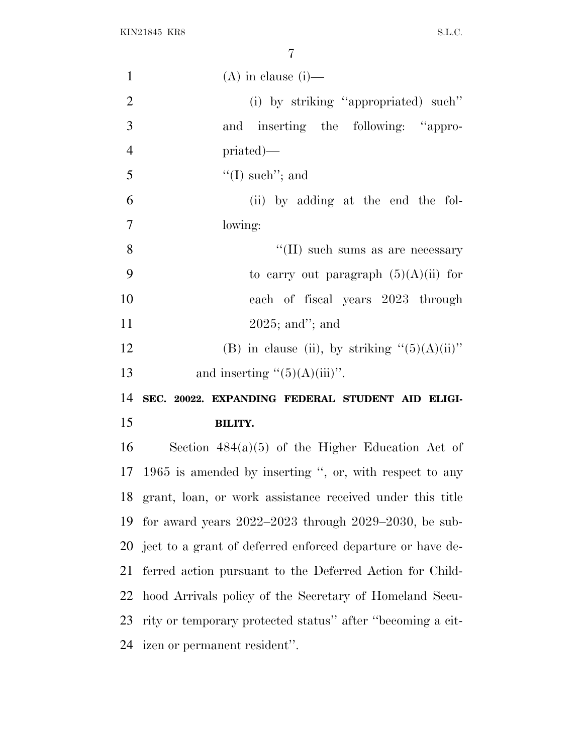| $\mathbf{1}$   | $(A)$ in clause $(i)$ —                                       |
|----------------|---------------------------------------------------------------|
| $\overline{2}$ | (i) by striking "appropriated) such"                          |
| 3              | and inserting the following: "appro-                          |
| $\overline{4}$ | $priated)$ —                                                  |
| 5              | $\lq (I)$ such"; and                                          |
| 6              | (ii) by adding at the end the fol-                            |
| $\overline{7}$ | lowing:                                                       |
| 8              | $\lq\lq$ (II) such sums as are necessary                      |
| 9              | to carry out paragraph $(5)(A)(ii)$ for                       |
| 10             | each of fiscal years 2023 through                             |
| 11             | $2025$ ; and"; and                                            |
| 12             | (B) in clause (ii), by striking " $(5)(A)(ii)$ "              |
|                |                                                               |
| 13             | and inserting $\lq(5)(A)(iii)$ ".                             |
| 14             | SEC. 20022. EXPANDING FEDERAL STUDENT AID ELIGI-              |
| 15             | <b>BILITY.</b>                                                |
| 16             | Section $484(a)(5)$ of the Higher Education Act of            |
|                | 17 1965 is amended by inserting ", or, with respect to any    |
|                | 18 grant, loan, or work assistance received under this title  |
| 19             | for award years $2022-2023$ through $2029-2030$ , be sub-     |
|                | 20 ject to a grant of deferred enforced departure or have de- |
| 21             | ferred action pursuant to the Deferred Action for Child-      |
| 22             | hood Arrivals policy of the Secretary of Homeland Secu-       |
| 23             | rity or temporary protected status" after "becoming a cit-    |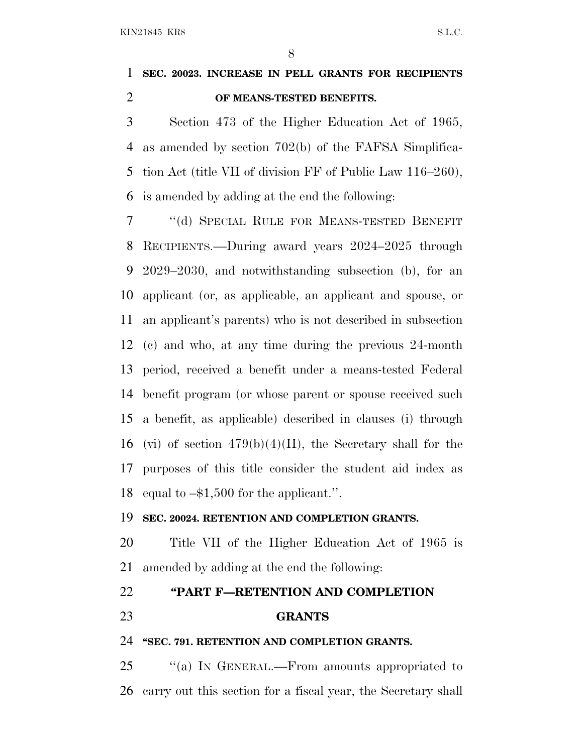## **SEC. 20023. INCREASE IN PELL GRANTS FOR RECIPIENTS OF MEANS-TESTED BENEFITS.**

 Section 473 of the Higher Education Act of 1965, as amended by section 702(b) of the FAFSA Simplifica- tion Act (title VII of division FF of Public Law 116–260), is amended by adding at the end the following:

 ''(d) SPECIAL RULE FOR MEANS-TESTED BENEFIT RECIPIENTS.—During award years 2024–2025 through 2029–2030, and notwithstanding subsection (b), for an applicant (or, as applicable, an applicant and spouse, or an applicant's parents) who is not described in subsection (c) and who, at any time during the previous 24-month period, received a benefit under a means-tested Federal benefit program (or whose parent or spouse received such a benefit, as applicable) described in clauses (i) through 16 (vi) of section  $479(b)(4)(H)$ , the Secretary shall for the purposes of this title consider the student aid index as equal to –\$1,500 for the applicant.''.

#### **SEC. 20024. RETENTION AND COMPLETION GRANTS.**

 Title VII of the Higher Education Act of 1965 is amended by adding at the end the following:

### **''PART F—RETENTION AND COMPLETION**

**GRANTS**

#### **''SEC. 791. RETENTION AND COMPLETION GRANTS.**

25 "(a) In GENERAL.—From amounts appropriated to carry out this section for a fiscal year, the Secretary shall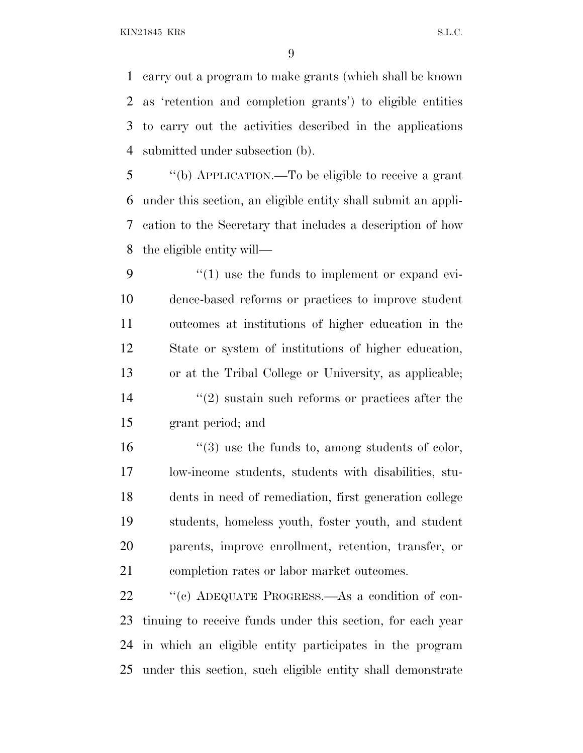carry out a program to make grants (which shall be known as 'retention and completion grants') to eligible entities to carry out the activities described in the applications submitted under subsection (b).

 ''(b) APPLICATION.—To be eligible to receive a grant under this section, an eligible entity shall submit an appli- cation to the Secretary that includes a description of how the eligible entity will—

 $\frac{4}{1}$  use the funds to implement or expand evi- dence-based reforms or practices to improve student outcomes at institutions of higher education in the State or system of institutions of higher education, or at the Tribal College or University, as applicable; 14 ''(2) sustain such reforms or practices after the grant period; and

 $\frac{16}{2}$  ''(3) use the funds to, among students of color, low-income students, students with disabilities, stu- dents in need of remediation, first generation college students, homeless youth, foster youth, and student parents, improve enrollment, retention, transfer, or completion rates or labor market outcomes.

 ''(c) ADEQUATE PROGRESS.—As a condition of con- tinuing to receive funds under this section, for each year in which an eligible entity participates in the program under this section, such eligible entity shall demonstrate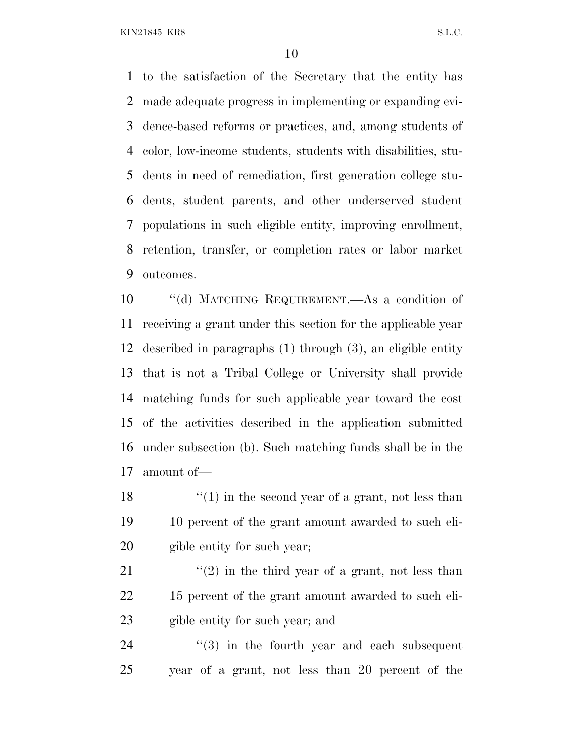to the satisfaction of the Secretary that the entity has made adequate progress in implementing or expanding evi- dence-based reforms or practices, and, among students of color, low-income students, students with disabilities, stu- dents in need of remediation, first generation college stu- dents, student parents, and other underserved student populations in such eligible entity, improving enrollment, retention, transfer, or completion rates or labor market outcomes.

 ''(d) MATCHING REQUIREMENT.—As a condition of receiving a grant under this section for the applicable year described in paragraphs (1) through (3), an eligible entity that is not a Tribal College or University shall provide matching funds for such applicable year toward the cost of the activities described in the application submitted under subsection (b). Such matching funds shall be in the amount of—

18  $\frac{1}{2}$  (1) in the second year of a grant, not less than 10 percent of the grant amount awarded to such eli-gible entity for such year;

21  $\frac{1}{2}$  (2) in the third year of a grant, not less than 15 percent of the grant amount awarded to such eli-gible entity for such year; and

24  $(3)$  in the fourth year and each subsequent year of a grant, not less than 20 percent of the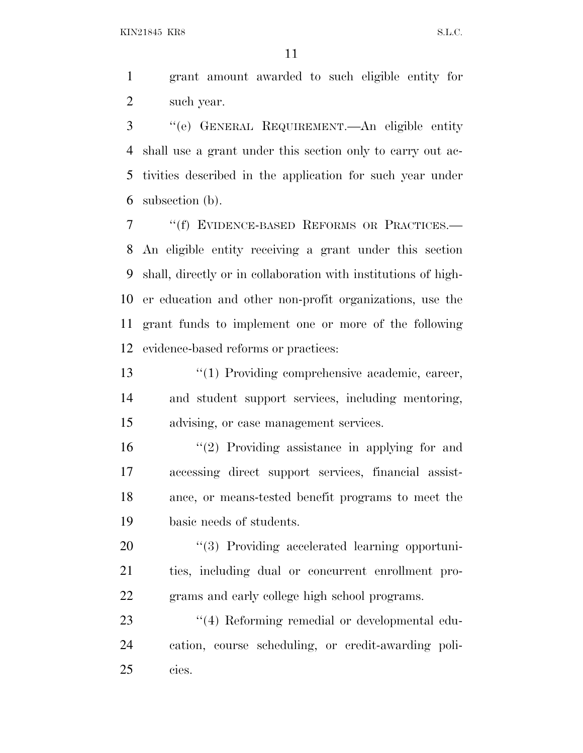grant amount awarded to such eligible entity for such year.

 ''(e) GENERAL REQUIREMENT.—An eligible entity shall use a grant under this section only to carry out ac- tivities described in the application for such year under subsection (b).

 ''(f) EVIDENCE-BASED REFORMS OR PRACTICES.— An eligible entity receiving a grant under this section shall, directly or in collaboration with institutions of high- er education and other non-profit organizations, use the grant funds to implement one or more of the following evidence-based reforms or practices:

13 ''(1) Providing comprehensive academic, career, and student support services, including mentoring, advising, or case management services.

 ''(2) Providing assistance in applying for and accessing direct support services, financial assist- ance, or means-tested benefit programs to meet the basic needs of students.

20 "(3) Providing accelerated learning opportuni- ties, including dual or concurrent enrollment pro-grams and early college high school programs.

23 ''(4) Reforming remedial or developmental edu- cation, course scheduling, or credit-awarding poli-cies.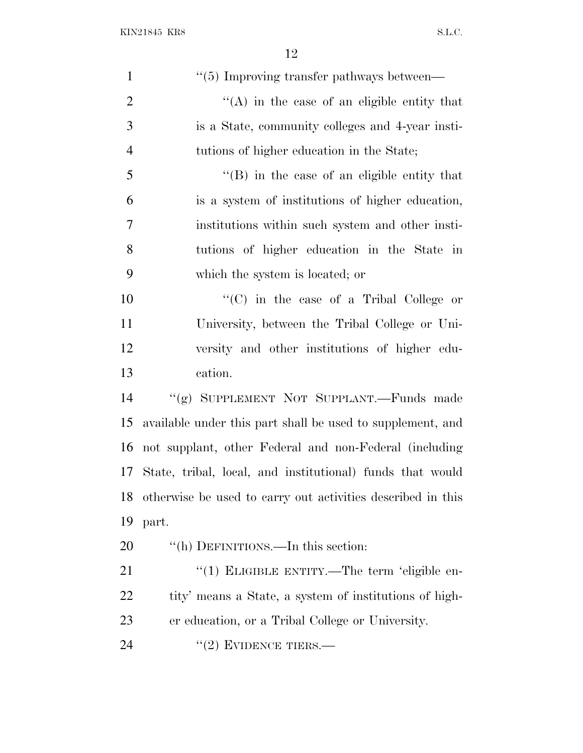| $\mathbf{1}$   | "(5) Improving transfer pathways between—                   |
|----------------|-------------------------------------------------------------|
| $\overline{2}$ | $\lq\lq$ in the case of an eligible entity that             |
| 3              | is a State, community colleges and 4-year insti-            |
| $\overline{4}$ | tutions of higher education in the State;                   |
| 5              | "(B) in the case of an eligible entity that                 |
| 6              | is a system of institutions of higher education,            |
| 7              | institutions within such system and other insti-            |
| 8              | tutions of higher education in the State in                 |
| 9              | which the system is located; or                             |
| 10             | "(C) in the case of a Tribal College or                     |
| 11             | University, between the Tribal College or Uni-              |
| 12             | versity and other institutions of higher edu-               |
| 13             | cation.                                                     |
| 14             | "(g) SUPPLEMENT NOT SUPPLANT.—Funds made                    |
| 15             | available under this part shall be used to supplement, and  |
| 16             | not supplant, other Federal and non-Federal (including      |
| 17             | State, tribal, local, and institutional) funds that would   |
| 18             | otherwise be used to carry out activities described in this |
| 19             | part.                                                       |
| 20             | "(h) DEFINITIONS.—In this section:                          |
| 21             | "(1) ELIGIBLE ENTITY.—The term 'eligible en-                |
| 22             | tity' means a State, a system of institutions of high-      |
| 23             | er education, or a Tribal College or University.            |
| 24             | $"(2)$ EVIDENCE TIERS.—                                     |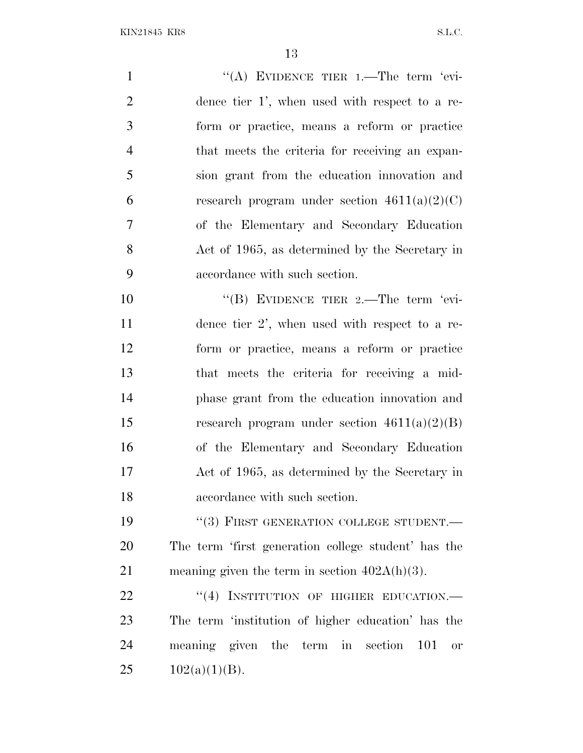| $\mathbf{1}$   | "(A) EVIDENCE TIER $1$ . The term 'evi-             |
|----------------|-----------------------------------------------------|
| $\overline{2}$ | dence tier 1', when used with respect to a re-      |
| 3              | form or practice, means a reform or practice        |
| $\overline{4}$ | that meets the criteria for receiving an expan-     |
| 5              | sion grant from the education innovation and        |
| 6              | research program under section $4611(a)(2)(C)$      |
| 7              | of the Elementary and Secondary Education           |
| 8              | Act of 1965, as determined by the Secretary in      |
| 9              | accordance with such section.                       |
| 10             | "(B) EVIDENCE TIER $2$ . The term 'evi-             |
| 11             | dence tier $2'$ , when used with respect to a re-   |
| 12             | form or practice, means a reform or practice        |
| 13             | that meets the criteria for receiving a mid-        |
| 14             | phase grant from the education innovation and       |
| 15             | research program under section $4611(a)(2)(B)$      |
| 16             | of the Elementary and Secondary Education           |
| 17             | Act of 1965, as determined by the Secretary in      |
| 18             | accordance with such section.                       |
| 19             | "(3) FIRST GENERATION COLLEGE STUDENT.-             |
| 20             | The term 'first generation college student' has the |
| 21             | meaning given the term in section $402A(h)(3)$ .    |
| 22             | "(4) INSTITUTION OF HIGHER EDUCATION.-              |
| 23             | The term 'institution of higher education' has the  |
| 24             | meaning given the term in section 101<br><b>or</b>  |
| 25             | $102(a)(1)(B)$ .                                    |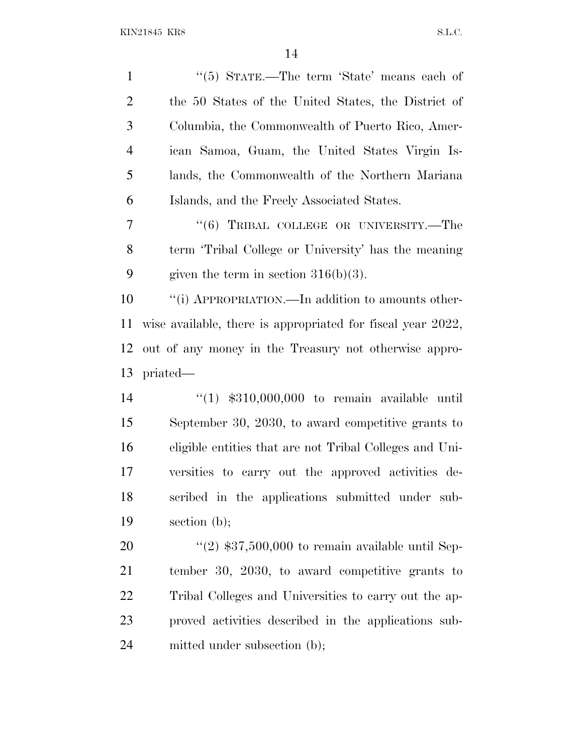| $\mathbf{1}$                                                   | "(5) STATE.—The term 'State' means each of                  |
|----------------------------------------------------------------|-------------------------------------------------------------|
| $\overline{2}$                                                 | the 50 States of the United States, the District of         |
| 3                                                              | Columbia, the Commonwealth of Puerto Rico, Amer-            |
| $\overline{4}$                                                 | ican Samoa, Guam, the United States Virgin Is-              |
| 5                                                              | lands, the Commonwealth of the Northern Mariana             |
| 6                                                              | Islands, and the Freely Associated States.                  |
| 7                                                              | "(6) TRIBAL COLLEGE OR UNIVERSITY.—The                      |
| 8                                                              | term 'Tribal College or University' has the meaning         |
| 9                                                              | given the term in section $316(b)(3)$ .                     |
| 10                                                             | "(i) APPROPRIATION.—In addition to amounts other-           |
| 11                                                             | wise available, there is appropriated for fiscal year 2022, |
| 12                                                             | out of any money in the Treasury not otherwise appro-       |
|                                                                |                                                             |
|                                                                | priated—                                                    |
|                                                                | " $(1)$ \$310,000,000 to remain available until             |
|                                                                | September 30, 2030, to award competitive grants to          |
|                                                                | eligible entities that are not Tribal Colleges and Uni-     |
|                                                                | versities to carry out the approved activities de-          |
|                                                                | scribed in the applications submitted under sub-            |
|                                                                | section $(b)$ ;                                             |
|                                                                | "(2) $$37,500,000$ to remain available until Sep-           |
|                                                                | tember 30, 2030, to award competitive grants to             |
|                                                                | Tribal Colleges and Universities to carry out the ap-       |
| 13<br>14<br>15<br>16<br>17<br>18<br>19<br>20<br>21<br>22<br>23 | proved activities described in the applications sub-        |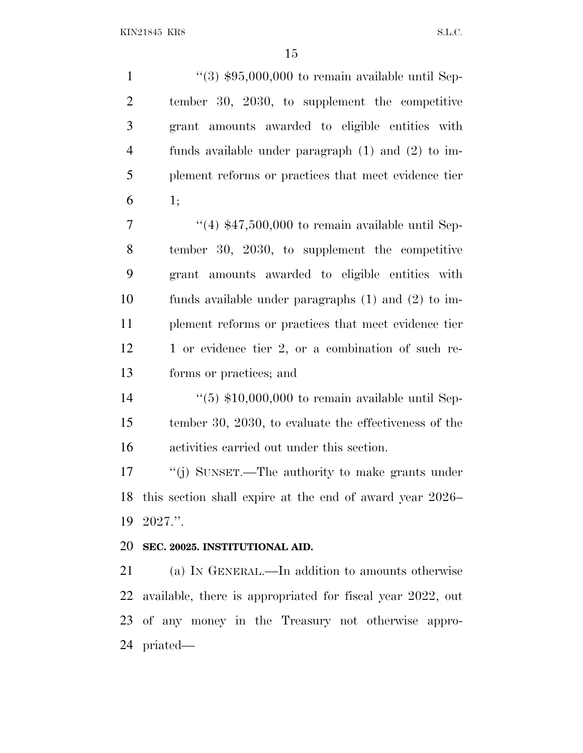$\frac{4}{3}$  \$95,000,000 to remain available until Sep- tember 30, 2030, to supplement the competitive grant amounts awarded to eligible entities with funds available under paragraph (1) and (2) to im- plement reforms or practices that meet evidence tier 1;  $\frac{7}{7}$  ''(4) \$47,500,000 to remain available until Sep- tember 30, 2030, to supplement the competitive grant amounts awarded to eligible entities with funds available under paragraphs (1) and (2) to im- plement reforms or practices that meet evidence tier 12 1 or evidence tier 2, or a combination of such re- forms or practices; and ''(5) \$10,000,000 to remain available until Sep- tember 30, 2030, to evaluate the effectiveness of the activities carried out under this section. ''(j) SUNSET.—The authority to make grants under this section shall expire at the end of award year 2026– 2027.''. **SEC. 20025. INSTITUTIONAL AID.** (a) I<sup>N</sup> GENERAL.—In addition to amounts otherwise available, there is appropriated for fiscal year 2022, out of any money in the Treasury not otherwise appro-

priated—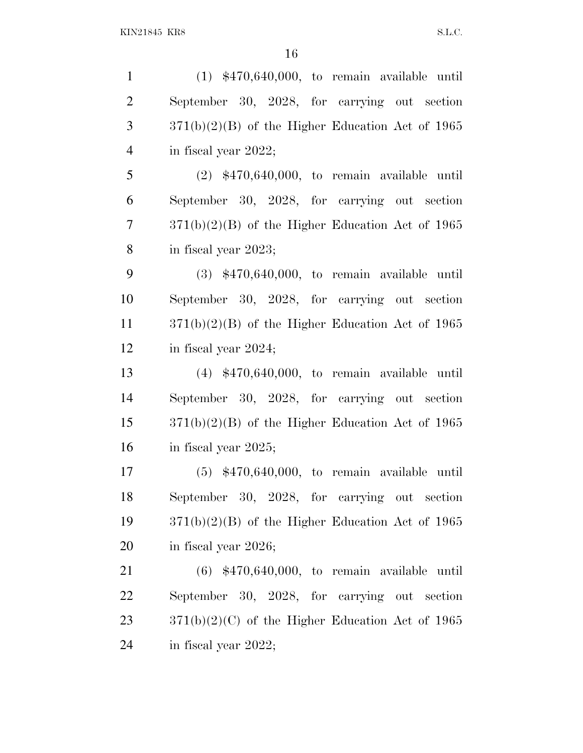(1) \$470,640,000, to remain available until September 30, 2028, for carrying out section  $3 \qquad \qquad 371(b)(2)(B)$  of the Higher Education Act of 1965 in fiscal year 2022; (2) \$470,640,000, to remain available until September 30, 2028, for carrying out section 371(b)(2)(B) of the Higher Education Act of 1965 in fiscal year 2023; (3) \$470,640,000, to remain available until September 30, 2028, for carrying out section 371(b)(2)(B) of the Higher Education Act of 1965 in fiscal year 2024; (4) \$470,640,000, to remain available until September 30, 2028, for carrying out section 371(b)(2)(B) of the Higher Education Act of 1965 in fiscal year 2025; (5) \$470,640,000, to remain available until September 30, 2028, for carrying out section 371(b)(2)(B) of the Higher Education Act of 1965 in fiscal year 2026; (6) \$470,640,000, to remain available until September 30, 2028, for carrying out section  $23 \qquad \qquad 371(b)(2)(C)$  of the Higher Education Act of 1965 in fiscal year 2022;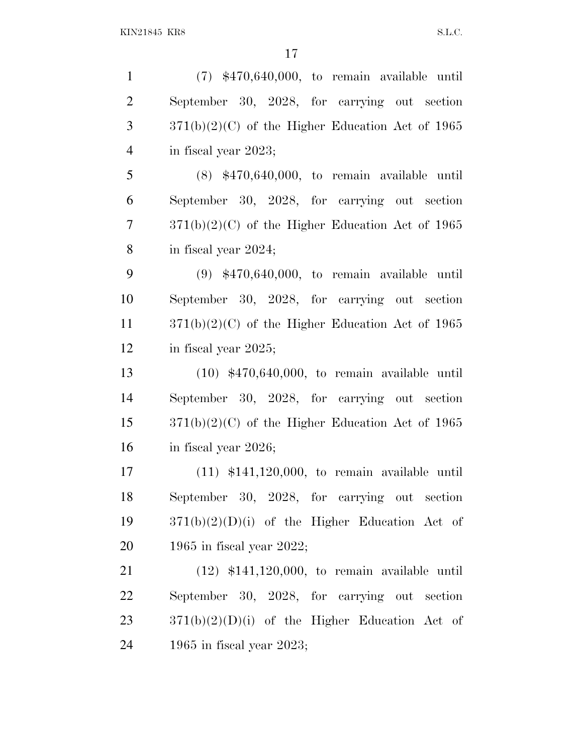| $\mathbf{1}$   | $(7)$ \$470,640,000, to remain available until     |
|----------------|----------------------------------------------------|
| $\overline{2}$ | September 30, 2028, for carrying out section       |
| 3              | $371(b)(2)(C)$ of the Higher Education Act of 1965 |
| $\overline{4}$ | in fiscal year 2023;                               |
| 5              | $(8)$ \$470,640,000, to remain available until     |
| 6              | September 30, 2028, for carrying out section       |
| 7              | $371(b)(2)(C)$ of the Higher Education Act of 1965 |
| 8              | in fiscal year 2024;                               |
| 9              | $(9)$ \$470,640,000, to remain available until     |
| 10             | September 30, 2028, for carrying out section       |
| 11             | $371(b)(2)(C)$ of the Higher Education Act of 1965 |
| 12             | in fiscal year 2025;                               |
| 13             | $(10)$ \$470,640,000, to remain available until    |
| 14             | September 30, 2028, for carrying out section       |
| 15             | $371(b)(2)(C)$ of the Higher Education Act of 1965 |
| 16             | in fiscal year 2026;                               |
| 17             | $(11)$ \$141,120,000, to remain available until    |
| 18             | September 30, 2028, for carrying out section       |
| 19             | $371(b)(2)(D)(i)$ of the Higher Education Act of   |
| 20             | 1965 in fiscal year 2022;                          |
| 21             | $(12)$ \$141,120,000, to remain available until    |
| 22             | September 30, 2028, for carrying out section       |
| 23             | $371(b)(2)(D)(i)$ of the Higher Education Act of   |
| 24             | 1965 in fiscal year 2023;                          |
|                |                                                    |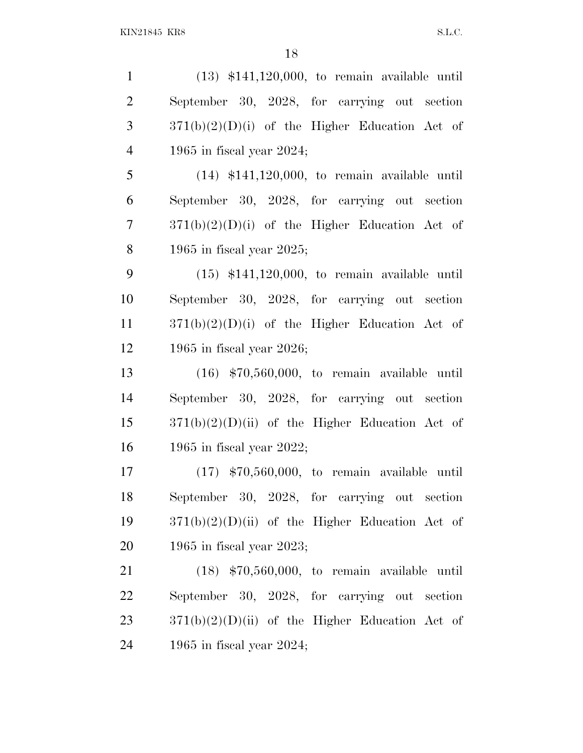(13) \$141,120,000, to remain available until September 30, 2028, for carrying out section  $3 \qquad \frac{371(b)(2)(D)(i)}{2}$  of the Higher Education Act of 1965 in fiscal year 2024; (14) \$141,120,000, to remain available until September 30, 2028, for carrying out section 371(b)(2)(D)(i) of the Higher Education Act of 1965 in fiscal year 2025; (15) \$141,120,000, to remain available until September 30, 2028, for carrying out section 371(b)(2)(D)(i) of the Higher Education Act of 1965 in fiscal year 2026; (16) \$70,560,000, to remain available until September 30, 2028, for carrying out section  $371(b)(2)(D)(ii)$  of the Higher Education Act of 1965 in fiscal year 2022; (17) \$70,560,000, to remain available until September 30, 2028, for carrying out section  $371(b)(2)(D)(ii)$  of the Higher Education Act of 1965 in fiscal year 2023; (18) \$70,560,000, to remain available until September 30, 2028, for carrying out section  $371(b)(2)(D)(ii)$  of the Higher Education Act of

1965 in fiscal year 2024;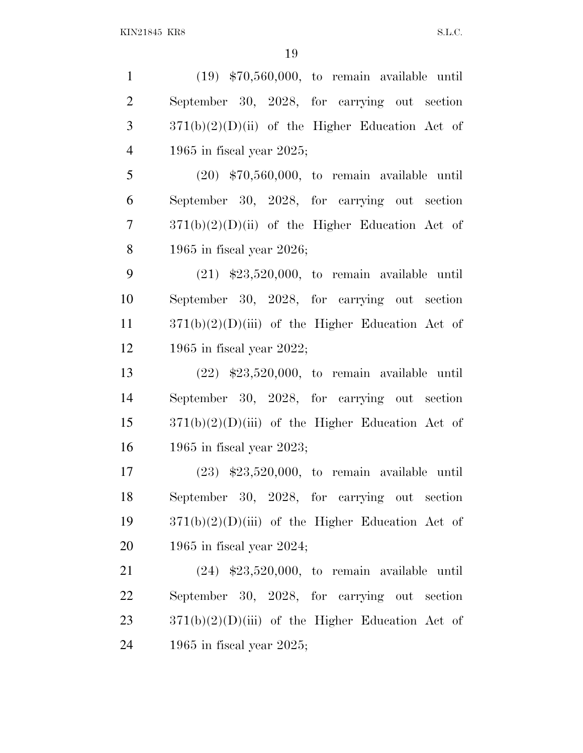(19) \$70,560,000, to remain available until September 30, 2028, for carrying out section  $3 \frac{371(b)(2)(D)(ii)}{2}$  of the Higher Education Act of 1965 in fiscal year 2025;

 (20) \$70,560,000, to remain available until September 30, 2028, for carrying out section 371(b)(2)(D)(ii) of the Higher Education Act of 1965 in fiscal year 2026;

 (21) \$23,520,000, to remain available until September 30, 2028, for carrying out section  $371(b)(2)(D)(iii)$  of the Higher Education Act of 1965 in fiscal year 2022;

 (22) \$23,520,000, to remain available until September 30, 2028, for carrying out section  $371(b)(2)(D)(iii)$  of the Higher Education Act of 1965 in fiscal year 2023;

 (23) \$23,520,000, to remain available until September 30, 2028, for carrying out section  $371(b)(2)(D)(iii)$  of the Higher Education Act of 1965 in fiscal year 2024;

 (24) \$23,520,000, to remain available until September 30, 2028, for carrying out section  $371(b)(2)(D)(iii)$  of the Higher Education Act of 1965 in fiscal year 2025;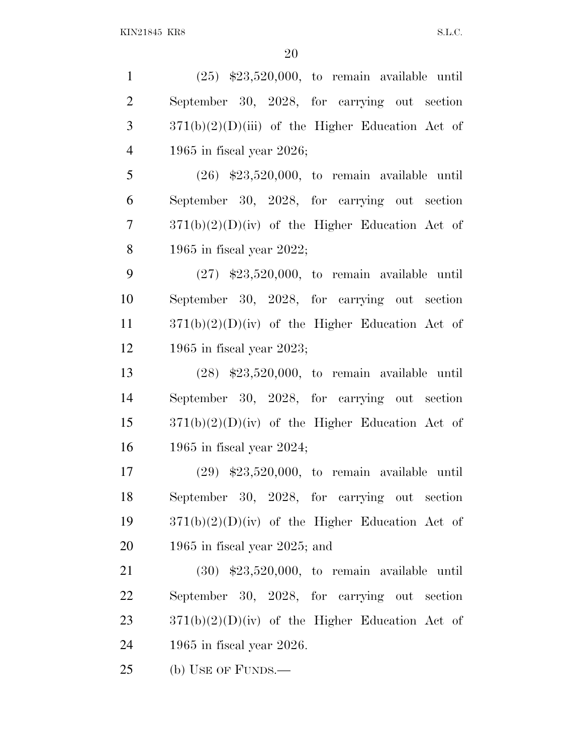(25) \$23,520,000, to remain available until September 30, 2028, for carrying out section  $3 \frac{371(b)(2)(D)(iii)}{2}$  of the Higher Education Act of 1965 in fiscal year 2026; (26) \$23,520,000, to remain available until September 30, 2028, for carrying out section 371(b)(2)(D)(iv) of the Higher Education Act of

1965 in fiscal year 2022;

 (27) \$23,520,000, to remain available until September 30, 2028, for carrying out section 371(b)(2)(D)(iv) of the Higher Education Act of 1965 in fiscal year 2023;

 (28) \$23,520,000, to remain available until September 30, 2028, for carrying out section  $371(b)(2)(D)(iv)$  of the Higher Education Act of 1965 in fiscal year 2024;

 (29) \$23,520,000, to remain available until September 30, 2028, for carrying out section 371(b)(2)(D)(iv) of the Higher Education Act of 1965 in fiscal year 2025; and

 (30) \$23,520,000, to remain available until September 30, 2028, for carrying out section  $371(b)(2)(D)(iv)$  of the Higher Education Act of 1965 in fiscal year 2026.

(b) USE OF FUNDS.—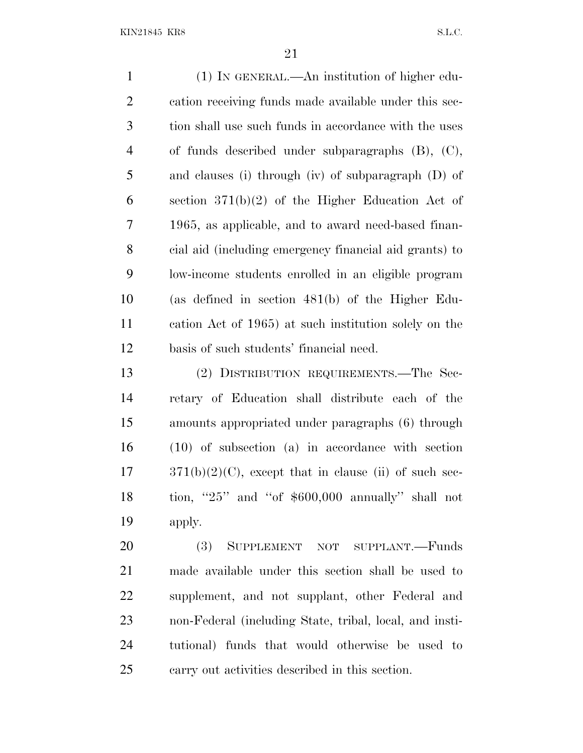(1) IN GENERAL.—An institution of higher edu- cation receiving funds made available under this sec- tion shall use such funds in accordance with the uses of funds described under subparagraphs (B), (C), and clauses (i) through (iv) of subparagraph (D) of section 371(b)(2) of the Higher Education Act of 1965, as applicable, and to award need-based finan- cial aid (including emergency financial aid grants) to low-income students enrolled in an eligible program (as defined in section 481(b) of the Higher Edu- cation Act of 1965) at such institution solely on the basis of such students' financial need.

 (2) DISTRIBUTION REQUIREMENTS.—The Sec- retary of Education shall distribute each of the amounts appropriated under paragraphs (6) through (10) of subsection (a) in accordance with section  $17 \qquad 371(b)(2)(C)$ , except that in clause (ii) of such sec- tion, ''25'' and ''of \$600,000 annually'' shall not apply.

 (3) SUPPLEMENT NOT SUPPLANT.—Funds made available under this section shall be used to supplement, and not supplant, other Federal and non-Federal (including State, tribal, local, and insti- tutional) funds that would otherwise be used to carry out activities described in this section.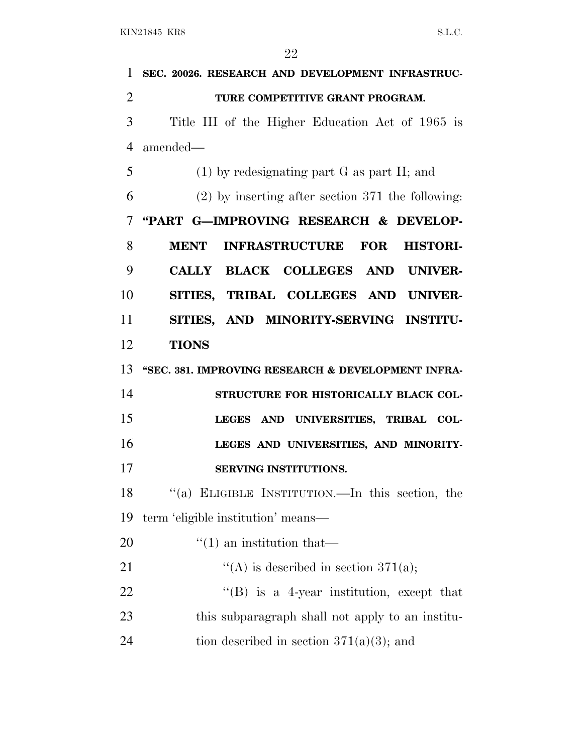| $\mathbf{1}$   | SEC. 20026. RESEARCH AND DEVELOPMENT INFRASTRUC-            |
|----------------|-------------------------------------------------------------|
| $\overline{2}$ | TURE COMPETITIVE GRANT PROGRAM.                             |
| 3              | Title III of the Higher Education Act of 1965 is            |
| $\overline{4}$ | amended—                                                    |
| 5              | $(1)$ by redesignating part G as part H; and                |
| 6              | $(2)$ by inserting after section 371 the following:         |
| 7              | "PART G-IMPROVING RESEARCH & DEVELOP-                       |
| 8              | <b>INFRASTRUCTURE FOR</b><br><b>MENT</b><br><b>HISTORI-</b> |
| 9              | CALLY BLACK COLLEGES AND UNIVER-                            |
| 10             | SITIES, TRIBAL COLLEGES AND UNIVER-                         |
| 11             | SITIES, AND MINORITY-SERVING INSTITU-                       |
| 12             | <b>TIONS</b>                                                |
| 13             | "SEC. 381. IMPROVING RESEARCH & DEVELOPMENT INFRA-          |
| 14             | STRUCTURE FOR HISTORICALLY BLACK COL-                       |
| 15             | LEGES AND UNIVERSITIES, TRIBAL COL-                         |
| 16             | LEGES AND UNIVERSITIES, AND MINORITY-                       |
| 17             | SERVING INSTITUTIONS.                                       |
| 18             | "(a) ELIGIBLE INSTITUTION.—In this section, the             |
| 19             | term 'eligible institution' means—                          |
| 20             | $\lq(1)$ an institution that—                               |
| 21             | "(A) is described in section 371(a);                        |
| 22             | $\lq\lq$ is a 4-year institution, except that               |
| 23             | this subparagraph shall not apply to an institu-            |
| 24             | tion described in section $371(a)(3)$ ; and                 |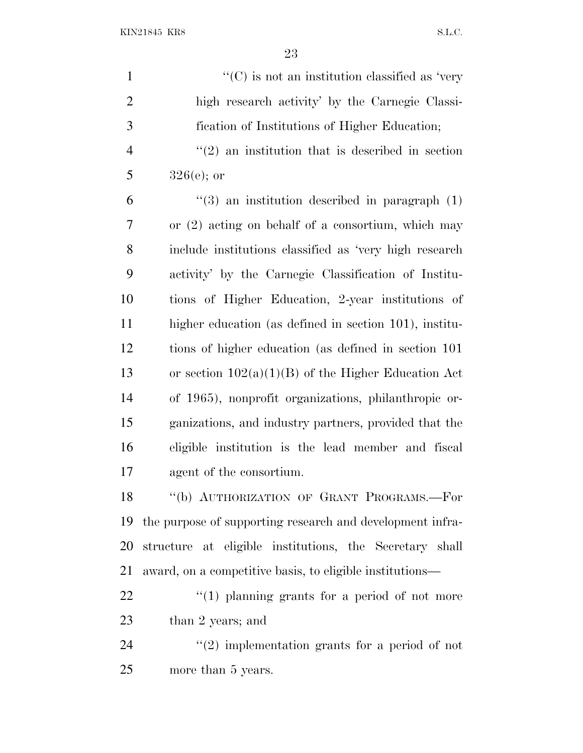| $\mathbf{1}$   | $\lq\lq$ (C) is not an institution classified as 'very      |
|----------------|-------------------------------------------------------------|
| $\overline{2}$ | high research activity' by the Carnegie Classi-             |
| 3              | fication of Institutions of Higher Education;               |
| $\overline{4}$ | $\cdot\cdot(2)$ an institution that is described in section |
| 5              | $326(e)$ ; or                                               |
| 6              | $\lq(3)$ an institution described in paragraph (1)          |
| 7              | or $(2)$ acting on behalf of a consortium, which may        |
| 8              | include institutions classified as 'very high research      |
| 9              | activity' by the Carnegie Classification of Institu-        |
| 10             | tions of Higher Education, 2-year institutions of           |
| 11             | higher education (as defined in section 101), institu-      |
| 12             | tions of higher education (as defined in section 101)       |
| 13             | or section $102(a)(1)(B)$ of the Higher Education Act       |
| 14             | of 1965), nonprofit organizations, philanthropic or-        |
| 15             | ganizations, and industry partners, provided that the       |
| 16             | eligible institution is the lead member and fiscal          |
| 17             | agent of the consortium.                                    |
| 18             | "(b) AUTHORIZATION OF GRANT PROGRAMS.-For                   |
| 19             | the purpose of supporting research and development infra-   |
| 20             | structure at eligible institutions, the Secretary shall     |
| 21             | award, on a competitive basis, to eligible institutions—    |
| 22             | $``(1)$ planning grants for a period of not more            |
| 23             | than 2 years; and                                           |
| 24             | $\lq(2)$ implementation grants for a period of not          |
| 25             | more than 5 years.                                          |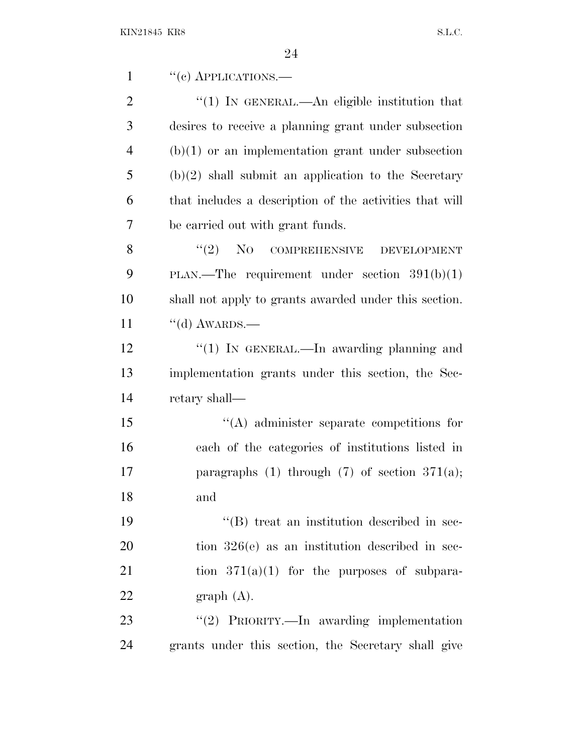| $\mathbf{1}$   | $``(e)$ APPLICATIONS.—                                  |
|----------------|---------------------------------------------------------|
| $\overline{2}$ | $\lq(1)$ In GENERAL.—An eligible institution that       |
| 3              | desires to receive a planning grant under subsection    |
| $\overline{4}$ | $(b)(1)$ or an implementation grant under subsection    |
| 5              | $(b)(2)$ shall submit an application to the Secretary   |
| 6              | that includes a description of the activities that will |
| 7              | be carried out with grant funds.                        |
| 8              | $\cdot$ (2) NO COMPREHENSIVE DEVELOPMENT                |
| 9              | PLAN.—The requirement under section $391(b)(1)$         |
| 10             | shall not apply to grants awarded under this section.   |
| 11             | $\lq\lq$ AWARDS.—                                       |
| 12             | "(1) IN GENERAL.—In awarding planning and               |
| 13             | implementation grants under this section, the Sec-      |
| 14             | retary shall—                                           |
| 15             | $\lq\lq$ administer separate competitions for           |
| 16             | each of the categories of institutions listed in        |
| 17             | paragraphs (1) through (7) of section $371(a)$ ;        |
| 18             | and                                                     |
| 19             | "(B) treat an institution described in sec-             |
| 20             | tion $326(e)$ as an institution described in sec-       |
| 21             | tion $371(a)(1)$ for the purposes of subpara-           |
| 22             | graph(A).                                               |
| 23             | "(2) PRIORITY.—In awarding implementation               |
| 24             | grants under this section, the Secretary shall give     |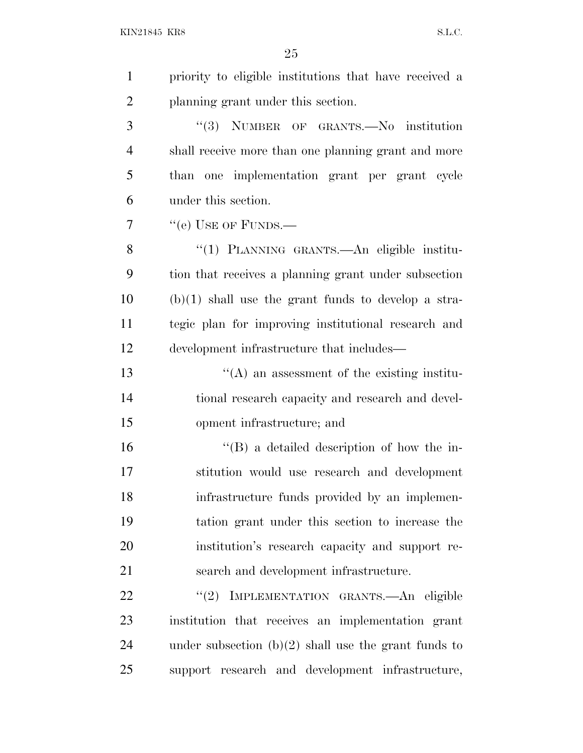| $\mathbf{1}$   |                                                        |
|----------------|--------------------------------------------------------|
|                | priority to eligible institutions that have received a |
| $\overline{2}$ | planning grant under this section.                     |
| 3              | "(3) NUMBER OF GRANTS.-No institution                  |
| $\overline{4}$ | shall receive more than one planning grant and more    |
| 5              | than one implementation grant per grant cycle          |
| 6              | under this section.                                    |
| 7              | "(e) USE OF FUNDS.—                                    |
| 8              | "(1) PLANNING GRANTS.—An eligible institu-             |
| 9              | tion that receives a planning grant under subsection   |
| 10             | $(b)(1)$ shall use the grant funds to develop a stra-  |
| 11             | tegic plan for improving institutional research and    |
| 12             | development infrastructure that includes—              |
| 13             | $\lq\lq$ an assessment of the existing institu-        |
| 14             | tional research capacity and research and devel-       |
| 15             | opment infrastructure; and                             |
| 16             | $\lq\lq (B)$ a detailed description of how the in-     |
| 17             | stitution would use research and development           |
| 18             | infrastructure funds provided by an implemen-          |
| 19             | tation grant under this section to increase the        |
| 20             | institution's research capacity and support re-        |
| 21             | search and development infrastructure.                 |
| 22             | IMPLEMENTATION GRANTS.- An eligible<br>(2)             |
| 23             | institution that receives an implementation grant      |
| 24             | under subsection $(b)(2)$ shall use the grant funds to |
| 25             | support research and development infrastructure,       |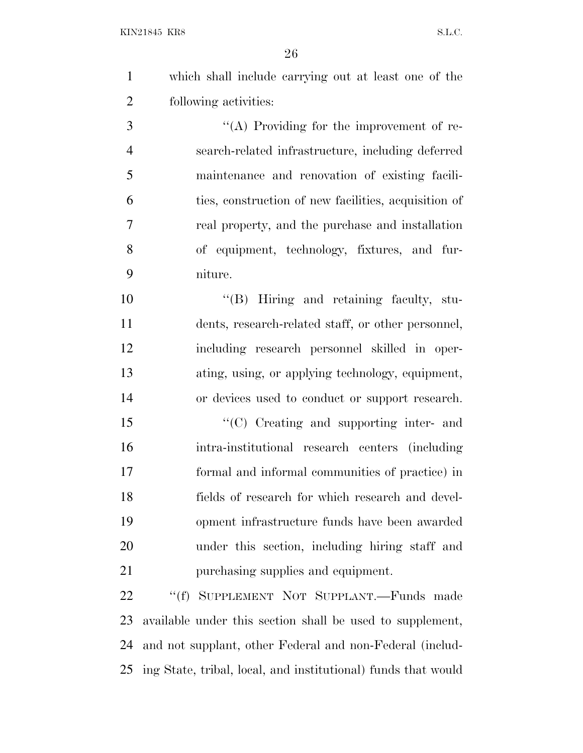which shall include carrying out at least one of the following activities:

 $\langle (A)$  Providing for the improvement of re- search-related infrastructure, including deferred maintenance and renovation of existing facili- ties, construction of new facilities, acquisition of real property, and the purchase and installation of equipment, technology, fixtures, and fur-niture.

 ''(B) Hiring and retaining faculty, stu- dents, research-related staff, or other personnel, including research personnel skilled in oper- ating, using, or applying technology, equipment, or devices used to conduct or support research.

15 "'(C) Creating and supporting inter- and intra-institutional research centers (including formal and informal communities of practice) in fields of research for which research and devel- opment infrastructure funds have been awarded under this section, including hiring staff and 21 purchasing supplies and equipment.

22 ""(f) SUPPLEMENT NOT SUPPLANT.—Funds made available under this section shall be used to supplement, and not supplant, other Federal and non-Federal (includ-ing State, tribal, local, and institutional) funds that would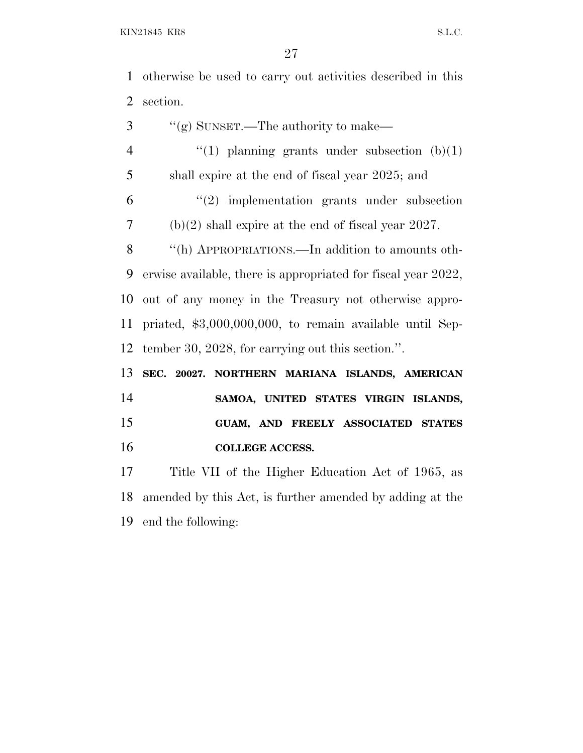otherwise be used to carry out activities described in this section.

 ''(g) SUNSET.—The authority to make—  $\qquad$  (1) planning grants under subsection (b)(1) shall expire at the end of fiscal year 2025; and ''(2) implementation grants under subsection (b)(2) shall expire at the end of fiscal year 2027. ''(h) APPROPRIATIONS.—In addition to amounts oth- erwise available, there is appropriated for fiscal year 2022, out of any money in the Treasury not otherwise appro- priated, \$3,000,000,000, to remain available until Sep- tember 30, 2028, for carrying out this section.''. **SEC. 20027. NORTHERN MARIANA ISLANDS, AMERICAN SAMOA, UNITED STATES VIRGIN ISLANDS, GUAM, AND FREELY ASSOCIATED STATES COLLEGE ACCESS.**

 Title VII of the Higher Education Act of 1965, as amended by this Act, is further amended by adding at the end the following: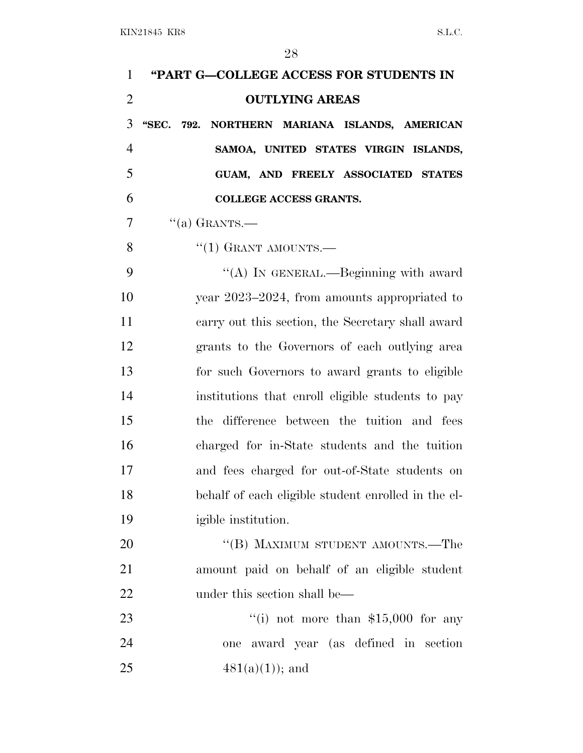| $\mathbf{1}$   | "PART G-COLLEGE ACCESS FOR STUDENTS IN              |
|----------------|-----------------------------------------------------|
| $\overline{2}$ | <b>OUTLYING AREAS</b>                               |
| 3              | "SEC. 792. NORTHERN MARIANA ISLANDS, AMERICAN       |
| $\overline{4}$ | SAMOA, UNITED STATES VIRGIN ISLANDS,                |
| 5              | GUAM, AND FREELY ASSOCIATED STATES                  |
| 6              | <b>COLLEGE ACCESS GRANTS.</b>                       |
| 7              | $``(a)$ GRANTS.—                                    |
| 8              | $``(1)$ GRANT AMOUNTS.—                             |
| 9              | "(A) IN GENERAL.—Beginning with award               |
| 10             | year 2023–2024, from amounts appropriated to        |
| 11             | carry out this section, the Secretary shall award   |
| 12             | grants to the Governors of each outlying area       |
| 13             | for such Governors to award grants to eligible      |
| 14             | institutions that enroll eligible students to pay   |
| 15             | the difference between the tuition and fees         |
| 16             | charged for in-State students and the tuition       |
| 17             | and fees charged for out-of-State students on       |
| 18             | behalf of each eligible student enrolled in the el- |
| 19             | igible institution.                                 |
| 20             | "(B) MAXIMUM STUDENT AMOUNTS.—The                   |
| 21             | amount paid on behalf of an eligible student        |
| 22             | under this section shall be—                        |
| 23             | "(i) not more than $$15,000$ for any                |
| 24             | award year (as defined in section<br>one            |
| 25             | $481(a)(1)$ ; and                                   |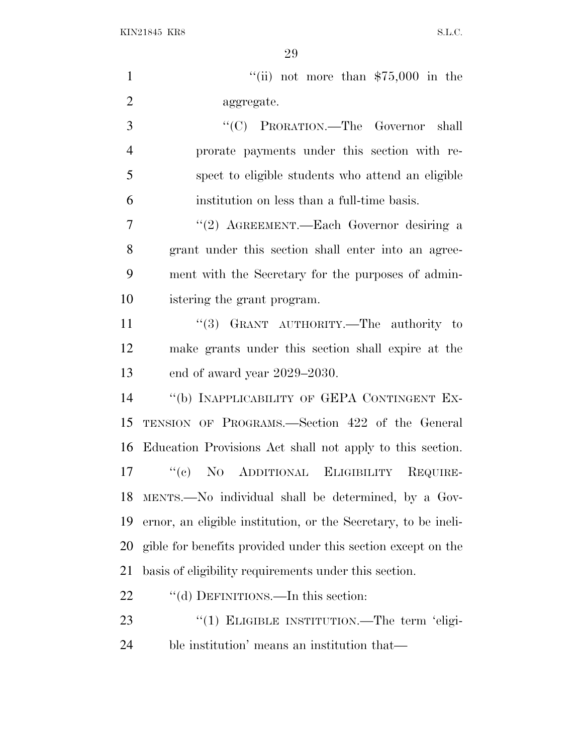$\frac{1}{10}$  not more than \$75,000 in the aggregate. ''(C) PRORATION.—The Governor shall prorate payments under this section with re- spect to eligible students who attend an eligible institution on less than a full-time basis. 7 "(2) AGREEMENT.—Each Governor desiring a grant under this section shall enter into an agree- ment with the Secretary for the purposes of admin- istering the grant program. 11 "(3) GRANT AUTHORITY.—The authority to make grants under this section shall expire at the end of award year 2029–2030. ''(b) INAPPLICABILITY OF GEPA CONTINGENT EX- TENSION OF PROGRAMS.—Section 422 of the General Education Provisions Act shall not apply to this section. ''(c) N<sup>O</sup> ADDITIONAL ELIGIBILITY REQUIRE- MENTS.—No individual shall be determined, by a Gov- ernor, an eligible institution, or the Secretary, to be ineli-gible for benefits provided under this section except on the

basis of eligibility requirements under this section.

22 "(d) DEFINITIONS.—In this section:

23 "(1) ELIGIBLE INSTITUTION.—The term 'eligi-ble institution' means an institution that—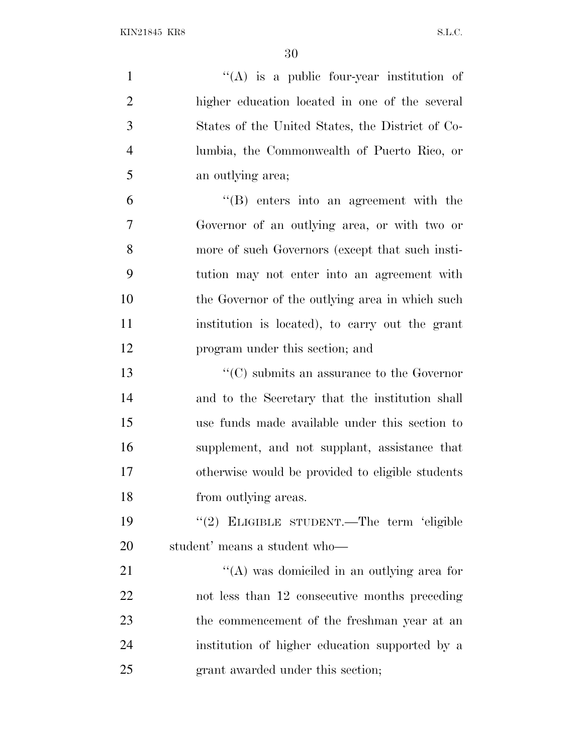| $\mathbf{1}$   | $\lq\lq$ is a public four-year institution of                  |
|----------------|----------------------------------------------------------------|
| $\mathbf{2}$   | higher education located in one of the several                 |
| 3              | States of the United States, the District of Co-               |
| $\overline{4}$ | lumbia, the Commonwealth of Puerto Rico, or                    |
| 5              | an outlying area;                                              |
| 6              | $\lq\lq (B)$ enters into an agreement with the                 |
| $\tau$         | Governor of an outlying area, or with two or                   |
| 8              | more of such Governors (except that such insti-                |
| 9              | tution may not enter into an agreement with                    |
| 10             | the Governor of the outlying area in which such                |
| 11             | institution is located), to carry out the grant                |
| 12             | program under this section; and                                |
| 13             | $\lq\lq$ <sup>c</sup> (C) submits an assurance to the Governor |
| 14             | and to the Secretary that the institution shall                |
| 15             | use funds made available under this section to                 |
| 16             | supplement, and not supplant, assistance that                  |
| 17             | otherwise would be provided to eligible students               |
| 18             | from outlying areas.                                           |
| 19             | "(2) ELIGIBLE STUDENT.—The term 'eligible                      |
| 20             | student' means a student who-                                  |
| 21             | "(A) was domiciled in an outlying area for                     |
| 22             | not less than 12 consecutive months preceding                  |
| 23             | the commencement of the freshman year at an                    |
| 24             | institution of higher education supported by a                 |
| 25             | grant awarded under this section;                              |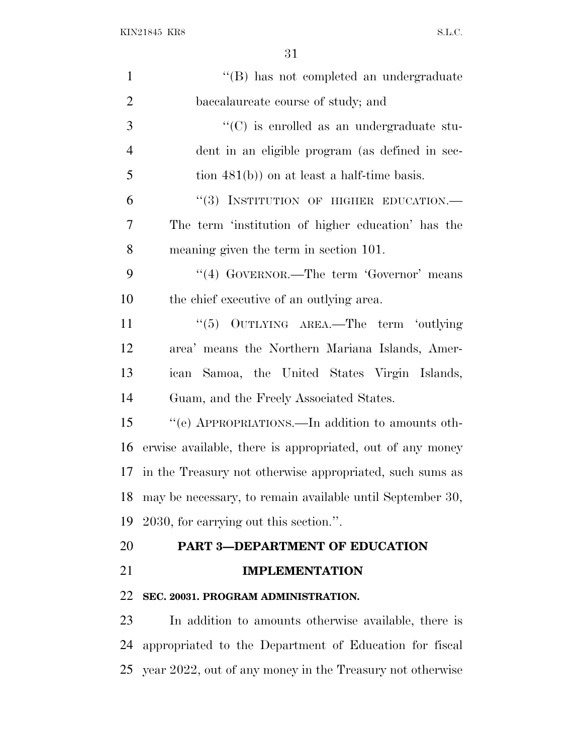| 1              | "(B) has not completed an undergraduate                   |
|----------------|-----------------------------------------------------------|
| $\overline{2}$ | baccalaureate course of study; and                        |
| 3              | $\cdot\cdot$ (C) is enrolled as an undergraduate stu-     |
| $\overline{4}$ | dent in an eligible program (as defined in sec-           |
| 5              | tion $481(b)$ on at least a half-time basis.              |
| 6              | "(3) INSTITUTION OF HIGHER EDUCATION.-                    |
| 7              | The term 'institution of higher education' has the        |
| 8              | meaning given the term in section 101.                    |
| 9              | "(4) GOVERNOR.—The term 'Governor' means                  |
| 10             | the chief executive of an outlying area.                  |
| 11             | OUTLYING AREA.—The term 'outlying<br>(6(5)                |
| 12             | area' means the Northern Mariana Islands, Amer-           |
| 13             | Samoa, the United States Virgin Islands,<br>ican          |
| 14             | Guam, and the Freely Associated States.                   |
| 15             | "(e) APPROPRIATIONS.—In addition to amounts oth-          |
| 16             | erwise available, there is appropriated, out of any money |
| 17             | in the Treasury not otherwise appropriated, such sums as  |
| 18             | may be necessary, to remain available until September 30, |
| 19             | 2030, for carrying out this section.".                    |
| 20             | PART 3-DEPARTMENT OF EDUCATION                            |
| 21             | <b>IMPLEMENTATION</b>                                     |
| 22             | SEC. 20031. PROGRAM ADMINISTRATION.                       |
| 23             | In addition to amounts otherwise available, there is      |
| 24             | appropriated to the Department of Education for fiscal    |
| 25             | year 2022, out of any money in the Treasury not otherwise |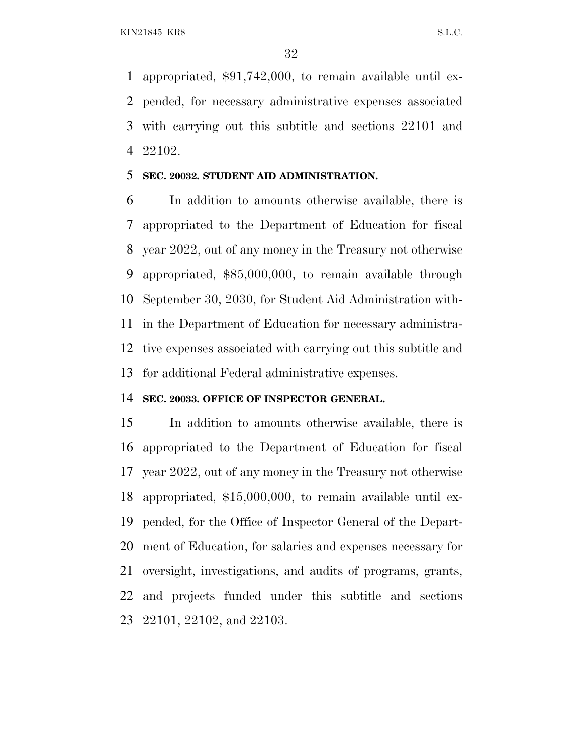appropriated, \$91,742,000, to remain available until ex- pended, for necessary administrative expenses associated with carrying out this subtitle and sections 22101 and 22102.

#### **SEC. 20032. STUDENT AID ADMINISTRATION.**

 In addition to amounts otherwise available, there is appropriated to the Department of Education for fiscal year 2022, out of any money in the Treasury not otherwise appropriated, \$85,000,000, to remain available through September 30, 2030, for Student Aid Administration with- in the Department of Education for necessary administra- tive expenses associated with carrying out this subtitle and for additional Federal administrative expenses.

#### **SEC. 20033. OFFICE OF INSPECTOR GENERAL.**

 In addition to amounts otherwise available, there is appropriated to the Department of Education for fiscal year 2022, out of any money in the Treasury not otherwise appropriated, \$15,000,000, to remain available until ex- pended, for the Office of Inspector General of the Depart- ment of Education, for salaries and expenses necessary for oversight, investigations, and audits of programs, grants, and projects funded under this subtitle and sections 22101, 22102, and 22103.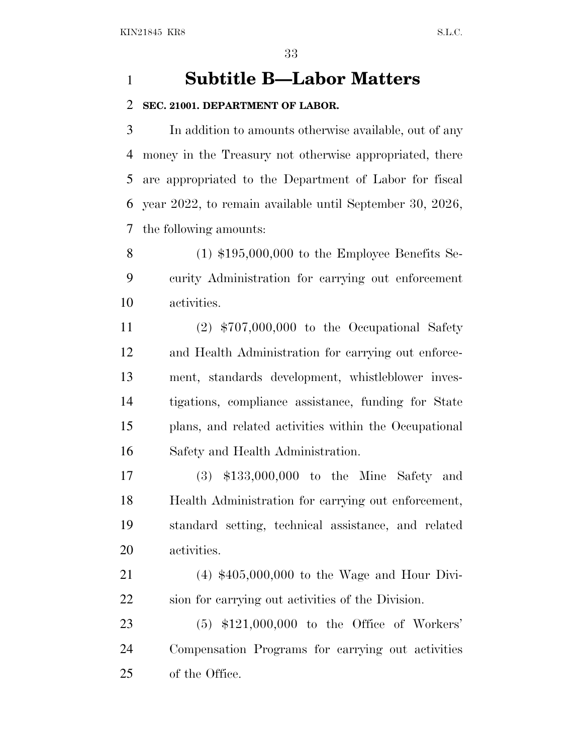## **Subtitle B—Labor Matters**

#### **SEC. 21001. DEPARTMENT OF LABOR.**

 In addition to amounts otherwise available, out of any money in the Treasury not otherwise appropriated, there are appropriated to the Department of Labor for fiscal year 2022, to remain available until September 30, 2026, the following amounts:

 (1) \$195,000,000 to the Employee Benefits Se- curity Administration for carrying out enforcement activities.

 (2) \$707,000,000 to the Occupational Safety and Health Administration for carrying out enforce- ment, standards development, whistleblower inves- tigations, compliance assistance, funding for State plans, and related activities within the Occupational Safety and Health Administration.

 (3) \$133,000,000 to the Mine Safety and Health Administration for carrying out enforcement, standard setting, technical assistance, and related activities.

 (4) \$405,000,000 to the Wage and Hour Divi-sion for carrying out activities of the Division.

 (5) \$121,000,000 to the Office of Workers' Compensation Programs for carrying out activities of the Office.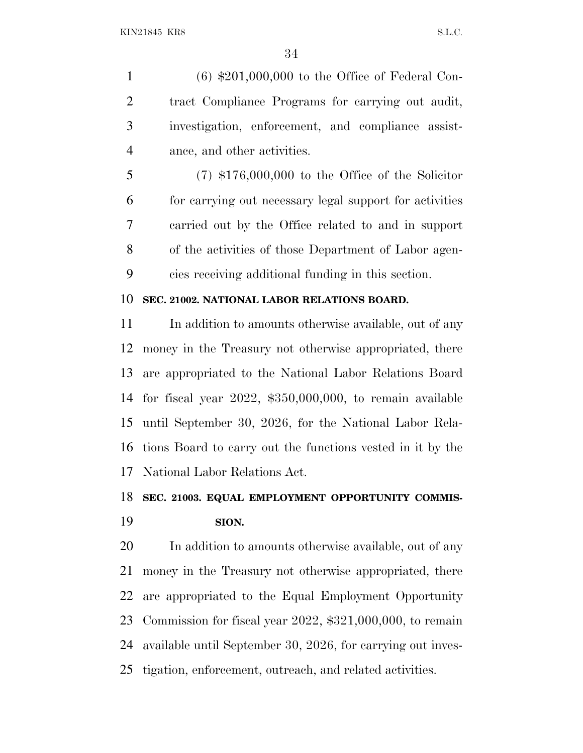(6) \$201,000,000 to the Office of Federal Con- tract Compliance Programs for carrying out audit, investigation, enforcement, and compliance assist-ance, and other activities.

 (7) \$176,000,000 to the Office of the Solicitor for carrying out necessary legal support for activities carried out by the Office related to and in support of the activities of those Department of Labor agen-cies receiving additional funding in this section.

#### **SEC. 21002. NATIONAL LABOR RELATIONS BOARD.**

11 In addition to amounts otherwise available, out of any money in the Treasury not otherwise appropriated, there are appropriated to the National Labor Relations Board for fiscal year 2022, \$350,000,000, to remain available until September 30, 2026, for the National Labor Rela- tions Board to carry out the functions vested in it by the National Labor Relations Act.

#### **SEC. 21003. EQUAL EMPLOYMENT OPPORTUNITY COMMIS-**

#### **SION.**

 In addition to amounts otherwise available, out of any money in the Treasury not otherwise appropriated, there are appropriated to the Equal Employment Opportunity Commission for fiscal year 2022, \$321,000,000, to remain available until September 30, 2026, for carrying out inves-tigation, enforcement, outreach, and related activities.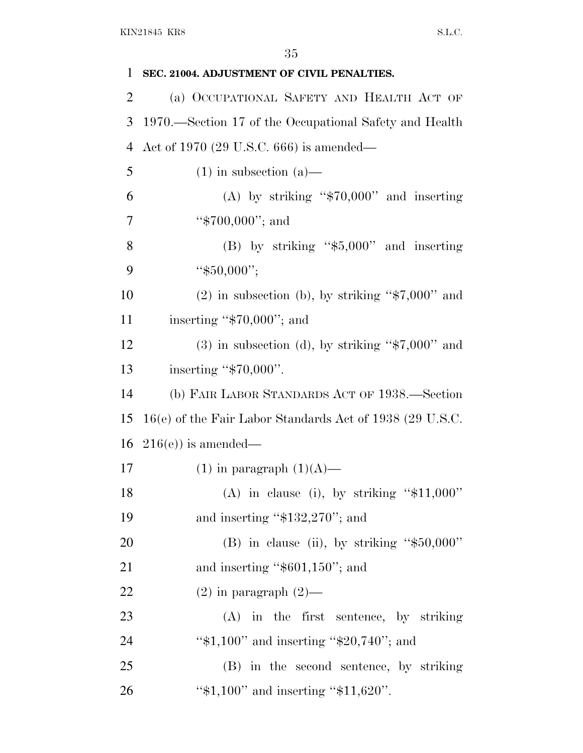| 1              | SEC. 21004. ADJUSTMENT OF CIVIL PENALTIES.               |
|----------------|----------------------------------------------------------|
| $\overline{2}$ | (a) OCCUPATIONAL SAFETY AND HEALTH ACT OF                |
| 3              | 1970.—Section 17 of the Occupational Safety and Health   |
| $\overline{4}$ | Act of 1970 (29 U.S.C. 666) is amended—                  |
| 5              | $(1)$ in subsection $(a)$ —                              |
| 6              | (A) by striking " $$70,000$ " and inserting              |
| 7              | " $$700,000$ "; and                                      |
| 8              | $(B)$ by striking "\$5,000" and inserting                |
| 9              | " $$50,000$ ";                                           |
| 10             | $(2)$ in subsection (b), by striking "\$7,000" and       |
| 11             | inserting " $$70,000$ "; and                             |
| 12             | $(3)$ in subsection (d), by striking "\$7,000" and       |
| 13             | inserting " $$70,000$ ".                                 |
| 14             | (b) FAIR LABOR STANDARDS ACT OF 1938.—Section            |
| 15             | 16(e) of the Fair Labor Standards Act of 1938 (29 U.S.C. |
| 16             | $216(e)$ is amended—                                     |
| 17             | $(1)$ in paragraph $(1)(A)$ —                            |
| 18             | (A) in clause (i), by striking " $$11,000"$ "            |
| 19             | and inserting " $$132,270"$ ; and                        |
| 20             | (B) in clause (ii), by striking " $$50,000"$ "           |
| 21             | and inserting " $$601,150"$ ; and                        |
| 22             | $(2)$ in paragraph $(2)$ —                               |
| 23             | $(A)$ in the first sentence, by striking                 |
| 24             | " $$1,100"$ and inserting " $$20,740"$ ; and             |
| 25             | (B) in the second sentence, by striking                  |
| 26             | " $$1,100"$ and inserting " $$11,620"$ .                 |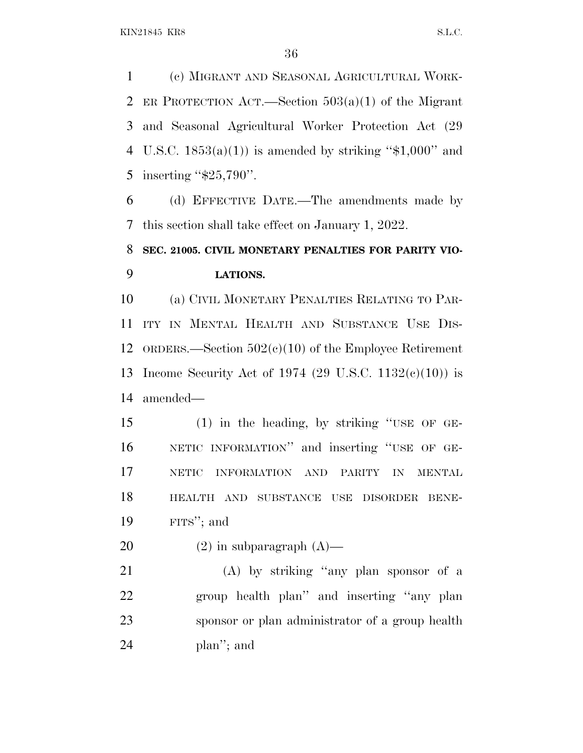(c) MIGRANT AND SEASONAL AGRICULTURAL WORK- ER PROTECTION ACT.—Section 503(a)(1) of the Migrant and Seasonal Agricultural Worker Protection Act (29 4 U.S.C.  $1853(a)(1)$  is amended by striking "\$1,000" and 5 inserting "\$25,790".

 (d) EFFECTIVE DATE.—The amendments made by this section shall take effect on January 1, 2022.

## **SEC. 21005. CIVIL MONETARY PENALTIES FOR PARITY VIO-LATIONS.**

 (a) CIVIL MONETARY PENALTIES RELATING TO PAR- ITY IN MENTAL HEALTH AND SUBSTANCE USE DIS- ORDERS.—Section 502(c)(10) of the Employee Retirement Income Security Act of 1974 (29 U.S.C. 1132(c)(10)) is amended—

 (1) in the heading, by striking ''USE OF GE- NETIC INFORMATION'' and inserting ''USE OF GE- NETIC INFORMATION AND PARITY IN MENTAL HEALTH AND SUBSTANCE USE DISORDER BENE-FITS''; and

20  $(2)$  in subparagraph  $(A)$ —

 (A) by striking ''any plan sponsor of a group health plan'' and inserting ''any plan sponsor or plan administrator of a group health plan''; and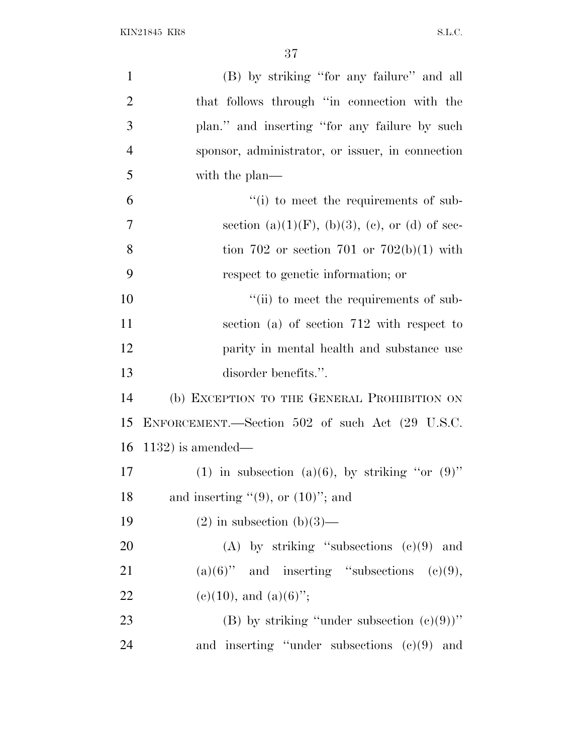| $\mathbf{1}$   | (B) by striking "for any failure" and all              |
|----------------|--------------------------------------------------------|
| $\overline{2}$ | that follows through "in connection with the           |
| 3              | plan." and inserting "for any failure by such          |
| $\overline{4}$ | sponsor, administrator, or issuer, in connection       |
| 5              | with the plan—                                         |
| 6              | "(i) to meet the requirements of sub-                  |
| $\overline{7}$ | section (a) $(1)(F)$ , (b) $(3)$ , (c), or (d) of sec- |
| 8              | tion 702 or section 701 or 702(b)(1) with              |
| 9              | respect to genetic information; or                     |
| 10             | "(ii) to meet the requirements of sub-                 |
| 11             | section (a) of section 712 with respect to             |
| 12             | parity in mental health and substance use              |
| 13             | disorder benefits.".                                   |
| 14             | (b) EXCEPTION TO THE GENERAL PROHIBITION ON            |
| 15             | ENFORCEMENT.—Section 502 of such Act (29 U.S.C.        |
| 16             | $1132$ ) is amended—                                   |
| 17             | (1) in subsection (a)(6), by striking "or $(9)$ "      |
| 18             | and inserting $"(9)$ , or $(10)"$ ; and                |
| 19             | $(2)$ in subsection $(b)(3)$ —                         |
| 20             | (A) by striking "subsections $(e)(9)$ and              |
| 21             | $(a)(6)$ " and inserting "subsections $(c)(9)$ ,       |
| 22             | $(e)(10)$ , and $(a)(6)$ ";                            |
| 23             | (B) by striking "under subsection $(e)(9)$ "           |
| 24             | and inserting "under subsections $(e)(9)$ and          |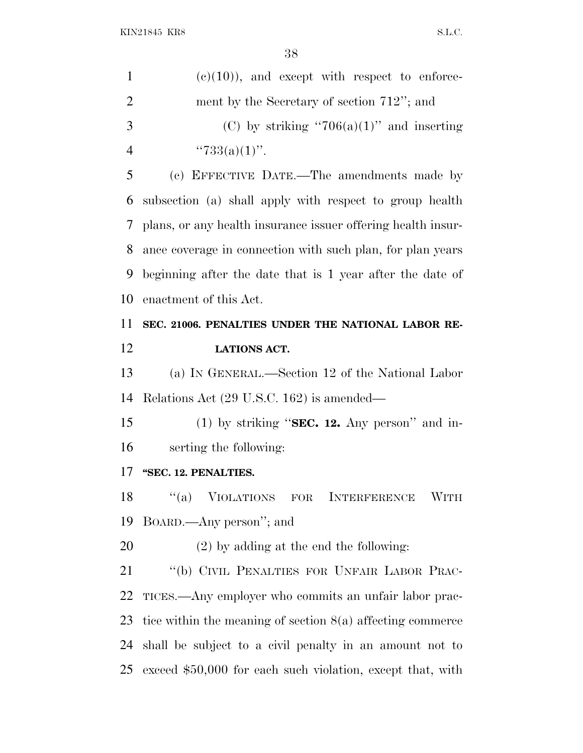| 1              | $(e)(10)$ , and except with respect to enforce-              |
|----------------|--------------------------------------------------------------|
| $\overline{2}$ | ment by the Secretary of section 712"; and                   |
| 3              | (C) by striking "706(a)(1)" and inserting                    |
| $\overline{4}$ | " $733(a)(1)$ ".                                             |
| 5              | (c) EFFECTIVE DATE.—The amendments made by                   |
| 6              | subsection (a) shall apply with respect to group health      |
| 7              | plans, or any health insurance issuer offering health insur- |
| 8              | ance coverage in connection with such plan, for plan years   |
| 9              | beginning after the date that is 1 year after the date of    |
| 10             | enactment of this Act.                                       |
| 11             | SEC. 21006. PENALTIES UNDER THE NATIONAL LABOR RE-           |
| 12             | <b>LATIONS ACT.</b>                                          |
| 13             | (a) IN GENERAL.—Section 12 of the National Labor             |
| 14             | Relations Act (29 U.S.C. 162) is amended—                    |
| 15             | (1) by striking "SEC. 12. Any person" and in-                |
| 16             | serting the following:                                       |
| 17             | "SEC. 12. PENALTIES.                                         |
| 18             | "(a) VIOLATIONS FOR INTERFERENCE WITH                        |
| 19             | BOARD.—Any person"; and                                      |
| 20             | $(2)$ by adding at the end the following:                    |
| 21             | "(b) CIVIL PENALTIES FOR UNFAIR LABOR PRAC-                  |
| <u>22</u>      | TICES.—Any employer who commits an unfair labor prac-        |
|                |                                                              |
| 23             | tice within the meaning of section $8(a)$ affecting commerce |
| 24             | shall be subject to a civil penalty in an amount not to      |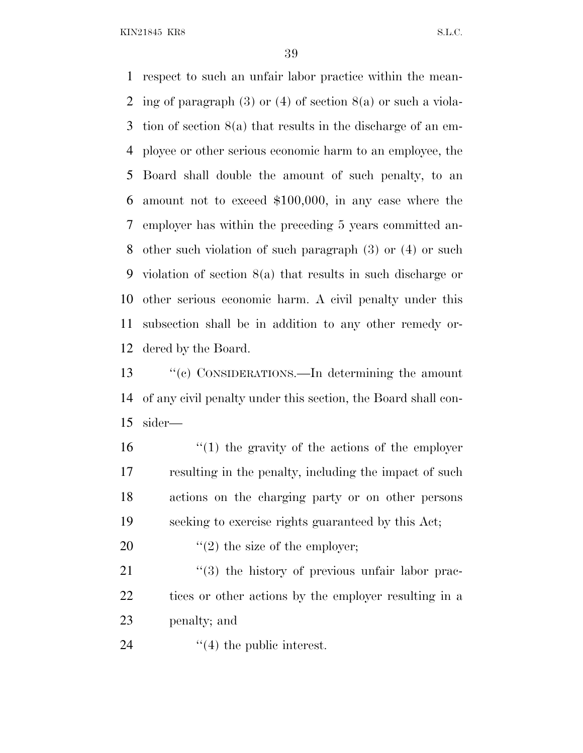respect to such an unfair labor practice within the mean- ing of paragraph (3) or (4) of section 8(a) or such a viola- tion of section 8(a) that results in the discharge of an em- ployee or other serious economic harm to an employee, the Board shall double the amount of such penalty, to an amount not to exceed \$100,000, in any case where the employer has within the preceding 5 years committed an- other such violation of such paragraph (3) or (4) or such violation of section 8(a) that results in such discharge or other serious economic harm. A civil penalty under this subsection shall be in addition to any other remedy or-dered by the Board.

 ''(c) CONSIDERATIONS.—In determining the amount of any civil penalty under this section, the Board shall con-sider—

 ''(1) the gravity of the actions of the employer resulting in the penalty, including the impact of such actions on the charging party or on other persons seeking to exercise rights guaranteed by this Act;

20  $\frac{1}{2}$  the size of the employer;

21 ''(3) the history of previous unfair labor prac-22 tices or other actions by the employer resulting in a penalty; and

24  $\frac{4}{1}$  the public interest.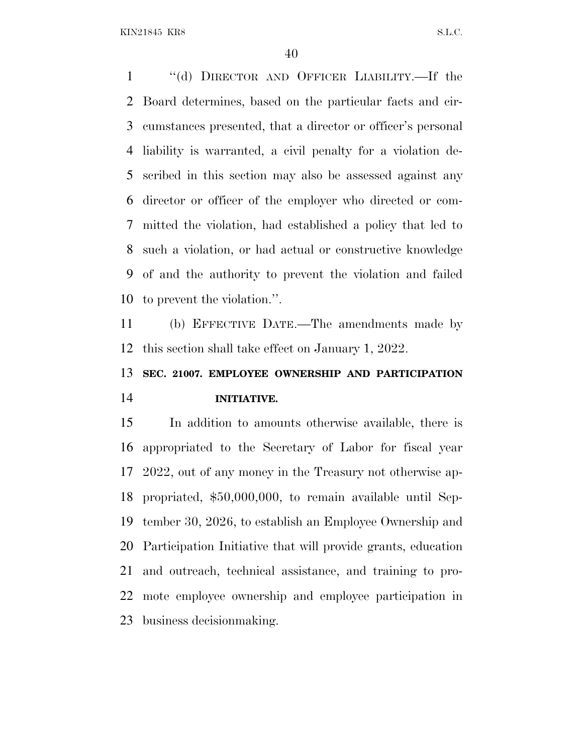''(d) DIRECTOR AND OFFICER LIABILITY.—If the Board determines, based on the particular facts and cir- cumstances presented, that a director or officer's personal liability is warranted, a civil penalty for a violation de- scribed in this section may also be assessed against any director or officer of the employer who directed or com- mitted the violation, had established a policy that led to such a violation, or had actual or constructive knowledge of and the authority to prevent the violation and failed to prevent the violation.''.

 (b) EFFECTIVE DATE.—The amendments made by this section shall take effect on January 1, 2022.

# **SEC. 21007. EMPLOYEE OWNERSHIP AND PARTICIPATION INITIATIVE.**

 In addition to amounts otherwise available, there is appropriated to the Secretary of Labor for fiscal year 2022, out of any money in the Treasury not otherwise ap- propriated, \$50,000,000, to remain available until Sep- tember 30, 2026, to establish an Employee Ownership and Participation Initiative that will provide grants, education and outreach, technical assistance, and training to pro- mote employee ownership and employee participation in business decisionmaking.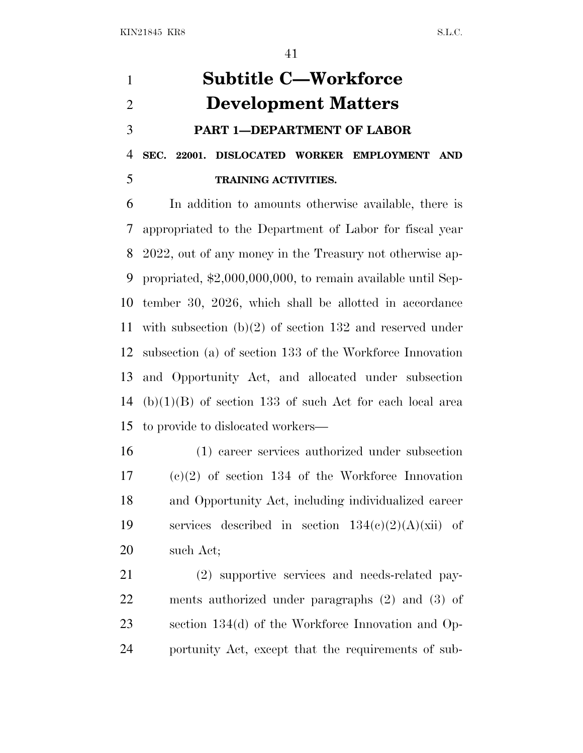**Subtitle C—Workforce Development Matters PART 1—DEPARTMENT OF LABOR SEC. 22001. DISLOCATED WORKER EMPLOYMENT AND TRAINING ACTIVITIES.**

 In addition to amounts otherwise available, there is appropriated to the Department of Labor for fiscal year 2022, out of any money in the Treasury not otherwise ap- propriated, \$2,000,000,000, to remain available until Sep- tember 30, 2026, which shall be allotted in accordance with subsection (b)(2) of section 132 and reserved under subsection (a) of section 133 of the Workforce Innovation and Opportunity Act, and allocated under subsection (b)(1)(B) of section 133 of such Act for each local area to provide to dislocated workers—

 (1) career services authorized under subsection (c)(2) of section 134 of the Workforce Innovation and Opportunity Act, including individualized career 19 services described in section  $134(c)(2)(A)(xii)$  of such Act;

 (2) supportive services and needs-related pay- ments authorized under paragraphs (2) and (3) of section 134(d) of the Workforce Innovation and Op-portunity Act, except that the requirements of sub-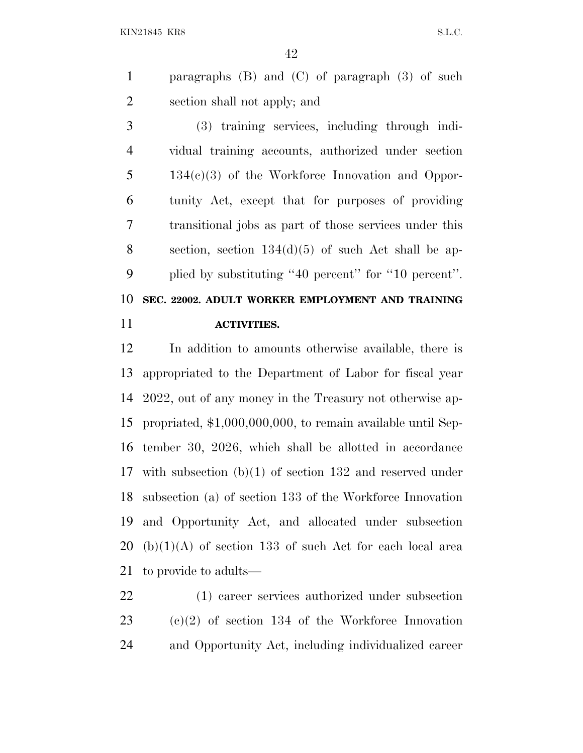paragraphs (B) and (C) of paragraph (3) of such section shall not apply; and

 (3) training services, including through indi- vidual training accounts, authorized under section 5 134(c)(3) of the Workforce Innovation and Oppor- tunity Act, except that for purposes of providing transitional jobs as part of those services under this section, section 134(d)(5) of such Act shall be ap- plied by substituting ''40 percent'' for ''10 percent''. **SEC. 22002. ADULT WORKER EMPLOYMENT AND TRAINING**

**ACTIVITIES.**

 In addition to amounts otherwise available, there is appropriated to the Department of Labor for fiscal year 2022, out of any money in the Treasury not otherwise ap- propriated, \$1,000,000,000, to remain available until Sep- tember 30, 2026, which shall be allotted in accordance with subsection (b)(1) of section 132 and reserved under subsection (a) of section 133 of the Workforce Innovation and Opportunity Act, and allocated under subsection (b)(1)(A) of section 133 of such Act for each local area to provide to adults—

 (1) career services authorized under subsection (c)(2) of section 134 of the Workforce Innovation and Opportunity Act, including individualized career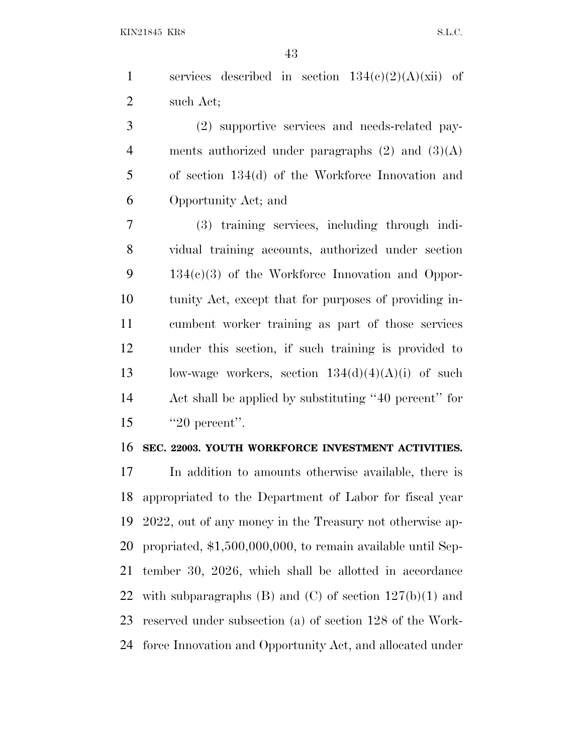1 services described in section  $134(c)(2)(A)(xii)$  of such Act;

 (2) supportive services and needs-related pay-4 ments authorized under paragraphs  $(2)$  and  $(3)(A)$  of section 134(d) of the Workforce Innovation and Opportunity Act; and

 (3) training services, including through indi- vidual training accounts, authorized under section 134(c)(3) of the Workforce Innovation and Oppor- tunity Act, except that for purposes of providing in- cumbent worker training as part of those services under this section, if such training is provided to 13 low-wage workers, section  $134(d)(4)(A)(i)$  of such Act shall be applied by substituting ''40 percent'' for 15 ''20 percent''.

#### **SEC. 22003. YOUTH WORKFORCE INVESTMENT ACTIVITIES.**

 In addition to amounts otherwise available, there is appropriated to the Department of Labor for fiscal year 2022, out of any money in the Treasury not otherwise ap- propriated, \$1,500,000,000, to remain available until Sep- tember 30, 2026, which shall be allotted in accordance 22 with subparagraphs  $(B)$  and  $(C)$  of section  $127(b)(1)$  and reserved under subsection (a) of section 128 of the Work-force Innovation and Opportunity Act, and allocated under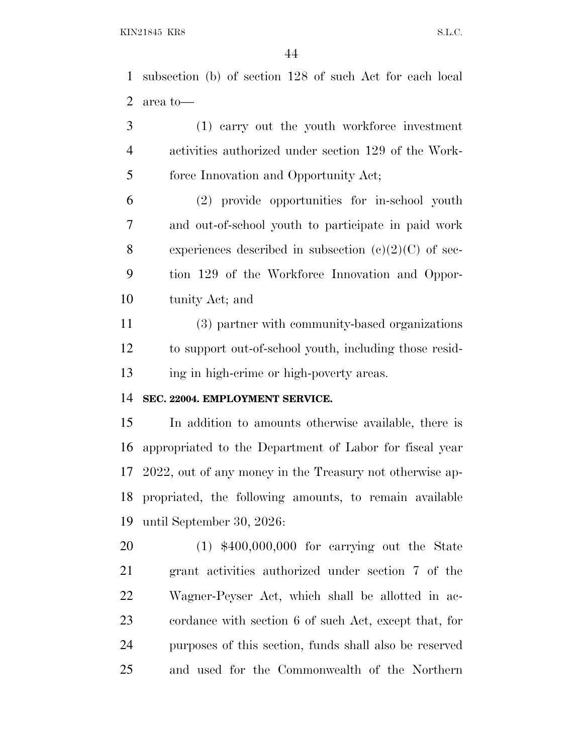subsection (b) of section 128 of such Act for each local area to—

 (1) carry out the youth workforce investment activities authorized under section 129 of the Work-force Innovation and Opportunity Act;

 (2) provide opportunities for in-school youth and out-of-school youth to participate in paid work 8 experiences described in subsection  $(e)(2)(C)$  of sec- tion 129 of the Workforce Innovation and Oppor-tunity Act; and

 (3) partner with community-based organizations to support out-of-school youth, including those resid-ing in high-crime or high-poverty areas.

## **SEC. 22004. EMPLOYMENT SERVICE.**

 In addition to amounts otherwise available, there is appropriated to the Department of Labor for fiscal year 2022, out of any money in the Treasury not otherwise ap- propriated, the following amounts, to remain available until September 30, 2026:

 (1) \$400,000,000 for carrying out the State grant activities authorized under section 7 of the Wagner-Peyser Act, which shall be allotted in ac- cordance with section 6 of such Act, except that, for purposes of this section, funds shall also be reserved and used for the Commonwealth of the Northern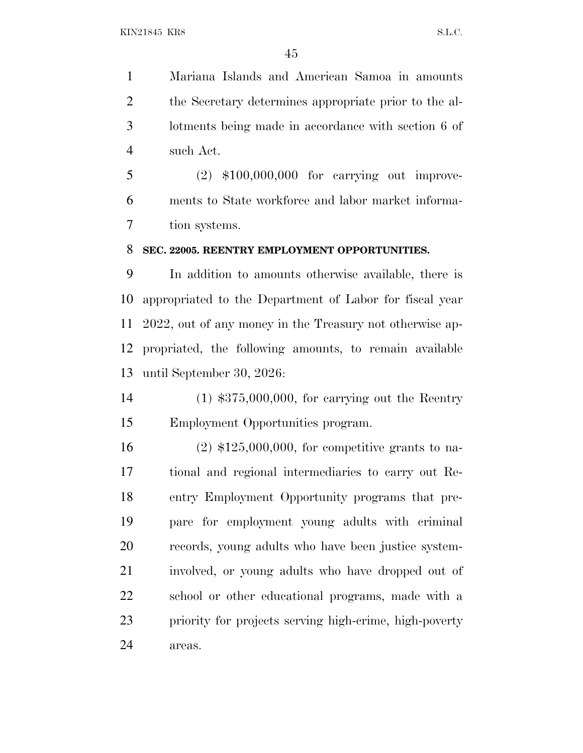Mariana Islands and American Samoa in amounts the Secretary determines appropriate prior to the al- lotments being made in accordance with section 6 of such Act.

 (2) \$100,000,000 for carrying out improve- ments to State workforce and labor market informa-tion systems.

### **SEC. 22005. REENTRY EMPLOYMENT OPPORTUNITIES.**

 In addition to amounts otherwise available, there is appropriated to the Department of Labor for fiscal year 2022, out of any money in the Treasury not otherwise ap- propriated, the following amounts, to remain available until September 30, 2026:

 (1) \$375,000,000, for carrying out the Reentry Employment Opportunities program.

 (2) \$125,000,000, for competitive grants to na- tional and regional intermediaries to carry out Re- entry Employment Opportunity programs that pre- pare for employment young adults with criminal records, young adults who have been justice system- involved, or young adults who have dropped out of school or other educational programs, made with a priority for projects serving high-crime, high-poverty areas.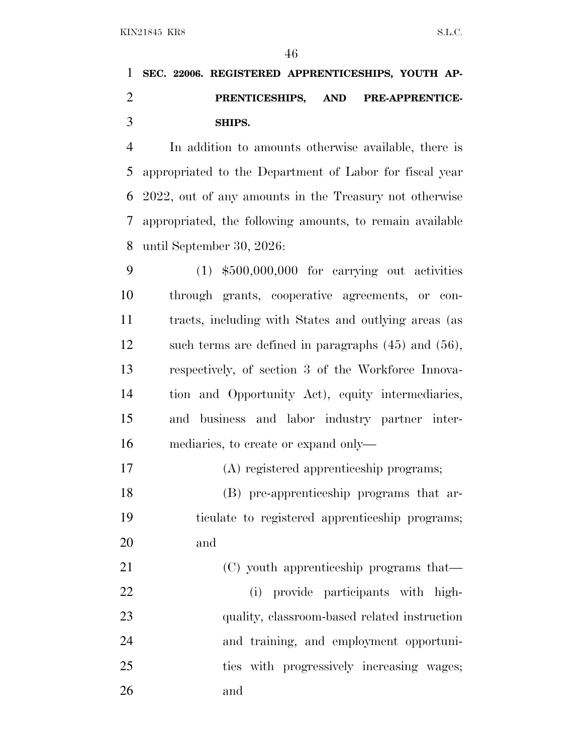# **SEC. 22006. REGISTERED APPRENTICESHIPS, YOUTH AP- PRENTICESHIPS, AND PRE-APPRENTICE-SHIPS.**

 In addition to amounts otherwise available, there is appropriated to the Department of Labor for fiscal year 2022, out of any amounts in the Treasury not otherwise appropriated, the following amounts, to remain available until September 30, 2026:

 (1) \$500,000,000 for carrying out activities through grants, cooperative agreements, or con- tracts, including with States and outlying areas (as such terms are defined in paragraphs (45) and (56), respectively, of section 3 of the Workforce Innova- tion and Opportunity Act), equity intermediaries, and business and labor industry partner inter-mediaries, to create or expand only—

(A) registered apprenticeship programs;

 (B) pre-apprenticeship programs that ar- ticulate to registered apprenticeship programs; and

21 (C) youth apprenticeship programs that— (i) provide participants with high-23 quality, classroom-based related instruction and training, and employment opportuni- ties with progressively increasing wages; and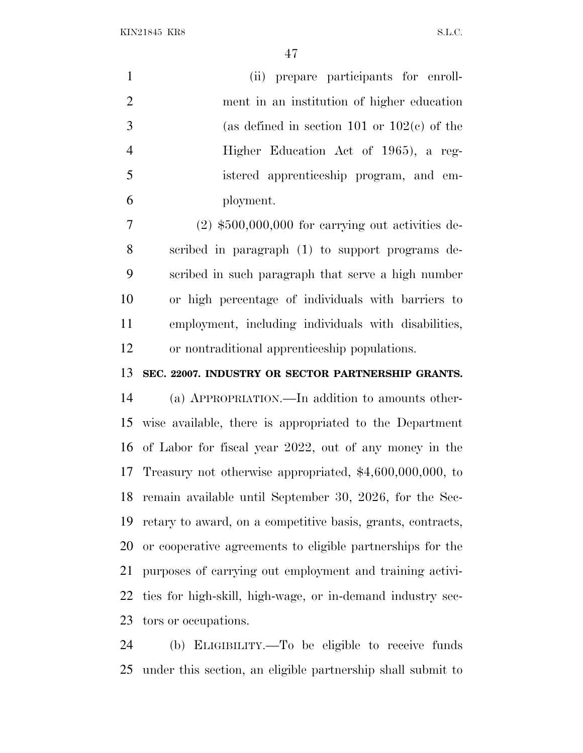| $\mathbf{1}$   | (ii) prepare participants for enroll-                     |
|----------------|-----------------------------------------------------------|
| $\overline{2}$ | ment in an institution of higher education                |
| 3              | (as defined in section 101 or $102(e)$ of the             |
| $\overline{4}$ | Higher Education Act of 1965), a reg-                     |
| 5              | istered apprenticeship program, and em-                   |
| 6              | ployment.                                                 |
| 7              | $(2)$ \$500,000,000 for carrying out activities de-       |
| 8              | scribed in paragraph (1) to support programs de-          |
| 9              | scribed in such paragraph that serve a high number        |
| 10             | or high percentage of individuals with barriers to        |
| 11             | employment, including individuals with disabilities,      |
| 12             | or nontraditional apprenticeship populations.             |
| 13             | SEC. 22007. INDUSTRY OR SECTOR PARTNERSHIP GRANTS.        |
| 14             | (a) APPROPRIATION.—In addition to amounts other-          |
| 15             | wise available, there is appropriated to the Department   |
|                | 16 of Labor for fiscal year 2022, out of any money in the |
|                |                                                           |

 Treasury not otherwise appropriated, \$4,600,000,000, to remain available until September 30, 2026, for the Sec-retary to award, on a competitive basis, grants, contracts,

 or cooperative agreements to eligible partnerships for the purposes of carrying out employment and training activi- ties for high-skill, high-wage, or in-demand industry sec-tors or occupations.

 (b) ELIGIBILITY.—To be eligible to receive funds under this section, an eligible partnership shall submit to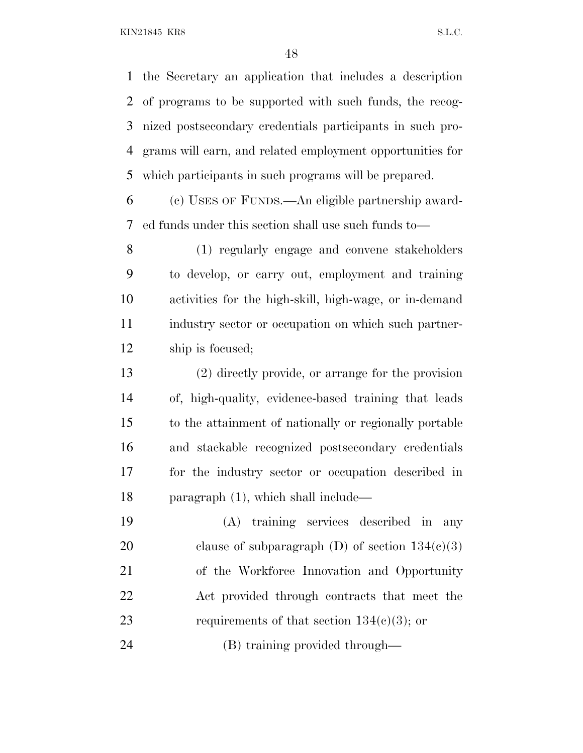the Secretary an application that includes a description of programs to be supported with such funds, the recog- nized postsecondary credentials participants in such pro- grams will earn, and related employment opportunities for which participants in such programs will be prepared.

 (c) USES OF FUNDS.—An eligible partnership award-ed funds under this section shall use such funds to—

 (1) regularly engage and convene stakeholders to develop, or carry out, employment and training activities for the high-skill, high-wage, or in-demand industry sector or occupation on which such partner-ship is focused;

 (2) directly provide, or arrange for the provision of, high-quality, evidence-based training that leads to the attainment of nationally or regionally portable and stackable recognized postsecondary credentials for the industry sector or occupation described in paragraph (1), which shall include—

 (A) training services described in any 20 clause of subparagraph  $(D)$  of section  $134(c)(3)$  of the Workforce Innovation and Opportunity Act provided through contracts that meet the 23 requirements of that section  $134(e)(3)$ ; or

(B) training provided through—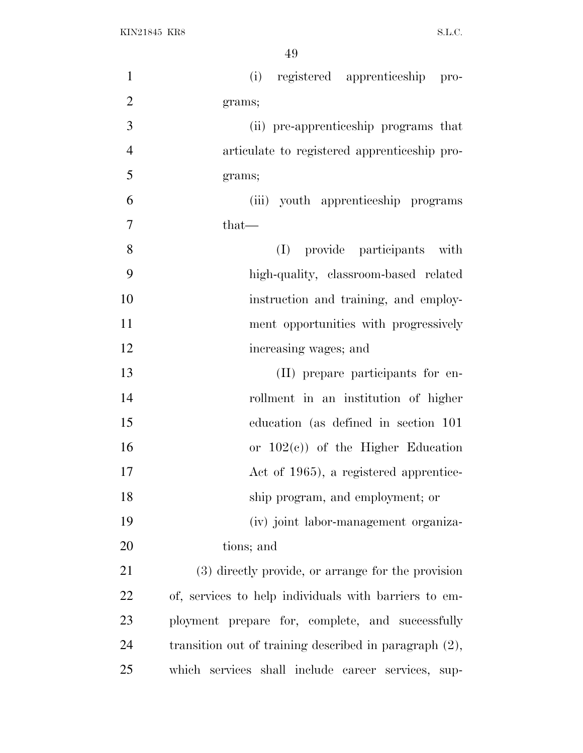| $\mathbf{1}$   | (i) registered apprenticeship pro-                     |
|----------------|--------------------------------------------------------|
| $\overline{2}$ | grams;                                                 |
| 3              | (ii) pre-apprenticeship programs that                  |
| $\overline{4}$ | articulate to registered apprenticeship pro-           |
| 5              | grams;                                                 |
| 6              | (iii) youth apprenticeship programs                    |
| $\overline{7}$ | $that-$                                                |
| 8              | provide participants with<br>(I)                       |
| 9              | high-quality, classroom-based related                  |
| 10             | instruction and training, and employ-                  |
| 11             | ment opportunities with progressively                  |
| 12             | increasing wages; and                                  |
| 13             | (II) prepare participants for en-                      |
| 14             | rollment in an institution of higher                   |
| 15             | education (as defined in section 101)                  |
| 16             | or $102(e)$ of the Higher Education                    |
| 17             | Act of 1965), a registered apprentice-                 |
| 18             | ship program, and employment; or                       |
| 19             | (iv) joint labor-management organiza-                  |
| 20             | tions; and                                             |
| 21             | (3) directly provide, or arrange for the provision     |
| <u>22</u>      | of, services to help individuals with barriers to em-  |
| 23             | ployment prepare for, complete, and successfully       |
| 24             | transition out of training described in paragraph (2), |
| 25             | which services shall include career services, sup-     |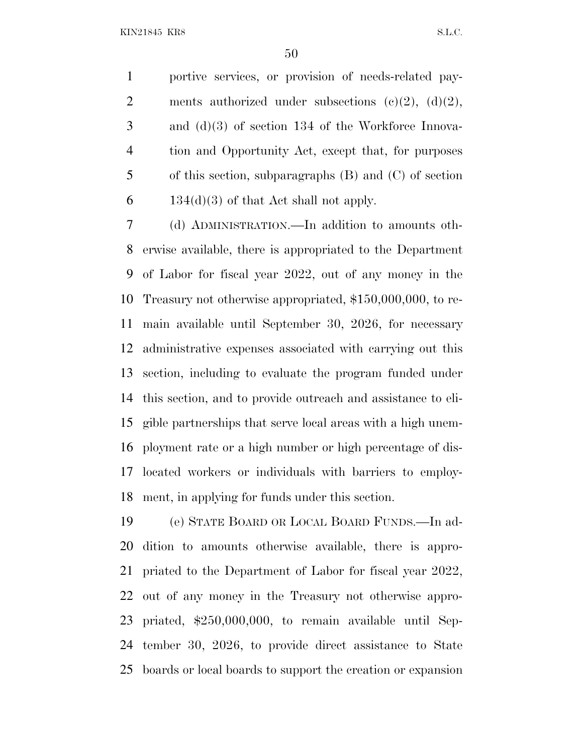portive services, or provision of needs-related pay-2 ments authorized under subsections  $(c)(2)$ ,  $(d)(2)$ , and (d)(3) of section 134 of the Workforce Innova- tion and Opportunity Act, except that, for purposes of this section, subparagraphs (B) and (C) of section 6 134(d)(3) of that Act shall not apply.

 (d) ADMINISTRATION.—In addition to amounts oth- erwise available, there is appropriated to the Department of Labor for fiscal year 2022, out of any money in the Treasury not otherwise appropriated, \$150,000,000, to re- main available until September 30, 2026, for necessary administrative expenses associated with carrying out this section, including to evaluate the program funded under this section, and to provide outreach and assistance to eli- gible partnerships that serve local areas with a high unem- ployment rate or a high number or high percentage of dis- located workers or individuals with barriers to employ-ment, in applying for funds under this section.

 (e) STATE BOARD OR LOCAL BOARD FUNDS.—In ad- dition to amounts otherwise available, there is appro- priated to the Department of Labor for fiscal year 2022, out of any money in the Treasury not otherwise appro- priated, \$250,000,000, to remain available until Sep- tember 30, 2026, to provide direct assistance to State boards or local boards to support the creation or expansion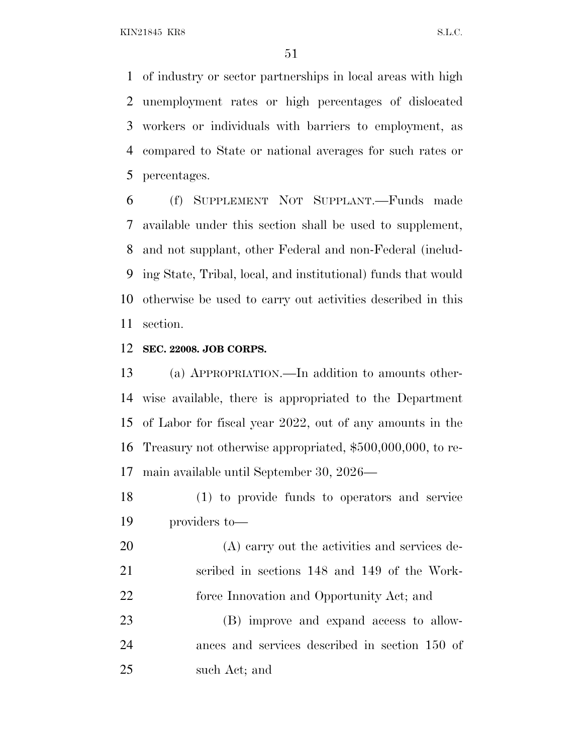of industry or sector partnerships in local areas with high unemployment rates or high percentages of dislocated workers or individuals with barriers to employment, as compared to State or national averages for such rates or percentages.

 (f) SUPPLEMENT NOT SUPPLANT.—Funds made available under this section shall be used to supplement, and not supplant, other Federal and non-Federal (includ- ing State, Tribal, local, and institutional) funds that would otherwise be used to carry out activities described in this section.

### **SEC. 22008. JOB CORPS.**

 (a) APPROPRIATION.—In addition to amounts other- wise available, there is appropriated to the Department of Labor for fiscal year 2022, out of any amounts in the Treasury not otherwise appropriated, \$500,000,000, to re-main available until September 30, 2026—

 (1) to provide funds to operators and service providers to—

 (A) carry out the activities and services de- scribed in sections 148 and 149 of the Work-22 force Innovation and Opportunity Act; and

 (B) improve and expand access to allow- ances and services described in section 150 of such Act; and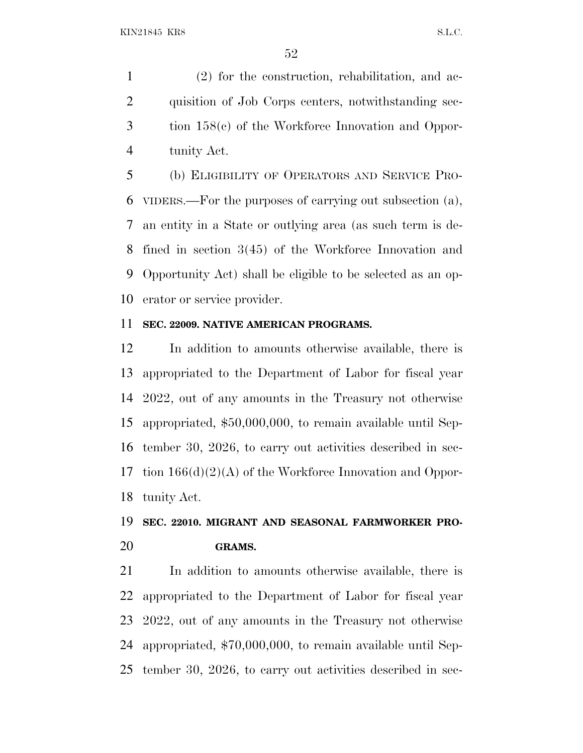(2) for the construction, rehabilitation, and ac- quisition of Job Corps centers, notwithstanding sec- tion 158(c) of the Workforce Innovation and Oppor-tunity Act.

 (b) ELIGIBILITY OF OPERATORS AND SERVICE PRO- VIDERS.—For the purposes of carrying out subsection (a), an entity in a State or outlying area (as such term is de- fined in section 3(45) of the Workforce Innovation and Opportunity Act) shall be eligible to be selected as an op-erator or service provider.

### **SEC. 22009. NATIVE AMERICAN PROGRAMS.**

 In addition to amounts otherwise available, there is appropriated to the Department of Labor for fiscal year 2022, out of any amounts in the Treasury not otherwise appropriated, \$50,000,000, to remain available until Sep- tember 30, 2026, to carry out activities described in sec- tion 166(d)(2)(A) of the Workforce Innovation and Oppor-tunity Act.

# **SEC. 22010. MIGRANT AND SEASONAL FARMWORKER PRO-GRAMS.**

 In addition to amounts otherwise available, there is appropriated to the Department of Labor for fiscal year 2022, out of any amounts in the Treasury not otherwise appropriated, \$70,000,000, to remain available until Sep-tember 30, 2026, to carry out activities described in sec-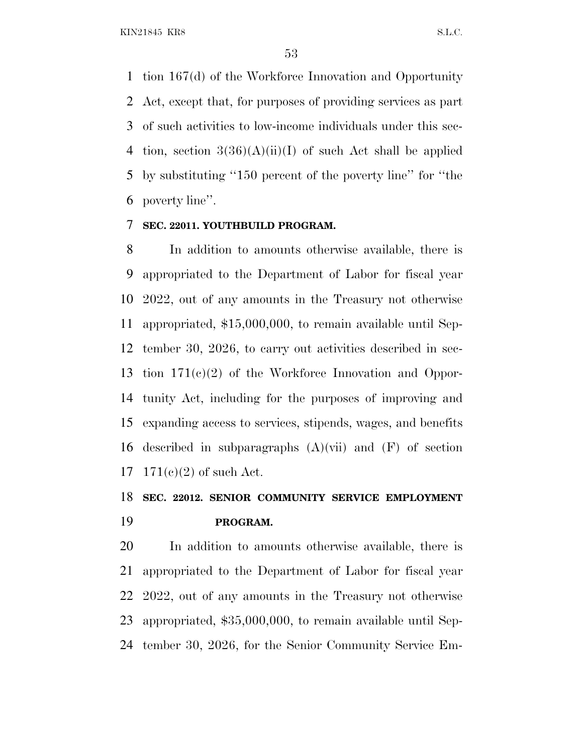tion 167(d) of the Workforce Innovation and Opportunity Act, except that, for purposes of providing services as part of such activities to low-income individuals under this sec-4 tion, section  $3(36)(A)(ii)(I)$  of such Act shall be applied by substituting ''150 percent of the poverty line'' for ''the poverty line''.

## **SEC. 22011. YOUTHBUILD PROGRAM.**

 In addition to amounts otherwise available, there is appropriated to the Department of Labor for fiscal year 2022, out of any amounts in the Treasury not otherwise appropriated, \$15,000,000, to remain available until Sep- tember 30, 2026, to carry out activities described in sec- tion 171(c)(2) of the Workforce Innovation and Oppor- tunity Act, including for the purposes of improving and expanding access to services, stipends, wages, and benefits described in subparagraphs (A)(vii) and (F) of section 171(c)(2) of such Act.

# **SEC. 22012. SENIOR COMMUNITY SERVICE EMPLOYMENT PROGRAM.**

 In addition to amounts otherwise available, there is appropriated to the Department of Labor for fiscal year 2022, out of any amounts in the Treasury not otherwise appropriated, \$35,000,000, to remain available until Sep-tember 30, 2026, for the Senior Community Service Em-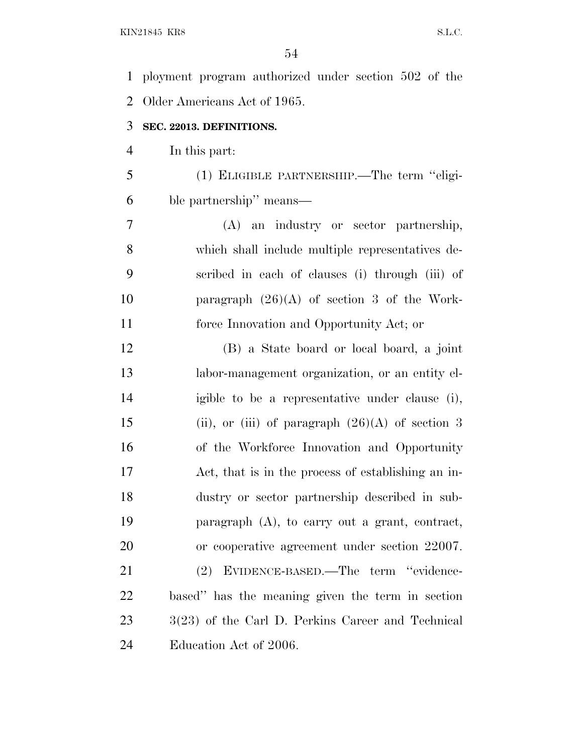ployment program authorized under section 502 of the Older Americans Act of 1965. **SEC. 22013. DEFINITIONS.** In this part: (1) ELIGIBLE PARTNERSHIP.—The term ''eligi- ble partnership'' means— (A) an industry or sector partnership, which shall include multiple representatives de- scribed in each of clauses (i) through (iii) of paragraph (26)(A) of section 3 of the Work- force Innovation and Opportunity Act; or (B) a State board or local board, a joint labor-management organization, or an entity el- igible to be a representative under clause (i), 15 (ii), or (iii) of paragraph  $(26)(A)$  of section 3 of the Workforce Innovation and Opportunity Act, that is in the process of establishing an in- dustry or sector partnership described in sub- paragraph (A), to carry out a grant, contract, or cooperative agreement under section 22007. (2) EVIDENCE-BASED.—The term ''evidence- based'' has the meaning given the term in section 23 3(23) of the Carl D. Perkins Career and Technical Education Act of 2006.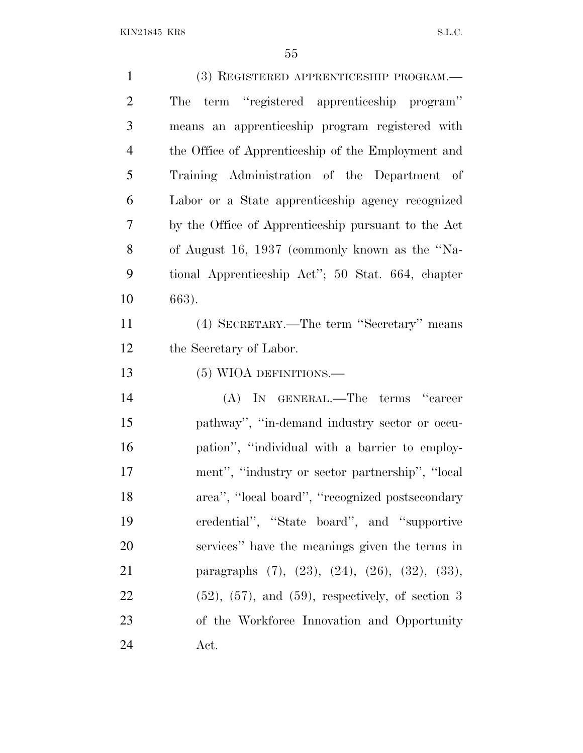| $\mathbf{1}$   | (3) REGISTERED APPRENTICESHIP PROGRAM.—                         |
|----------------|-----------------------------------------------------------------|
| $\overline{2}$ | term "registered apprenticeship program"<br>The                 |
| 3              | means an apprenticeship program registered with                 |
| $\overline{4}$ | the Office of Apprenticeship of the Employment and              |
| 5              | Training Administration of the Department of                    |
| 6              | Labor or a State apprenticeship agency recognized               |
| 7              | by the Office of Apprenticeship pursuant to the Act             |
| 8              | of August 16, 1937 (commonly known as the "Na-                  |
| 9              | tional Apprenticeship Act"; 50 Stat. 664, chapter               |
| 10             | 663).                                                           |
| 11             | (4) SECRETARY.—The term "Secretary" means                       |
| 12             | the Secretary of Labor.                                         |
| 13             | (5) WIOA DEFINITIONS.—                                          |
| 14             | (A) IN GENERAL.—The terms "career                               |
| 15             | pathway", "in-demand industry sector or occu-                   |
| 16             | pation", "individual with a barrier to employ-                  |
| 17             | ment", "industry or sector partnership", "local                 |
| 18             | area", "local board", "recognized postsecondary                 |
| 19             | credential", "State board", and "supportive                     |
| 20             | services" have the meanings given the terms in                  |
| 21             | paragraphs $(7)$ , $(23)$ , $(24)$ , $(26)$ , $(32)$ , $(33)$ , |
| 22             | $(52)$ , $(57)$ , and $(59)$ , respectively, of section 3       |
| 23             | of the Workforce Innovation and Opportunity                     |
| 24             | Act.                                                            |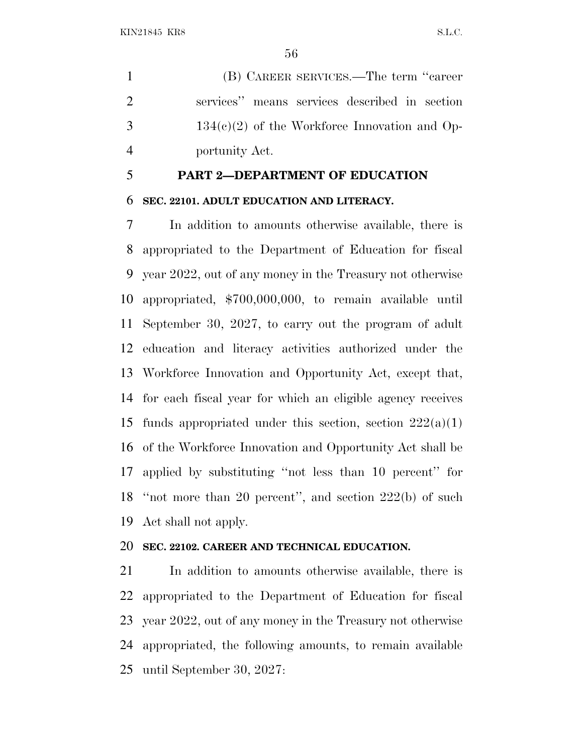(B) CAREER SERVICES.—The term ''career services'' means services described in section  $3 \t 134(c)(2)$  of the Workforce Innovation and Op-portunity Act.

## **PART 2—DEPARTMENT OF EDUCATION**

#### **SEC. 22101. ADULT EDUCATION AND LITERACY.**

 In addition to amounts otherwise available, there is appropriated to the Department of Education for fiscal year 2022, out of any money in the Treasury not otherwise appropriated, \$700,000,000, to remain available until September 30, 2027, to carry out the program of adult education and literacy activities authorized under the Workforce Innovation and Opportunity Act, except that, for each fiscal year for which an eligible agency receives 15 funds appropriated under this section, section  $222(a)(1)$  of the Workforce Innovation and Opportunity Act shall be applied by substituting ''not less than 10 percent'' for ''not more than 20 percent'', and section 222(b) of such Act shall not apply.

### **SEC. 22102. CAREER AND TECHNICAL EDUCATION.**

 In addition to amounts otherwise available, there is appropriated to the Department of Education for fiscal year 2022, out of any money in the Treasury not otherwise appropriated, the following amounts, to remain available until September 30, 2027: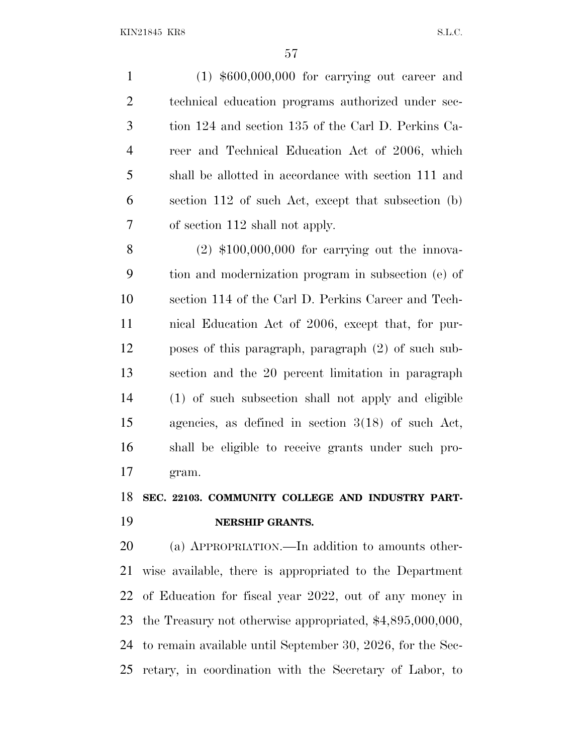(1) \$600,000,000 for carrying out career and technical education programs authorized under sec- tion 124 and section 135 of the Carl D. Perkins Ca- reer and Technical Education Act of 2006, which shall be allotted in accordance with section 111 and section 112 of such Act, except that subsection (b) of section 112 shall not apply. (2) \$100,000,000 for carrying out the innova-tion and modernization program in subsection (e) of

 section 114 of the Carl D. Perkins Career and Tech- nical Education Act of 2006, except that, for pur- poses of this paragraph, paragraph (2) of such sub- section and the 20 percent limitation in paragraph (1) of such subsection shall not apply and eligible agencies, as defined in section 3(18) of such Act, shall be eligible to receive grants under such pro-gram.

# **SEC. 22103. COMMUNITY COLLEGE AND INDUSTRY PART-NERSHIP GRANTS.**

 (a) APPROPRIATION.—In addition to amounts other- wise available, there is appropriated to the Department of Education for fiscal year 2022, out of any money in the Treasury not otherwise appropriated, \$4,895,000,000, to remain available until September 30, 2026, for the Sec-retary, in coordination with the Secretary of Labor, to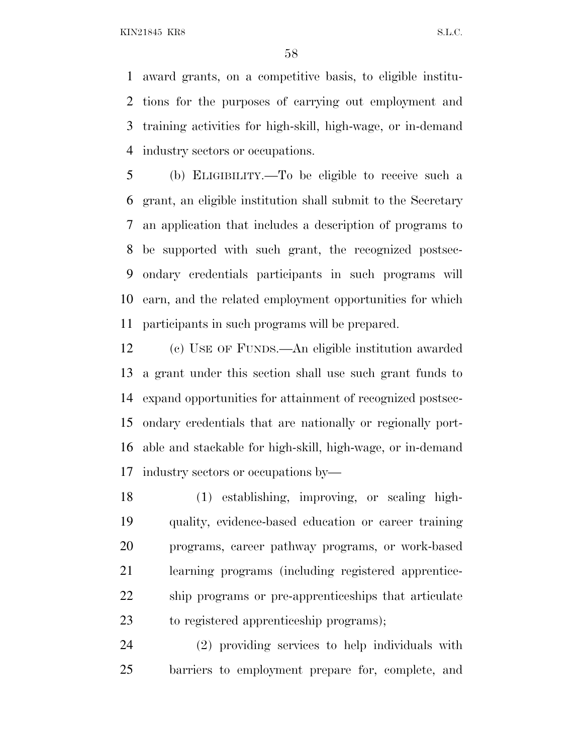award grants, on a competitive basis, to eligible institu- tions for the purposes of carrying out employment and training activities for high-skill, high-wage, or in-demand industry sectors or occupations.

 (b) ELIGIBILITY.—To be eligible to receive such a grant, an eligible institution shall submit to the Secretary an application that includes a description of programs to be supported with such grant, the recognized postsec- ondary credentials participants in such programs will earn, and the related employment opportunities for which participants in such programs will be prepared.

 (c) USE OF FUNDS.—An eligible institution awarded a grant under this section shall use such grant funds to expand opportunities for attainment of recognized postsec- ondary credentials that are nationally or regionally port- able and stackable for high-skill, high-wage, or in-demand industry sectors or occupations by—

 (1) establishing, improving, or scaling high- quality, evidence-based education or career training programs, career pathway programs, or work-based learning programs (including registered apprentice- ship programs or pre-apprenticeships that articulate to registered apprenticeship programs);

 (2) providing services to help individuals with barriers to employment prepare for, complete, and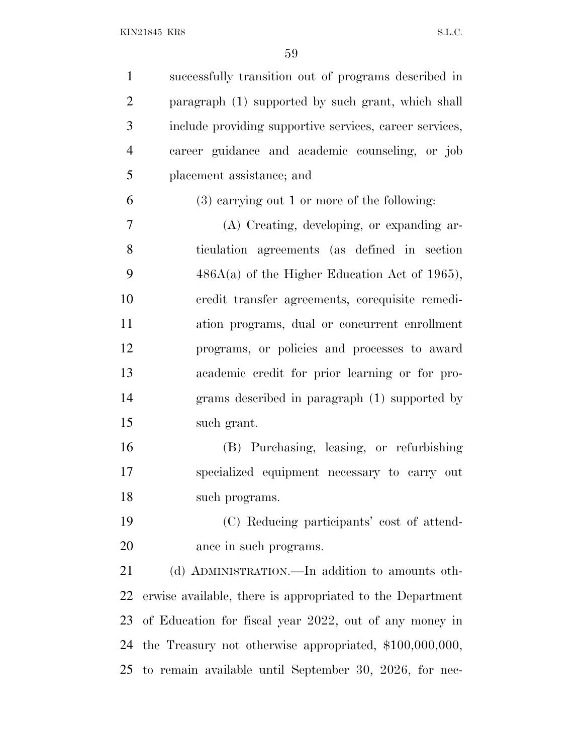successfully transition out of programs described in paragraph (1) supported by such grant, which shall include providing supportive services, career services, career guidance and academic counseling, or job placement assistance; and (3) carrying out 1 or more of the following: (A) Creating, developing, or expanding ar- ticulation agreements (as defined in section  $486A(a)$  of the Higher Education Act of 1965), credit transfer agreements, corequisite remedi- ation programs, dual or concurrent enrollment programs, or policies and processes to award academic credit for prior learning or for pro- grams described in paragraph (1) supported by such grant. (B) Purchasing, leasing, or refurbishing specialized equipment necessary to carry out such programs. (C) Reducing participants' cost of attend- ance in such programs. 21 (d) ADMINISTRATION.—In addition to amounts oth- erwise available, there is appropriated to the Department of Education for fiscal year 2022, out of any money in the Treasury not otherwise appropriated, \$100,000,000, to remain available until September 30, 2026, for nec-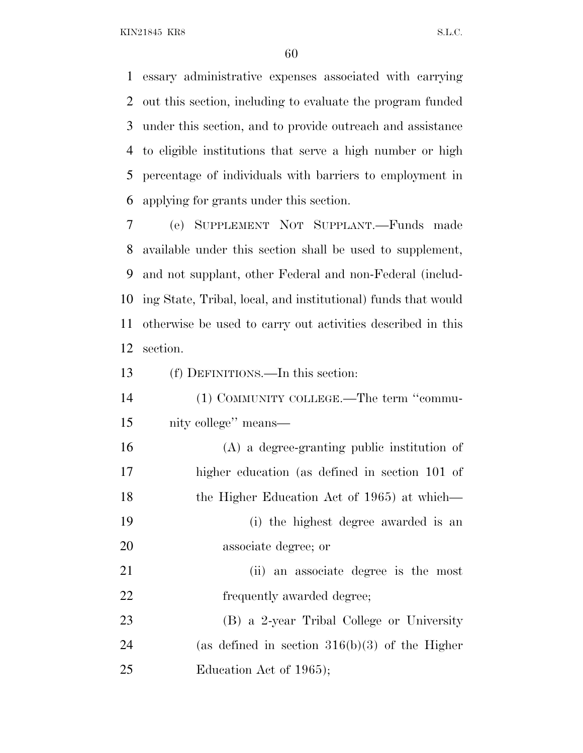essary administrative expenses associated with carrying out this section, including to evaluate the program funded under this section, and to provide outreach and assistance to eligible institutions that serve a high number or high percentage of individuals with barriers to employment in applying for grants under this section.

 (e) SUPPLEMENT NOT SUPPLANT.—Funds made available under this section shall be used to supplement, and not supplant, other Federal and non-Federal (includ- ing State, Tribal, local, and institutional) funds that would otherwise be used to carry out activities described in this section.

(f) DEFINITIONS.—In this section:

| 14 | $(1)$ COMMUNITY COLLEGE.—The term "commu- |
|----|-------------------------------------------|
| 15 | nity college" means—                      |

 (A) a degree-granting public institution of higher education (as defined in section 101 of 18 the Higher Education Act of 1965) at which— (i) the highest degree awarded is an associate degree; or (ii) an associate degree is the most 22 frequently awarded degree; (B) a 2-year Tribal College or University (as defined in section 316(b)(3) of the Higher

25 Education Act of 1965);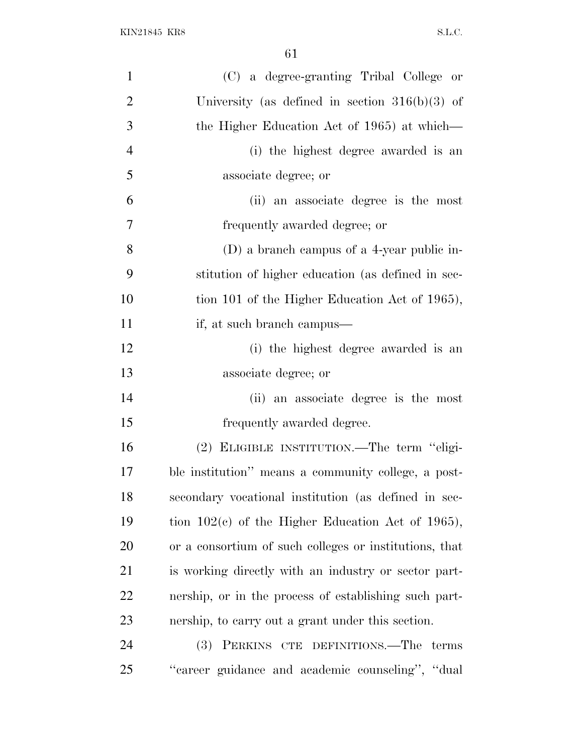| $\mathbf{1}$   | (C) a degree-granting Tribal College or                |
|----------------|--------------------------------------------------------|
| $\overline{2}$ | University (as defined in section $316(b)(3)$ of       |
| 3              | the Higher Education Act of 1965) at which—            |
| $\overline{4}$ | (i) the highest degree awarded is an                   |
| 5              | associate degree; or                                   |
| 6              | (ii) an associate degree is the most                   |
| $\overline{7}$ | frequently awarded degree; or                          |
| 8              | (D) a branch campus of a 4-year public in-             |
| 9              | stitution of higher education (as defined in sec-      |
| 10             | tion 101 of the Higher Education Act of 1965),         |
| 11             | if, at such branch campus—                             |
| 12             | (i) the highest degree awarded is an                   |
| 13             | associate degree; or                                   |
| 14             | (ii) an associate degree is the most                   |
| 15             | frequently awarded degree.                             |
| 16             | (2) ELIGIBLE INSTITUTION.—The term "eligi-             |
| 17             | ble institution" means a community college, a post-    |
| 18             | secondary vocational institution (as defined in sec-   |
| 19             | tion $102(c)$ of the Higher Education Act of 1965),    |
| 20             | or a consortium of such colleges or institutions, that |
| 21             | is working directly with an industry or sector part-   |
| 22             | nership, or in the process of establishing such part-  |
| 23             | nership, to carry out a grant under this section.      |
| 24             | (3) PERKINS CTE DEFINITIONS.—The terms                 |
| 25             | "career guidance and academic counseling", "dual       |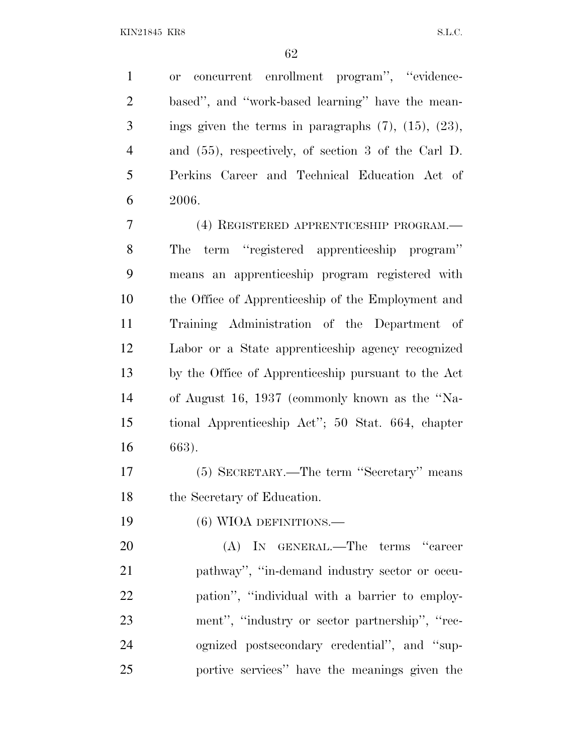or concurrent enrollment program'', ''evidence- based'', and ''work-based learning'' have the mean- ings given the terms in paragraphs  $(7)$ ,  $(15)$ ,  $(23)$ , and (55), respectively, of section 3 of the Carl D. Perkins Career and Technical Education Act of 2006.

 (4) REGISTERED APPRENTICESHIP PROGRAM.— The term ''registered apprenticeship program'' means an apprenticeship program registered with the Office of Apprenticeship of the Employment and Training Administration of the Department of Labor or a State apprenticeship agency recognized by the Office of Apprenticeship pursuant to the Act of August 16, 1937 (commonly known as the ''Na- tional Apprenticeship Act''; 50 Stat. 664, chapter 663).

 (5) SECRETARY.—The term ''Secretary'' means the Secretary of Education.

19 (6) WIOA DEFINITIONS.

 (A) IN GENERAL.—The terms ''career pathway'', ''in-demand industry sector or occu- pation'', ''individual with a barrier to employ- ment'', ''industry or sector partnership'', ''rec- ognized postsecondary credential'', and ''sup-portive services'' have the meanings given the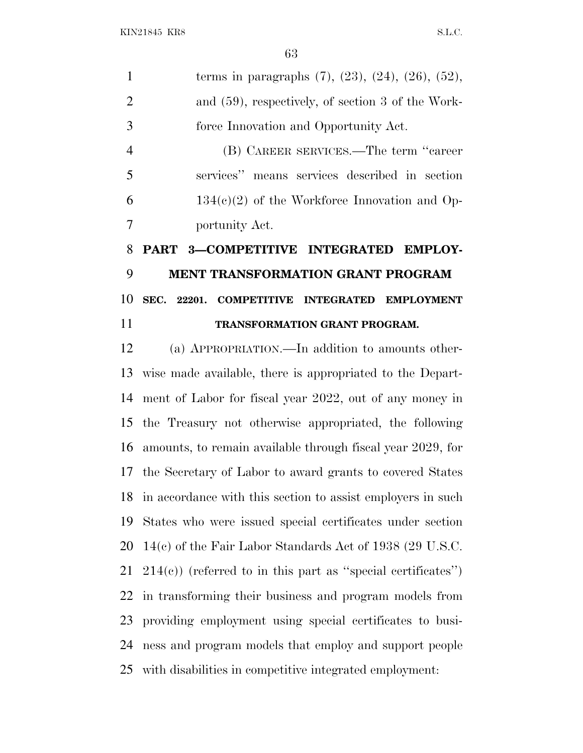|               | terms in paragraphs $(7)$ , $(23)$ , $(24)$ , $(26)$ , $(52)$ , |
|---------------|-----------------------------------------------------------------|
| $\mathcal{L}$ | and $(59)$ , respectively, of section 3 of the Work-            |
| 3             | force Innovation and Opportunity Act.                           |
|               | (B) CAREER SERVICES.—The term "career                           |
|               | services" means services described in section                   |

6 134 $(e)(2)$  of the Workforce Innovation and Op-portunity Act.

# **PART 3—COMPETITIVE INTEGRATED EMPLOY- MENT TRANSFORMATION GRANT PROGRAM SEC. 22201. COMPETITIVE INTEGRATED EMPLOYMENT TRANSFORMATION GRANT PROGRAM.**

 (a) APPROPRIATION.—In addition to amounts other- wise made available, there is appropriated to the Depart- ment of Labor for fiscal year 2022, out of any money in the Treasury not otherwise appropriated, the following amounts, to remain available through fiscal year 2029, for the Secretary of Labor to award grants to covered States in accordance with this section to assist employers in such States who were issued special certificates under section 14(c) of the Fair Labor Standards Act of 1938 (29 U.S.C.  $21\quad214(e)$  (referred to in this part as "special certificates") in transforming their business and program models from providing employment using special certificates to busi- ness and program models that employ and support people with disabilities in competitive integrated employment: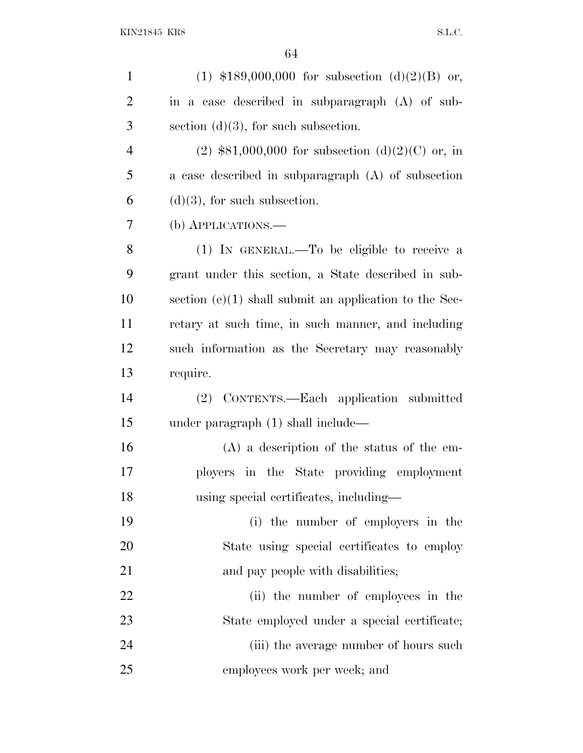| $\mathbf{1}$   | (1) $$189,000,000$ for subsection (d)(2)(B) or,          |
|----------------|----------------------------------------------------------|
| $\overline{2}$ | in a case described in subparagraph (A) of sub-          |
| 3              | section $(d)(3)$ , for such subsection.                  |
| $\overline{4}$ | $(2)$ \$81,000,000 for subsection $(d)(2)(C)$ or, in     |
| 5              | a case described in subparagraph (A) of subsection       |
| 6              | $(d)(3)$ , for such subsection.                          |
| 7              | (b) APPLICATIONS.—                                       |
| 8              | (1) IN GENERAL.—To be eligible to receive a              |
| 9              | grant under this section, a State described in sub-      |
| 10             | section $(e)(1)$ shall submit an application to the Sec- |
| 11             | retary at such time, in such manner, and including       |
| 12             | such information as the Secretary may reasonably         |
| 13             | require.                                                 |
| 14             | (2) CONTENTS.—Each application submitted                 |
| 15             | under paragraph $(1)$ shall include—                     |
| 16             | $(A)$ a description of the status of the em-             |
| 17             | ployers in the State providing employment                |
| 18             | using special certificates, including—                   |
| 19             | (i) the number of employers in the                       |
| 20             | State using special certificates to employ               |
| 21             | and pay people with disabilities;                        |
| 22             | (ii) the number of employees in the                      |
| 23             | State employed under a special certificate;              |
| 24             | (iii) the average number of hours such                   |
| 25             | employees work per week; and                             |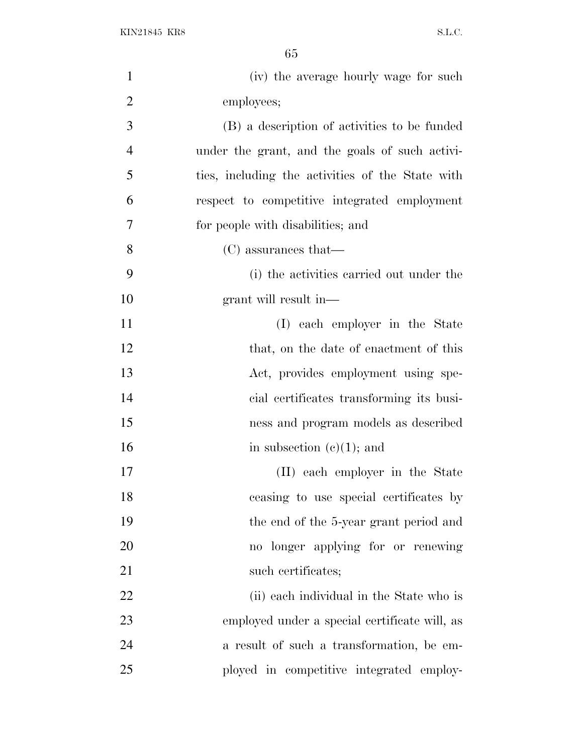| $\mathbf{1}$   | (iv) the average hourly wage for such            |
|----------------|--------------------------------------------------|
| $\overline{2}$ | employees;                                       |
| 3              | (B) a description of activities to be funded     |
| $\overline{4}$ | under the grant, and the goals of such activi-   |
| 5              | ties, including the activities of the State with |
| 6              | respect to competitive integrated employment     |
| 7              | for people with disabilities; and                |
| 8              | $(C)$ assurances that—                           |
| 9              | (i) the activities carried out under the         |
| 10             | grant will result in—                            |
| 11             | (I) each employer in the State                   |
| 12             | that, on the date of enactment of this           |
| 13             | Act, provides employment using spe-              |
| 14             | cial certificates transforming its busi-         |
| 15             | ness and program models as described             |
| 16             | in subsection $(e)(1)$ ; and                     |
| 17             | (II) each employer in the State                  |
| 18             | ceasing to use special certificates by           |
| 19             | the end of the 5-year grant period and           |
| 20             | no longer applying for or renewing               |
| 21             | such certificates;                               |
| 22             | (ii) each individual in the State who is         |
| 23             | employed under a special certificate will, as    |
| 24             | a result of such a transformation, be em-        |
| 25             | ployed in competitive integrated employ-         |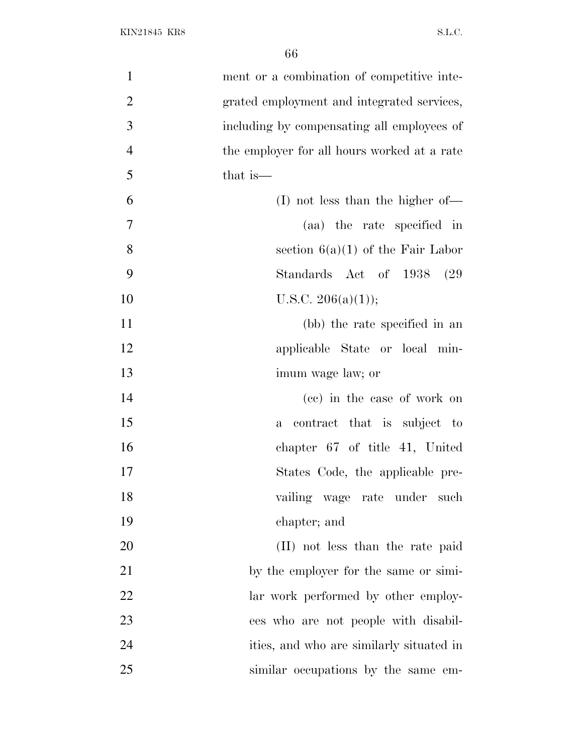| $\mathbf{1}$   | ment or a combination of competitive inte-  |
|----------------|---------------------------------------------|
| $\overline{2}$ | grated employment and integrated services,  |
| 3              | including by compensating all employees of  |
| $\overline{4}$ | the employer for all hours worked at a rate |
| 5              | that is—                                    |
| 6              | $(I)$ not less than the higher of —         |
| $\tau$         | (aa) the rate specified in                  |
| 8              | section $6(a)(1)$ of the Fair Labor         |
| 9              | Standards Act of 1938 (29)                  |
| 10             | U.S.C. $206(a)(1)$ ;                        |
| 11             | (bb) the rate specified in an               |
| 12             | applicable State or local min-              |
| 13             | imum wage law; or                           |
| 14             | (cc) in the case of work on                 |
| 15             | contract that is subject to<br>$\mathbf{a}$ |
| 16             | chapter 67 of title 41, United              |
| 17             | States Code, the applicable pre-            |
| 18             | vailing wage rate under such                |
| 19             | chapter; and                                |
| 20             | (II) not less than the rate paid            |
| 21             | by the employer for the same or simi-       |
| 22             | lar work performed by other employ-         |
| 23             | ees who are not people with disabil-        |
| 24             | ities, and who are similarly situated in    |
| 25             | similar occupations by the same em-         |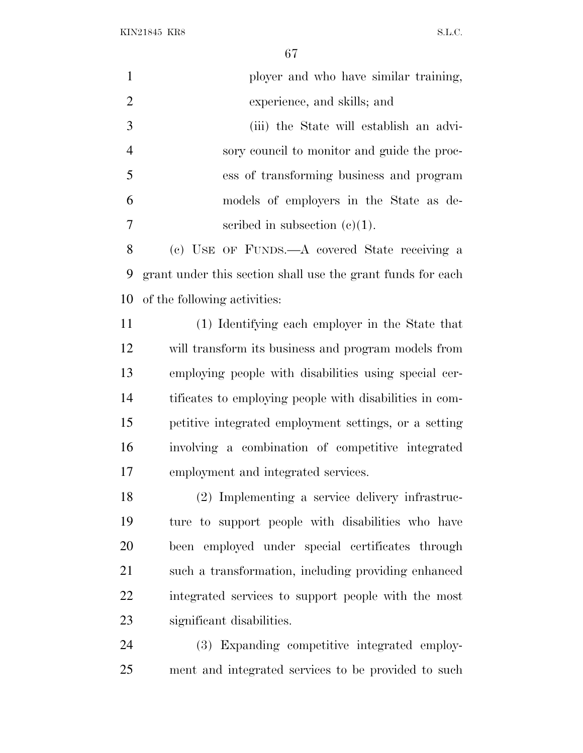| $\mathbf{1}$   | ployer and who have similar training,                       |
|----------------|-------------------------------------------------------------|
| $\overline{2}$ | experience, and skills; and                                 |
| 3              | (iii) the State will establish an advi-                     |
| $\overline{4}$ | sory council to monitor and guide the proc-                 |
| 5              | ess of transforming business and program                    |
| 6              | models of employers in the State as de-                     |
| 7              | scribed in subsection $(e)(1)$ .                            |
| 8              | (c) USE OF FUNDS.—A covered State receiving a               |
| 9              | grant under this section shall use the grant funds for each |
| 10             | of the following activities:                                |
| 11             | (1) Identifying each employer in the State that             |
| 12             | will transform its business and program models from         |
| 13             | employing people with disabilities using special cer-       |
| 14             | tificates to employing people with disabilities in com-     |
| 15             | petitive integrated employment settings, or a setting       |
| 16             | involving a combination of competitive integrated           |
| 17             | employment and integrated services.                         |
| 18             | (2) Implementing a service delivery infrastruc-             |
| 19             | ture to support people with disabilities who have           |
| 20             | been employed under special certificates through            |
| 21             | such a transformation, including providing enhanced         |
| 22             | integrated services to support people with the most         |
| 23             | significant disabilities.                                   |
| 24             | (3) Expanding competitive integrated employ-                |
| 25             | ment and integrated services to be provided to such         |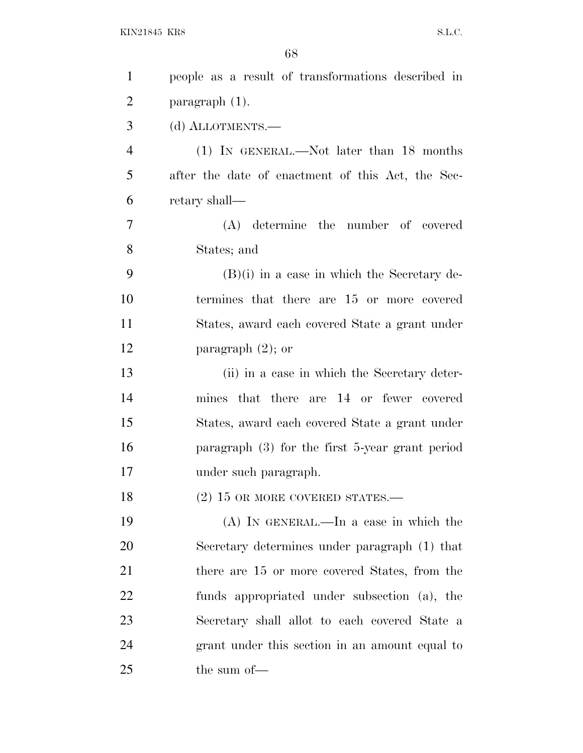| $\mathbf{1}$   | people as a result of transformations described in |
|----------------|----------------------------------------------------|
| $\overline{2}$ | $\frac{1}{2}$ paragraph $(1)$ .                    |
| 3              | (d) ALLOTMENTS.-                                   |
| $\overline{4}$ | (1) IN GENERAL.—Not later than 18 months           |
| 5              | after the date of enactment of this Act, the Sec-  |
| 6              | retary shall—                                      |
| 7              | (A) determine the number of covered                |
| 8              | States; and                                        |
| 9              | $(B)(i)$ in a case in which the Secretary de-      |
| 10             | termines that there are 15 or more covered         |
| 11             | States, award each covered State a grant under     |
| 12             | paragraph $(2)$ ; or                               |
| 13             | (ii) in a case in which the Secretary deter-       |
| 14             | mines that there are 14 or fewer covered           |
| 15             | States, award each covered State a grant under     |
| 16             | paragraph $(3)$ for the first 5-year grant period  |
| 17             | under such paragraph.                              |
| 18             | $(2)$ 15 OR MORE COVERED STATES.—                  |
| 19             | $(A)$ In GENERAL.—In a case in which the           |
| 20             | Secretary determines under paragraph (1) that      |
| 21             | there are 15 or more covered States, from the      |
| 22             | funds appropriated under subsection (a), the       |
| 23             | Secretary shall allot to each covered State a      |
| 24             | grant under this section in an amount equal to     |
| 25             | the sum of-                                        |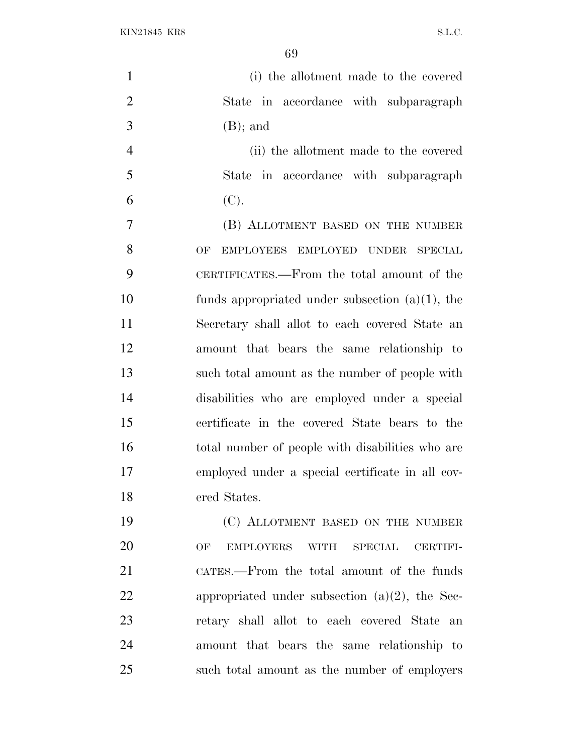| $\mathbf{1}$   | (i) the allotment made to the covered                     |
|----------------|-----------------------------------------------------------|
| $\overline{2}$ | State in accordance with subparagraph                     |
| 3              | $(B)$ ; and                                               |
| $\overline{4}$ | (ii) the allotment made to the covered                    |
| 5              | in accordance with subparagraph<br>State                  |
| 6              | (C).                                                      |
| $\overline{7}$ | (B) ALLOTMENT BASED ON THE NUMBER                         |
| 8              | EMPLOYEES EMPLOYED UNDER<br>SPECIAL<br>OF                 |
| 9              | CERTIFICATES.—From the total amount of the                |
| 10             | funds appropriated under subsection $(a)(1)$ , the        |
| 11             | Secretary shall allot to each covered State an            |
| 12             | amount that bears the same relationship to                |
| 13             | such total amount as the number of people with            |
| 14             | disabilities who are employed under a special             |
| 15             | certificate in the covered State bears to the             |
| 16             | total number of people with disabilities who are          |
| 17             | employed under a special certificate in all cov-          |
| 18             | ered States.                                              |
| 19             | (C) ALLOTMENT BASED ON THE NUMBER                         |
| 20             | <b>EMPLOYERS</b><br>WITH SPECIAL<br>OF<br><b>CERTIFI-</b> |
| 21             | CATES.—From the total amount of the funds                 |
| 22             | appropriated under subsection $(a)(2)$ , the Sec-         |
| 23             | retary shall allot to each covered State an               |
| 24             | amount that bears the same relationship to                |
| 25             | such total amount as the number of employers              |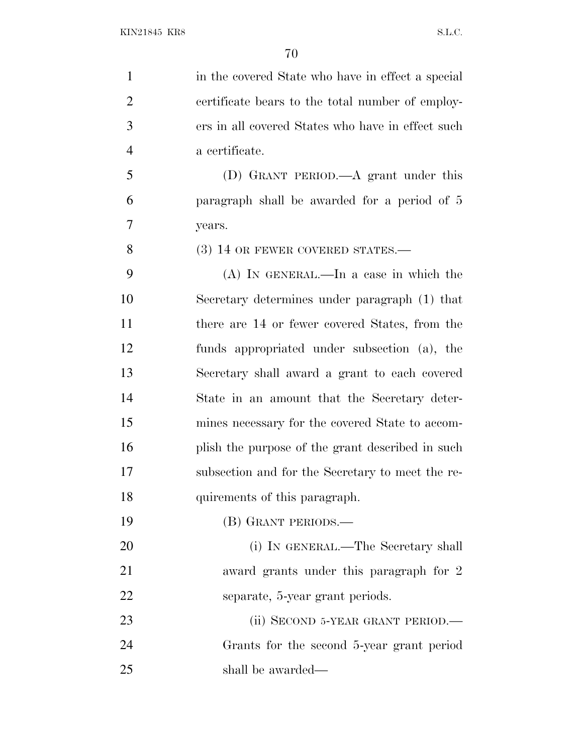1 in the covered State who have in effect a special certificate bears to the total number of employ- ers in all covered States who have in effect such a certificate.

 (D) GRANT PERIOD.—A grant under this paragraph shall be awarded for a period of 5 years.

8 (3) 14 OR FEWER COVERED STATES.—

 (A) IN GENERAL.—In a case in which the Secretary determines under paragraph (1) that there are 14 or fewer covered States, from the funds appropriated under subsection (a), the Secretary shall award a grant to each covered State in an amount that the Secretary deter- mines necessary for the covered State to accom-16 plish the purpose of the grant described in such subsection and for the Secretary to meet the re-quirements of this paragraph.

(B) GRANT PERIODS.—

20 (i) IN GENERAL.—The Secretary shall 21 award grants under this paragraph for 2 separate, 5-year grant periods.

23 (ii) SECOND 5-YEAR GRANT PERIOD.— Grants for the second 5-year grant period shall be awarded—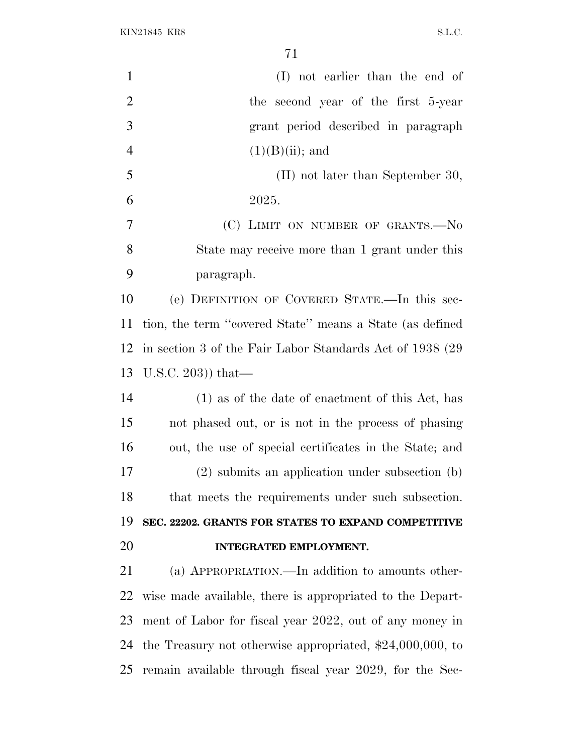| $\mathbf{1}$   | (I) not earlier than the end of                             |
|----------------|-------------------------------------------------------------|
| $\overline{2}$ | the second year of the first 5-year                         |
| 3              | grant period described in paragraph                         |
| $\overline{4}$ | $(1)(B)(ii)$ ; and                                          |
| 5              | $(II)$ not later than September 30,                         |
| 6              | 2025.                                                       |
| $\overline{7}$ | (C) LIMIT ON NUMBER OF GRANTS.-No                           |
| 8              | State may receive more than 1 grant under this              |
| 9              | paragraph.                                                  |
| 10             | (e) DEFINITION OF COVERED STATE.—In this sec-               |
| 11             | tion, the term "covered State" means a State (as defined    |
| 12             | in section 3 of the Fair Labor Standards Act of 1938 (29)   |
| 13             | U.S.C. 203)) that—                                          |
| 14             | $(1)$ as of the date of enactment of this Act, has          |
| 15             | not phased out, or is not in the process of phasing         |
| 16             | out, the use of special certificates in the State; and      |
| 17             | $(2)$ submits an application under subsection $(b)$         |
| 18             | that meets the requirements under such subsection.          |
| 19             | SEC. 22202. GRANTS FOR STATES TO EXPAND COMPETITIVE         |
| 20             | INTEGRATED EMPLOYMENT.                                      |
| 21             | (a) APPROPRIATION.—In addition to amounts other-            |
| 22             | wise made available, there is appropriated to the Depart-   |
| 23             | ment of Labor for fiscal year 2022, out of any money in     |
| 24             | the Treasury not otherwise appropriated, $$24,000,000$ , to |
| 25             | remain available through fiscal year 2029, for the Sec-     |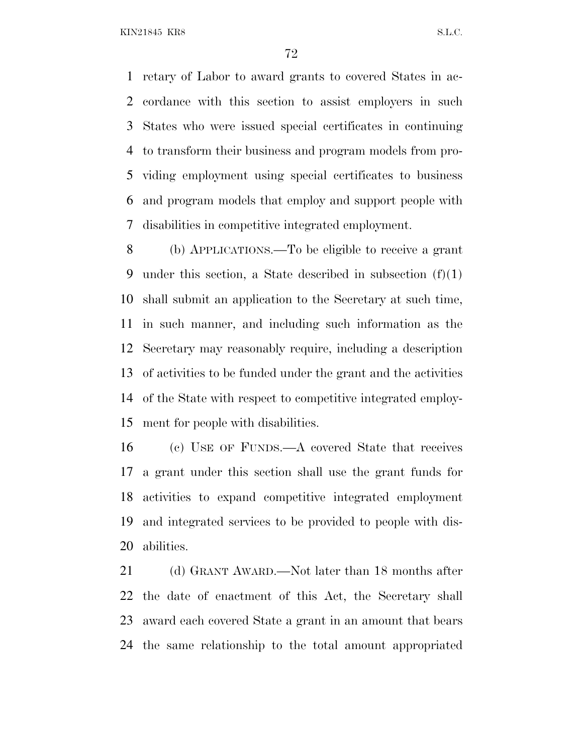retary of Labor to award grants to covered States in ac- cordance with this section to assist employers in such States who were issued special certificates in continuing to transform their business and program models from pro- viding employment using special certificates to business and program models that employ and support people with disabilities in competitive integrated employment.

 (b) APPLICATIONS.—To be eligible to receive a grant under this section, a State described in subsection (f)(1) shall submit an application to the Secretary at such time, in such manner, and including such information as the Secretary may reasonably require, including a description of activities to be funded under the grant and the activities of the State with respect to competitive integrated employ-ment for people with disabilities.

 (c) USE OF FUNDS.—A covered State that receives a grant under this section shall use the grant funds for activities to expand competitive integrated employment and integrated services to be provided to people with dis-abilities.

21 (d) GRANT AWARD.—Not later than 18 months after the date of enactment of this Act, the Secretary shall award each covered State a grant in an amount that bears the same relationship to the total amount appropriated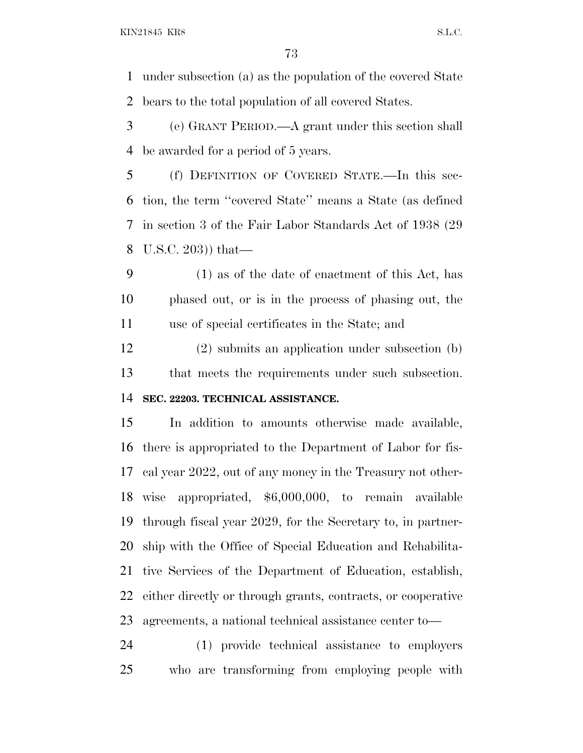KIN21845 KR8 S.L.C.

 under subsection (a) as the population of the covered State bears to the total population of all covered States.

 (e) GRANT PERIOD.—A grant under this section shall be awarded for a period of 5 years.

 (f) DEFINITION OF COVERED STATE.—In this sec- tion, the term ''covered State'' means a State (as defined in section 3 of the Fair Labor Standards Act of 1938 (29 U.S.C. 203)) that—

 (1) as of the date of enactment of this Act, has phased out, or is in the process of phasing out, the use of special certificates in the State; and

 (2) submits an application under subsection (b) that meets the requirements under such subsection. **SEC. 22203. TECHNICAL ASSISTANCE.**

 In addition to amounts otherwise made available, there is appropriated to the Department of Labor for fis- cal year 2022, out of any money in the Treasury not other- wise appropriated, \$6,000,000, to remain available through fiscal year 2029, for the Secretary to, in partner- ship with the Office of Special Education and Rehabilita- tive Services of the Department of Education, establish, either directly or through grants, contracts, or cooperative agreements, a national technical assistance center to—

 (1) provide technical assistance to employers who are transforming from employing people with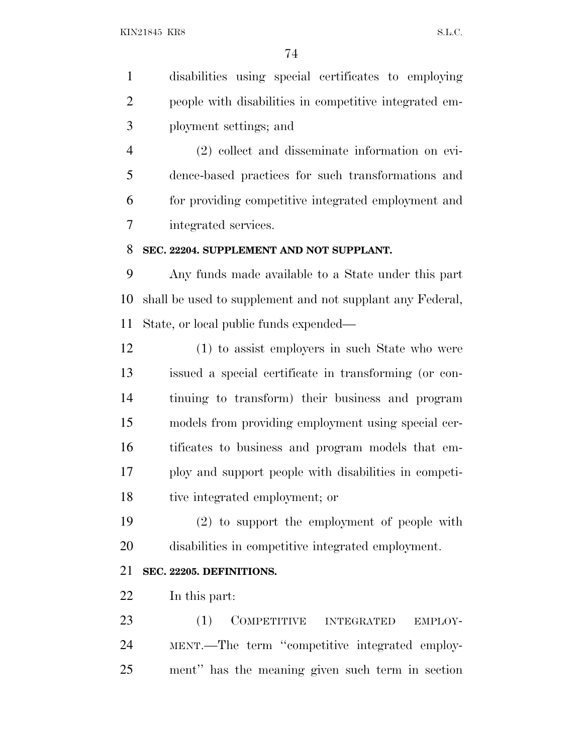disabilities using special certificates to employing people with disabilities in competitive integrated em-ployment settings; and

 (2) collect and disseminate information on evi- dence-based practices for such transformations and for providing competitive integrated employment and integrated services.

#### **SEC. 22204. SUPPLEMENT AND NOT SUPPLANT.**

 Any funds made available to a State under this part shall be used to supplement and not supplant any Federal, State, or local public funds expended—

 (1) to assist employers in such State who were issued a special certificate in transforming (or con- tinuing to transform) their business and program models from providing employment using special cer- tificates to business and program models that em- ploy and support people with disabilities in competi-tive integrated employment; or

 (2) to support the employment of people with disabilities in competitive integrated employment.

# **SEC. 22205. DEFINITIONS.**

In this part:

23 (1) COMPETITIVE INTEGRATED EMPLOY- MENT.—The term ''competitive integrated employ-ment'' has the meaning given such term in section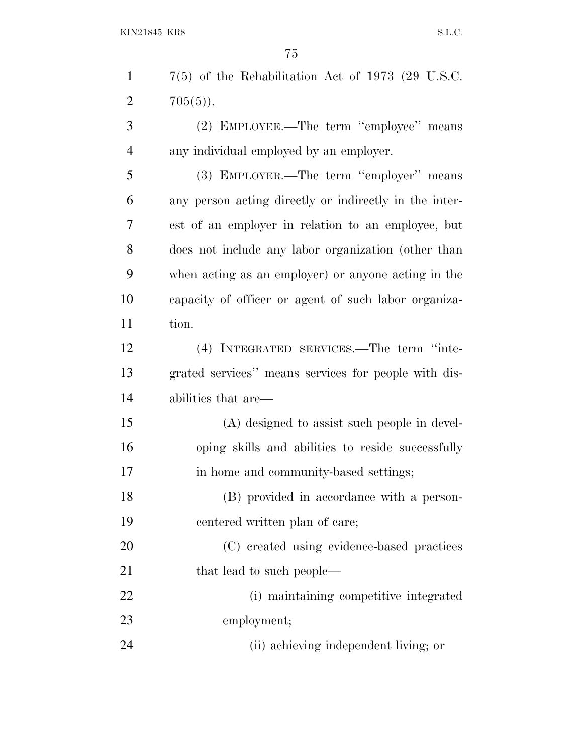| $\mathbf{1}$   | $7(5)$ of the Rehabilitation Act of 1973 (29 U.S.C.    |
|----------------|--------------------------------------------------------|
| $\overline{2}$ | $705(5)$ .                                             |
| 3              | (2) EMPLOYEE.—The term "employee" means                |
| $\overline{4}$ | any individual employed by an employer.                |
| 5              | (3) EMPLOYER.—The term "employer" means                |
| 6              | any person acting directly or indirectly in the inter- |
| 7              | est of an employer in relation to an employee, but     |
| 8              | does not include any labor organization (other than    |
| 9              | when acting as an employer) or anyone acting in the    |
| 10             | capacity of officer or agent of such labor organiza-   |
| 11             | tion.                                                  |
| 12             | (4) INTEGRATED SERVICES.—The term "inte-               |
| 13             | grated services" means services for people with dis-   |
| 14             | abilities that are—                                    |
| 15             | (A) designed to assist such people in devel-           |
| 16             | oping skills and abilities to reside successfully      |
| 17             | in home and community-based settings;                  |
| 18             | (B) provided in accordance with a person-              |
| 19             | centered written plan of care;                         |
| 20             | (C) created using evidence-based practices             |
| 21             | that lead to such people—                              |
| 22             | (i) maintaining competitive integrated                 |
| 23             | employment;                                            |

(ii) achieving independent living; or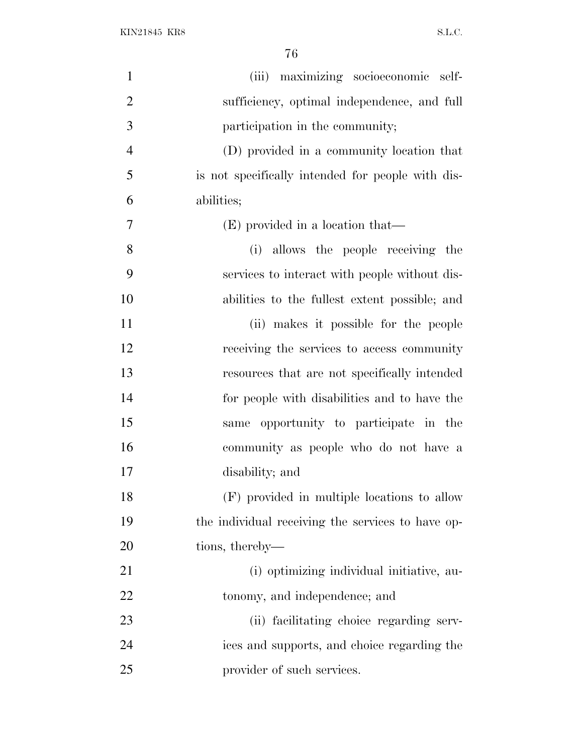| $\mathbf{1}$   | maximizing socioeconomic self-<br>(iii)           |
|----------------|---------------------------------------------------|
| $\overline{2}$ | sufficiency, optimal independence, and full       |
| 3              | participation in the community;                   |
| $\overline{4}$ | (D) provided in a community location that         |
| 5              | is not specifically intended for people with dis- |
| 6              | abilities;                                        |
| 7              | (E) provided in a location that—                  |
| 8              | (i) allows the people receiving the               |
| 9              | services to interact with people without dis-     |
| 10             | abilities to the fullest extent possible; and     |
| 11             | (ii) makes it possible for the people             |
| 12             | receiving the services to access community        |
| 13             | resources that are not specifically intended      |
| 14             | for people with disabilities and to have the      |
| 15             | opportunity to participate in the<br>same         |
| 16             | community as people who do not have a             |
| 17             | disability; and                                   |
| 18             | (F) provided in multiple locations to allow       |
| 19             | the individual receiving the services to have op- |
| 20             | tions, thereby—                                   |
| 21             | (i) optimizing individual initiative, au-         |
| 22             | tonomy, and independence; and                     |
| 23             | (ii) facilitating choice regarding serv-          |
| 24             | ices and supports, and choice regarding the       |
| 25             | provider of such services.                        |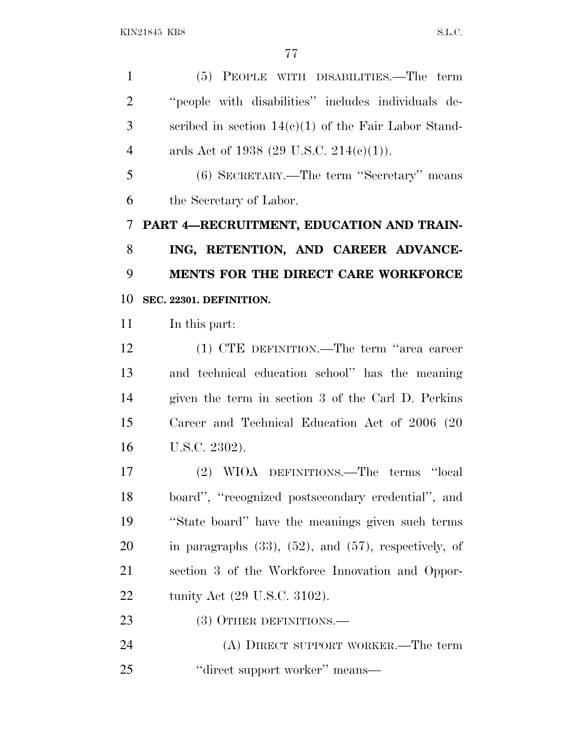(5) PEOPLE WITH DISABILITIES.—The term ''people with disabilities'' includes individuals de- scribed in section 14(c)(1) of the Fair Labor Stand-4 ards Act of 1938  $(29 \text{ U.S.C. } 214(c)(1)).$ 

 (6) SECRETARY.—The term ''Secretary'' means the Secretary of Labor.

 **PART 4—RECRUITMENT, EDUCATION AND TRAIN- ING, RETENTION, AND CAREER ADVANCE- MENTS FOR THE DIRECT CARE WORKFORCE SEC. 22301. DEFINITION.**

In this part:

 (1) CTE DEFINITION.—The term ''area career and technical education school'' has the meaning given the term in section 3 of the Carl D. Perkins Career and Technical Education Act of 2006 (20 U.S.C. 2302).

 (2) WIOA DEFINITIONS.—The terms ''local board'', ''recognized postsecondary credential'', and ''State board'' have the meanings given such terms in paragraphs (33), (52), and (57), respectively, of section 3 of the Workforce Innovation and Oppor-tunity Act (29 U.S.C. 3102).

23 (3) OTHER DEFINITIONS.—

 (A) DIRECT SUPPORT WORKER.—The term 25 ''direct support worker'' means—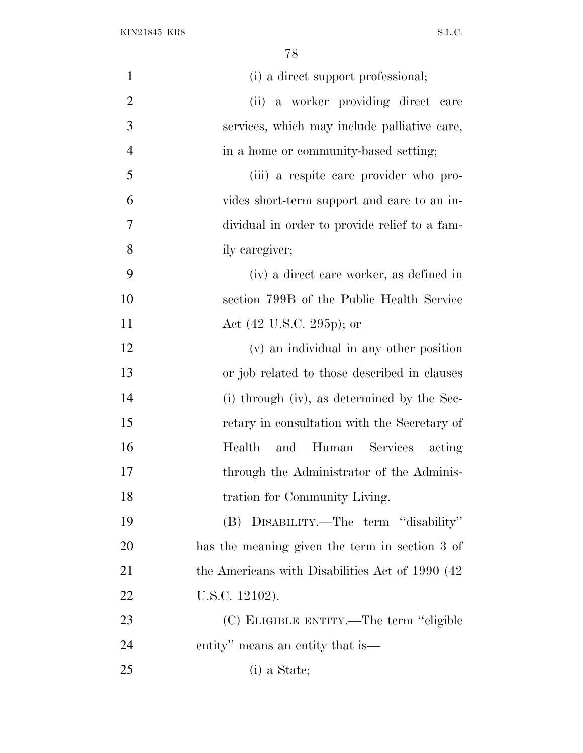| $\mathbf{1}$   | (i) a direct support professional;               |
|----------------|--------------------------------------------------|
| $\overline{2}$ | (ii) a worker providing direct care              |
| 3              | services, which may include palliative care,     |
| $\overline{4}$ | in a home or community-based setting;            |
| 5              | (iii) a respite care provider who pro-           |
| 6              | vides short-term support and care to an in-      |
| 7              | dividual in order to provide relief to a fam-    |
| 8              | ily caregiver;                                   |
| 9              | (iv) a direct care worker, as defined in         |
| 10             | section 799B of the Public Health Service        |
| 11             | Act (42 U.S.C. 295p); or                         |
| 12             | (v) an individual in any other position          |
| 13             | or job related to those described in clauses     |
| 14             | (i) through (iv), as determined by the Sec-      |
| 15             | retary in consultation with the Secretary of     |
| 16             | Health<br>and Human Services acting              |
| 17             | through the Administrator of the Adminis-        |
| 18             | tration for Community Living.                    |
| 19             | (B) DISABILITY.—The term "disability"            |
| 20             | has the meaning given the term in section 3 of   |
| 21             | the Americans with Disabilities Act of 1990 (42) |
| 22             | U.S.C. 12102).                                   |
| 23             | (C) ELIGIBLE ENTITY.—The term "eligible          |
| 24             | entity" means an entity that is—                 |
| 25             | (i) a State;                                     |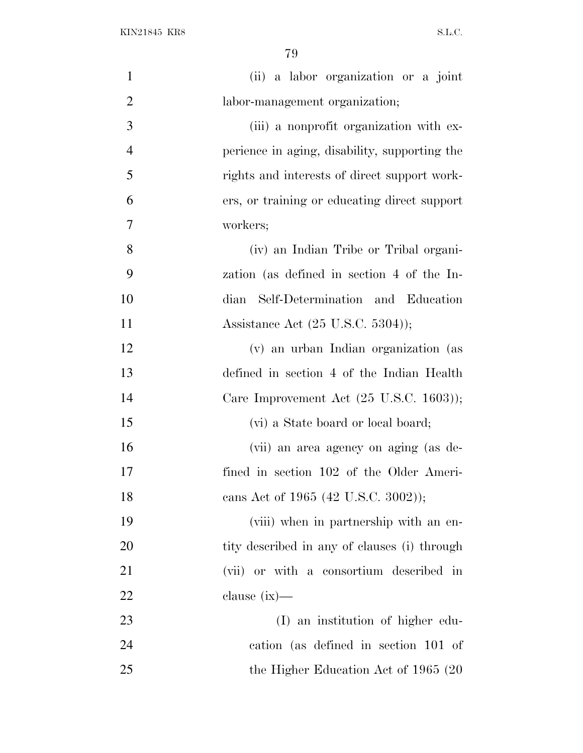| $\mathbf{1}$   | (ii) a labor organization or a joint                |
|----------------|-----------------------------------------------------|
| $\overline{2}$ | labor-management organization;                      |
| 3              | (iii) a nonprofit organization with ex-             |
| $\overline{4}$ | perience in aging, disability, supporting the       |
| 5              | rights and interests of direct support work-        |
| 6              | ers, or training or educating direct support        |
| $\overline{7}$ | workers;                                            |
| 8              | (iv) an Indian Tribe or Tribal organi-              |
| 9              | zation (as defined in section 4 of the In-          |
| 10             | dian Self-Determination and Education               |
| 11             | Assistance Act $(25 \text{ U.S.C. } 5304)$ ;        |
| 12             | (v) an urban Indian organization (as                |
| 13             | defined in section 4 of the Indian Health           |
| 14             | Care Improvement Act $(25 \text{ U.S.C. } 1603)$ ); |
| 15             | (vi) a State board or local board;                  |
| 16             | (vii) an area agency on aging (as de-               |
| 17             | fined in section 102 of the Older Ameri-            |
| 18             | cans Act of 1965 (42 U.S.C. 3002));                 |
| 19             | (viii) when in partnership with an en-              |
| 20             | tity described in any of clauses (i) through        |
| 21             | (vii) or with a consortium described in             |
| 22             | clause $(ix)$ —                                     |
| 23             | (I) an institution of higher edu-                   |
| 24             | cation (as defined in section 101 of                |
| 25             | the Higher Education Act of 1965 (20)               |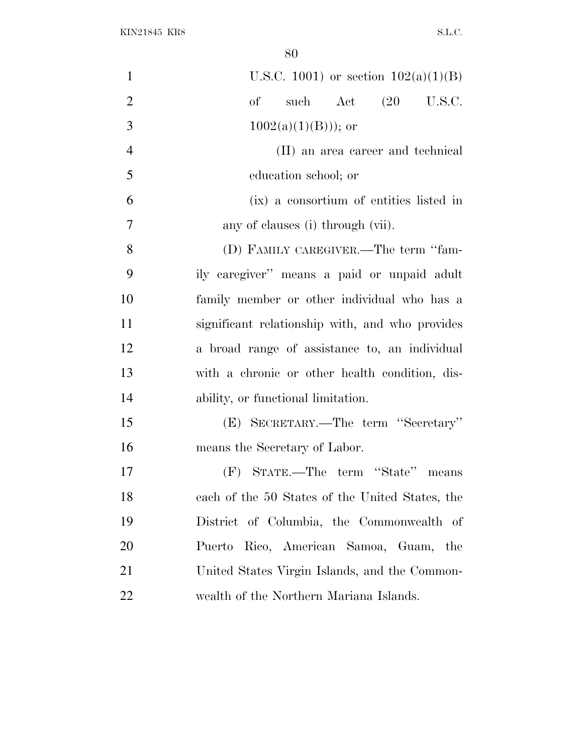| $\mathbf{1}$   | U.S.C. 1001) or section $102(a)(1)(B)$          |
|----------------|-------------------------------------------------|
| $\overline{2}$ | such Act (20 U.S.C.<br>of                       |
| 3              | $1002(a)(1)(B))$ ; or                           |
| $\overline{4}$ | (II) an area career and technical               |
| 5              | education school; or                            |
| 6              | (ix) a consortium of entities listed in         |
| $\overline{7}$ | any of clauses (i) through (vii).               |
| 8              | (D) FAMILY CAREGIVER.—The term "fam-            |
| 9              | ily caregiver" means a paid or unpaid adult     |
| 10             | family member or other individual who has a     |
| 11             | significant relationship with, and who provides |
| 12             | a broad range of assistance to, an individual   |
| 13             | with a chronic or other health condition, dis-  |
| 14             | ability, or functional limitation.              |
| 15             | (E) SECRETARY.—The term "Secretary"             |
| 16             | means the Secretary of Labor.                   |
| 17             | (F) STATE.—The term "State" means               |
| 18             | each of the 50 States of the United States, the |
| 19             | District of Columbia, the Commonwealth of       |
| 20             | Puerto Rico, American Samoa, Guam, the          |
| 21             | United States Virgin Islands, and the Common-   |
| 22             | wealth of the Northern Mariana Islands.         |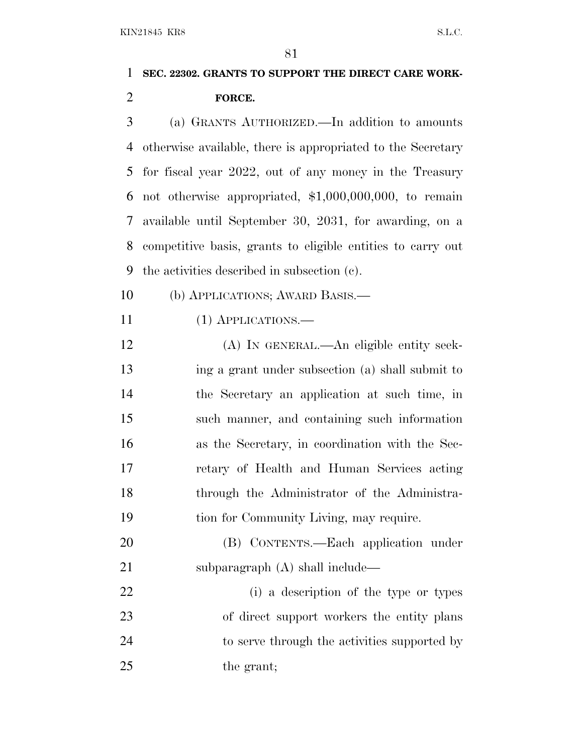# **SEC. 22302. GRANTS TO SUPPORT THE DIRECT CARE WORK-FORCE.**

 (a) GRANTS AUTHORIZED.—In addition to amounts otherwise available, there is appropriated to the Secretary for fiscal year 2022, out of any money in the Treasury not otherwise appropriated, \$1,000,000,000, to remain available until September 30, 2031, for awarding, on a competitive basis, grants to eligible entities to carry out the activities described in subsection (c).

(b) APPLICATIONS; AWARD BASIS.—

(1) APPLICATIONS.—

 (A) IN GENERAL.—An eligible entity seek- ing a grant under subsection (a) shall submit to the Secretary an application at such time, in such manner, and containing such information as the Secretary, in coordination with the Sec- retary of Health and Human Services acting through the Administrator of the Administra-tion for Community Living, may require.

 (B) CONTENTS.—Each application under 21 subparagraph (A) shall include—

 (i) a description of the type or types 23 of direct support workers the entity plans 24 to serve through the activities supported by 25 the grant;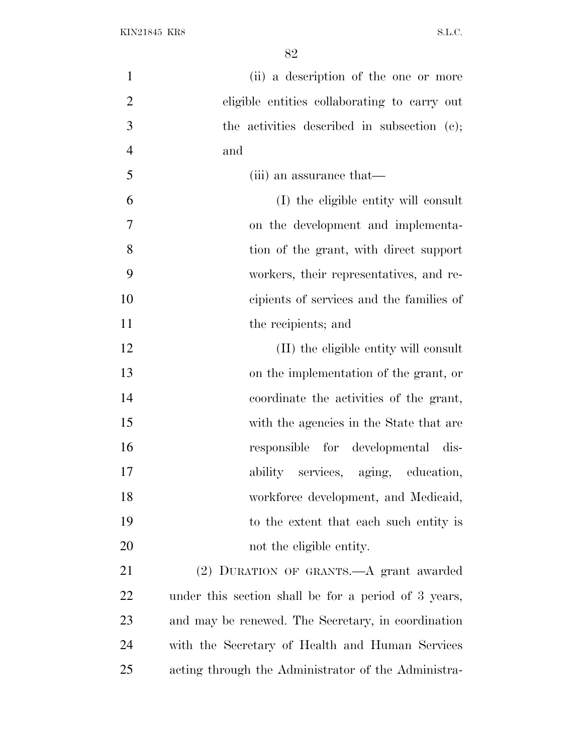| $\mathbf{1}$   | (ii) a description of the one or more                |
|----------------|------------------------------------------------------|
| $\overline{2}$ | eligible entities collaborating to carry out         |
| 3              | the activities described in subsection (c);          |
| $\overline{4}$ | and                                                  |
| 5              | (iii) an assurance that—                             |
| 6              | (I) the eligible entity will consult                 |
| $\overline{7}$ | on the development and implementa-                   |
| 8              | tion of the grant, with direct support               |
| 9              | workers, their representatives, and re-              |
| 10             | cipients of services and the families of             |
| 11             | the recipients; and                                  |
| 12             | (II) the eligible entity will consult                |
| 13             | on the implementation of the grant, or               |
| 14             | coordinate the activities of the grant,              |
| 15             | with the agencies in the State that are              |
| 16             | responsible for developmental dis-                   |
| 17             | ability services, aging, education,                  |
| 18             | workforce development, and Medicaid,                 |
| 19             | to the extent that each such entity is               |
| 20             | not the eligible entity.                             |
| 21             | (2) DURATION OF GRANTS.—A grant awarded              |
| 22             | under this section shall be for a period of 3 years, |
| 23             | and may be renewed. The Secretary, in coordination   |
| 24             | with the Secretary of Health and Human Services      |
| 25             | acting through the Administrator of the Administra-  |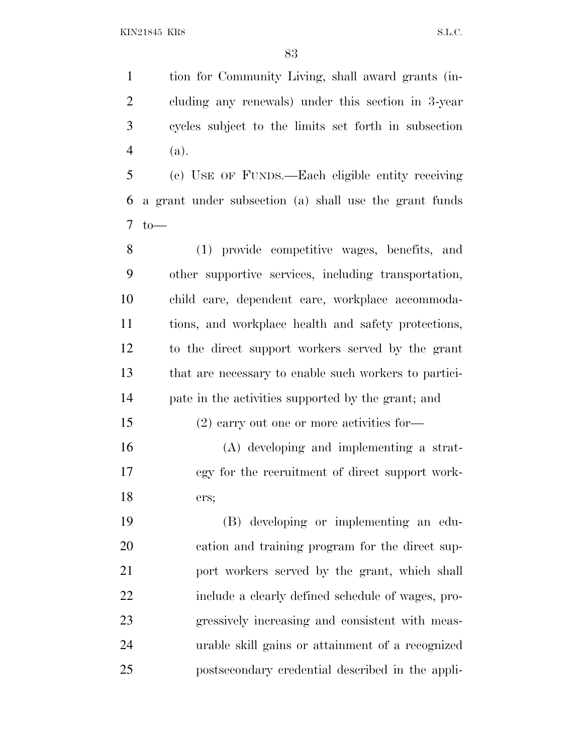tion for Community Living, shall award grants (in- cluding any renewals) under this section in 3-year cycles subject to the limits set forth in subsection (a).

 (c) USE OF FUNDS.—Each eligible entity receiving a grant under subsection (a) shall use the grant funds to—

 (1) provide competitive wages, benefits, and other supportive services, including transportation, child care, dependent care, workplace accommoda- tions, and workplace health and safety protections, to the direct support workers served by the grant that are necessary to enable such workers to partici-pate in the activities supported by the grant; and

(2) carry out one or more activities for—

 (A) developing and implementing a strat- egy for the recruitment of direct support work-ers;

 (B) developing or implementing an edu- cation and training program for the direct sup- port workers served by the grant, which shall include a clearly defined schedule of wages, pro- gressively increasing and consistent with meas- urable skill gains or attainment of a recognized postsecondary credential described in the appli-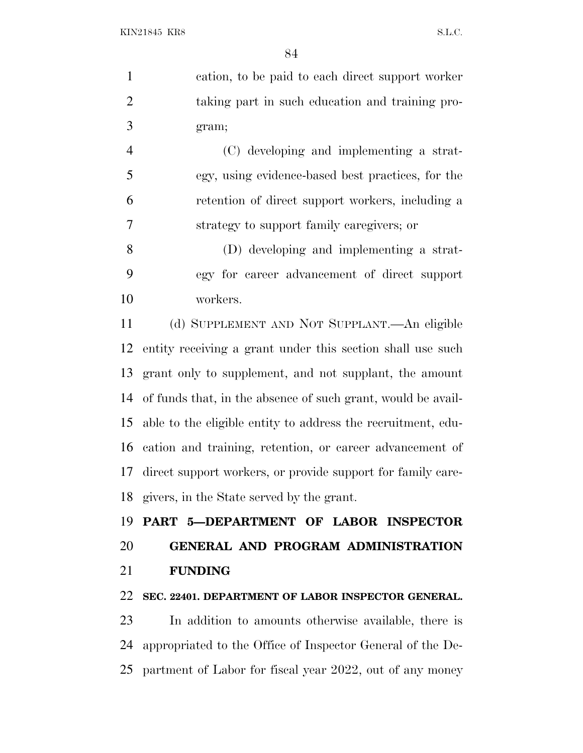cation, to be paid to each direct support worker taking part in such education and training pro-gram;

 (C) developing and implementing a strat- egy, using evidence-based best practices, for the retention of direct support workers, including a strategy to support family caregivers; or

 (D) developing and implementing a strat- egy for career advancement of direct support workers.

 (d) SUPPLEMENT AND NOT SUPPLANT.—An eligible entity receiving a grant under this section shall use such grant only to supplement, and not supplant, the amount of funds that, in the absence of such grant, would be avail- able to the eligible entity to address the recruitment, edu- cation and training, retention, or career advancement of direct support workers, or provide support for family care-givers, in the State served by the grant.

 **PART 5—DEPARTMENT OF LABOR INSPECTOR GENERAL AND PROGRAM ADMINISTRATION FUNDING**

## **SEC. 22401. DEPARTMENT OF LABOR INSPECTOR GENERAL.**

 In addition to amounts otherwise available, there is appropriated to the Office of Inspector General of the De-partment of Labor for fiscal year 2022, out of any money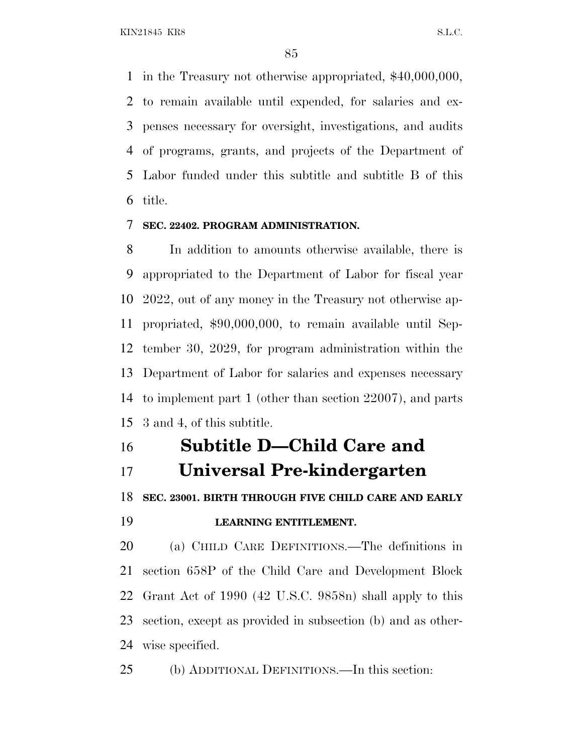KIN21845 KR8 S.L.C.

 in the Treasury not otherwise appropriated, \$40,000,000, to remain available until expended, for salaries and ex- penses necessary for oversight, investigations, and audits of programs, grants, and projects of the Department of Labor funded under this subtitle and subtitle B of this title.

### **SEC. 22402. PROGRAM ADMINISTRATION.**

 In addition to amounts otherwise available, there is appropriated to the Department of Labor for fiscal year 2022, out of any money in the Treasury not otherwise ap- propriated, \$90,000,000, to remain available until Sep- tember 30, 2029, for program administration within the Department of Labor for salaries and expenses necessary to implement part 1 (other than section 22007), and parts 3 and 4, of this subtitle.

# **Subtitle D—Child Care and Universal Pre-kindergarten**

**SEC. 23001. BIRTH THROUGH FIVE CHILD CARE AND EARLY**

#### **LEARNING ENTITLEMENT.**

 (a) CHILD CARE DEFINITIONS.—The definitions in section 658P of the Child Care and Development Block Grant Act of 1990 (42 U.S.C. 9858n) shall apply to this section, except as provided in subsection (b) and as other-wise specified.

(b) ADDITIONAL DEFINITIONS.—In this section: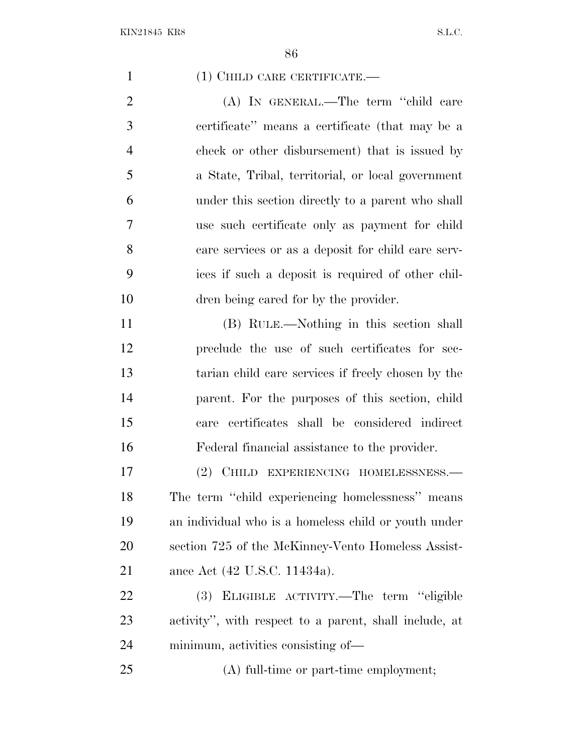1 (1) CHILD CARE CERTIFICATE.

 (A) IN GENERAL.—The term ''child care certificate'' means a certificate (that may be a check or other disbursement) that is issued by a State, Tribal, territorial, or local government under this section directly to a parent who shall use such certificate only as payment for child care services or as a deposit for child care serv- ices if such a deposit is required of other chil-dren being cared for by the provider.

 (B) RULE.—Nothing in this section shall preclude the use of such certificates for sec- tarian child care services if freely chosen by the parent. For the purposes of this section, child care certificates shall be considered indirect Federal financial assistance to the provider.

 (2) CHILD EXPERIENCING HOMELESSNESS.— The term ''child experiencing homelessness'' means an individual who is a homeless child or youth under section 725 of the McKinney-Vento Homeless Assist-ance Act (42 U.S.C. 11434a).

 (3) ELIGIBLE ACTIVITY.—The term ''eligible activity'', with respect to a parent, shall include, at minimum, activities consisting of—

(A) full-time or part-time employment;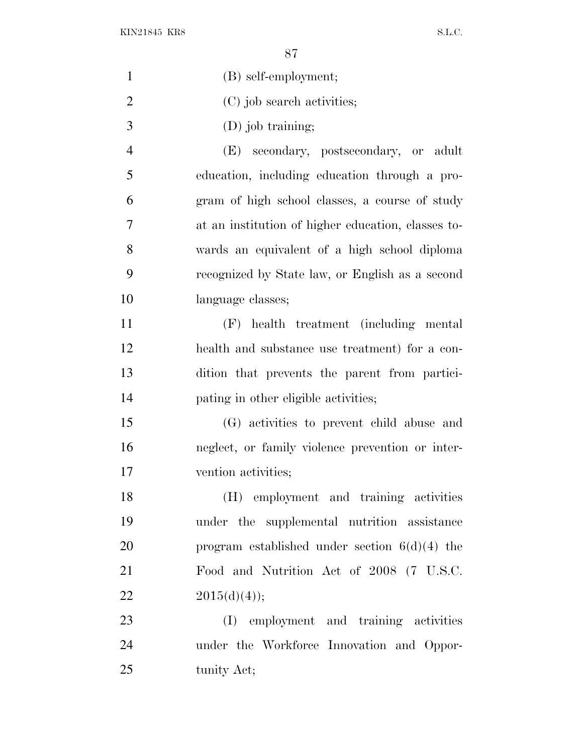KIN21845 KR8 S.L.C.

| $\mathbf{1}$   | (B) self-employment;                               |
|----------------|----------------------------------------------------|
| $\overline{2}$ | (C) job search activities;                         |
| 3              | (D) job training;                                  |
| $\overline{4}$ | secondary, postsecondary, or adult<br>(E)          |
| 5              | education, including education through a pro-      |
| 6              | gram of high school classes, a course of study     |
| $\tau$         | at an institution of higher education, classes to- |
| 8              | wards an equivalent of a high school diploma       |
| 9              | recognized by State law, or English as a second    |
| 10             | language classes;                                  |
| 11             | health treatment (including mental<br>(F)          |
| 12             | health and substance use treatment) for a con-     |
| 13             | dition that prevents the parent from partici-      |
| 14             | pating in other eligible activities;               |
| 15             | (G) activities to prevent child abuse and          |
| 16             | neglect, or family violence prevention or inter-   |
| 17             | vention activities;                                |
| 18             | (H) employment and training activities             |
| 19             | under the supplemental nutrition assistance        |
| 20             | program established under section $6(d)(4)$ the    |
| 21             | Food and Nutrition Act of 2008 (7 U.S.C.           |
| 22             | 2015(d)(4));                                       |
| 23             | (I) employment and training activities             |
| 24             | under the Workforce Innovation and Oppor-          |
| 25             | tunity Act;                                        |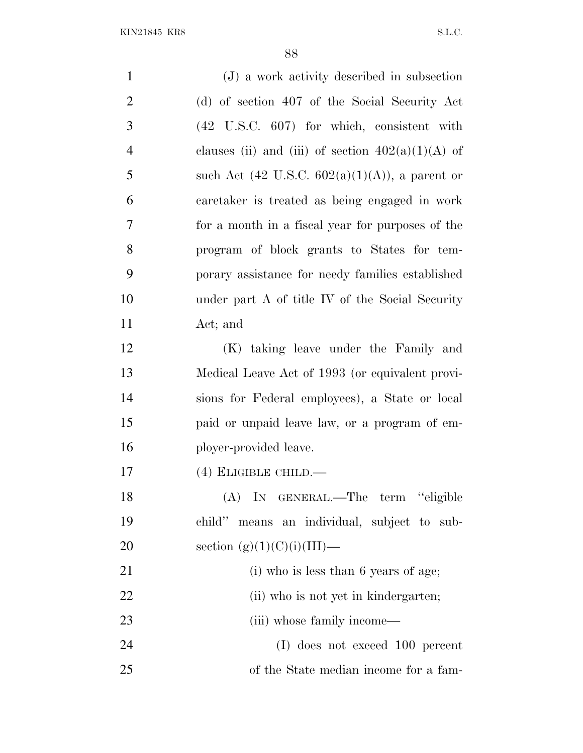| $\mathbf{1}$   | (J) a work activity described in subsection         |
|----------------|-----------------------------------------------------|
| $\overline{2}$ | (d) of section 407 of the Social Security Act       |
| 3              | (42 U.S.C. 607) for which, consistent with          |
| $\overline{4}$ | clauses (ii) and (iii) of section $402(a)(1)(A)$ of |
| 5              | such Act (42 U.S.C. $602(a)(1)(A)$ ), a parent or   |
| 6              | caretaker is treated as being engaged in work       |
| 7              | for a month in a fiscal year for purposes of the    |
| 8              | program of block grants to States for tem-          |
| 9              | porary assistance for needy families established    |
| 10             | under part A of title IV of the Social Security     |
| 11             | Act; and                                            |
| 12             | (K) taking leave under the Family and               |
| 13             | Medical Leave Act of 1993 (or equivalent provi-     |
| 14             | sions for Federal employees), a State or local      |
| 15             | paid or unpaid leave law, or a program of em-       |
| 16             | ployer-provided leave.                              |
| 17             | $(4)$ ELIGIBLE CHILD.—                              |
| 18             | (A) IN GENERAL.—The term "eligible                  |
| 19             | child" means an individual, subject to sub-         |
| 20             | section $(g)(1)(C)(i)(III)$ —                       |
| 21             | (i) who is less than 6 years of age;                |
| 22             | (ii) who is not yet in kindergarten;                |
| 23             | (iii) whose family income—                          |
| 24             | (I) does not exceed 100 percent                     |
| 25             | of the State median income for a fam-               |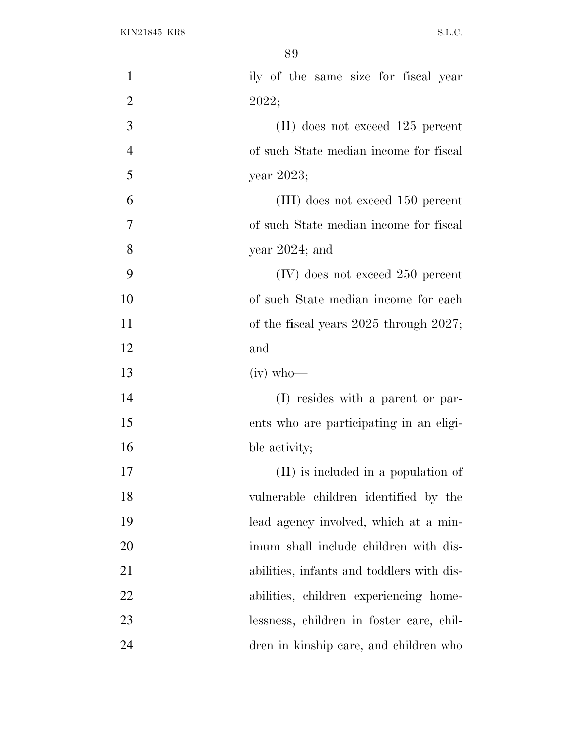| $\mathbf{1}$   | ily of the same size for fiscal year        |
|----------------|---------------------------------------------|
| $\overline{2}$ | 2022;                                       |
| 3              | $(II)$ does not exceed 125 percent          |
| $\overline{4}$ | of such State median income for fiscal      |
| 5              | year 2023;                                  |
| 6              | (III) does not exceed 150 percent           |
| 7              | of such State median income for fiscal      |
| 8              | year $2024$ ; and                           |
| 9              | $(IV)$ does not exceed 250 percent          |
| 10             | of such State median income for each        |
| 11             | of the fiscal years $2025$ through $2027$ ; |
| 12             | and                                         |
| 13             | $(iv)$ who-                                 |
| 14             | (I) resides with a parent or par-           |
| 15             | ents who are participating in an eligi-     |
| 16             | ble activity;                               |
| 17             | (II) is included in a population of         |
| 18             | vulnerable children identified by the       |
| 19             | lead agency involved, which at a min-       |
| 20             | imum shall include children with dis-       |
| 21             | abilities, infants and toddlers with dis-   |
| 22             | abilities, children experiencing home-      |
| 23             | lessness, children in foster care, chil-    |
| 24             | dren in kinship care, and children who      |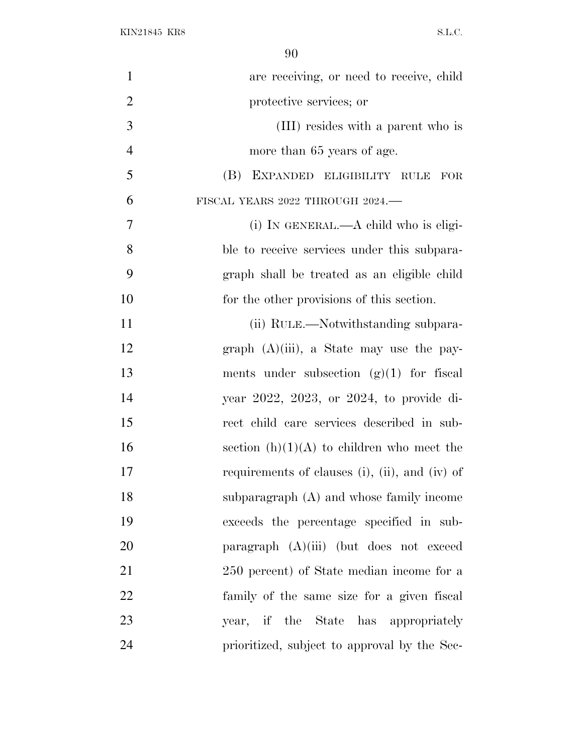| $\mathbf{1}$   | are receiving, or need to receive, child       |
|----------------|------------------------------------------------|
| $\overline{2}$ | protective services; or                        |
| 3              | (III) resides with a parent who is             |
| $\overline{4}$ | more than 65 years of age.                     |
| 5              | (B) EXPANDED ELIGIBILITY RULE FOR              |
| 6              | FISCAL YEARS 2022 THROUGH 2024.                |
| 7              | (i) IN GENERAL.—A child who is eligi-          |
| 8              | ble to receive services under this subpara-    |
| 9              | graph shall be treated as an eligible child    |
| 10             | for the other provisions of this section.      |
| 11             | (ii) RULE.—Notwithstanding subpara-            |
| 12             | graph $(A)(iii)$ , a State may use the pay-    |
| 13             | ments under subsection $(g)(1)$ for fiscal     |
| 14             | year 2022, 2023, or 2024, to provide di-       |
| 15             | rect child care services described in sub-     |
| 16             | section $(h)(1)(A)$ to children who meet the   |
| 17             | requirements of clauses (i), (ii), and (iv) of |
| 18             | subparagraph $(A)$ and whose family income     |
| 19             | exceeds the percentage specified in sub-       |
| 20             | paragraph $(A)(iii)$ (but does not exceed      |
| 21             | 250 percent) of State median income for a      |
| 22             | family of the same size for a given fiscal     |
| 23             | year, if the State has appropriately           |
| 24             | prioritized, subject to approval by the Sec-   |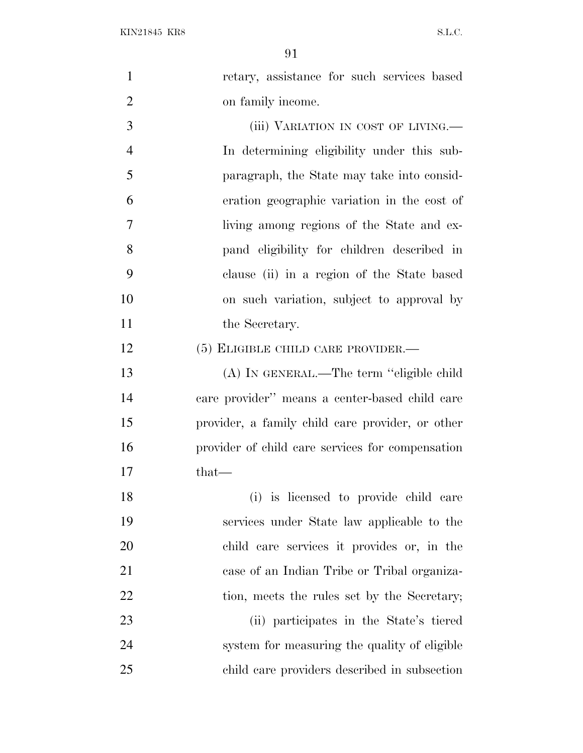KIN21845 KR8 S.L.C.

| $\mathbf{1}$   | retary, assistance for such services based       |
|----------------|--------------------------------------------------|
| $\overline{2}$ | on family income.                                |
| 3              | (iii) VARIATION IN COST OF LIVING.—              |
| $\overline{4}$ | In determining eligibility under this sub-       |
| 5              | paragraph, the State may take into consid-       |
| 6              | eration geographic variation in the cost of      |
| 7              | living among regions of the State and ex-        |
| 8              | pand eligibility for children described in       |
| 9              | clause (ii) in a region of the State based       |
| 10             | on such variation, subject to approval by        |
| 11             | the Secretary.                                   |
| 12             | $(5)$ ELIGIBLE CHILD CARE PROVIDER.—             |
| 13             | (A) IN GENERAL.—The term "eligible child         |
| 14             | care provider" means a center-based child care   |
| 15             | provider, a family child care provider, or other |
| 16             | provider of child care services for compensation |
| 17             | that—                                            |
| 18             | (i) is licensed to provide child care            |
| 19             | services under State law applicable to the       |
| 20             | child care services it provides or, in the       |
| 21             | case of an Indian Tribe or Tribal organiza-      |
| 22             | tion, meets the rules set by the Secretary;      |
| 23             | (ii) participates in the State's tiered          |
| 24             | system for measuring the quality of eligible     |
| 25             | child care providers described in subsection     |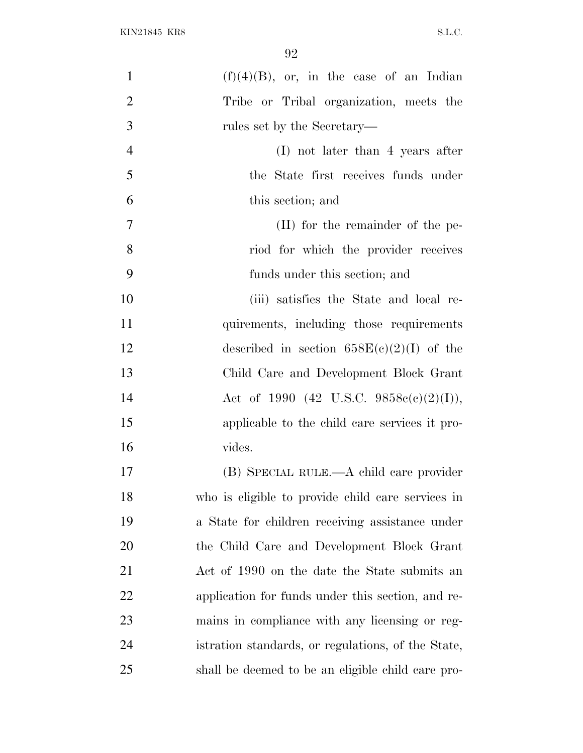| 1              | $(f)(4)(B)$ , or, in the case of an Indian         |
|----------------|----------------------------------------------------|
| $\overline{2}$ | Tribe or Tribal organization, meets the            |
| 3              | rules set by the Secretary—                        |
| $\overline{4}$ | $(I)$ not later than 4 years after                 |
| 5              | the State first receives funds under               |
| 6              | this section; and                                  |
| 7              | (II) for the remainder of the pe-                  |
| 8              | riod for which the provider receives               |
| 9              | funds under this section; and                      |
| 10             | (iii) satisfies the State and local re-            |
| 11             | quirements, including those requirements           |
| 12             | described in section $658E(c)(2)(I)$ of the        |
| 13             | Child Care and Development Block Grant             |
| 14             | Act of 1990 (42 U.S.C. 9858 $e(e)(2)(I)$ ),        |
| 15             | applicable to the child care services it pro-      |
| 16             | vides.                                             |
| 17             | (B) SPECIAL RULE.—A child care provider            |
| 18             | who is eligible to provide child care services in  |
| 19             | a State for children receiving assistance under    |
| 20             | the Child Care and Development Block Grant         |
| 21             | Act of 1990 on the date the State submits an       |
| <u>22</u>      | application for funds under this section, and re-  |
| 23             | mains in compliance with any licensing or reg-     |
| 24             | istration standards, or regulations, of the State, |
| 25             | shall be deemed to be an eligible child care pro-  |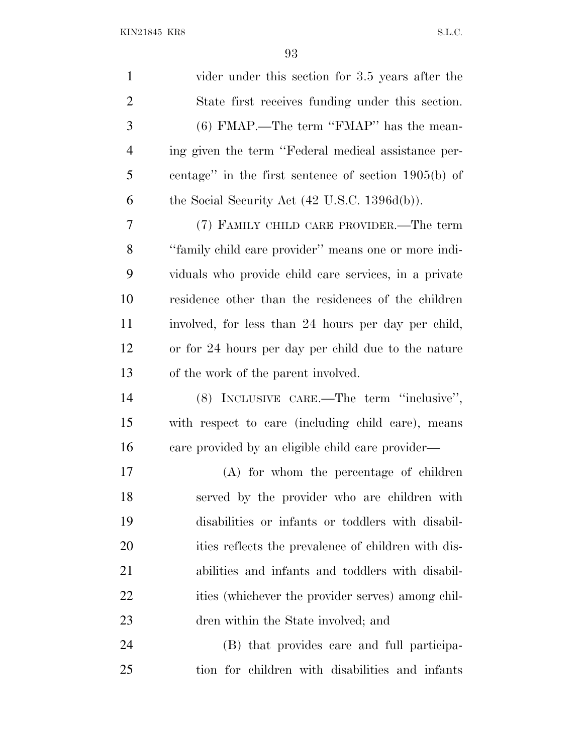KIN21845 KR8 S.L.C.

 vider under this section for 3.5 years after the State first receives funding under this section. (6) FMAP.—The term ''FMAP'' has the mean- ing given the term ''Federal medical assistance per- centage'' in the first sentence of section 1905(b) of 6 the Social Security Act  $(42 \text{ U.S.C. } 1396d(b))$ . (7) FAMILY CHILD CARE PROVIDER.—The term ''family child care provider'' means one or more indi- viduals who provide child care services, in a private residence other than the residences of the children involved, for less than 24 hours per day per child, or for 24 hours per day per child due to the nature of the work of the parent involved. (8) INCLUSIVE CARE.—The term ''inclusive'', with respect to care (including child care), means care provided by an eligible child care provider— (A) for whom the percentage of children served by the provider who are children with disabilities or infants or toddlers with disabil-20 ities reflects the prevalence of children with dis- abilities and infants and toddlers with disabil-22 ities (whichever the provider serves) among chil- dren within the State involved; and (B) that provides care and full participa-tion for children with disabilities and infants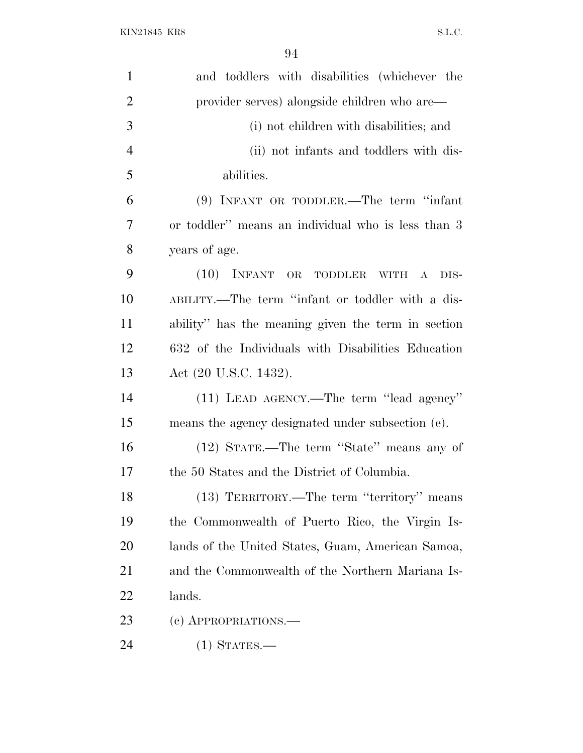| $\mathbf{1}$   | and toddlers with disabilities (whichever the        |
|----------------|------------------------------------------------------|
| $\overline{2}$ | provider serves) alongside children who are—         |
| 3              | (i) not children with disabilities; and              |
| $\overline{4}$ | (ii) not infants and toddlers with dis-              |
| 5              | abilities.                                           |
| 6              | $(9)$ INFANT OR TODDLER.—The term "infant"           |
| 7              | or toddler" means an individual who is less than 3   |
| 8              | years of age.                                        |
| 9              | $(10)$ INFANT OR<br><b>TODDLER</b><br>WITH A<br>DIS- |
| 10             | ABILITY.—The term "infant or toddler with a dis-     |
| 11             | ability" has the meaning given the term in section   |
| 12             | 632 of the Individuals with Disabilities Education   |
| 13             | Act (20 U.S.C. 1432).                                |
| 14             | (11) LEAD AGENCY.—The term "lead agency"             |
| 15             | means the agency designated under subsection (e).    |
| 16             | (12) STATE.—The term "State" means any of            |
| 17             | the 50 States and the District of Columbia.          |
| 18             | (13) TERRITORY.—The term "territory" means           |
| 19             | the Commonwealth of Puerto Rico, the Virgin Is-      |
| <b>20</b>      | lands of the United States, Guam, American Samoa,    |
| 21             | and the Commonwealth of the Northern Mariana Is-     |
| 22             | lands.                                               |
| 23             | (c) APPROPRIATIONS.—                                 |
| 24             | $(1)$ STATES.—                                       |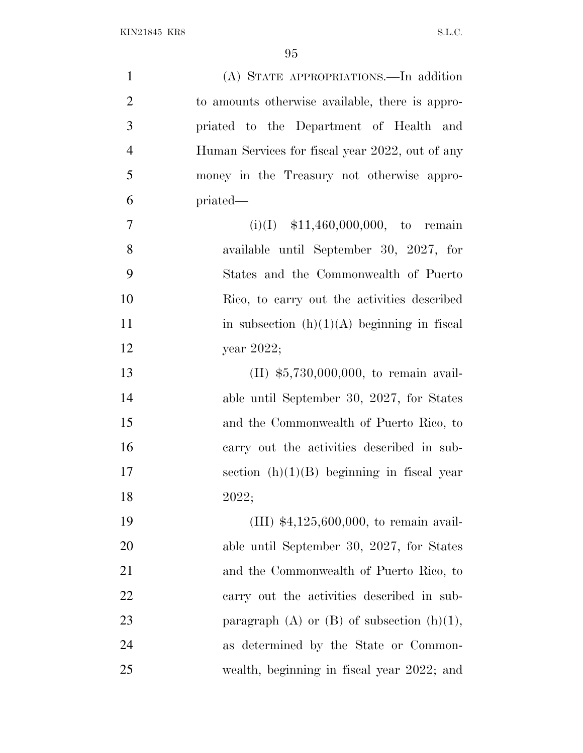| $\mathbf{1}$   | (A) STATE APPROPRIATIONS.—In addition             |
|----------------|---------------------------------------------------|
| $\overline{2}$ | to amounts otherwise available, there is appro-   |
| 3              | priated to the Department of Health and           |
| $\overline{4}$ | Human Services for fiscal year 2022, out of any   |
| $\mathfrak{S}$ | money in the Treasury not otherwise appro-        |
| 6              | priated—                                          |
| 7              | $(i)(I)$ \$11,460,000,000, to remain              |
| $8\,$          | available until September 30, 2027, for           |
| 9              | States and the Commonwealth of Puerto             |
| 10             | Rico, to carry out the activities described       |
| 11             | in subsection $(h)(1)(A)$ beginning in fiscal     |
| 12             | year 2022;                                        |
| 13             | $(II)$ \$5,730,000,000, to remain avail-          |
| 14             | able until September 30, 2027, for States         |
| 15             | and the Commonwealth of Puerto Rico, to           |
| 16             | carry out the activities described in sub-        |
| 17             | section $(h)(1)(B)$ beginning in fiscal year      |
| 18             | 2022;                                             |
| 19             | (III) $*4,125,600,000$ , to remain avail-         |
| 20             | able until September 30, 2027, for States         |
| 21             | and the Commonwealth of Puerto Rico, to           |
| 22             | carry out the activities described in sub-        |
| 23             | paragraph $(A)$ or $(B)$ of subsection $(h)(1)$ , |
| 24             | as determined by the State or Common-             |
| 25             | wealth, beginning in fiscal year 2022; and        |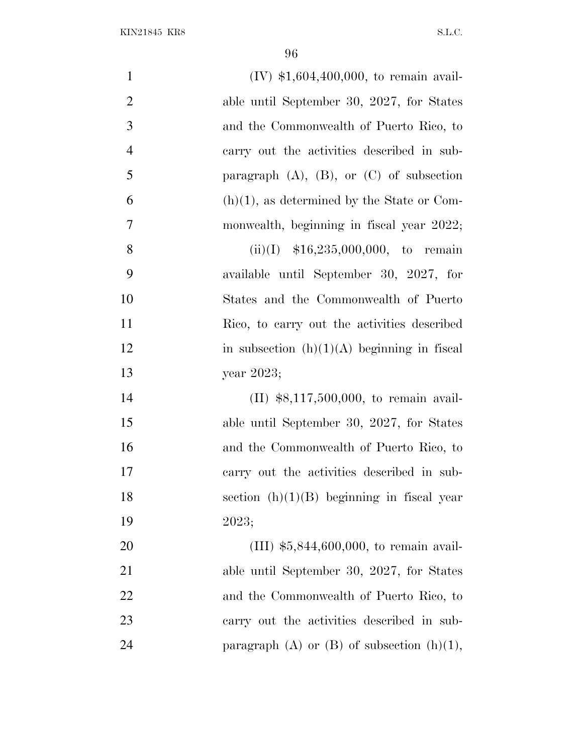| $\mathbf{1}$   | $(IV)$ \$1,604,400,000, to remain avail-          |
|----------------|---------------------------------------------------|
| $\overline{2}$ | able until September 30, 2027, for States         |
| 3              | and the Commonwealth of Puerto Rico, to           |
| $\overline{4}$ | carry out the activities described in sub-        |
| 5              | paragraph $(A)$ , $(B)$ , or $(C)$ of subsection  |
| 6              | $(h)(1)$ , as determined by the State or Com-     |
| 7              | monwealth, beginning in fiscal year 2022;         |
| 8              | $(ii)(I)$ \$16,235,000,000, to remain             |
| 9              | available until September 30, 2027, for           |
| 10             | States and the Commonwealth of Puerto             |
| 11             | Rico, to carry out the activities described       |
| 12             | in subsection $(h)(1)(A)$ beginning in fiscal     |
| 13             | year 2023;                                        |
| 14             | $(II)$ \$8,117,500,000, to remain avail-          |
| 15             | able until September 30, 2027, for States         |
| 16             | and the Commonwealth of Puerto Rico, to           |
| 17             | carry out the activities described in sub-        |
| 18             | section $(h)(1)(B)$ beginning in fiscal year      |
| 19             | 2023;                                             |
| 20             | (III) $$5,844,600,000$ , to remain avail-         |
| 21             | able until September 30, 2027, for States         |
| 22             | and the Commonwealth of Puerto Rico, to           |
| 23             | carry out the activities described in sub-        |
| 24             | paragraph $(A)$ or $(B)$ of subsection $(h)(1)$ , |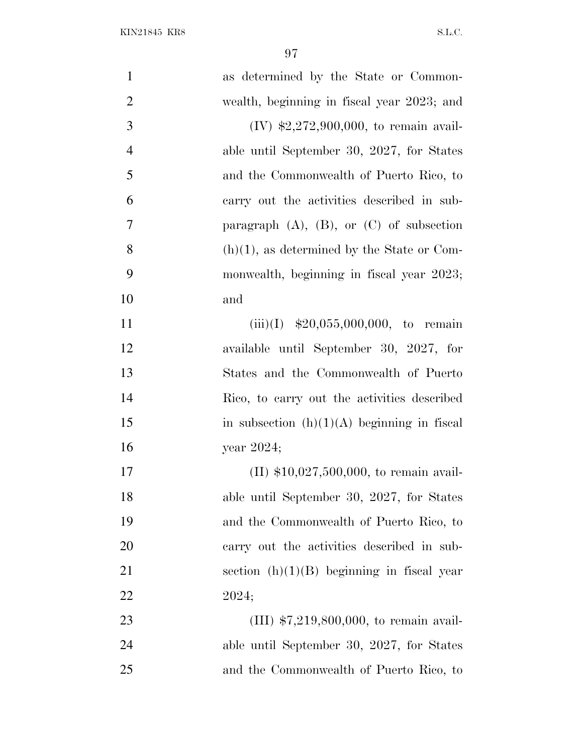| $\mathbf{1}$   | as determined by the State or Common-            |
|----------------|--------------------------------------------------|
| $\overline{2}$ | wealth, beginning in fiscal year 2023; and       |
| 3              | $(IV)$ \$2,272,900,000, to remain avail-         |
| $\overline{4}$ | able until September 30, 2027, for States        |
| 5              | and the Commonwealth of Puerto Rico, to          |
| 6              | carry out the activities described in sub-       |
| 7              | paragraph $(A)$ , $(B)$ , or $(C)$ of subsection |
| 8              | $(h)(1)$ , as determined by the State or Com-    |
| 9              | monwealth, beginning in fiscal year 2023;        |
| 10             | and                                              |
| 11             | $(iii)(I)$ \$20,055,000,000, to remain           |
| 12             | available until September 30, 2027, for          |
| 13             | States and the Commonwealth of Puerto            |
| 14             | Rico, to carry out the activities described      |
| 15             | in subsection $(h)(1)(A)$ beginning in fiscal    |
| 16             | year $2024$ ;                                    |
| 17             | $(II)$ \$10,027,500,000, to remain avail-        |
| 18             | able until September 30, 2027, for States        |
| 19             | and the Commonwealth of Puerto Rico, to          |
| 20             | carry out the activities described in sub-       |
| 21             | section $(h)(1)(B)$ beginning in fiscal year     |
| 22             | 2024;                                            |
| 23             | $(III)$ \$7,219,800,000, to remain avail-        |
| 24             | able until September 30, 2027, for States        |
| 25             | and the Commonwealth of Puerto Rico, to          |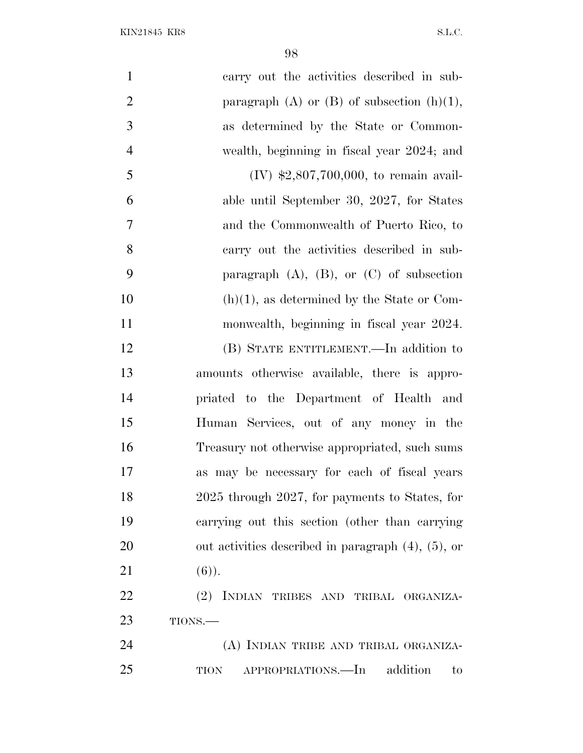| $\mathbf{1}$   | carry out the activities described in sub-               |
|----------------|----------------------------------------------------------|
| $\overline{2}$ | paragraph (A) or $(B)$ of subsection $(h)(1)$ ,          |
| 3              | as determined by the State or Common-                    |
| $\overline{4}$ | wealth, beginning in fiscal year 2024; and               |
| 5              | $(IV)$ \$2,807,700,000, to remain avail-                 |
| 6              | able until September 30, 2027, for States                |
| $\overline{7}$ | and the Commonwealth of Puerto Rico, to                  |
| 8              | carry out the activities described in sub-               |
| 9              | paragraph $(A)$ , $(B)$ , or $(C)$ of subsection         |
| 10             | $(h)(1)$ , as determined by the State or Com-            |
| 11             | monwealth, beginning in fiscal year 2024.                |
| 12             | (B) STATE ENTITLEMENT.—In addition to                    |
| 13             | amounts otherwise available, there is appro-             |
| 14             | priated to the Department of Health and                  |
| 15             | Human Services, out of any money in the                  |
| 16             | Treasury not otherwise appropriated, such sums           |
| 17             | as may be necessary for each of fiscal years             |
| 18             | 2025 through 2027, for payments to States, for           |
| 19             | carrying out this section (other than carrying           |
| 20             | out activities described in paragraph $(4)$ , $(5)$ , or |
| 21             | $(6)$ ).                                                 |
| 22             | (2) INDIAN TRIBES AND TRIBAL ORGANIZA-                   |
| 23             | TIONS.-                                                  |
| 24             | (A) INDIAN TRIBE AND TRIBAL ORGANIZA-                    |
| 25             | APPROPRIATIONS.—In<br>addition<br>TION<br>to             |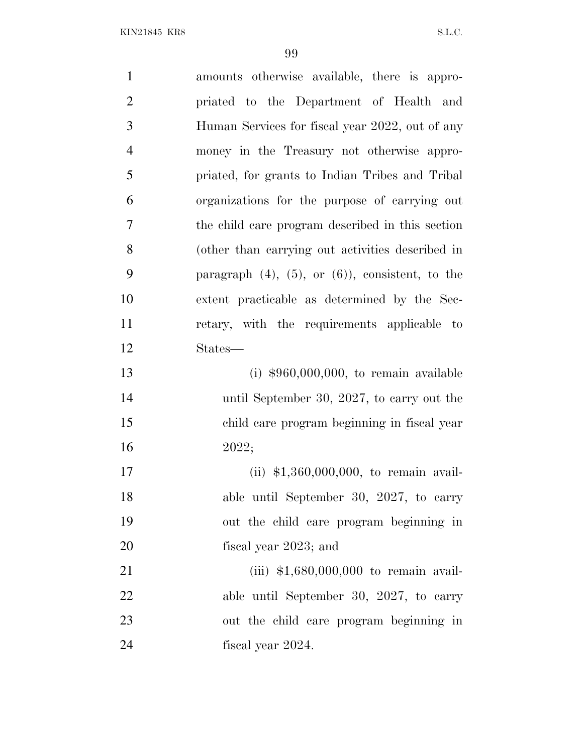| $\mathbf{1}$   | amounts otherwise available, there is appro-             |
|----------------|----------------------------------------------------------|
| $\overline{2}$ | priated to the Department of Health and                  |
| 3              | Human Services for fiscal year 2022, out of any          |
| $\overline{4}$ | money in the Treasury not otherwise appro-               |
| 5              | priated, for grants to Indian Tribes and Tribal          |
| 6              | organizations for the purpose of carrying out            |
| 7              | the child care program described in this section         |
| 8              | (other than carrying out activities described in         |
| 9              | paragraph $(4)$ , $(5)$ , or $(6)$ ), consistent, to the |
| 10             | extent practicable as determined by the Sec-             |
| 11             | retary, with the requirements applicable to              |
| 12             | States—                                                  |
| 13             | (i) $$960,000,000$ , to remain available                 |
| 14             | until September 30, 2027, to carry out the               |
| 15             | child care program beginning in fiscal year              |
| 16             | 2022;                                                    |
| 17             | (ii) \$1,360,000,000, to remain avail-                   |
| 18             | able until September 30, 2027, to carry                  |
| 19             | out the child care program beginning in                  |
| 20             | fiscal year 2023; and                                    |
| 21             | (iii) $$1,680,000,000$ to remain avail-                  |
| 22             | able until September 30, 2027, to carry                  |
| 23             | out the child care program beginning in                  |
| 24             | fiscal year 2024.                                        |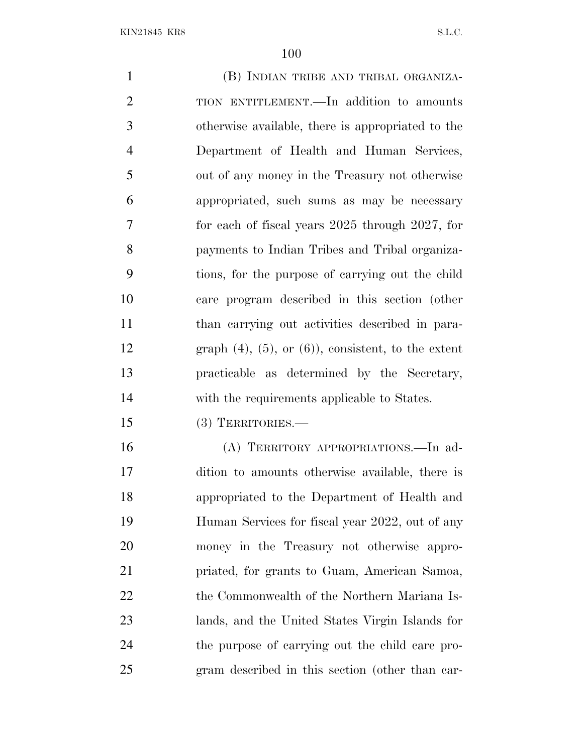(B) INDIAN TRIBE AND TRIBAL ORGANIZA- TION ENTITLEMENT.—In addition to amounts otherwise available, there is appropriated to the Department of Health and Human Services, out of any money in the Treasury not otherwise appropriated, such sums as may be necessary for each of fiscal years 2025 through 2027, for payments to Indian Tribes and Tribal organiza- tions, for the purpose of carrying out the child care program described in this section (other than carrying out activities described in para-12 graph  $(4)$ ,  $(5)$ , or  $(6)$ ), consistent, to the extent practicable as determined by the Secretary, with the requirements applicable to States. (3) TERRITORIES.— (A) TERRITORY APPROPRIATIONS.—In ad- dition to amounts otherwise available, there is appropriated to the Department of Health and Human Services for fiscal year 2022, out of any money in the Treasury not otherwise appro- priated, for grants to Guam, American Samoa, 22 the Commonwealth of the Northern Mariana Is- lands, and the United States Virgin Islands for the purpose of carrying out the child care pro-gram described in this section (other than car-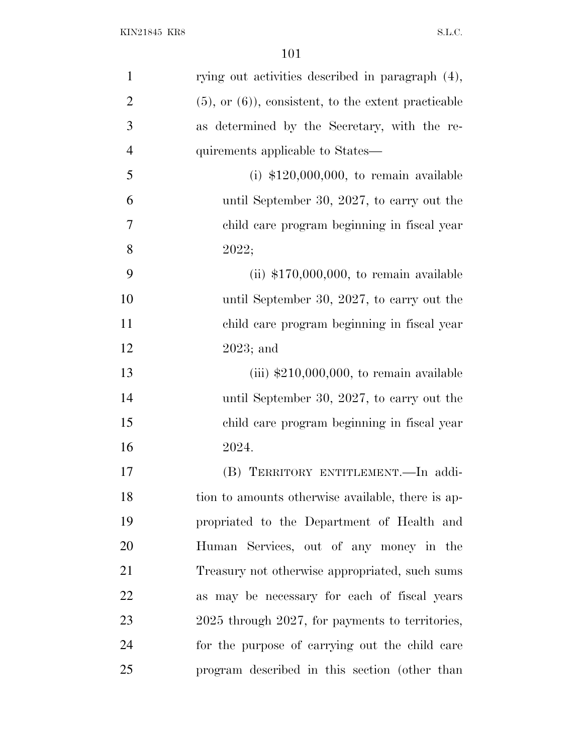| $\mathbf{1}$   | rying out activities described in paragraph (4),         |
|----------------|----------------------------------------------------------|
| $\overline{2}$ | $(5)$ , or $(6)$ , consistent, to the extent practicable |
| 3              | as determined by the Secretary, with the re-             |
| $\overline{4}$ | quirements applicable to States—                         |
| 5              | $(i)$ \$120,000,000, to remain available                 |
| 6              | until September 30, 2027, to carry out the               |
| 7              | child care program beginning in fiscal year              |
| 8              | 2022;                                                    |
| 9              | (ii) $$170,000,000$ , to remain available                |
| 10             | until September 30, 2027, to carry out the               |
| 11             | child care program beginning in fiscal year              |
| 12             | $2023$ ; and                                             |
| 13             | $(iii)$ \$210,000,000, to remain available               |
| 14             | until September 30, 2027, to carry out the               |
| 15             | child care program beginning in fiscal year              |
| 16             | 2024.                                                    |
| 17             | (B) TERRITORY ENTITLEMENT. - In addi-                    |
| 18             | tion to amounts otherwise available, there is ap-        |
| 19             | propriated to the Department of Health and               |
| 20             | Human Services, out of any money in the                  |
| 21             | Treasury not otherwise appropriated, such sums           |
| 22             | as may be necessary for each of fiscal years             |
| 23             | 2025 through 2027, for payments to territories,          |
| 24             | for the purpose of carrying out the child care           |
| 25             | program described in this section (other than            |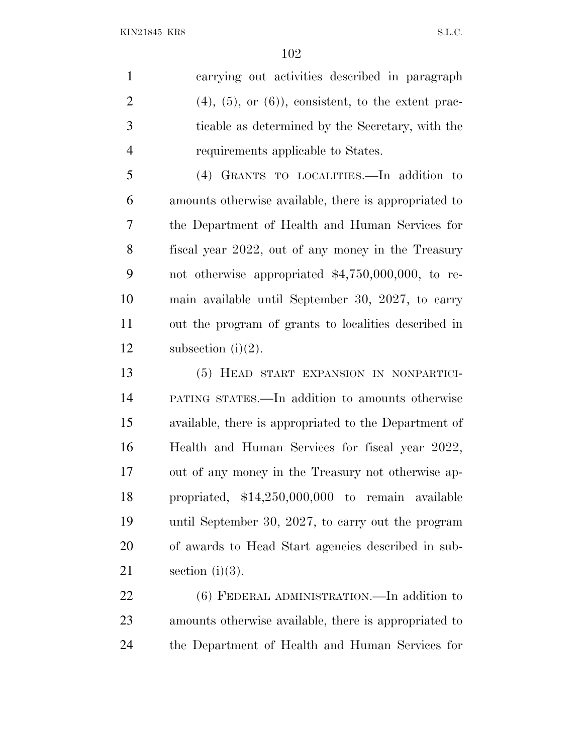carrying out activities described in paragraph 2 (4), (5), or (6)), consistent, to the extent prac- ticable as determined by the Secretary, with the requirements applicable to States.

 (4) GRANTS TO LOCALITIES.—In addition to amounts otherwise available, there is appropriated to the Department of Health and Human Services for fiscal year 2022, out of any money in the Treasury not otherwise appropriated \$4,750,000,000, to re- main available until September 30, 2027, to carry out the program of grants to localities described in 12 subsection  $(i)(2)$ .

 (5) HEAD START EXPANSION IN NONPARTICI- PATING STATES.—In addition to amounts otherwise available, there is appropriated to the Department of Health and Human Services for fiscal year 2022, out of any money in the Treasury not otherwise ap- propriated, \$14,250,000,000 to remain available until September 30, 2027, to carry out the program of awards to Head Start agencies described in sub-21 section  $(i)(3)$ .

22 (6) FEDERAL ADMINISTRATION.—In addition to amounts otherwise available, there is appropriated to the Department of Health and Human Services for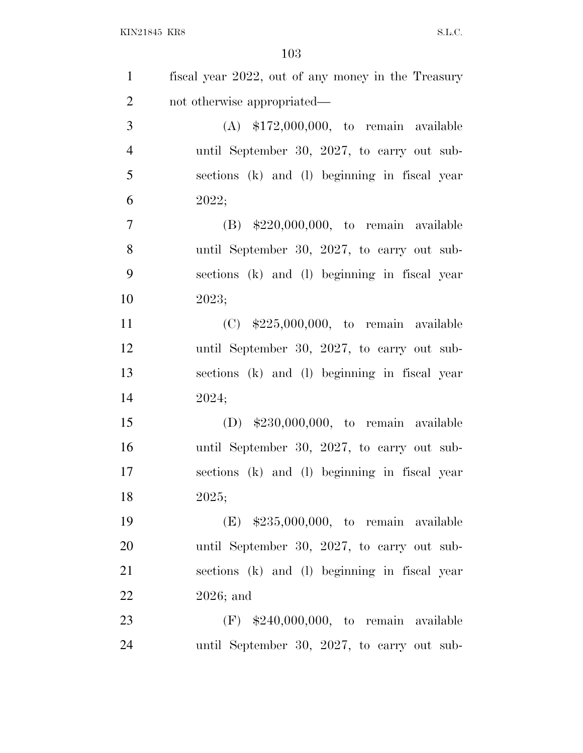| $\mathbf{1}$   | fiscal year 2022, out of any money in the Treasury |
|----------------|----------------------------------------------------|
| $\overline{2}$ | not otherwise appropriated—                        |
| 3              | $(A)$ \$172,000,000, to remain available           |
| $\overline{4}$ | until September 30, 2027, to carry out sub-        |
| 5              | sections (k) and (l) beginning in fiscal year      |
| 6              | 2022;                                              |
| $\overline{7}$ | $(B)$ \$220,000,000, to remain available           |
| 8              | until September 30, 2027, to carry out sub-        |
| 9              | sections (k) and (l) beginning in fiscal year      |
| 10             | 2023;                                              |
| 11             | $(C)$ \$225,000,000, to remain available           |
| 12             | until September 30, 2027, to carry out sub-        |
| 13             | sections (k) and (l) beginning in fiscal year      |
| 14             | 2024;                                              |
| 15             | $(D)$ \$230,000,000, to remain available           |
| 16             | until September 30, 2027, to carry out sub-        |
| 17             | sections (k) and (l) beginning in fiscal year      |
| 18             | 2025;                                              |
| 19             | $(E)$ \$235,000,000, to remain available           |
| 20             | until September 30, 2027, to carry out sub-        |
| 21             | sections (k) and (l) beginning in fiscal year      |
| 22             | $2026$ ; and                                       |
| 23             | $(F)$ \$240,000,000, to remain available           |
| 24             | until September 30, 2027, to carry out sub-        |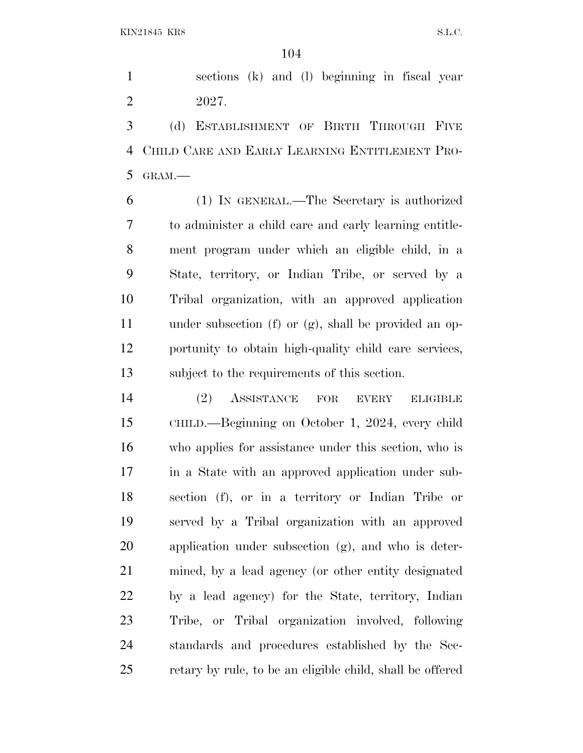sections (k) and (l) beginning in fiscal year 2027.

 (d) ESTABLISHMENT OF BIRTH THROUGH FIVE CHILD CARE AND EARLY LEARNING ENTITLEMENT PRO-GRAM.—

 (1) IN GENERAL.—The Secretary is authorized to administer a child care and early learning entitle- ment program under which an eligible child, in a State, territory, or Indian Tribe, or served by a Tribal organization, with an approved application under subsection (f) or (g), shall be provided an op- portunity to obtain high-quality child care services, subject to the requirements of this section.

 (2) ASSISTANCE FOR EVERY ELIGIBLE CHILD.—Beginning on October 1, 2024, every child who applies for assistance under this section, who is in a State with an approved application under sub- section (f), or in a territory or Indian Tribe or served by a Tribal organization with an approved application under subsection (g), and who is deter- mined, by a lead agency (or other entity designated by a lead agency) for the State, territory, Indian Tribe, or Tribal organization involved, following standards and procedures established by the Sec-retary by rule, to be an eligible child, shall be offered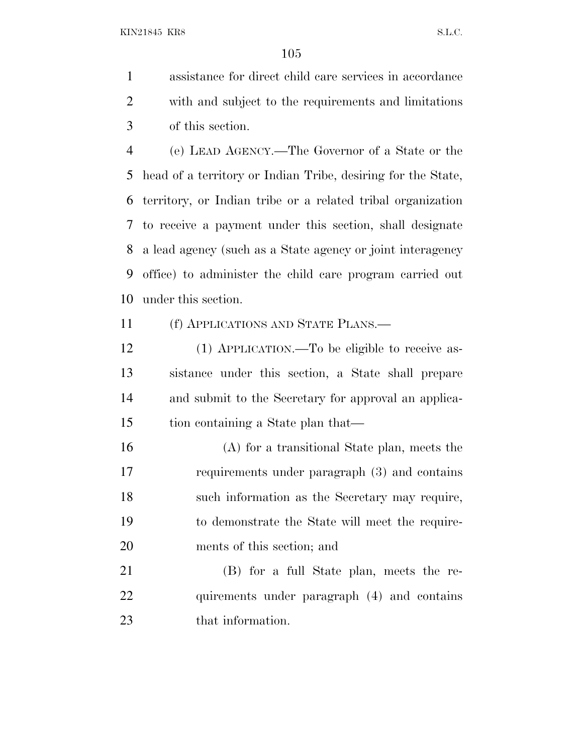KIN21845 KR8 S.L.C.

 assistance for direct child care services in accordance with and subject to the requirements and limitations of this section.

 (e) LEAD AGENCY.—The Governor of a State or the head of a territory or Indian Tribe, desiring for the State, territory, or Indian tribe or a related tribal organization to receive a payment under this section, shall designate a lead agency (such as a State agency or joint interagency office) to administer the child care program carried out under this section.

(f) APPLICATIONS AND STATE PLANS.—

 (1) APPLICATION.—To be eligible to receive as- sistance under this section, a State shall prepare and submit to the Secretary for approval an applica-tion containing a State plan that—

 (A) for a transitional State plan, meets the requirements under paragraph (3) and contains such information as the Secretary may require, to demonstrate the State will meet the require-ments of this section; and

 (B) for a full State plan, meets the re-22 quirements under paragraph (4) and contains 23 that information.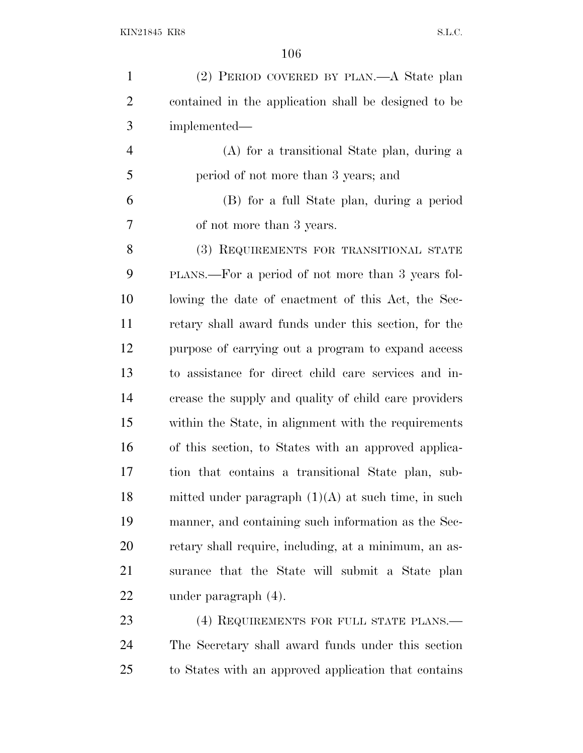| $\mathbf{1}$   | (2) PERIOD COVERED BY PLAN.—A State plan              |
|----------------|-------------------------------------------------------|
| $\overline{2}$ | contained in the application shall be designed to be  |
| 3              | implemented—                                          |
| $\overline{4}$ | (A) for a transitional State plan, during a           |
| 5              | period of not more than 3 years; and                  |
| 6              | (B) for a full State plan, during a period            |
| 7              | of not more than 3 years.                             |
| 8              | (3) REQUIREMENTS FOR TRANSITIONAL STATE               |
| 9              | PLANS.—For a period of not more than 3 years fol-     |
| 10             | lowing the date of enactment of this Act, the Sec-    |
| 11             | retary shall award funds under this section, for the  |
| 12             | purpose of carrying out a program to expand access    |
| 13             | to assistance for direct child care services and in-  |
| 14             | crease the supply and quality of child care providers |
| 15             | within the State, in alignment with the requirements  |
| 16             | of this section, to States with an approved applica-  |
| 17             | tion that contains a transitional State plan, sub-    |
| 18             | mitted under paragraph $(1)(A)$ at such time, in such |
| 19             | manner, and containing such information as the Sec-   |
| 20             | retary shall require, including, at a minimum, an as- |
| 21             | surance that the State will submit a State plan       |
| 22             | under paragraph (4).                                  |
| 23             | (4) REQUIREMENTS FOR FULL STATE PLANS.—               |
|                |                                                       |

 The Secretary shall award funds under this section to States with an approved application that contains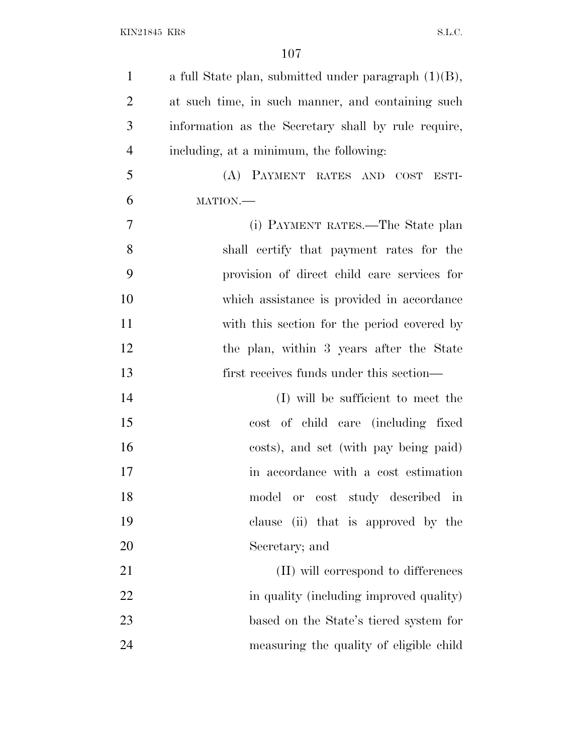| a full State plan, submitted under paragraph $(1)(B)$ , |
|---------------------------------------------------------|
| at such time, in such manner, and containing such       |
| information as the Secretary shall by rule require,     |
| including, at a minimum, the following:                 |
| (A) PAYMENT RATES AND COST<br>ESTI-                     |
| MATION.                                                 |
| (i) PAYMENT RATES.—The State plan                       |
| shall certify that payment rates for the                |
| provision of direct child care services for             |
| which assistance is provided in accordance              |
| with this section for the period covered by             |
| the plan, within 3 years after the State                |
| first receives funds under this section—                |
| (I) will be sufficient to meet the                      |
| cost of child care (including fixed                     |
| costs), and set (with pay being paid)                   |
| in accordance with a cost estimation                    |
| or cost study described in<br>model                     |
| clause (ii) that is approved by the                     |
| Secretary; and                                          |
| (II) will correspond to differences                     |
| in quality (including improved quality)                 |
| based on the State's tiered system for                  |
|                                                         |
|                                                         |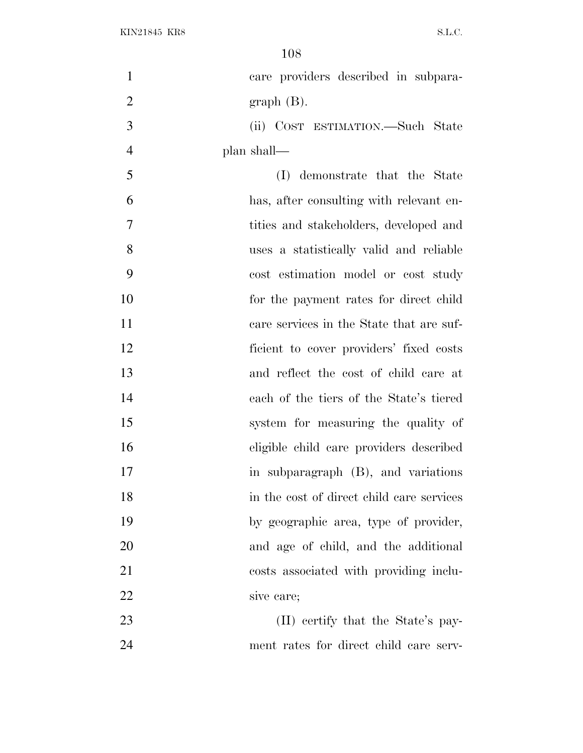| $\mathbf{1}$   | care providers described in subpara-      |
|----------------|-------------------------------------------|
| $\mathbf{2}$   | $graph(B)$ .                              |
| 3              | (ii) COST ESTIMATION.—Such State          |
| $\overline{4}$ | plan shall—                               |
| 5              | demonstrate that the State<br>(I)         |
| 6              | has, after consulting with relevant en-   |
| $\overline{7}$ | tities and stakeholders, developed and    |
| 8              | uses a statistically valid and reliable   |
| 9              | cost estimation model or cost study       |
| 10             | for the payment rates for direct child    |
| 11             | care services in the State that are suf-  |
| 12             | ficient to cover providers' fixed costs   |
| 13             | and reflect the cost of child care at     |
| 14             | each of the tiers of the State's tiered   |
| 15             | system for measuring the quality of       |
| 16             | eligible child care providers described   |
| 17             | in subparagraph (B), and variations       |
| 18             | in the cost of direct child care services |
| 19             | by geographic area, type of provider,     |
| 20             | and age of child, and the additional      |
| 21             | costs associated with providing inclu-    |
| 22             | sive care;                                |
| 23             | (II) certify that the State's pay-        |
| 24             | ment rates for direct child care serv-    |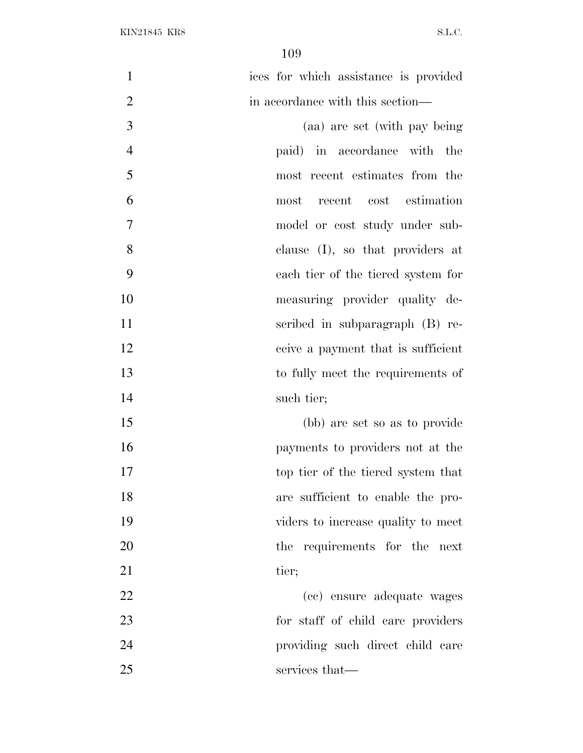| $\mathbf{1}$   | ices for which assistance is provided |
|----------------|---------------------------------------|
| $\overline{2}$ | in accordance with this section—      |
| 3              | (aa) are set (with pay being          |
| $\overline{4}$ | paid) in accordance with the          |
| 5              | most recent estimates from the        |
| 6              | cost estimation<br>recent<br>most     |
| $\overline{7}$ | model or cost study under sub-        |
| 8              | clause $(I)$ , so that providers at   |
| 9              | each tier of the tiered system for    |
| 10             | measuring provider quality de-        |
| 11             | scribed in subparagraph (B) re-       |
| 12             | ceive a payment that is sufficient    |
| 13             | to fully meet the requirements of     |
| 14             | such tier;                            |
| 15             | (bb) are set so as to provide         |
| 16             | payments to providers not at the      |
| 17             | top tier of the tiered system that    |
| 18             | are sufficient to enable the pro-     |
| 19             | viders to increase quality to meet    |
| 20             | the requirements for the next         |
| 21             | tier;                                 |
| 22             | (cc) ensure adequate wages            |
| 23             | for staff of child care providers     |
| 24             | providing such direct child care      |
| 25             | services that—                        |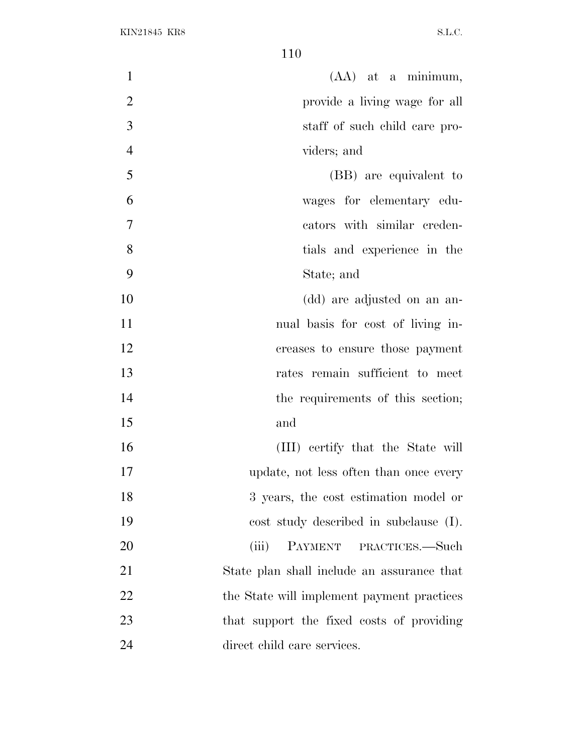| $\mathbf{1}$   | $(AA)$ at a minimum,                       |
|----------------|--------------------------------------------|
| $\overline{2}$ | provide a living wage for all              |
| 3              | staff of such child care pro-              |
| $\overline{4}$ | viders; and                                |
| 5              | (BB) are equivalent to                     |
| 6              | wages for elementary edu-                  |
| $\overline{7}$ | cators with similar creden-                |
| 8              | tials and experience in the                |
| 9              | State; and                                 |
| 10             | (dd) are adjusted on an an-                |
| 11             | nual basis for cost of living in-          |
| 12             | creases to ensure those payment            |
| 13             | rates remain sufficient to meet            |
| 14             | the requirements of this section;          |
| 15             | and                                        |
| 16             | (III) certify that the State will          |
| 17             | update, not less often than once every     |
| 18             | 3 years, the cost estimation model or      |
| 19             | cost study described in subclause (I).     |
| 20             | PAYMENT<br>(iii)<br>PRACTICES.—Such        |
| 21             | State plan shall include an assurance that |
| 22             | the State will implement payment practices |
| 23             | that support the fixed costs of providing  |
| 24             | direct child care services.                |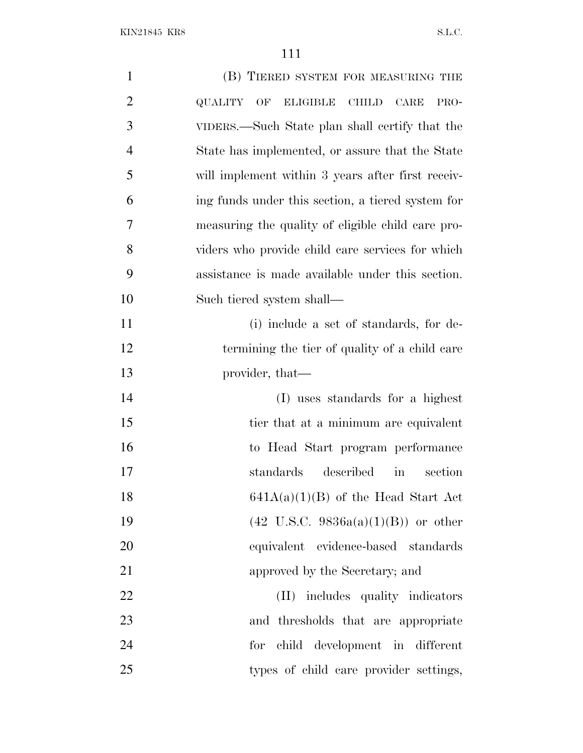| $\mathbf{1}$   | (B) TIERED SYSTEM FOR MEASURING THE                                     |
|----------------|-------------------------------------------------------------------------|
| $\overline{2}$ | <b>QUALITY</b><br>OF<br><b>ELIGIBLE</b><br><b>CHILD</b><br>CARE<br>PRO- |
| 3              | VIDERS.—Such State plan shall certify that the                          |
| $\overline{4}$ | State has implemented, or assure that the State                         |
| 5              | will implement within 3 years after first receiv-                       |
| 6              | ing funds under this section, a tiered system for                       |
| 7              | measuring the quality of eligible child care pro-                       |
| 8              | viders who provide child care services for which                        |
| 9              | assistance is made available under this section.                        |
| 10             | Such tiered system shall—                                               |
| 11             | (i) include a set of standards, for de-                                 |
| 12             | termining the tier of quality of a child care                           |
| 13             | provider, that—                                                         |
| 14             | (I) uses standards for a highest                                        |
| 15             | tier that at a minimum are equivalent                                   |
| 16             | to Head Start program performance                                       |
| 17             | described<br>standards<br>in<br>section                                 |
| 18             | $641A(a)(1)(B)$ of the Head Start Act                                   |
| 19             | $(42 \text{ U.S.C. } 9836a(a)(1)(B))$ or other                          |
| 20             | equivalent evidence-based standards                                     |
| 21             | approved by the Secretary; and                                          |
| 22             | (II) includes quality indicators                                        |
| 23             | and thresholds that are appropriate                                     |
| 24             | for child development in different                                      |
| 25             | types of child care provider settings,                                  |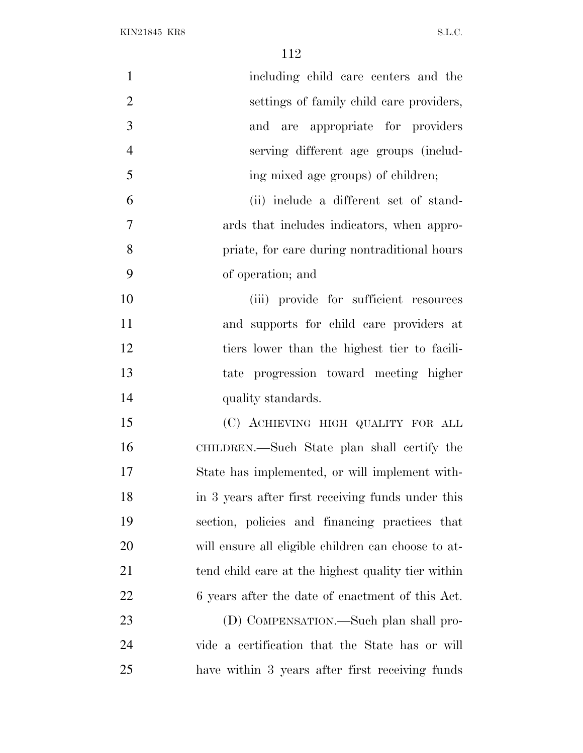| $\mathbf{1}$   | including child care centers and the                |
|----------------|-----------------------------------------------------|
| $\overline{2}$ | settings of family child care providers,            |
| 3              | and are appropriate for providers                   |
| $\overline{4}$ | serving different age groups (includ-               |
| 5              | ing mixed age groups) of children;                  |
| 6              | (ii) include a different set of stand-              |
| $\overline{7}$ | ards that includes indicators, when appro-          |
| 8              | priate, for care during nontraditional hours        |
| 9              | of operation; and                                   |
| 10             | (iii) provide for sufficient resources              |
| 11             | and supports for child care providers at            |
| 12             | tiers lower than the highest tier to facili-        |
| 13             | tate progression toward meeting higher              |
| 14             | quality standards.                                  |
| 15             | (C) ACHIEVING HIGH QUALITY FOR ALL                  |
| 16             | CHILDREN.—Such State plan shall certify the         |
| 17             | State has implemented, or will implement with-      |
| 18             | in 3 years after first receiving funds under this   |
| 19             | section, policies and financing practices that      |
| 20             | will ensure all eligible children can choose to at- |
| 21             | tend child care at the highest quality tier within  |
| 22             | 6 years after the date of enactment of this Act.    |
| 23             | (D) COMPENSATION.—Such plan shall pro-              |
| 24             | vide a certification that the State has or will     |
| 25             | have within 3 years after first receiving funds     |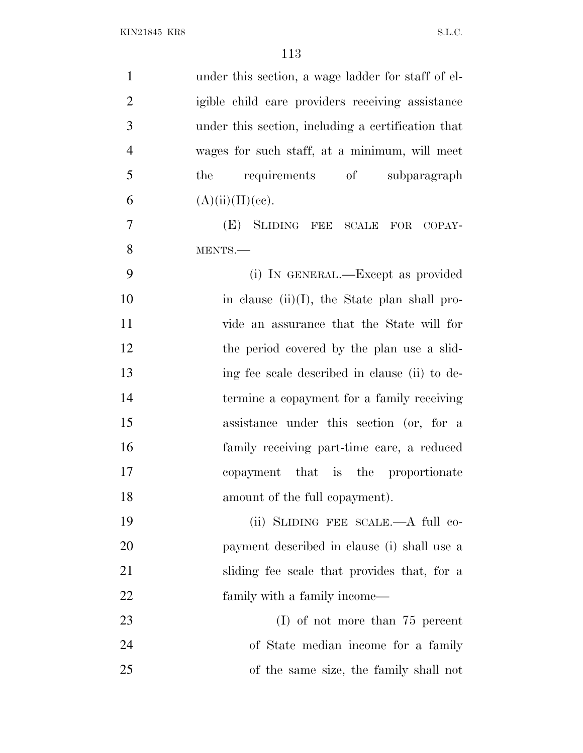| $\mathbf{1}$   | under this section, a wage ladder for staff of el- |
|----------------|----------------------------------------------------|
| $\overline{2}$ | igible child care providers receiving assistance   |
| 3              | under this section, including a certification that |
| $\overline{4}$ | wages for such staff, at a minimum, will meet      |
| 5              | requirements of<br>subparagraph<br>the             |
| 6              | (A)(ii)(II)(ce).                                   |
| 7              | (E) SLIDING FEE SCALE FOR COPAY-                   |
| 8              | MENTS.-                                            |
| 9              | (i) IN GENERAL.—Except as provided                 |
| 10             | in clause $(ii)(I)$ , the State plan shall pro-    |
| 11             | vide an assurance that the State will for          |
| 12             | the period covered by the plan use a slid-         |
| 13             | ing fee scale described in clause (ii) to de-      |
| 14             | termine a copayment for a family receiving         |
| 15             | assistance under this section (or, for a           |
| 16             | family receiving part-time care, a reduced         |
| 17             | copayment that is the proportionate                |
| 18             | amount of the full copayment).                     |
| 19             | (ii) SLIDING FEE SCALE.—A full co-                 |
| 20             | payment described in clause (i) shall use a        |
| 21             | sliding fee scale that provides that, for a        |
| 22             | family with a family income—                       |
| 23             | $(I)$ of not more than 75 percent                  |
| 24             | of State median income for a family                |
| 25             | of the same size, the family shall not             |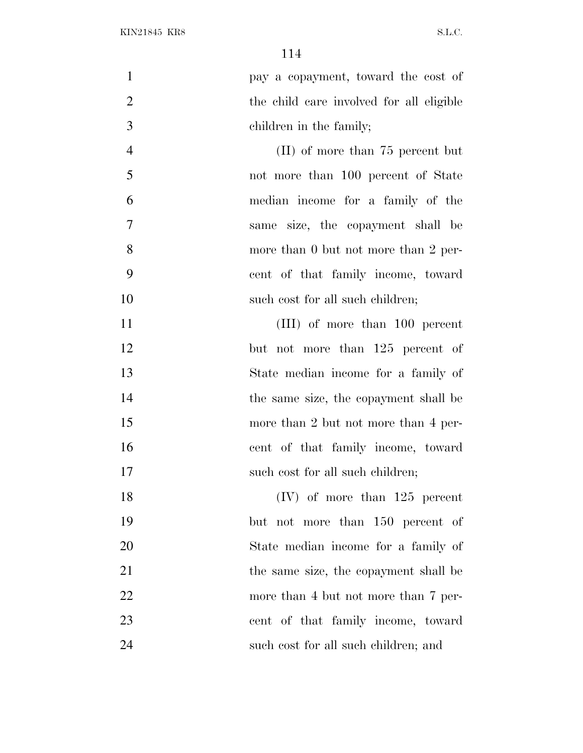| $\mathbf{1}$   | pay a copayment, toward the cost of      |
|----------------|------------------------------------------|
| $\overline{2}$ | the child care involved for all eligible |
| 3              | children in the family;                  |
| $\overline{4}$ | $(II)$ of more than 75 percent but       |
| 5              | not more than 100 percent of State       |
| 6              | median income for a family of the        |
| $\overline{7}$ | same size, the copayment shall be        |
| 8              | more than 0 but not more than 2 per-     |
| 9              | cent of that family income, toward       |
| 10             | such cost for all such children;         |
| 11             | (III) of more than 100 percent           |
| 12             | but not more than 125 percent of         |
| 13             | State median income for a family of      |
| 14             | the same size, the copayment shall be    |
| 15             | more than 2 but not more than 4 per-     |
| 16             | cent of that family income, toward       |
| 17             | such cost for all such children;         |
| 18             | $(IV)$ of more than 125 percent          |
| 19             | but not more than 150 percent of         |
| 20             | State median income for a family of      |
| 21             | the same size, the copayment shall be    |
| 22             | more than 4 but not more than 7 per-     |
| 23             | cent of that family income, toward       |
| 24             | such cost for all such children; and     |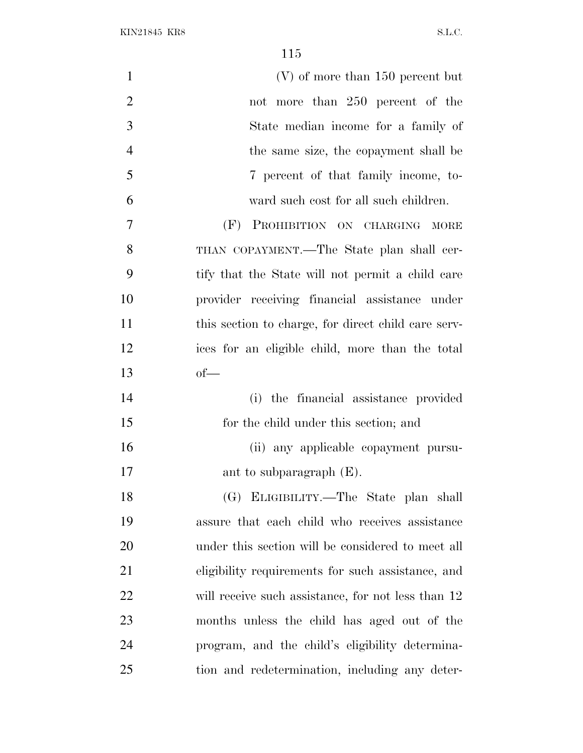| $\mathbf{1}$   | $(V)$ of more than 150 percent but                  |
|----------------|-----------------------------------------------------|
| $\overline{2}$ | not more than 250 percent of the                    |
| 3              | State median income for a family of                 |
| $\overline{4}$ | the same size, the copayment shall be               |
| 5              | 7 percent of that family income, to-                |
| 6              | ward such cost for all such children.               |
| 7              | PROHIBITION ON CHARGING MORE<br>(F)                 |
| 8              | THAN COPAYMENT.—The State plan shall cer-           |
| 9              | tify that the State will not permit a child care    |
| 10             | provider receiving financial assistance under       |
| 11             | this section to charge, for direct child care serv- |
| 12             | ices for an eligible child, more than the total     |
| 13             | $of$ —                                              |
| 14             | the financial assistance provided<br>(i)            |
| 15             | for the child under this section; and               |
| 16             | (ii) any applicable copayment pursu-                |
| 17             | ant to subparagraph $(E)$ .                         |
| 18             | (G) ELIGIBILITY.—The State plan shall               |
| 19             | assure that each child who receives assistance      |
| 20             | under this section will be considered to meet all   |
| 21             | eligibility requirements for such assistance, and   |
| 22             | will receive such assistance, for not less than 12  |
| 23             | months unless the child has aged out of the         |
| 24             | program, and the child's eligibility determina-     |
| 25             | tion and redetermination, including any deter-      |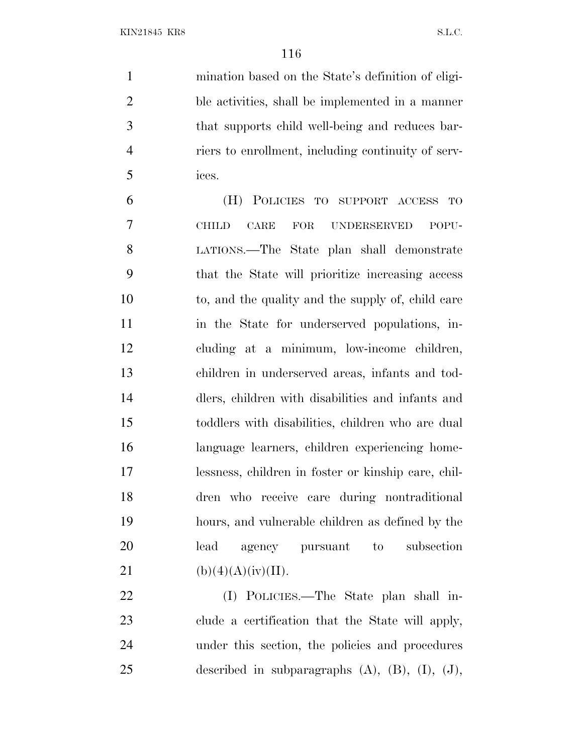mination based on the State's definition of eligi- ble activities, shall be implemented in a manner that supports child well-being and reduces bar- riers to enrollment, including continuity of serv-ices.

 (H) POLICIES TO SUPPORT ACCESS TO CHILD CARE FOR UNDERSERVED POPU- LATIONS.—The State plan shall demonstrate that the State will prioritize increasing access to, and the quality and the supply of, child care 11 in the State for underserved populations, in- cluding at a minimum, low-income children, children in underserved areas, infants and tod- dlers, children with disabilities and infants and toddlers with disabilities, children who are dual language learners, children experiencing home- lessness, children in foster or kinship care, chil- dren who receive care during nontraditional hours, and vulnerable children as defined by the lead agency pursuant to subsection 21 (b)(4)(A)(iv)(II).

 (I) POLICIES.—The State plan shall in- clude a certification that the State will apply, under this section, the policies and procedures described in subparagraphs (A), (B), (I), (J),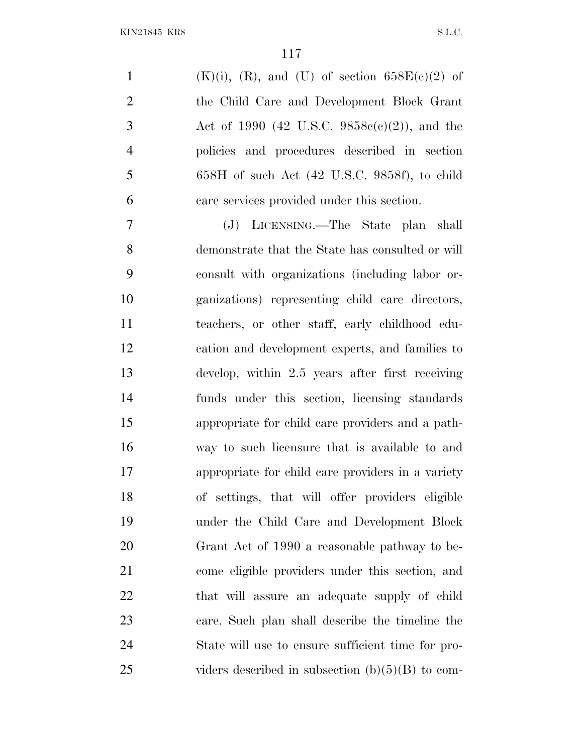$(K)(i)$ ,  $(R)$ , and  $(U)$  of section 658 $E(e)(2)$  of the Child Care and Development Block Grant Act of 1990 (42 U.S.C. 9858c(c)(2)), and the policies and procedures described in section 658H of such Act (42 U.S.C. 9858f), to child care services provided under this section.

 (J) LICENSING.—The State plan shall demonstrate that the State has consulted or will consult with organizations (including labor or- ganizations) representing child care directors, teachers, or other staff, early childhood edu- cation and development experts, and families to develop, within 2.5 years after first receiving funds under this section, licensing standards appropriate for child care providers and a path- way to such licensure that is available to and appropriate for child care providers in a variety of settings, that will offer providers eligible under the Child Care and Development Block Grant Act of 1990 a reasonable pathway to be- come eligible providers under this section, and that will assure an adequate supply of child care. Such plan shall describe the timeline the State will use to ensure sufficient time for pro-25 viders described in subsection  $(b)(5)(B)$  to com-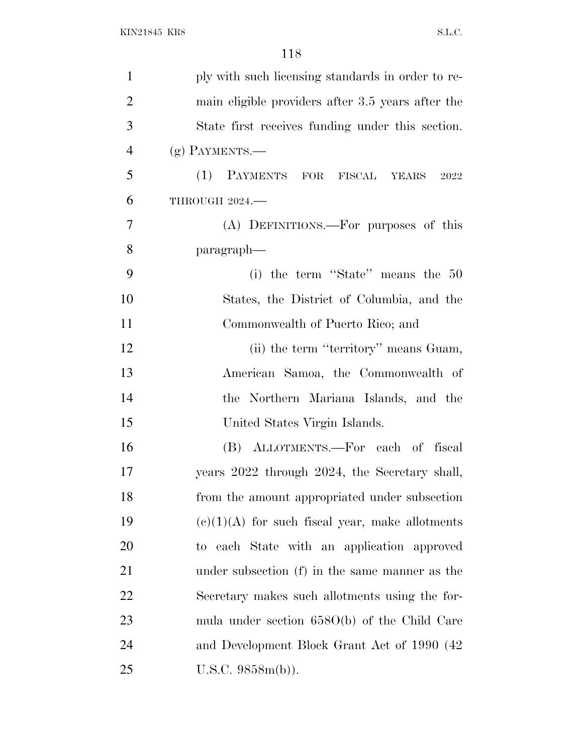| $\mathbf{1}$   | ply with such licensing standards in order to re- |
|----------------|---------------------------------------------------|
| $\overline{2}$ | main eligible providers after 3.5 years after the |
| 3              | State first receives funding under this section.  |
| $\overline{4}$ | $(g)$ PAYMENTS.—                                  |
| 5              | (1) PAYMENTS FOR FISCAL YEARS<br>2022             |
| 6              | THROUGH 2024.                                     |
| $\overline{7}$ | (A) DEFINITIONS.—For purposes of this             |
| 8              | paragraph—                                        |
| 9              | (i) the term "State" means the $50$               |
| 10             | States, the District of Columbia, and the         |
| 11             | Commonwealth of Puerto Rico; and                  |
| 12             | (ii) the term "territory" means Guam,             |
| 13             | American Samoa, the Commonwealth of               |
| 14             | the Northern Mariana Islands, and the             |
| 15             | United States Virgin Islands.                     |
| 16             | (B) ALLOTMENTS.—For each of fiscal                |
| 17             | years 2022 through 2024, the Secretary shall,     |
| 18             | from the amount appropriated under subsection     |
| 19             | $(e)(1)(A)$ for such fiscal year, make allotments |
| 20             | to each State with an application approved        |
| 21             | under subsection (f) in the same manner as the    |
| 22             | Secretary makes such allotments using the for-    |
| 23             | mula under section $658O(b)$ of the Child Care    |
| 24             | and Development Block Grant Act of 1990 (42)      |
| 25             | U.S.C. 9858m(b)).                                 |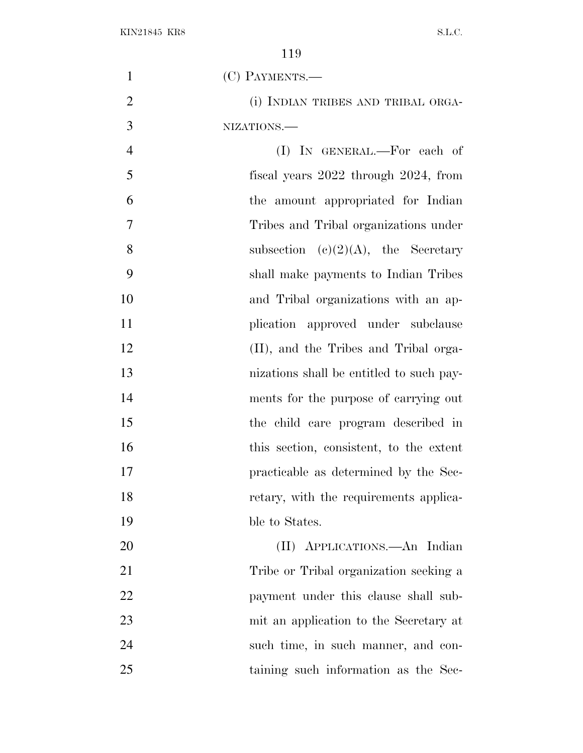| $\mathbf{1}$   | (C) PAYMENTS.-                            |
|----------------|-------------------------------------------|
| $\overline{2}$ | (i) INDIAN TRIBES AND TRIBAL ORGA-        |
| 3              | NIZATIONS.                                |
| $\overline{4}$ | $(I)$ In GENERAL.—For each of             |
| 5              | fiscal years $2022$ through $2024$ , from |
| 6              | the amount appropriated for Indian        |
| 7              | Tribes and Tribal organizations under     |
| 8              | subsection (c)(2)(A), the Secretary       |
| 9              | shall make payments to Indian Tribes      |
| 10             | and Tribal organizations with an ap-      |
| 11             | plication approved under subclause        |
| 12             | (II), and the Tribes and Tribal orga-     |
| 13             | nizations shall be entitled to such pay-  |
| 14             | ments for the purpose of carrying out     |
| 15             | the child care program described in       |
| 16             | this section, consistent, to the extent   |
| 17             | practicable as determined by the Sec-     |
| 18             | retary, with the requirements applica-    |
| 19             | ble to States.                            |
| 20             | (II) APPLICATIONS.—An Indian              |
| 21             | Tribe or Tribal organization seeking a    |
| 22             | payment under this clause shall sub-      |
| 23             | mit an application to the Secretary at    |
| 24             | such time, in such manner, and con-       |
| 25             | taining such information as the Sec-      |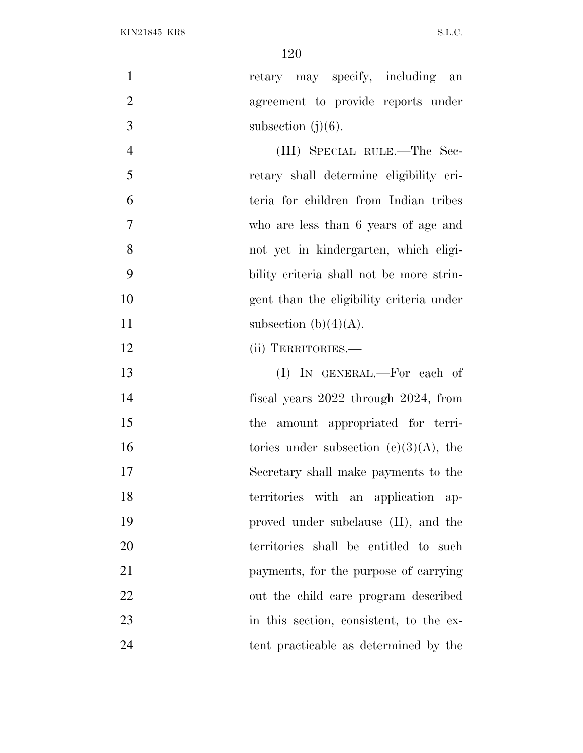| $\mathbf{1}$   | retary may specify, including an          |
|----------------|-------------------------------------------|
| $\overline{2}$ | agreement to provide reports under        |
| 3              | subsection $(j)(6)$ .                     |
| $\overline{4}$ | (III) SPECIAL RULE.—The Sec-              |
| 5              | retary shall determine eligibility cri-   |
| 6              | teria for children from Indian tribes     |
| 7              | who are less than 6 years of age and      |
| 8              | not yet in kindergarten, which eligi-     |
| 9              | bility criteria shall not be more strin-  |
| 10             | gent than the eligibility criteria under  |
| 11             | subsection (b) $(4)(A)$ .                 |
| 12             | (ii) TERRITORIES.-                        |
| 13             | (I) IN GENERAL.—For each of               |
| 14             | fiscal years 2022 through 2024, from      |
| 15             | the amount appropriated for terri-        |
| 16             | tories under subsection $(c)(3)(A)$ , the |
| 17             | Secretary shall make payments to the      |
| 18             | territories with an application ap-       |
| 19             | proved under subclause (II), and the      |
| 20             | territories shall be entitled to such     |
| 21             | payments, for the purpose of carrying     |
| 22             | out the child care program described      |
| 23             | in this section, consistent, to the ex-   |
| 24             | tent practicable as determined by the     |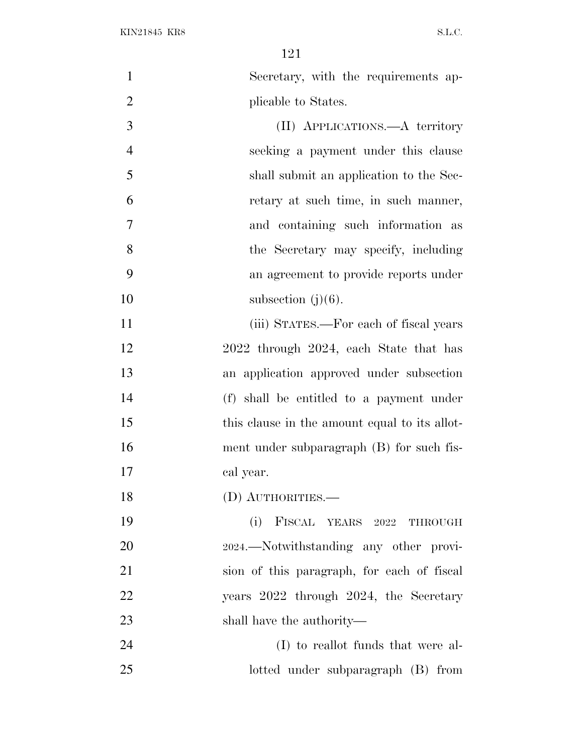Secretary, with the requirements ap-2 plicable to States. (II) APPLICATIONS.—A territory seeking a payment under this clause shall submit an application to the Sec- retary at such time, in such manner, and containing such information as 8 the Secretary may specify, including an agreement to provide reports under 10 subsection  $(j)(6)$ . 11 (iii) STATES.—For each of fiscal years 2022 through 2024, each State that has an application approved under subsection (f) shall be entitled to a payment under 15 this clause in the amount equal to its allot- ment under subparagraph (B) for such fis- cal year. (D) AUTHORITIES.— (i) FISCAL YEARS 2022 THROUGH <sup>2024</sup>.—Notwithstanding any other provi- sion of this paragraph, for each of fiscal years 2022 through 2024, the Secretary shall have the authority— (I) to reallot funds that were al-lotted under subparagraph (B) from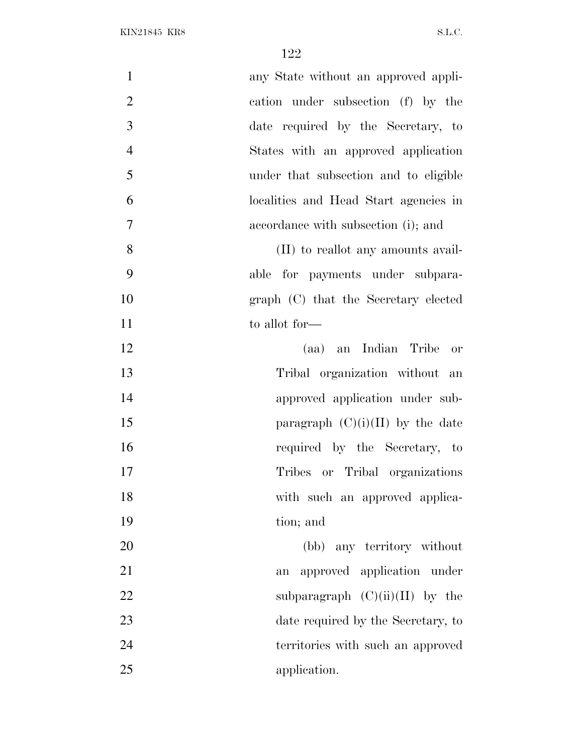| $\mathbf{1}$   | any State without an approved appli-  |
|----------------|---------------------------------------|
| $\overline{2}$ | cation under subsection (f) by the    |
| 3              | date required by the Secretary, to    |
| $\overline{4}$ | States with an approved application   |
| 5              | under that subsection and to eligible |
| 6              | localities and Head Start agencies in |
| $\overline{7}$ | accordance with subsection (i); and   |
| 8              | (II) to reallot any amounts avail-    |
| 9              | able for payments under subpara-      |
| 10             | graph (C) that the Secretary elected  |
| 11             | to allot for—                         |
| 12             | (aa) an Indian Tribe or               |
| 13             | Tribal organization without an        |
| 14             | approved application under sub-       |
| 15             | paragraph $(C)(i)(II)$ by the date    |
| 16             | required by the Secretary, to         |
| 17             | Tribes or Tribal organizations        |
| 18             | with such an approved applica-        |
| 19             | tion; and                             |
| 20             | (bb) any territory without            |
| 21             | approved application under<br>an      |
| 22             | subparagraph $(C)(ii)(II)$ by the     |
| 23             | date required by the Secretary, to    |
| 24             | territories with such an approved     |
| 25             | application.                          |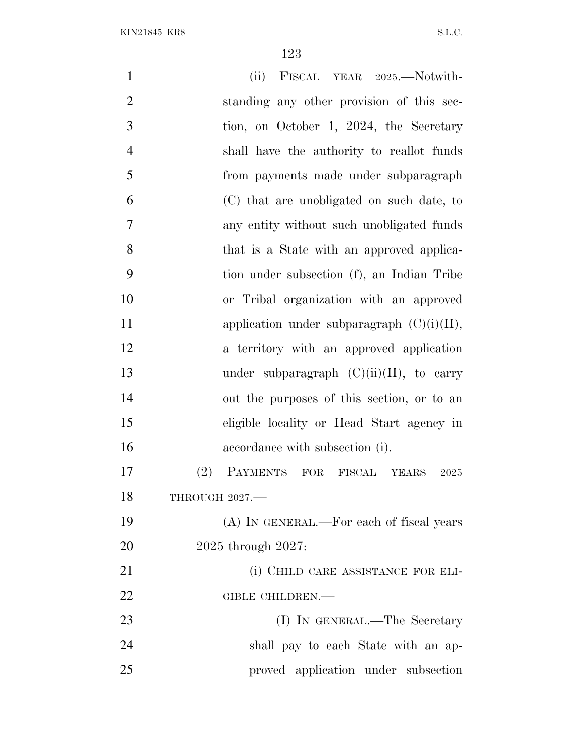| $\mathbf{1}$   | (ii) FISCAL YEAR 2025.—Notwith-               |
|----------------|-----------------------------------------------|
| $\overline{2}$ | standing any other provision of this sec-     |
| 3              | tion, on October 1, 2024, the Secretary       |
| $\overline{4}$ | shall have the authority to reallot funds     |
| 5              | from payments made under subparagraph         |
| 6              | (C) that are unobligated on such date, to     |
| $\overline{7}$ | any entity without such unobligated funds     |
| 8              | that is a State with an approved applica-     |
| 9              | tion under subsection (f), an Indian Tribe    |
| 10             | or Tribal organization with an approved       |
| 11             | application under subparagraph $(C)(i)(II)$ , |
| 12             | a territory with an approved application      |
| 13             | under subparagraph $(C)(ii)(II)$ , to carry   |
| 14             | out the purposes of this section, or to an    |
| 15             | eligible locality or Head Start agency in     |
| 16             | accordance with subsection (i).               |
| 17             | PAYMENTS FOR FISCAL YEARS<br>(2)<br>2025      |
| 18             | THROUGH 2027.-                                |
| 19             | (A) IN GENERAL.—For each of fiscal years      |
| 20             | $2025$ through $2027$ :                       |
| 21             | (i) CHILD CARE ASSISTANCE FOR ELI-            |
| 22             | GIBLE CHILDREN.-                              |
| 23             | (I) IN GENERAL.—The Secretary                 |
| 24             | shall pay to each State with an ap-           |
| 25             | proved application under subsection           |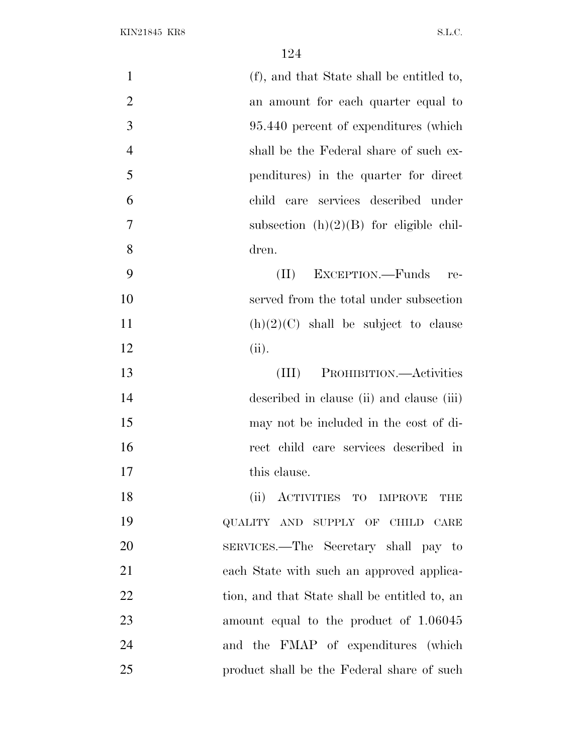| $\mathbf{1}$   | (f), and that State shall be entitled to,     |
|----------------|-----------------------------------------------|
| $\overline{2}$ | an amount for each quarter equal to           |
| 3              | 95.440 percent of expenditures (which         |
| $\overline{4}$ | shall be the Federal share of such ex-        |
| 5              | penditures) in the quarter for direct         |
| 6              | child care services described under           |
| 7              | subsection $(h)(2)(B)$ for eligible chil-     |
| 8              | dren.                                         |
| 9              | EXCEPTION.—Funds re-<br>$(\Pi)$               |
| 10             | served from the total under subsection        |
| 11             | $(h)(2)(C)$ shall be subject to clause        |
| 12             | (ii).                                         |
| 13             | PROHIBITION.—Activities<br>(III)              |
| 14             | described in clause (ii) and clause (iii)     |
| 15             | may not be included in the cost of di-        |
| 16             | rect child care services described in         |
| 17             | this clause.                                  |
| 18             | (ii) ACTIVITIES TO IMPROVE<br>THE             |
| 19             | QUALITY AND SUPPLY OF CHILD CARE              |
| 20             | SERVICES.—The Secretary shall pay to          |
| 21             | each State with such an approved applica-     |
| 22             | tion, and that State shall be entitled to, an |
| 23             | amount equal to the product of 1.06045        |
| 24             | and the FMAP of expenditures (which           |
| 25             | product shall be the Federal share of such    |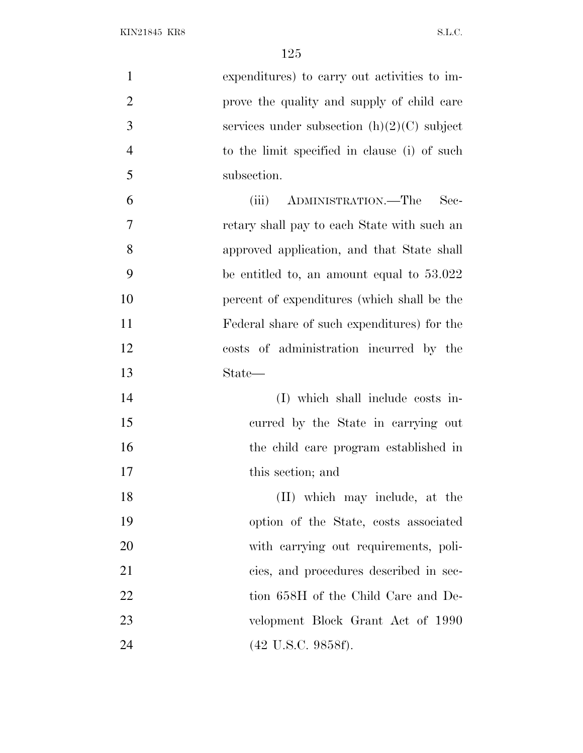KIN21845 KR8 S.L.C.

| $\mathbf{1}$   | expenditures) to carry out activities to im-  |
|----------------|-----------------------------------------------|
| $\overline{2}$ | prove the quality and supply of child care    |
| 3              | services under subsection $(h)(2)(C)$ subject |
| $\overline{4}$ | to the limit specified in clause (i) of such  |
| 5              | subsection.                                   |
| 6              | ADMINISTRATION.—The<br>Sec-<br>(iii)          |
| 7              | retary shall pay to each State with such an   |
| 8              | approved application, and that State shall    |
| 9              | be entitled to, an amount equal to $53.022$   |
| 10             | percent of expenditures (which shall be the   |
| 11             | Federal share of such expenditures) for the   |
| 12             | costs of administration incurred by the       |
| 13             | State—                                        |
| 14             | (I) which shall include costs in-             |
| 15             | curred by the State in carrying out           |
| 16             | the child care program established in         |
| 17             | this section; and                             |
| 18             | (II) which may include, at the                |
| 19             | option of the State, costs associated         |
| 20             | with carrying out requirements, poli-         |
| 21             | cies, and procedures described in sec-        |
| 22             | tion 658H of the Child Care and De-           |
| 23             | velopment Block Grant Act of 1990             |
| 24             | $(42 \text{ U.S.C. } 9858f).$                 |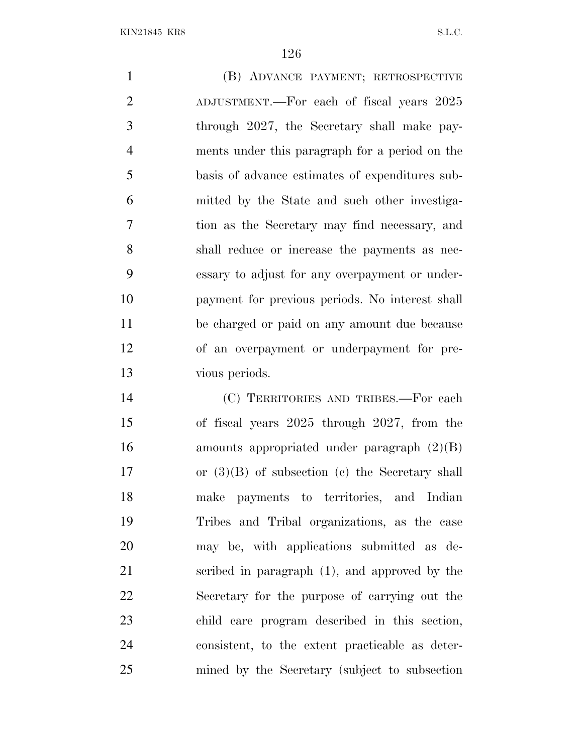(B) ADVANCE PAYMENT; RETROSPECTIVE ADJUSTMENT.—For each of fiscal years 2025 through 2027, the Secretary shall make pay- ments under this paragraph for a period on the basis of advance estimates of expenditures sub- mitted by the State and such other investiga- tion as the Secretary may find necessary, and shall reduce or increase the payments as nec- essary to adjust for any overpayment or under- payment for previous periods. No interest shall be charged or paid on any amount due because of an overpayment or underpayment for pre-vious periods.

 (C) TERRITORIES AND TRIBES.—For each of fiscal years 2025 through 2027, from the amounts appropriated under paragraph (2)(B) or (3)(B) of subsection (c) the Secretary shall make payments to territories, and Indian Tribes and Tribal organizations, as the case may be, with applications submitted as de- scribed in paragraph (1), and approved by the Secretary for the purpose of carrying out the child care program described in this section, consistent, to the extent practicable as deter-mined by the Secretary (subject to subsection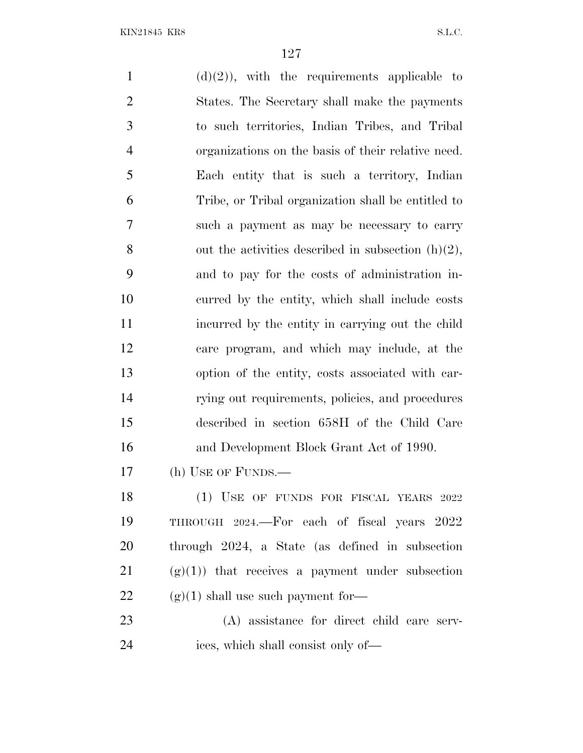$(d)(2)$ , with the requirements applicable to States. The Secretary shall make the payments to such territories, Indian Tribes, and Tribal organizations on the basis of their relative need. Each entity that is such a territory, Indian Tribe, or Tribal organization shall be entitled to such a payment as may be necessary to carry 8 out the activities described in subsection  $(h)(2)$ , and to pay for the costs of administration in- curred by the entity, which shall include costs incurred by the entity in carrying out the child care program, and which may include, at the option of the entity, costs associated with car- rying out requirements, policies, and procedures described in section 658H of the Child Care and Development Block Grant Act of 1990. (h) USE OF FUNDS.— 18 (1) USE OF FUNDS FOR FISCAL YEARS 2022 THROUGH 2024.—For each of fiscal years 2022 through 2024, a State (as defined in subsection (g)(1)) that receives a payment under subsection  $(g)(1)$  shall use such payment for— (A) assistance for direct child care serv-ices, which shall consist only of—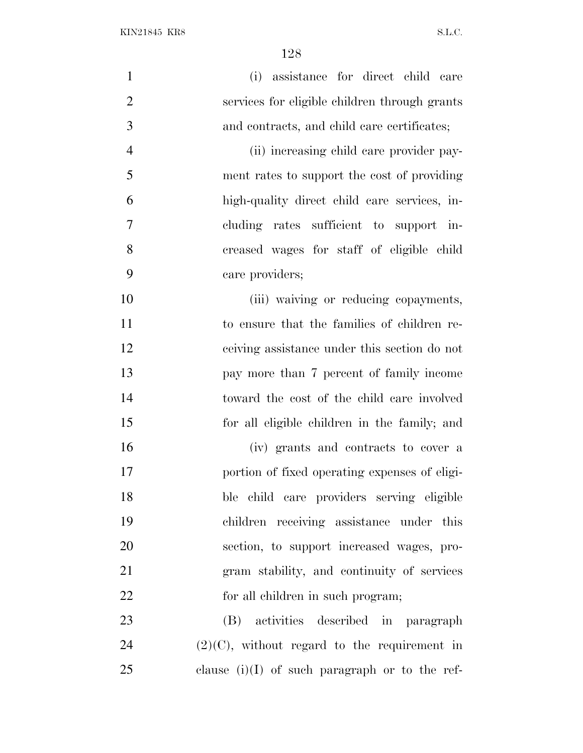| $\mathbf{1}$   | (i) assistance for direct child care             |
|----------------|--------------------------------------------------|
| $\overline{2}$ | services for eligible children through grants    |
| 3              | and contracts, and child care certificates;      |
| $\overline{4}$ | (ii) increasing child care provider pay-         |
| 5              | ment rates to support the cost of providing      |
| 6              | high-quality direct child care services, in-     |
| $\overline{7}$ | cluding rates sufficient to support in-          |
| 8              | creased wages for staff of eligible child        |
| 9              | care providers;                                  |
| 10             | (iii) waiving or reducing copayments,            |
| 11             | to ensure that the families of children re-      |
| 12             | ceiving assistance under this section do not     |
| 13             | pay more than 7 percent of family income         |
| 14             | toward the cost of the child care involved       |
| 15             | for all eligible children in the family; and     |
| 16             | (iv) grants and contracts to cover a             |
| 17             | portion of fixed operating expenses of eligi-    |
| 18             | ble child care providers serving eligible        |
| 19             | children receiving assistance under this         |
| 20             | section, to support increased wages, pro-        |
| 21             | gram stability, and continuity of services       |
| 22             | for all children in such program;                |
| 23             | (B) activities described in paragraph            |
| 24             | $(2)(C)$ , without regard to the requirement in  |
| 25             | clause $(i)(I)$ of such paragraph or to the ref- |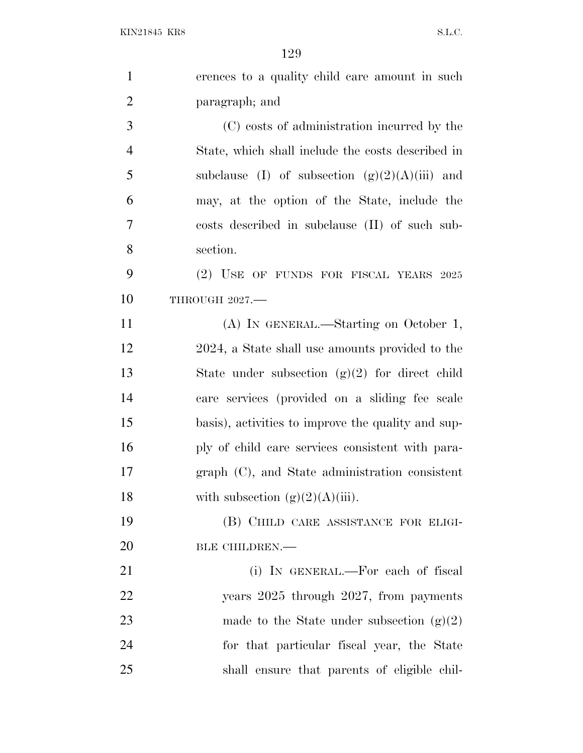| $\mathbf{1}$   | erences to a quality child care amount in such     |
|----------------|----------------------------------------------------|
| $\overline{2}$ | paragraph; and                                     |
| 3              | (C) costs of administration incurred by the        |
| $\overline{4}$ | State, which shall include the costs described in  |
| 5              | subclause (I) of subsection $(g)(2)(A)(iii)$ and   |
| 6              | may, at the option of the State, include the       |
| 7              | costs described in subclause (II) of such sub-     |
| 8              | section.                                           |
| 9              | $(2)$ USE OF FUNDS FOR FISCAL YEARS 2025           |
| 10             | THROUGH 2027.-                                     |
| 11             | (A) IN GENERAL.—Starting on October 1,             |
| 12             | 2024, a State shall use amounts provided to the    |
| 13             | State under subsection $(g)(2)$ for direct child   |
| 14             | care services (provided on a sliding fee scale     |
| 15             | basis), activities to improve the quality and sup- |
| 16             | ply of child care services consistent with para-   |
| 17             | graph (C), and State administration consistent     |
| 18             | with subsection $(g)(2)(A)(iii)$ .                 |
| 19             | (B) CHILD CARE ASSISTANCE FOR ELIGI-               |
| 20             | BLE CHILDREN.-                                     |
| 21             | (i) IN GENERAL.—For each of fiscal                 |
| 22             | years 2025 through 2027, from payments             |
| 23             | made to the State under subsection $(g)(2)$        |
| 24             | for that particular fiscal year, the State         |
| 25             | shall ensure that parents of eligible chil-        |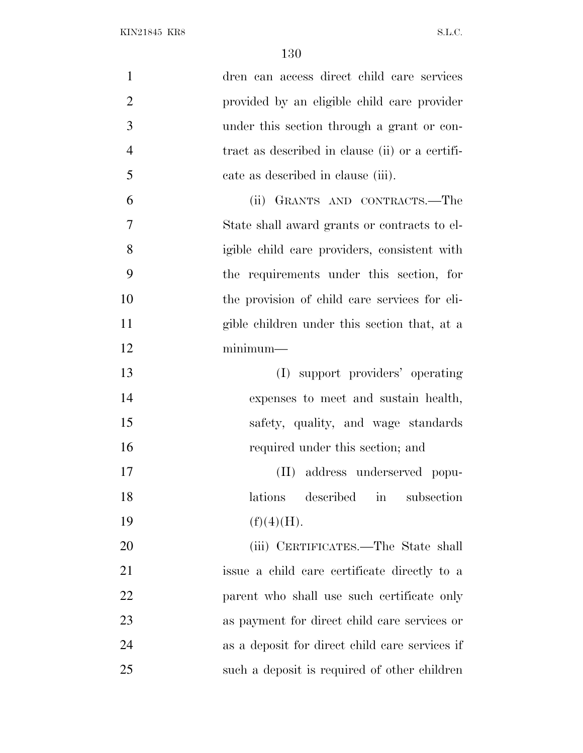| $\mathbf{1}$   | dren can access direct child care services                |
|----------------|-----------------------------------------------------------|
| $\overline{2}$ | provided by an eligible child care provider               |
| 3              | under this section through a grant or con-                |
| $\overline{4}$ | tract as described in clause (ii) or a certifi-           |
| 5              | cate as described in clause (iii).                        |
| 6              | (ii) GRANTS AND CONTRACTS.—The                            |
| 7              | State shall award grants or contracts to el-              |
| 8              | igible child care providers, consistent with              |
| 9              | the requirements under this section, for                  |
| 10             | the provision of child care services for eli-             |
| 11             | gible children under this section that, at a              |
| 12             | $minimum-$                                                |
| 13             | (I) support providers' operating                          |
| 14             | expenses to meet and sustain health,                      |
| 15             | safety, quality, and wage standards                       |
| 16             | required under this section; and                          |
| 17             | (II) address underserved popu-                            |
| 18             | described<br>lations<br>$\operatorname{in}$<br>subsection |
| 19             | (f)(4)(H).                                                |
| 20             | (iii) CERTIFICATES.—The State shall                       |
| 21             | issue a child care certificate directly to a              |
| 22             | parent who shall use such certificate only                |
| 23             | as payment for direct child care services or              |
| 24             | as a deposit for direct child care services if            |
| 25             | such a deposit is required of other children              |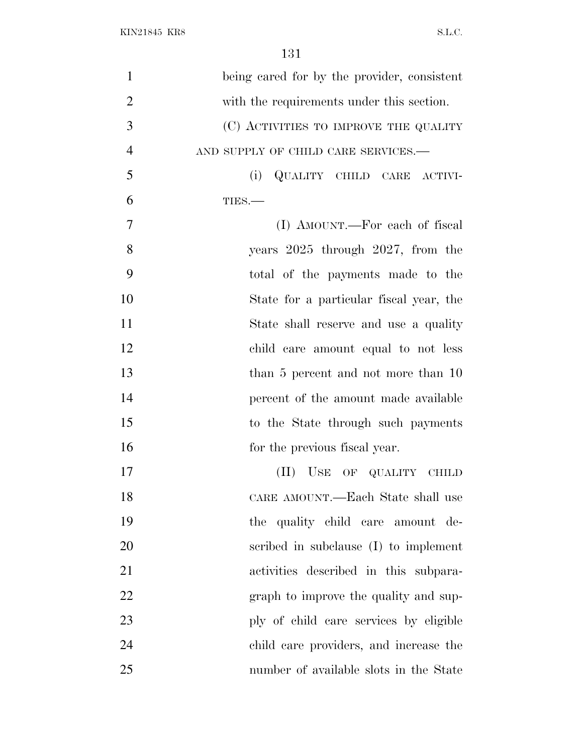| $\mathbf{1}$   | being cared for by the provider, consistent |
|----------------|---------------------------------------------|
| $\overline{2}$ | with the requirements under this section.   |
| 3              | (C) ACTIVITIES TO IMPROVE THE QUALITY       |
| $\overline{4}$ | AND SUPPLY OF CHILD CARE SERVICES.-         |
| 5              | (i)<br>QUALITY CHILD CARE ACTIVI-           |
| 6              | TIES.-                                      |
| 7              | (I) AMOUNT.—For each of fiscal              |
| 8              | years $2025$ through $2027$ , from the      |
| 9              | total of the payments made to the           |
| 10             | State for a particular fiscal year, the     |
| 11             | State shall reserve and use a quality       |
| 12             | child care amount equal to not less         |
| 13             | than 5 percent and not more than 10         |
| 14             | percent of the amount made available        |
| 15             | to the State through such payments          |
| 16             | for the previous fiscal year.               |
| 17             | USE OF QUALITY CHILD<br>(II)                |
| 18             | CARE AMOUNT.—Each State shall use           |
| 19             | the quality child care amount de-           |
| 20             | scribed in subclause (I) to implement       |
| 21             | activities described in this subpara-       |
| 22             | graph to improve the quality and sup-       |
| 23             | ply of child care services by eligible      |
| 24             | child care providers, and increase the      |
| 25             | number of available slots in the State      |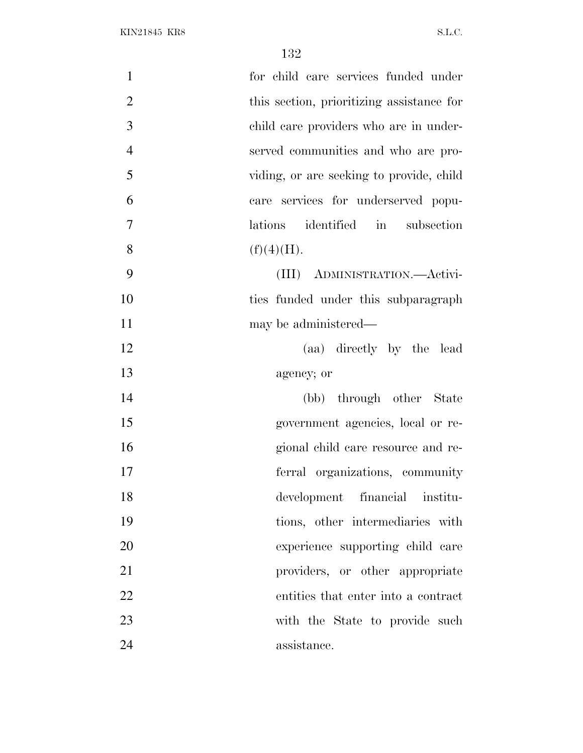| $\mathbf{1}$   | for child care services funded under      |
|----------------|-------------------------------------------|
| $\overline{2}$ | this section, prioritizing assistance for |
| 3              | child care providers who are in under-    |
| $\overline{4}$ | served communities and who are pro-       |
| 5              | viding, or are seeking to provide, child  |
| 6              | care services for underserved popu-       |
| $\overline{7}$ | lations identified in subsection          |
| 8              | (f)(4)(H).                                |
| 9              | (III) ADMINISTRATION.- Activi-            |
| 10             | ties funded under this subparagraph       |
| 11             | may be administered—                      |
| 12             | (aa) directly by the lead                 |
| 13             | agency; or                                |
| 14             | (bb) through other State                  |
| 15             | government agencies, local or re-         |
| 16             | gional child care resource and re-        |
| 17             | ferral organizations, community           |
| 18             | development financial institu-            |
| 19             | tions, other intermediaries with          |
| 20             | experience supporting child care          |
| 21             | providers, or other appropriate           |
| 22             | entities that enter into a contract       |
| 23             | with the State to provide such            |
| 24             | assistance.                               |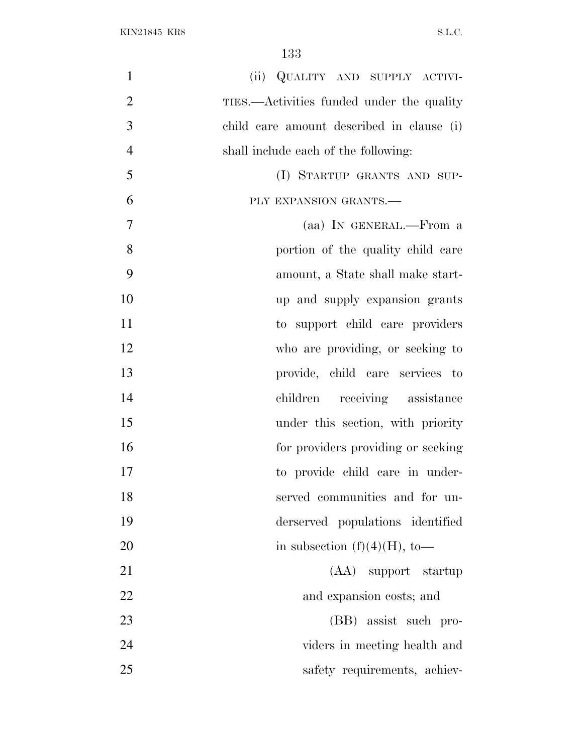| $\mathbf{1}$<br>(ii) QUALITY AND SUPPLY ACTIVI-             |
|-------------------------------------------------------------|
| $\overline{2}$<br>TIES.—Activities funded under the quality |
| 3<br>child care amount described in clause (i)              |
| $\overline{4}$<br>shall include each of the following:      |
| 5<br>(I) STARTUP GRANTS AND SUP-                            |
| 6<br>PLY EXPANSION GRANTS.-                                 |
| $\tau$<br>(aa) IN GENERAL.—From a                           |
| 8<br>portion of the quality child care                      |
| 9<br>amount, a State shall make start-                      |
| 10<br>up and supply expansion grants                        |
| 11<br>to support child care providers                       |
| 12<br>who are providing, or seeking to                      |
| 13<br>provide, child care services to                       |
| 14<br>receiving assistance<br>children                      |
| 15<br>under this section, with priority                     |
| 16<br>for providers providing or seeking                    |
| 17<br>to provide child care in under-                       |
| 18<br>served communities and for un-                        |
| 19<br>derserved populations identified                      |
| 20<br>in subsection $(f)(4)(H)$ , to-                       |
| 21<br>(AA) support startup                                  |
| 22<br>and expansion costs; and                              |
| 23<br>(BB) assist such pro-                                 |
| 24<br>viders in meeting health and                          |
| 25<br>safety requirements, achiev-                          |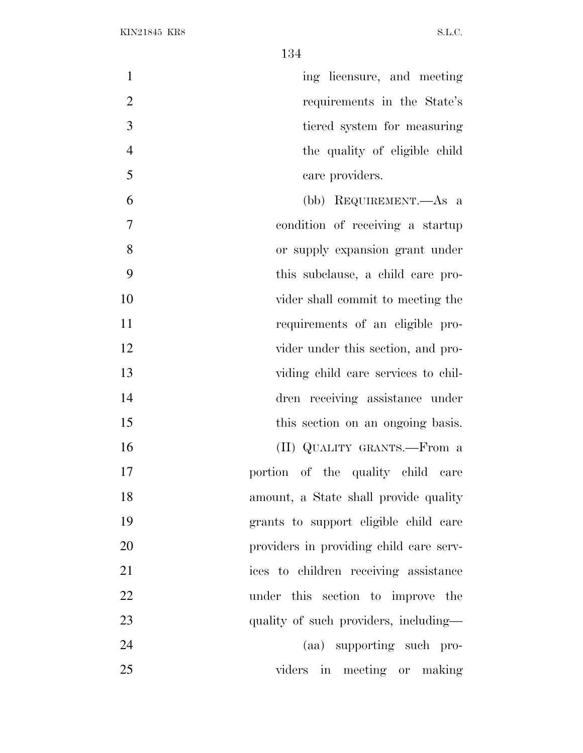| $\mathbf{1}$   | ing licensure, and meeting              |
|----------------|-----------------------------------------|
| $\overline{2}$ | requirements in the State's             |
| 3              | tiered system for measuring             |
| $\overline{4}$ | the quality of eligible child           |
| 5              | care providers.                         |
| 6              | (bb) REQUIREMENT.—As a                  |
| $\overline{7}$ | condition of receiving a startup        |
| 8              | or supply expansion grant under         |
| 9              | this subclause, a child care pro-       |
| 10             | vider shall commit to meeting the       |
| 11             | requirements of an eligible pro-        |
| 12             | vider under this section, and pro-      |
| 13             | viding child care services to chil-     |
| 14             | dren receiving assistance under         |
| 15             | this section on an ongoing basis.       |
| 16             | (II) QUALITY GRANTS.—From a             |
| 17             | portion of the quality child care       |
| 18             | amount, a State shall provide quality   |
| 19             | grants to support eligible child care   |
| 20             | providers in providing child care serv- |
| 21             | ices to children receiving assistance   |
| 22             | under this section to improve the       |
| 23             | quality of such providers, including—   |
| 24             | (aa) supporting such pro-               |
| 25             | viders in meeting or making             |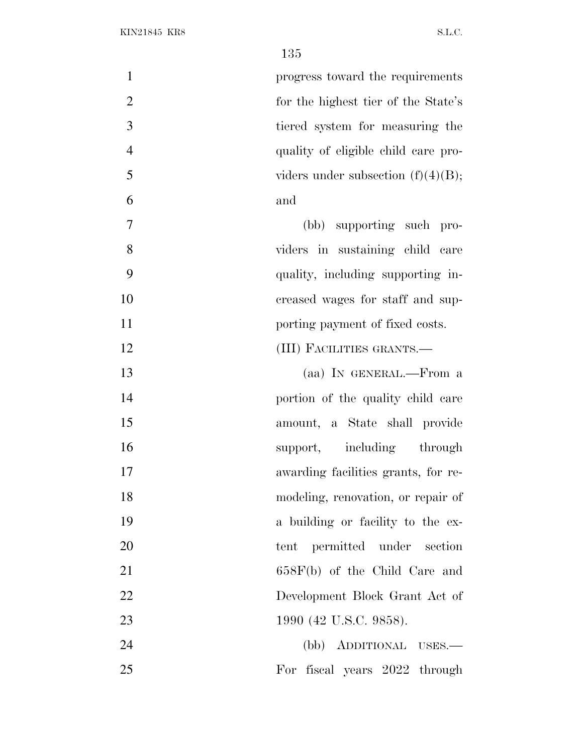| $\mathbf{1}$     | progress toward the requirements      |
|------------------|---------------------------------------|
| $\overline{2}$   | for the highest tier of the State's   |
| $\overline{3}$   | tiered system for measuring the       |
| $\overline{4}$   | quality of eligible child care pro-   |
| 5                | viders under subsection $(f)(4)(B)$ ; |
| 6                | and                                   |
| $\boldsymbol{7}$ | (bb) supporting such pro-             |
| 8                | viders in sustaining child care       |
| 9                | quality, including supporting in-     |
| 10               | creased wages for staff and sup-      |
| 11               | porting payment of fixed costs.       |
| 12               | (III) FACILITIES GRANTS.—             |
| 13               | (aa) IN GENERAL.—From a               |
| 14               | portion of the quality child care     |
| 15               | amount, a State shall provide         |
| 16               | support, including through            |
| 17               | awarding facilities grants, for re-   |
| 18               | modeling, renovation, or repair of    |
| 19               | a building or facility to the ex-     |
| 20               | tent permitted under section          |
| 21               | $658F(b)$ of the Child Care and       |
| 22               | Development Block Grant Act of        |
| 23               | 1990 (42 U.S.C. 9858).                |
| 24               | ADDITIONAL USES.<br>(bb)              |
| 25               | For fiscal years 2022 through         |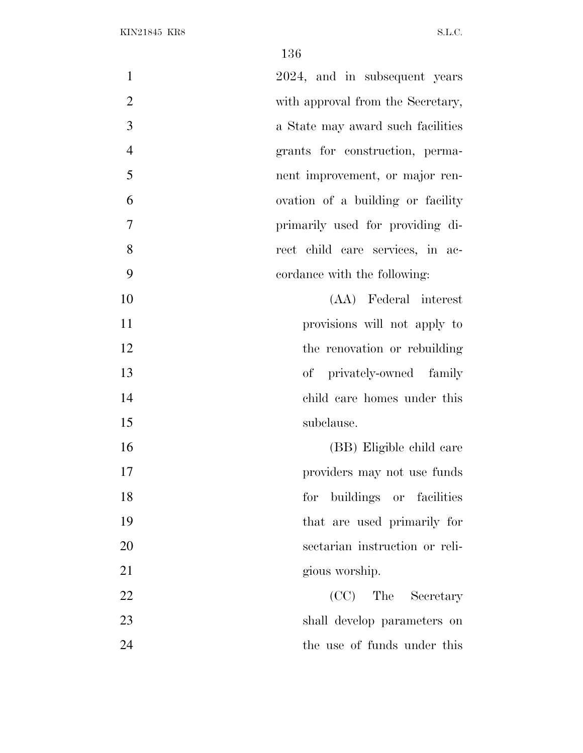| $\mathbf{1}$   | 2024, and in subsequent years     |
|----------------|-----------------------------------|
| $\overline{2}$ | with approval from the Secretary, |
| 3              | a State may award such facilities |
| $\overline{4}$ | grants for construction, perma-   |
| 5              | nent improvement, or major ren-   |
| 6              | ovation of a building or facility |
| 7              | primarily used for providing di-  |
| 8              | rect child care services, in ac-  |
| 9              | cordance with the following:      |
| 10             | (AA) Federal interest             |
| 11             | provisions will not apply to      |
| 12             | the renovation or rebuilding      |
| 13             | of privately-owned family         |
| 14             | child care homes under this       |
| 15             | subclause.                        |
| 16             | (BB) Eligible child care          |
| 17             | providers may not use funds       |
| 18             | buildings or facilities<br>for    |
| 19             | that are used primarily for       |
| 20             | sectarian instruction or reli-    |
| 21             | gious worship.                    |
| 22             | (CC) The Secretary                |
| 23             | shall develop parameters on       |
| 24             | the use of funds under this       |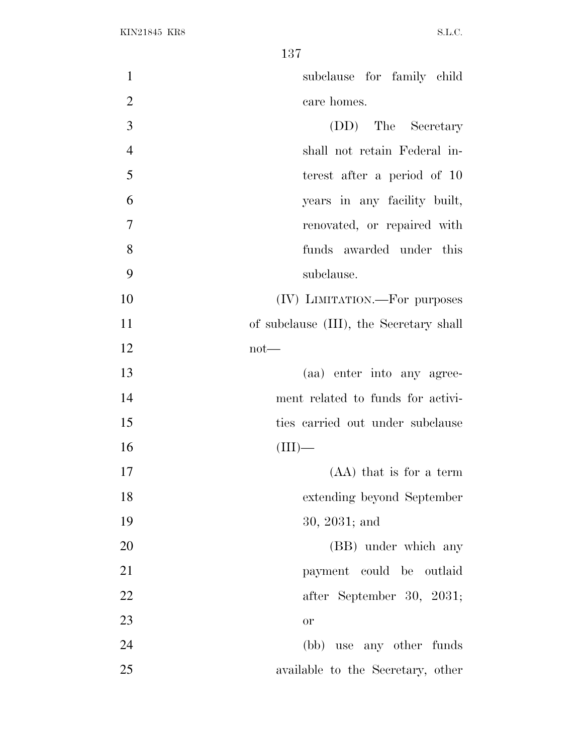| $\mathbf{1}$   | subclause for family child              |
|----------------|-----------------------------------------|
| $\overline{2}$ | care homes.                             |
| 3              | (DD) The Secretary                      |
| $\overline{4}$ | shall not retain Federal in-            |
| 5              | terest after a period of 10             |
| 6              | years in any facility built,            |
| 7              | renovated, or repaired with             |
| 8              | funds awarded under this                |
| 9              | subclause.                              |
| 10             | (IV) LIMITATION.—For purposes           |
| 11             | of subclause (III), the Secretary shall |
| 12             | $not$ —                                 |
| 13             | (aa) enter into any agree-              |
| 14             | ment related to funds for activi-       |
| 15             | ties carried out under subclause        |
| 16             | $\Gamma$ —                              |
| 17             | $(AA)$ that is for a term               |
| 18             | extending beyond September              |
| 19             | 30, 2031; and                           |
| 20             | (BB) under which any                    |
| 21             | payment could be outlaid                |
| 22             | after September 30, 2031;               |
| 23             | or                                      |
| 24             | (bb) use any other funds                |
| 25             | available to the Secretary, other       |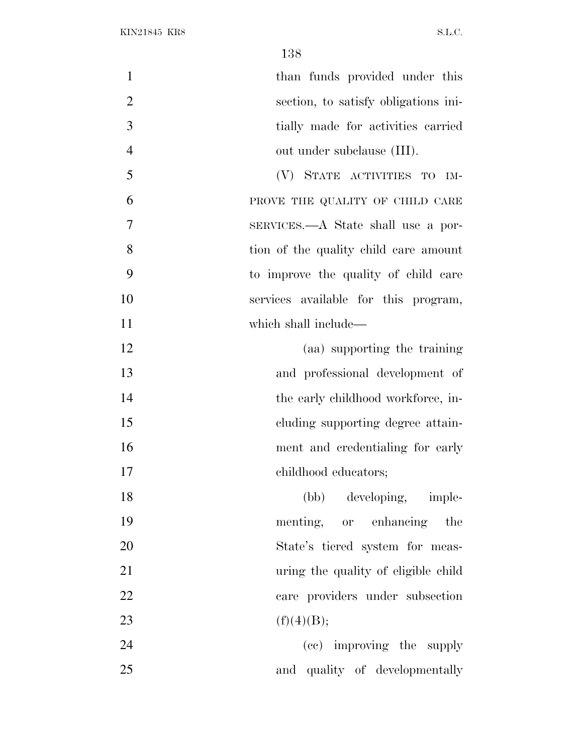| $\mathbf{1}$<br>than funds provided under this         |  |
|--------------------------------------------------------|--|
| $\overline{2}$<br>section, to satisfy obligations ini- |  |
| 3<br>tially made for activities carried                |  |
| $\overline{4}$<br>out under subclause (III).           |  |
| 5<br>(V) STATE ACTIVITIES TO IM-                       |  |
| 6<br>PROVE THE QUALITY OF CHILD CARE                   |  |
| 7<br>SERVICES.—A State shall use a por-                |  |
| 8<br>tion of the quality child care amount             |  |
| 9<br>to improve the quality of child care              |  |
| 10<br>services available for this program,             |  |
| 11<br>which shall include—                             |  |
| 12<br>(aa) supporting the training                     |  |
| 13<br>and professional development of                  |  |
| 14<br>the early childhood workforce, in-               |  |
| 15<br>eluding supporting degree attain-                |  |
| 16<br>ment and credentialing for early                 |  |
| 17<br>childhood educators;                             |  |
| (bb) developing, imple-<br>18                          |  |
| 19<br>menting, or enhancing the                        |  |
| 20<br>State's tiered system for meas-                  |  |
| 21<br>uring the quality of eligible child              |  |
| 22<br>care providers under subsection                  |  |
| 23<br>(f)(4)(B);                                       |  |
| 24<br>(cc) improving the supply                        |  |
| 25<br>and quality of developmentally                   |  |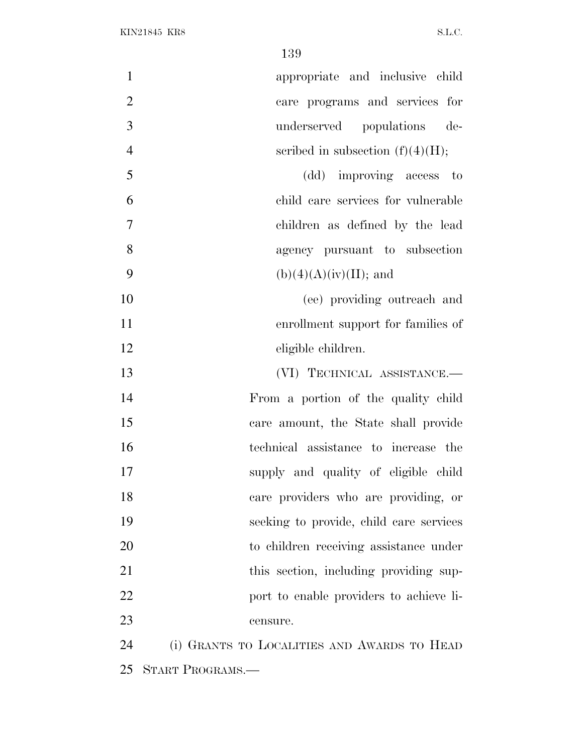| $\mathbf{1}$<br>appropriate and inclusive child      |
|------------------------------------------------------|
| $\overline{2}$<br>care programs and services for     |
| 3<br>underserved populations de-                     |
| $\overline{4}$<br>scribed in subsection $(f)(4)(H);$ |
| 5<br>(dd) improving access to                        |
| 6<br>child care services for vulnerable              |
| 7<br>children as defined by the lead                 |
| 8<br>agency pursuant to subsection                   |
| 9<br>$(b)(4)(A)(iv)(II);$ and                        |
| 10<br>(ee) providing outreach and                    |
| 11<br>enrollment support for families of             |
| 12<br>eligible children.                             |
| 13<br>(VI) TECHNICAL ASSISTANCE.-                    |
| 14<br>From a portion of the quality child            |
| 15<br>care amount, the State shall provide           |
| 16<br>technical assistance to increase the           |
| 17<br>supply and quality of eligible child           |
| 18<br>care providers who are providing, or           |
| 19<br>seeking to provide, child care services        |
| 20<br>to children receiving assistance under         |
| 21<br>this section, including providing sup-         |
| 22<br>port to enable providers to achieve li-        |
| 23<br>censure.                                       |
| 24<br>(i) GRANTS TO LOCALITIES AND AWARDS TO HEAD    |
| 25<br>START PROGRAMS.                                |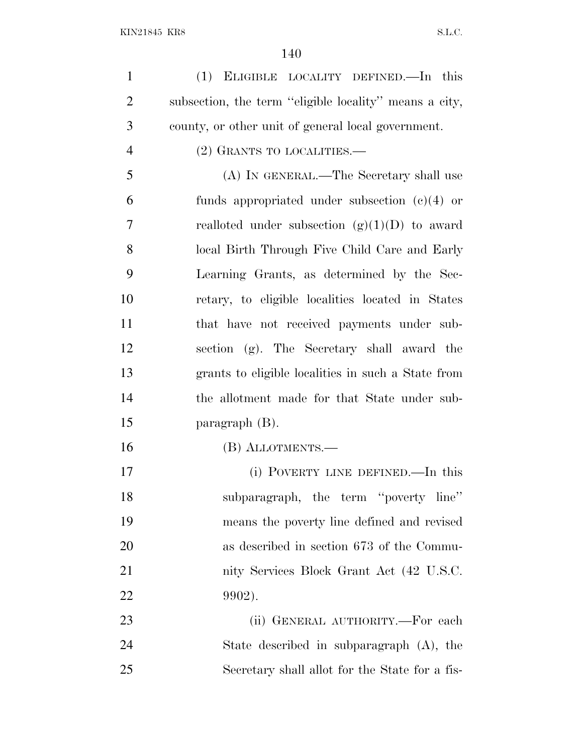(1) ELIGIBLE LOCALITY DEFINED.—In this subsection, the term ''eligible locality'' means a city, county, or other unit of general local government.

(2) GRANTS TO LOCALITIES.—

 (A) IN GENERAL.—The Secretary shall use funds appropriated under subsection (c)(4) or 7 realloted under subsection  $(g)(1)(D)$  to award local Birth Through Five Child Care and Early Learning Grants, as determined by the Sec- retary, to eligible localities located in States that have not received payments under sub- section (g). The Secretary shall award the grants to eligible localities in such a State from the allotment made for that State under sub-paragraph (B).

(B) ALLOTMENTS.—

 (i) POVERTY LINE DEFINED.—In this subparagraph, the term ''poverty line'' means the poverty line defined and revised as described in section 673 of the Commu-21 nity Services Block Grant Act (42 U.S.C. 9902).

23 (ii) GENERAL AUTHORITY.—For each State described in subparagraph (A), the Secretary shall allot for the State for a fis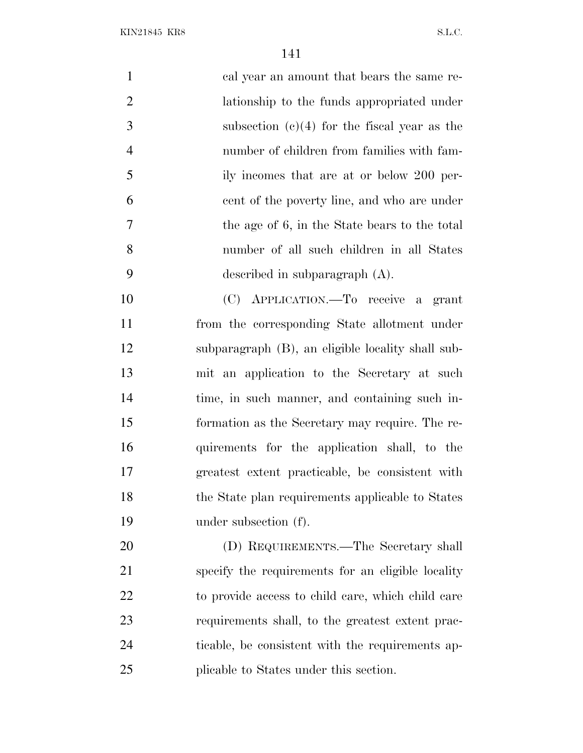KIN21845 KR8 S.L.C.

 cal year an amount that bears the same re- lationship to the funds appropriated under subsection (c)(4) for the fiscal year as the number of children from families with fam- ily incomes that are at or below 200 per- cent of the poverty line, and who are under the age of 6, in the State bears to the total number of all such children in all States described in subparagraph (A). (C) APPLICATION.—To receive a grant from the corresponding State allotment under subparagraph (B), an eligible locality shall sub-mit an application to the Secretary at such

 time, in such manner, and containing such in- formation as the Secretary may require. The re- quirements for the application shall, to the greatest extent practicable, be consistent with 18 the State plan requirements applicable to States under subsection (f).

 (D) REQUIREMENTS.—The Secretary shall specify the requirements for an eligible locality to provide access to child care, which child care requirements shall, to the greatest extent prac- ticable, be consistent with the requirements ap-plicable to States under this section.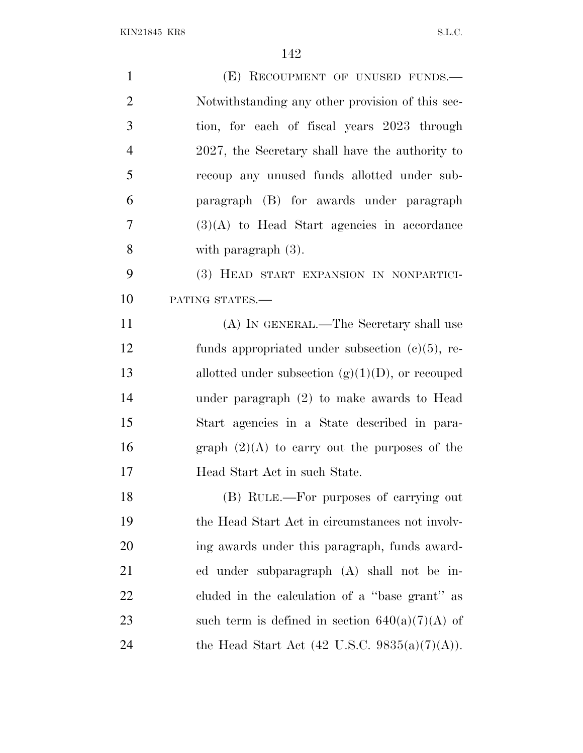| $\mathbf{1}$   | (E) RECOUPMENT OF UNUSED FUNDS.                     |
|----------------|-----------------------------------------------------|
| $\overline{2}$ | Notwithstanding any other provision of this sec-    |
| 3              | tion, for each of fiscal years 2023 through         |
| $\overline{4}$ | 2027, the Secretary shall have the authority to     |
| 5              | recoup any unused funds allotted under sub-         |
| 6              | paragraph (B) for awards under paragraph            |
| 7              | $(3)(A)$ to Head Start agencies in accordance       |
| 8              | with paragraph $(3)$ .                              |
| 9              | (3) HEAD START EXPANSION IN NONPARTICI-             |
| 10             | PATING STATES.-                                     |
| 11             | (A) IN GENERAL.—The Secretary shall use             |
| 12             | funds appropriated under subsection $(c)(5)$ , re-  |
| 13             | allotted under subsection $(g)(1)(D)$ , or recouped |
| 14             | under paragraph $(2)$ to make awards to Head        |
| 15             | Start agencies in a State described in para-        |
| 16             | graph $(2)(A)$ to carry out the purposes of the     |
| 17             | Head Start Act in such State.                       |
| 18             | (B) RULE.—For purposes of carrying out              |
| 19             | the Head Start Act in circumstances not involv-     |
| 20             | ing awards under this paragraph, funds award-       |
| 21             | ed under subparagraph (A) shall not be in-          |
| 22             | cluded in the calculation of a "base grant" as      |
| 23             | such term is defined in section $640(a)(7)(A)$ of   |
| 24             | the Head Start Act (42 U.S.C. 9835(a)(7)(A)).       |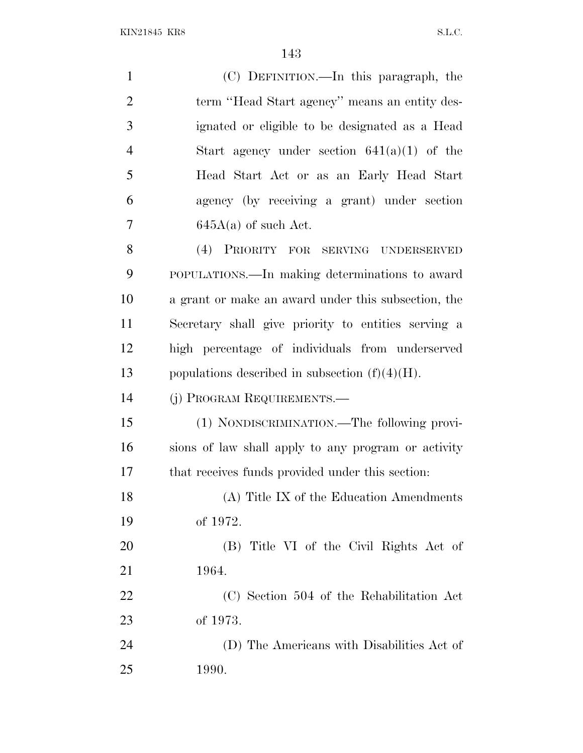KIN21845 KR8 S.L.C.

| $\mathbf{1}$   | (C) DEFINITION.—In this paragraph, the              |
|----------------|-----------------------------------------------------|
| $\overline{2}$ | term "Head Start agency" means an entity des-       |
| 3              | ignated or eligible to be designated as a Head      |
| $\overline{4}$ | Start agency under section $641(a)(1)$ of the       |
| 5              | Head Start Act or as an Early Head Start            |
| 6              | agency (by receiving a grant) under section         |
| 7              | $645A(a)$ of such Act.                              |
| 8              | (4) PRIORITY FOR SERVING UNDERSERVED                |
| 9              | POPULATIONS.—In making determinations to award      |
| 10             | a grant or make an award under this subsection, the |
| 11             | Secretary shall give priority to entities serving a |
| 12             | high percentage of individuals from underserved     |
| 13             | populations described in subsection $(f)(4)(H)$ .   |
| 14             | (j) PROGRAM REQUIREMENTS.—                          |
| 15             | (1) NONDISCRIMINATION.—The following provi-         |
| 16             | sions of law shall apply to any program or activity |
| 17             | that receives funds provided under this section:    |
| 18             | (A) Title IX of the Education Amendments            |
| 19             | of 1972.                                            |
| 20             | (B) Title VI of the Civil Rights Act of             |
| 21             | 1964.                                               |
| 22             | (C) Section 504 of the Rehabilitation Act           |
| 23             | of 1973.                                            |
| 24             | (D) The Americans with Disabilities Act of          |
| 25             | <b>1990.</b>                                        |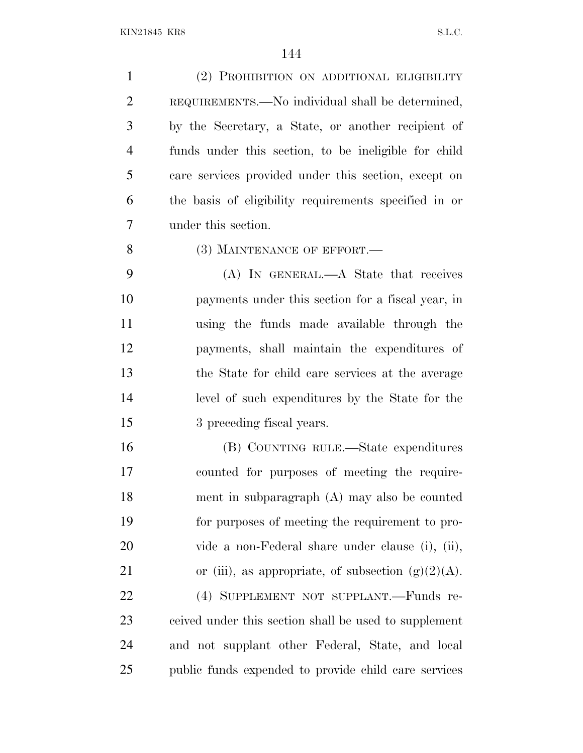(2) PROHIBITION ON ADDITIONAL ELIGIBILITY REQUIREMENTS.—No individual shall be determined, by the Secretary, a State, or another recipient of funds under this section, to be ineligible for child care services provided under this section, except on the basis of eligibility requirements specified in or under this section. 8 (3) MAINTENANCE OF EFFORT. (A) IN GENERAL.—A State that receives payments under this section for a fiscal year, in using the funds made available through the payments, shall maintain the expenditures of the State for child care services at the average level of such expenditures by the State for the 3 preceding fiscal years. (B) COUNTING RULE.—State expenditures counted for purposes of meeting the require- ment in subparagraph (A) may also be counted for purposes of meeting the requirement to pro- vide a non-Federal share under clause (i), (ii), 21 or (iii), as appropriate, of subsection  $(g)(2)(A)$ . (4) SUPPLEMENT NOT SUPPLANT.—Funds re- ceived under this section shall be used to supplement and not supplant other Federal, State, and local public funds expended to provide child care services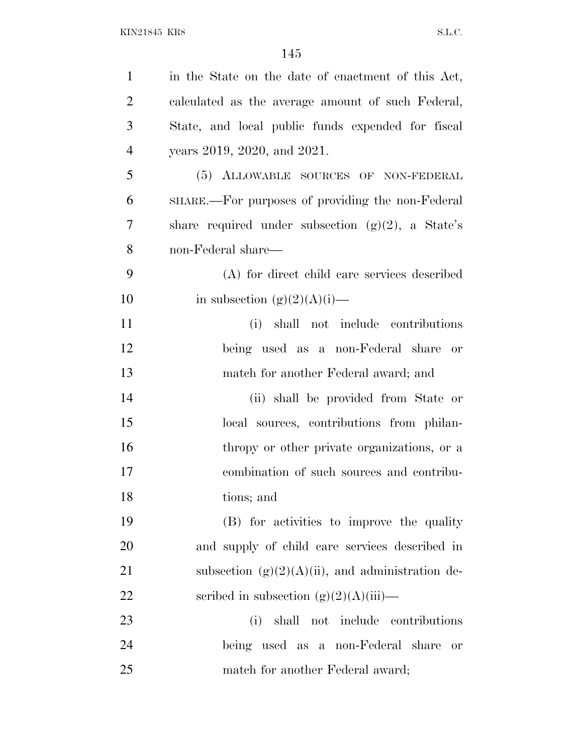| $\mathbf{1}$   | in the State on the date of enactment of this Act,   |
|----------------|------------------------------------------------------|
| $\overline{2}$ | calculated as the average amount of such Federal,    |
| 3              | State, and local public funds expended for fiscal    |
| $\overline{4}$ | years 2019, 2020, and 2021.                          |
| 5              | (5) ALLOWABLE SOURCES OF NON-FEDERAL                 |
| 6              | SHARE.—For purposes of providing the non-Federal     |
| 7              | share required under subsection $(g)(2)$ , a State's |
| 8              | non-Federal share—                                   |
| 9              | (A) for direct child care services described         |
| 10             | in subsection $(g)(2)(A)(i)$ —                       |
| 11             | (i) shall not include contributions                  |
| 12             | being used as a non-Federal share or                 |
| 13             | match for another Federal award; and                 |
| 14             | (ii) shall be provided from State or                 |
| 15             | local sources, contributions from philan-            |
| 16             | thropy or other private organizations, or a          |
| 17             | combination of such sources and contribu-            |
| 18             | tions; and                                           |
| 19             | (B) for activities to improve the quality            |
| 20             | and supply of child care services described in       |
| 21             | subsection $(g)(2)(A)(ii)$ , and administration de-  |
| 22             | scribed in subsection $(g)(2)(A)(iii)$ —             |
| 23             | shall not include contributions<br>(i)               |
| 24             | being used as a non-Federal share<br><b>or</b>       |
| 25             | match for another Federal award;                     |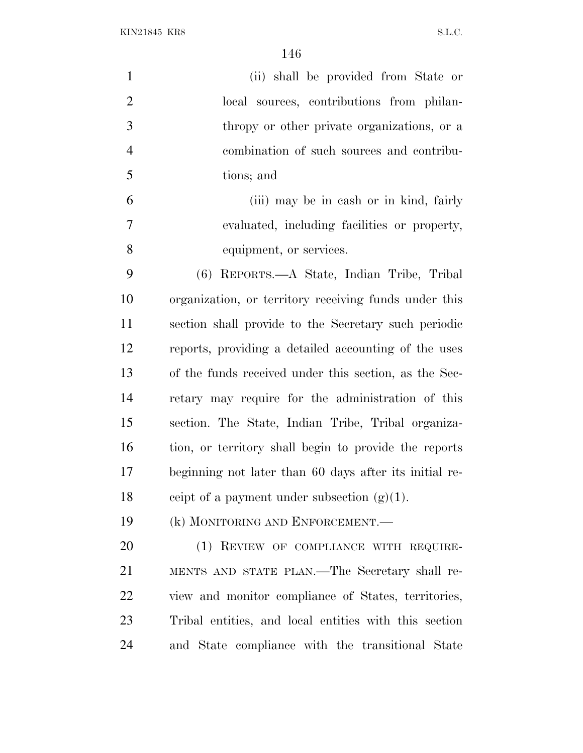$\rm{KIN21845\;\;KRS} \label{eq:KIN21845}$ 

| $\mathbf{1}$   | (ii) shall be provided from State or                   |
|----------------|--------------------------------------------------------|
| $\overline{2}$ | local sources, contributions from philan-              |
| 3              | thropy or other private organizations, or a            |
| $\overline{4}$ | combination of such sources and contribu-              |
| 5              | tions; and                                             |
| 6              | (iii) may be in cash or in kind, fairly                |
| 7              | evaluated, including facilities or property,           |
| 8              | equipment, or services.                                |
| 9              | (6) REPORTS.—A State, Indian Tribe, Tribal             |
| 10             | organization, or territory receiving funds under this  |
| 11             | section shall provide to the Secretary such periodic   |
| 12             | reports, providing a detailed accounting of the uses   |
| 13             | of the funds received under this section, as the Sec-  |
| 14             | retary may require for the administration of this      |
| 15             | section. The State, Indian Tribe, Tribal organiza-     |
| 16             | tion, or territory shall begin to provide the reports  |
| 17             | beginning not later than 60 days after its initial re- |
| 18             | ceipt of a payment under subsection $(g)(1)$ .         |
| 19             | (k) MONITORING AND ENFORCEMENT.—                       |
| <b>20</b>      | (1) REVIEW OF COMPLIANCE WITH REQUIRE-                 |
| 21             | MENTS AND STATE PLAN.—The Secretary shall re-          |
| 22             | view and monitor compliance of States, territories,    |
| 23             | Tribal entities, and local entities with this section  |

and State compliance with the transitional State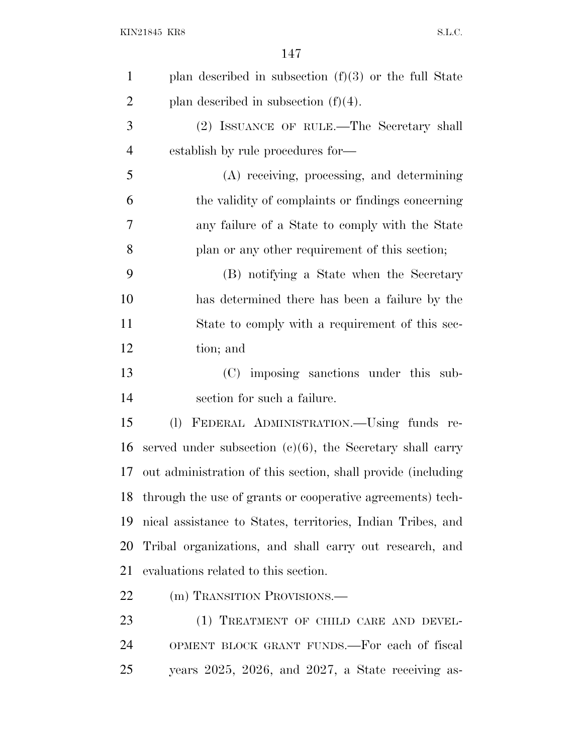| $\mathbf{1}$   | plan described in subsection $(f)(3)$ or the full State      |
|----------------|--------------------------------------------------------------|
| $\overline{2}$ | plan described in subsection $(f)(4)$ .                      |
| 3              | (2) ISSUANCE OF RULE.—The Secretary shall                    |
| $\overline{4}$ | establish by rule procedures for—                            |
| 5              | (A) receiving, processing, and determining                   |
| 6              | the validity of complaints or findings concerning            |
| 7              | any failure of a State to comply with the State              |
| 8              | plan or any other requirement of this section;               |
| 9              | (B) notifying a State when the Secretary                     |
| 10             | has determined there has been a failure by the               |
| 11             | State to comply with a requirement of this sec-              |
| 12             | tion; and                                                    |
| 13             | (C) imposing sanctions under this sub-                       |
| 14             | section for such a failure.                                  |
| 15             | FEDERAL ADMINISTRATION.—Using funds re-<br>(1)               |
| 16             | served under subsection $(c)(6)$ , the Secretary shall carry |
| 17             | out administration of this section, shall provide (including |
| 18             | through the use of grants or cooperative agreements) tech-   |
| 19             | nical assistance to States, territories, Indian Tribes, and  |
| 20             | Tribal organizations, and shall carry out research, and      |
| 21             | evaluations related to this section.                         |
| <u>22</u>      | (m) TRANSITION PROVISIONS.—                                  |
| 23             | (1) TREATMENT OF CHILD CARE AND DEVEL-                       |
| 24             | OPMENT BLOCK GRANT FUNDS.—For each of fiscal                 |
|                |                                                              |

years 2025, 2026, and 2027, a State receiving as-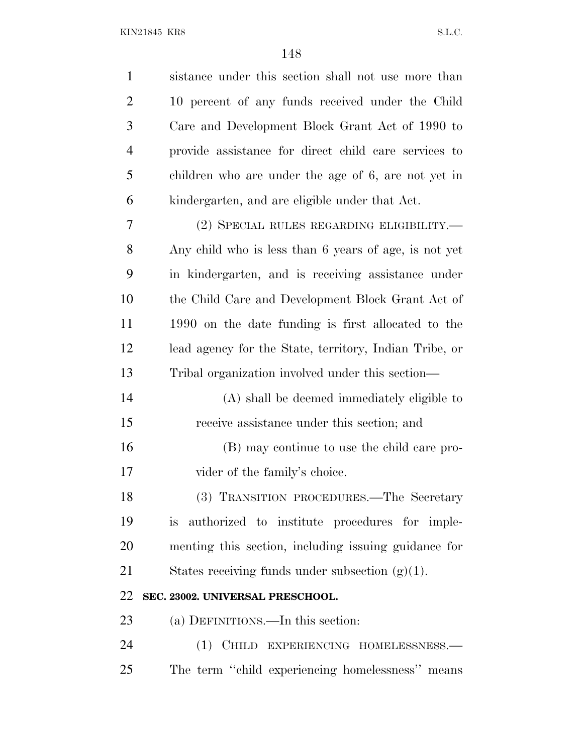| $\mathbf{1}$   | sistance under this section shall not use more than    |
|----------------|--------------------------------------------------------|
| $\overline{2}$ | 10 percent of any funds received under the Child       |
| 3              | Care and Development Block Grant Act of 1990 to        |
| $\overline{4}$ | provide assistance for direct child care services to   |
| 5              | children who are under the age of 6, are not yet in    |
| 6              | kindergarten, and are eligible under that Act.         |
| 7              | (2) SPECIAL RULES REGARDING ELIGIBILITY.—              |
| 8              | Any child who is less than 6 years of age, is not yet  |
| 9              | in kindergarten, and is receiving assistance under     |
| 10             | the Child Care and Development Block Grant Act of      |
| 11             | 1990 on the date funding is first allocated to the     |
| 12             | lead agency for the State, territory, Indian Tribe, or |
| 13             | Tribal organization involved under this section—       |
| 14             | (A) shall be deemed immediately eligible to            |
| 15             | receive assistance under this section; and             |
| 16             | (B) may continue to use the child care pro-            |
| 17             | vider of the family's choice.                          |
| 18             | (3) TRANSITION PROCEDURES.—The Secretary               |
| 19             | authorized to institute procedures for imple-<br>is.   |
| 20             | menting this section, including issuing guidance for   |
| 21             | States receiving funds under subsection $(g)(1)$ .     |
| 22             | SEC. 23002. UNIVERSAL PRESCHOOL.                       |
| 23             | (a) DEFINITIONS.—In this section:                      |
| 24             | (1) CHILD EXPERIENCING HOMELESSNESS.-                  |
| 25             | The term "child experiencing homelessness" means       |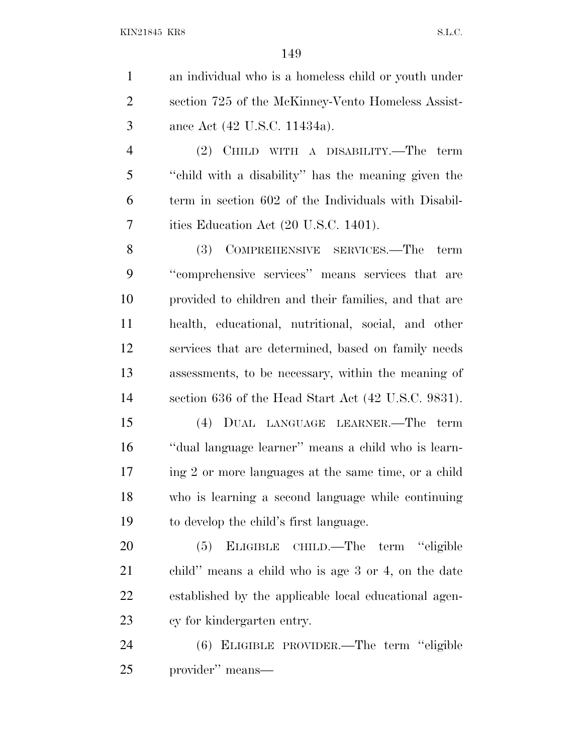an individual who is a homeless child or youth under section 725 of the McKinney-Vento Homeless Assist-ance Act (42 U.S.C. 11434a).

 (2) CHILD WITH A DISABILITY.—The term ''child with a disability'' has the meaning given the term in section 602 of the Individuals with Disabil-ities Education Act (20 U.S.C. 1401).

 (3) COMPREHENSIVE SERVICES.—The term ''comprehensive services'' means services that are provided to children and their families, and that are health, educational, nutritional, social, and other services that are determined, based on family needs assessments, to be necessary, within the meaning of section 636 of the Head Start Act (42 U.S.C. 9831).

 (4) DUAL LANGUAGE LEARNER.—The term ''dual language learner'' means a child who is learn- ing 2 or more languages at the same time, or a child who is learning a second language while continuing to develop the child's first language.

 (5) ELIGIBLE CHILD.—The term ''eligible child'' means a child who is age 3 or 4, on the date established by the applicable local educational agen-cy for kindergarten entry.

 (6) ELIGIBLE PROVIDER.—The term ''eligible provider'' means—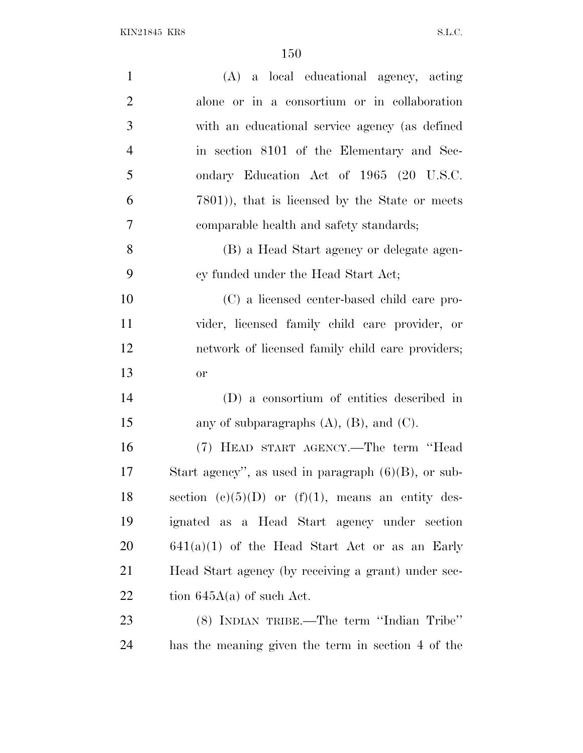| $\mathbf{1}$   | (A) a local educational agency, acting                  |
|----------------|---------------------------------------------------------|
| $\overline{2}$ | alone or in a consortium or in collaboration            |
| 3              | with an educational service agency (as defined          |
| $\overline{4}$ | in section 8101 of the Elementary and Sec-              |
| 5              | ondary Education Act of 1965 (20 U.S.C.                 |
| 6              | 7801)), that is licensed by the State or meets          |
| $\overline{7}$ | comparable health and safety standards;                 |
| 8              | (B) a Head Start agency or delegate agen-               |
| 9              | cy funded under the Head Start Act;                     |
| 10             | (C) a licensed center-based child care pro-             |
| 11             | vider, licensed family child care provider, or          |
| 12             | network of licensed family child care providers;        |
| 13             | <b>or</b>                                               |
| 14             | (D) a consortium of entities described in               |
| 15             | any of subparagraphs $(A)$ , $(B)$ , and $(C)$ .        |
| 16             | (7) HEAD START AGENCY.—The term "Head                   |
| 17             | Start agency", as used in paragraph $(6)(B)$ , or sub-  |
| 18             | section (c) $(5)(D)$ or $(f)(1)$ , means an entity des- |
| 19             | ignated as a Head Start agency under section            |
| 20             | $641(a)(1)$ of the Head Start Act or as an Early        |
| 21             | Head Start agency (by receiving a grant) under sec-     |
| 22             | tion $645A(a)$ of such Act.                             |
| 23             | (8) INDIAN TRIBE.—The term "Indian Tribe"               |
| 24             | has the meaning given the term in section 4 of the      |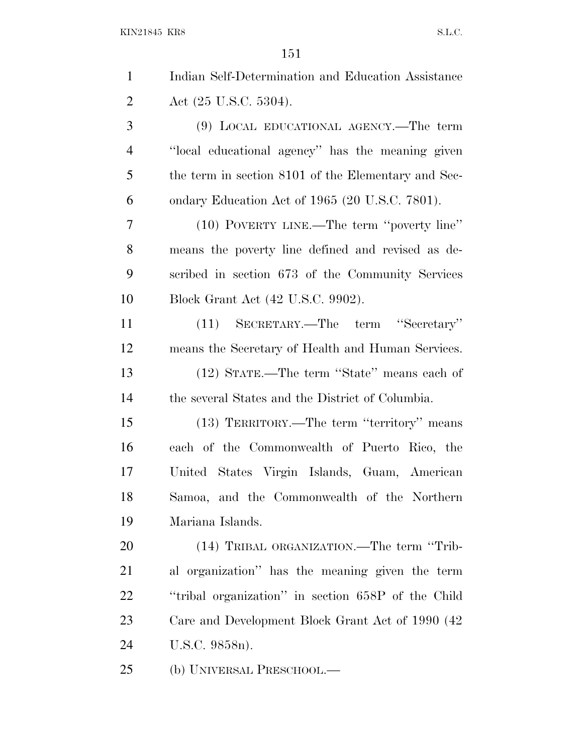| $\mathbf{1}$   | Indian Self-Determination and Education Assistance  |
|----------------|-----------------------------------------------------|
| $\overline{2}$ | Act $(25 \text{ U.S.C. } 5304)$ .                   |
| 3              | (9) LOCAL EDUCATIONAL AGENCY.—The term              |
| 4              | "local educational agency" has the meaning given    |
| 5              | the term in section 8101 of the Elementary and Sec- |
| 6              | ondary Education Act of 1965 (20 U.S.C. 7801).      |
| 7              | (10) POVERTY LINE.—The term "poverty line"          |
| 8              | means the poverty line defined and revised as de-   |
| 9              | scribed in section 673 of the Community Services    |
| 10             | Block Grant Act (42 U.S.C. 9902).                   |
| 11             | (11) SECRETARY.—The term "Secretary"                |
| 12             | means the Secretary of Health and Human Services.   |
| 13             | (12) STATE.—The term "State" means each of          |
| 14             | the several States and the District of Columbia.    |
| 15             | (13) TERRITORY.—The term "territory" means          |
| 16             | each of the Commonwealth of Puerto Rico, the        |
| 17             | United States Virgin Islands, Guam, American        |
| 18             | Samoa, and the Commonwealth of the Northern         |
| 19             | Mariana Islands.                                    |
| 20             | (14) TRIBAL ORGANIZATION.—The term "Trib-           |
| 21             | al organization" has the meaning given the term     |
| 22             | "tribal organization" in section 658P of the Child  |
| 23             | Care and Development Block Grant Act of 1990 (42)   |
| 24             | U.S.C. 9858n).                                      |
| 25             | (b) UNIVERSAL PRESCHOOL.—                           |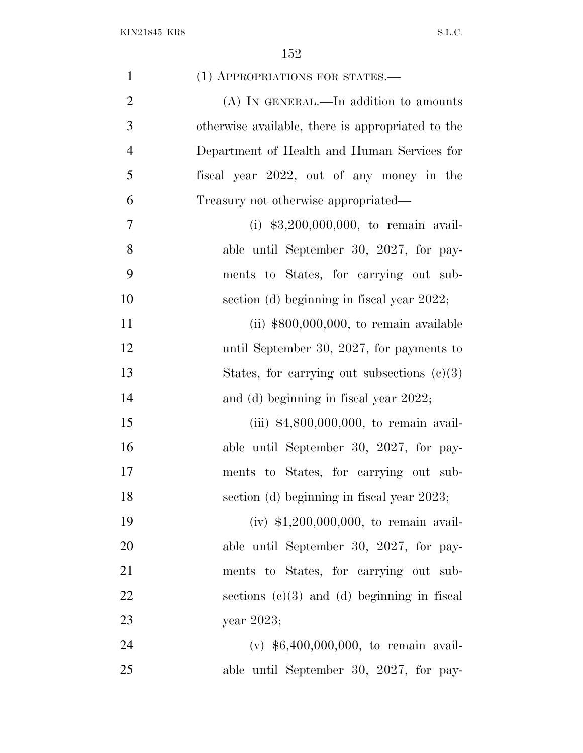| $\mathbf{1}$   | (1) APPROPRIATIONS FOR STATES.-                   |
|----------------|---------------------------------------------------|
| $\overline{2}$ | (A) IN GENERAL.—In addition to amounts            |
| 3              | otherwise available, there is appropriated to the |
| $\overline{4}$ | Department of Health and Human Services for       |
| 5              | fiscal year 2022, out of any money in the         |
| 6              | Treasury not otherwise appropriated—              |
| 7              | (i) $$3,200,000,000$ , to remain avail-           |
| 8              | able until September 30, 2027, for pay-           |
| 9              | ments to States, for carrying out sub-            |
| 10             | section (d) beginning in fiscal year 2022;        |
| 11             | (ii) $$800,000,000$ , to remain available         |
| 12             | until September 30, 2027, for payments to         |
| 13             | States, for carrying out subsections $(c)(3)$     |
| 14             | and (d) beginning in fiscal year 2022;            |
| 15             | (iii) $$4,800,000,000$ , to remain avail-         |
| 16             | able until September 30, 2027, for pay-           |
| 17             | ments to States, for carrying out sub-            |
| 18             | section (d) beginning in fiscal year 2023;        |
| 19             | (iv) $$1,200,000,000$ , to remain avail-          |
| 20             | able until September 30, 2027, for pay-           |
| 21             | ments to States, for carrying out sub-            |
| 22             | sections $(c)(3)$ and $(d)$ beginning in fiscal   |
| 23             | year 2023;                                        |
| 24             | (v) $$6,400,000,000$ , to remain avail-           |
| 25             | able until September 30, 2027, for pay-           |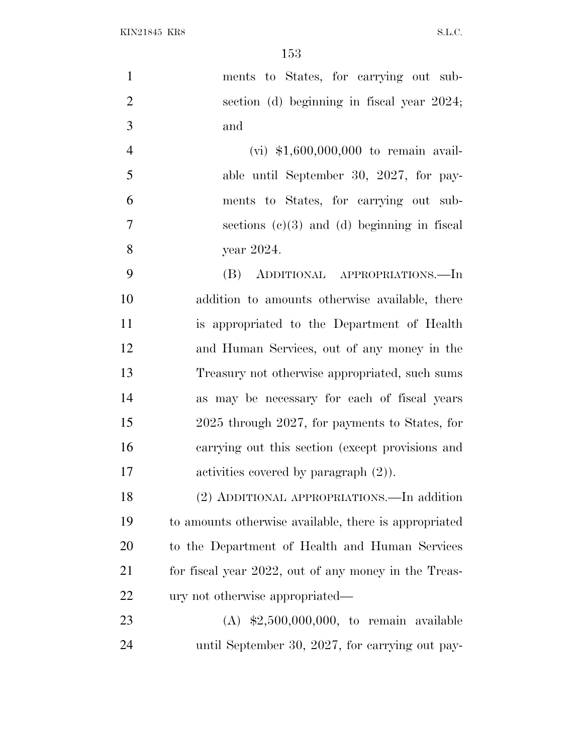| $\mathbf{1}$   | ments to States, for carrying out sub-                |
|----------------|-------------------------------------------------------|
| $\mathbf{2}$   | section (d) beginning in fiscal year 2024;            |
| $\mathfrak{Z}$ | and                                                   |
| $\overline{4}$ | $(vi)$ \$1,600,000,000 to remain avail-               |
| 5              | able until September 30, 2027, for pay-               |
| 6              | ments to States, for carrying out sub-                |
| $\overline{7}$ | sections $(c)(3)$ and $(d)$ beginning in fiscal       |
| 8              | year 2024.                                            |
| 9              | ADDITIONAL APPROPRIATIONS.—In<br>(B)                  |
| 10             | addition to amounts otherwise available, there        |
| 11             | is appropriated to the Department of Health           |
| 12             | and Human Services, out of any money in the           |
| 13             | Treasury not otherwise appropriated, such sums        |
| 14             | as may be necessary for each of fiscal years          |
| 15             | 2025 through 2027, for payments to States, for        |
| 16             | carrying out this section (except provisions and      |
| 17             | activities covered by paragraph $(2)$ ).              |
| 18             | (2) ADDITIONAL APPROPRIATIONS.—In addition            |
| 19             | to amounts otherwise available, there is appropriated |
| 20             | to the Department of Health and Human Services        |
| 21             | for fiscal year 2022, out of any money in the Treas-  |
| 22             | ury not otherwise appropriated—                       |
| 23             | (A) $$2,500,000,000$ , to remain available            |
| 24             | until September 30, 2027, for carrying out pay-       |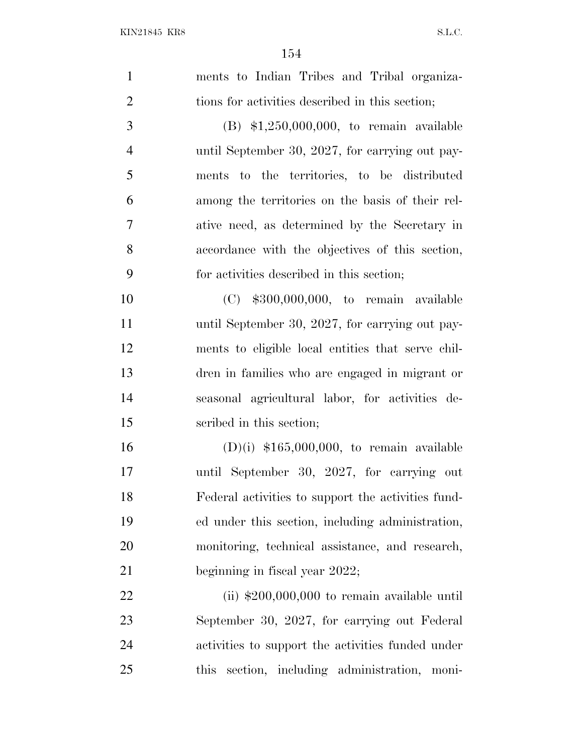| $\mathbf{1}$   | ments to Indian Tribes and Tribal organiza-        |
|----------------|----------------------------------------------------|
| $\overline{2}$ | tions for activities described in this section;    |
| 3              | $(B)$ \$1,250,000,000, to remain available         |
| $\overline{4}$ | until September 30, 2027, for carrying out pay-    |
| 5              | ments to the territories, to be distributed        |
| 6              | among the territories on the basis of their rel-   |
| 7              | ative need, as determined by the Secretary in      |
| 8              | accordance with the objectives of this section,    |
| 9              | for activities described in this section;          |
| 10             | $(C)$ \$300,000,000, to remain available           |
| 11             | until September 30, 2027, for carrying out pay-    |
| 12             | ments to eligible local entities that serve chil-  |
| 13             | dren in families who are engaged in migrant or     |
| 14             | seasonal agricultural labor, for activities de-    |
| 15             | scribed in this section;                           |
| 16             | $(D)(i)$ \$165,000,000, to remain available        |
| 17             | until September 30, 2027, for carrying out         |
| 18             | Federal activities to support the activities fund- |
| 19             | ed under this section, including administration,   |
| 20             | monitoring, technical assistance, and research,    |
| 21             | beginning in fiscal year 2022;                     |
| 22             | (ii) $$200,000,000$ to remain available until      |
| 23             | September 30, 2027, for carrying out Federal       |
| 24             | activities to support the activities funded under  |
| 25             | section, including administration, moni-<br>this   |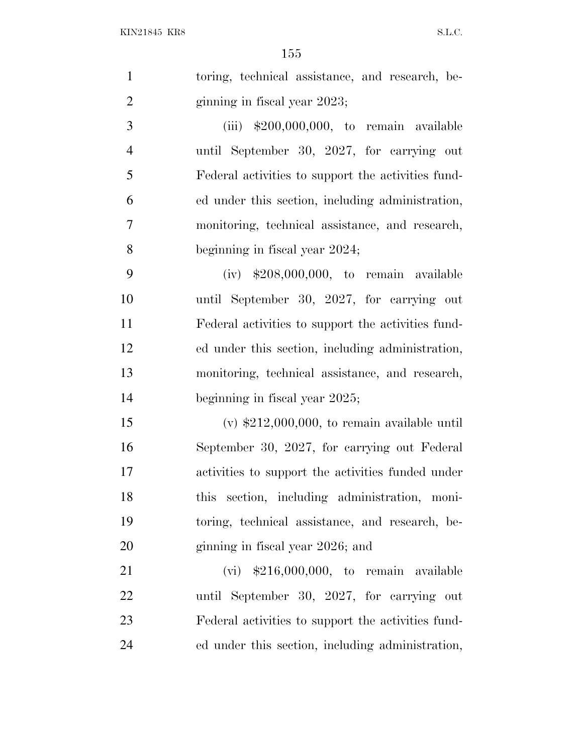|                | 155                                                |
|----------------|----------------------------------------------------|
| $\mathbf{1}$   | toring, technical assistance, and research, be-    |
| $\overline{2}$ | ginning in fiscal year 2023;                       |
| 3              | (iii) $$200,000,000$ , to remain available         |
| $\overline{4}$ | until September 30, 2027, for carrying out         |
| 5              | Federal activities to support the activities fund- |
| 6              | ed under this section, including administration,   |
| 7              | monitoring, technical assistance, and research,    |
| 8              | beginning in fiscal year 2024;                     |
| 9              | $(iv)$ \$208,000,000, to remain available          |
| 10             | until September 30, 2027, for carrying out         |
| 11             | Federal activities to support the activities fund- |
| 12             | ed under this section, including administration,   |
| 13             | monitoring, technical assistance, and research,    |
| 14             | beginning in fiscal year 2025;                     |
| 15             | (v) $$212,000,000$ , to remain available until     |
| 16             | September 30, 2027, for carrying out Federal       |
| 17             | activities to support the activities funded under  |
| 18             | this section, including administration, moni-      |
| 19             | toring, technical assistance, and research, be-    |
| 20             | ginning in fiscal year 2026; and                   |
| 21             | $(vi)$ \$216,000,000, to remain available          |
| 22             | until September 30, 2027, for carrying out         |
| 23             | Federal activities to support the activities fund- |
| 24             | ed under this section, including administration,   |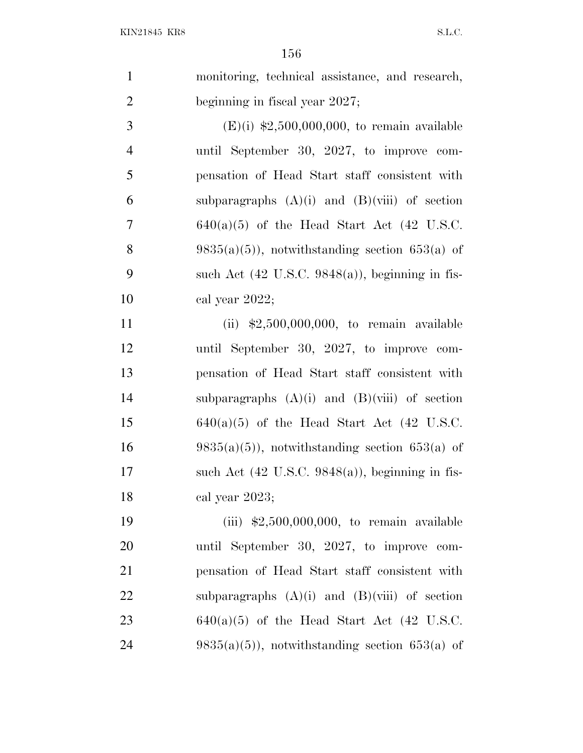|               | monitoring, technical assistance, and research, |
|---------------|-------------------------------------------------|
| 2             | beginning in fiscal year 2027;                  |
| $\mathcal{R}$ | $(E)(i)$ \$2,500,000,000, to remain available   |

4 until September 30, 2027, to improve com-5 pensation of Head Start staff consistent with 6 subparagraphs  $(A)(i)$  and  $(B)(viii)$  of section 7 640(a)(5) of the Head Start Act (42 U.S.C. 8 9835(a)(5)), notwithstanding section 653(a) of 9 such Act  $(42 \text{ U.S.C. } 9848(a))$ , beginning in fis-10 cal year 2022;

11 (ii) \$2,500,000,000, to remain available 12 until September 30, 2027, to improve com-13 pensation of Head Start staff consistent with 14 subparagraphs  $(A)(i)$  and  $(B)(viii)$  of section 15 640(a)(5) of the Head Start Act (42 U.S.C. 16 9835(a)(5)), notwithstanding section 653(a) of 17 such Act  $(42 \text{ U.S.C. } 9848(a))$ , beginning in fis-18 cal year 2023;

19 (iii) \$2,500,000,000, to remain available 20 until September 30, 2027, to improve com-21 pensation of Head Start staff consistent with 22 subparagraphs  $(A)(i)$  and  $(B)(viii)$  of section 23 640(a)(5) of the Head Start Act (42 U.S.C. 24 9835(a)(5)), notwithstanding section 653(a) of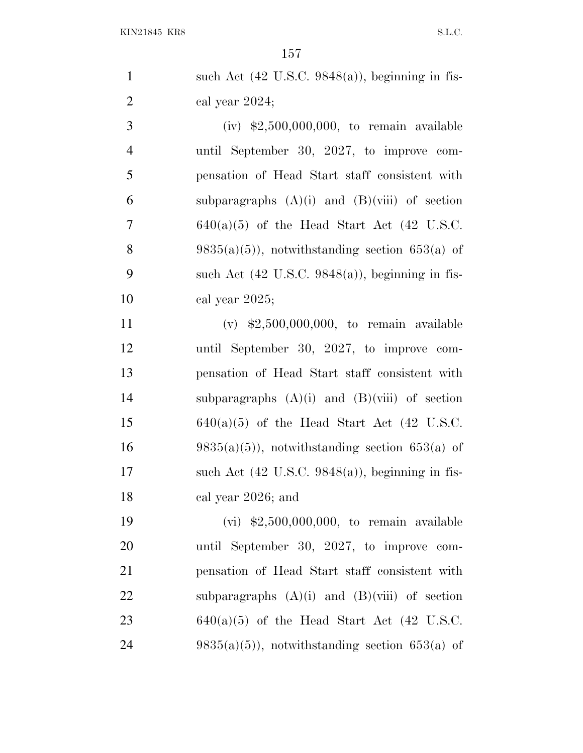|                | 157                                                         |
|----------------|-------------------------------------------------------------|
| $\mathbf{1}$   | such Act $(42 \text{ U.S.C. } 9848(a))$ , beginning in fis- |
| $\overline{2}$ | cal year 2024;                                              |
| 3              | (iv) $$2,500,000,000$ , to remain available                 |
| $\overline{4}$ | until September 30, 2027, to improve com-                   |
| 5              | pensation of Head Start staff consistent with               |
| 6              | subparagraphs $(A)(i)$ and $(B)(viii)$ of section           |
| $\overline{7}$ | $640(a)(5)$ of the Head Start Act (42 U.S.C.                |
| 8              | $9835(a)(5)$ , notwithstanding section 653(a) of            |
| 9              | such Act $(42 \text{ U.S.C. } 9848(a))$ , beginning in fis- |
| 10             | cal year 2025;                                              |
| 11             | (v) $\text{$}2,500,000,000,$ to remain available            |
| 12             | until September 30, 2027, to improve com-                   |
| 13             | pensation of Head Start staff consistent with               |

 pensation of Head Start staff consistent with subparagraphs (A)(i) and (B)(viii) of section 15 640(a)(5) of the Head Start Act (42 U.S.C. 16 9835(a)(5)), notwithstanding section 653(a) of 17 such Act  $(42 \text{ U.S.C. } 9848(a))$ , beginning in fis- cal year 2026; and 19 (vi) \$2,500,000,000, to remain available

 until September 30, 2027, to improve com- pensation of Head Start staff consistent with 22 subparagraphs  $(A)(i)$  and  $(B)(viii)$  of section 23 640(a)(5) of the Head Start Act (42 U.S.C. 24 9835(a)(5)), notwithstanding section 653(a) of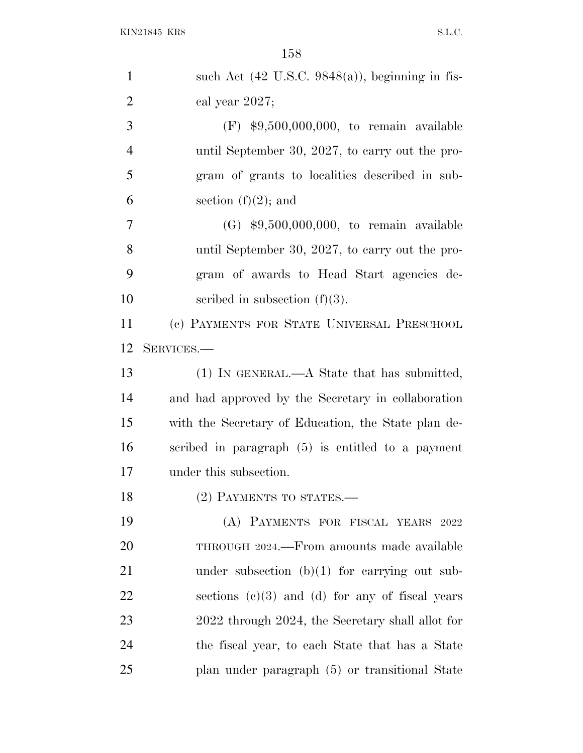| $\mathbf{1}$   | such Act $(42 \text{ U.S.C. } 9848(a))$ , beginning in fis- |
|----------------|-------------------------------------------------------------|
| $\overline{2}$ | cal year 2027;                                              |
| 3              | $(F)$ \$9,500,000,000, to remain available                  |
| $\overline{4}$ | until September 30, 2027, to carry out the pro-             |
| 5              | gram of grants to localities described in sub-              |
| 6              | section $(f)(2)$ ; and                                      |
| 7              | $(G)$ \$9,500,000,000, to remain available                  |
| 8              | until September 30, 2027, to carry out the pro-             |
| 9              | gram of awards to Head Start agencies de-                   |
| 10             | scribed in subsection $(f)(3)$ .                            |
| 11             | (c) PAYMENTS FOR STATE UNIVERSAL PRESCHOOL                  |
| 12             | SERVICES.-                                                  |
| 13             | (1) IN GENERAL.—A State that has submitted,                 |
| 14             | and had approved by the Secretary in collaboration          |
| 15             | with the Secretary of Education, the State plan de-         |
| 16             | scribed in paragraph (5) is entitled to a payment           |
| 17             | under this subsection.                                      |
| 18             | (2) PAYMENTS TO STATES.-                                    |
| 19             | (A) PAYMENTS FOR FISCAL YEARS 2022                          |
| 20             | THROUGH 2024.—From amounts made available                   |
| 21             | under subsection $(b)(1)$ for carrying out sub-             |
| 22             | sections $(c)(3)$ and $(d)$ for any of fiscal years         |
| 23             | 2022 through 2024, the Secretary shall allot for            |
| 24             | the fiscal year, to each State that has a State             |
| 25             | plan under paragraph (5) or transitional State              |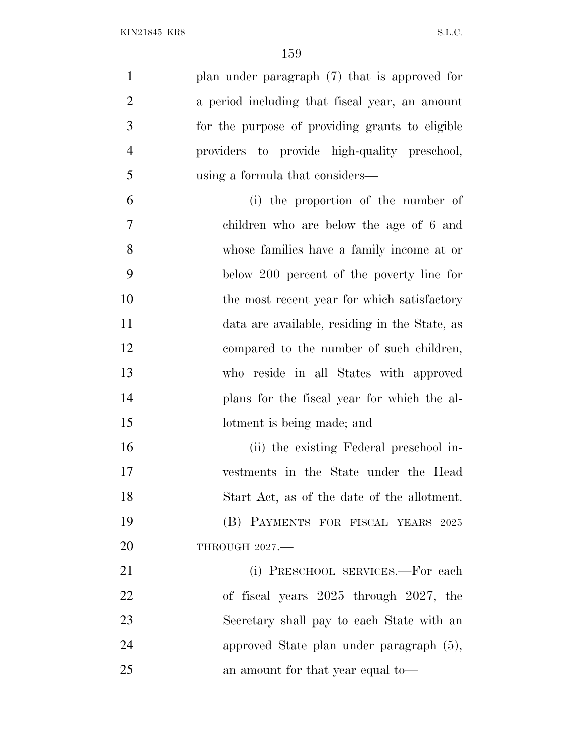plan under paragraph (7) that is approved for a period including that fiscal year, an amount for the purpose of providing grants to eligible providers to provide high-quality preschool, using a formula that considers— (i) the proportion of the number of children who are below the age of 6 and

 whose families have a family income at or below 200 percent of the poverty line for 10 the most recent year for which satisfactory data are available, residing in the State, as compared to the number of such children, who reside in all States with approved plans for the fiscal year for which the al-15 lotment is being made; and

 (ii) the existing Federal preschool in- vestments in the State under the Head Start Act, as of the date of the allotment. (B) PAYMENTS FOR FISCAL YEARS 2025 20 THROUGH 2027.—

21 (i) PRESCHOOL SERVICES.—For each of fiscal years 2025 through 2027, the Secretary shall pay to each State with an approved State plan under paragraph (5), an amount for that year equal to—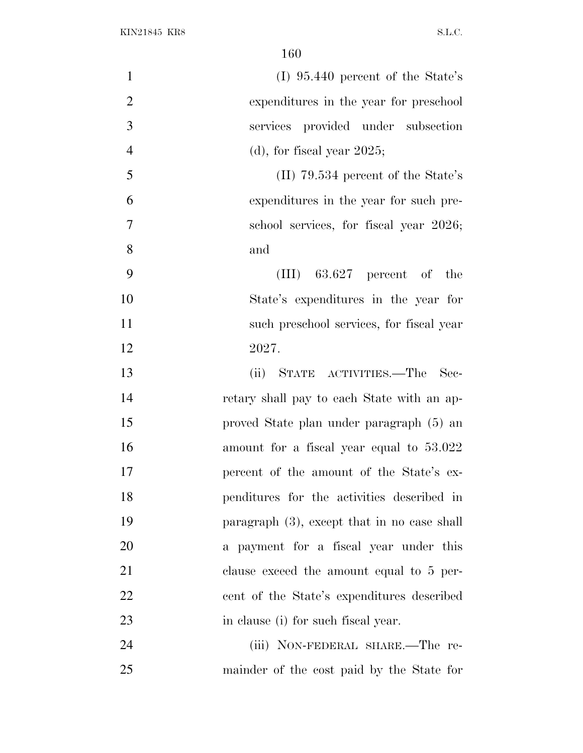| $\mathbf{1}$   | $(I)$ 95.440 percent of the State's            |
|----------------|------------------------------------------------|
| $\overline{2}$ | expenditures in the year for preschool         |
| 3              | services provided under subsection             |
| $\overline{4}$ | $(d)$ , for fiscal year 2025;                  |
| 5              | $(II)$ 79.534 percent of the State's           |
| 6              | expenditures in the year for such pre-         |
| $\tau$         | school services, for fiscal year 2026;         |
| 8<br>and       |                                                |
| 9              | $(III)$ 63.627 percent of the                  |
| 10             | State's expenditures in the year for           |
| 11             | such preschool services, for fiscal year       |
| 12             | 2027.                                          |
| 13             | (ii) STATE ACTIVITIES.—The Sec-                |
| 14             | retary shall pay to each State with an ap-     |
| 15             | proved State plan under paragraph (5) an       |
| 16             | amount for a fiscal year equal to 53.022       |
| 17             | percent of the amount of the State's ex-       |
| 18             | penditures for the activities described in     |
| 19             | paragraph $(3)$ , except that in no case shall |
| 20             | a payment for a fiscal year under this         |
| 21             | clause exceed the amount equal to 5 per-       |
| 22             | cent of the State's expenditures described     |
| 23             | in clause (i) for such fiscal year.            |
| 24             | (iii) NON-FEDERAL SHARE.—The re-               |
| 25             | mainder of the cost paid by the State for      |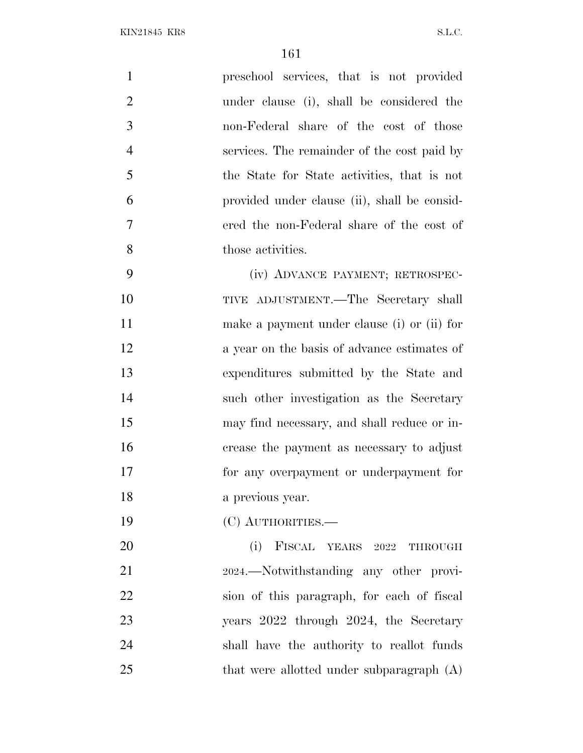| $\mathbf{1}$   | preschool services, that is not provided     |
|----------------|----------------------------------------------|
| $\mathfrak{2}$ | under clause (i), shall be considered the    |
| 3              | non-Federal share of the cost of those       |
| $\overline{4}$ | services. The remainder of the cost paid by  |
| 5              | the State for State activities, that is not  |
| 6              | provided under clause (ii), shall be consid- |
| $\tau$         | ered the non-Federal share of the cost of    |
| 8              | those activities.                            |
| 9              | (iv) ADVANCE PAYMENT; RETROSPEC-             |
| 10             | TIVE ADJUSTMENT.—The Secretary shall         |
| 11             | make a payment under clause (i) or (ii) for  |
| 12             | a year on the basis of advance estimates of  |
| 13             | expenditures submitted by the State and      |
| 14             | such other investigation as the Secretary    |
| 15             | may find necessary, and shall reduce or in-  |
| 16             | crease the payment as necessary to adjust    |
| 17             | for any overpayment or underpayment for      |
| 18             | a previous year.                             |
| 19             | (C) AUTHORITIES.-                            |
| 20             | (i)<br>FISCAL YEARS 2022 THROUGH             |
| 21             | 2024.—Notwithstanding any other provi-       |
| 22             | sion of this paragraph, for each of fiscal   |
| 23             | years 2022 through 2024, the Secretary       |
| 24             | shall have the authority to reallot funds    |
| 25             | that were allotted under subparagraph (A)    |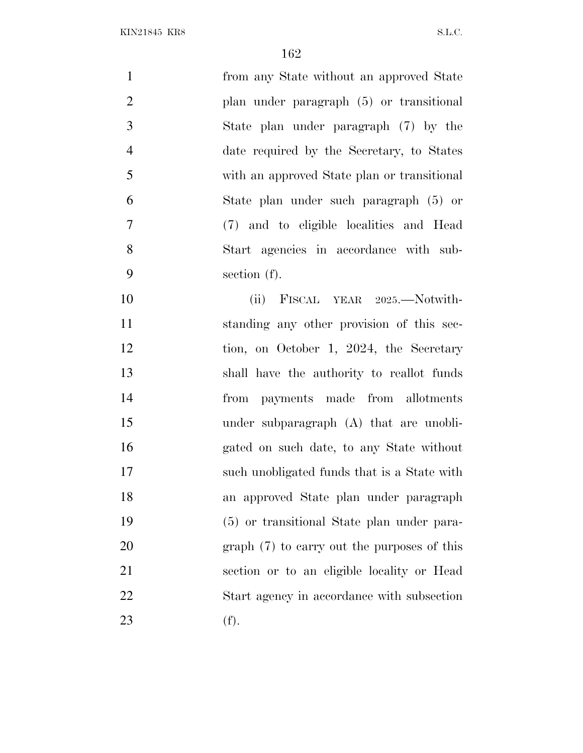| $\mathbf{1}$   | from any State without an approved State    |
|----------------|---------------------------------------------|
| $\overline{2}$ | plan under paragraph (5) or transitional    |
| 3              | State plan under paragraph (7) by the       |
| $\overline{4}$ | date required by the Secretary, to States   |
| 5              | with an approved State plan or transitional |
| 6              | State plan under such paragraph (5) or      |
| $\overline{7}$ | (7) and to eligible localities and Head     |
| 8              | Start agencies in accordance with sub-      |
| 9              | section (f).                                |
| 10             | (ii) FISCAL YEAR 2025.—Notwith-             |
| 11             | standing any other provision of this sec-   |
| 12             | tion, on October 1, 2024, the Secretary     |
| 13             | shall have the authority to reallot funds   |
| 14             | from payments made from allotments          |
| 15             | under subparagraph (A) that are unobli-     |
| 16             | gated on such date, to any State without    |
| 17             | such unobligated funds that is a State with |
| 18             | an approved State plan under paragraph      |
| 19             | (5) or transitional State plan under para-  |
| 20             | graph (7) to carry out the purposes of this |
| 21             | section or to an eligible locality or Head  |
| 22             | Start agency in accordance with subsection  |
| 23             | (f).                                        |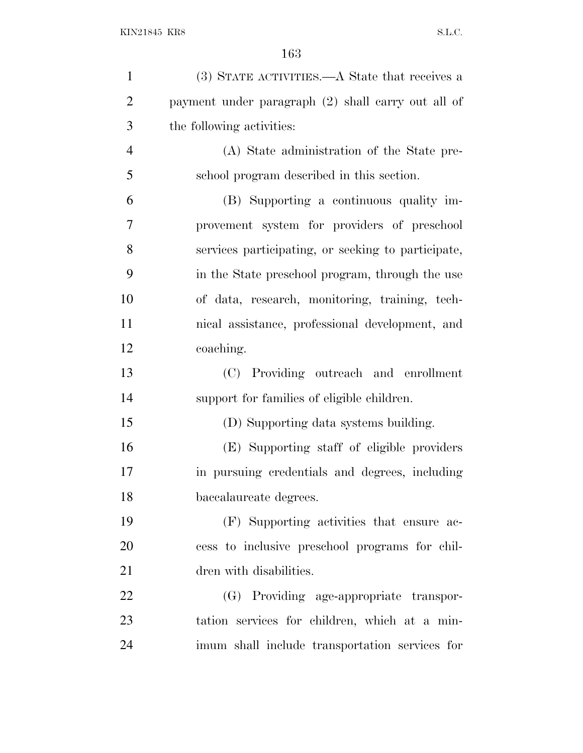| $\mathbf{1}$   | (3) STATE ACTIVITIES.—A State that receives a      |
|----------------|----------------------------------------------------|
| $\overline{2}$ | payment under paragraph (2) shall carry out all of |
| 3              | the following activities:                          |
| $\overline{4}$ | (A) State administration of the State pre-         |
| 5              | school program described in this section.          |
| 6              | (B) Supporting a continuous quality im-            |
| 7              | provement system for providers of preschool        |
| 8              | services participating, or seeking to participate, |
| 9              | in the State preschool program, through the use    |
| 10             | of data, research, monitoring, training, tech-     |
| 11             | nical assistance, professional development, and    |
| 12             | coaching.                                          |
| 13             | (C) Providing outreach and enrollment              |
| 14             | support for families of eligible children.         |
| 15             | (D) Supporting data systems building.              |
| 16             | (E) Supporting staff of eligible providers         |
| 17             | in pursuing credentials and degrees, including     |
| 18             | baccalaureate degrees.                             |
| 19             | (F) Supporting activities that ensure ac-          |
| 20             | cess to inclusive preschool programs for chil-     |
| 21             | dren with disabilities.                            |
| 22             | (G) Providing age-appropriate transpor-            |
| 23             | tation services for children, which at a min-      |
| 24             | imum shall include transportation services for     |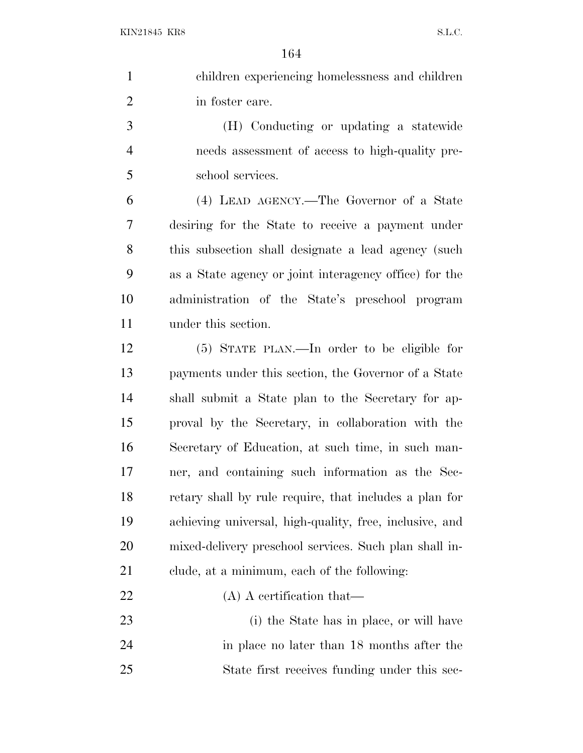| $\mathbf{1}$   | children experiencing homelessness and children         |
|----------------|---------------------------------------------------------|
| $\overline{2}$ | in foster care.                                         |
| 3              | (H) Conducting or updating a statewide                  |
| $\overline{4}$ | needs assessment of access to high-quality pre-         |
| 5              | school services.                                        |
| 6              | (4) LEAD AGENCY.—The Governor of a State                |
| 7              | desiring for the State to receive a payment under       |
| 8              | this subsection shall designate a lead agency (such     |
| 9              | as a State agency or joint interagency office) for the  |
| 10             | administration of the State's preschool program         |
| 11             | under this section.                                     |
| 12             | (5) STATE PLAN.—In order to be eligible for             |
| 13             | payments under this section, the Governor of a State    |
| 14             | shall submit a State plan to the Secretary for ap-      |
| 15             | proval by the Secretary, in collaboration with the      |
| 16             | Secretary of Education, at such time, in such man-      |
| 17             | ner, and containing such information as the Sec-        |
| 18             | retary shall by rule require, that includes a plan for  |
| 19             | achieving universal, high-quality, free, inclusive, and |
| 20             | mixed-delivery preschool services. Such plan shall in-  |
| 21             | clude, at a minimum, each of the following:             |
| 22             | $(A)$ A certification that—                             |
| 23             | (i) the State has in place, or will have                |
| 24             | in place no later than 18 months after the              |
| 25             | State first receives funding under this sec-            |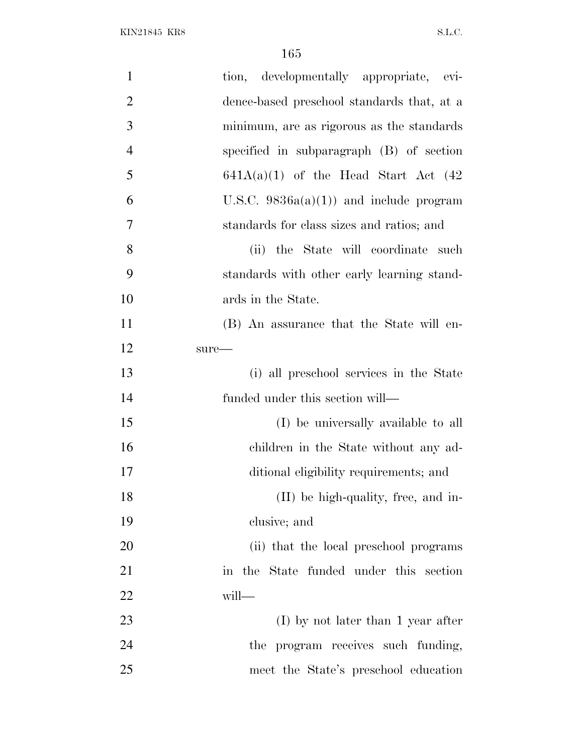| $\mathbf{1}$   | tion, developmentally appropriate, evi-    |
|----------------|--------------------------------------------|
| $\overline{2}$ | dence-based preschool standards that, at a |
| 3              | minimum, are as rigorous as the standards  |
| $\overline{4}$ | specified in subparagraph (B) of section   |
| 5              | $641A(a)(1)$ of the Head Start Act $(42)$  |
| 6              | U.S.C. $9836a(a)(1)$ and include program   |
| 7              | standards for class sizes and ratios; and  |
| 8              | (ii) the State will coordinate such        |
| 9              | standards with other early learning stand- |
| 10             | ards in the State.                         |
| 11             | (B) An assurance that the State will en-   |
| 12             | $sure-$                                    |
| 13             | (i) all preschool services in the State    |
| 14             | funded under this section will—            |
| 15             | (I) be universally available to all        |
| 16             | children in the State without any ad-      |
| 17             | ditional eligibility requirements; and     |
| 18             | (II) be high-quality, free, and in-        |
| 19             | clusive; and                               |
| 20             | (ii) that the local preschool programs     |
| 21             | in the State funded under this section     |
| 22             | will-                                      |
| 23             | $(I)$ by not later than 1 year after       |
| 24             | the program receives such funding,         |
| 25             | meet the State's preschool education       |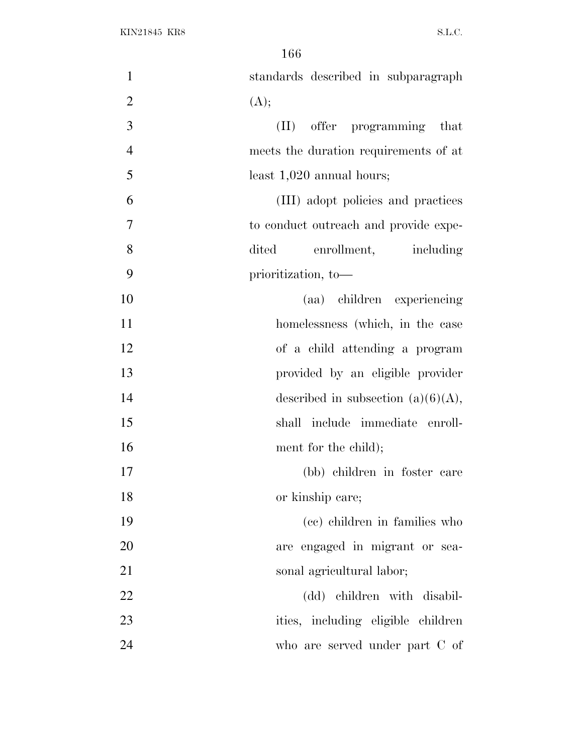| $\mathbf{1}$   | standards described in subparagraph   |
|----------------|---------------------------------------|
| $\overline{2}$ | (A);                                  |
| 3              | (II) offer programming that           |
| $\overline{4}$ | meets the duration requirements of at |
| 5              | least $1,020$ annual hours;           |
| 6              | (III) adopt policies and practices    |
| $\overline{7}$ | to conduct outreach and provide expe- |
| 8              | enrollment, including<br>dited        |
| 9              | prioritization, to-                   |
| 10             | (aa) children experiencing            |
| 11             | homelessness (which, in the case      |
| 12             | of a child attending a program        |
| 13             | provided by an eligible provider      |
| 14             | described in subsection $(a)(6)(A)$ , |
| 15             | shall include immediate enroll-       |
| 16             | ment for the child);                  |
| 17             | (bb) children in foster care          |
| 18             | or kinship care;                      |
| 19             | (cc) children in families who         |
| 20             | are engaged in migrant or sea-        |
| 21             | sonal agricultural labor;             |
| 22             | (dd) children with disabil-           |
| 23             | ities, including eligible children    |
| 24             | who are served under part C of        |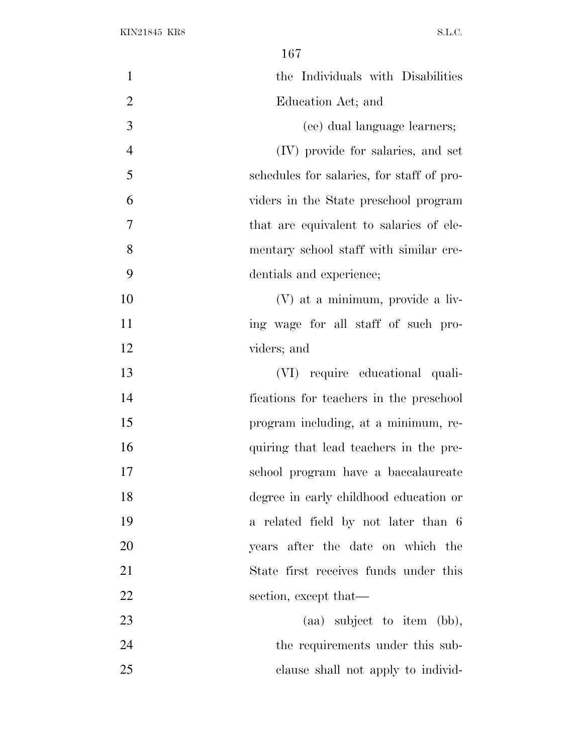| $\mathbf{1}$   | the Individuals with Disabilities         |
|----------------|-------------------------------------------|
| $\overline{2}$ | Education Act; and                        |
| 3              | (ee) dual language learners;              |
| $\overline{4}$ | (IV) provide for salaries, and set        |
| 5              | schedules for salaries, for staff of pro- |
| 6              | viders in the State preschool program     |
| 7              | that are equivalent to salaries of ele-   |
| 8              | mentary school staff with similar cre-    |
| 9              | dentials and experience;                  |
| 10             | (V) at a minimum, provide a liv-          |
| 11             | ing wage for all staff of such pro-       |
| 12             | viders; and                               |
| 13             | (VI) require educational quali-           |
| 14             | fications for teachers in the preschool   |
| 15             | program including, at a minimum, re-      |
| 16             | quiring that lead teachers in the pre-    |
| 17             | school program have a baccalaureate       |
| 18             | degree in early childhood education or    |
| 19             | a related field by not later than 6       |
| 20             | years after the date on which the         |
| 21             | State first receives funds under this     |
| 22             | section, except that—                     |
| 23             | $(aa)$ subject to item $(bb)$ ,           |
| 24             | the requirements under this sub-          |
| 25             | clause shall not apply to individ-        |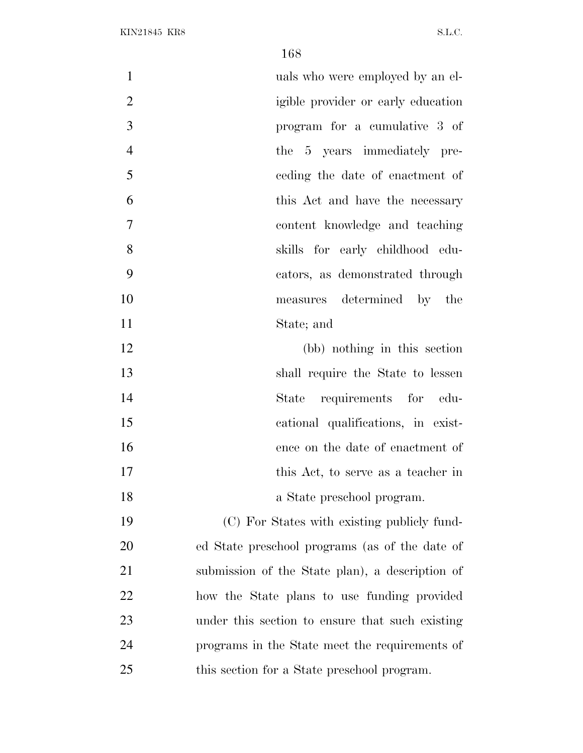| $\mathbf{1}$   | uals who were employed by an el-                |
|----------------|-------------------------------------------------|
| $\mathbf{2}$   | igible provider or early education              |
| 3              | program for a cumulative 3 of                   |
| $\overline{4}$ | the 5 years immediately pre-                    |
| 5              | ceding the date of enactment of                 |
| 6              | this Act and have the necessary                 |
| 7              | content knowledge and teaching                  |
| 8              | skills for early childhood edu-                 |
| 9              | cators, as demonstrated through                 |
| 10             | measures determined by the                      |
| 11             | State; and                                      |
| 12             | (bb) nothing in this section                    |
| 13             | shall require the State to lessen               |
| 14             | requirements for edu-<br>State                  |
| 15             | cational qualifications, in exist-              |
| 16             | ence on the date of enactment of                |
| 17             | this Act, to serve as a teacher in              |
| 18             | a State preschool program.                      |
| 19             | (C) For States with existing publicly fund-     |
| 20             | ed State preschool programs (as of the date of  |
| 21             | submission of the State plan), a description of |
| 22             | how the State plans to use funding provided     |
| 23             | under this section to ensure that such existing |
| 24             | programs in the State meet the requirements of  |
| 25             | this section for a State preschool program.     |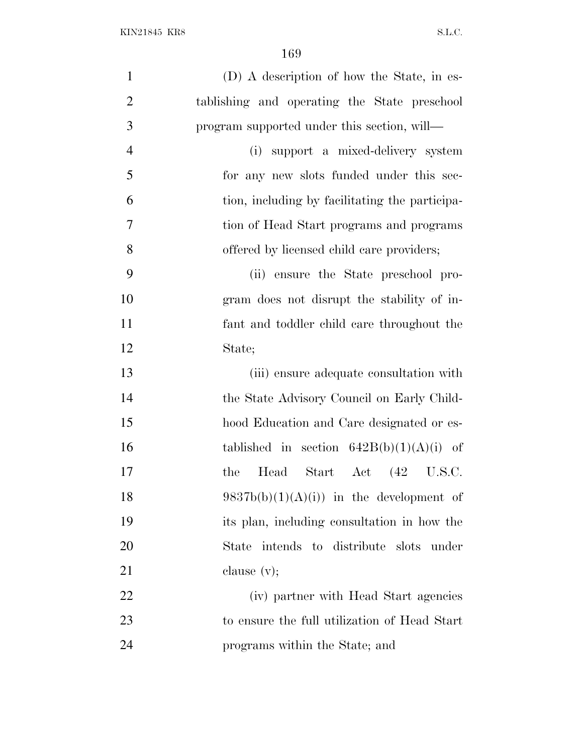| $\mathbf{1}$   | (D) A description of how the State, in es-     |
|----------------|------------------------------------------------|
| $\overline{2}$ | tablishing and operating the State preschool   |
| 3              | program supported under this section, will—    |
| $\overline{4}$ | (i) support a mixed-delivery system            |
| 5              | for any new slots funded under this sec-       |
| 6              | tion, including by facilitating the participa- |
| 7              | tion of Head Start programs and programs       |
| 8              | offered by licensed child care providers;      |
| 9              | (ii) ensure the State preschool pro-           |
| 10             | gram does not disrupt the stability of in-     |
| 11             | fant and toddler child care throughout the     |
| 12             | State;                                         |
| 13             | (iii) ensure adequate consultation with        |
| 14             | the State Advisory Council on Early Child-     |
| 15             | hood Education and Care designated or es-      |
| 16             | tablished in section $642B(b)(1)(A)(i)$ of     |
| 17             | Head<br>Start Act (42 U.S.C.<br>the            |
| 18             | $9837b(b)(1)(A)(i)$ in the development of      |
| 19             | its plan, including consultation in how the    |
| 20             | State intends to distribute slots under        |
| 21             | clause $(v)$ ;                                 |
| 22             | (iv) partner with Head Start agencies          |
| 23             | to ensure the full utilization of Head Start   |
| 24             | programs within the State; and                 |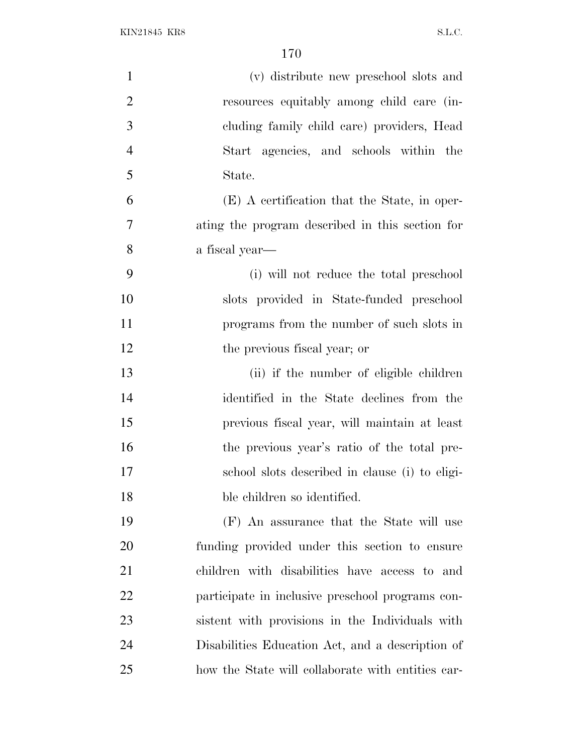KIN21845 KR8 S.L.C.

| $\mathbf{1}$   | (v) distribute new preschool slots and            |
|----------------|---------------------------------------------------|
| $\overline{2}$ | resources equitably among child care (in-         |
| 3              | cluding family child care) providers, Head        |
| $\overline{4}$ | Start agencies, and schools within the            |
| 5              | State.                                            |
| 6              | (E) A certification that the State, in oper-      |
| 7              | ating the program described in this section for   |
| 8              | a fiscal year—                                    |
| 9              | (i) will not reduce the total preschool           |
| 10             | slots provided in State-funded preschool          |
| 11             | programs from the number of such slots in         |
| 12             | the previous fiscal year; or                      |
| 13             | (ii) if the number of eligible children           |
| 14             | identified in the State declines from the         |
| 15             | previous fiscal year, will maintain at least      |
| 16             | the previous year's ratio of the total pre-       |
| 17             | school slots described in clause (i) to eligi-    |
| 18             | ble children so identified.                       |
| 19             | (F) An assurance that the State will use          |
| 20             | funding provided under this section to ensure     |
| 21             | children with disabilities have access to and     |
| 22             | participate in inclusive preschool programs con-  |
| 23             | sistent with provisions in the Individuals with   |
| 24             | Disabilities Education Act, and a description of  |
| 25             | how the State will collaborate with entities car- |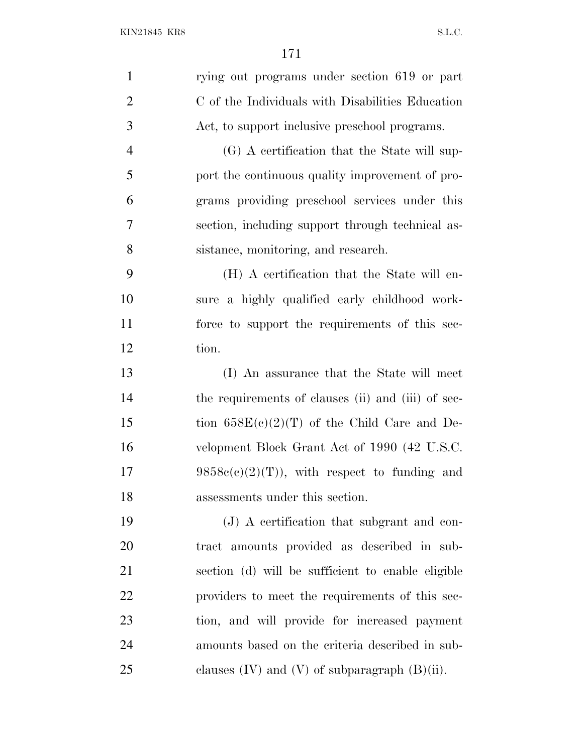| $\mathbf{1}$   | rying out programs under section 619 or part         |
|----------------|------------------------------------------------------|
| $\overline{2}$ | C of the Individuals with Disabilities Education     |
| 3              | Act, to support inclusive preschool programs.        |
| $\overline{4}$ | (G) A certification that the State will sup-         |
| 5              | port the continuous quality improvement of pro-      |
| 6              | grams providing preschool services under this        |
| 7              | section, including support through technical as-     |
| 8              | sistance, monitoring, and research.                  |
| 9              | (H) A certification that the State will en-          |
| 10             | sure a highly qualified early childhood work-        |
| 11             | force to support the requirements of this sec-       |
| 12             | tion.                                                |
| 13             | (I) An assurance that the State will meet            |
| 14             | the requirements of clauses (ii) and (iii) of sec-   |
| 15             | tion $658E(c)(2)(T)$ of the Child Care and De-       |
| 16             | velopment Block Grant Act of 1990 (42 U.S.C.         |
| 17             | $9858c(c)(2)(T)$ , with respect to funding and       |
| 18             | assessments under this section.                      |
| 19             | (J) A certification that subgrant and con-           |
| 20             | tract amounts provided as described in sub-          |
| 21             | section (d) will be sufficient to enable eligible    |
| 22             | providers to meet the requirements of this sec-      |
| 23             | tion, and will provide for increased payment         |
| 24             | amounts based on the criteria described in sub-      |
| 25             | clauses $(IV)$ and $(V)$ of subparagraph $(B)(ii)$ . |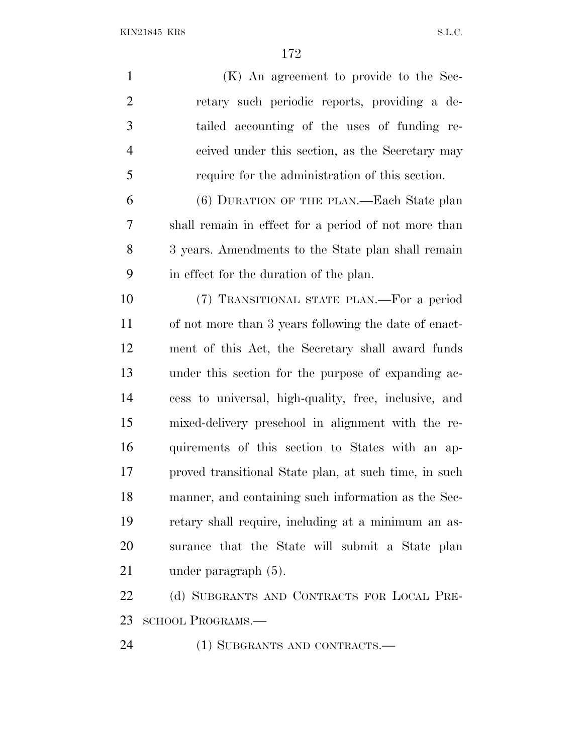KIN21845 KR8 S.L.C.

 (K) An agreement to provide to the Sec- retary such periodic reports, providing a de- tailed accounting of the uses of funding re- ceived under this section, as the Secretary may require for the administration of this section. (6) DURATION OF THE PLAN.—Each State plan shall remain in effect for a period of not more than 3 years. Amendments to the State plan shall remain in effect for the duration of the plan. (7) TRANSITIONAL STATE PLAN.—For a period of not more than 3 years following the date of enact- ment of this Act, the Secretary shall award funds under this section for the purpose of expanding ac- cess to universal, high-quality, free, inclusive, and mixed-delivery preschool in alignment with the re- quirements of this section to States with an ap- proved transitional State plan, at such time, in such manner, and containing such information as the Sec- retary shall require, including at a minimum an as- surance that the State will submit a State plan under paragraph (5). 22 (d) SUBGRANTS AND CONTRACTS FOR LOCAL PRE-

SCHOOL PROGRAMS.—

24 (1) SUBGRANTS AND CONTRACTS.—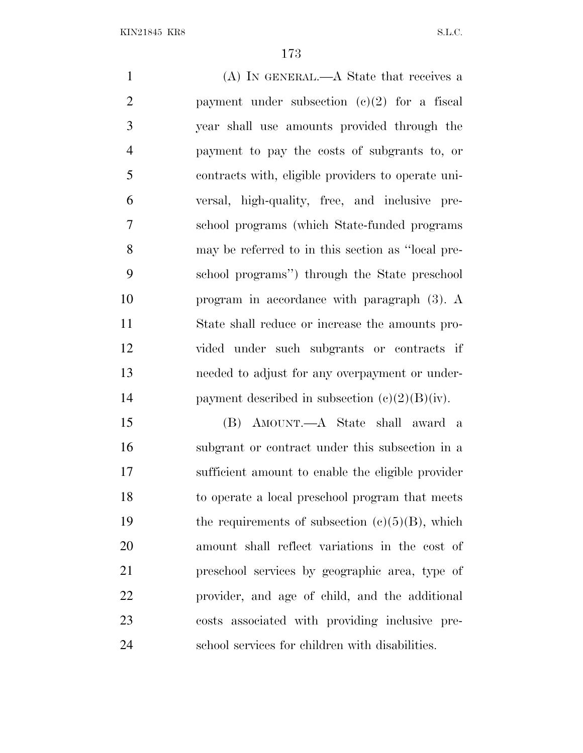(A) IN GENERAL.—A State that receives a 2 payment under subsection  $(e)(2)$  for a fiscal year shall use amounts provided through the payment to pay the costs of subgrants to, or contracts with, eligible providers to operate uni- versal, high-quality, free, and inclusive pre- school programs (which State-funded programs may be referred to in this section as ''local pre- school programs'') through the State preschool program in accordance with paragraph (3). A State shall reduce or increase the amounts pro- vided under such subgrants or contracts if needed to adjust for any overpayment or under-14 payment described in subsection  $(c)(2)(B)(iv)$ . (B) AMOUNT.—A State shall award a subgrant or contract under this subsection in a sufficient amount to enable the eligible provider

 to operate a local preschool program that meets 19 the requirements of subsection  $(c)(5)(B)$ , which amount shall reflect variations in the cost of preschool services by geographic area, type of provider, and age of child, and the additional costs associated with providing inclusive pre-school services for children with disabilities.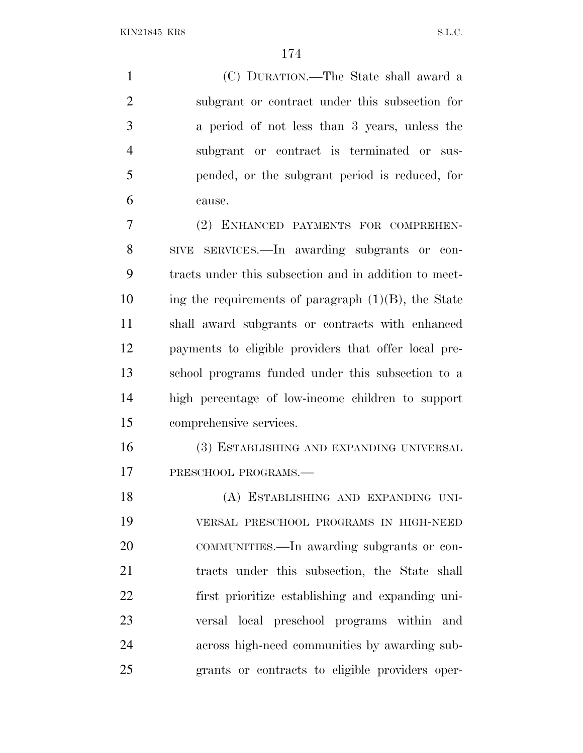KIN21845 KR8 S.L.C.

 (C) DURATION.—The State shall award a subgrant or contract under this subsection for a period of not less than 3 years, unless the subgrant or contract is terminated or sus- pended, or the subgrant period is reduced, for cause. (2) ENHANCED PAYMENTS FOR COMPREHEN-

 SIVE SERVICES.—In awarding subgrants or con- tracts under this subsection and in addition to meet- ing the requirements of paragraph  $(1)(B)$ , the State shall award subgrants or contracts with enhanced payments to eligible providers that offer local pre- school programs funded under this subsection to a high percentage of low-income children to support comprehensive services.

 (3) ESTABLISHING AND EXPANDING UNIVERSAL 17 PRESCHOOL PROGRAMS.

 (A) ESTABLISHING AND EXPANDING UNI- VERSAL PRESCHOOL PROGRAMS IN HIGH-NEED COMMUNITIES.—In awarding subgrants or con- tracts under this subsection, the State shall first prioritize establishing and expanding uni- versal local preschool programs within and across high-need communities by awarding sub-grants or contracts to eligible providers oper-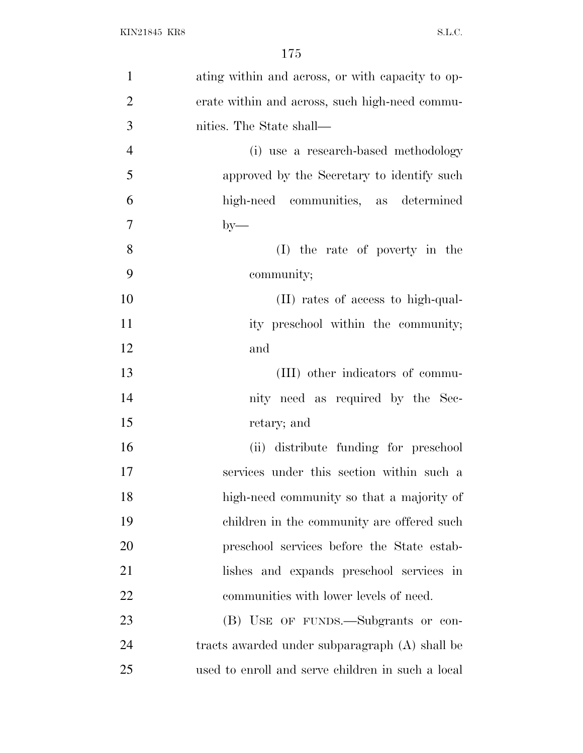| $\mathbf{1}$   | ating within and across, or with capacity to op-  |
|----------------|---------------------------------------------------|
| $\overline{2}$ | erate within and across, such high-need commu-    |
| 3              | nities. The State shall—                          |
| $\overline{4}$ | (i) use a research-based methodology              |
| 5              | approved by the Secretary to identify such        |
| 6              | high-need communities, as determined              |
| $\overline{7}$ | $by-$                                             |
| 8              | (I) the rate of poverty in the                    |
| 9              | community;                                        |
| 10             | (II) rates of access to high-qual-                |
| 11             | ity preschool within the community;               |
| 12             | and                                               |
| 13             | (III) other indicators of commu-                  |
| 14             | nity need as required by the Sec-                 |
| 15             | retary; and                                       |
| 16             | (ii) distribute funding for preschool             |
| 17             | services under this section within such a         |
| 18             | high-need community so that a majority of         |
| 19             | children in the community are offered such        |
| 20             | preschool services before the State estab-        |
| 21             | lishes and expands preschool services in          |
| 22             | communities with lower levels of need.            |
| 23             | (B) USE OF FUNDS.—Subgrants or con-               |
| 24             | tracts awarded under subparagraph (A) shall be    |
| 25             | used to enroll and serve children in such a local |
|                |                                                   |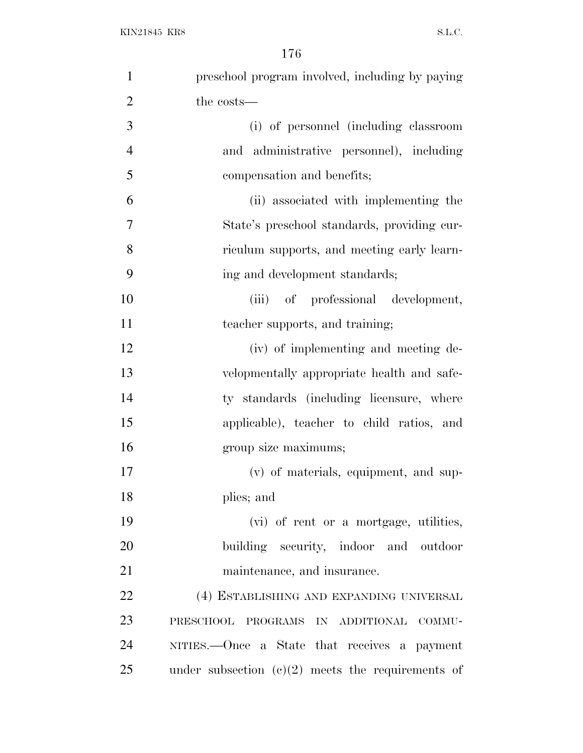| $\mathbf{1}$   | preschool program involved, including by paying     |
|----------------|-----------------------------------------------------|
| $\overline{2}$ | the costs—                                          |
| 3              | (i) of personnel (including classroom               |
| $\overline{4}$ | and administrative personnel), including            |
| 5              | compensation and benefits;                          |
| 6              | (ii) associated with implementing the               |
| 7              | State's preschool standards, providing cur-         |
| 8              | riculum supports, and meeting early learn-          |
| 9              | ing and development standards;                      |
| 10             | (iii) of professional development,                  |
| 11             | teacher supports, and training;                     |
| 12             | (iv) of implementing and meeting de-                |
| 13             | velopmentally appropriate health and safe-          |
| 14             | ty standards (including licensure, where            |
| 15             | applicable), teacher to child ratios, and           |
| 16             | group size maximums;                                |
| 17             | (v) of materials, equipment, and sup-               |
| 18             | plies; and                                          |
| 19             | (vi) of rent or a mortgage, utilities,              |
| 20             | building security, indoor and outdoor               |
| 21             | maintenance, and insurance.                         |
| 22             | (4) ESTABLISHING AND EXPANDING UNIVERSAL            |
| 23             | PRESCHOOL PROGRAMS IN ADDITIONAL COMMU-             |
| 24             | NITIES.—Once a State that receives a payment        |
| 25             | under subsection $(c)(2)$ meets the requirements of |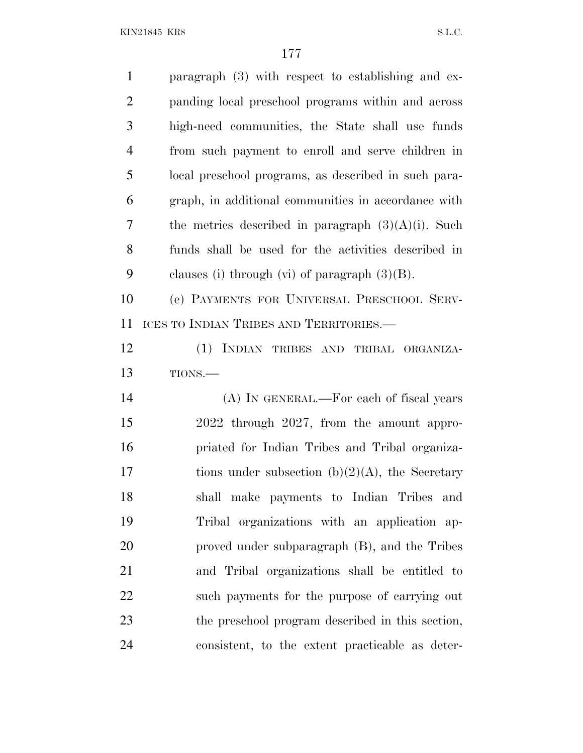KIN21845 KR8 S.L.C.

| $\mathbf{1}$   | paragraph $(3)$ with respect to establishing and ex-  |
|----------------|-------------------------------------------------------|
| $\overline{2}$ | panding local preschool programs within and across    |
| 3              | high-need communities, the State shall use funds      |
| $\overline{4}$ | from such payment to enroll and serve children in     |
| 5              | local preschool programs, as described in such para-  |
| 6              | graph, in additional communities in accordance with   |
| 7              | the metrics described in paragraph $(3)(A)(i)$ . Such |
| 8              | funds shall be used for the activities described in   |
| 9              | clauses (i) through (vi) of paragraph $(3)(B)$ .      |
| 10             | (e) PAYMENTS FOR UNIVERSAL PRESCHOOL SERV-            |
| 11             | ICES TO INDIAN TRIBES AND TERRITORIES.—               |
| 12             | (1) INDIAN TRIBES AND TRIBAL ORGANIZA-                |
| 13             | TIONS.-                                               |
| 14             | (A) IN GENERAL.—For each of fiscal years              |
| 15             | 2022 through 2027, from the amount appro-             |
| 16             | priated for Indian Tribes and Tribal organiza-        |
| 17             | tions under subsection (b) $(2)(A)$ , the Secretary   |
|                |                                                       |
| 18             | shall make payments to Indian Tribes and              |
| 19             | Tribal organizations with an application ap-          |
| 20             | proved under subparagraph (B), and the Tribes         |
| 21             | and Tribal organizations shall be entitled to         |
| 22             | such payments for the purpose of carrying out         |
| 23             | the preschool program described in this section,      |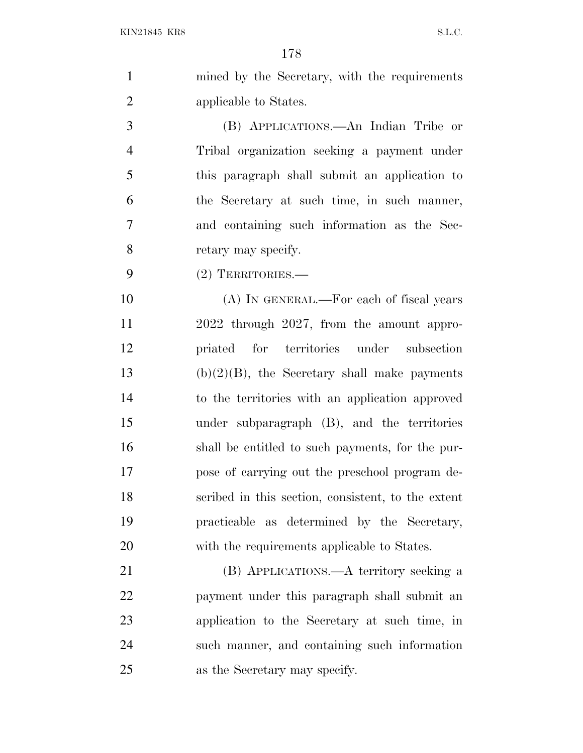| $\mathbf{1}$   | mined by the Secretary, with the requirements      |
|----------------|----------------------------------------------------|
| $\overline{2}$ | applicable to States.                              |
| 3              | (B) APPLICATIONS.—An Indian Tribe or               |
| $\overline{4}$ | Tribal organization seeking a payment under        |
| 5              | this paragraph shall submit an application to      |
| 6              | the Secretary at such time, in such manner,        |
| 7              | and containing such information as the Sec-        |
| 8              | retary may specify.                                |
| 9              | (2) TERRITORIES.—                                  |
| 10             | (A) IN GENERAL.—For each of fiscal years           |
| 11             | 2022 through 2027, from the amount appro-          |
| 12             | priated for territories under subsection           |
| 13             | $(b)(2)(B)$ , the Secretary shall make payments    |
| 14             | to the territories with an application approved    |
| 15             | under subparagraph (B), and the territories        |
| 16             | shall be entitled to such payments, for the pur-   |
| 17             | pose of carrying out the preschool program de-     |
| 18             | scribed in this section, consistent, to the extent |
| 19             | practicable as determined by the Secretary,        |
| 20             | with the requirements applicable to States.        |
| 21             | (B) APPLICATIONS.—A territory seeking a            |
| 22             | payment under this paragraph shall submit an       |
| 23             | application to the Secretary at such time, in      |
| 24             | such manner, and containing such information       |

as the Secretary may specify.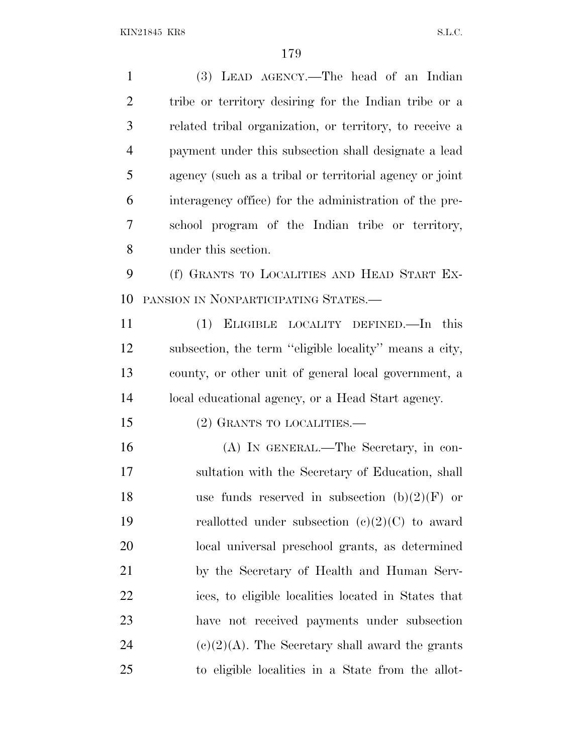(3) LEAD AGENCY.—The head of an Indian tribe or territory desiring for the Indian tribe or a related tribal organization, or territory, to receive a payment under this subsection shall designate a lead agency (such as a tribal or territorial agency or joint interagency office) for the administration of the pre- school program of the Indian tribe or territory, under this section. (f) GRANTS TO LOCALITIES AND HEAD START EX- PANSION IN NONPARTICIPATING STATES.— (1) ELIGIBLE LOCALITY DEFINED.—In this subsection, the term ''eligible locality'' means a city, county, or other unit of general local government, a local educational agency, or a Head Start agency. 15 (2) GRANTS TO LOCALITIES.— (A) IN GENERAL.—The Secretary, in con- sultation with the Secretary of Education, shall 18 use funds reserved in subsection  $(b)(2)(F)$  or 19 reallotted under subsection  $(e)(2)(C)$  to award local universal preschool grants, as determined by the Secretary of Health and Human Serv- ices, to eligible localities located in States that have not received payments under subsection  $(c)(2)(A)$ . The Secretary shall award the grants to eligible localities in a State from the allot-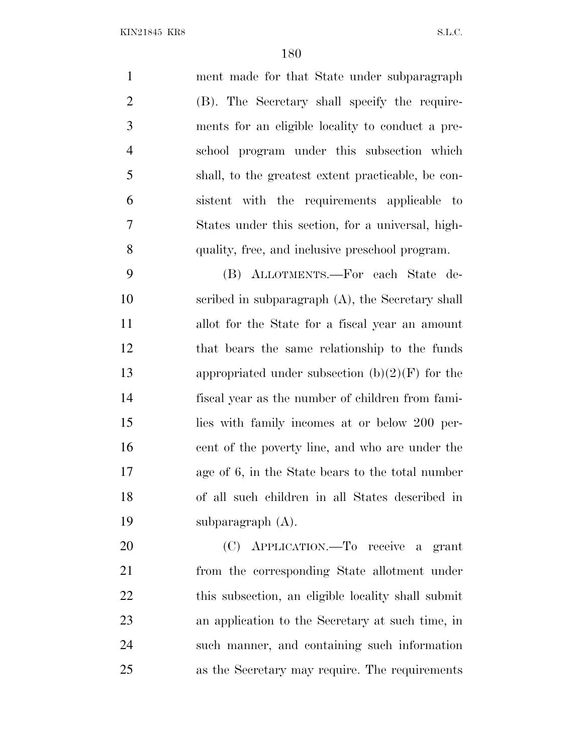ment made for that State under subparagraph (B). The Secretary shall specify the require- ments for an eligible locality to conduct a pre- school program under this subsection which shall, to the greatest extent practicable, be con- sistent with the requirements applicable to States under this section, for a universal, high-quality, free, and inclusive preschool program.

 (B) ALLOTMENTS.—For each State de- scribed in subparagraph (A), the Secretary shall allot for the State for a fiscal year an amount that bears the same relationship to the funds 13 appropriated under subsection  $(b)(2)(F)$  for the fiscal year as the number of children from fami- lies with family incomes at or below 200 per- cent of the poverty line, and who are under the age of 6, in the State bears to the total number of all such children in all States described in subparagraph (A).

 (C) APPLICATION.—To receive a grant from the corresponding State allotment under this subsection, an eligible locality shall submit an application to the Secretary at such time, in such manner, and containing such information as the Secretary may require. The requirements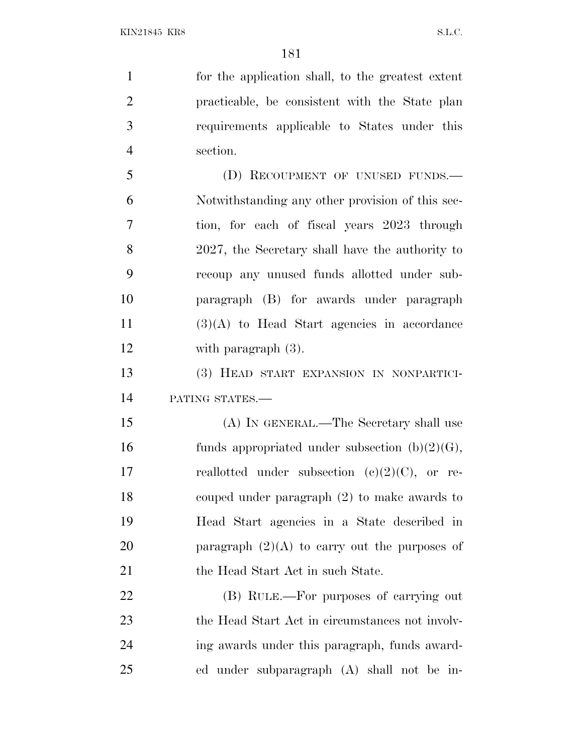for the application shall, to the greatest extent practicable, be consistent with the State plan requirements applicable to States under this section. 5 (D) RECOUPMENT OF UNUSED FUNDS.— Notwithstanding any other provision of this sec-tion, for each of fiscal years 2023 through

 2027, the Secretary shall have the authority to recoup any unused funds allotted under sub- paragraph (B) for awards under paragraph (3)(A) to Head Start agencies in accordance with paragraph (3).

 (3) HEAD START EXPANSION IN NONPARTICI-PATING STATES.—

 (A) IN GENERAL.—The Secretary shall use 16 funds appropriated under subsection  $(b)(2)(G)$ , 17 reallotted under subsection  $(c)(2)(C)$ , or re- couped under paragraph (2) to make awards to Head Start agencies in a State described in 20 **paragraph**  $(2)(A)$  to carry out the purposes of 21 the Head Start Act in such State.

 (B) RULE.—For purposes of carrying out 23 the Head Start Act in circumstances not involv- ing awards under this paragraph, funds award-ed under subparagraph (A) shall not be in-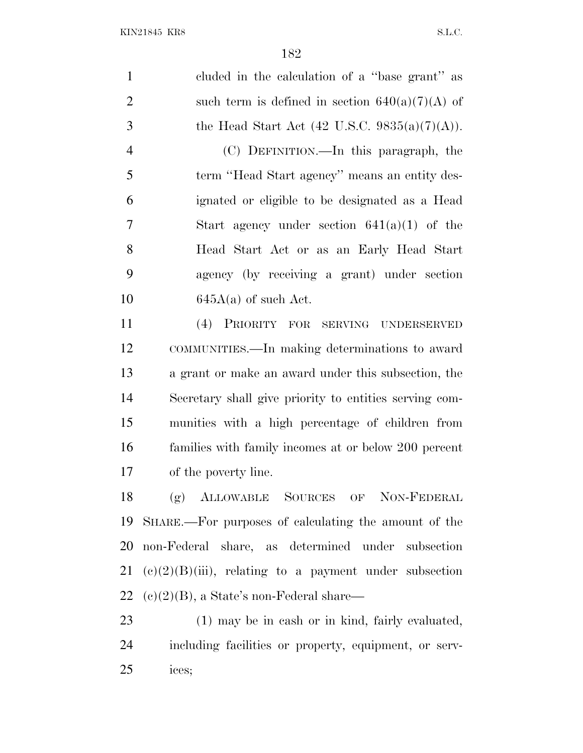cluded in the calculation of a ''base grant'' as 2 such term is defined in section  $640(a)(7)(A)$  of 3 the Head Start Act  $(42 \text{ U.S.C. } 9835(a)(7)(\text{A})).$  (C) DEFINITION.—In this paragraph, the term ''Head Start agency'' means an entity des- ignated or eligible to be designated as a Head Start agency under section 641(a)(1) of the Head Start Act or as an Early Head Start agency (by receiving a grant) under section  $645A(a)$  of such Act. (4) PRIORITY FOR SERVING UNDERSERVED COMMUNITIES.—In making determinations to award a grant or make an award under this subsection, the Secretary shall give priority to entities serving com- munities with a high percentage of children from families with family incomes at or below 200 percent of the poverty line. (g) ALLOWABLE SOURCES OF NON-FEDERAL SHARE.—For purposes of calculating the amount of the non-Federal share, as determined under subsection 21 (c)(2)(B)(iii), relating to a payment under subsection 22 (c)(2)(B), a State's non-Federal share— (1) may be in cash or in kind, fairly evaluated, including facilities or property, equipment, or serv-

ices;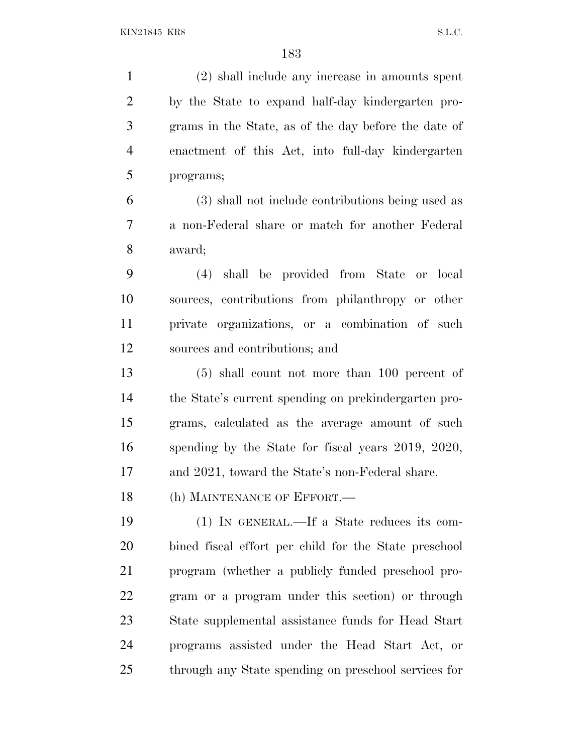(2) shall include any increase in amounts spent by the State to expand half-day kindergarten pro- grams in the State, as of the day before the date of enactment of this Act, into full-day kindergarten programs; (3) shall not include contributions being used as a non-Federal share or match for another Federal award; (4) shall be provided from State or local sources, contributions from philanthropy or other private organizations, or a combination of such sources and contributions; and (5) shall count not more than 100 percent of the State's current spending on prekindergarten pro- grams, calculated as the average amount of such spending by the State for fiscal years 2019, 2020, and 2021, toward the State's non-Federal share. 18 (h) MAINTENANCE OF EFFORT. (1) IN GENERAL.—If a State reduces its com- bined fiscal effort per child for the State preschool program (whether a publicly funded preschool pro- gram or a program under this section) or through State supplemental assistance funds for Head Start programs assisted under the Head Start Act, or through any State spending on preschool services for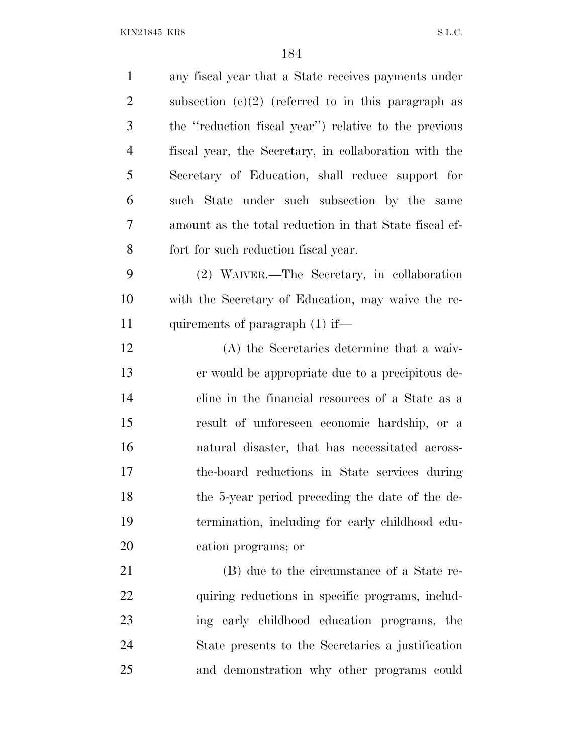| $\mathbf{1}$   | any fiscal year that a State receives payments under   |
|----------------|--------------------------------------------------------|
| $\overline{2}$ | subsection $(c)(2)$ (referred to in this paragraph as  |
| 3              | the "reduction fiscal year") relative to the previous  |
| $\overline{4}$ | fiscal year, the Secretary, in collaboration with the  |
| 5              | Secretary of Education, shall reduce support for       |
| 6              | such State under such subsection by the same           |
| 7              | amount as the total reduction in that State fiscal ef- |
| 8              | fort for such reduction fiscal year.                   |
| 9              | (2) WAIVER.—The Secretary, in collaboration            |
| 10             | with the Secretary of Education, may waive the re-     |
| 11             | quirements of paragraph $(1)$ if—                      |
| 12             | (A) the Secretaries determine that a waiv-             |
| 13             | er would be appropriate due to a precipitous de-       |
| 14             | cline in the financial resources of a State as a       |
| 15             | result of unforeseen economic hardship, or a           |
| 16             | natural disaster, that has necessitated across-        |
| 17             | the-board reductions in State services during          |
| 18             | the 5-year period preceding the date of the de-        |
| 19             | termination, including for early childhood edu-        |
| 20             | cation programs; or                                    |
| 21             | (B) due to the circumstance of a State re-             |
| 22             | quiring reductions in specific programs, includ-       |
| 23             | ing early childhood education programs, the            |
| 24             | State presents to the Secretaries a justification      |
| 25             | and demonstration why other programs could             |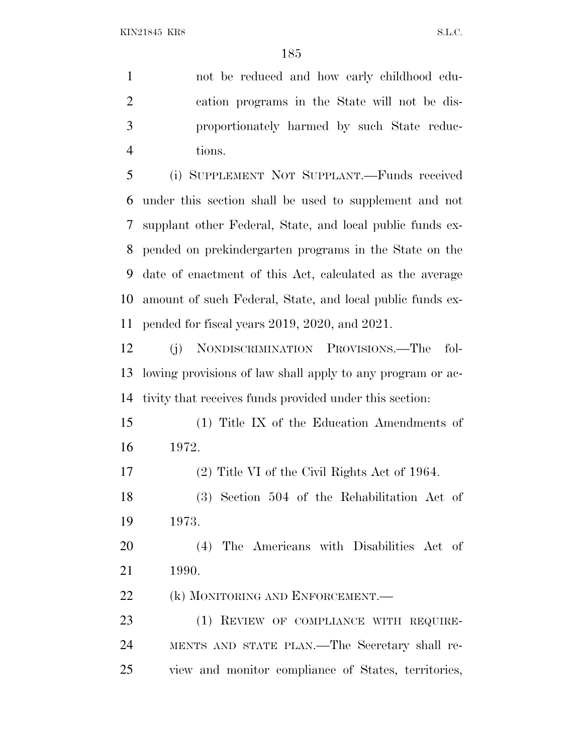not be reduced and how early childhood edu- cation programs in the State will not be dis- proportionately harmed by such State reduc-tions.

 (i) SUPPLEMENT NOT SUPPLANT.—Funds received under this section shall be used to supplement and not supplant other Federal, State, and local public funds ex- pended on prekindergarten programs in the State on the date of enactment of this Act, calculated as the average amount of such Federal, State, and local public funds ex-pended for fiscal years 2019, 2020, and 2021.

 (j) NONDISCRIMINATION PROVISIONS.—The fol- lowing provisions of law shall apply to any program or ac-tivity that receives funds provided under this section:

 (1) Title IX of the Education Amendments of 1972.

(2) Title VI of the Civil Rights Act of 1964.

 (3) Section 504 of the Rehabilitation Act of 1973.

 (4) The Americans with Disabilities Act of 1990.

22 (k) MONITORING AND ENFORCEMENT.

23 (1) REVIEW OF COMPLIANCE WITH REQUIRE- MENTS AND STATE PLAN.—The Secretary shall re-view and monitor compliance of States, territories,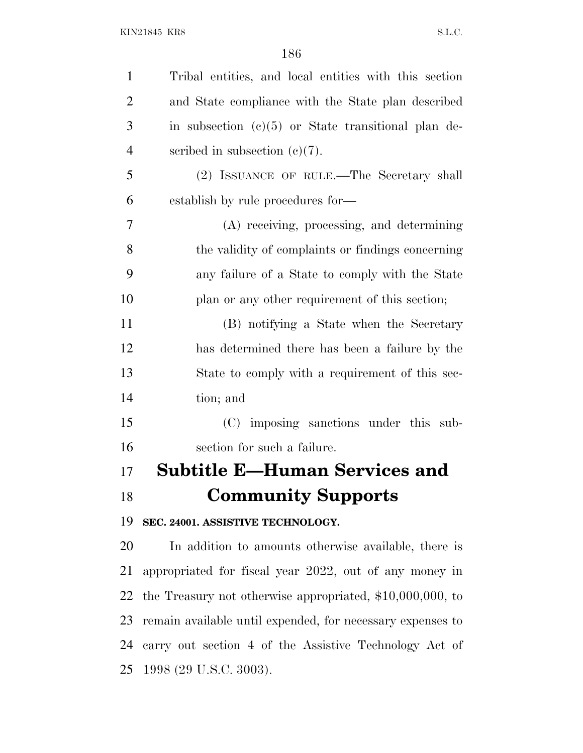| $\mathbf{1}$   | Tribal entities, and local entities with this section       |
|----------------|-------------------------------------------------------------|
| $\overline{2}$ | and State compliance with the State plan described          |
| 3              | in subsection $(c)(5)$ or State transitional plan de-       |
| $\overline{4}$ | scribed in subsection $(c)(7)$ .                            |
| 5              | (2) ISSUANCE OF RULE.—The Secretary shall                   |
| 6              | establish by rule procedures for—                           |
| 7              | (A) receiving, processing, and determining                  |
| 8              | the validity of complaints or findings concerning           |
| 9              | any failure of a State to comply with the State             |
| 10             | plan or any other requirement of this section;              |
| 11             | (B) notifying a State when the Secretary                    |
| 12             | has determined there has been a failure by the              |
| 13             | State to comply with a requirement of this sec-             |
| 14             | tion; and                                                   |
| 15             | (C) imposing sanctions under this sub-                      |
| 16             | section for such a failure.                                 |
| 17             | Subtitle E—Human Services and                               |
| 18             | <b>Community Supports</b>                                   |
| 19             | SEC. 24001. ASSISTIVE TECHNOLOGY.                           |
| 20             | In addition to amounts otherwise available, there is        |
| 21             | appropriated for fiscal year 2022, out of any money in      |
| 22             | the Treasury not otherwise appropriated, $$10,000,000$ , to |
| 23             | remain available until expended, for necessary expenses to  |
| 24             | carry out section 4 of the Assistive Technology Act of      |

1998 (29 U.S.C. 3003).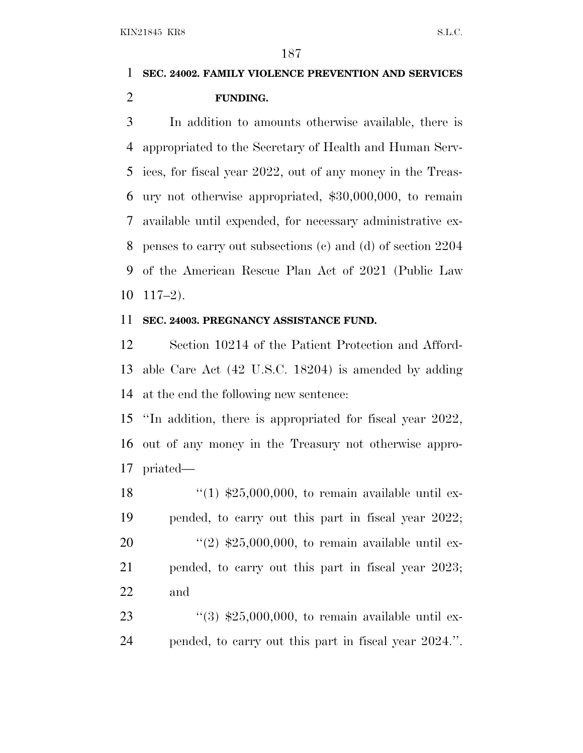### **SEC. 24002. FAMILY VIOLENCE PREVENTION AND SERVICES FUNDING.**

 In addition to amounts otherwise available, there is appropriated to the Secretary of Health and Human Serv- ices, for fiscal year 2022, out of any money in the Treas- ury not otherwise appropriated, \$30,000,000, to remain available until expended, for necessary administrative ex- penses to carry out subsections (c) and (d) of section 2204 of the American Rescue Plan Act of 2021 (Public Law 117–2).

#### **SEC. 24003. PREGNANCY ASSISTANCE FUND.**

 Section 10214 of the Patient Protection and Afford- able Care Act (42 U.S.C. 18204) is amended by adding at the end the following new sentence:

 ''In addition, there is appropriated for fiscal year 2022, out of any money in the Treasury not otherwise appro-priated—

 $\frac{1}{25,000,000}$ , to remain available until ex- pended, to carry out this part in fiscal year 2022;  $\frac{((2) \, \$25,000,000, \, \text{to remain available until ex-})}{20}$  pended, to carry out this part in fiscal year 2023; and

23  $\frac{1}{3}$   $\frac{1}{25,000,000}$ , to remain available until ex-pended, to carry out this part in fiscal year 2024.''.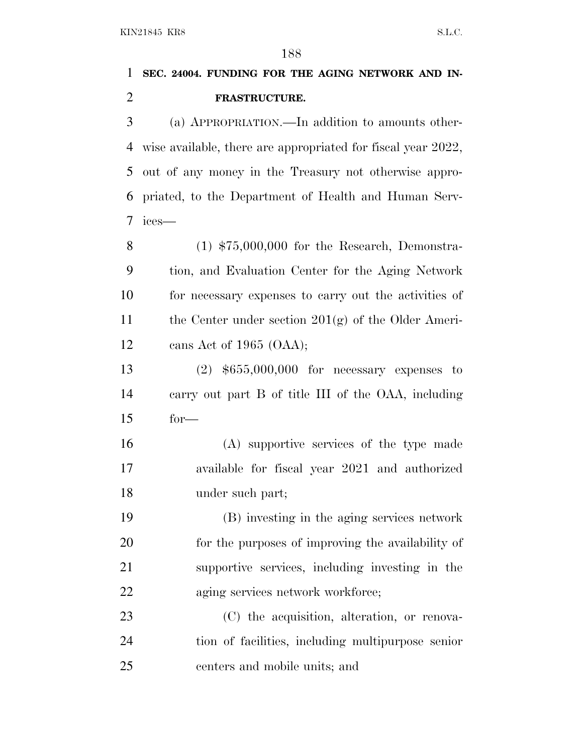# **SEC. 24004. FUNDING FOR THE AGING NETWORK AND IN-FRASTRUCTURE.**

 (a) APPROPRIATION.—In addition to amounts other- wise available, there are appropriated for fiscal year 2022, out of any money in the Treasury not otherwise appro- priated, to the Department of Health and Human Serv-ices—

 (1) \$75,000,000 for the Research, Demonstra- tion, and Evaluation Center for the Aging Network for necessary expenses to carry out the activities of 11 the Center under section  $201(g)$  of the Older Ameri-cans Act of 1965 (OAA);

 (2) \$655,000,000 for necessary expenses to carry out part B of title III of the OAA, including for—

 (A) supportive services of the type made available for fiscal year 2021 and authorized under such part;

 (B) investing in the aging services network for the purposes of improving the availability of supportive services, including investing in the 22 aging services network workforce;

 (C) the acquisition, alteration, or renova- tion of facilities, including multipurpose senior centers and mobile units; and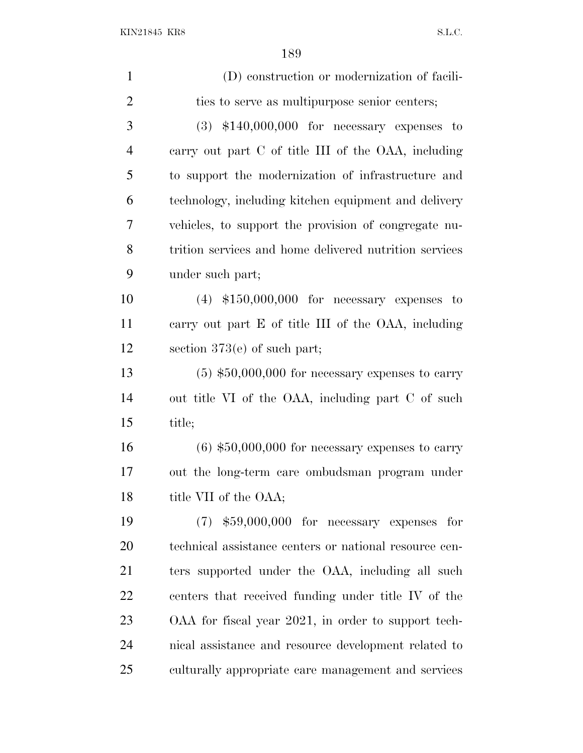| $\mathbf{1}$   | (D) construction or modernization of facili-           |
|----------------|--------------------------------------------------------|
| $\overline{2}$ | ties to serve as multipurpose senior centers;          |
| 3              | $(3)$ \$140,000,000 for necessary expenses to          |
| $\overline{4}$ | carry out part C of title III of the OAA, including    |
| 5              | to support the modernization of infrastructure and     |
| 6              | technology, including kitchen equipment and delivery   |
| 7              | vehicles, to support the provision of congregate nu-   |
| 8              | trition services and home delivered nutrition services |
| 9              | under such part;                                       |
| 10             | $(4)$ \$150,000,000 for necessary expenses to          |
| 11             | carry out part E of title III of the OAA, including    |
| 12             | section $373(e)$ of such part;                         |
| 13             | $(5)$ \$50,000,000 for necessary expenses to carry     |
| 14             | out title VI of the OAA, including part C of such      |
| 15             | title;                                                 |
| 16             | $(6)$ \$50,000,000 for necessary expenses to carry     |
| 17             | out the long-term care ombudsman program under         |
| 18             | title VII of the OAA;                                  |
| 19             | $(7)$ \$59,000,000 for necessary expenses for          |
| 20             | technical assistance centers or national resource cen- |
| 21             | ters supported under the OAA, including all such       |
| 22             | centers that received funding under title IV of the    |
| 23             | OAA for fiscal year 2021, in order to support tech-    |
| 24             | nical assistance and resource development related to   |
| 25             | culturally appropriate care management and services    |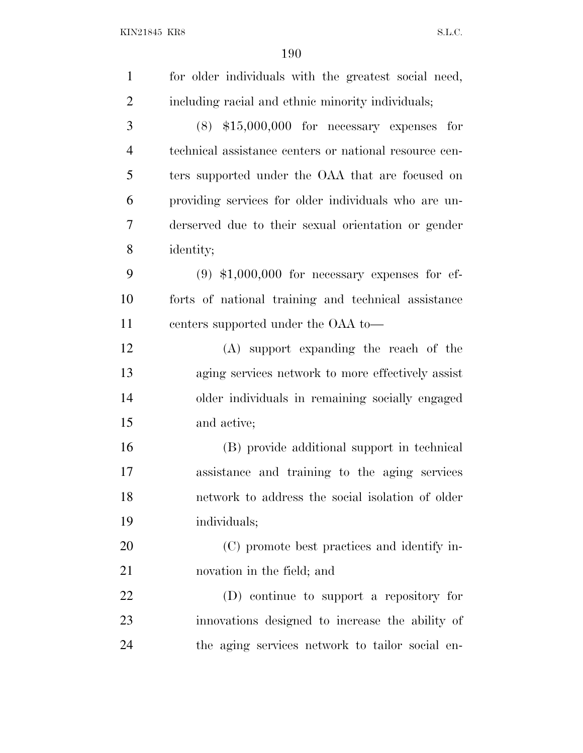| for older individuals with the greatest social need,   |
|--------------------------------------------------------|
| including racial and ethnic minority individuals;      |
| $(8)$ \$15,000,000 for necessary expenses for          |
| technical assistance centers or national resource cen- |
| ters supported under the OAA that are focused on       |
| providing services for older individuals who are un-   |
| derserved due to their sexual orientation or gender    |
| identity;                                              |
| $(9)$ \$1,000,000 for necessary expenses for ef-       |
| forts of national training and technical assistance    |
| centers supported under the OAA to-                    |
| (A) support expanding the reach of the                 |
| aging services network to more effectively assist      |
| older individuals in remaining socially engaged        |
| and active;                                            |
| (B) provide additional support in technical            |
| assistance and training to the aging services          |
| network to address the social isolation of older       |
| individuals;                                           |
| (C) promote best practices and identify in-            |
| novation in the field; and                             |
| (D) continue to support a repository for               |
| innovations designed to increase the ability of        |
| the aging services network to tailor social en-        |
|                                                        |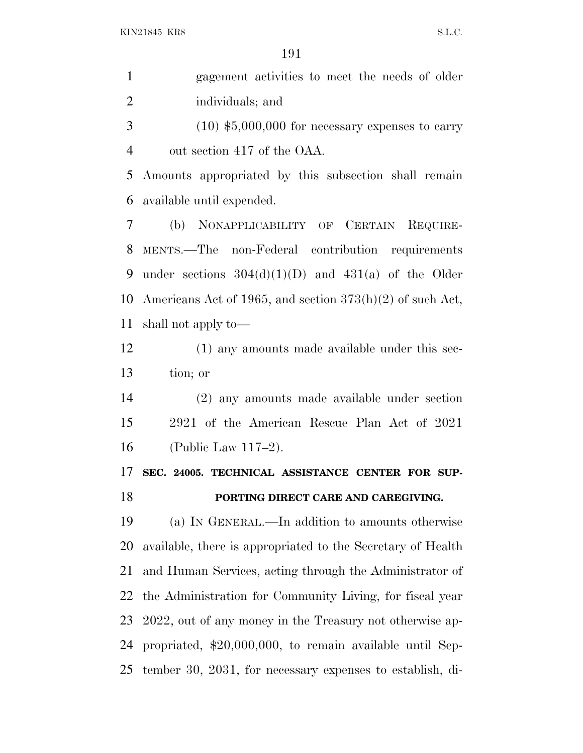| $\mathbf{1}$   | gagement activities to meet the needs of older              |
|----------------|-------------------------------------------------------------|
| $\overline{2}$ | individuals; and                                            |
| 3              | $(10)$ \$5,000,000 for necessary expenses to carry          |
| $\overline{4}$ | out section 417 of the OAA.                                 |
| 5              | Amounts appropriated by this subsection shall remain        |
| 6              | available until expended.                                   |
| 7              | (b) NONAPPLICABILITY OF CERTAIN REQUIRE-                    |
| 8              | MENTS.—The non-Federal contribution requirements            |
| 9              | under sections $304(d)(1)(D)$ and $431(a)$ of the Older     |
| 10             | Americans Act of 1965, and section $373(h)(2)$ of such Act, |
| 11             | shall not apply to—                                         |
| 12             | $(1)$ any amounts made available under this sec-            |
| 13             | tion; or                                                    |
| 14             | (2) any amounts made available under section                |
| 15             | 2921 of the American Rescue Plan Act of 2021                |
| 16             | (Public Law $117-2$ ).                                      |
| 17             | SEC. 24005. TECHNICAL ASSISTANCE CENTER FOR SUP-            |
| 18             | PORTING DIRECT CARE AND CAREGIVING.                         |
| 19             | (a) IN GENERAL.—In addition to amounts otherwise            |
| 20             | available, there is appropriated to the Secretary of Health |
| 21             | and Human Services, acting through the Administrator of     |
| 22             | the Administration for Community Living, for fiscal year    |
| 23             | 2022, out of any money in the Treasury not otherwise ap-    |
| 24             | propriated, \$20,000,000, to remain available until Sep-    |
| 25             | tember 30, 2031, for necessary expenses to establish, di-   |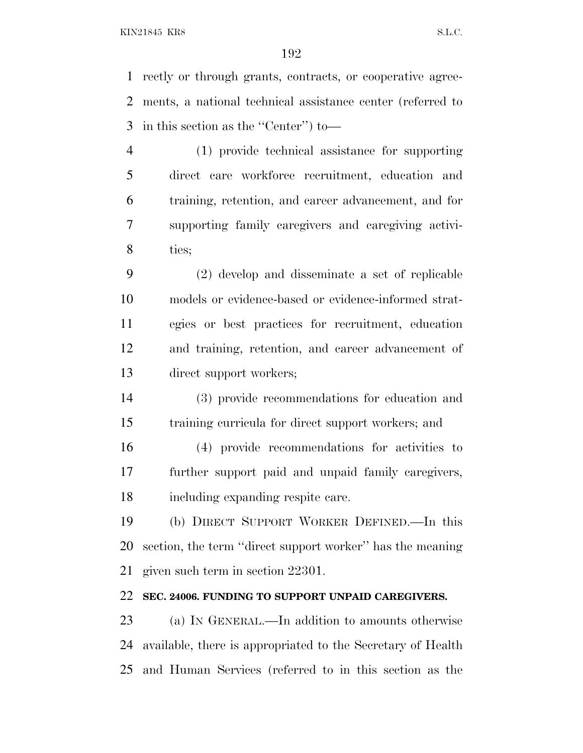rectly or through grants, contracts, or cooperative agree- ments, a national technical assistance center (referred to in this section as the ''Center'') to—

 (1) provide technical assistance for supporting direct care workforce recruitment, education and training, retention, and career advancement, and for supporting family caregivers and caregiving activi-ties;

 (2) develop and disseminate a set of replicable models or evidence-based or evidence-informed strat- egies or best practices for recruitment, education and training, retention, and career advancement of direct support workers;

 (3) provide recommendations for education and training curricula for direct support workers; and

 (4) provide recommendations for activities to further support paid and unpaid family caregivers, including expanding respite care.

 (b) DIRECT SUPPORT WORKER DEFINED.—In this section, the term ''direct support worker'' has the meaning given such term in section 22301.

#### **SEC. 24006. FUNDING TO SUPPORT UNPAID CAREGIVERS.**

 (a) I<sup>N</sup> GENERAL.—In addition to amounts otherwise available, there is appropriated to the Secretary of Health and Human Services (referred to in this section as the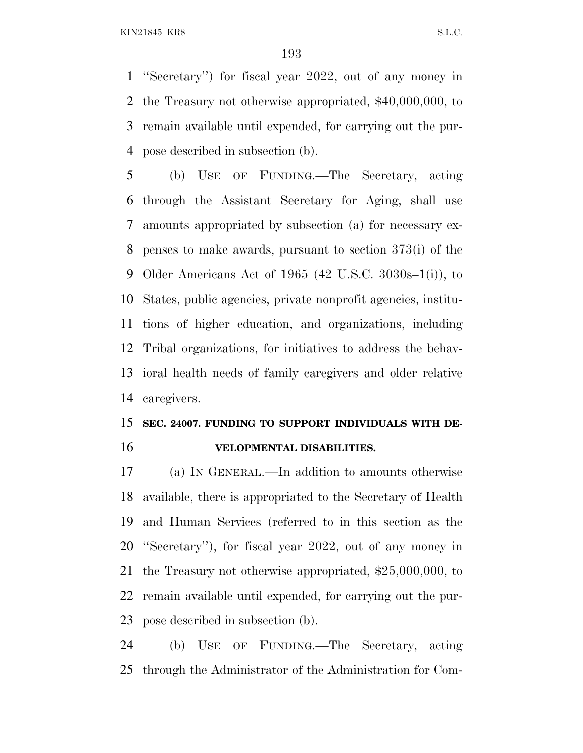''Secretary'') for fiscal year 2022, out of any money in the Treasury not otherwise appropriated, \$40,000,000, to remain available until expended, for carrying out the pur-pose described in subsection (b).

 (b) USE OF FUNDING.—The Secretary, acting through the Assistant Secretary for Aging, shall use amounts appropriated by subsection (a) for necessary ex- penses to make awards, pursuant to section 373(i) of the Older Americans Act of 1965 (42 U.S.C. 3030s–1(i)), to States, public agencies, private nonprofit agencies, institu- tions of higher education, and organizations, including Tribal organizations, for initiatives to address the behav- ioral health needs of family caregivers and older relative caregivers.

#### **SEC. 24007. FUNDING TO SUPPORT INDIVIDUALS WITH DE-VELOPMENTAL DISABILITIES.**

 (a) I<sup>N</sup> GENERAL.—In addition to amounts otherwise available, there is appropriated to the Secretary of Health and Human Services (referred to in this section as the ''Secretary''), for fiscal year 2022, out of any money in the Treasury not otherwise appropriated, \$25,000,000, to remain available until expended, for carrying out the pur-pose described in subsection (b).

 (b) USE OF FUNDING.—The Secretary, acting through the Administrator of the Administration for Com-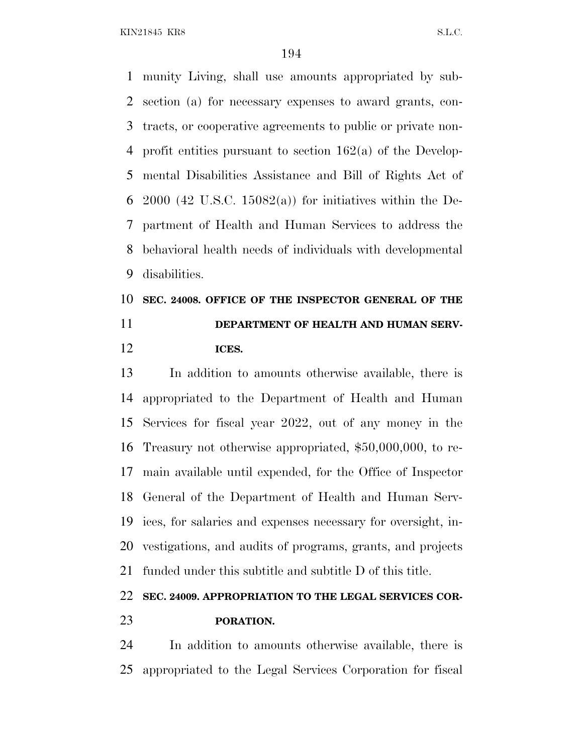munity Living, shall use amounts appropriated by sub- section (a) for necessary expenses to award grants, con- tracts, or cooperative agreements to public or private non- profit entities pursuant to section 162(a) of the Develop- mental Disabilities Assistance and Bill of Rights Act of 6 2000 (42 U.S.C. 15082(a)) for initiatives within the De- partment of Health and Human Services to address the behavioral health needs of individuals with developmental disabilities.

## **SEC. 24008. OFFICE OF THE INSPECTOR GENERAL OF THE DEPARTMENT OF HEALTH AND HUMAN SERV-ICES.**

 In addition to amounts otherwise available, there is appropriated to the Department of Health and Human Services for fiscal year 2022, out of any money in the Treasury not otherwise appropriated, \$50,000,000, to re- main available until expended, for the Office of Inspector General of the Department of Health and Human Serv- ices, for salaries and expenses necessary for oversight, in- vestigations, and audits of programs, grants, and projects funded under this subtitle and subtitle D of this title.

### **SEC. 24009. APPROPRIATION TO THE LEGAL SERVICES COR-PORATION.**

 In addition to amounts otherwise available, there is appropriated to the Legal Services Corporation for fiscal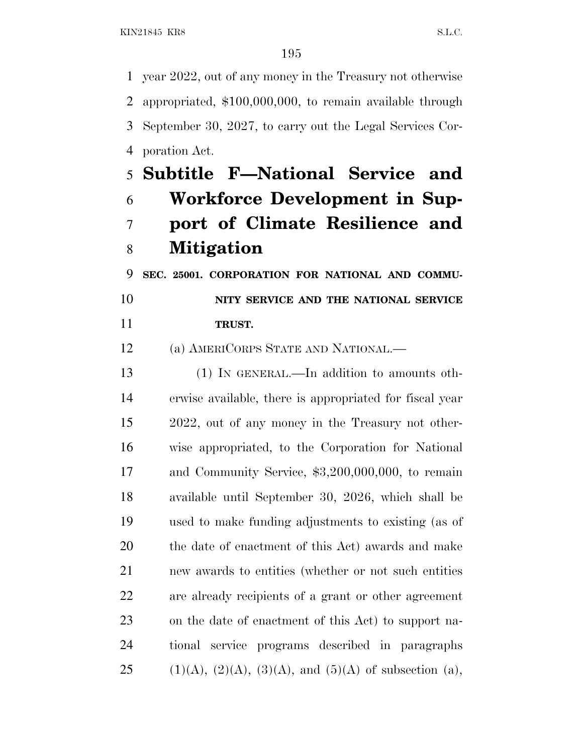year 2022, out of any money in the Treasury not otherwise appropriated, \$100,000,000, to remain available through September 30, 2027, to carry out the Legal Services Cor-poration Act.

# **Subtitle F—National Service and Workforce Development in Sup- port of Climate Resilience and Mitigation**

 **SEC. 25001. CORPORATION FOR NATIONAL AND COMMU- NITY SERVICE AND THE NATIONAL SERVICE TRUST.**

(a) AMERICORPS STATE AND NATIONAL.—

 (1) IN GENERAL.—In addition to amounts oth- erwise available, there is appropriated for fiscal year 2022, out of any money in the Treasury not other- wise appropriated, to the Corporation for National 17 and Community Service, \$3,200,000,000, to remain available until September 30, 2026, which shall be used to make funding adjustments to existing (as of the date of enactment of this Act) awards and make new awards to entities (whether or not such entities are already recipients of a grant or other agreement on the date of enactment of this Act) to support na- tional service programs described in paragraphs 25 (1)(A), (2)(A), (3)(A), and (5)(A) of subsection (a),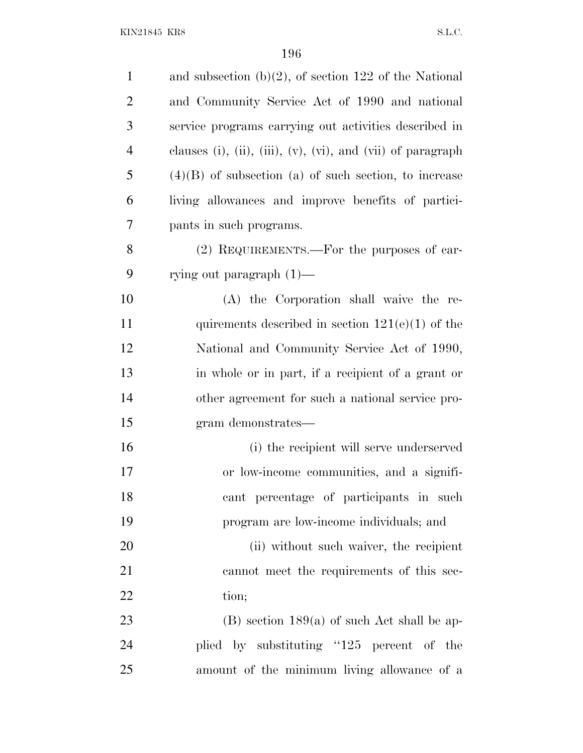| $\mathbf{1}$   | and subsection $(b)(2)$ , of section 122 of the National    |
|----------------|-------------------------------------------------------------|
| $\overline{2}$ | and Community Service Act of 1990 and national              |
| 3              | service programs carrying out activities described in       |
| $\overline{4}$ | clauses (i), (ii), (iii), (v), (vi), and (vii) of paragraph |
| 5              | $(4)(B)$ of subsection (a) of such section, to increase     |
| 6              | living allowances and improve benefits of partici-          |
| 7              | pants in such programs.                                     |
| 8              | (2) REQUIREMENTS.—For the purposes of car-                  |
| 9              | rying out paragraph $(1)$ —                                 |
| 10             | (A) the Corporation shall waive the re-                     |
| 11             | quirements described in section $121(e)(1)$ of the          |
| 12             | National and Community Service Act of 1990,                 |
| 13             | in whole or in part, if a recipient of a grant or           |
| 14             | other agreement for such a national service pro-            |
| 15             | gram demonstrates—                                          |
| 16             | (i) the recipient will serve underserved                    |
| 17             | or low-income communities, and a signifi-                   |
| 18             | cant percentage of participants in such                     |
| 19             | program are low-income individuals; and                     |
| 20             | (ii) without such waiver, the recipient                     |
| 21             | cannot meet the requirements of this sec-                   |
| 22             | tion;                                                       |
| 23             | $(B)$ section 189(a) of such Act shall be ap-               |
| 24             | plied by substituting "125 percent of the                   |
| 25             | amount of the minimum living allowance of a                 |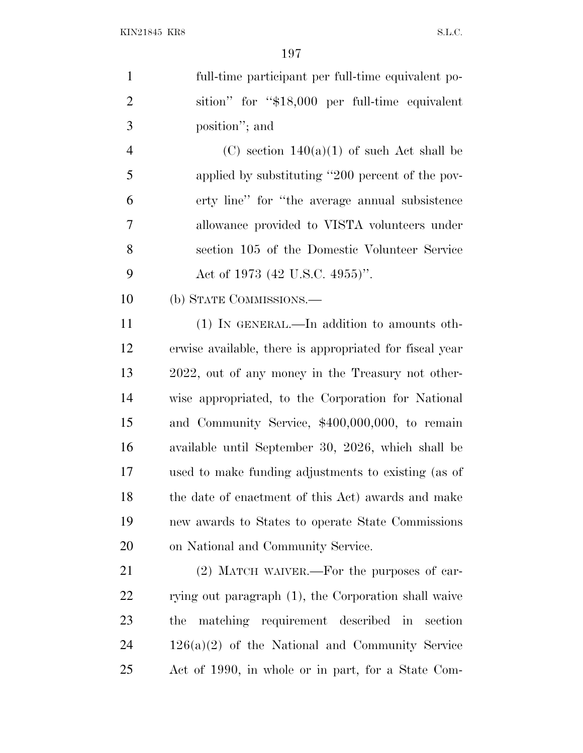full-time participant per full-time equivalent po- sition'' for ''\$18,000 per full-time equivalent position''; and

4 (C) section  $140(a)(1)$  of such Act shall be applied by substituting ''200 percent of the pov- erty line'' for ''the average annual subsistence allowance provided to VISTA volunteers under section 105 of the Domestic Volunteer Service 9 Act of 1973 (42 U.S.C. 4955)".

(b) STATE COMMISSIONS.—

 (1) IN GENERAL.—In addition to amounts oth- erwise available, there is appropriated for fiscal year 2022, out of any money in the Treasury not other- wise appropriated, to the Corporation for National and Community Service, \$400,000,000, to remain available until September 30, 2026, which shall be used to make funding adjustments to existing (as of the date of enactment of this Act) awards and make new awards to States to operate State Commissions on National and Community Service.

 (2) MATCH WAIVER.—For the purposes of car-22 rying out paragraph (1), the Corporation shall waive the matching requirement described in section 126(a)(2) of the National and Community Service Act of 1990, in whole or in part, for a State Com-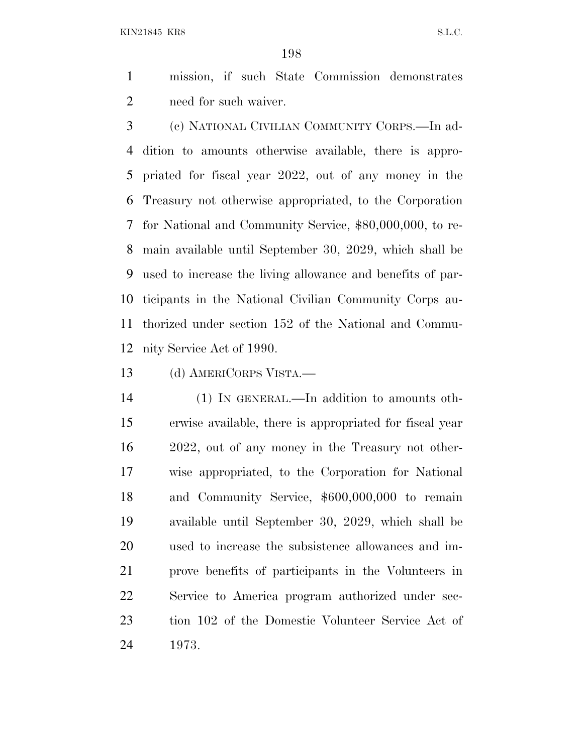mission, if such State Commission demonstrates need for such waiver.

 (c) NATIONAL CIVILIAN COMMUNITY CORPS.—In ad- dition to amounts otherwise available, there is appro- priated for fiscal year 2022, out of any money in the Treasury not otherwise appropriated, to the Corporation for National and Community Service, \$80,000,000, to re- main available until September 30, 2029, which shall be used to increase the living allowance and benefits of par- ticipants in the National Civilian Community Corps au- thorized under section 152 of the National and Commu-nity Service Act of 1990.

(d) AMERICORPS VISTA.—

 (1) IN GENERAL.—In addition to amounts oth- erwise available, there is appropriated for fiscal year 2022, out of any money in the Treasury not other- wise appropriated, to the Corporation for National and Community Service, \$600,000,000 to remain available until September 30, 2029, which shall be used to increase the subsistence allowances and im- prove benefits of participants in the Volunteers in Service to America program authorized under sec- tion 102 of the Domestic Volunteer Service Act of 1973.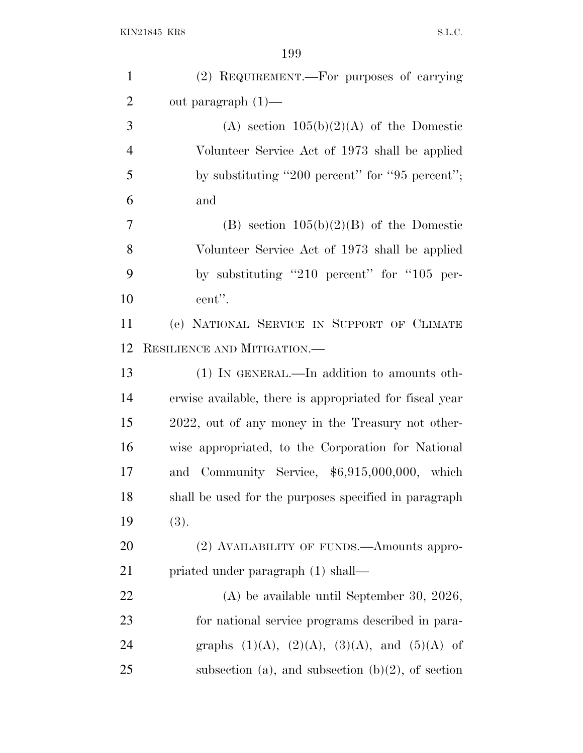| $\mathbf{1}$   | (2) REQUIREMENT.—For purposes of carrying               |
|----------------|---------------------------------------------------------|
| $\overline{2}$ | out paragraph $(1)$ —                                   |
| 3              | (A) section $105(b)(2)(A)$ of the Domestic              |
| $\overline{4}$ | Volunteer Service Act of 1973 shall be applied          |
| 5              | by substituting "200 percent" for "95 percent";         |
| 6              | and                                                     |
| 7              | (B) section $105(b)(2)(B)$ of the Domestic              |
| 8              | Volunteer Service Act of 1973 shall be applied          |
| 9              | by substituting "210 percent" for "105 per-             |
| 10             | cent".                                                  |
| 11             | (e) NATIONAL SERVICE IN SUPPORT OF CLIMATE              |
| 12             | RESILIENCE AND MITIGATION.                              |
| 13             | (1) IN GENERAL.—In addition to amounts oth-             |
| 14             | erwise available, there is appropriated for fiscal year |
| 15             | 2022, out of any money in the Treasury not other-       |
| 16             | wise appropriated, to the Corporation for National      |
| 17             | Community Service, $$6,915,000,000$ , which<br>and      |
| 18             | shall be used for the purposes specified in paragraph   |
| 19             | (3).                                                    |
| 20             | (2) AVAILABILITY OF FUNDS.—Amounts appro-               |
| 21             | priated under paragraph (1) shall—                      |
| 22             | $(A)$ be available until September 30, 2026,            |
| 23             | for national service programs described in para-        |
| 24             | graphs $(1)(A)$ , $(2)(A)$ , $(3)(A)$ , and $(5)(A)$ of |
| 25             | subsection (a), and subsection (b) $(2)$ , of section   |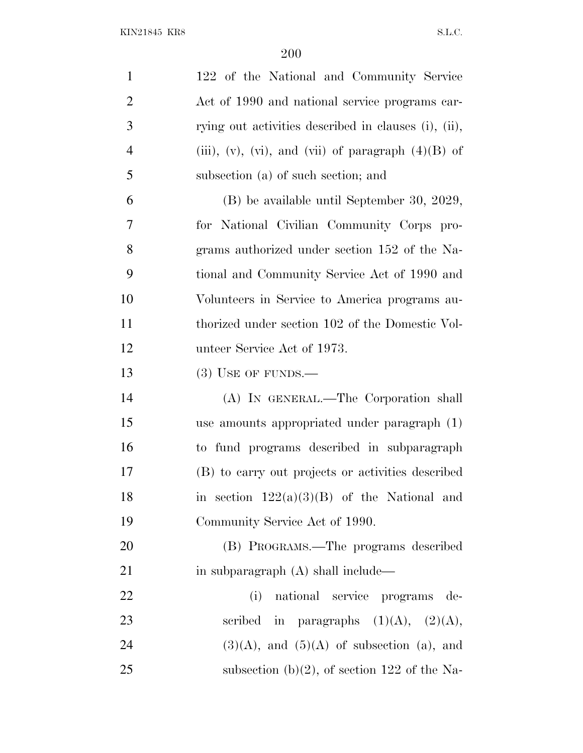| $\mathbf{1}$   | 122 of the National and Community Service            |
|----------------|------------------------------------------------------|
| $\overline{2}$ | Act of 1990 and national service programs car-       |
| 3              | rying out activities described in clauses (i), (ii), |
| $\overline{4}$ | (iii), (v), (vi), and (vii) of paragraph $(4)(B)$ of |
| 5              | subsection (a) of such section; and                  |
| 6              | (B) be available until September 30, 2029,           |
| $\overline{7}$ | for National Civilian Community Corps pro-           |
| 8              | grams authorized under section 152 of the Na-        |
| 9              | tional and Community Service Act of 1990 and         |
| 10             | Volunteers in Service to America programs au-        |
| 11             | thorized under section 102 of the Domestic Vol-      |
| 12             | unteer Service Act of 1973.                          |
| 13             | $(3)$ USE OF FUNDS.—                                 |
| 14             | (A) IN GENERAL.—The Corporation shall                |
| 15             | use amounts appropriated under paragraph (1)         |
| 16             | to fund programs described in subparagraph           |
| 17             | (B) to carry out projects or activities described    |
| 18             | in section $122(a)(3)(B)$ of the National and        |
| 19             | Community Service Act of 1990.                       |
| 20             | (B) PROGRAMS.—The programs described                 |
| 21             | in subparagraph (A) shall include—                   |
| 22             | national service programs de-<br>(i)                 |
| 23             | scribed in paragraphs $(1)(A)$ , $(2)(A)$ ,          |
| 24             | $(3)(A)$ , and $(5)(A)$ of subsection (a), and       |
| 25             | subsection (b)(2), of section 122 of the Na-         |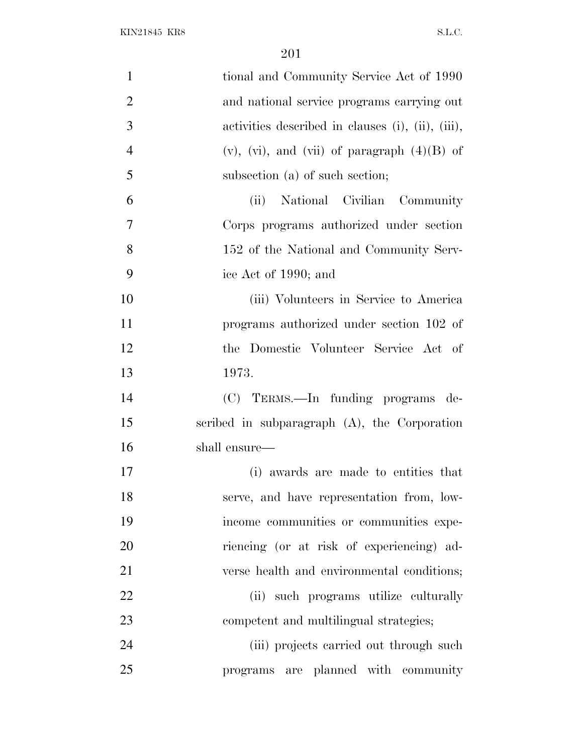| $\mathbf{1}$        | tional and Community Service Act of 1990              |
|---------------------|-------------------------------------------------------|
| $\overline{2}$      | and national service programs carrying out            |
| 3                   | activities described in clauses (i), (ii), (iii),     |
| $\overline{4}$      | $(v)$ , $(vi)$ , and $(vii)$ of paragraph $(4)(B)$ of |
| 5                   | subsection (a) of such section;                       |
| 6                   | National Civilian Community<br>(ii)                   |
| 7                   | Corps programs authorized under section               |
| 8                   | 152 of the National and Community Serv-               |
| 9                   | ice Act of 1990; and                                  |
| 10                  | (iii) Volunteers in Service to America                |
| 11                  | programs authorized under section 102 of              |
| 12                  | the Domestic Volunteer Service Act of                 |
| 13<br>1973.         |                                                       |
| 14                  | (C) TERMS.—In funding programs de-                    |
| 15                  | scribed in subparagraph $(A)$ , the Corporation       |
| 16<br>shall ensure— |                                                       |
| 17                  | (i) awards are made to entities that                  |
| 18                  | serve, and have representation from, low-             |
| 19                  | income communities or communities expe-               |
| 20                  | riencing (or at risk of experiencing) ad-             |
| 21                  | verse health and environmental conditions;            |
| 22                  | (ii) such programs utilize culturally                 |
| 23                  | competent and multilingual strategies;                |
| 24                  | (iii) projects carried out through such               |
| 25                  | programs are planned with community                   |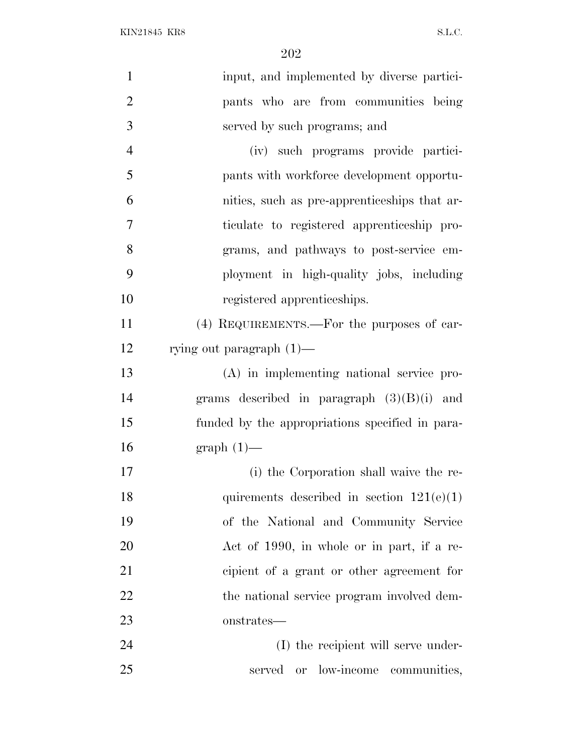| $\mathbf{1}$   | input, and implemented by diverse partici-      |
|----------------|-------------------------------------------------|
| $\overline{2}$ | pants who are from communities being            |
| 3              | served by such programs; and                    |
| $\overline{4}$ | (iv) such programs provide partici-             |
| 5              | pants with workforce development opportu-       |
| 6              | nities, such as pre-apprenticeships that ar-    |
| 7              | ticulate to registered apprenticeship pro-      |
| 8              | grams, and pathways to post-service em-         |
| 9              | ployment in high-quality jobs, including        |
| 10             | registered apprenticeships.                     |
| 11             | (4) REQUIREMENTS.—For the purposes of car-      |
| 12             | rying out paragraph $(1)$ —                     |
| 13             | (A) in implementing national service pro-       |
| 14             | grams described in paragraph $(3)(B)(i)$ and    |
| 15             | funded by the appropriations specified in para- |
| 16             | $graph(1)$ —                                    |
| 17             | (i) the Corporation shall waive the re-         |
| 18             | quirements described in section $121(e)(1)$     |
| 19             | of the National and Community Service           |
| 20             | Act of 1990, in whole or in part, if a re-      |
| 21             | cipient of a grant or other agreement for       |
| 22             | the national service program involved dem-      |
| 23             | onstrates—                                      |
| 24             | (I) the recipient will serve under-             |
| 25             | served or low-income communities,               |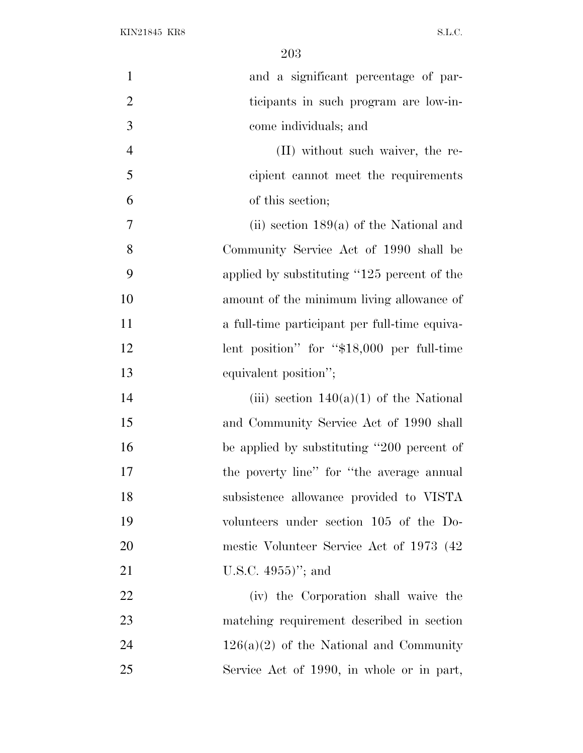| $\mathbf{1}$   | and a significant percentage of par-          |
|----------------|-----------------------------------------------|
| $\overline{2}$ | ticipants in such program are low-in-         |
| 3              | come individuals; and                         |
| $\overline{4}$ | (II) without such waiver, the re-             |
| 5              | cipient cannot meet the requirements          |
| 6              | of this section;                              |
| 7              | (ii) section $189(a)$ of the National and     |
| 8              | Community Service Act of 1990 shall be        |
| 9              | applied by substituting "125 percent of the   |
| 10             | amount of the minimum living allowance of     |
| 11             | a full-time participant per full-time equiva- |
| 12             | lent position" for " $$18,000$ per full-time  |
| 13             | equivalent position";                         |
| 14             | (iii) section $140(a)(1)$ of the National     |
| 15             | and Community Service Act of 1990 shall       |
| 16             | be applied by substituting "200 percent of    |
| 17             | the poverty line" for "the average annual     |
| 18             | subsistence allowance provided to VISTA       |
| 19             | volunteers under section 105 of the Do-       |
| 20             | mestic Volunteer Service Act of 1973 (42)     |
| 21             | U.S.C. $4955$ )"; and                         |
| 22             | (iv) the Corporation shall waive the          |
| 23             | matching requirement described in section     |
| 24             | $126(a)(2)$ of the National and Community     |
| 25             | Service Act of 1990, in whole or in part,     |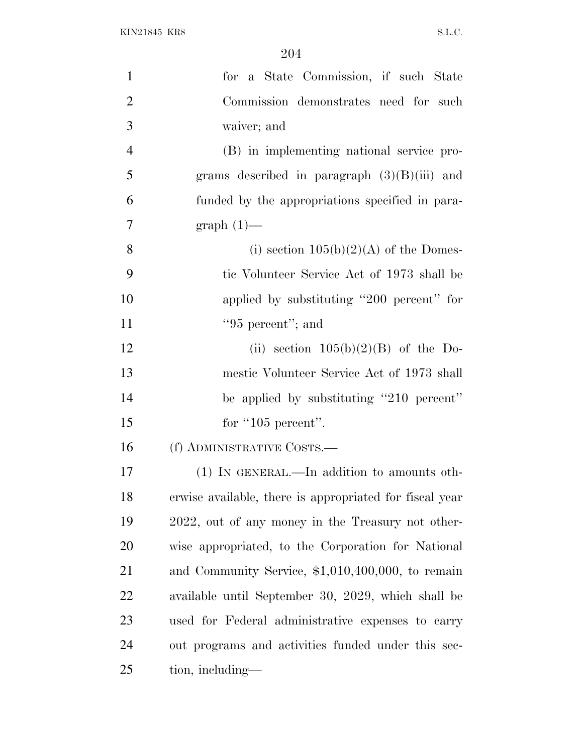| $\mathbf{1}$   | for a State Commission, if such State                   |
|----------------|---------------------------------------------------------|
| $\overline{2}$ | Commission demonstrates need for such                   |
| 3              | waiver; and                                             |
| 4              | (B) in implementing national service pro-               |
| 5              | grams described in paragraph $(3)(B)(iii)$ and          |
| 6              | funded by the appropriations specified in para-         |
| $\overline{7}$ | $graph(1)$ —                                            |
| 8              | (i) section $105(b)(2)(A)$ of the Domes-                |
| 9              | tic Volunteer Service Act of 1973 shall be              |
| 10             | applied by substituting "200 percent" for               |
| 11             | $"95$ percent"; and                                     |
| 12             | (ii) section $105(b)(2)(B)$ of the Do-                  |
| 13             | mestic Volunteer Service Act of 1973 shall              |
| 14             | be applied by substituting "210 percent"                |
| 15             | for "105 percent".                                      |
| 16             | (f) ADMINISTRATIVE COSTS.—                              |
| 17             | (1) IN GENERAL.—In addition to amounts oth-             |
| 18             | erwise available, there is appropriated for fiscal year |
| 19             | 2022, out of any money in the Treasury not other-       |
| 20             | wise appropriated, to the Corporation for National      |
| 21             | and Community Service, $$1,010,400,000$ , to remain     |
| 22             | available until September 30, 2029, which shall be      |
| 23             | used for Federal administrative expenses to carry       |
| 24             | out programs and activities funded under this sec-      |
| 25             | tion, including—                                        |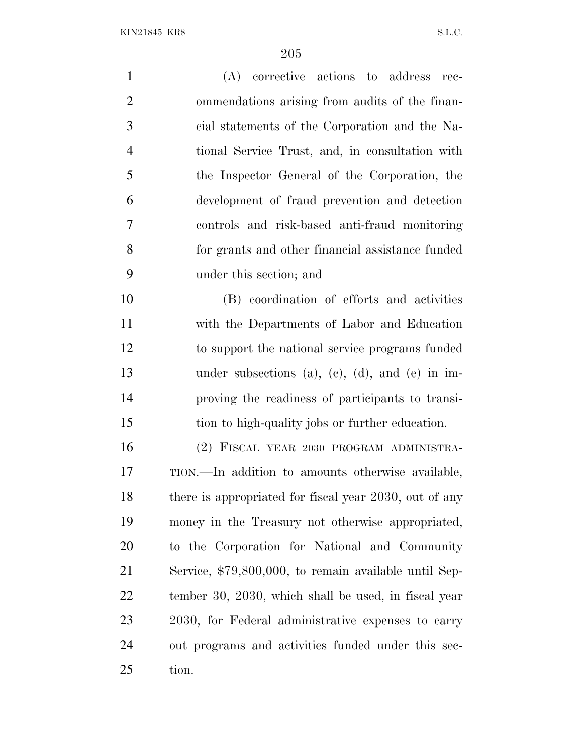(A) corrective actions to address rec- ommendations arising from audits of the finan- cial statements of the Corporation and the Na- tional Service Trust, and, in consultation with the Inspector General of the Corporation, the development of fraud prevention and detection controls and risk-based anti-fraud monitoring for grants and other financial assistance funded under this section; and (B) coordination of efforts and activities with the Departments of Labor and Education to support the national service programs funded under subsections (a), (c), (d), and (e) in im- proving the readiness of participants to transi- tion to high-quality jobs or further education. (2) FISCAL YEAR 2030 PROGRAM ADMINISTRA- TION.—In addition to amounts otherwise available, 18 there is appropriated for fiscal year 2030, out of any money in the Treasury not otherwise appropriated, to the Corporation for National and Community Service, \$79,800,000, to remain available until Sep- tember 30, 2030, which shall be used, in fiscal year 2030, for Federal administrative expenses to carry out programs and activities funded under this sec-tion.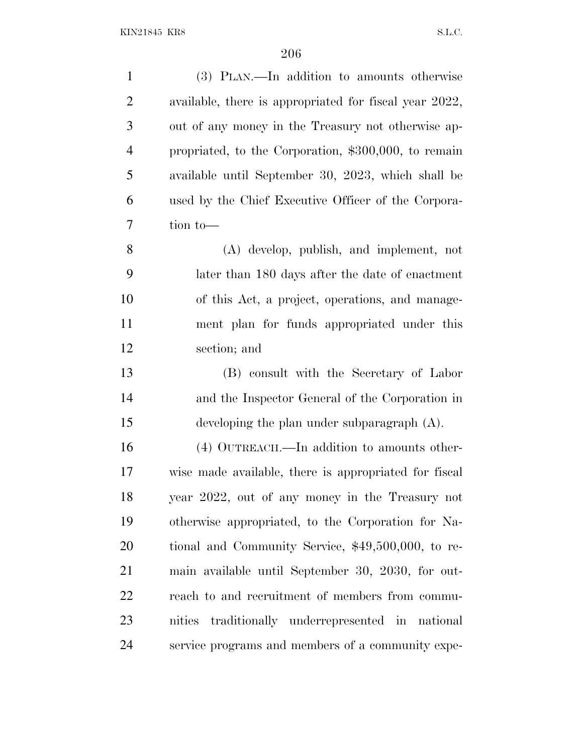| $\mathbf{1}$   | (3) PLAN.—In addition to amounts otherwise             |
|----------------|--------------------------------------------------------|
| $\overline{2}$ | available, there is appropriated for fiscal year 2022, |
| 3              | out of any money in the Treasury not otherwise ap-     |
| $\overline{4}$ | propriated, to the Corporation, \$300,000, to remain   |
| 5              | available until September 30, 2023, which shall be     |
| 6              | used by the Chief Executive Officer of the Corpora-    |
| 7              | tion to-                                               |
| 8              | (A) develop, publish, and implement, not               |
| 9              | later than 180 days after the date of enactment        |
| 10             | of this Act, a project, operations, and manage-        |
| 11             | ment plan for funds appropriated under this            |
| 12             | section; and                                           |
| 13             | (B) consult with the Secretary of Labor                |
| 14             | and the Inspector General of the Corporation in        |
| 15             | developing the plan under subparagraph $(A)$ .         |
| 16             | (4) OUTREACH.—In addition to amounts other-            |
| 17             | wise made available, there is appropriated for fiscal  |
| 18             | year 2022, out of any money in the Treasury not        |
| 19             | otherwise appropriated, to the Corporation for Na-     |
| 20             | tional and Community Service, \$49,500,000, to re-     |
| 21             | main available until September 30, 2030, for out-      |
| 22             | reach to and recruitment of members from commu-        |
| 23             | traditionally underrepresented in national<br>nities   |
| 24             | service programs and members of a community expe-      |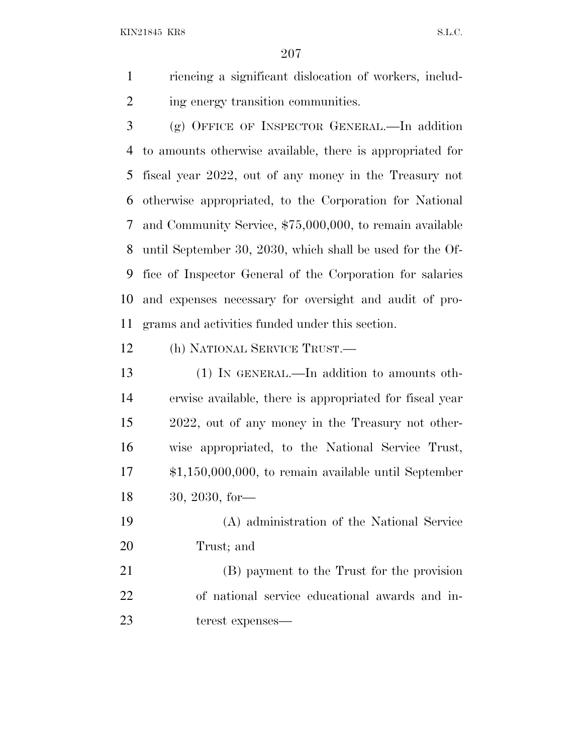riencing a significant dislocation of workers, includ-2 ing energy transition communities.

 (g) OFFICE OF INSPECTOR GENERAL.—In addition to amounts otherwise available, there is appropriated for fiscal year 2022, out of any money in the Treasury not otherwise appropriated, to the Corporation for National and Community Service, \$75,000,000, to remain available until September 30, 2030, which shall be used for the Of- fice of Inspector General of the Corporation for salaries and expenses necessary for oversight and audit of pro-grams and activities funded under this section.

(h) NATIONAL SERVICE TRUST.—

 (1) IN GENERAL.—In addition to amounts oth- erwise available, there is appropriated for fiscal year 2022, out of any money in the Treasury not other- wise appropriated, to the National Service Trust, \$1,150,000,000, to remain available until September 30, 2030, for—

 (A) administration of the National Service Trust; and

 (B) payment to the Trust for the provision of national service educational awards and in-terest expenses—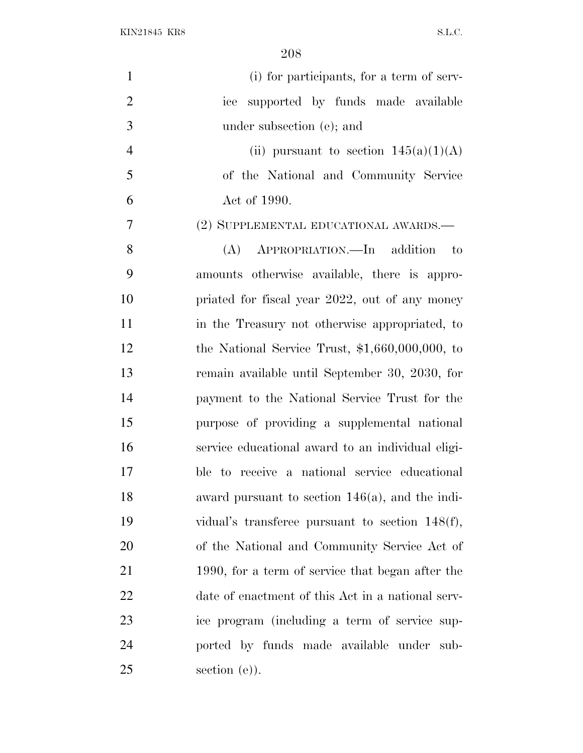| $\mathbf{1}$   | (i) for participants, for a term of serv-          |
|----------------|----------------------------------------------------|
| $\overline{2}$ | ice supported by funds made available              |
| 3              | under subsection (e); and                          |
| $\overline{4}$ | (ii) pursuant to section $145(a)(1)(A)$            |
| 5              | of the National and Community Service              |
| 6              | Act of 1990.                                       |
| 7              | (2) SUPPLEMENTAL EDUCATIONAL AWARDS.—              |
| 8              | (A) APPROPRIATION.—In addition<br>$\mathbf{t}$     |
| 9              | amounts otherwise available, there is appro-       |
| 10             | priated for fiscal year 2022, out of any money     |
| 11             | in the Treasury not otherwise appropriated, to     |
| 12             | the National Service Trust, $$1,660,000,000,$ to   |
| 13             | remain available until September 30, 2030, for     |
| 14             | payment to the National Service Trust for the      |
| 15             | purpose of providing a supplemental national       |
| 16             | service educational award to an individual eligi-  |
| 17             | ble to receive a national service educational      |
| 18             | award pursuant to section $146(a)$ , and the indi- |
| 19             | vidual's transferee pursuant to section $148(f)$ , |
| 20             | of the National and Community Service Act of       |
| 21             | 1990, for a term of service that began after the   |
| 22             | date of enactment of this Act in a national serv-  |
| 23             | ice program (including a term of service sup-      |
| 24             | ported by funds made available under sub-          |
| 25             | section $(e)$ ).                                   |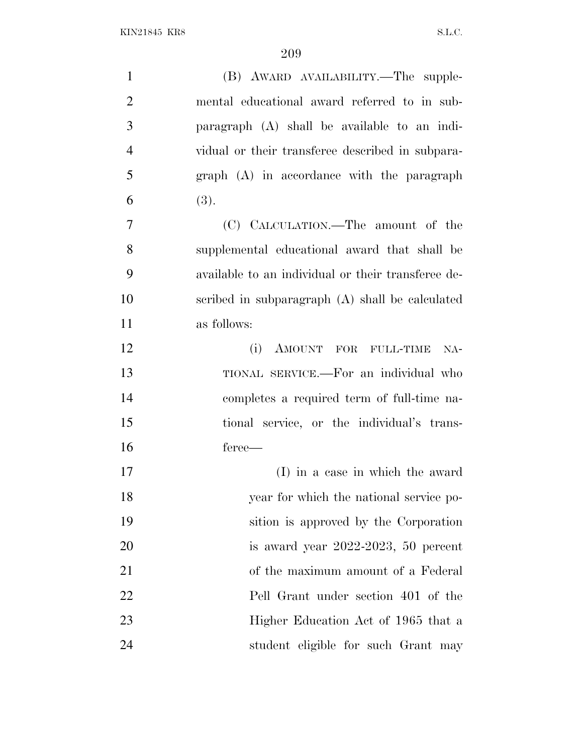| $\mathbf{1}$   | (B) AWARD AVAILABILITY.—The supple-                |
|----------------|----------------------------------------------------|
| $\overline{2}$ | mental educational award referred to in sub-       |
| 3              | paragraph (A) shall be available to an indi-       |
| $\overline{4}$ | vidual or their transferee described in subpara-   |
| 5              | $graph$ $(A)$ in accordance with the paragraph     |
| 6              | (3).                                               |
| $\overline{7}$ | (C) CALCULATION.—The amount of the                 |
| 8              | supplemental educational award that shall be       |
| 9              | available to an individual or their transferee de- |
| 10             | scribed in subparagraph (A) shall be calculated    |
| 11             | as follows:                                        |
| 12             | (i)<br>AMOUNT FOR FULL-TIME<br>$NA-$               |
| 13             | TIONAL SERVICE.—For an individual who              |
| 14             | completes a required term of full-time na-         |
| 15             | tional service, or the individual's trans-         |
| 16             | feree—                                             |
| 17             | (I) in a case in which the award                   |
| 18             | year for which the national service po-            |
| 19             | sition is approved by the Corporation              |
| 20             | is award year 2022-2023, 50 percent                |
| 21             | of the maximum amount of a Federal                 |
| 22             | Pell Grant under section 401 of the                |
| 23             | Higher Education Act of 1965 that a                |
| 24             | student eligible for such Grant may                |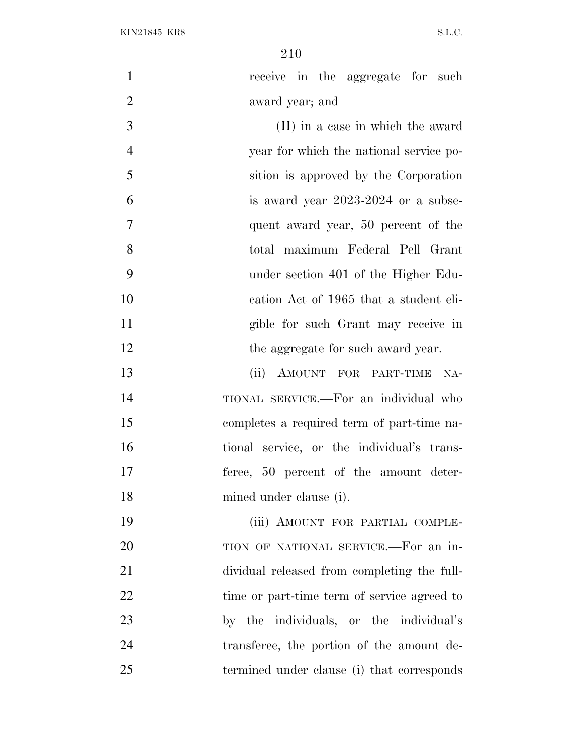1 receive in the aggregate for such award year; and (II) in a case in which the award year for which the national service po- sition is approved by the Corporation is award year 2023-2024 or a subse- quent award year, 50 percent of the total maximum Federal Pell Grant under section 401 of the Higher Edu- cation Act of 1965 that a student eli- gible for such Grant may receive in 12 the aggregate for such award year. (ii) AMOUNT FOR PART-TIME NA- TIONAL SERVICE.—For an individual who completes a required term of part-time na- tional service, or the individual's trans- feree, 50 percent of the amount deter- mined under clause (i). (iii) AMOUNT FOR PARTIAL COMPLE- TION OF NATIONAL SERVICE.—For an in- dividual released from completing the full-22 time or part-time term of service agreed to by the individuals, or the individual's transferee, the portion of the amount de-termined under clause (i) that corresponds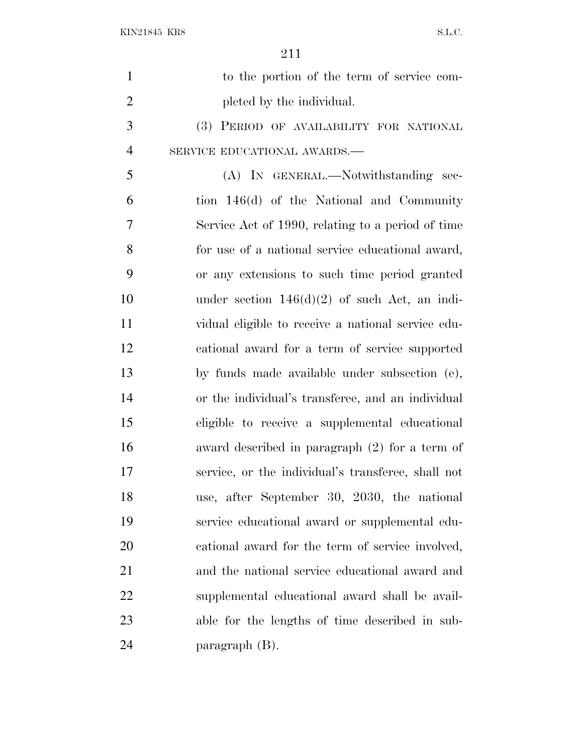| $\mathbf{1}$   | to the portion of the term of service com-         |
|----------------|----------------------------------------------------|
| $\overline{2}$ | pleted by the individual.                          |
| 3              | (3) PERIOD OF AVAILABILITY FOR NATIONAL            |
| $\overline{4}$ | SERVICE EDUCATIONAL AWARDS.-                       |
| 5              | (A) IN GENERAL.—Notwithstanding sec-               |
| 6              | tion 146(d) of the National and Community          |
| 7              | Service Act of 1990, relating to a period of time  |
| 8              | for use of a national service educational award,   |
| 9              | or any extensions to such time period granted      |
| 10             | under section $146(d)(2)$ of such Act, an indi-    |
| 11             | vidual eligible to receive a national service edu- |
| 12             | cational award for a term of service supported     |
| 13             | by funds made available under subsection (e),      |
| 14             | or the individual's transferee, and an individual  |
| 15             | eligible to receive a supplemental educational     |
| 16             | award described in paragraph (2) for a term of     |
| 17             | service, or the individual's transferee, shall not |
| 18             | use, after September 30, 2030, the national        |
| 19             | service educational award or supplemental edu-     |
| 20             | cational award for the term of service involved,   |
| 21             | and the national service educational award and     |
| 22             | supplemental educational award shall be avail-     |
| 23             | able for the lengths of time described in sub-     |
| 24             | paragraph (B).                                     |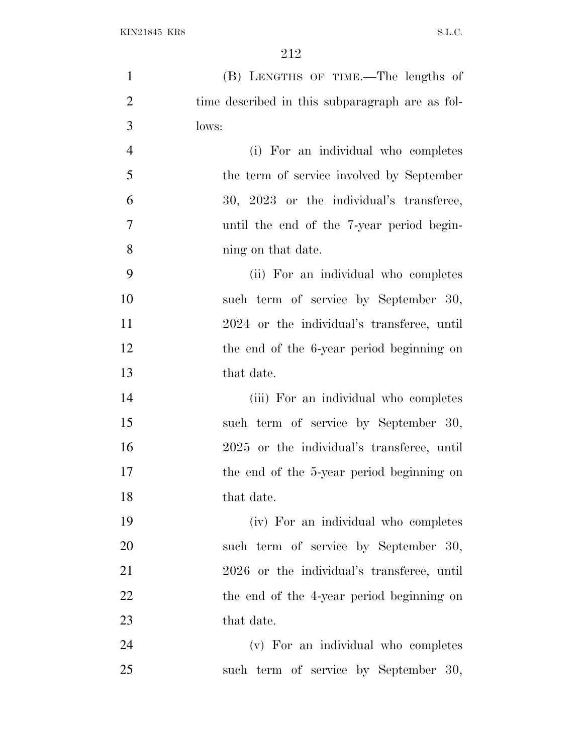| $\mathbf{1}$   | (B) LENGTHS OF TIME.—The lengths of             |
|----------------|-------------------------------------------------|
| $\overline{2}$ | time described in this subparagraph are as fol- |
| 3              | lows:                                           |
| $\overline{4}$ | (i) For an individual who completes             |
| 5              | the term of service involved by September       |
| 6              | 30, 2023 or the individual's transferee,        |
| 7              | until the end of the 7-year period begin-       |
| 8              | ning on that date.                              |
| 9              | (ii) For an individual who completes            |
| 10             | such term of service by September 30,           |
| 11             | 2024 or the individual's transferee, until      |
| 12             | the end of the 6-year period beginning on       |
| 13             | that date.                                      |
| 14             | (iii) For an individual who completes           |
| 15             | such term of service by September 30,           |
| 16             | 2025 or the individual's transferee, until      |
| 17             | the end of the 5-year period beginning on       |
| 18             | that date.                                      |
| 19             | (iv) For an individual who completes            |
| 20             | such term of service by September 30,           |
| 21             | 2026 or the individual's transferee, until      |
| 22             | the end of the 4-year period beginning on       |
| 23             | that date.                                      |
| 24             | (v) For an individual who completes             |
| 25             | such term of service by September 30,           |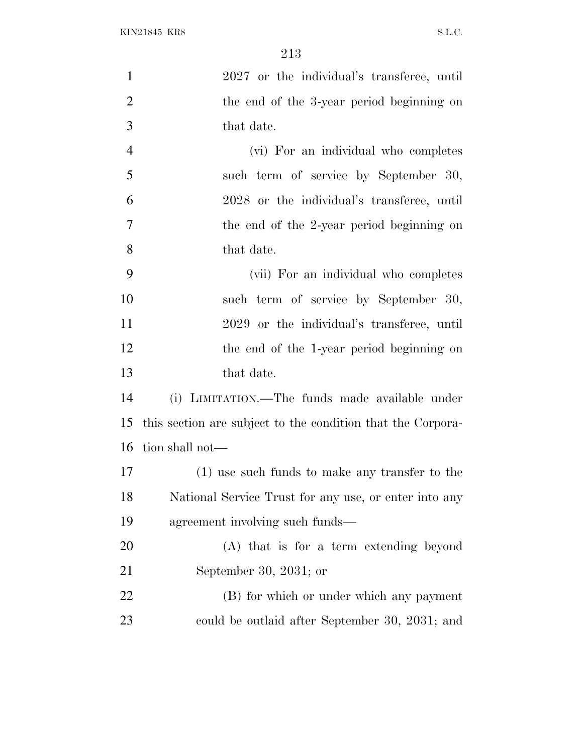| $\mathbf{1}$   | 2027 or the individual's transferee, until                  |
|----------------|-------------------------------------------------------------|
| $\overline{2}$ | the end of the 3-year period beginning on                   |
| 3              | that date.                                                  |
| $\overline{4}$ | (vi) For an individual who completes                        |
| 5              | such term of service by September 30,                       |
| 6              | 2028 or the individual's transferee, until                  |
| 7              | the end of the 2-year period beginning on                   |
| 8              | that date.                                                  |
| 9              | (vii) For an individual who completes                       |
| 10             | such term of service by September 30,                       |
| 11             | 2029 or the individual's transferee, until                  |
| 12             | the end of the 1-year period beginning on                   |
| 13             | that date.                                                  |
| 14             | (i) LIMITATION.—The funds made available under              |
| 15             | this section are subject to the condition that the Corpora- |
| 16             | tion shall not—                                             |
| 17             | $(1)$ use such funds to make any transfer to the            |
| 18             | National Service Trust for any use, or enter into any       |
| 19             | agreement involving such funds—                             |
| 20             | (A) that is for a term extending beyond                     |
| 21             | September 30, 2031; or                                      |
| 22             | (B) for which or under which any payment                    |
| 23             | could be outlaid after September 30, 2031; and              |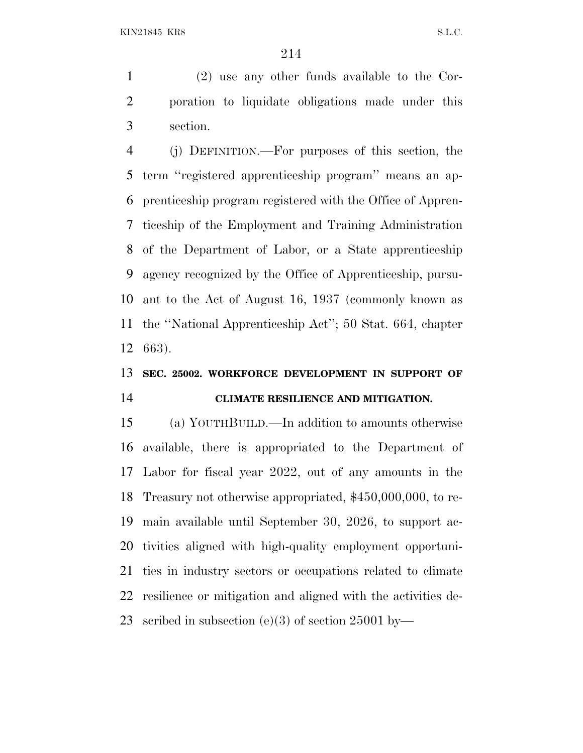(2) use any other funds available to the Cor- poration to liquidate obligations made under this section.

 (j) DEFINITION.—For purposes of this section, the term ''registered apprenticeship program'' means an ap- prenticeship program registered with the Office of Appren- ticeship of the Employment and Training Administration of the Department of Labor, or a State apprenticeship agency recognized by the Office of Apprenticeship, pursu- ant to the Act of August 16, 1937 (commonly known as the ''National Apprenticeship Act''; 50 Stat. 664, chapter 663).

## **SEC. 25002. WORKFORCE DEVELOPMENT IN SUPPORT OF CLIMATE RESILIENCE AND MITIGATION.**

 (a) YOUTHBUILD.—In addition to amounts otherwise available, there is appropriated to the Department of Labor for fiscal year 2022, out of any amounts in the Treasury not otherwise appropriated, \$450,000,000, to re- main available until September 30, 2026, to support ac- tivities aligned with high-quality employment opportuni- ties in industry sectors or occupations related to climate resilience or mitigation and aligned with the activities de-scribed in subsection (e)(3) of section 25001 by—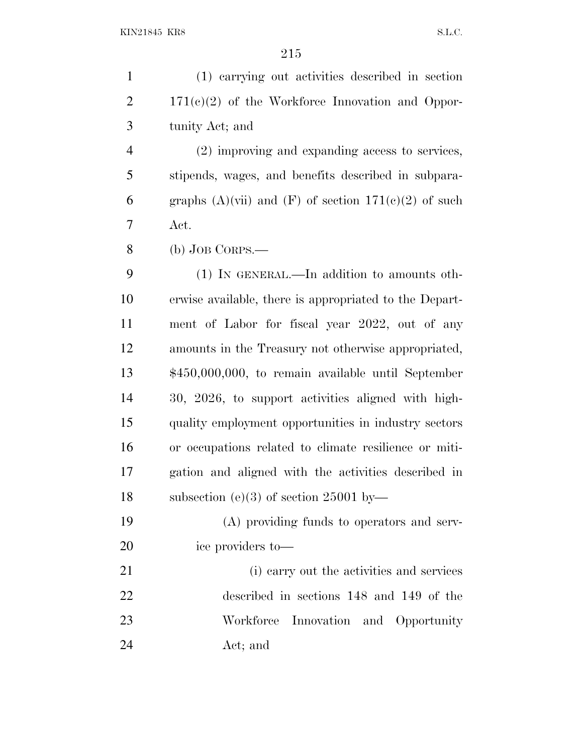| $\mathbf{1}$   | (1) carrying out activities described in section                      |
|----------------|-----------------------------------------------------------------------|
| $\overline{2}$ | $171(c)(2)$ of the Workforce Innovation and Oppor-                    |
| 3              | tunity Act; and                                                       |
| $\overline{4}$ | (2) improving and expanding access to services,                       |
| 5              | stipends, wages, and benefits described in subpara-                   |
| 6              | graphs $(A)(\n{\text{vii}})$ and $(F)$ of section $171(e)(2)$ of such |
| 7              | Act.                                                                  |
| 8              | $(b)$ JOB CORPS.—                                                     |
| 9              | $(1)$ In GENERAL.—In addition to amounts oth-                         |
| 10             | erwise available, there is appropriated to the Depart-                |
| 11             | ment of Labor for fiscal year 2022, out of any                        |
| 12             | amounts in the Treasury not otherwise appropriated,                   |
| 13             | \$450,000,000, to remain available until September                    |
| 14             | 30, 2026, to support activities aligned with high-                    |
| 15             | quality employment opportunities in industry sectors                  |
| 16             | or occupations related to climate resilience or miti-                 |
| 17             | gation and aligned with the activities described in                   |
| 18             | subsection (e)(3) of section 25001 by-                                |
| 19             | (A) providing funds to operators and serv-                            |
| 20             | ice providers to-                                                     |
| 21             | (i) carry out the activities and services                             |
| 22             | described in sections 148 and 149 of the                              |
| 23             | Workforce Innovation and Opportunity                                  |
| 24             | Act; and                                                              |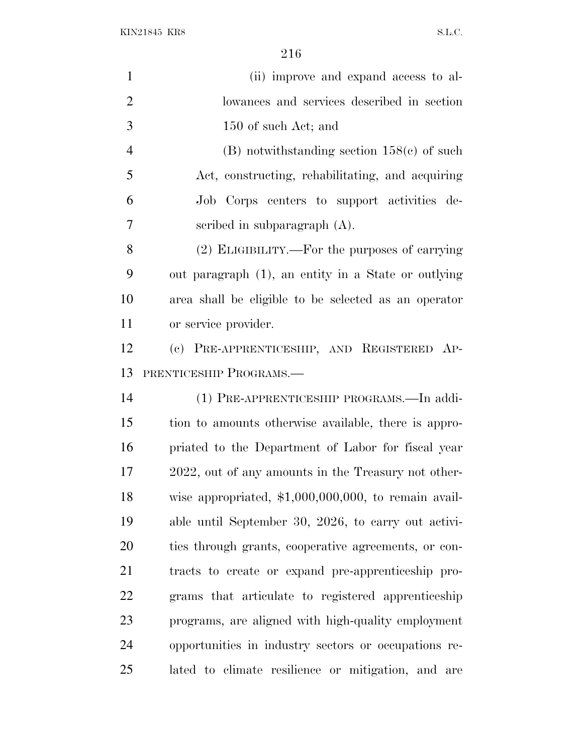| $\mathbf{1}$   | (ii) improve and expand access to al-                  |
|----------------|--------------------------------------------------------|
| $\overline{2}$ | lowances and services described in section             |
| 3              | 150 of such Act; and                                   |
| $\overline{4}$ | $(B)$ notwithstanding section 158 $(e)$ of such        |
| 5              | Act, constructing, rehabilitating, and acquiring       |
| 6              | Job Corps centers to support activities de-            |
| 7              | scribed in subparagraph $(A)$ .                        |
| 8              | (2) ELIGIBILITY.—For the purposes of carrying          |
| 9              | out paragraph (1), an entity in a State or outlying    |
| 10             | area shall be eligible to be selected as an operator   |
| 11             | or service provider.                                   |
| 12             | (c) PRE-APPRENTICESHIP, AND REGISTERED AP-             |
| 13             | PRENTICESHIP PROGRAMS.                                 |
| 14             | (1) PRE-APPRENTICESHIP PROGRAMS.—In addi-              |
| 15             | tion to amounts otherwise available, there is appro-   |
| 16             | priated to the Department of Labor for fiscal year     |
| 17             | 2022, out of any amounts in the Treasury not other-    |
| 18             | wise appropriated, $$1,000,000,000$ , to remain avail- |
| 19             | able until September 30, 2026, to carry out activi-    |
| 20             | ties through grants, cooperative agreements, or con-   |
| 21             | tracts to create or expand pre-apprenticeship pro-     |
| 22             | grams that articulate to registered apprenticeship     |
| 23             | programs, are aligned with high-quality employment     |
| 24             | opportunities in industry sectors or occupations re-   |
| 25             | lated to climate resilience or mitigation, and are     |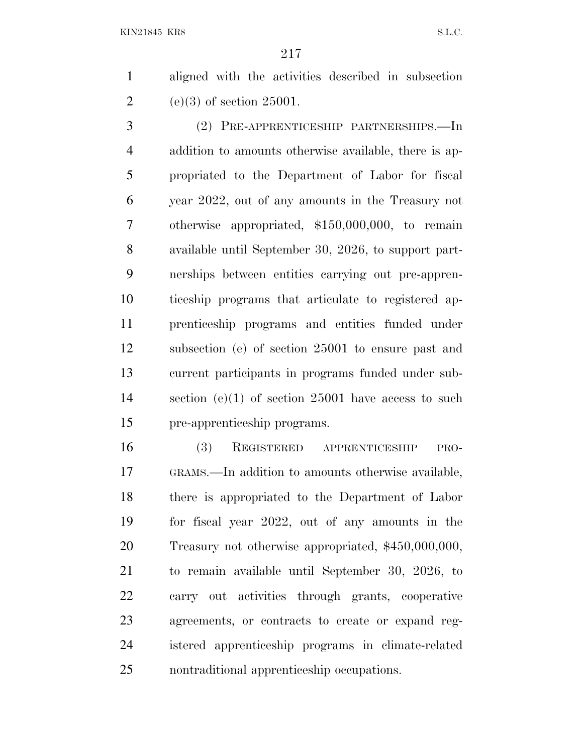aligned with the activities described in subsection 2 (e)(3) of section 25001.

 (2) PRE-APPRENTICESHIP PARTNERSHIPS.—In addition to amounts otherwise available, there is ap- propriated to the Department of Labor for fiscal year 2022, out of any amounts in the Treasury not otherwise appropriated, \$150,000,000, to remain available until September 30, 2026, to support part- nerships between entities carrying out pre-appren- ticeship programs that articulate to registered ap- prenticeship programs and entities funded under subsection (e) of section 25001 to ensure past and current participants in programs funded under sub- section (e)(1) of section 25001 have access to such pre-apprenticeship programs.

 (3) REGISTERED APPRENTICESHIP PRO- GRAMS.—In addition to amounts otherwise available, there is appropriated to the Department of Labor for fiscal year 2022, out of any amounts in the Treasury not otherwise appropriated, \$450,000,000, to remain available until September 30, 2026, to carry out activities through grants, cooperative agreements, or contracts to create or expand reg- istered apprenticeship programs in climate-related nontraditional apprenticeship occupations.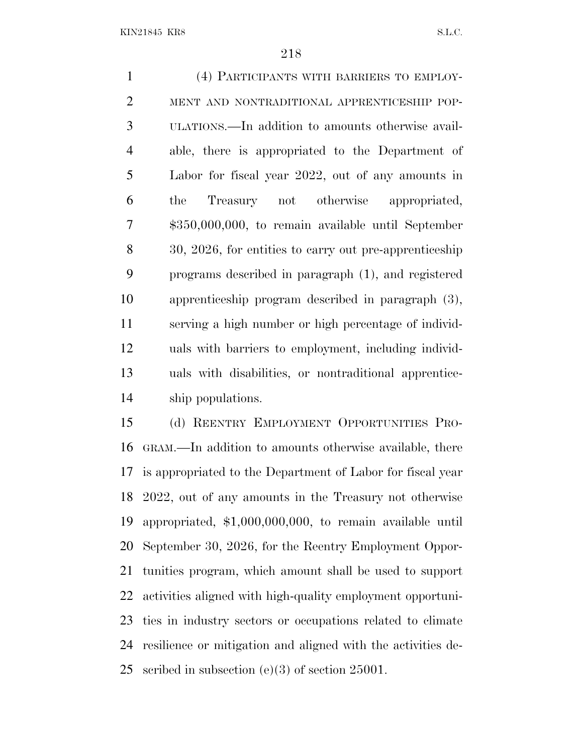(4) PARTICIPANTS WITH BARRIERS TO EMPLOY- MENT AND NONTRADITIONAL APPRENTICESHIP POP- ULATIONS.—In addition to amounts otherwise avail- able, there is appropriated to the Department of Labor for fiscal year 2022, out of any amounts in the Treasury not otherwise appropriated, \$350,000,000, to remain available until September 30, 2026, for entities to carry out pre-apprenticeship programs described in paragraph (1), and registered apprenticeship program described in paragraph (3), serving a high number or high percentage of individ- uals with barriers to employment, including individ- uals with disabilities, or nontraditional apprentice-ship populations.

 (d) REENTRY EMPLOYMENT OPPORTUNITIES PRO- GRAM.—In addition to amounts otherwise available, there is appropriated to the Department of Labor for fiscal year 2022, out of any amounts in the Treasury not otherwise appropriated, \$1,000,000,000, to remain available until September 30, 2026, for the Reentry Employment Oppor- tunities program, which amount shall be used to support activities aligned with high-quality employment opportuni- ties in industry sectors or occupations related to climate resilience or mitigation and aligned with the activities de-scribed in subsection (e)(3) of section 25001.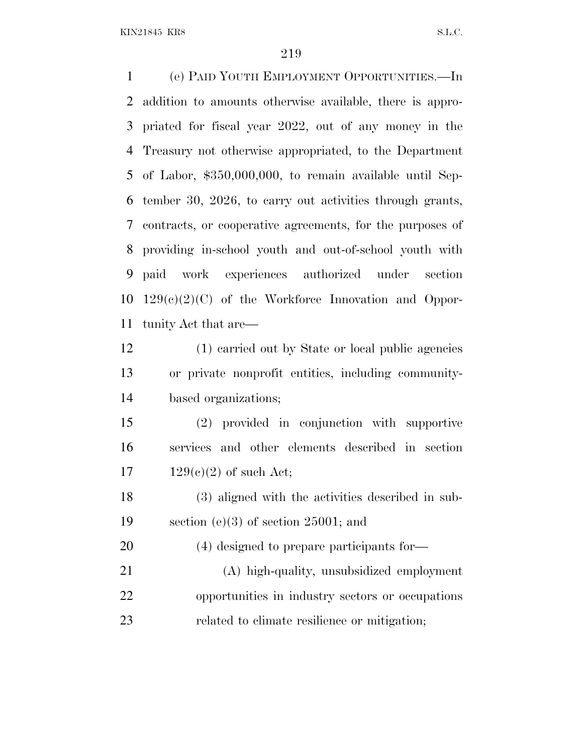(e) PAID YOUTH EMPLOYMENT OPPORTUNITIES.—In addition to amounts otherwise available, there is appro- priated for fiscal year 2022, out of any money in the Treasury not otherwise appropriated, to the Department of Labor, \$350,000,000, to remain available until Sep- tember 30, 2026, to carry out activities through grants, contracts, or cooperative agreements, for the purposes of providing in-school youth and out-of-school youth with paid work experiences authorized under section 129(c)(2)(C) of the Workforce Innovation and Oppor-tunity Act that are—

 (1) carried out by State or local public agencies or private nonprofit entities, including community-based organizations;

 (2) provided in conjunction with supportive services and other elements described in section 17  $129(e)(2)$  of such Act;

 (3) aligned with the activities described in sub-section (e)(3) of section 25001; and

(4) designed to prepare participants for—

 (A) high-quality, unsubsidized employment opportunities in industry sectors or occupations related to climate resilience or mitigation;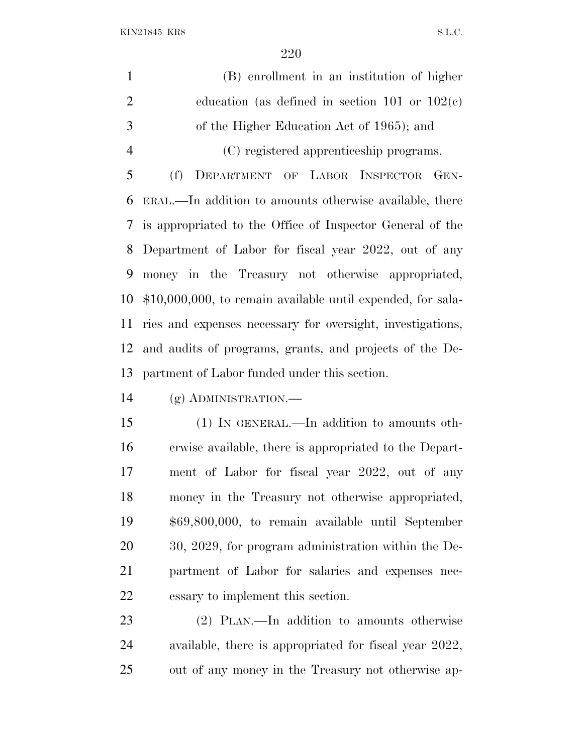(B) enrollment in an institution of higher education (as defined in section 101 or 102(c) of the Higher Education Act of 1965); and (C) registered apprenticeship programs. (f) DEPARTMENT OF LABOR INSPECTOR GEN- ERAL.—In addition to amounts otherwise available, there is appropriated to the Office of Inspector General of the

 Department of Labor for fiscal year 2022, out of any money in the Treasury not otherwise appropriated, \$10,000,000, to remain available until expended, for sala- ries and expenses necessary for oversight, investigations, and audits of programs, grants, and projects of the De-partment of Labor funded under this section.

(g) ADMINISTRATION.—

 (1) IN GENERAL.—In addition to amounts oth- erwise available, there is appropriated to the Depart- ment of Labor for fiscal year 2022, out of any money in the Treasury not otherwise appropriated, \$69,800,000, to remain available until September 30, 2029, for program administration within the De- partment of Labor for salaries and expenses nec-essary to implement this section.

 (2) PLAN.—In addition to amounts otherwise available, there is appropriated for fiscal year 2022, out of any money in the Treasury not otherwise ap-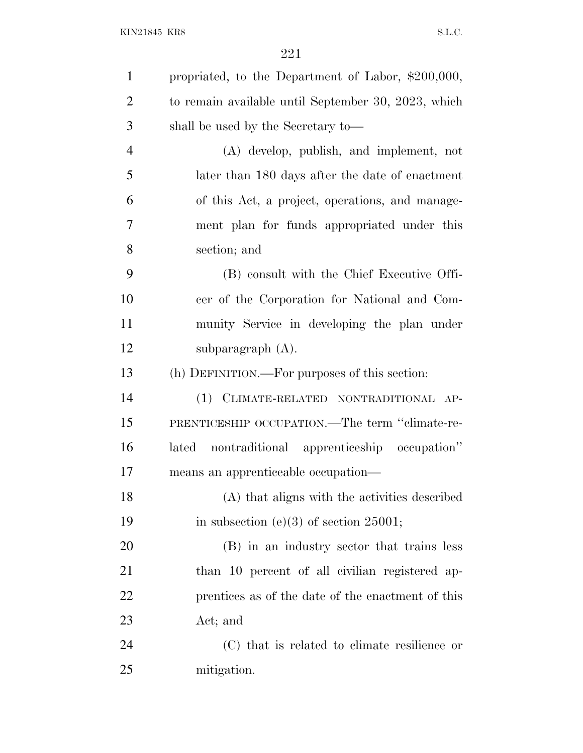| $\mathbf{1}$   | propriated, to the Department of Labor, \$200,000,  |
|----------------|-----------------------------------------------------|
| $\overline{2}$ | to remain available until September 30, 2023, which |
| 3              | shall be used by the Secretary to-                  |
| $\overline{4}$ | (A) develop, publish, and implement, not            |
| 5              | later than 180 days after the date of enactment     |
| 6              | of this Act, a project, operations, and manage-     |
| $\overline{7}$ | ment plan for funds appropriated under this         |
| 8              | section; and                                        |
| 9              | (B) consult with the Chief Executive Offi-          |
| 10             | cer of the Corporation for National and Com-        |
| 11             | munity Service in developing the plan under         |
| 12             | subparagraph $(A)$ .                                |
| 13             | (h) DEFINITION.—For purposes of this section:       |
| 14             | (1) CLIMATE-RELATED NONTRADITIONAL AP-              |
| 15             | PRENTICESHIP OCCUPATION.—The term "climate-re-      |
| 16             | nontraditional apprenticeship occupation"<br>lated  |
| 17             | means an apprenticeable occupation—                 |
| 18             | (A) that aligns with the activities described       |
| 19             | in subsection (e)(3) of section 25001;              |
| 20             | (B) in an industry sector that trains less          |
| 21             | than 10 percent of all civilian registered ap-      |
| 22             | prentices as of the date of the enactment of this   |
| 23             | Act; and                                            |
| 24             | (C) that is related to climate resilience or        |
| 25             | mitigation.                                         |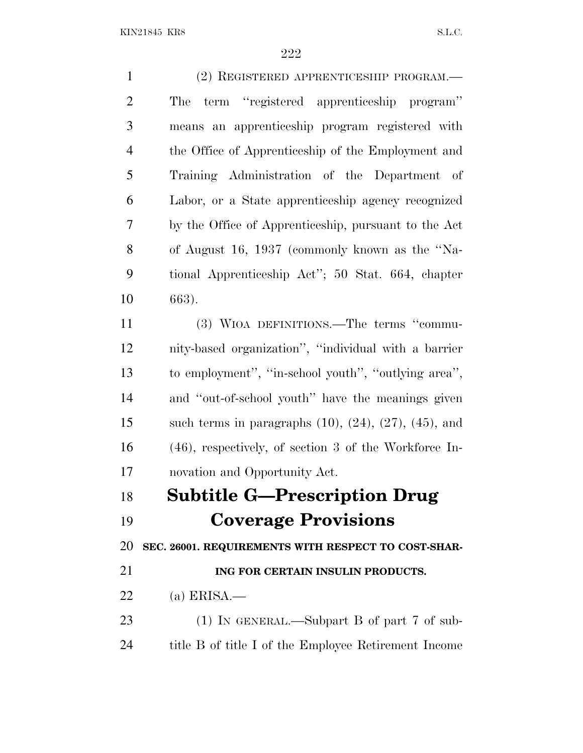| $\mathbf{1}$   | (2) REGISTERED APPRENTICESHIP PROGRAM.-                          |
|----------------|------------------------------------------------------------------|
| $\mathbf{2}$   | term "registered apprenticeship program"<br>The                  |
| 3              | means an apprenticeship program registered with                  |
| $\overline{4}$ | the Office of Apprenticeship of the Employment and               |
| 5              | Training Administration of the Department of                     |
| 6              | Labor, or a State apprenticeship agency recognized               |
| $\overline{7}$ | by the Office of Apprenticeship, pursuant to the Act             |
| 8              | of August 16, 1937 (commonly known as the "Na-                   |
| 9              | tional Apprenticeship Act"; 50 Stat. 664, chapter                |
| 10             | 663).                                                            |
| 11             | (3) WIOA DEFINITIONS.—The terms "commu-                          |
| 12             | nity-based organization", "individual with a barrier             |
| 13             | to employment", "in-school youth", "outlying area",              |
| 14             | and "out-of-school youth" have the meanings given                |
| 15             | such terms in paragraphs $(10)$ , $(24)$ , $(27)$ , $(45)$ , and |
| 16             | $(46)$ , respectively, of section 3 of the Workforce In-         |
| 17             | novation and Opportunity Act.                                    |
| 18             | <b>Subtitle G-Prescription Drug</b>                              |
| 19             | <b>Coverage Provisions</b>                                       |
| 20             | SEC. 26001. REQUIREMENTS WITH RESPECT TO COST-SHAR-              |
| 21             | ING FOR CERTAIN INSULIN PRODUCTS.                                |
| 22             | (a) ERISA.—                                                      |
| 23             | $(1)$ IN GENERAL.—Subpart B of part 7 of sub-                    |
| 24             | title B of title I of the Employee Retirement Income             |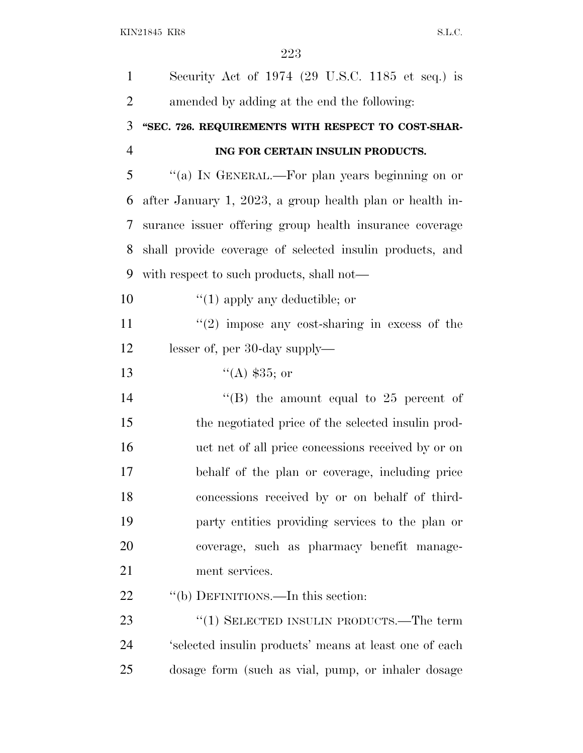| $\mathbf{1}$   | Security Act of $1974$ (29 U.S.C. 1185 et seq.) is       |
|----------------|----------------------------------------------------------|
| $\overline{2}$ | amended by adding at the end the following:              |
| 3              | "SEC. 726. REQUIREMENTS WITH RESPECT TO COST-SHAR-       |
| $\overline{4}$ | ING FOR CERTAIN INSULIN PRODUCTS.                        |
| 5              | "(a) IN GENERAL.—For plan years beginning on or          |
| 6              | after January 1, 2023, a group health plan or health in- |
| 7              | surance issuer offering group health insurance coverage  |
| 8              | shall provide coverage of selected insulin products, and |
| 9              | with respect to such products, shall not—                |
| 10             | $\lq(1)$ apply any deductible; or                        |
| 11             | $\lq(2)$ impose any cost-sharing in excess of the        |
| 12             | lesser of, per 30-day supply—                            |
| 13             | $(4)$ \$35; or                                           |
| 14             | "(B) the amount equal to 25 percent of                   |
| 15             | the negotiated price of the selected insulin prod-       |
| 16             | uct net of all price concessions received by or on       |
| 17             | behalf of the plan or coverage, including price          |
| 18             | concessions received by or on behalf of third-           |
| 19             | party entities providing services to the plan or         |
| 20             | coverage, such as pharmacy benefit manage-               |
| 21             | ment services.                                           |
| 22             | "(b) DEFINITIONS.—In this section:                       |
| 23             | $\cdot\cdot(1)$ SELECTED INSULIN PRODUCTS.—The term      |
| 24             | 'selected insulin products' means at least one of each   |
|                |                                                          |

dosage form (such as vial, pump, or inhaler dosage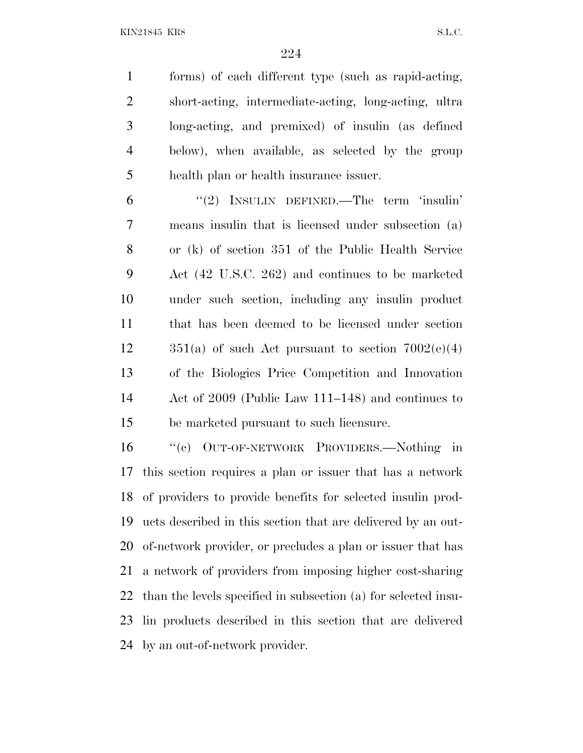forms) of each different type (such as rapid-acting, short-acting, intermediate-acting, long-acting, ultra long-acting, and premixed) of insulin (as defined below), when available, as selected by the group health plan or health insurance issuer.

 ''(2) INSULIN DEFINED.—The term 'insulin' means insulin that is licensed under subsection (a) or (k) of section 351 of the Public Health Service Act (42 U.S.C. 262) and continues to be marketed under such section, including any insulin product that has been deemed to be licensed under section  $351(a)$  of such Act pursuant to section  $7002(e)(4)$  of the Biologics Price Competition and Innovation Act of 2009 (Public Law 111–148) and continues to be marketed pursuant to such licensure.

 ''(c) OUT-OF-NETWORK PROVIDERS.—Nothing in this section requires a plan or issuer that has a network of providers to provide benefits for selected insulin prod- ucts described in this section that are delivered by an out- of-network provider, or precludes a plan or issuer that has a network of providers from imposing higher cost-sharing than the levels specified in subsection (a) for selected insu- lin products described in this section that are delivered by an out-of-network provider.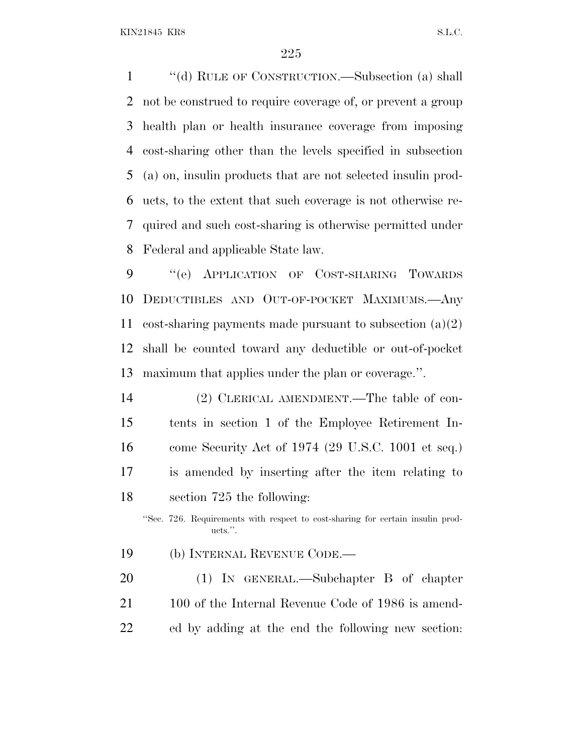''(d) RULE OF CONSTRUCTION.—Subsection (a) shall not be construed to require coverage of, or prevent a group health plan or health insurance coverage from imposing cost-sharing other than the levels specified in subsection (a) on, insulin products that are not selected insulin prod- ucts, to the extent that such coverage is not otherwise re- quired and such cost-sharing is otherwise permitted under Federal and applicable State law.

 ''(e) APPLICATION OF COST-SHARING TOWARDS DEDUCTIBLES AND OUT-OF-POCKET MAXIMUMS.—Any cost-sharing payments made pursuant to subsection (a)(2) shall be counted toward any deductible or out-of-pocket maximum that applies under the plan or coverage.''.

 (2) CLERICAL AMENDMENT.—The table of con- tents in section 1 of the Employee Retirement In- come Security Act of 1974 (29 U.S.C. 1001 et seq.) is amended by inserting after the item relating to section 725 the following:

''Sec. 726. Requirements with respect to cost-sharing for certain insulin products.''.

- (b) INTERNAL REVENUE CODE.—
- (1) IN GENERAL.—Subchapter B of chapter 21 100 of the Internal Revenue Code of 1986 is amend-ed by adding at the end the following new section: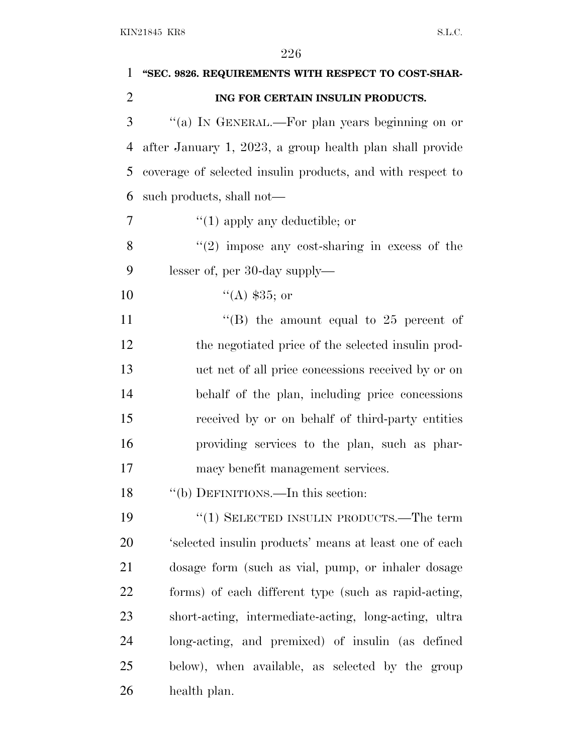| 1              | "SEC. 9826. REQUIREMENTS WITH RESPECT TO COST-SHAR-        |
|----------------|------------------------------------------------------------|
| $\overline{2}$ | ING FOR CERTAIN INSULIN PRODUCTS.                          |
| 3              | "(a) IN GENERAL.—For plan years beginning on or            |
| 4              | after January 1, 2023, a group health plan shall provide   |
| 5              | coverage of selected insulin products, and with respect to |
| 6              | such products, shall not—                                  |
| 7              | $\lq(1)$ apply any deductible; or                          |
| 8              | $(2)$ impose any cost-sharing in excess of the             |
| 9              | lesser of, per 30-day supply—                              |
| 10             | $(4)$ \$35; or                                             |
| 11             | "(B) the amount equal to $25$ percent of                   |
| 12             | the negotiated price of the selected insulin prod-         |
| 13             | uct net of all price concessions received by or on         |
| 14             | behalf of the plan, including price concessions            |
| 15             | received by or on behalf of third-party entities           |
| 16             | providing services to the plan, such as phar-              |
| 17             | macy benefit management services.                          |
| 18             | "(b) DEFINITIONS.—In this section:                         |
| 19             | " $(1)$ SELECTED INSULIN PRODUCTS.—The term                |
| 20             | 'selected insulin products' means at least one of each     |
| 21             | dosage form (such as vial, pump, or inhaler dosage         |
| 22             | forms) of each different type (such as rapid-acting,       |
| 23             | short-acting, intermediate-acting, long-acting, ultra      |
| 24             | long-acting, and premixed) of insulin (as defined          |
| 25             | below), when available, as selected by the group           |
| 26             | health plan.                                               |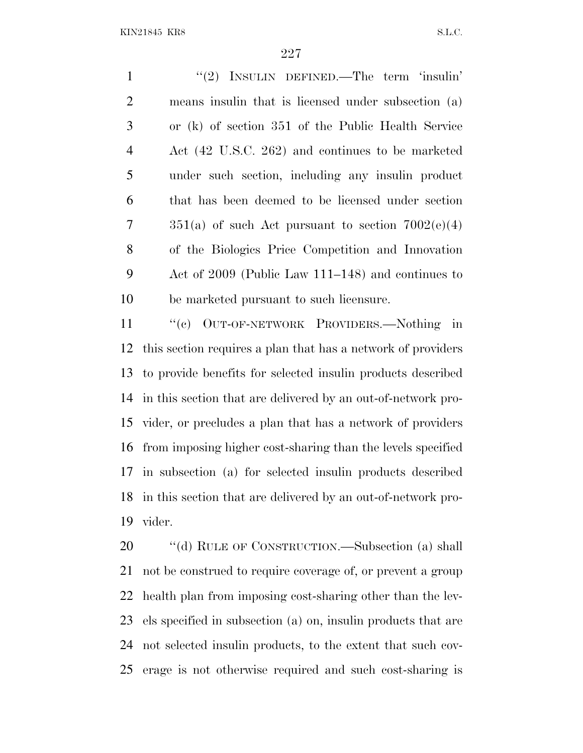1 "(2) INSULIN DEFINED.—The term 'insulin' means insulin that is licensed under subsection (a) or (k) of section 351 of the Public Health Service Act (42 U.S.C. 262) and continues to be marketed under such section, including any insulin product that has been deemed to be licensed under section  $351(a)$  of such Act pursuant to section  $7002(e)(4)$  of the Biologics Price Competition and Innovation Act of 2009 (Public Law 111–148) and continues to be marketed pursuant to such licensure.

 ''(c) OUT-OF-NETWORK PROVIDERS.—Nothing in this section requires a plan that has a network of providers to provide benefits for selected insulin products described in this section that are delivered by an out-of-network pro- vider, or precludes a plan that has a network of providers from imposing higher cost-sharing than the levels specified in subsection (a) for selected insulin products described in this section that are delivered by an out-of-network pro-vider.

20 "(d) RULE OF CONSTRUCTION.—Subsection (a) shall not be construed to require coverage of, or prevent a group health plan from imposing cost-sharing other than the lev- els specified in subsection (a) on, insulin products that are not selected insulin products, to the extent that such cov-erage is not otherwise required and such cost-sharing is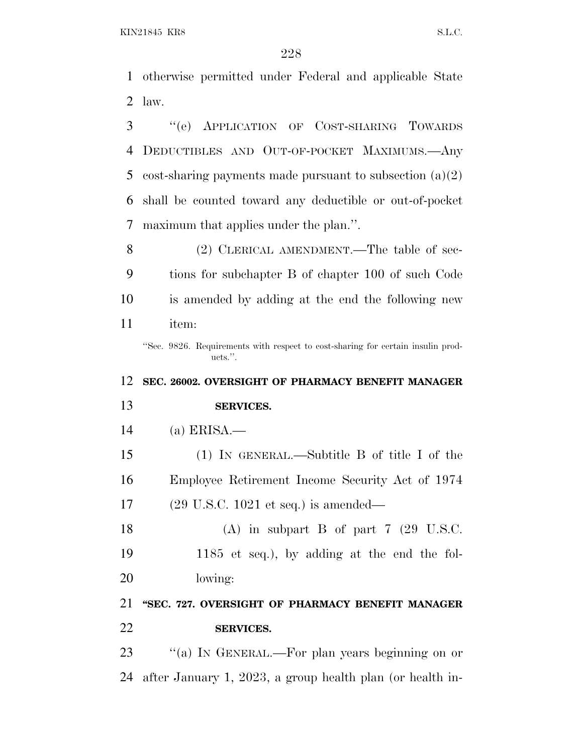otherwise permitted under Federal and applicable State law.

 ''(e) APPLICATION OF COST-SHARING TOWARDS DEDUCTIBLES AND OUT-OF-POCKET MAXIMUMS.—Any cost-sharing payments made pursuant to subsection (a)(2) shall be counted toward any deductible or out-of-pocket maximum that applies under the plan.''.

8 (2) CLERICAL AMENDMENT.—The table of sec- tions for subchapter B of chapter 100 of such Code is amended by adding at the end the following new item:

''Sec. 9826. Requirements with respect to cost-sharing for certain insulin products.''.

## **SEC. 26002. OVERSIGHT OF PHARMACY BENEFIT MANAGER**

- **SERVICES.**
- (a) ERISA.—

 (1) IN GENERAL.—Subtitle B of title I of the Employee Retirement Income Security Act of 1974 (29 U.S.C. 1021 et seq.) is amended—

18 (A) in subpart B of part 7 (29 U.S.C. 1185 et seq.), by adding at the end the fol-lowing:

 **''SEC. 727. OVERSIGHT OF PHARMACY BENEFIT MANAGER SERVICES.**

23 "(a) In GENERAL.—For plan years beginning on or after January 1, 2023, a group health plan (or health in-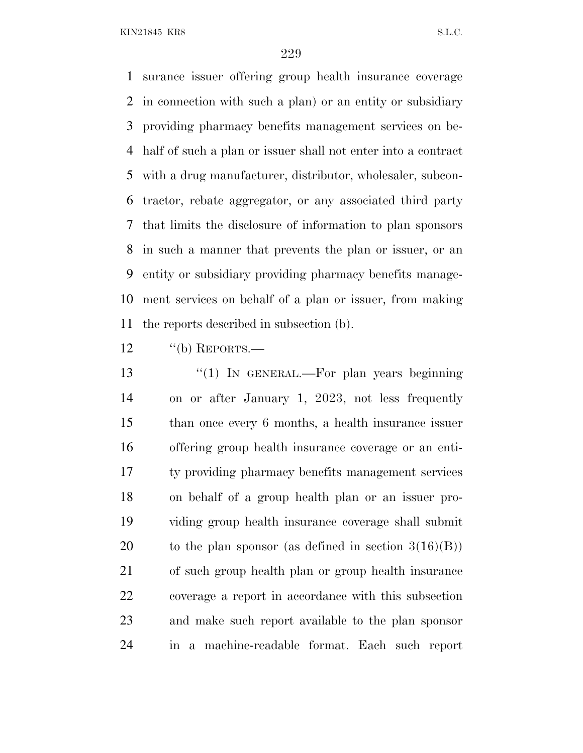surance issuer offering group health insurance coverage in connection with such a plan) or an entity or subsidiary providing pharmacy benefits management services on be- half of such a plan or issuer shall not enter into a contract with a drug manufacturer, distributor, wholesaler, subcon- tractor, rebate aggregator, or any associated third party that limits the disclosure of information to plan sponsors in such a manner that prevents the plan or issuer, or an entity or subsidiary providing pharmacy benefits manage- ment services on behalf of a plan or issuer, from making the reports described in subsection (b).

12 "(b) REPORTS.—

13 "(1) In GENERAL.—For plan years beginning on or after January 1, 2023, not less frequently than once every 6 months, a health insurance issuer offering group health insurance coverage or an enti- ty providing pharmacy benefits management services on behalf of a group health plan or an issuer pro- viding group health insurance coverage shall submit 20 to the plan sponsor (as defined in section  $3(16)(B)$ ) of such group health plan or group health insurance coverage a report in accordance with this subsection and make such report available to the plan sponsor in a machine-readable format. Each such report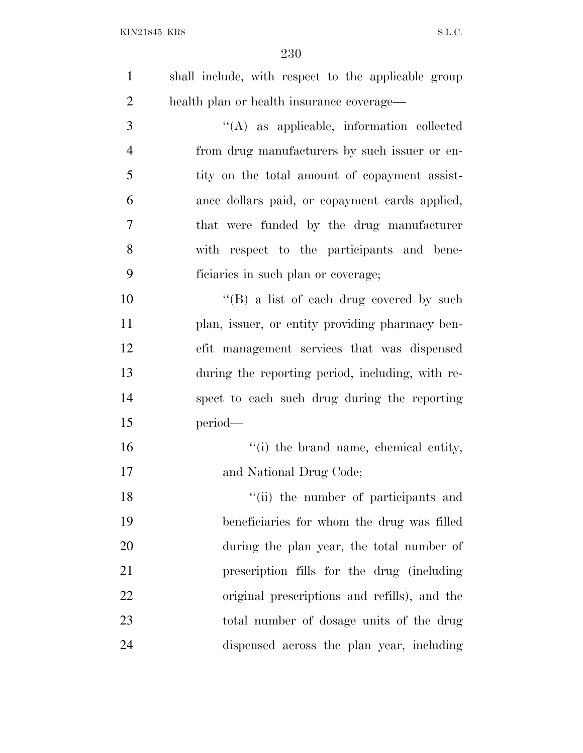| $\mathbf{1}$   | shall include, with respect to the applicable group |
|----------------|-----------------------------------------------------|
| 2              | health plan or health insurance coverage—           |
| 3              | $\lq\lq$ as applicable, information collected       |
| $\overline{4}$ | from drug manufacturers by such issuer or en-       |
| 5              | tity on the total amount of copayment assist-       |
| 6              | ance dollars paid, or copayment cards applied,      |
| 7              | that were funded by the drug manufacturer           |
| 8              | with respect to the participants and bene-          |
| 9              | ficiaries in such plan or coverage;                 |

 $\text{``(B)}$  a list of each drug covered by such plan, issuer, or entity providing pharmacy ben- efit management services that was dispensed during the reporting period, including, with re- spect to each such drug during the reporting period—

16  $"$ (i) the brand name, chemical entity, and National Drug Code;

18 ''(ii) the number of participants and beneficiaries for whom the drug was filled during the plan year, the total number of prescription fills for the drug (including original prescriptions and refills), and the total number of dosage units of the drug dispensed across the plan year, including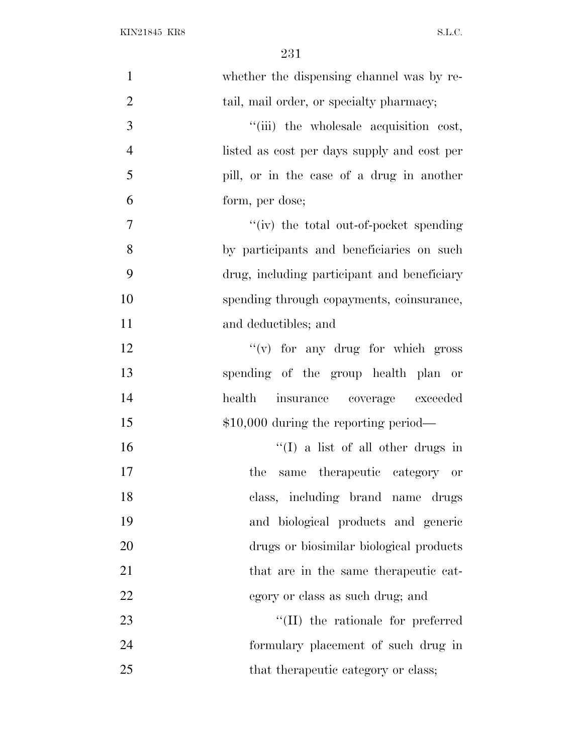| $\mathbf{1}$   | whether the dispensing channel was by re-   |
|----------------|---------------------------------------------|
| $\mathfrak{2}$ | tail, mail order, or specialty pharmacy;    |
| 3              | "(iii) the wholesale acquisition cost,      |
| $\overline{4}$ | listed as cost per days supply and cost per |
| 5              | pill, or in the case of a drug in another   |
| 6              | form, per dose;                             |
| 7              | "(iv) the total out-of-pocket spending      |
| 8              | by participants and beneficiaries on such   |
| 9              | drug, including participant and beneficiary |
| 10             | spending through copayments, coinsurance,   |
| 11             | and deductibles; and                        |
| 12             | $f'(v)$ for any drug for which gross        |
| 13             | spending of the group health plan or        |
| 14             | health insurance coverage exceeded          |
| 15             | $$10,000$ during the reporting period—      |
| 16             | $\lq\lq$ (I) a list of all other drugs in   |
| 17             | same therapeutic category or<br>the         |
| 18             | class, including brand name drugs           |
| 19             | and biological products and generic         |
| 20             | drugs or biosimilar biological products     |
| 21             | that are in the same therapeutic cat-       |
| 22             | egory or class as such drug; and            |
| 23             | $\lq\lq$ (II) the rationale for preferred   |
| 24             | formulary placement of such drug in         |
| 25             | that the rapeutic category or class;        |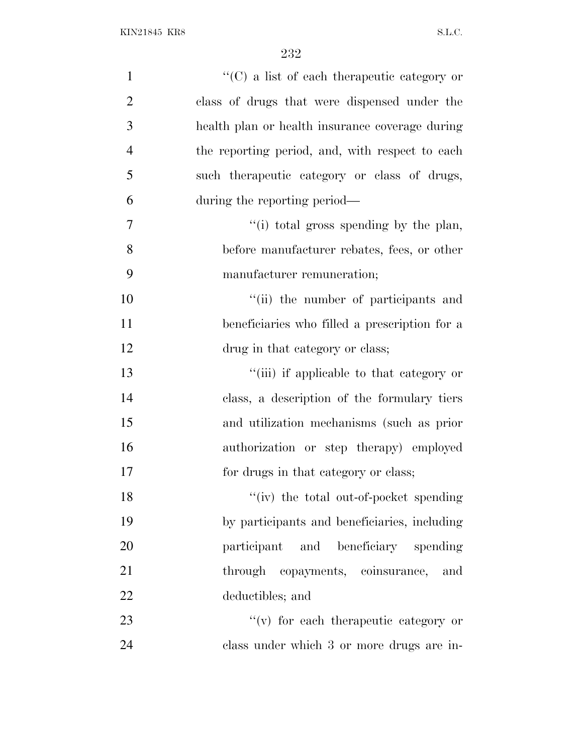| $\mathbf{1}$   | "(C) a list of each therapeutic category or     |
|----------------|-------------------------------------------------|
| $\mathbf{2}$   | class of drugs that were dispensed under the    |
| 3              | health plan or health insurance coverage during |
| $\overline{4}$ | the reporting period, and, with respect to each |
| 5              | such the rapeutic category or class of drugs,   |
| 6              | during the reporting period—                    |
| 7              | "(i) total gross spending by the plan,          |
| 8              | before manufacturer rebates, fees, or other     |
| 9              | manufacturer remuneration;                      |
| 10             | "(ii) the number of participants and            |
| 11             | beneficiaries who filled a prescription for a   |
| 12             | drug in that category or class;                 |
| 13             | "(iii) if applicable to that category or        |
| 14             | class, a description of the formulary tiers     |
| 15             | and utilization mechanisms (such as prior       |
| 16             | authorization or step therapy) employed         |
| 17             | for drugs in that category or class;            |
| 18             | "(iv) the total out-of-pocket spending          |
| 19             | by participants and beneficiaries, including    |
| 20             | participant and beneficiary spending            |
| 21             | through copayments, coinsurance, and            |
| 22             | deductibles; and                                |
| 23             | $f'(v)$ for each therapeutic category or        |
| 24             | class under which 3 or more drugs are in-       |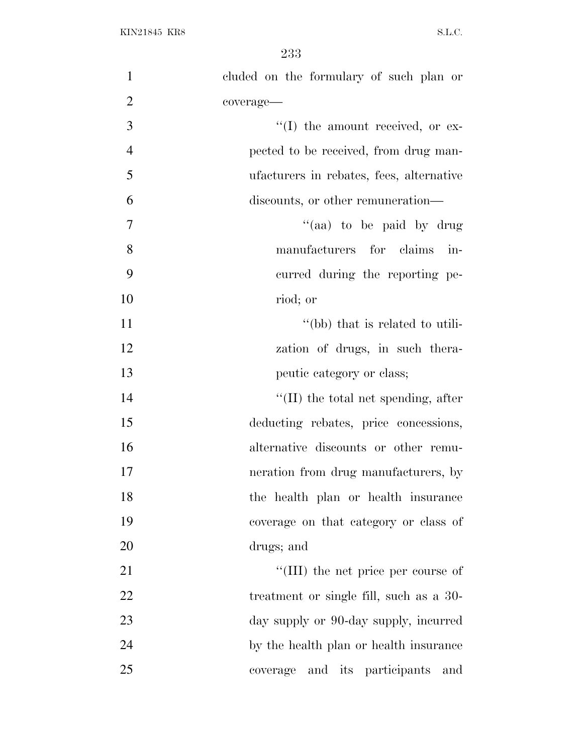| $\mathbf{1}$   | cluded on the formulary of such plan or     |
|----------------|---------------------------------------------|
| $\overline{2}$ | coverage-                                   |
| 3              | $\lq\lq$ (I) the amount received, or ex-    |
| $\overline{4}$ | pected to be received, from drug man-       |
| 5              | ufacturers in rebates, fees, alternative    |
| 6              | discounts, or other remuneration—           |
| $\tau$         | "(aa) to be paid by drug                    |
| 8              | manufacturers for claims in-                |
| 9              | curred during the reporting pe-             |
| 10             | riod; or                                    |
| 11             | "(bb) that is related to utili-             |
| 12             | zation of drugs, in such thera-             |
| 13             | peutic category or class;                   |
| 14             | $\lq\lq$ (II) the total net spending, after |
| 15             | deducting rebates, price concessions,       |
| 16             | alternative discounts or other remu-        |
| 17             | neration from drug manufacturers, by        |
| 18             | the health plan or health insurance         |
| 19             | coverage on that category or class of       |
| 20             | drugs; and                                  |
| 21             | "(III) the net price per course of          |
| 22             | treatment or single fill, such as a 30-     |
| 23             | day supply or 90-day supply, incurred       |
| 24             | by the health plan or health insurance      |
| 25             | and its participants<br>coverage<br>and     |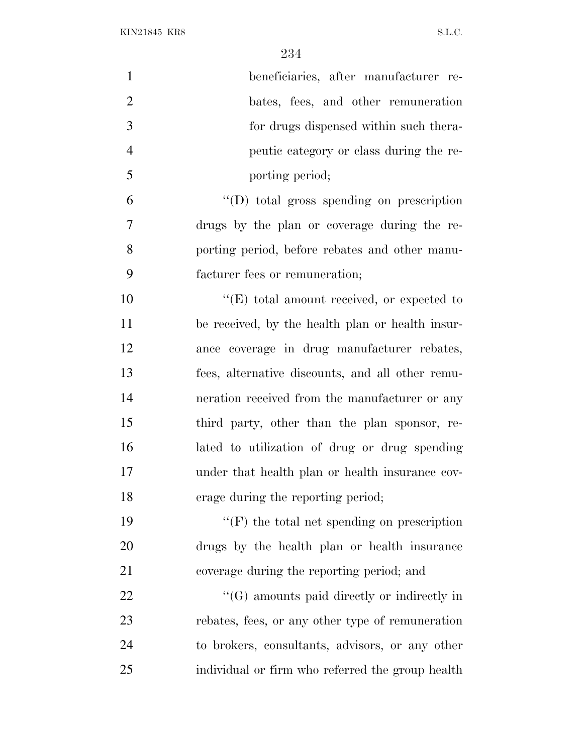| $\mathbf{1}$   | beneficiaries, after manufacturer re-              |
|----------------|----------------------------------------------------|
| $\overline{2}$ | bates, fees, and other remuneration                |
| 3              | for drugs dispensed within such thera-             |
| $\overline{4}$ | peutic category or class during the re-            |
| 5              | porting period;                                    |
| 6              | $\lq\lq$ total gross spending on prescription      |
| 7              | drugs by the plan or coverage during the re-       |
| 8              | porting period, before rebates and other manu-     |
| 9              | facturer fees or remuneration;                     |
| 10             | $\lq\lq(E)$ total amount received, or expected to  |
| 11             | be received, by the health plan or health insur-   |
| 12             | ance coverage in drug manufacturer rebates,        |
| 13             | fees, alternative discounts, and all other remu-   |
| 14             | neration received from the manufacturer or any     |
| 15             | third party, other than the plan sponsor, re-      |
| 16             | lated to utilization of drug or drug spending      |
| 17             | under that health plan or health insurance cov-    |
| 18             | erage during the reporting period;                 |
| 19             | $\lq\lq(F)$ the total net spending on prescription |
| 20             | drugs by the health plan or health insurance       |
| 21             | coverage during the reporting period; and          |
| 22             | $\lq\lq(G)$ amounts paid directly or indirectly in |
| 23             | rebates, fees, or any other type of remuneration   |
| 24             | to brokers, consultants, advisors, or any other    |
| 25             | individual or firm who referred the group health   |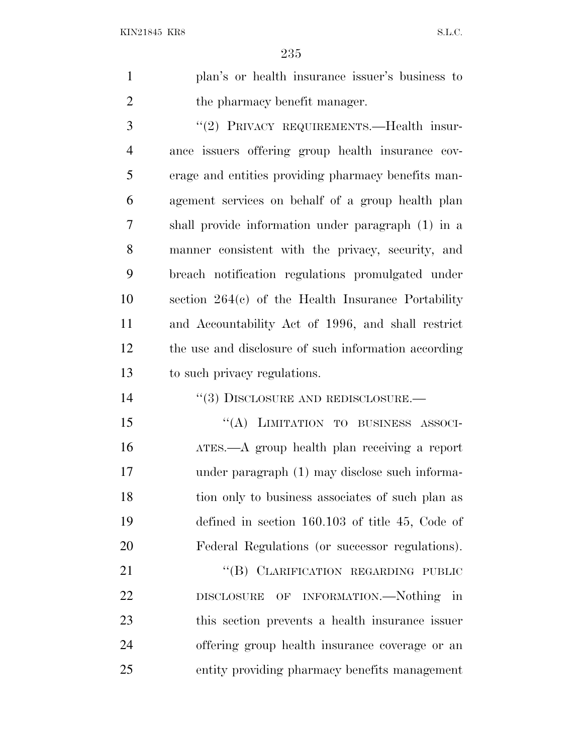plan's or health insurance issuer's business to 2 the pharmacy benefit manager.

 ''(2) PRIVACY REQUIREMENTS.—Health insur- ance issuers offering group health insurance cov- erage and entities providing pharmacy benefits man- agement services on behalf of a group health plan shall provide information under paragraph (1) in a manner consistent with the privacy, security, and breach notification regulations promulgated under section 264(c) of the Health Insurance Portability and Accountability Act of 1996, and shall restrict the use and disclosure of such information according to such privacy regulations.

14 "(3) DISCLOSURE AND REDISCLOSURE.—

15 "(A) LIMITATION TO BUSINESS ASSOCI- ATES.—A group health plan receiving a report under paragraph (1) may disclose such informa- tion only to business associates of such plan as defined in section 160.103 of title 45, Code of Federal Regulations (or successor regulations).

21 "(B) CLARIFICATION REGARDING PUBLIC DISCLOSURE OF INFORMATION.—Nothing in this section prevents a health insurance issuer offering group health insurance coverage or an entity providing pharmacy benefits management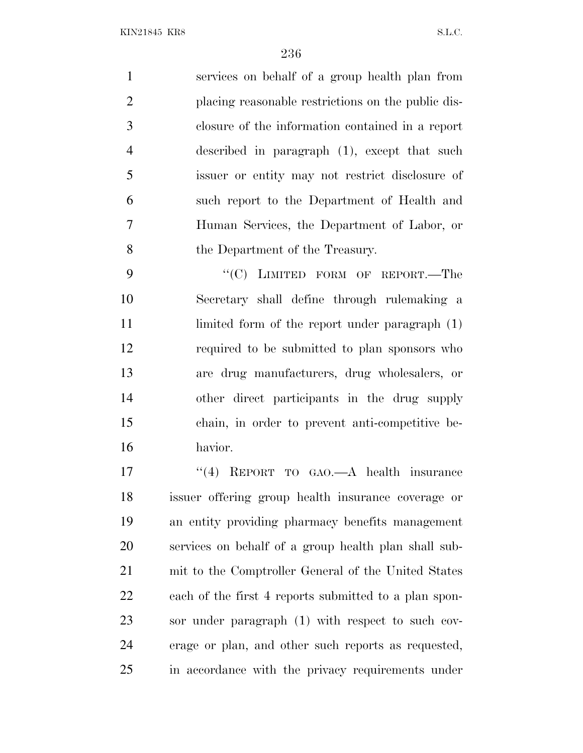services on behalf of a group health plan from placing reasonable restrictions on the public dis- closure of the information contained in a report described in paragraph (1), except that such issuer or entity may not restrict disclosure of such report to the Department of Health and Human Services, the Department of Labor, or the Department of the Treasury.

9 "(C) LIMITED FORM OF REPORT.—The Secretary shall define through rulemaking a 11 limited form of the report under paragraph (1) required to be submitted to plan sponsors who are drug manufacturers, drug wholesalers, or other direct participants in the drug supply chain, in order to prevent anti-competitive be-havior.

17 "(4) REPORT TO GAO.—A health insurance issuer offering group health insurance coverage or an entity providing pharmacy benefits management services on behalf of a group health plan shall sub- mit to the Comptroller General of the United States each of the first 4 reports submitted to a plan spon- sor under paragraph (1) with respect to such cov- erage or plan, and other such reports as requested, in accordance with the privacy requirements under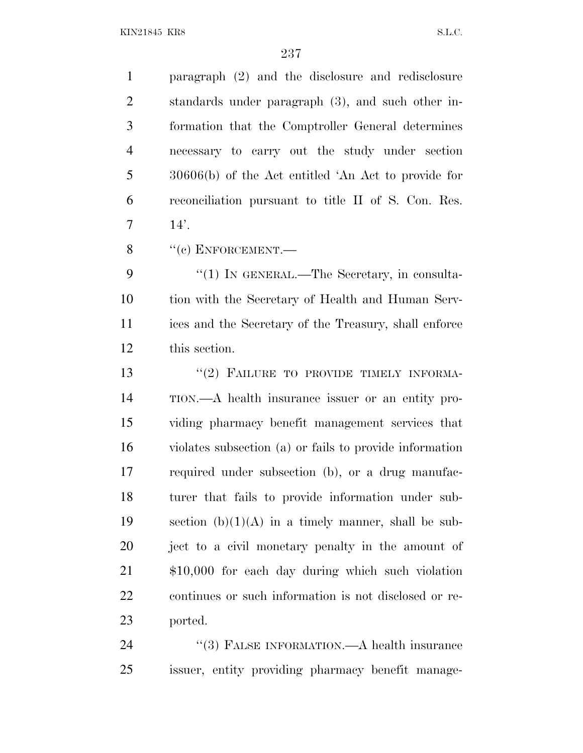paragraph (2) and the disclosure and redisclosure standards under paragraph (3), and such other in- formation that the Comptroller General determines necessary to carry out the study under section 30606(b) of the Act entitled 'An Act to provide for reconciliation pursuant to title II of S. Con. Res.  $7 \t14'.$ 

8 "(c) ENFORCEMENT.

9 "(1) IN GENERAL.—The Secretary, in consulta- tion with the Secretary of Health and Human Serv- ices and the Secretary of the Treasury, shall enforce this section.

13 "(2) FAILURE TO PROVIDE TIMELY INFORMA- TION.—A health insurance issuer or an entity pro- viding pharmacy benefit management services that violates subsection (a) or fails to provide information required under subsection (b), or a drug manufac- turer that fails to provide information under sub-19 section  $(b)(1)(A)$  in a timely manner, shall be sub- ject to a civil monetary penalty in the amount of \$10,000 for each day during which such violation continues or such information is not disclosed or re-ported.

24 "(3) FALSE INFORMATION.—A health insurance issuer, entity providing pharmacy benefit manage-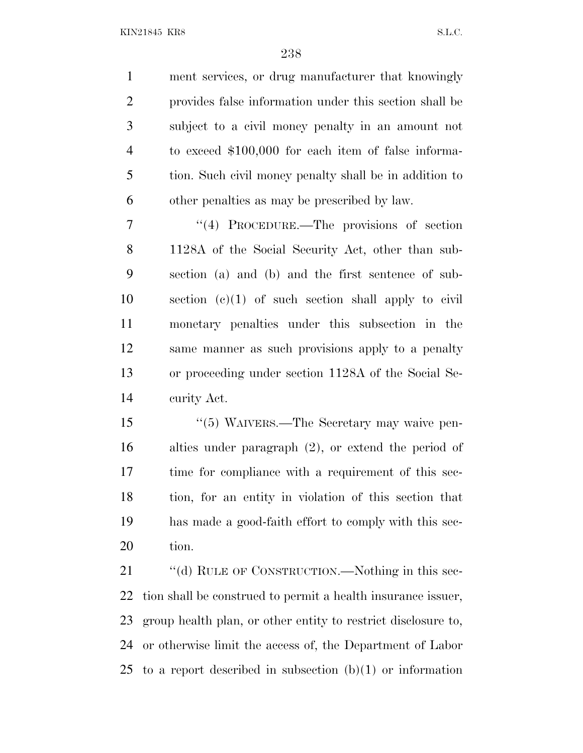ment services, or drug manufacturer that knowingly provides false information under this section shall be subject to a civil money penalty in an amount not to exceed \$100,000 for each item of false informa- tion. Such civil money penalty shall be in addition to other penalties as may be prescribed by law.

7 "(4) PROCEDURE.—The provisions of section 1128A of the Social Security Act, other than sub- section (a) and (b) and the first sentence of sub- section (c)(1) of such section shall apply to civil monetary penalties under this subsection in the same manner as such provisions apply to a penalty or proceeding under section 1128A of the Social Se-curity Act.

 ''(5) WAIVERS.—The Secretary may waive pen- alties under paragraph (2), or extend the period of time for compliance with a requirement of this sec- tion, for an entity in violation of this section that has made a good-faith effort to comply with this sec-tion.

21 ""(d) RULE OF CONSTRUCTION.—Nothing in this sec- tion shall be construed to permit a health insurance issuer, group health plan, or other entity to restrict disclosure to, or otherwise limit the access of, the Department of Labor to a report described in subsection (b)(1) or information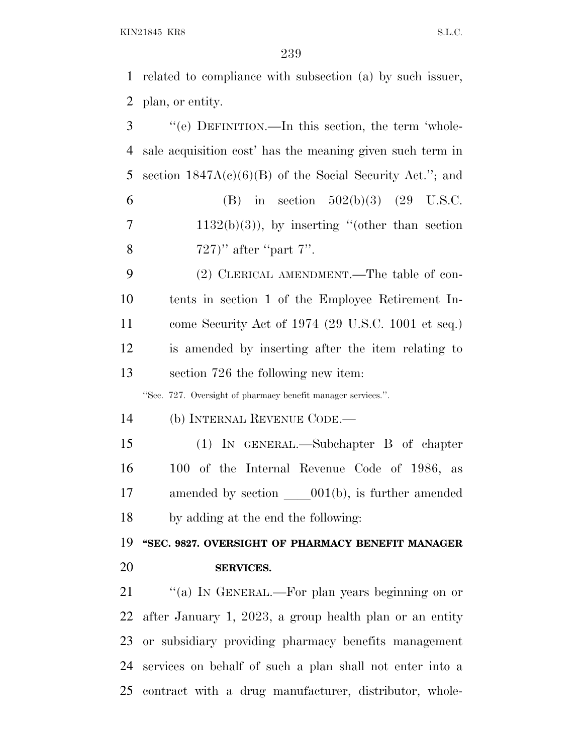related to compliance with subsection (a) by such issuer, plan, or entity.

 ''(e) DEFINITION.—In this section, the term 'whole- sale acquisition cost' has the meaning given such term in section 1847A(c)(6)(B) of the Social Security Act.''; and 6 (B) in section  $502(b)(3)$  (29 U.S.C.  $7 \t 1132(b)(3)$ , by inserting "(other than section " after "part 7". (2) CLERICAL AMENDMENT.—The table of con-tents in section 1 of the Employee Retirement In-

 come Security Act of 1974 (29 U.S.C. 1001 et seq.) is amended by inserting after the item relating to section 726 the following new item:

''Sec. 727. Oversight of pharmacy benefit manager services.''.

(b) INTERNAL REVENUE CODE.—

 (1) IN GENERAL.—Subchapter B of chapter 100 of the Internal Revenue Code of 1986, as amended by section  $001(b)$ , is further amended by adding at the end the following:

 **''SEC. 9827. OVERSIGHT OF PHARMACY BENEFIT MANAGER SERVICES.**

21 "(a) In GENERAL.—For plan years beginning on or after January 1, 2023, a group health plan or an entity or subsidiary providing pharmacy benefits management services on behalf of such a plan shall not enter into a contract with a drug manufacturer, distributor, whole-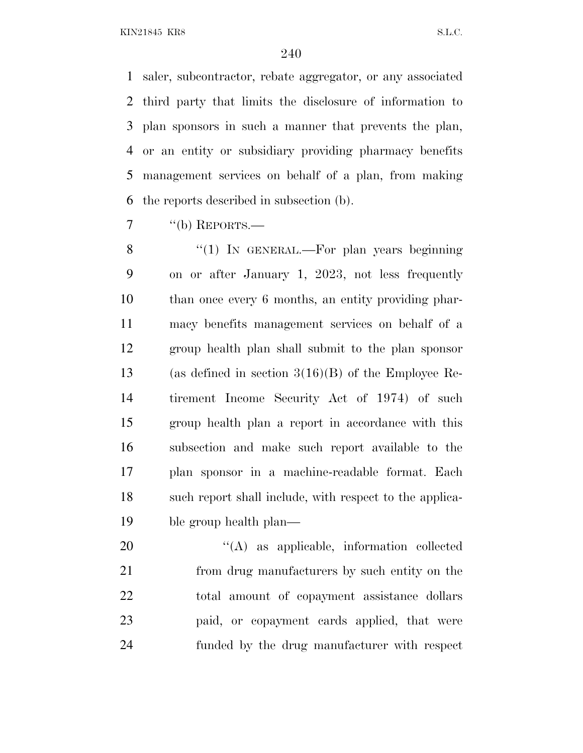saler, subcontractor, rebate aggregator, or any associated third party that limits the disclosure of information to plan sponsors in such a manner that prevents the plan, or an entity or subsidiary providing pharmacy benefits management services on behalf of a plan, from making the reports described in subsection (b).

7 "(b) REPORTS.—

8 "(1) In GENERAL.—For plan years beginning on or after January 1, 2023, not less frequently than once every 6 months, an entity providing phar- macy benefits management services on behalf of a group health plan shall submit to the plan sponsor (as defined in section 3(16)(B) of the Employee Re- tirement Income Security Act of 1974) of such group health plan a report in accordance with this subsection and make such report available to the plan sponsor in a machine-readable format. Each such report shall include, with respect to the applica-ble group health plan—

 $\langle (A)$  as applicable, information collected from drug manufacturers by such entity on the total amount of copayment assistance dollars paid, or copayment cards applied, that were funded by the drug manufacturer with respect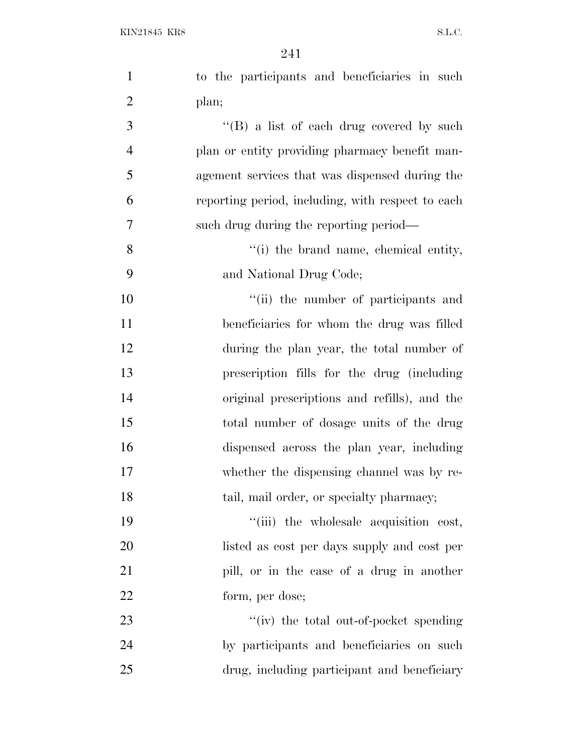| $\mathbf{1}$   | to the participants and beneficiaries in such     |
|----------------|---------------------------------------------------|
| $\overline{2}$ | plan;                                             |
| 3              | "(B) a list of each drug covered by such          |
| $\overline{4}$ | plan or entity providing pharmacy benefit man-    |
| 5              | agement services that was dispensed during the    |
| 6              | reporting period, including, with respect to each |
| 7              | such drug during the reporting period—            |
| 8              | "(i) the brand name, chemical entity,             |
| 9              | and National Drug Code;                           |
| 10             | "(ii) the number of participants and              |
| 11             | beneficiaries for whom the drug was filled        |
| 12             | during the plan year, the total number of         |
| 13             | prescription fills for the drug (including        |
| 14             | original prescriptions and refills), and the      |
| 15             | total number of dosage units of the drug          |
| 16             | dispensed across the plan year, including         |
| 17             | whether the dispensing channel was by re-         |
| 18             | tail, mail order, or specialty pharmacy;          |
| 19             | "(iii) the wholesale acquisition cost,            |
| 20             | listed as cost per days supply and cost per       |
| 21             | pill, or in the case of a drug in another         |
| 22             | form, per dose;                                   |
| 23             | "(iv) the total out-of-pocket spending            |
| 24             | by participants and beneficiaries on such         |
| 25             | drug, including participant and beneficiary       |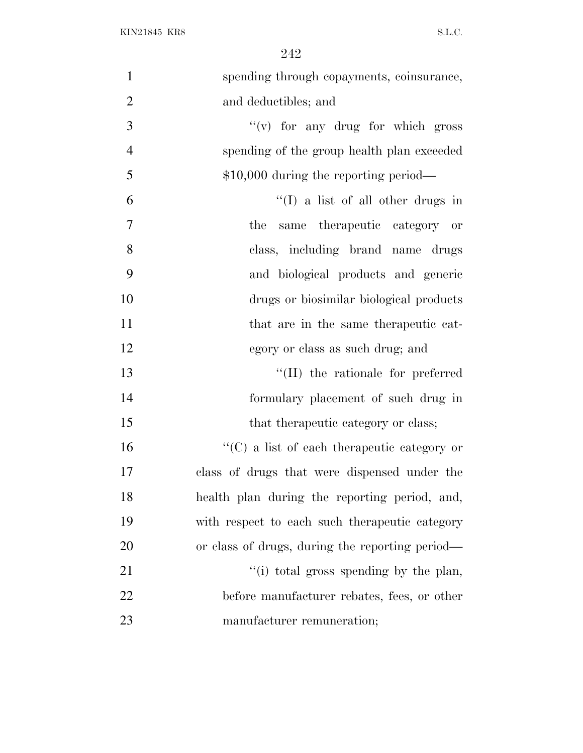| $\mathbf{1}$   | spending through copayments, coinsurance,       |
|----------------|-------------------------------------------------|
| $\overline{2}$ | and deductibles; and                            |
| 3              | $f'(v)$ for any drug for which gross            |
| $\overline{4}$ | spending of the group health plan exceeded      |
| 5              | $$10,000$ during the reporting period—          |
| 6              | "(I) a list of all other drugs in               |
| $\overline{7}$ | same therapeutic category or<br>the             |
| 8              | class, including brand name drugs               |
| 9              | and biological products and generic             |
| 10             | drugs or biosimilar biological products         |
| 11             | that are in the same therapeutic cat-           |
| 12             | egory or class as such drug; and                |
| 13             | "(II) the rationale for preferred               |
| 14             | formulary placement of such drug in             |
| 15             | that the rapeutic category or class;            |
| 16             | "(C) a list of each therapeutic category or     |
| 17             | class of drugs that were dispensed under the    |
| 18             | health plan during the reporting period, and,   |
| 19             | with respect to each such the rapeutic category |
| 20             | or class of drugs, during the reporting period— |
| 21             | "(i) total gross spending by the plan,          |
| 22             | before manufacturer rebates, fees, or other     |
| 23             | manufacturer remuneration;                      |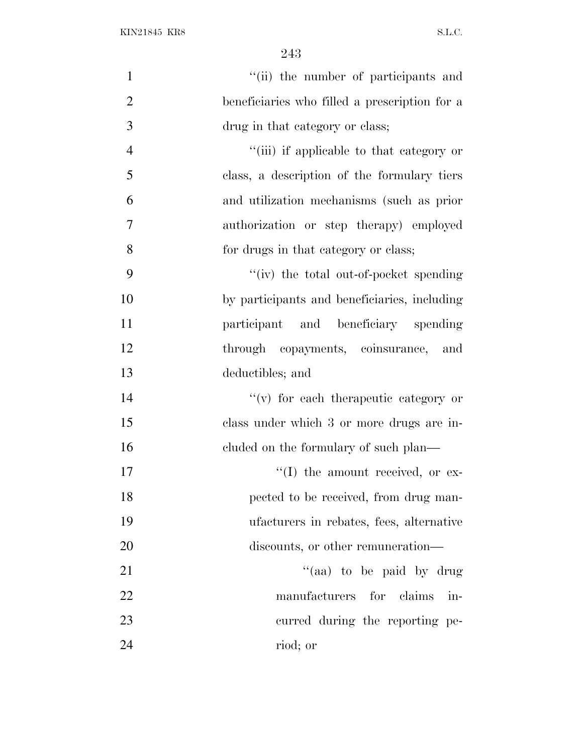| $\mathbf{1}$   | "(ii) the number of participants and          |
|----------------|-----------------------------------------------|
| $\overline{2}$ | beneficiaries who filled a prescription for a |
| 3              | drug in that category or class;               |
| $\overline{4}$ | "(iii) if applicable to that category or      |
| 5              | class, a description of the formulary tiers   |
| 6              | and utilization mechanisms (such as prior     |
| 7              | authorization or step therapy) employed       |
| 8              | for drugs in that category or class;          |
| 9              | "(iv) the total out-of-pocket spending        |
| 10             | by participants and beneficiaries, including  |
| 11             | participant and beneficiary spending          |
| 12             | through copayments, coinsurance, and          |
| 13             | deductibles; and                              |
| 14             | $f'(v)$ for each therapeutic category or      |
| 15             | class under which 3 or more drugs are in-     |
| 16             | eluded on the formulary of such plan—         |
| 17             | $\lq\lq$ the amount received, or ex-          |
| 18             | pected to be received, from drug man-         |
| 19             | ufacturers in rebates, fees, alternative      |
| 20             | discounts, or other remuneration—             |
| 21             | "(aa) to be paid by drug                      |
| 22             | manufacturers for claims in-                  |
| 23             | curred during the reporting pe-               |
| 24             | riod; or                                      |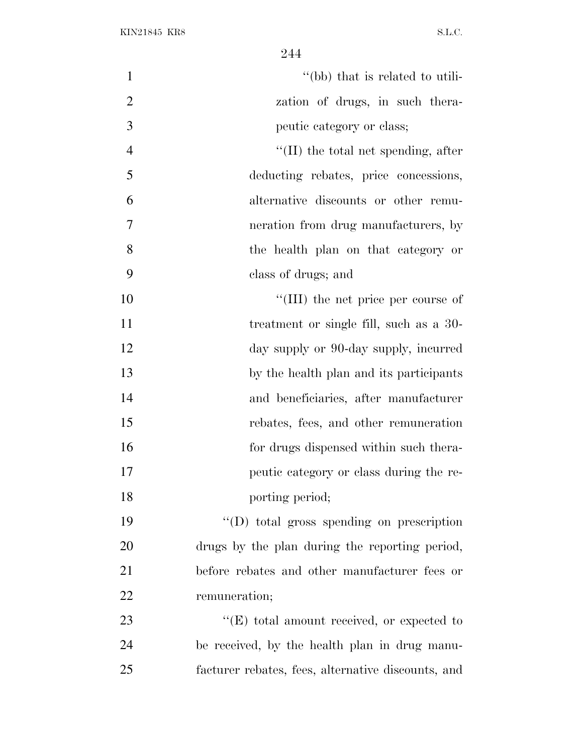| $\mathbf{1}$   | "(bb) that is related to utili-                    |
|----------------|----------------------------------------------------|
| $\overline{2}$ | zation of drugs, in such thera-                    |
| 3              | peutic category or class;                          |
| $\overline{4}$ | $\lq$ (II) the total net spending, after           |
| 5              | deducting rebates, price concessions,              |
| 6              | alternative discounts or other remu-               |
| 7              | neration from drug manufacturers, by               |
| 8              | the health plan on that category or                |
| 9              | class of drugs; and                                |
| 10             | "(III) the net price per course of                 |
| 11             | treatment or single fill, such as a 30-            |
| 12             | day supply or 90-day supply, incurred              |
| 13             | by the health plan and its participants            |
| 14             | and beneficiaries, after manufacturer              |
| 15             | rebates, fees, and other remuneration              |
| 16             | for drugs dispensed within such thera-             |
| 17             | peutic category or class during the re-            |
| 18             | porting period;                                    |
| 19             | "(D) total gross spending on prescription          |
| 20             | drugs by the plan during the reporting period,     |
| 21             | before rebates and other manufacturer fees or      |
| 22             | remuneration;                                      |
| 23             | "(E) total amount received, or expected to         |
| 24             | be received, by the health plan in drug manu-      |
| 25             | facturer rebates, fees, alternative discounts, and |
|                |                                                    |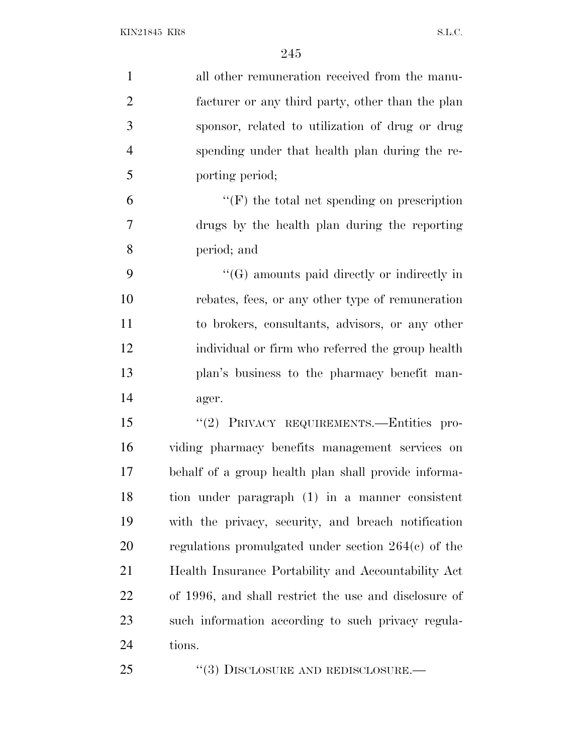| $\mathbf{1}$   | all other remuneration received from the manu-        |
|----------------|-------------------------------------------------------|
| $\overline{2}$ | facturer or any third party, other than the plan      |
| 3              | sponsor, related to utilization of drug or drug       |
| $\overline{4}$ | spending under that health plan during the re-        |
| 5              | porting period;                                       |
| 6              | $\lq\lq(F)$ the total net spending on prescription    |
| 7              | drugs by the health plan during the reporting         |
| 8              | period; and                                           |
| 9              | $\lq\lq(G)$ amounts paid directly or indirectly in    |
| 10             | rebates, fees, or any other type of remuneration      |
| 11             | to brokers, consultants, advisors, or any other       |
| 12             | individual or firm who referred the group health      |
| 13             | plan's business to the pharmacy benefit man-          |
| 14             | ager.                                                 |
| 15             | "(2) PRIVACY REQUIREMENTS.-Entities pro-              |
| 16             | viding pharmacy benefits management services on       |
| 17             | behalf of a group health plan shall provide informa-  |
| 18             | tion under paragraph (1) in a manner consistent       |
| 19             | with the privacy, security, and breach notification   |
| 20             | regulations promulgated under section $264(c)$ of the |
| 21             | Health Insurance Portability and Accountability Act   |
| 22             | of 1996, and shall restrict the use and disclosure of |
| 23             | such information according to such privacy regula-    |
| 24             | tions.                                                |
| 25             | $\cdot\cdot(3)$ DISCLOSURE AND REDISCLOSURE.—         |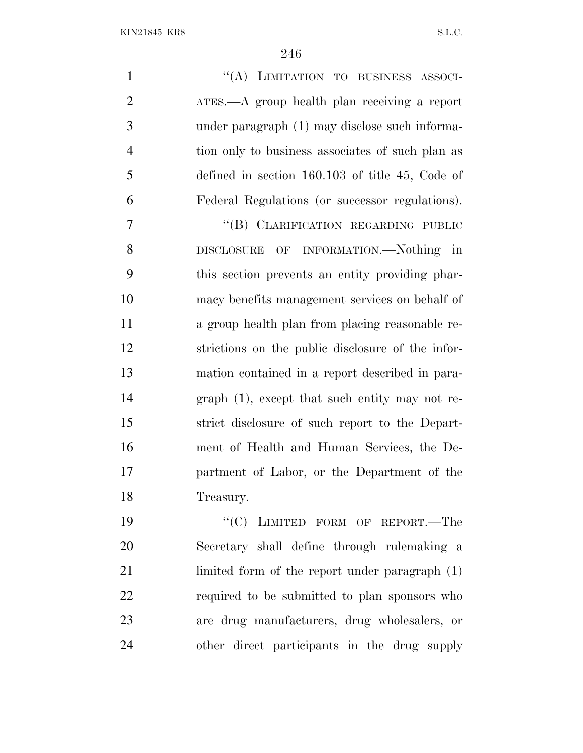| $\mathbf{1}$   | "(A) LIMITATION TO BUSINESS ASSOCI-               |
|----------------|---------------------------------------------------|
| $\overline{2}$ | ATES.—A group health plan receiving a report      |
| 3              | under paragraph (1) may disclose such informa-    |
| $\overline{4}$ | tion only to business associates of such plan as  |
| 5              | defined in section $160.103$ of title 45, Code of |
| 6              | Federal Regulations (or successor regulations).   |
| 7              | "(B) CLARIFICATION REGARDING PUBLIC               |
| 8              | DISCLOSURE OF INFORMATION.-Nothing in             |
| 9              | this section prevents an entity providing phar-   |
| 10             | macy benefits management services on behalf of    |
| 11             | a group health plan from placing reasonable re-   |
| 12             | strictions on the public disclosure of the infor- |
| 13             | mation contained in a report described in para-   |
| 14             | graph $(1)$ , except that such entity may not re- |
| 15             | strict disclosure of such report to the Depart-   |
| 16             | ment of Health and Human Services, the De-        |
| 17             | partment of Labor, or the Department of the       |
| 18             | Treasury.                                         |

19 "'(C) LIMITED FORM OF REPORT.—The Secretary shall define through rulemaking a limited form of the report under paragraph (1) required to be submitted to plan sponsors who are drug manufacturers, drug wholesalers, or other direct participants in the drug supply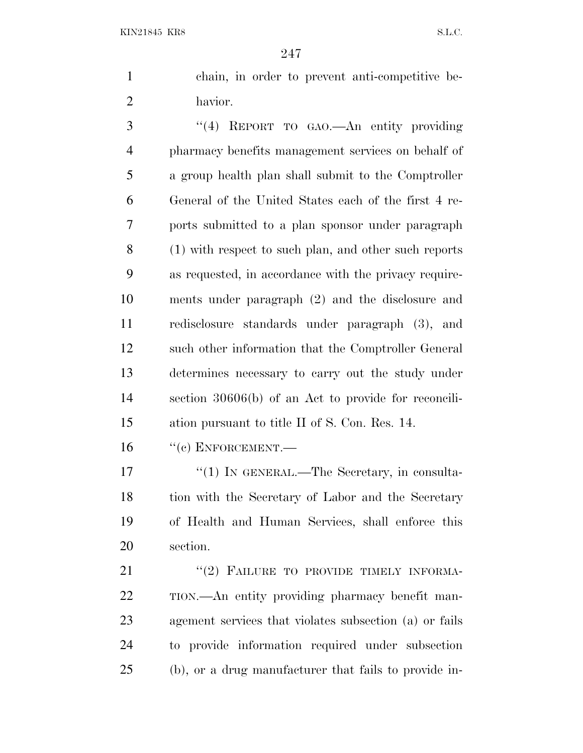chain, in order to prevent anti-competitive be-havior.

 ''(4) REPORT TO GAO.—An entity providing pharmacy benefits management services on behalf of a group health plan shall submit to the Comptroller General of the United States each of the first 4 re- ports submitted to a plan sponsor under paragraph (1) with respect to such plan, and other such reports as requested, in accordance with the privacy require- ments under paragraph (2) and the disclosure and redisclosure standards under paragraph (3), and such other information that the Comptroller General determines necessary to carry out the study under section 30606(b) of an Act to provide for reconcili-ation pursuant to title II of S. Con. Res. 14.

16 "(c) ENFORCEMENT.—

17 <sup>''</sup>(1) IN GENERAL.—The Secretary, in consulta-18 tion with the Secretary of Labor and the Secretary of Health and Human Services, shall enforce this section.

21 "(2) FAILURE TO PROVIDE TIMELY INFORMA- TION.—An entity providing pharmacy benefit man- agement services that violates subsection (a) or fails to provide information required under subsection (b), or a drug manufacturer that fails to provide in-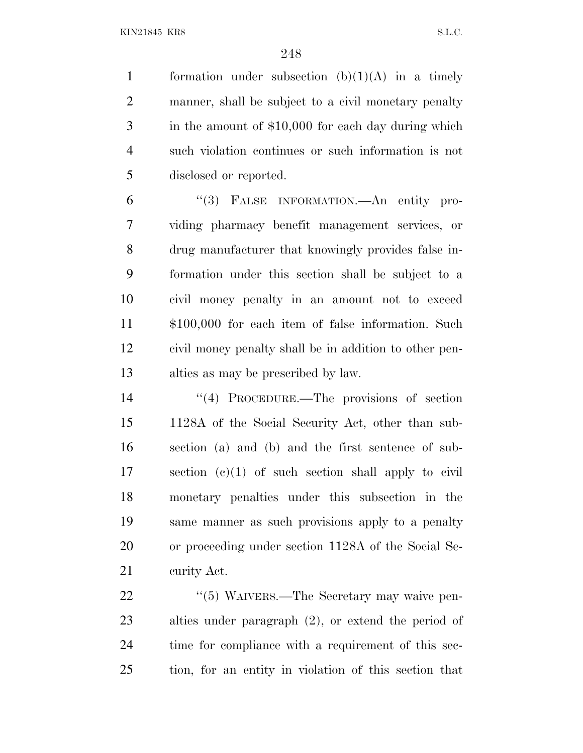1 formation under subsection  $(b)(1)(A)$  in a timely manner, shall be subject to a civil monetary penalty in the amount of \$10,000 for each day during which such violation continues or such information is not disclosed or reported.

 ''(3) FALSE INFORMATION.—An entity pro- viding pharmacy benefit management services, or drug manufacturer that knowingly provides false in- formation under this section shall be subject to a civil money penalty in an amount not to exceed \$100,000 for each item of false information. Such civil money penalty shall be in addition to other pen-alties as may be prescribed by law.

 ''(4) PROCEDURE.—The provisions of section 1128A of the Social Security Act, other than sub- section (a) and (b) and the first sentence of sub- section (c)(1) of such section shall apply to civil monetary penalties under this subsection in the same manner as such provisions apply to a penalty or proceeding under section 1128A of the Social Se-curity Act.

22 "(5) WAIVERS.—The Secretary may waive pen- alties under paragraph (2), or extend the period of time for compliance with a requirement of this sec-tion, for an entity in violation of this section that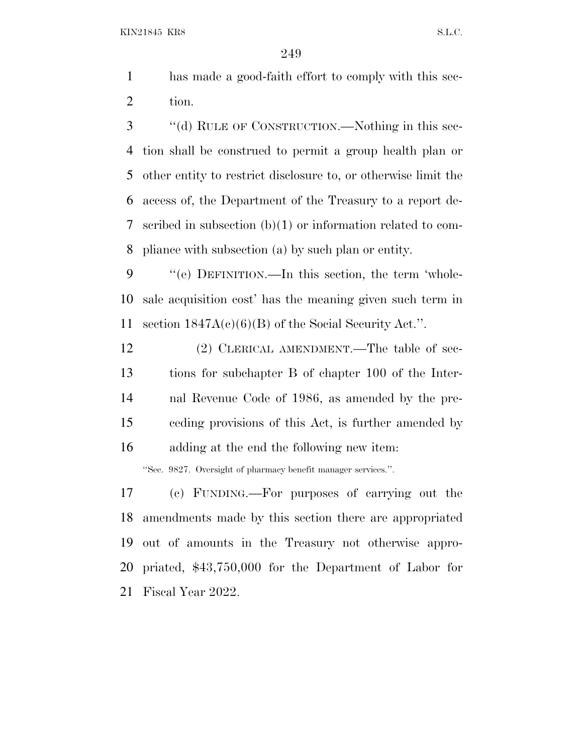- has made a good-faith effort to comply with this sec-tion.
- ''(d) RULE OF CONSTRUCTION.—Nothing in this sec- tion shall be construed to permit a group health plan or other entity to restrict disclosure to, or otherwise limit the access of, the Department of the Treasury to a report de- scribed in subsection (b)(1) or information related to com-pliance with subsection (a) by such plan or entity.

 ''(e) DEFINITION.—In this section, the term 'whole- sale acquisition cost' has the meaning given such term in 11 section  $1847A(c)(6)(B)$  of the Social Security Act.".

12 (2) CLERICAL AMENDMENT.—The table of sec- tions for subchapter B of chapter 100 of the Inter- nal Revenue Code of 1986, as amended by the pre- ceding provisions of this Act, is further amended by adding at the end the following new item:

''Sec. 9827. Oversight of pharmacy benefit manager services.''.

 (c) FUNDING.—For purposes of carrying out the amendments made by this section there are appropriated out of amounts in the Treasury not otherwise appro- priated, \$43,750,000 for the Department of Labor for Fiscal Year 2022.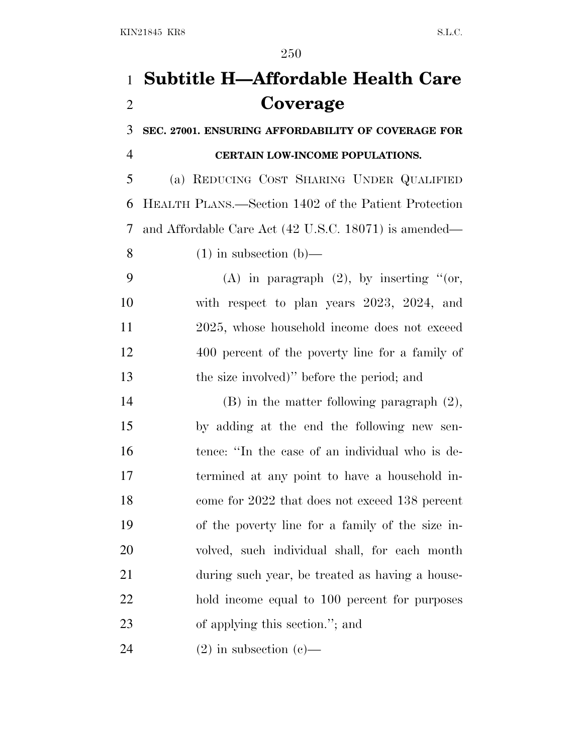## **Subtitle H—Affordable Health Care Coverage**

 **SEC. 27001. ENSURING AFFORDABILITY OF COVERAGE FOR CERTAIN LOW-INCOME POPULATIONS.**

 (a) REDUCING COST SHARING UNDER QUALIFIED HEALTH PLANS.—Section 1402 of the Patient Protection and Affordable Care Act (42 U.S.C. 18071) is amended— 8 (1) in subsection  $(b)$ —

9 (A) in paragraph  $(2)$ , by inserting "(or, with respect to plan years 2023, 2024, and 2025, whose household income does not exceed 400 percent of the poverty line for a family of the size involved)'' before the period; and

 (B) in the matter following paragraph (2), by adding at the end the following new sen- tence: ''In the case of an individual who is de- termined at any point to have a household in- come for 2022 that does not exceed 138 percent of the poverty line for a family of the size in- volved, such individual shall, for each month during such year, be treated as having a house- hold income equal to 100 percent for purposes of applying this section.''; and

24 (2) in subsection (c)—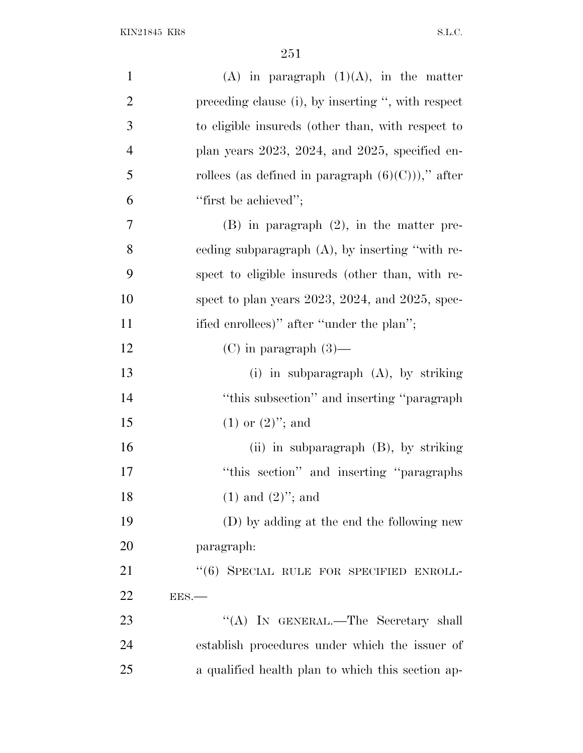| $\mathbf{1}$   | $(A)$ in paragraph $(1)(A)$ , in the matter              |
|----------------|----------------------------------------------------------|
| $\mathfrak{2}$ | preceding clause (i), by inserting ", with respect       |
| 3              | to eligible insureds (other than, with respect to        |
| $\overline{4}$ | plan years $2023$ , $2024$ , and $2025$ , specified en-  |
| 5              | rollees (as defined in paragraph $(6)(C)$ ))," after     |
| 6              | "first be achieved";                                     |
| 7              | $(B)$ in paragraph $(2)$ , in the matter pre-            |
| 8              | ceding subparagraph $(A)$ , by inserting "with re-       |
| 9              | spect to eligible insureds (other than, with re-         |
| 10             | spect to plan years $2023$ , $2024$ , and $2025$ , spec- |
| 11             | ified enrollees)" after "under the plan";                |
| 12             | $(C)$ in paragraph $(3)$ —                               |
| 13             | (i) in subparagraph (A), by striking                     |
| 14             | "this subsection" and inserting "paragraph"              |
| 15             | $(1)$ or $(2)$ "; and                                    |
| 16             | (ii) in subparagraph (B), by striking                    |
| 17             | "this section" and inserting "paragraphs"                |
| 18             | $(1)$ and $(2)$ "; and                                   |
| 19             | (D) by adding at the end the following new               |
| 20             | paragraph:                                               |
| 21             | "(6) SPECIAL RULE FOR SPECIFIED ENROLL-                  |
| 22             | EES.                                                     |
| 23             | "(A) IN GENERAL.—The Secretary shall                     |
| 24             | establish procedures under which the issuer of           |
| 25             | a qualified health plan to which this section ap-        |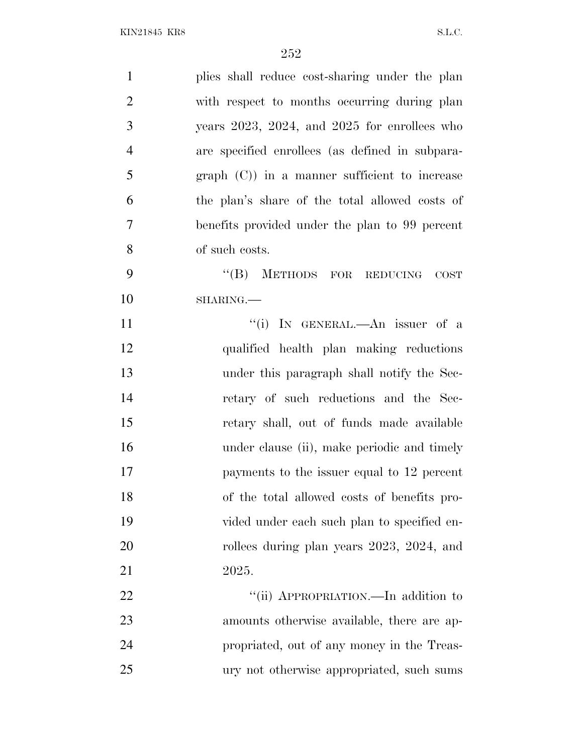| $\mathbf{1}$   | plies shall reduce cost-sharing under the plan       |
|----------------|------------------------------------------------------|
| $\overline{2}$ | with respect to months occurring during plan         |
| 3              | years $2023$ , $2024$ , and $2025$ for enrollees who |
| $\overline{4}$ | are specified enrollees (as defined in subpara-      |
| 5              | $graph (C)$ in a manner sufficient to increase       |
| 6              | the plan's share of the total allowed costs of       |
| $\overline{7}$ | benefits provided under the plan to 99 percent       |
| 8              | of such costs.                                       |
| 9              | "(B) METHODS FOR REDUCING<br><b>COST</b>             |
| 10             | SHARING.                                             |
| 11             | "(i) IN GENERAL.—An issuer of a                      |
| 12             | qualified health plan making reductions              |
| 13             | under this paragraph shall notify the Sec-           |
| 14             | retary of such reductions and the Sec-               |
| 15             | retary shall, out of funds made available            |
| 16             | under clause (ii), make periodic and timely          |
| 17             | payments to the issuer equal to 12 percent           |
| 18             | of the total allowed costs of benefits pro-          |
| 19             | vided under each such plan to specified en-          |
| 20             | rollees during plan years 2023, 2024, and            |
| 21             | 2025.                                                |
| 22             | "(ii) APPROPRIATION.—In addition to                  |
| 23             | amounts otherwise available, there are ap-           |
| 24             | propriated, out of any money in the Treas-           |
| 25             | ury not otherwise appropriated, such sums            |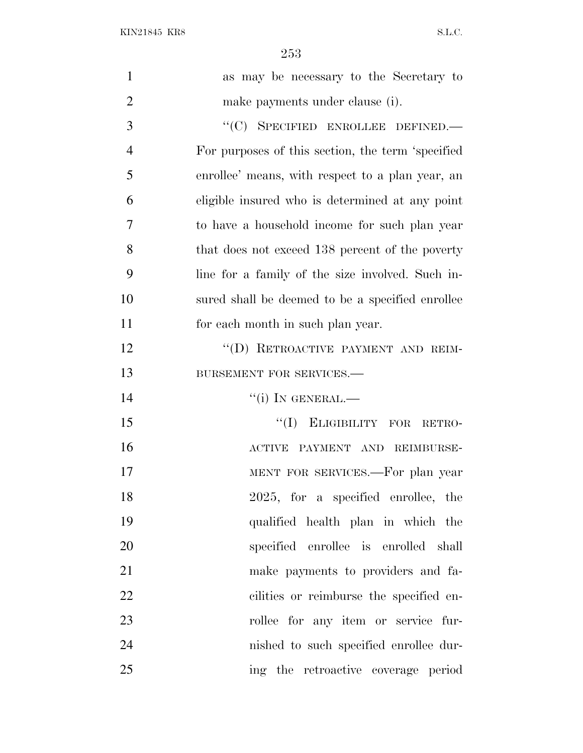KIN21845 KR8 S.L.C.

| $\mathbf{1}$   | as may be necessary to the Secretary to           |
|----------------|---------------------------------------------------|
| $\overline{2}$ | make payments under clause (i).                   |
| 3              | "(C) SPECIFIED ENROLLEE DEFINED.-                 |
| $\overline{4}$ | For purposes of this section, the term 'specified |
| 5              | enrollee' means, with respect to a plan year, an  |
| 6              | eligible insured who is determined at any point   |
| 7              | to have a household income for such plan year     |
| 8              | that does not exceed 138 percent of the poverty   |
| 9              | line for a family of the size involved. Such in-  |
| 10             | sured shall be deemed to be a specified enrollee  |
| 11             | for each month in such plan year.                 |
| 12             | "(D) RETROACTIVE PAYMENT AND REIM-                |
| 13             | BURSEMENT FOR SERVICES.-                          |
| 14             | $``(i)$ In GENERAL.—                              |
| 15             | "(I) ELIGIBILITY FOR RETRO-                       |
| 16             | ACTIVE PAYMENT AND REIMBURSE-                     |
| 17             | MENT FOR SERVICES.—For plan year                  |
| 18             | 2025, for a specified enrollee, the               |
| 19             | qualified health plan in which the                |
| 20             | specified enrollee is enrolled shall              |
| 21             | make payments to providers and fa-                |
| 22             | cilities or reimburse the specified en-           |
| 23             | rollee for any item or service fur-               |
| 24             | nished to such specified enrollee dur-            |
| 25             | ing the retroactive coverage period               |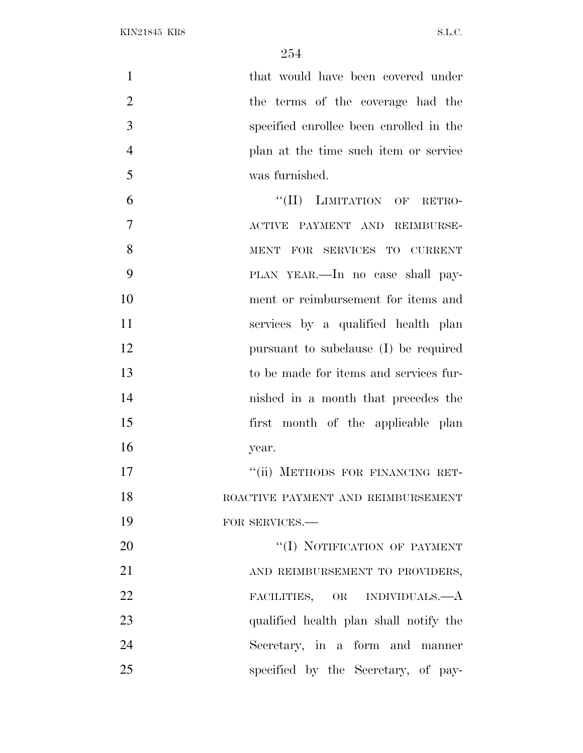1 that would have been covered under 2 the terms of the coverage had the specified enrollee been enrolled in the plan at the time such item or service was furnished.

6 "(II) LIMITATION OF RETRO- ACTIVE PAYMENT AND REIMBURSE- MENT FOR SERVICES TO CURRENT PLAN YEAR.—In no case shall pay- ment or reimbursement for items and services by a qualified health plan pursuant to subclause (I) be required to be made for items and services fur- nished in a month that precedes the first month of the applicable plan year. 17 "'(ii) METHODS FOR FINANCING RET-

 ROACTIVE PAYMENT AND REIMBURSEMENT 19 FOR SERVICES.—

 ''(I) NOTIFICATION OF PAYMENT 21 AND REIMBURSEMENT TO PROVIDERS, FACILITIES, OR INDIVIDUALS.—A qualified health plan shall notify the Secretary, in a form and manner specified by the Secretary, of pay-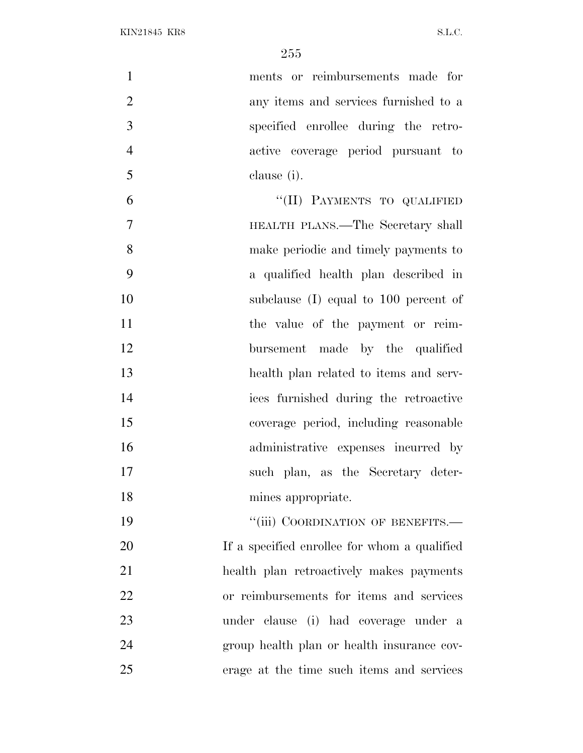ments or reimbursements made for any items and services furnished to a specified enrollee during the retro- active coverage period pursuant to clause (i). 6 "(II) PAYMENTS TO QUALIFIED HEALTH PLANS.—The Secretary shall make periodic and timely payments to a qualified health plan described in

 subclause (I) equal to 100 percent of 11 the value of the payment or reim- bursement made by the qualified health plan related to items and serv- ices furnished during the retroactive coverage period, including reasonable administrative expenses incurred by such plan, as the Secretary deter-mines appropriate.

19 "'(iii) COORDINATION OF BENEFITS.— If a specified enrollee for whom a qualified health plan retroactively makes payments or reimbursements for items and services under clause (i) had coverage under a group health plan or health insurance cov-erage at the time such items and services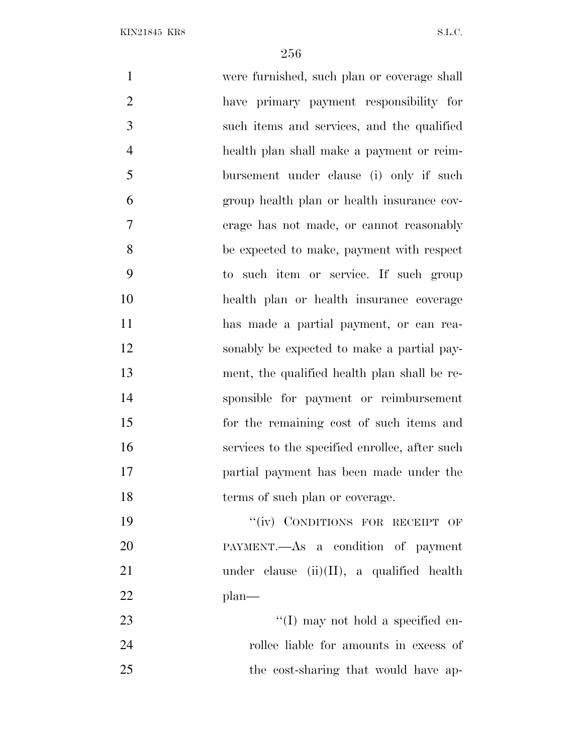| $\mathbf{1}$   | were furnished, such plan or coverage shall    |
|----------------|------------------------------------------------|
| $\overline{2}$ | have primary payment responsibility for        |
| 3              | such items and services, and the qualified     |
| $\overline{4}$ | health plan shall make a payment or reim-      |
| 5              | bursement under clause (i) only if such        |
| 6              | group health plan or health insurance cov-     |
| $\overline{7}$ | erage has not made, or cannot reasonably       |
| 8              | be expected to make, payment with respect      |
| 9              | to such item or service. If such group         |
| 10             | health plan or health insurance coverage       |
| 11             | has made a partial payment, or can rea-        |
| 12             | sonably be expected to make a partial pay-     |
| 13             | ment, the qualified health plan shall be re-   |
| 14             | sponsible for payment or reimbursement         |
| 15             | for the remaining cost of such items and       |
| 16             | services to the specified enrollee, after such |
| 17             | partial payment has been made under the        |
| 18             | terms of such plan or coverage.                |
| 19             | "(iv) CONDITIONS FOR RECEIPT OF                |
| 20             | PAYMENT.—As a condition of payment             |
| 21             | under clause $(ii)(II)$ , a qualified health   |
| 22             | $plan$ —                                       |
| 23             | "(I) may not hold a specified en-              |
| 24             | rollee liable for amounts in excess of         |
| 25             | the cost-sharing that would have ap-           |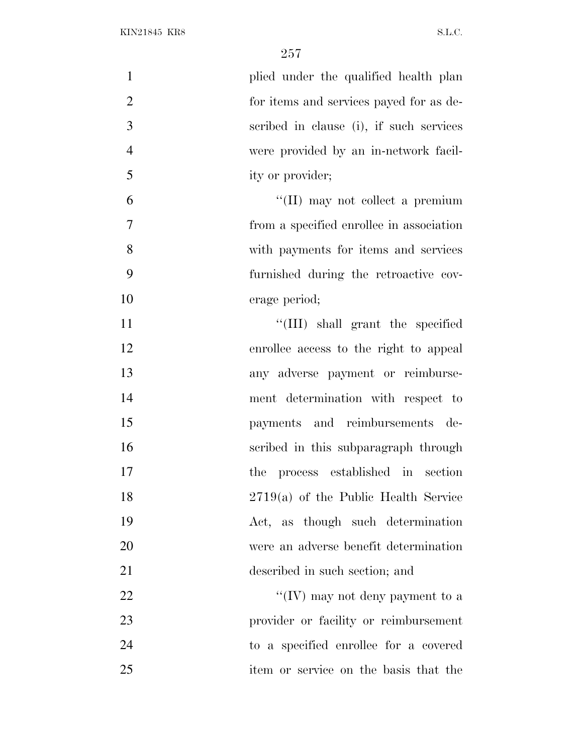| $\mathbf{1}$<br>plied under the qualified health plan     |
|-----------------------------------------------------------|
| $\overline{2}$<br>for items and services payed for as de- |
| 3<br>scribed in clause (i), if such services              |
| $\overline{4}$<br>were provided by an in-network facil-   |
| 5<br>ity or provider;                                     |
| 6<br>$\lq\lq$ (II) may not collect a premium              |
| $\tau$<br>from a specified enrollee in association        |
| 8<br>with payments for items and services                 |
| 9<br>furnished during the retroactive cov-                |
| 10<br>erage period;                                       |
| 11<br>"(III) shall grant the specified                    |
| 12<br>enrollee access to the right to appeal              |
| 13<br>any adverse payment or reimburse-                   |
| 14<br>ment determination with respect to                  |
| 15<br>payments and reimbursements de-                     |
| 16<br>scribed in this subparagraph through                |
| 17<br>process established in section<br>the               |
| 18<br>$2719(a)$ of the Public Health Service              |
| 19<br>Act, as though such determination                   |
| 20<br>were an adverse benefit determination               |
| 21<br>described in such section; and                      |
| 22<br>"(IV) may not deny payment to a                     |
| 23<br>provider or facility or reimbursement               |
| 24<br>to a specified enrollee for a covered               |
| 25<br>item or service on the basis that the               |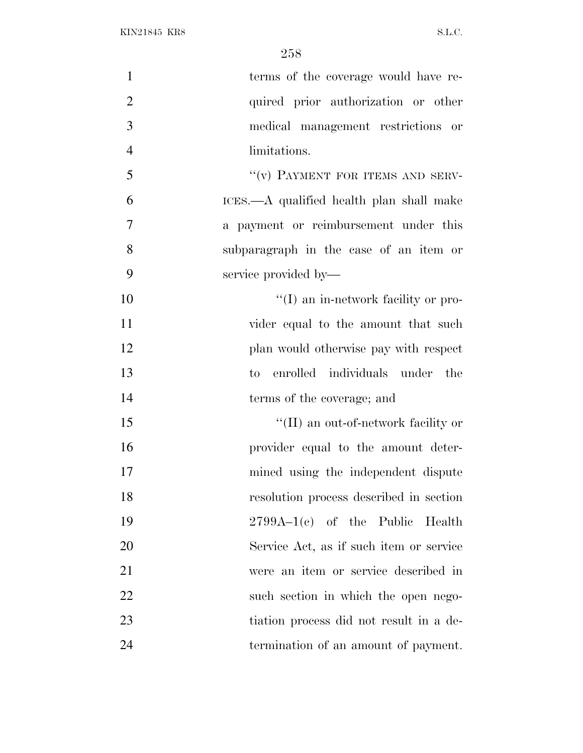| $\mathbf{1}$   | terms of the coverage would have re-     |
|----------------|------------------------------------------|
| $\overline{2}$ | quired prior authorization or other      |
| 3              | medical management restrictions or       |
| $\overline{4}$ | limitations.                             |
| 5              | "(v) PAYMENT FOR ITEMS AND SERV-         |
| 6              | ICES.—A qualified health plan shall make |
| 7              | a payment or reimbursement under this    |
| 8              | subparagraph in the case of an item or   |
| 9              | service provided by—                     |
| 10             | "(I) an in-network facility or pro-      |
| 11             | vider equal to the amount that such      |
| 12             | plan would otherwise pay with respect    |
| 13             | enrolled individuals under the<br>to     |
| 14             | terms of the coverage; and               |
| 15             | "(II) an out-of-network facility or      |
| 16             | provider equal to the amount deter-      |
| 17             | mined using the independent dispute      |
| 18             | resolution process described in section  |
| 19             | $2799A-1(c)$ of the Public Health        |
| 20             | Service Act, as if such item or service  |
| 21             | were an item or service described in     |
| 22             | such section in which the open nego-     |
| 23             | tiation process did not result in a de-  |
| 24             | termination of an amount of payment.     |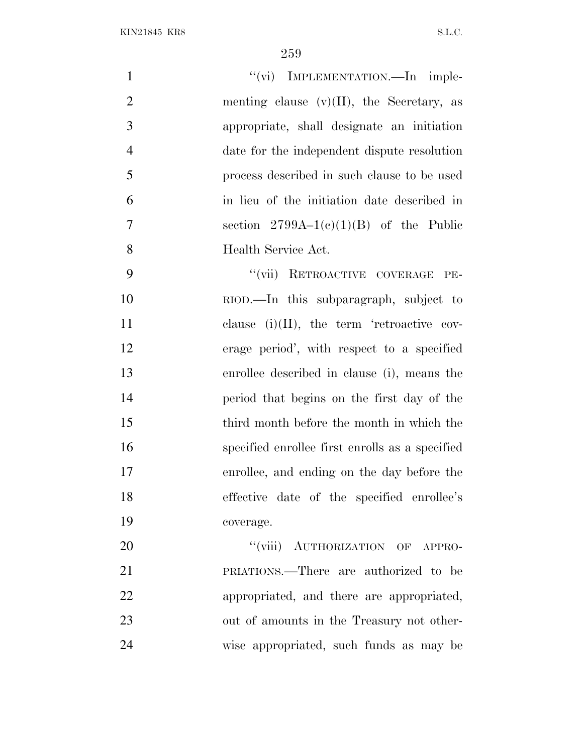| $\mathbf{1}$   | "(vi) IMPLEMENTATION.—In imple-                 |
|----------------|-------------------------------------------------|
| $\overline{2}$ | menting clause $(v)(II)$ , the Secretary, as    |
| 3              | appropriate, shall designate an initiation      |
| $\overline{4}$ | date for the independent dispute resolution     |
| 5              | process described in such clause to be used     |
| 6              | in lieu of the initiation date described in     |
| $\tau$         | section $2799A-1(c)(1)(B)$ of the Public        |
| 8              | Health Service Act.                             |
| 9              | "(vii) RETROACTIVE COVERAGE PE-                 |
| 10             | RIOD.—In this subparagraph, subject to          |
| 11             | clause $(i)(II)$ , the term 'retroactive cov-   |
| 12             | erage period', with respect to a specified      |
| 13             | enrollee described in clause (i), means the     |
| 14             | period that begins on the first day of the      |
| 15             | third month before the month in which the       |
| 16             | specified enrollee first enrolls as a specified |
| 17             | enrollee, and ending on the day before the      |
| 18             | effective date of the specified enrollee's      |
| 19             | coverage.                                       |
| 20             | "(viii) AUTHORIZATION OF APPRO-                 |
| 21             | PRIATIONS.—There are authorized to be           |
| 22             | appropriated, and there are appropriated,       |
| 23             | out of amounts in the Treasury not other-       |
| 24             | wise appropriated, such funds as may be         |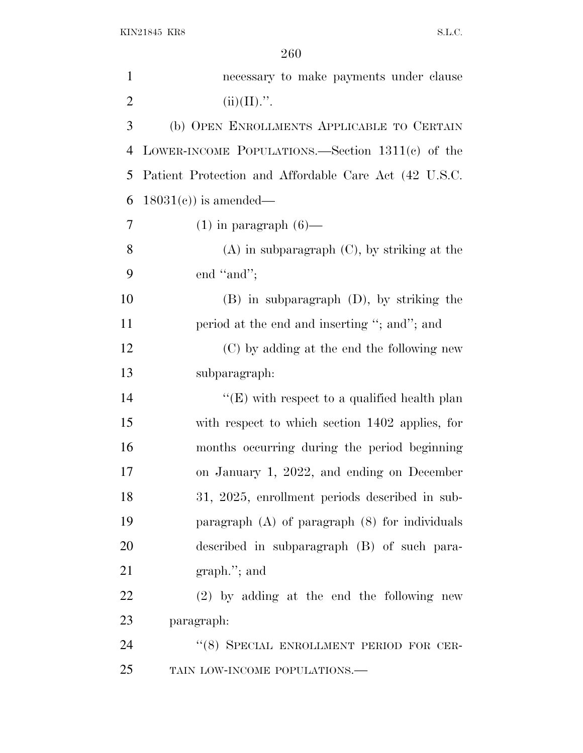| $\mathbf{1}$   | necessary to make payments under clause               |
|----------------|-------------------------------------------------------|
| $\overline{2}$ | $(ii)(II)$ .".                                        |
| 3              | (b) OPEN ENROLLMENTS APPLICABLE TO CERTAIN            |
| 4              | LOWER-INCOME POPULATIONS.—Section $1311(e)$ of the    |
| 5              | Patient Protection and Affordable Care Act (42 U.S.C. |
| 6              | $18031(c)$ is amended—                                |
| 7              | $(1)$ in paragraph $(6)$ —                            |
| 8              | $(A)$ in subparagraph $(C)$ , by striking at the      |
| 9              | end "and";                                            |
| 10             | $(B)$ in subparagraph $(D)$ , by striking the         |
| 11             | period at the end and inserting "; and"; and          |
| 12             | (C) by adding at the end the following new            |
| 13             | subparagraph:                                         |
| 14             | " $(E)$ with respect to a qualified health plan       |
| 15             | with respect to which section 1402 applies, for       |
| 16             | months occurring during the period beginning          |
| 17             | on January 1, 2022, and ending on December            |
| 18             | 31, 2025, enrollment periods described in sub-        |
| 19             | paragraph $(A)$ of paragraph $(8)$ for individuals    |
| 20             | described in subparagraph (B) of such para-           |
| 21             | $graph.'$ ; and                                       |
| 22             | $(2)$ by adding at the end the following new          |
| 23             | paragraph:                                            |
| 24             | "(8) SPECIAL ENROLLMENT PERIOD FOR CER-               |
| 25             | TAIN LOW-INCOME POPULATIONS.-                         |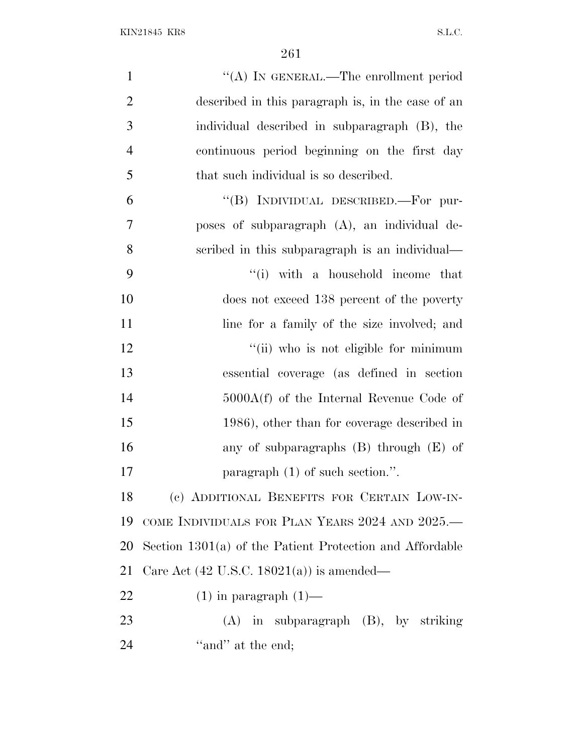| $\mathbf{1}$   | "(A) IN GENERAL.—The enrollment period                     |
|----------------|------------------------------------------------------------|
| $\overline{2}$ | described in this paragraph is, in the case of an          |
| 3              | individual described in subparagraph (B), the              |
| $\overline{4}$ | continuous period beginning on the first day               |
| 5              | that such individual is so described.                      |
| 6              | "(B) INDIVIDUAL DESCRIBED.—For pur-                        |
| $\overline{7}$ | poses of subparagraph (A), an individual de-               |
| 8              | scribed in this subparagraph is an individual—             |
| 9              | "(i) with a household income that                          |
| 10             | does not exceed 138 percent of the poverty                 |
| 11             | line for a family of the size involved; and                |
| 12             | "(ii) who is not eligible for minimum                      |
| 13             | essential coverage (as defined in section                  |
| 14             | $5000A(f)$ of the Internal Revenue Code of                 |
| 15             | 1986), other than for coverage described in                |
| 16             | any of subparagraphs $(B)$ through $(E)$ of                |
| 17             | paragraph $(1)$ of such section.".                         |
| 18             | (c) ADDITIONAL BENEFITS FOR CERTAIN LOW-IN-                |
| 19             | COME INDIVIDUALS FOR PLAN YEARS 2024 AND 2025.—            |
| 20             | Section $1301(a)$ of the Patient Protection and Affordable |
| 21             | Care Act $(42 \text{ U.S.C. } 18021(a))$ is amended—       |
| 22             | $(1)$ in paragraph $(1)$ —                                 |
| 23             | $(A)$ in subparagraph $(B)$ , by striking                  |
| 24             | "and" at the end;                                          |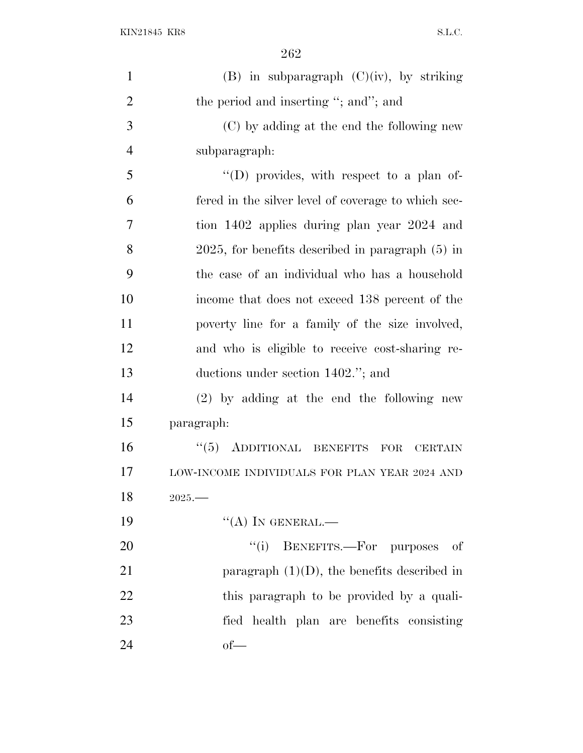| $\mathbf{1}$   | $(B)$ in subparagraph $(C)(iv)$ , by striking            |
|----------------|----------------------------------------------------------|
| $\overline{2}$ | the period and inserting "; and"; and                    |
| 3              | (C) by adding at the end the following new               |
| $\overline{4}$ | subparagraph:                                            |
| 5              | "(D) provides, with respect to a plan of-                |
| 6              | fered in the silver level of coverage to which sec-      |
| 7              | tion 1402 applies during plan year 2024 and              |
| 8              | $2025$ , for benefits described in paragraph $(5)$ in    |
| 9              | the case of an individual who has a household            |
| 10             | income that does not exceed 138 percent of the           |
| 11             | poverty line for a family of the size involved,          |
| 12             | and who is eligible to receive cost-sharing re-          |
| 13             | ductions under section 1402."; and                       |
| 14             | $(2)$ by adding at the end the following new             |
| 15             | paragraph:                                               |
| 16             | "(5) ADDITIONAL BENEFITS<br><b>FOR</b><br><b>CERTAIN</b> |
| 17             | LOW-INCOME INDIVIDUALS FOR PLAN YEAR 2024 AND            |
| 18             | $2025 -$                                                 |
| 19             | $\lq\lq (A)$ In GENERAL.—                                |
| 20             | "(i) BENEFITS.—For purposes of                           |
| 21             | paragraph $(1)(D)$ , the benefits described in           |
| 22             | this paragraph to be provided by a quali-                |
| 23             | fied health plan are benefits consisting                 |
| 24             | $of$ —                                                   |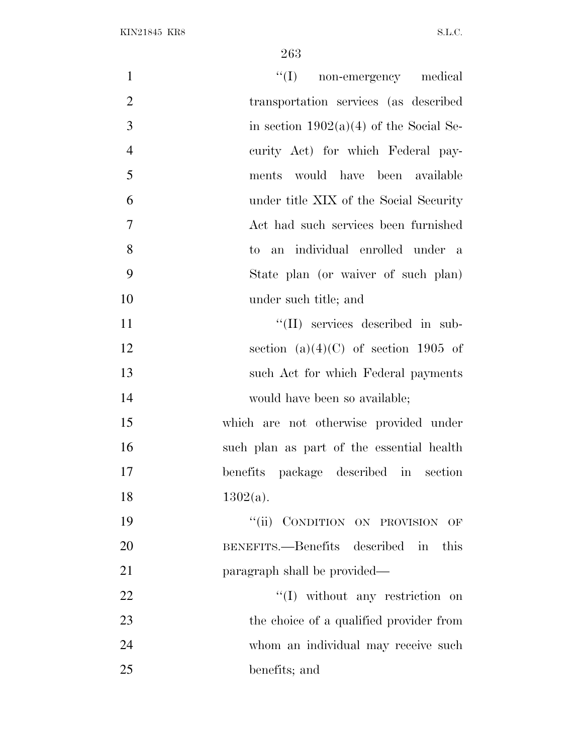| $\mathbf{1}$   | "(I) non-emergency medical                |
|----------------|-------------------------------------------|
| $\overline{2}$ | transportation services (as described     |
| 3              | in section $1902(a)(4)$ of the Social Se- |
| $\overline{4}$ | curity Act) for which Federal pay-        |
| 5              | ments would have been available           |
| 6              | under title XIX of the Social Security    |
| $\overline{7}$ | Act had such services been furnished      |
| 8              | to an individual enrolled under a         |
| 9              | State plan (or waiver of such plan)       |
| 10             | under such title; and                     |
| 11             | "(II) services described in sub-          |
| 12             | section (a) $(4)(C)$ of section 1905 of   |
| 13             | such Act for which Federal payments       |
| 14             | would have been so available;             |
| 15             | which are not otherwise provided under    |
| 16             | such plan as part of the essential health |
| 17             | benefits package described in section     |
| 18             | $1302(a)$ .                               |
| 19             | "(ii) CONDITION ON PROVISION OF           |
| 20             | BENEFITS.—Benefits described in<br>this   |
| 21             | paragraph shall be provided—              |
| 22             | "(I) without any restriction on           |
| 23             | the choice of a qualified provider from   |
| 24             | whom an individual may receive such       |
| 25             | benefits; and                             |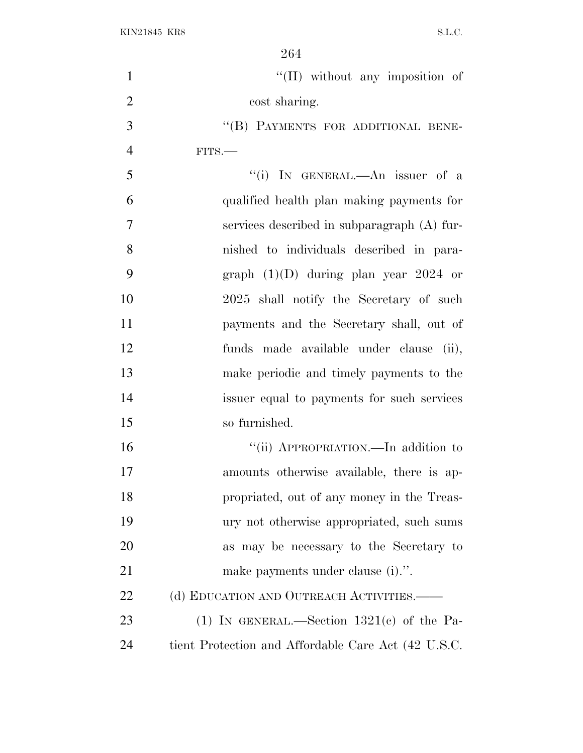| $\mathbf{1}$   | $\lq\lq$ (II) without any imposition of             |
|----------------|-----------------------------------------------------|
| $\overline{2}$ | cost sharing.                                       |
| 3              | "(B) PAYMENTS FOR ADDITIONAL BENE-                  |
| $\overline{4}$ | $FITS$ .                                            |
| 5              | "(i) IN GENERAL.—An issuer of a                     |
| 6              | qualified health plan making payments for           |
| 7              | services described in subparagraph (A) fur-         |
| 8              | nished to individuals described in para-            |
| 9              | graph $(1)(D)$ during plan year 2024 or             |
| 10             | 2025 shall notify the Secretary of such             |
| 11             | payments and the Secretary shall, out of            |
| 12             | funds made available under clause (ii),             |
| 13             | make periodic and timely payments to the            |
| 14             | issuer equal to payments for such services          |
| 15             | so furnished.                                       |
| 16             | "(ii) APPROPRIATION.—In addition to                 |
| 17             | amounts otherwise available, there is ap-           |
| 18             | propriated, out of any money in the Treas-          |
| 19             | ury not otherwise appropriated, such sums           |
| 20             | as may be necessary to the Secretary to             |
| 21             | make payments under clause (i).".                   |
| 22             | (d) EDUCATION AND OUTREACH ACTIVITIES.              |
| 23             | (1) IN GENERAL.—Section $1321(c)$ of the Pa-        |
| 24             | tient Protection and Affordable Care Act (42 U.S.C. |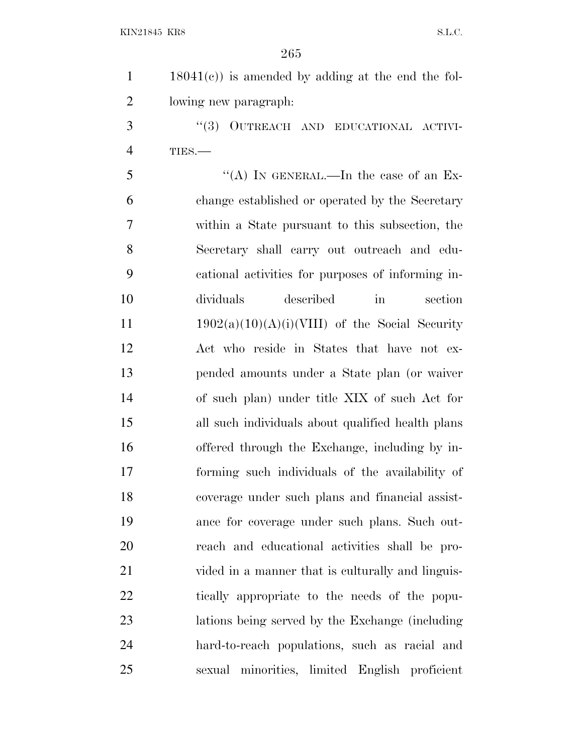| $18041(c)$ is amended by adding at the end the fol- |
|-----------------------------------------------------|
| lowing new paragraph.                               |

3 "(3) OUTREACH AND EDUCATIONAL ACTIVI-TIES.—

 ''(A) In GENERAL.—In the case of an Ex- change established or operated by the Secretary within a State pursuant to this subsection, the Secretary shall carry out outreach and edu- cational activities for purposes of informing in- dividuals described in section  $1902(a)(10)(A)(i)(VIII)$  of the Social Security Act who reside in States that have not ex- pended amounts under a State plan (or waiver of such plan) under title XIX of such Act for all such individuals about qualified health plans offered through the Exchange, including by in- forming such individuals of the availability of coverage under such plans and financial assist- ance for coverage under such plans. Such out- reach and educational activities shall be pro- vided in a manner that is culturally and linguis- tically appropriate to the needs of the popu- lations being served by the Exchange (including hard-to-reach populations, such as racial and sexual minorities, limited English proficient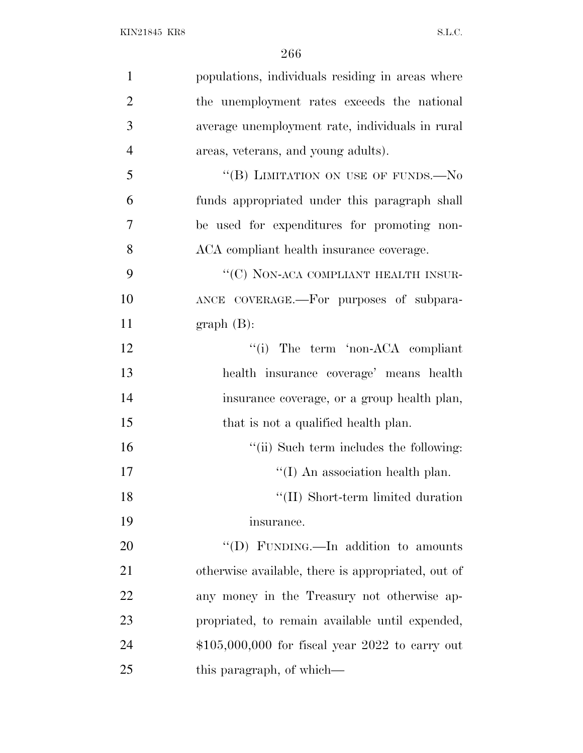| $\mathbf{1}$   | populations, individuals residing in areas where   |
|----------------|----------------------------------------------------|
| $\overline{2}$ | the unemployment rates exceeds the national        |
| 3              | average unemployment rate, individuals in rural    |
| $\overline{4}$ | areas, veterans, and young adults).                |
| 5              | "(B) LIMITATION ON USE OF FUNDS.-No                |
| 6              | funds appropriated under this paragraph shall      |
| 7              | be used for expenditures for promoting non-        |
| 8              | ACA compliant health insurance coverage.           |
| 9              | "(C) NON-ACA COMPLIANT HEALTH INSUR-               |
| 10             | ANCE COVERAGE.—For purposes of subpara-            |
| 11             | $graph(B)$ :                                       |
| 12             | "(i) The term 'non-ACA compliant                   |
| 13             | health insurance coverage' means health            |
| 14             | insurance coverage, or a group health plan,        |
| 15             | that is not a qualified health plan.               |
| 16             | "(ii) Such term includes the following:            |
| 17             | $\lq (I)$ An association health plan.              |
| 18             | "(II) Short-term limited duration                  |
| 19             | insurance.                                         |
| 20             | "(D) FUNDING.—In addition to amounts               |
| 21             | otherwise available, there is appropriated, out of |
| 22             | any money in the Treasury not otherwise ap-        |
| 23             | propriated, to remain available until expended,    |
| 24             | $$105,000,000$ for fiscal year 2022 to carry out   |
| 25             | this paragraph, of which—                          |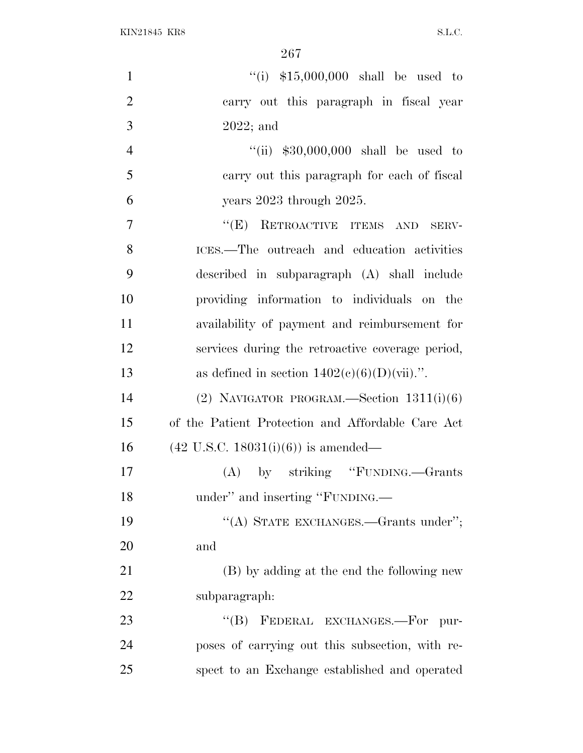| "(i) $$15,000,000$ shall be used to               |
|---------------------------------------------------|
| carry out this paragraph in fiscal year           |
| $2022$ ; and                                      |
| "(ii) $$30,000,000$ shall be used to              |
| carry out this paragraph for each of fiscal       |
| years 2023 through 2025.                          |
| "(E) RETROACTIVE ITEMS AND SERV-                  |
| ICES.—The outreach and education activities       |
| described in subparagraph (A) shall include       |
| providing information to individuals on the       |
| availability of payment and reimbursement for     |
| services during the retroactive coverage period,  |
| as defined in section $1402(e)(6)(D)(vii)$ .".    |
| (2) NAVIGATOR PROGRAM.—Section $1311(i)(6)$       |
| of the Patient Protection and Affordable Care Act |
| $(42 \text{ U.S.C. } 18031(i)(6))$ is amended—    |
| $(A)$ by striking "FUNDING.—Grants"               |
| under" and inserting "FUNDING.—                   |
| "(A) STATE EXCHANGES.—Grants under";              |
| and                                               |
| (B) by adding at the end the following new        |
| subparagraph:                                     |
| "(B) FEDERAL EXCHANGES.—For pur-                  |
| poses of carrying out this subsection, with re-   |
| spect to an Exchange established and operated     |
|                                                   |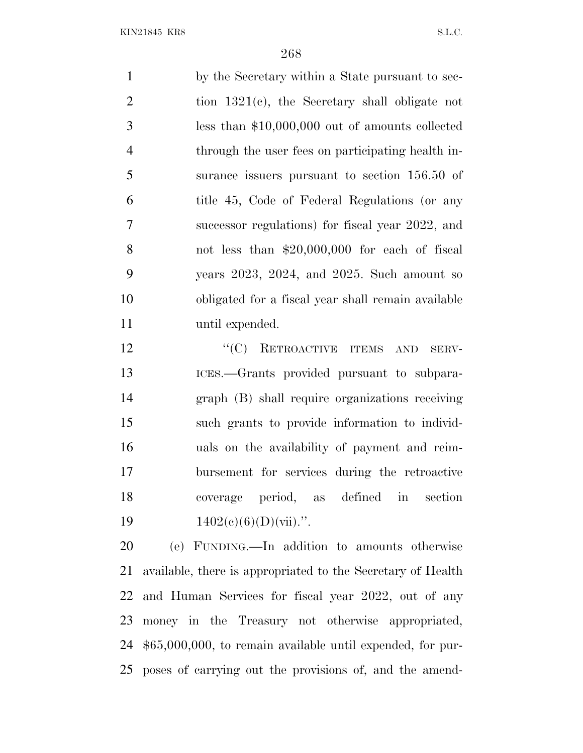by the Secretary within a State pursuant to sec- tion 1321(c), the Secretary shall obligate not less than \$10,000,000 out of amounts collected through the user fees on participating health in- surance issuers pursuant to section 156.50 of title 45, Code of Federal Regulations (or any successor regulations) for fiscal year 2022, and not less than \$20,000,000 for each of fiscal years 2023, 2024, and 2025. Such amount so obligated for a fiscal year shall remain available until expended.

12 "'(C) RETROACTIVE ITEMS AND SERV- ICES.—Grants provided pursuant to subpara- graph (B) shall require organizations receiving such grants to provide information to individ- uals on the availability of payment and reim- bursement for services during the retroactive coverage period, as defined in section  $1402(c)(6)(D)(\text{vii}).$ ".

 (e) FUNDING.—In addition to amounts otherwise available, there is appropriated to the Secretary of Health and Human Services for fiscal year 2022, out of any money in the Treasury not otherwise appropriated, \$65,000,000, to remain available until expended, for pur-poses of carrying out the provisions of, and the amend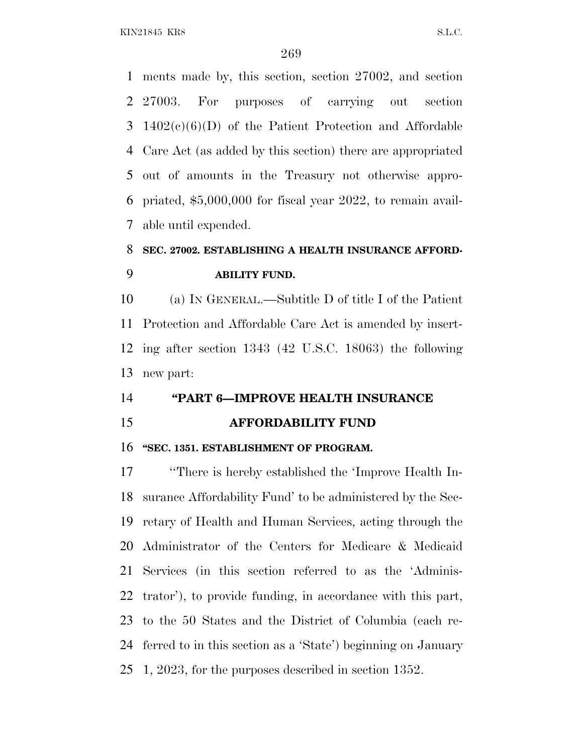KIN21845 KR8 S.L.C.

 ments made by, this section, section 27002, and section 27003. For purposes of carrying out section 1402(c)(6)(D) of the Patient Protection and Affordable Care Act (as added by this section) there are appropriated out of amounts in the Treasury not otherwise appro- priated, \$5,000,000 for fiscal year 2022, to remain avail-able until expended.

# **SEC. 27002. ESTABLISHING A HEALTH INSURANCE AFFORD-ABILITY FUND.**

 (a) I<sup>N</sup> GENERAL.—Subtitle D of title I of the Patient Protection and Affordable Care Act is amended by insert- ing after section 1343 (42 U.S.C. 18063) the following new part:

### **''PART 6—IMPROVE HEALTH INSURANCE**

**AFFORDABILITY FUND**

#### **''SEC. 1351. ESTABLISHMENT OF PROGRAM.**

 ''There is hereby established the 'Improve Health In- surance Affordability Fund' to be administered by the Sec- retary of Health and Human Services, acting through the Administrator of the Centers for Medicare & Medicaid Services (in this section referred to as the 'Adminis- trator'), to provide funding, in accordance with this part, to the 50 States and the District of Columbia (each re- ferred to in this section as a 'State') beginning on January 1, 2023, for the purposes described in section 1352.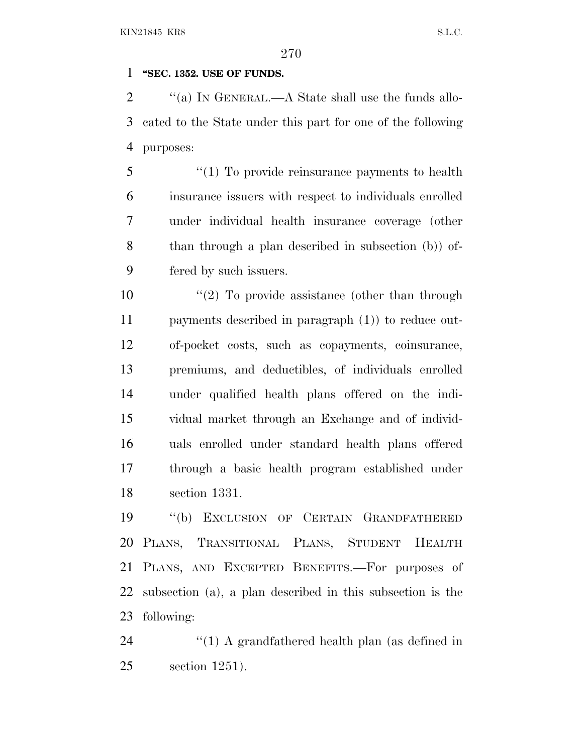#### **''SEC. 1352. USE OF FUNDS.**

2  $\gamma$  (a) In GENERAL.—A State shall use the funds allo- cated to the State under this part for one of the following purposes:

 ''(1) To provide reinsurance payments to health insurance issuers with respect to individuals enrolled under individual health insurance coverage (other than through a plan described in subsection (b)) of-fered by such issuers.

10 ''(2) To provide assistance (other than through payments described in paragraph (1)) to reduce out- of-pocket costs, such as copayments, coinsurance, premiums, and deductibles, of individuals enrolled under qualified health plans offered on the indi- vidual market through an Exchange and of individ- uals enrolled under standard health plans offered through a basic health program established under section 1331.

 ''(b) EXCLUSION OF CERTAIN GRANDFATHERED PLANS, TRANSITIONAL PLANS, STUDENT HEALTH PLANS, AND EXCEPTED BENEFITS.—For purposes of subsection (a), a plan described in this subsection is the following:

24 ''(1) A grandfathered health plan (as defined in section 1251).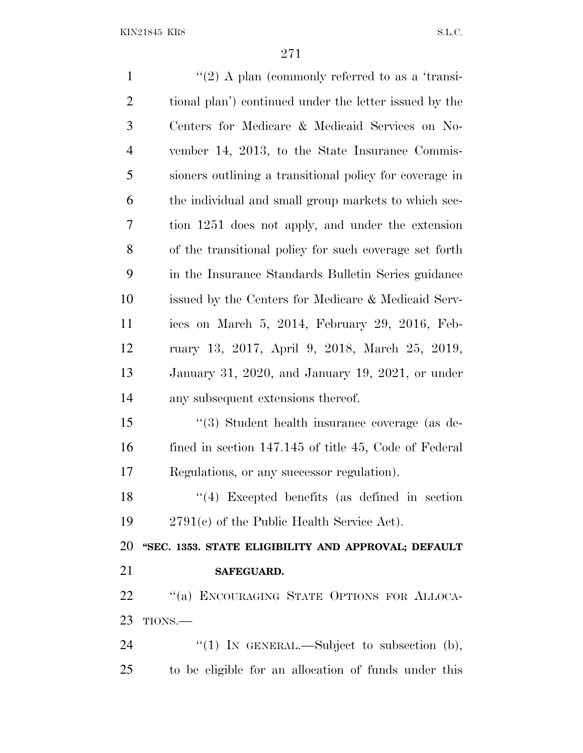| $\mathbf{1}$   | "(2) A plan (commonly referred to as a 'transi-         |
|----------------|---------------------------------------------------------|
| $\overline{2}$ | tional plan') continued under the letter issued by the  |
| 3              | Centers for Medicare & Medicaid Services on No-         |
| $\overline{4}$ | vember 14, 2013, to the State Insurance Commis-         |
| 5              | sioners outlining a transitional policy for coverage in |
| 6              | the individual and small group markets to which sec-    |
| 7              | tion 1251 does not apply, and under the extension       |
| 8              | of the transitional policy for such coverage set forth  |
| 9              | in the Insurance Standards Bulletin Series guidance     |
| 10             | issued by the Centers for Medicare & Medicaid Serv-     |
| 11             | ices on March 5, 2014, February 29, 2016, Feb-          |
| 12             | ruary 13, 2017, April 9, 2018, March 25, 2019,          |
| 13             | January 31, 2020, and January 19, 2021, or under        |
| 14             | any subsequent extensions thereof.                      |
| 15             | "(3) Student health insurance coverage (as de-          |
| 16             | fined in section 147.145 of title 45, Code of Federal   |
| 17             | Regulations, or any successor regulation).              |
| 18             | $(4)$ Excepted benefits (as defined in section          |
| 19             | $2791(c)$ of the Public Health Service Act).            |
| 20             | "SEC. 1353. STATE ELIGIBILITY AND APPROVAL; DEFAULT     |
| 21             | <b>SAFEGUARD.</b>                                       |
| 22             | "(a) ENCOURAGING STATE OPTIONS FOR ALLOCA-              |
| 23             | TIONS.                                                  |
| 24             | "(1) IN GENERAL.—Subject to subsection $(b)$ ,          |
| 25             | to be eligible for an allocation of funds under this    |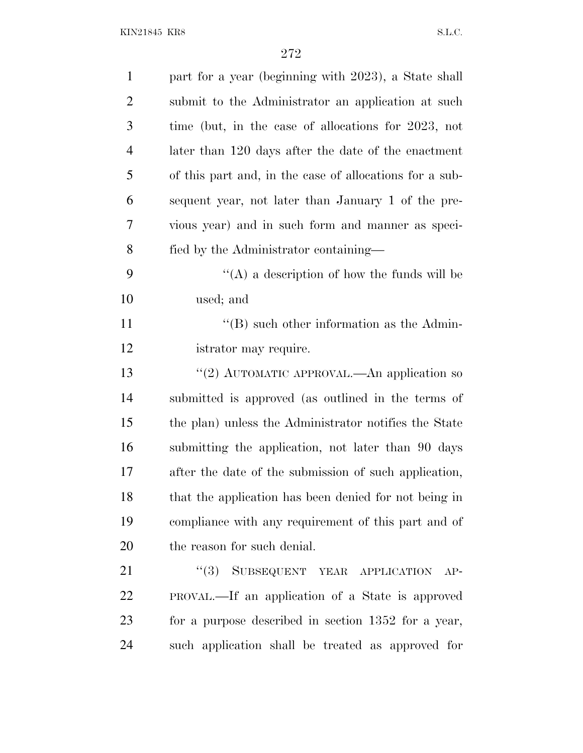KIN21845 KR8 S.L.C.

| $\mathbf{1}$   | part for a year (beginning with 2023), a State shall    |
|----------------|---------------------------------------------------------|
| $\overline{2}$ | submit to the Administrator an application at such      |
| 3              | time (but, in the case of allocations for 2023, not     |
| 4              | later than 120 days after the date of the enactment     |
| 5              | of this part and, in the case of allocations for a sub- |
| 6              | sequent year, not later than January 1 of the pre-      |
| 7              | vious year) and in such form and manner as speci-       |
| 8              | fied by the Administrator containing-                   |
| 9              | $\lq\lq$ a description of how the funds will be         |
| 10             | used; and                                               |
| 11             | $\lq\lq (B)$ such other information as the Admin-       |
| 12             | istrator may require.                                   |
| 13             | "(2) AUTOMATIC APPROVAL.—An application so              |
| 14             | submitted is approved (as outlined in the terms of      |
| 15             | the plan) unless the Administrator notifies the State   |
| 16             | submitting the application, not later than 90 days      |
| 17             | after the date of the submission of such application,   |
| 18             | that the application has been denied for not being in   |
| 19             | compliance with any requirement of this part and of     |
| 20             | the reason for such denial.                             |
| 21             | "(3) SUBSEQUENT YEAR APPLICATION<br>$AP-$               |
| 22             | PROVAL—If an application of a State is approved         |
| 23             | for a purpose described in section 1352 for a year,     |
| 24             | such application shall be treated as approved for       |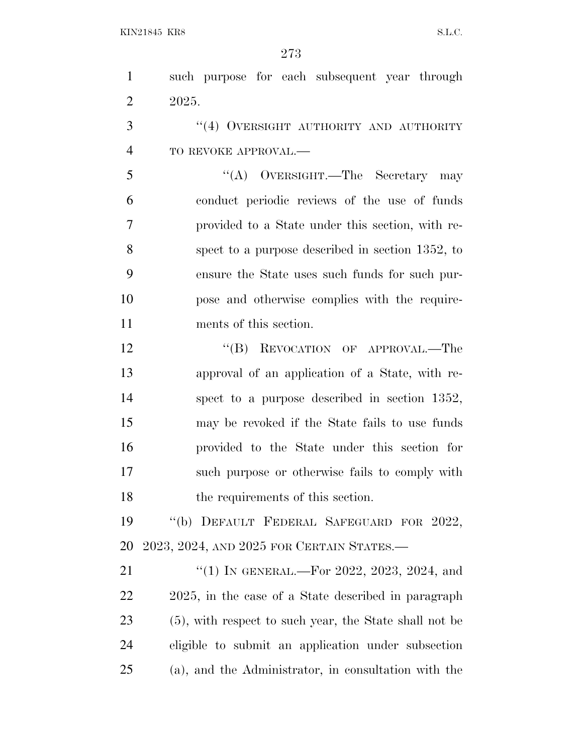| $\mathbf{1}$   | such purpose for each subsequent year through          |
|----------------|--------------------------------------------------------|
| $\overline{2}$ | 2025.                                                  |
| 3              | "(4) OVERSIGHT AUTHORITY AND AUTHORITY                 |
| $\overline{4}$ | TO REVOKE APPROVAL.-                                   |
| 5              | "(A) OVERSIGHT.—The Secretary may                      |
| 6              | conduct periodic reviews of the use of funds           |
| 7              | provided to a State under this section, with re-       |
| 8              | spect to a purpose described in section 1352, to       |
| 9              | ensure the State uses such funds for such pur-         |
| 10             | pose and otherwise complies with the require-          |
| 11             | ments of this section.                                 |
| 12             | "(B) REVOCATION OF APPROVAL.—The                       |
| 13             | approval of an application of a State, with re-        |
| 14             | spect to a purpose described in section 1352,          |
| 15             | may be revoked if the State fails to use funds         |
| 16             | provided to the State under this section for           |
| 17             | such purpose or otherwise fails to comply with         |
| 18             | the requirements of this section.                      |
| 19             | "(b) DEFAULT FEDERAL SAFEGUARD FOR 2022,               |
| 20             | 2023, 2024, AND 2025 FOR CERTAIN STATES.—              |
| 21             | "(1) IN GENERAL.—For 2022, 2023, 2024, and             |
| 22             | 2025, in the case of a State described in paragraph    |
| 23             | (5), with respect to such year, the State shall not be |
| 24             | eligible to submit an application under subsection     |
| 25             | (a), and the Administrator, in consultation with the   |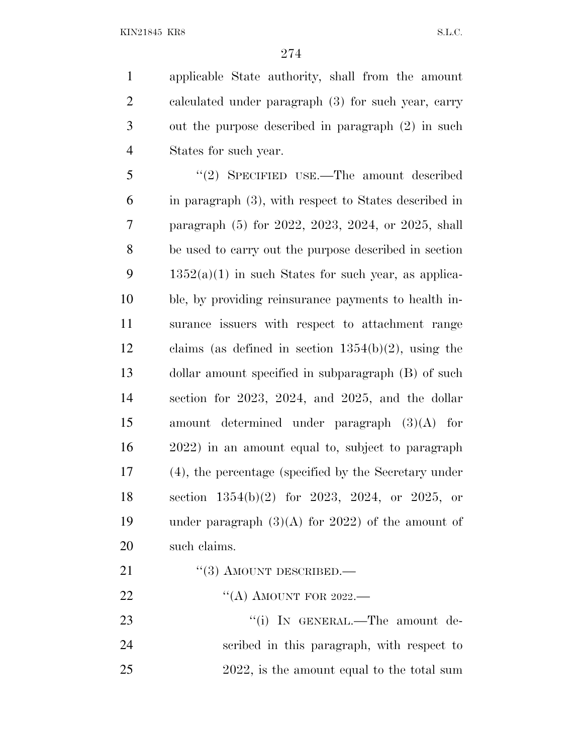applicable State authority, shall from the amount calculated under paragraph (3) for such year, carry out the purpose described in paragraph (2) in such States for such year.

 ''(2) SPECIFIED USE.—The amount described in paragraph (3), with respect to States described in paragraph (5) for 2022, 2023, 2024, or 2025, shall be used to carry out the purpose described in section 9 1352(a)(1) in such States for such year, as applica- ble, by providing reinsurance payments to health in- surance issuers with respect to attachment range claims (as defined in section 1354(b)(2), using the dollar amount specified in subparagraph (B) of such section for 2023, 2024, and 2025, and the dollar amount determined under paragraph (3)(A) for 2022) in an amount equal to, subject to paragraph (4), the percentage (specified by the Secretary under section 1354(b)(2) for 2023, 2024, or 2025, or 19 under paragraph  $(3)(A)$  for 2022) of the amount of such claims.

- 21 "(3) AMOUNT DESCRIBED.—
- 22 "(A) AMOUNT FOR 2022.—

23 "(i) IN GENERAL.—The amount de- scribed in this paragraph, with respect to 25 2022, is the amount equal to the total sum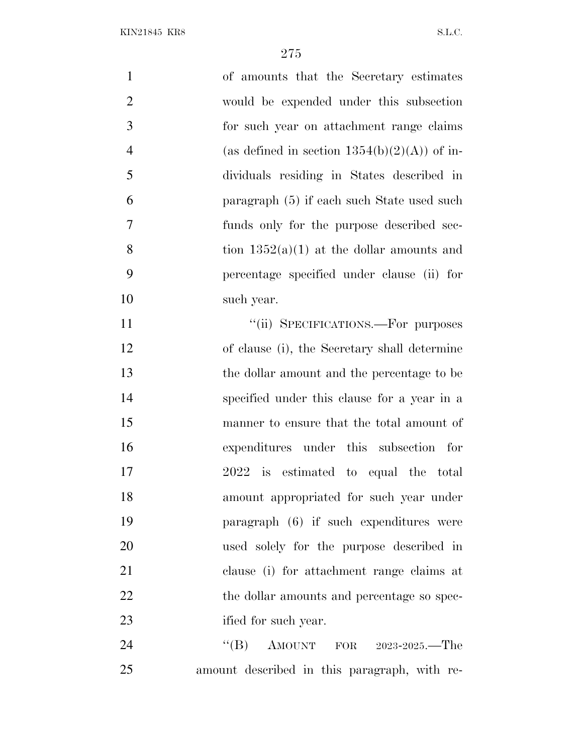| $\mathbf{1}$   | of amounts that the Secretary estimates         |
|----------------|-------------------------------------------------|
| $\overline{2}$ | would be expended under this subsection         |
| 3              | for such year on attachment range claims        |
| $\overline{4}$ | (as defined in section $1354(b)(2)(A)$ ) of in- |
| 5              | dividuals residing in States described in       |
| 6              | paragraph (5) if each such State used such      |
| 7              | funds only for the purpose described sec-       |
| 8              | tion $1352(a)(1)$ at the dollar amounts and     |
| 9              | percentage specified under clause (ii) for      |
| 10             | such year.                                      |
| 11             | "(ii) SPECIFICATIONS.—For purposes              |
| 12             | of clause (i), the Secretary shall determine    |
| 13             | the dollar amount and the percentage to be      |
| 14             | specified under this clause for a year in a     |
| 15             | manner to ensure that the total amount of       |
| 16             | expenditures under this subsection for          |
| 17             | 2022 is estimated to equal the total            |
| 18             | amount appropriated for such year under         |
| 19             | paragraph (6) if such expenditures were         |
| 20             | used solely for the purpose described in        |
| 21             | clause (i) for attachment range claims at       |
| 22             | the dollar amounts and percentage so spec-      |
| 23             | ified for such year.                            |
| 24             | "(B) AMOUNT FOR $2023-2025$ . The               |
| 25             | amount described in this paragraph, with re-    |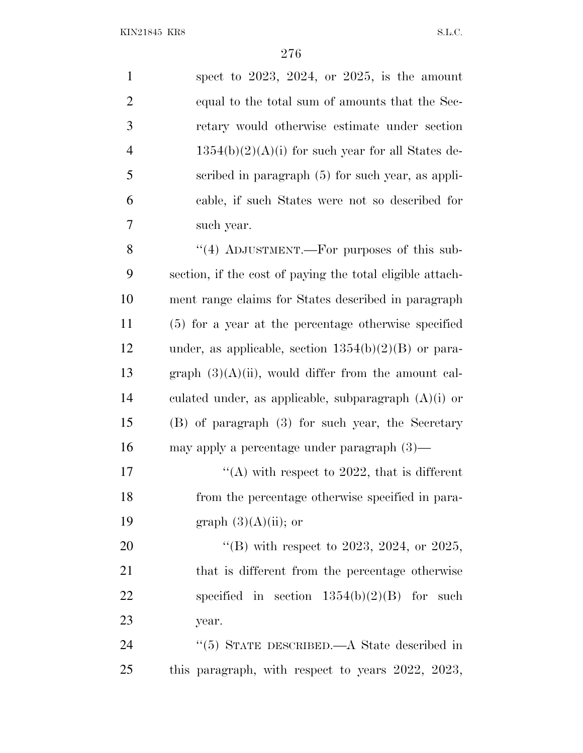| $\mathbf{1}$             | spect to $2023$ , $2024$ , or $2025$ , is the amount      |
|--------------------------|-----------------------------------------------------------|
| $\overline{2}$           | equal to the total sum of amounts that the Sec-           |
| 3                        | retary would otherwise estimate under section             |
| $\overline{\mathcal{A}}$ | $1354(b)(2)(A)(i)$ for such year for all States de-       |
| 5                        | scribed in paragraph $(5)$ for such year, as appli-       |
| 6                        | cable, if such States were not so described for           |
| 7                        | such year.                                                |
| 8                        | "(4) ADJUSTMENT.—For purposes of this sub-                |
| 9                        | section, if the cost of paying the total eligible attach- |
| 10                       | ment range claims for States described in paragraph       |
| 11                       | (5) for a year at the percentage otherwise specified      |
| 12                       | under, as applicable, section $1354(b)(2)(B)$ or para-    |
| 13                       | graph $(3)(A)(ii)$ , would differ from the amount cal-    |
| 14                       | culated under, as applicable, subparagraph $(A)(i)$ or    |
| 15                       | (B) of paragraph (3) for such year, the Secretary         |
| 16                       | may apply a percentage under paragraph $(3)$ —            |
| 17                       | "(A) with respect to 2022, that is different              |
| 18                       | from the percentage otherwise specified in para-          |
| 19                       | graph $(3)(A)(ii)$ ; or                                   |
| 20                       | "(B) with respect to 2023, 2024, or 2025,                 |
| 21                       | that is different from the percentage otherwise           |
| 22                       | specified in section $1354(b)(2)(B)$ for such             |
| 23                       | year.                                                     |
| 24                       | "(5) STATE DESCRIBED.— $A$ State described in             |
| 25                       | this paragraph, with respect to years 2022, 2023,         |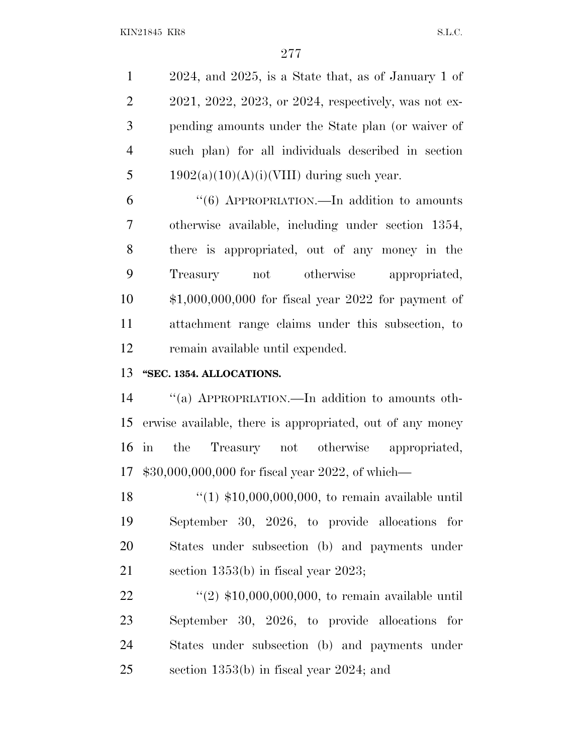2024, and 2025, is a State that, as of January 1 of 2021, 2022, 2023, or 2024, respectively, was not ex- pending amounts under the State plan (or waiver of such plan) for all individuals described in section 5 1902(a)(10)(A)(i)(VIII) during such year.

 ''(6) APPROPRIATION.—In addition to amounts otherwise available, including under section 1354, there is appropriated, out of any money in the Treasury not otherwise appropriated, \$1,000,000,000 for fiscal year 2022 for payment of attachment range claims under this subsection, to remain available until expended.

## **''SEC. 1354. ALLOCATIONS.**

 ''(a) APPROPRIATION.—In addition to amounts oth- erwise available, there is appropriated, out of any money in the Treasury not otherwise appropriated, \$30,000,000,000 for fiscal year 2022, of which—

 ''(1) \$10,000,000,000, to remain available until September 30, 2026, to provide allocations for States under subsection (b) and payments under section 1353(b) in fiscal year 2023;

22 ''(2) \$10,000,000,000, to remain available until September 30, 2026, to provide allocations for States under subsection (b) and payments under section 1353(b) in fiscal year 2024; and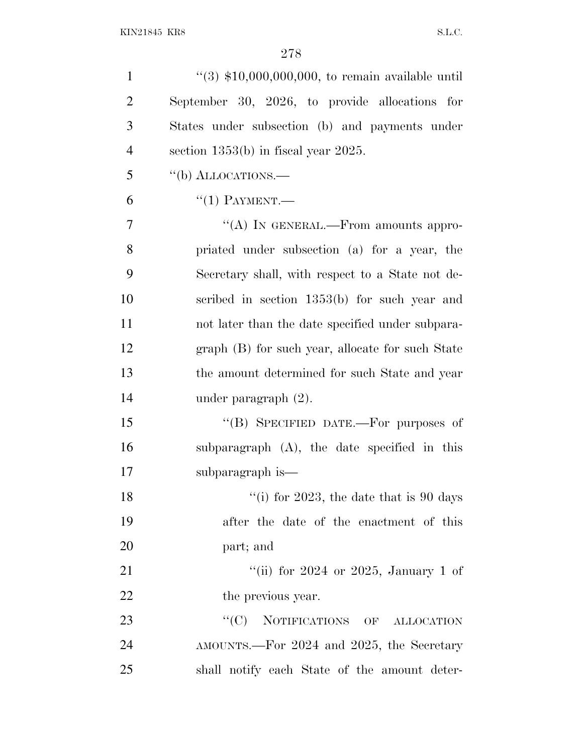| $\mathbf{1}$   | $(3)$ \$10,000,000,000, to remain available until |
|----------------|---------------------------------------------------|
| $\overline{2}$ | September 30, 2026, to provide allocations for    |
| 3              | States under subsection (b) and payments under    |
| $\overline{4}$ | section $1353(b)$ in fiscal year $2025$ .         |
| 5              | "(b) ALLOCATIONS.—                                |
| 6              | $``(1)$ PAYMENT.—                                 |
| $\overline{7}$ | "(A) IN GENERAL.—From amounts appro-              |
| 8              | priated under subsection (a) for a year, the      |
| 9              | Secretary shall, with respect to a State not de-  |
| 10             | scribed in section $1353(b)$ for such year and    |
| 11             | not later than the date specified under subpara-  |
| 12             | graph (B) for such year, allocate for such State  |
| 13             | the amount determined for such State and year     |
| 14             | under paragraph $(2)$ .                           |
| 15             | "(B) SPECIFIED DATE.-For purposes of              |
| 16             | subparagraph $(A)$ , the date specified in this   |
| 17             | subparagraph is—                                  |
| 18             | "(i) for 2023, the date that is 90 days           |
| 19             | after the date of the enactment of this           |
| 20             | part; and                                         |
| 21             | "(ii) for $2024$ or $2025$ , January 1 of         |
| 22             | the previous year.                                |
| 23             | ``(C)<br>NOTIFICATIONS OF ALLOCATION              |
| 24             | AMOUNTS.—For 2024 and 2025, the Secretary         |
| 25             | shall notify each State of the amount deter-      |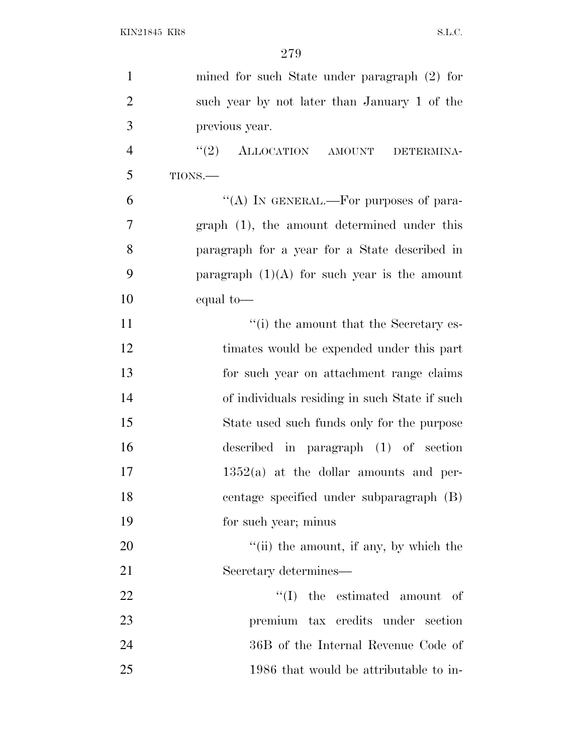| $\mathbf{1}$   | mined for such State under paragraph $(2)$ for           |
|----------------|----------------------------------------------------------|
| $\overline{2}$ | such year by not later than January 1 of the             |
| 3              | previous year.                                           |
| $\overline{4}$ | $``(2)$ ALLOCATION AMOUNT<br>DETERMINA-                  |
| 5              | TIONS.                                                   |
| 6              | "(A) IN GENERAL.—For purposes of para-                   |
| $\overline{7}$ | graph (1), the amount determined under this              |
| 8              | paragraph for a year for a State described in            |
| 9              | paragraph $(1)(A)$ for such year is the amount           |
| 10             | equal to-                                                |
| 11             | "(i) the amount that the Secretary es-                   |
| 12             | timates would be expended under this part                |
| 13             | for such year on attachment range claims                 |
| 14             | of individuals residing in such State if such            |
| 15             | State used such funds only for the purpose               |
| 16             | described in paragraph (1) of section                    |
| 17             | $1352(a)$ at the dollar amounts and per-                 |
| 18             | centage specified under subparagraph (B)                 |
| 19             | for such year; minus                                     |
| 20             | $\lq$ <sup>"</sup> (ii) the amount, if any, by which the |
| 21             | Secretary determines—                                    |
| 22             | ``(I)<br>the estimated amount of                         |
| 23             | premium tax credits under section                        |
| 24             | 36B of the Internal Revenue Code of                      |
| 25             | 1986 that would be attributable to in-                   |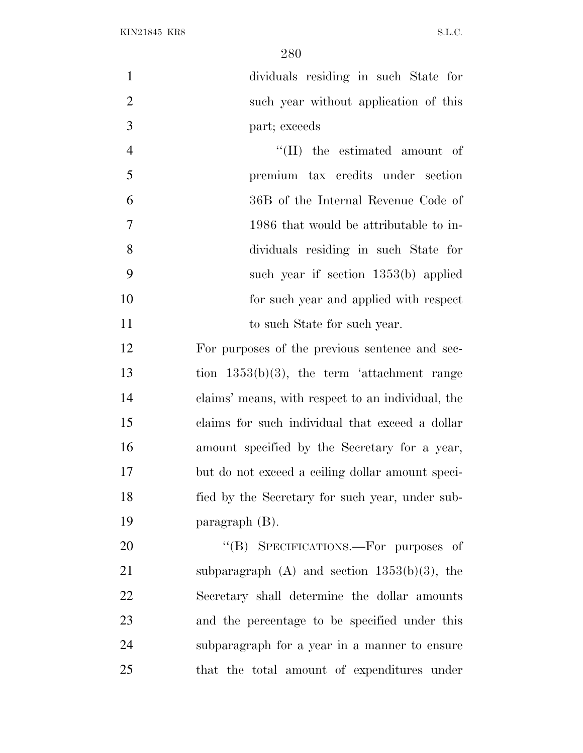dividuals residing in such State for such year without application of this part; exceeds 4 ''(II) the estimated amount of premium tax credits under section 36B of the Internal Revenue Code of 1986 that would be attributable to in-

 dividuals residing in such State for such year if section 1353(b) applied for such year and applied with respect 11 to such State for such year.

 For purposes of the previous sentence and sec- tion 1353(b)(3), the term 'attachment range claims' means, with respect to an individual, the claims for such individual that exceed a dollar amount specified by the Secretary for a year, but do not exceed a ceiling dollar amount speci- fied by the Secretary for such year, under sub-paragraph (B).

20 "(B) SPECIFICATIONS.—For purposes of subparagraph (A) and section 1353(b)(3), the Secretary shall determine the dollar amounts and the percentage to be specified under this subparagraph for a year in a manner to ensure that the total amount of expenditures under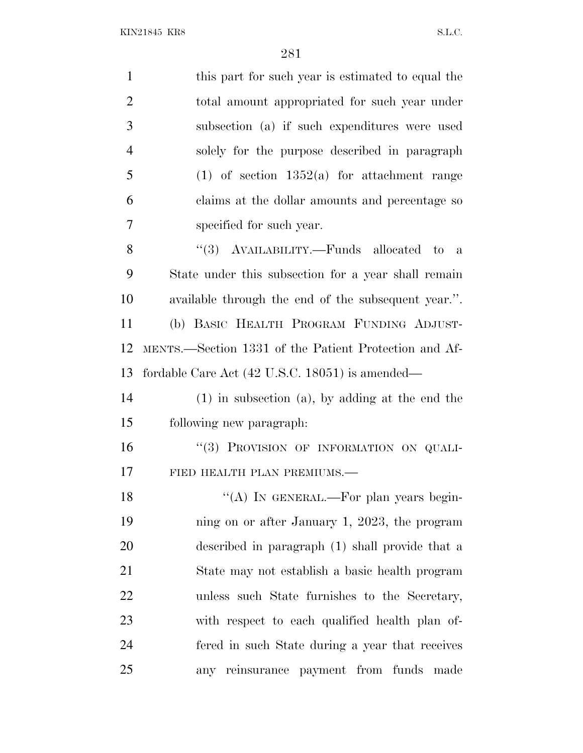| $\mathbf{1}$   | this part for such year is estimated to equal the     |
|----------------|-------------------------------------------------------|
| $\overline{2}$ | total amount appropriated for such year under         |
| 3              | subsection (a) if such expenditures were used         |
| $\overline{4}$ | solely for the purpose described in paragraph         |
| 5              | $(1)$ of section 1352(a) for attachment range         |
| 6              | claims at the dollar amounts and percentage so        |
| 7              | specified for such year.                              |
| 8              | "(3) $\Lambda$ VAILABILITY.—Funds allocated to<br>a   |
| 9              | State under this subsection for a year shall remain   |
| 10             | available through the end of the subsequent year.".   |
| 11             | (b) BASIC HEALTH PROGRAM FUNDING ADJUST-              |
| 12             | MENTS.—Section 1331 of the Patient Protection and Af- |
| 13             | fordable Care Act (42 U.S.C. 18051) is amended—       |
| 14             | $(1)$ in subsection $(a)$ , by adding at the end the  |
| 15             | following new paragraph:                              |
| 16             | "(3) PROVISION OF INFORMATION ON QUALI-               |
| 17             | FIED HEALTH PLAN PREMIUMS.-                           |
| 18             | "(A) IN GENERAL.—For plan years begin-                |
| 19             | ning on or after January 1, 2023, the program         |
| 20             | described in paragraph (1) shall provide that a       |
| 21             | State may not establish a basic health program        |
| 22             | unless such State furnishes to the Secretary,         |
| 23             | with respect to each qualified health plan of-        |
| 24             | fered in such State during a year that receives       |
| 25             | any reinsurance payment from funds made               |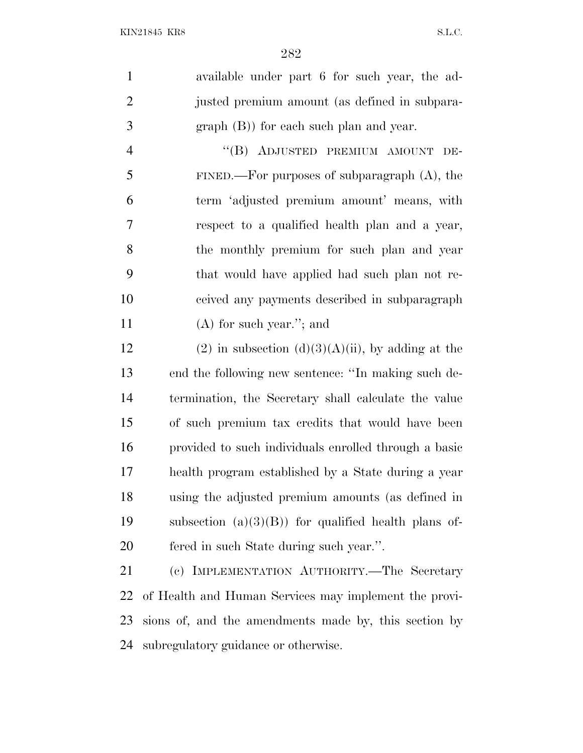| available under part 6 for such year, the ad-<br>1 |  |
|----------------------------------------------------|--|
| 2<br>justed premium amount (as defined in subpara- |  |
| 3<br>$graph(B)$ for each such plan and year.       |  |

4 "(B) ADJUSTED PREMIUM AMOUNT DE- FINED.—For purposes of subparagraph (A), the term 'adjusted premium amount' means, with respect to a qualified health plan and a year, the monthly premium for such plan and year that would have applied had such plan not re- ceived any payments described in subparagraph (A) for such year.''; and

12 (2) in subsection (d)(3)(A)(ii), by adding at the end the following new sentence: ''In making such de- termination, the Secretary shall calculate the value of such premium tax credits that would have been provided to such individuals enrolled through a basic health program established by a State during a year using the adjusted premium amounts (as defined in 19 subsection  $(a)(3)(B)$  for qualified health plans of-fered in such State during such year.''.

 (c) IMPLEMENTATION AUTHORITY.—The Secretary of Health and Human Services may implement the provi- sions of, and the amendments made by, this section by subregulatory guidance or otherwise.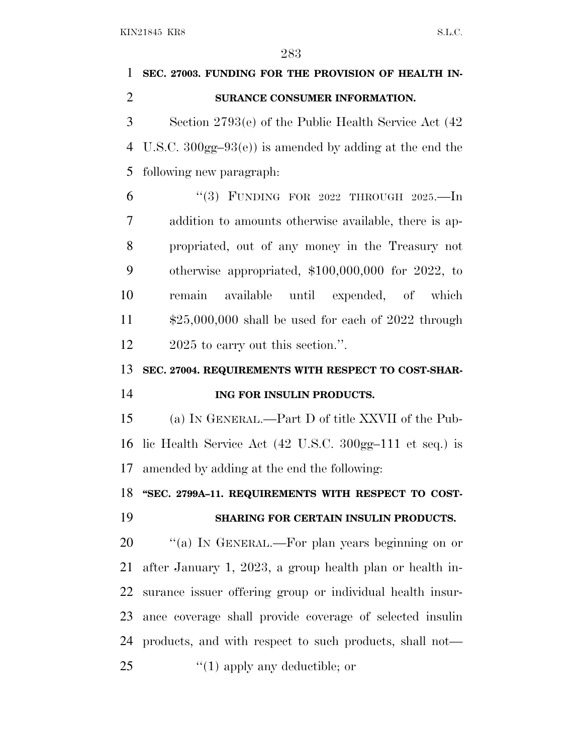# **SEC. 27003. FUNDING FOR THE PROVISION OF HEALTH IN- SURANCE CONSUMER INFORMATION.** Section 2793(e) of the Public Health Service Act (42 U.S.C. 300gg–93(e)) is amended by adding at the end the following new paragraph: ''(3) FUNDING FOR 2022 THROUGH 2025.—In addition to amounts otherwise available, there is ap- propriated, out of any money in the Treasury not otherwise appropriated, \$100,000,000 for 2022, to remain available until expended, of which \$25,000,000 shall be used for each of 2022 through 12 2025 to carry out this section.". **SEC. 27004. REQUIREMENTS WITH RESPECT TO COST-SHAR- ING FOR INSULIN PRODUCTS.** (a) I<sup>N</sup> GENERAL.—Part D of title XXVII of the Pub- lic Health Service Act (42 U.S.C. 300gg–111 et seq.) is amended by adding at the end the following: **''SEC. 2799A–11. REQUIREMENTS WITH RESPECT TO COST- SHARING FOR CERTAIN INSULIN PRODUCTS.** 20 "(a) In GENERAL.—For plan years beginning on or after January 1, 2023, a group health plan or health in- surance issuer offering group or individual health insur- ance coverage shall provide coverage of selected insulin products, and with respect to such products, shall not—

''(1) apply any deductible; or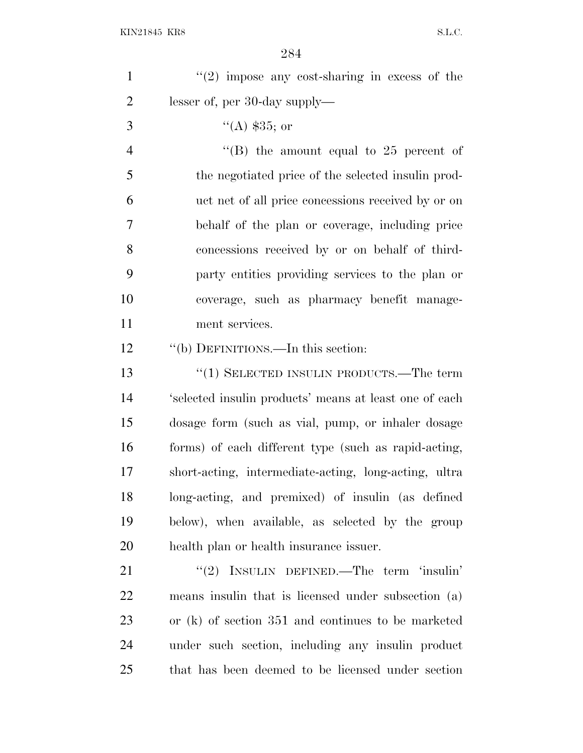| $\mathbf{1}$   | $f'(2)$ impose any cost-sharing in excess of the       |
|----------------|--------------------------------------------------------|
| $\overline{2}$ | lesser of, per 30-day supply—                          |
| 3              | $(4)$ \$35; or                                         |
| $\overline{4}$ | "(B) the amount equal to 25 percent of                 |
| 5              | the negotiated price of the selected insuline prod-    |
| 6              | uct net of all price concessions received by or on     |
| 7              | behalf of the plan or coverage, including price        |
| 8              | concessions received by or on behalf of third-         |
| 9              | party entities providing services to the plan or       |
| 10             | coverage, such as pharmacy benefit manage-             |
| 11             | ment services.                                         |
| 12             | "(b) DEFINITIONS.—In this section:                     |
| 13             | $\cdot\cdot(1)$ SELECTED INSULIN PRODUCTS.—The term    |
| 14             | 'selected insulin products' means at least one of each |
| 15             | dosage form (such as vial, pump, or inhaler dosage     |
| 16             | forms) of each different type (such as rapid-acting,   |
| 17             | short-acting, intermediate-acting, long-acting, ultra  |
| 18             | long-acting, and premixed) of insulin (as defined      |
| 19             | below), when available, as selected by the group       |
| 20             | health plan or health insurance issuer.                |
| 21             | "(2) INSULIN DEFINED.—The term 'insulin'               |
| 22             | means insulin that is licensed under subsection (a)    |
| 23             | or (k) of section 351 and continues to be marketed     |
| 24             | under such section, including any insulin product      |
| 25             | that has been deemed to be licensed under section      |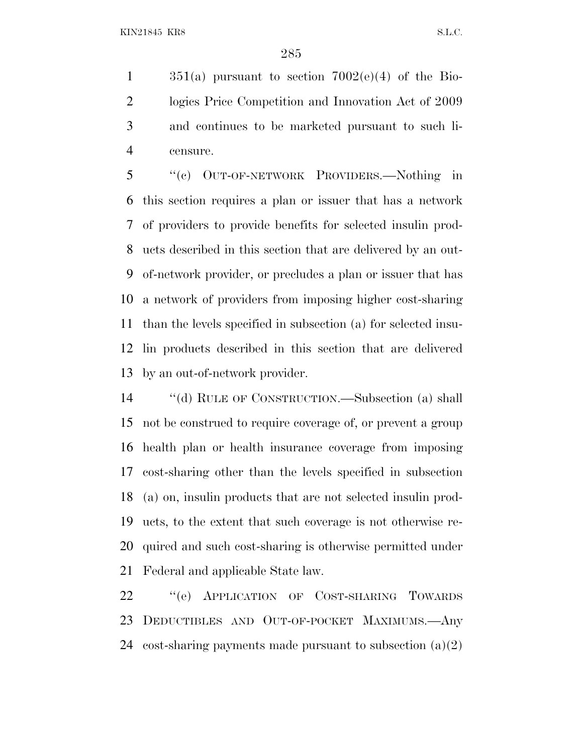$351(a)$  pursuant to section  $7002(e)(4)$  of the Bio- logics Price Competition and Innovation Act of 2009 and continues to be marketed pursuant to such li-censure.

 ''(c) OUT-OF-NETWORK PROVIDERS.—Nothing in this section requires a plan or issuer that has a network of providers to provide benefits for selected insulin prod- ucts described in this section that are delivered by an out- of-network provider, or precludes a plan or issuer that has a network of providers from imposing higher cost-sharing than the levels specified in subsection (a) for selected insu- lin products described in this section that are delivered by an out-of-network provider.

 ''(d) RULE OF CONSTRUCTION.—Subsection (a) shall not be construed to require coverage of, or prevent a group health plan or health insurance coverage from imposing cost-sharing other than the levels specified in subsection (a) on, insulin products that are not selected insulin prod- ucts, to the extent that such coverage is not otherwise re- quired and such cost-sharing is otherwise permitted under Federal and applicable State law.

22 "(e) APPLICATION OF COST-SHARING TOWARDS DEDUCTIBLES AND OUT-OF-POCKET MAXIMUMS.—Any 24 cost-sharing payments made pursuant to subsection  $(a)(2)$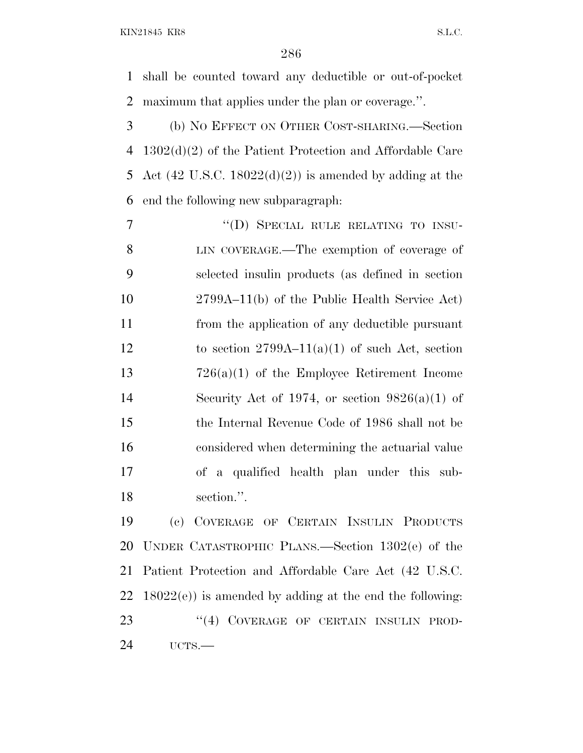KIN21845 KR8 S.L.C.

 shall be counted toward any deductible or out-of-pocket maximum that applies under the plan or coverage.''.

 (b) N<sup>O</sup> EFFECT ON OTHER COST-SHARING.—Section 1302(d)(2) of the Patient Protection and Affordable Care 5 Act  $(42 \text{ U.S.C. } 18022(d)(2))$  is amended by adding at the end the following new subparagraph:

7 "(D) SPECIAL RULE RELATING TO INSU- LIN COVERAGE.—The exemption of coverage of selected insulin products (as defined in section 2799A–11(b) of the Public Health Service Act) from the application of any deductible pursuant 12 to section  $2799A-11(a)(1)$  of such Act, section 726(a)(1) of the Employee Retirement Income 14 Security Act of 1974, or section  $9826(a)(1)$  of the Internal Revenue Code of 1986 shall not be considered when determining the actuarial value of a qualified health plan under this sub-section.''.

 (c) COVERAGE OF CERTAIN INSULIN PRODUCTS UNDER CATASTROPHIC PLANS.—Section 1302(e) of the Patient Protection and Affordable Care Act (42 U.S.C.  $22 \quad 18022(e)$  is amended by adding at the end the following: 23 "(4) COVERAGE OF CERTAIN INSULIN PROD-UCTS.—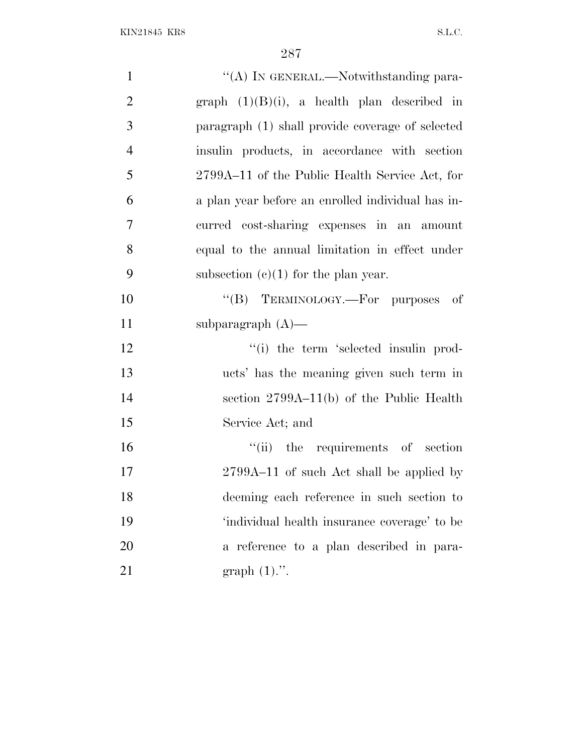| $\mathbf{1}$   | "(A) IN GENERAL.—Notwithstanding para-            |
|----------------|---------------------------------------------------|
| $\overline{2}$ | graph $(1)(B)(i)$ , a health plan described in    |
| 3              | paragraph (1) shall provide coverage of selected  |
| $\overline{4}$ | insulin products, in accordance with section      |
| 5              | 2799A–11 of the Public Health Service Act, for    |
| 6              | a plan year before an enrolled individual has in- |
| $\tau$         | curred cost-sharing expenses in an amount         |
| 8              | equal to the annual limitation in effect under    |
| 9              | subsection $(c)(1)$ for the plan year.            |
| 10             | "(B) TERMINOLOGY.—For purposes of                 |
| 11             | subparagraph $(A)$ —                              |
| 12             | "(i) the term 'selected insulin prod-             |
| 13             | ucts' has the meaning given such term in          |
| 14             | section $2799A-11(b)$ of the Public Health        |
| 15             | Service Act; and                                  |
| 16             | "(ii) the requirements of section                 |
| 17             | 2799A–11 of such Act shall be applied by          |
| 18             | deeming each reference in such section to         |
| 19             | 'individual health insurance coverage' to be      |
| 20             | a reference to a plan described in para-          |
| 21             | graph $(1)$ .".                                   |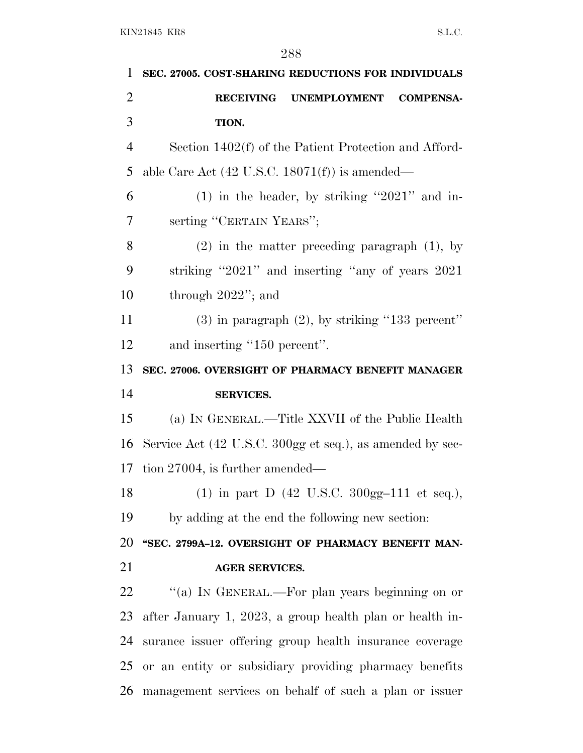| 1              | SEC. 27005. COST-SHARING REDUCTIONS FOR INDIVIDUALS                       |
|----------------|---------------------------------------------------------------------------|
| $\overline{2}$ | <b>RECEIVING</b><br><b>UNEMPLOYMENT</b><br><b>COMPENSA-</b>               |
| 3              | TION.                                                                     |
| $\overline{4}$ | Section 1402(f) of the Patient Protection and Afford-                     |
| 5              | able Care Act $(42 \text{ U.S.C. } 18071(f))$ is amended—                 |
| 6              | $(1)$ in the header, by striking "2021" and in-                           |
| 7              | serting "CERTAIN YEARS";                                                  |
| 8              | $(2)$ in the matter preceding paragraph $(1)$ , by                        |
| 9              | striking "2021" and inserting "any of years 2021                          |
| 10             | through $2022$ "; and                                                     |
| 11             | $(3)$ in paragraph $(2)$ , by striking "133 percent"                      |
| 12             | and inserting "150 percent".                                              |
| 13             | SEC. 27006. OVERSIGHT OF PHARMACY BENEFIT MANAGER                         |
|                |                                                                           |
| 14             | <b>SERVICES.</b>                                                          |
| 15             | (a) IN GENERAL.—Title XXVII of the Public Health                          |
| 16             | Service Act (42 U.S.C. 300gg et seq.), as amended by sec-                 |
| 17             | tion $27004$ , is further amended—                                        |
| 18             | (1) in part D $(42 \text{ U.S.C. } 300 \text{gg} - 111 \text{ et seq.}),$ |
| 19             | by adding at the end the following new section:                           |
| 20             | "SEC. 2799A-12. OVERSIGHT OF PHARMACY BENEFIT MAN-                        |
| 21             | <b>AGER SERVICES.</b>                                                     |
| 22             | "(a) IN GENERAL.—For plan years beginning on or                           |
| 23             | after January 1, 2023, a group health plan or health in-                  |
| 24             | surance issuer offering group health insurance coverage                   |
| 25             | or an entity or subsidiary providing pharmacy benefits                    |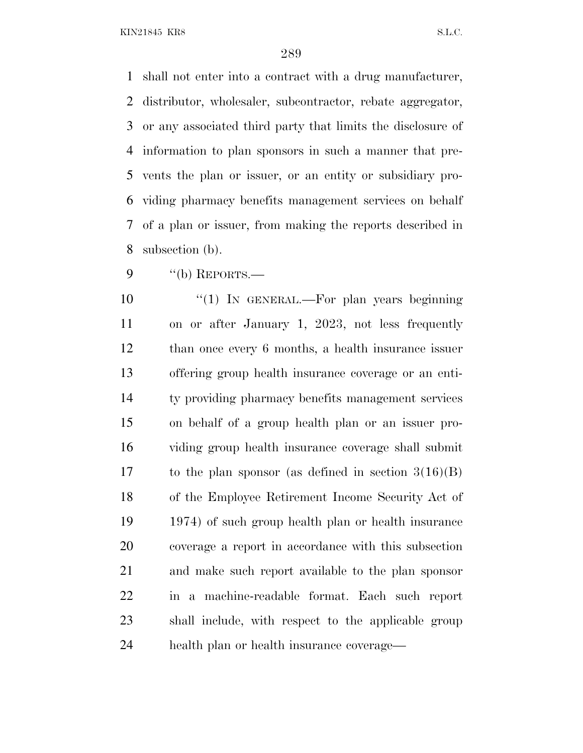shall not enter into a contract with a drug manufacturer, distributor, wholesaler, subcontractor, rebate aggregator, or any associated third party that limits the disclosure of information to plan sponsors in such a manner that pre- vents the plan or issuer, or an entity or subsidiary pro- viding pharmacy benefits management services on behalf of a plan or issuer, from making the reports described in subsection (b).

"(b) REPORTS.—

10 "(1) In GENERAL.—For plan years beginning on or after January 1, 2023, not less frequently than once every 6 months, a health insurance issuer offering group health insurance coverage or an enti- ty providing pharmacy benefits management services on behalf of a group health plan or an issuer pro- viding group health insurance coverage shall submit to the plan sponsor (as defined in section 3(16)(B) of the Employee Retirement Income Security Act of 1974) of such group health plan or health insurance coverage a report in accordance with this subsection and make such report available to the plan sponsor in a machine-readable format. Each such report shall include, with respect to the applicable group health plan or health insurance coverage—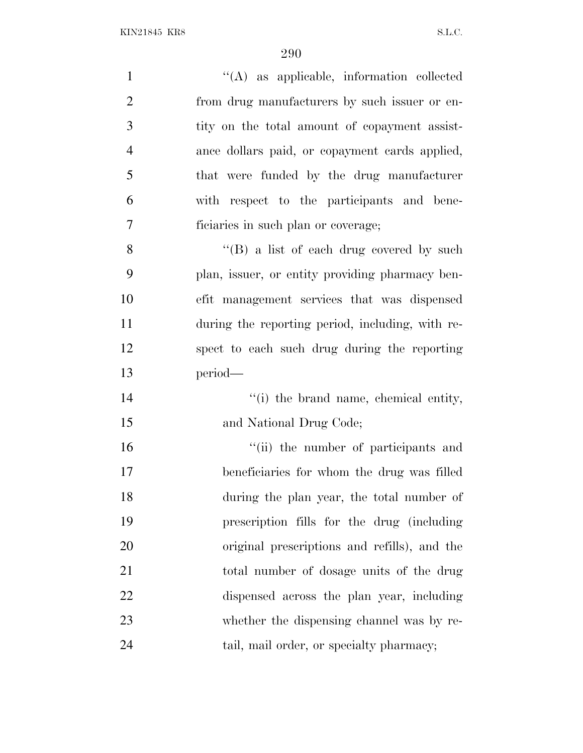| $\mathbf{1}$   | "(A) as applicable, information collected        |
|----------------|--------------------------------------------------|
| $\overline{2}$ | from drug manufacturers by such issuer or en-    |
| 3              | tity on the total amount of copayment assist-    |
| $\overline{4}$ | ance dollars paid, or copayment cards applied,   |
| 5              | that were funded by the drug manufacturer        |
| 6              | with respect to the participants and bene-       |
| $\tau$         | ficiaries in such plan or coverage;              |
| 8              | "(B) a list of each drug covered by such         |
| 9              | plan, issuer, or entity providing pharmacy ben-  |
| 10             | efit management services that was dispensed      |
| 11             | during the reporting period, including, with re- |
| 12             | spect to each such drug during the reporting     |
| 13             | period—                                          |
| 14             | "(i) the brand name, chemical entity,            |
| 15             | and National Drug Code;                          |
| 16             | "(ii) the number of participants and             |
| 17             | beneficiaries for whom the drug was filled       |
| 18             | during the plan year, the total number of        |
| 19             | prescription fills for the drug (including       |
| 20             | original prescriptions and refills), and the     |
| 21             | total number of dosage units of the drug         |
| 22             | dispensed across the plan year, including        |
| 23             | whether the dispensing channel was by re-        |
| 24             | tail, mail order, or specialty pharmacy;         |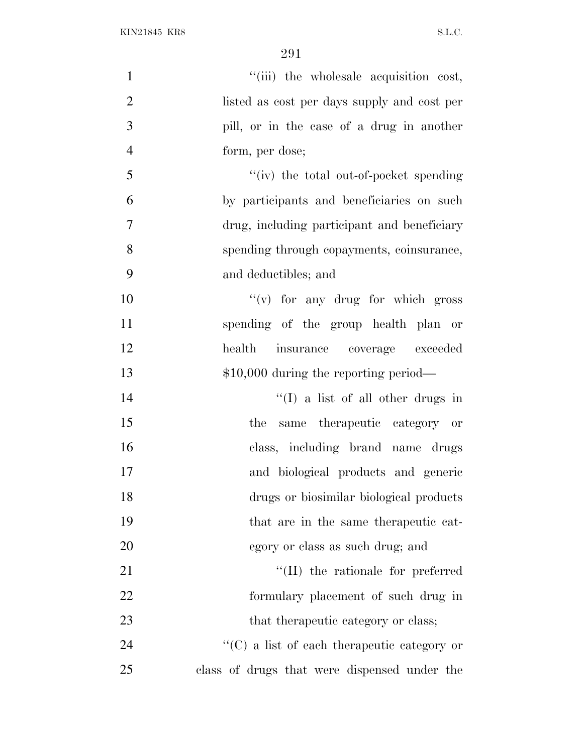| $\mathbf{1}$   | "(iii) the wholesale acquisition cost,              |
|----------------|-----------------------------------------------------|
| $\overline{2}$ | listed as cost per days supply and cost per         |
| 3              | pill, or in the case of a drug in another           |
| $\overline{4}$ | form, per dose;                                     |
| 5              | "(iv) the total out-of-pocket spending              |
| 6              | by participants and beneficiaries on such           |
| 7              | drug, including participant and beneficiary         |
| 8              | spending through copayments, coinsurance,           |
| 9              | and deductibles; and                                |
| 10             | $f'(v)$ for any drug for which gross                |
| 11             | spending of the group health plan or                |
| 12             | health insurance coverage exceeded                  |
| 13             | $$10,000$ during the reporting period—              |
| 14             | $\lq\lq$ (I) a list of all other drugs in           |
| 15             | the same therapeutic category or                    |
| 16             | class, including brand name drugs                   |
| 17             | and biological products and generic                 |
| 18             | drugs or biosimilar biological products             |
| 19             | that are in the same therapeutic cat-               |
| 20             | egory or class as such drug; and                    |
| 21             | "(II) the rationale for preferred                   |
| 22             | formulary placement of such drug in                 |
| 23             | that the rapeutic category or class;                |
| 24             | $\lq\lq$ (C) a list of each therapeutic category or |
| 25             | class of drugs that were dispensed under the        |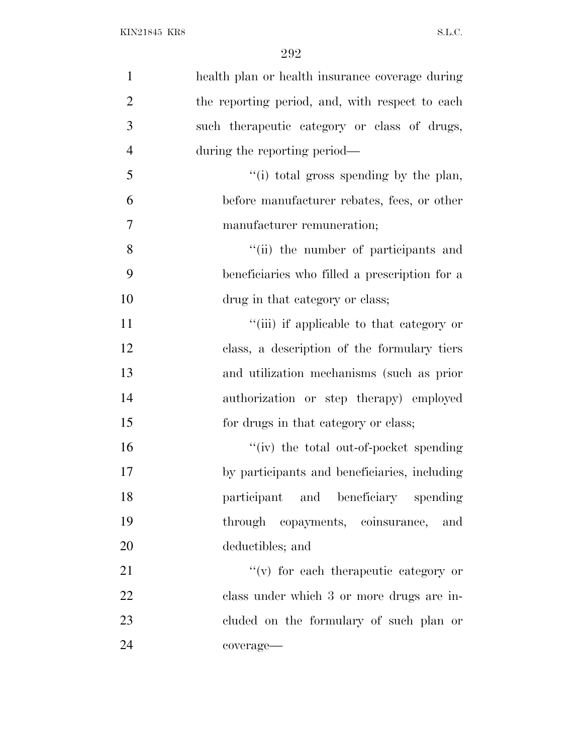| $\mathbf{1}$   | health plan or health insurance coverage during |
|----------------|-------------------------------------------------|
| $\overline{2}$ | the reporting period, and, with respect to each |
| 3              | such the rapeutic category or class of drugs,   |
| $\overline{4}$ | during the reporting period—                    |
| 5              | "(i) total gross spending by the plan,          |
| 6              | before manufacturer rebates, fees, or other     |
| $\overline{7}$ | manufacturer remuneration;                      |
| 8              | "(ii) the number of participants and            |
| 9              | beneficiaries who filled a prescription for a   |
| 10             | drug in that category or class;                 |
| 11             | "(iii) if applicable to that category or        |
| 12             | class, a description of the formulary tiers     |
| 13             | and utilization mechanisms (such as prior       |
| 14             | authorization or step therapy) employed         |
| 15             | for drugs in that category or class;            |
| 16             | "(iv) the total out-of-pocket spending          |
| 17             | by participants and beneficiaries, including    |
| 18             | participant and beneficiary spending            |
| 19             | through copayments, coinsurance, and            |
| 20             | deductibles; and                                |
| 21             | $f'(v)$ for each therapeutic category or        |
| 22             | class under which 3 or more drugs are in-       |
| 23             | cluded on the formulary of such plan or         |
| 24             | coverage-                                       |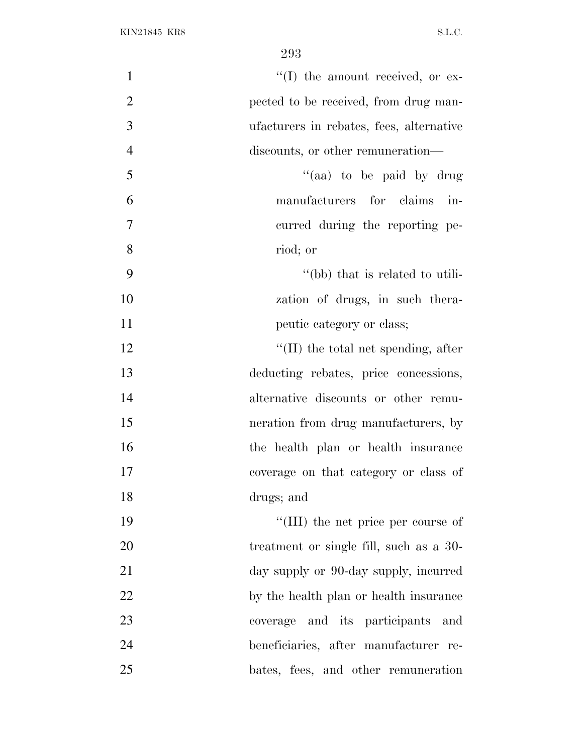| $\mathbf{1}$   | $\lq\lq$ (I) the amount received, or ex-    |
|----------------|---------------------------------------------|
| $\overline{2}$ | pected to be received, from drug man-       |
| 3              | ufacturers in rebates, fees, alternative    |
| $\overline{4}$ | discounts, or other remuneration—           |
| 5              | "(aa) to be paid by drug                    |
| 6              | manufacturers for claims in-                |
| $\overline{7}$ | curred during the reporting pe-             |
| 8              | riod; or                                    |
| 9              | "(bb) that is related to utili-             |
| 10             | zation of drugs, in such thera-             |
| 11             | peutic category or class;                   |
| 12             | $\lq\lq$ (II) the total net spending, after |
| 13             | deducting rebates, price concessions,       |
| 14             | alternative discounts or other remu-        |
| 15             | neration from drug manufacturers, by        |
| 16             | the health plan or health insurance         |
| 17             | coverage on that category or class of       |
| 18             | drugs; and                                  |
| 19             | "(III) the net price per course of          |
| 20             | treatment or single fill, such as a 30-     |
| 21             | day supply or 90-day supply, incurred       |
| 22             | by the health plan or health insurance      |
| 23             | coverage and its participants and           |
| 24             | beneficiaries, after manufacturer re-       |
| 25             | bates, fees, and other remuneration         |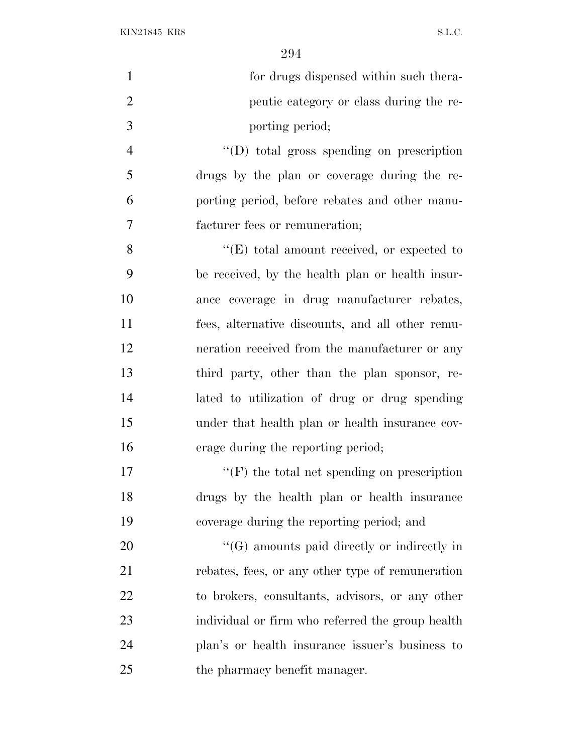| $\mathbf{1}$   | for drugs dispensed within such thera-             |
|----------------|----------------------------------------------------|
| $\overline{2}$ | peutic category or class during the re-            |
| 3              | porting period;                                    |
| $\overline{4}$ | $\lq\lq$ total gross spending on prescription      |
| 5              | drugs by the plan or coverage during the re-       |
| 6              | porting period, before rebates and other manu-     |
| 7              | facturer fees or remuneration;                     |
| 8              | $\lq\lq(E)$ total amount received, or expected to  |
| 9              | be received, by the health plan or health insur-   |
| 10             | ance coverage in drug manufacturer rebates,        |
| 11             | fees, alternative discounts, and all other remu-   |
| 12             | neration received from the manufacturer or any     |
| 13             | third party, other than the plan sponsor, re-      |
| 14             | lated to utilization of drug or drug spending      |
| 15             | under that health plan or health insurance cov-    |
| 16             | erage during the reporting period;                 |
| 17             | $\lq\lq(F)$ the total net spending on prescription |
| 18             | drugs by the health plan or health insurance       |
| 19             | coverage during the reporting period; and          |
| 20             | $\lq\lq(G)$ amounts paid directly or indirectly in |
| 21             | rebates, fees, or any other type of remuneration   |
| 22             | to brokers, consultants, advisors, or any other    |
| 23             | individual or firm who referred the group health   |
| 24             | plan's or health insurance issuer's business to    |
| 25             | the pharmacy benefit manager.                      |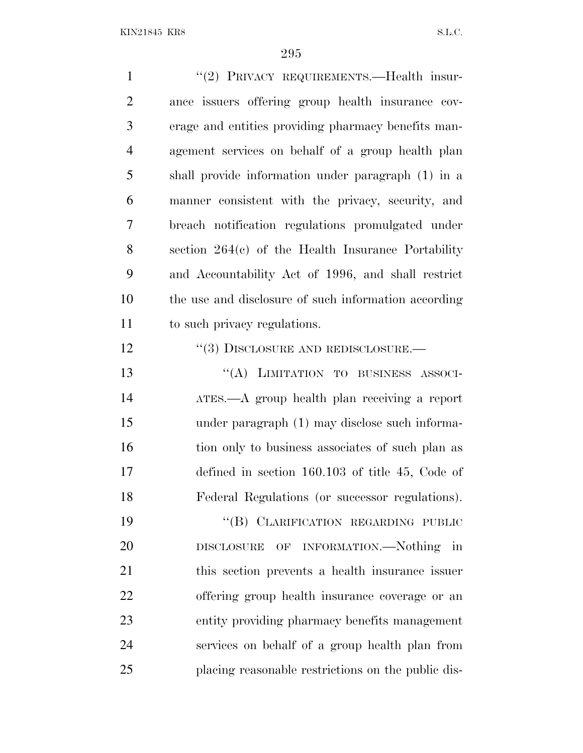1 "(2) PRIVACY REQUIREMENTS.—Health insur- ance issuers offering group health insurance cov- erage and entities providing pharmacy benefits man- agement services on behalf of a group health plan shall provide information under paragraph (1) in a manner consistent with the privacy, security, and breach notification regulations promulgated under section 264(c) of the Health Insurance Portability and Accountability Act of 1996, and shall restrict the use and disclosure of such information according to such privacy regulations. 12 "(3) DISCLOSURE AND REDISCLOSURE.— ''(A) LIMITATION TO BUSINESS ASSOCI- ATES.—A group health plan receiving a report under paragraph (1) may disclose such informa-16 tion only to business associates of such plan as defined in section 160.103 of title 45, Code of Federal Regulations (or successor regulations). 19 "(B) CLARIFICATION REGARDING PUBLIC DISCLOSURE OF INFORMATION.—Nothing in this section prevents a health insurance issuer offering group health insurance coverage or an entity providing pharmacy benefits management services on behalf of a group health plan from placing reasonable restrictions on the public dis-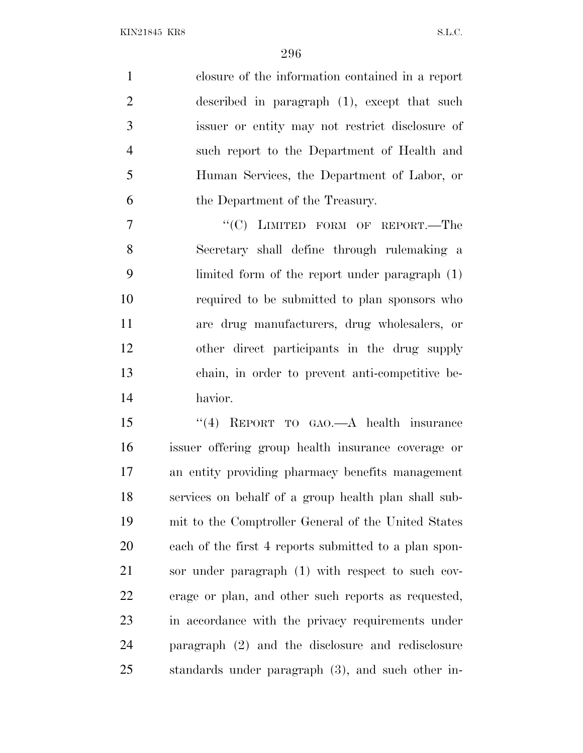closure of the information contained in a report described in paragraph (1), except that such issuer or entity may not restrict disclosure of such report to the Department of Health and Human Services, the Department of Labor, or the Department of the Treasury.

7 "'(C) LIMITED FORM OF REPORT.—The Secretary shall define through rulemaking a limited form of the report under paragraph (1) required to be submitted to plan sponsors who are drug manufacturers, drug wholesalers, or other direct participants in the drug supply chain, in order to prevent anti-competitive be-havior.

 ''(4) REPORT TO GAO.—A health insurance issuer offering group health insurance coverage or an entity providing pharmacy benefits management services on behalf of a group health plan shall sub- mit to the Comptroller General of the United States each of the first 4 reports submitted to a plan spon- sor under paragraph (1) with respect to such cov- erage or plan, and other such reports as requested, in accordance with the privacy requirements under paragraph (2) and the disclosure and redisclosure standards under paragraph (3), and such other in-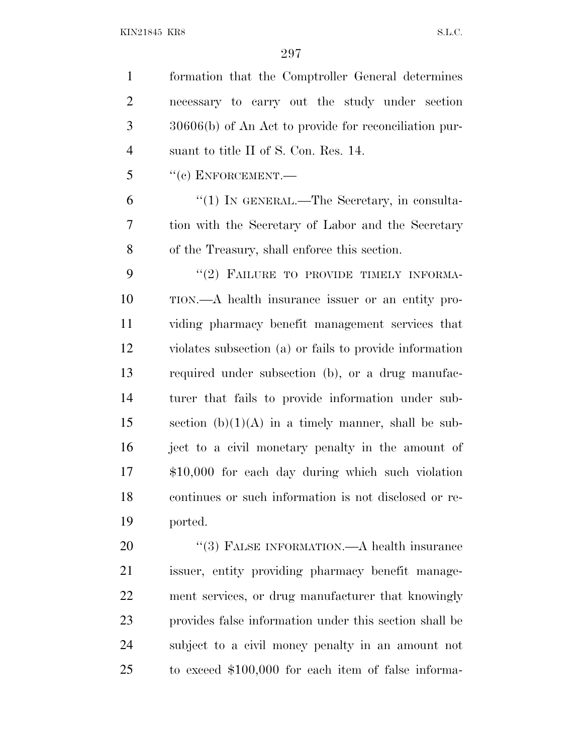| $\mathbf{1}$   | formation that the Comptroller General determines       |
|----------------|---------------------------------------------------------|
| $\overline{2}$ | necessary to carry out the study under section          |
| 3              | $30606(b)$ of An Act to provide for reconciliation pur- |
| $\overline{4}$ | suant to title II of S. Con. Res. 14.                   |
| 5              | $``(c)$ ENFORCEMENT.—                                   |
| 6              | $\lq(1)$ In GENERAL.—The Secretary, in consulta-        |
| 7              | tion with the Secretary of Labor and the Secretary      |
| 8              | of the Treasury, shall enforce this section.            |
| 9              | "(2) FAILURE TO PROVIDE TIMELY INFORMA-                 |
| 10             | TION.—A health insurance issuer or an entity pro-       |
| 11             | viding pharmacy benefit management services that        |
| 12             | violates subsection (a) or fails to provide information |
| 13             | required under subsection (b), or a drug manufac-       |
| 14             | turer that fails to provide information under sub-      |
| 15             | section $(b)(1)(A)$ in a timely manner, shall be sub-   |
| 16             | ject to a civil monetary penalty in the amount of       |
| 17             | $$10,000$ for each day during which such violation      |
| 18             | continues or such information is not disclosed or re-   |
| 19             | ported.                                                 |
| 20             | "(3) FALSE INFORMATION.—A health insurance              |
| 21             | issuer, entity providing pharmacy benefit manage-       |
| 22             | ment services, or drug manufacturer that knowingly      |
| 23             | provides false information under this section shall be  |
| 24             | subject to a civil money penalty in an amount not       |
| 25             | to exceed $$100,000$ for each item of false informa-    |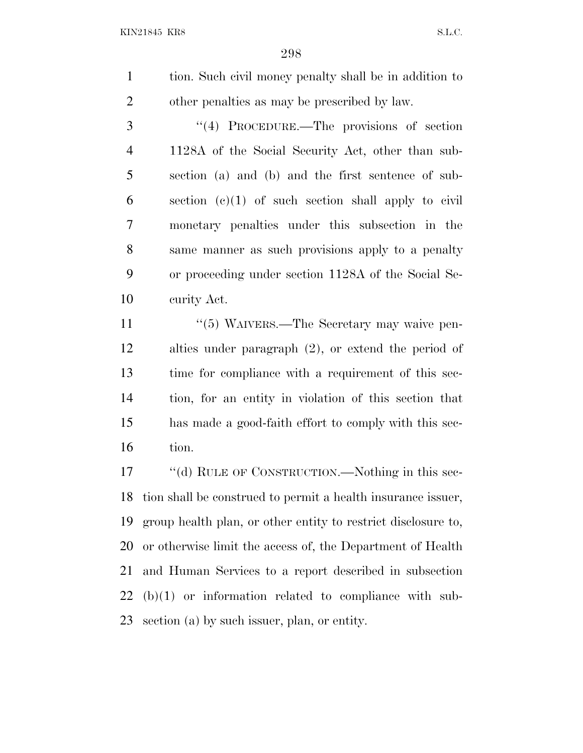tion. Such civil money penalty shall be in addition to other penalties as may be prescribed by law.

3 "(4) PROCEDURE.—The provisions of section 1128A of the Social Security Act, other than sub- section (a) and (b) and the first sentence of sub- section (c)(1) of such section shall apply to civil monetary penalties under this subsection in the same manner as such provisions apply to a penalty or proceeding under section 1128A of the Social Se-curity Act.

11 ''(5) WAIVERS.—The Secretary may waive pen- alties under paragraph (2), or extend the period of time for compliance with a requirement of this sec- tion, for an entity in violation of this section that has made a good-faith effort to comply with this sec-tion.

17 ""(d) RULE OF CONSTRUCTION.—Nothing in this sec- tion shall be construed to permit a health insurance issuer, group health plan, or other entity to restrict disclosure to, or otherwise limit the access of, the Department of Health and Human Services to a report described in subsection (b)(1) or information related to compliance with sub-section (a) by such issuer, plan, or entity.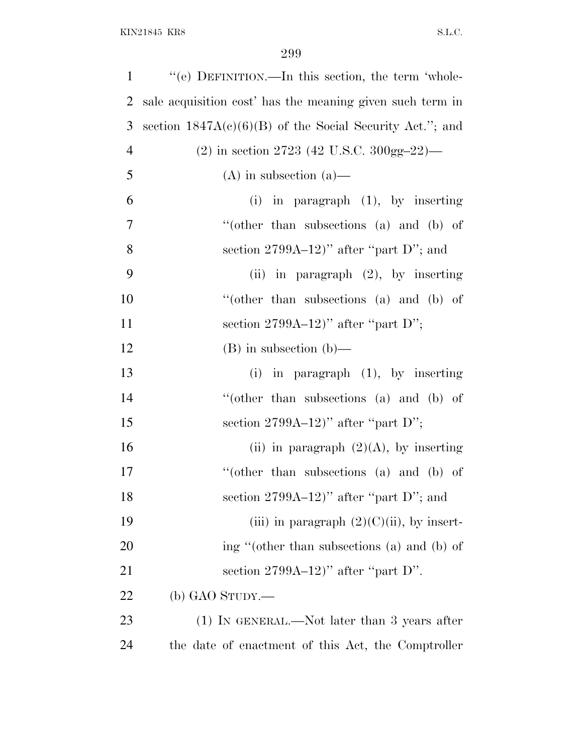| $\mathbf{1}$   | "(e) DEFINITION.—In this section, the term 'whole-         |
|----------------|------------------------------------------------------------|
| $\overline{2}$ | sale acquisition cost' has the meaning given such term in  |
| 3              | section $1847A(c)(6)(B)$ of the Social Security Act."; and |
| $\overline{4}$ | $(2)$ in section 2723 (42 U.S.C. 300gg-22)—                |
| 5              | $(A)$ in subsection $(a)$ —                                |
| 6              | $(i)$ in paragraph $(1)$ , by inserting                    |
| 7              | "(other than subsections $(a)$ and $(b)$ of                |
| 8              | section $2799A-12$ " after "part D"; and                   |
| 9              | (ii) in paragraph $(2)$ , by inserting                     |
| 10             | "(other than subsections (a) and (b) of                    |
| 11             | section $2799A-12$ " after "part D";                       |
| 12             | $(B)$ in subsection $(b)$ —                                |
| 13             | (i) in paragraph $(1)$ , by inserting                      |
| 14             | "(other than subsections (a) and (b) of                    |
| 15             | section $2799A-12$ " after "part D";                       |
| 16             | (ii) in paragraph $(2)(A)$ , by inserting                  |
| 17             | "(other than subsections (a) and (b) of                    |
| 18             | section $2799A-12$ )" after "part D"; and                  |
| 19             | (iii) in paragraph $(2)(C)(ii)$ , by insert-               |
| 20             | ing "(other than subsections (a) and (b) of                |
| 21             | section $2799A-12$ " after "part D".                       |
| 22             | (b) GAO STUDY.—                                            |
| 23             | (1) IN GENERAL.—Not later than 3 years after               |
| 24             | the date of enactment of this Act, the Comptroller         |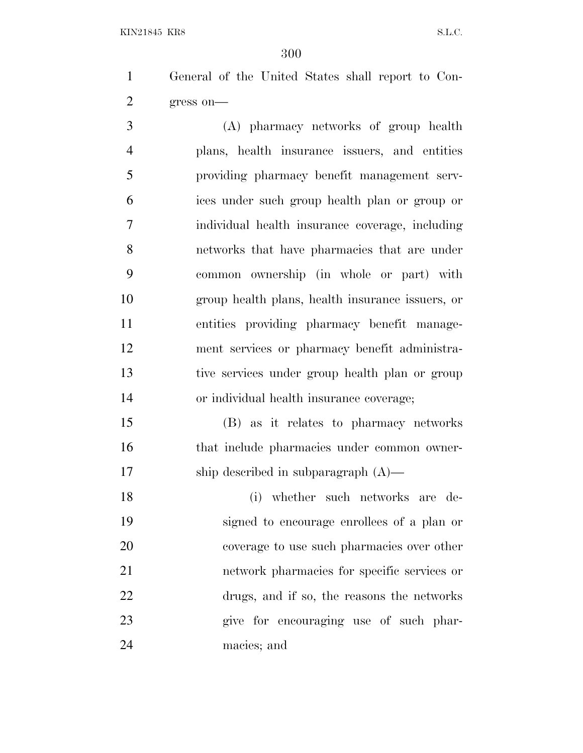General of the United States shall report to Con-gress on—

 (A) pharmacy networks of group health plans, health insurance issuers, and entities providing pharmacy benefit management serv- ices under such group health plan or group or individual health insurance coverage, including networks that have pharmacies that are under common ownership (in whole or part) with group health plans, health insurance issuers, or entities providing pharmacy benefit manage- ment services or pharmacy benefit administra- tive services under group health plan or group or individual health insurance coverage;

 (B) as it relates to pharmacy networks 16 that include pharmacies under common owner-ship described in subparagraph (A)—

 (i) whether such networks are de- signed to encourage enrollees of a plan or coverage to use such pharmacies over other network pharmacies for specific services or drugs, and if so, the reasons the networks give for encouraging use of such phar-macies; and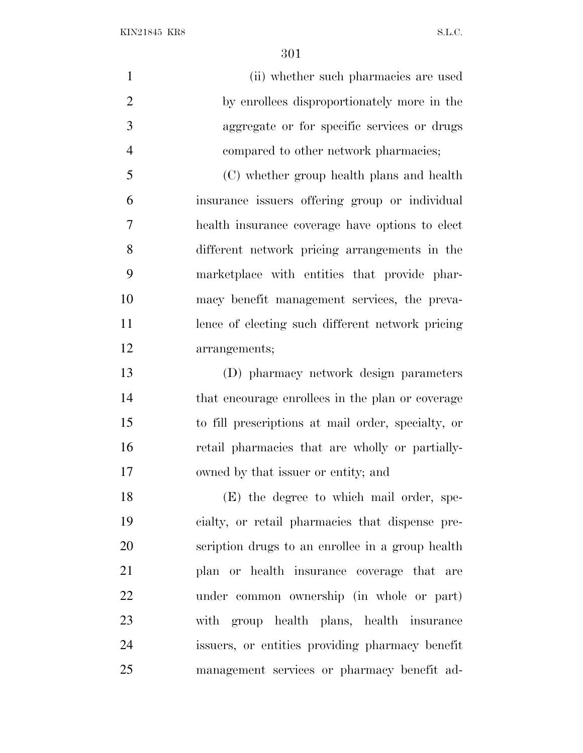(ii) whether such pharmacies are used by enrollees disproportionately more in the aggregate or for specific services or drugs compared to other network pharmacies; (C) whether group health plans and health insurance issuers offering group or individual health insurance coverage have options to elect different network pricing arrangements in the marketplace with entities that provide phar- macy benefit management services, the preva- lence of electing such different network pricing arrangements; (D) pharmacy network design parameters that encourage enrollees in the plan or coverage to fill prescriptions at mail order, specialty, or retail pharmacies that are wholly or partially-owned by that issuer or entity; and

 (E) the degree to which mail order, spe- cialty, or retail pharmacies that dispense pre- scription drugs to an enrollee in a group health plan or health insurance coverage that are under common ownership (in whole or part) with group health plans, health insurance issuers, or entities providing pharmacy benefit management services or pharmacy benefit ad-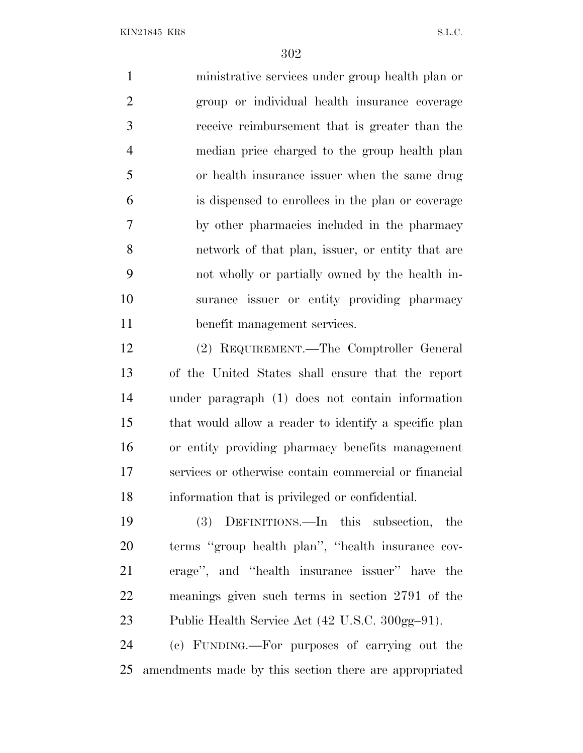ministrative services under group health plan or group or individual health insurance coverage receive reimbursement that is greater than the median price charged to the group health plan or health insurance issuer when the same drug is dispensed to enrollees in the plan or coverage by other pharmacies included in the pharmacy network of that plan, issuer, or entity that are not wholly or partially owned by the health in- surance issuer or entity providing pharmacy benefit management services.

 (2) REQUIREMENT.—The Comptroller General of the United States shall ensure that the report under paragraph (1) does not contain information that would allow a reader to identify a specific plan or entity providing pharmacy benefits management services or otherwise contain commercial or financial information that is privileged or confidential.

 (3) DEFINITIONS.—In this subsection, the terms ''group health plan'', ''health insurance cov- erage'', and ''health insurance issuer'' have the meanings given such terms in section 2791 of the Public Health Service Act (42 U.S.C. 300gg–91).

 (c) FUNDING.—For purposes of carrying out the amendments made by this section there are appropriated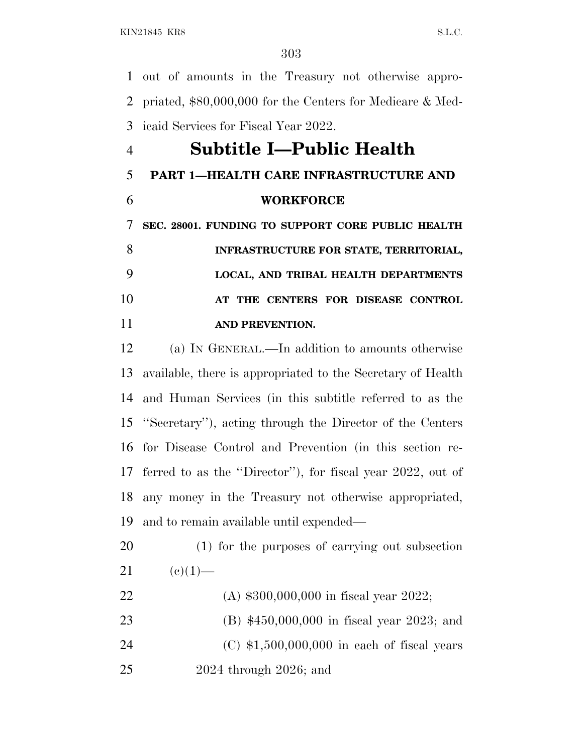out of amounts in the Treasury not otherwise appro- priated, \$80,000,000 for the Centers for Medicare & Med-icaid Services for Fiscal Year 2022.

# **Subtitle I—Public Health**

#### **PART 1—HEALTH CARE INFRASTRUCTURE AND**

**WORKFORCE**

 **SEC. 28001. FUNDING TO SUPPORT CORE PUBLIC HEALTH INFRASTRUCTURE FOR STATE, TERRITORIAL, LOCAL, AND TRIBAL HEALTH DEPARTMENTS AT THE CENTERS FOR DISEASE CONTROL AND PREVENTION.**

 (a) I<sup>N</sup> GENERAL.—In addition to amounts otherwise available, there is appropriated to the Secretary of Health and Human Services (in this subtitle referred to as the ''Secretary''), acting through the Director of the Centers for Disease Control and Prevention (in this section re- ferred to as the ''Director''), for fiscal year 2022, out of any money in the Treasury not otherwise appropriated, and to remain available until expended—

- (1) for the purposes of carrying out subsection 21 (e)(1)—
- (A) \$300,000,000 in fiscal year 2022; (B) \$450,000,000 in fiscal year 2023; and (C) \$1,500,000,000 in each of fiscal years 2024 through 2026; and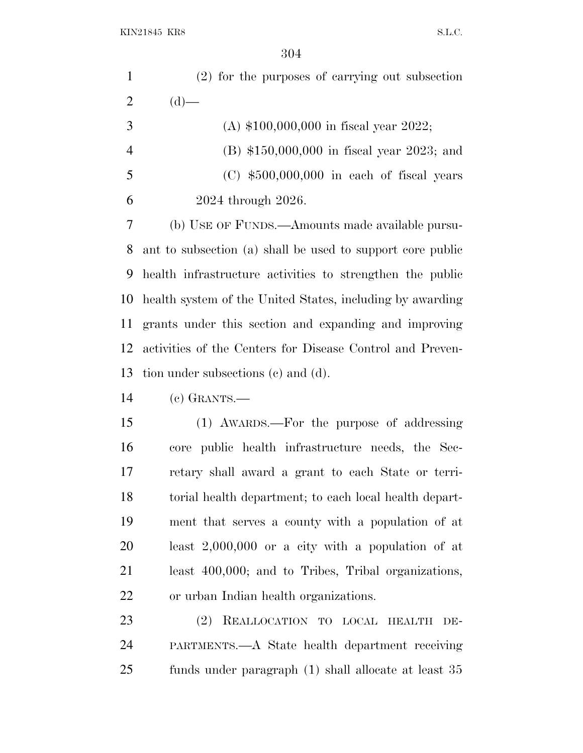| $\mathbf{1}$   | (2) for the purposes of carrying out subsection            |
|----------------|------------------------------------------------------------|
| $\overline{2}$ | $(d)$ —                                                    |
| 3              | (A) $$100,000,000$ in fiscal year 2022;                    |
| $\overline{4}$ | (B) $$150,000,000$ in fiscal year 2023; and                |
| 5              | $(C)$ \$500,000,000 in each of fiscal years                |
| 6              | 2024 through 2026.                                         |
| 7              | (b) USE OF FUNDS.—Amounts made available pursu-            |
| 8              | ant to subsection (a) shall be used to support core public |
| 9              | health infrastructure activities to strengthen the public  |
| 10             | health system of the United States, including by awarding  |
| <sup>11</sup>  | grants under this section and expanding and improving      |
| 12             | activities of the Centers for Disease Control and Preven-  |
| 13             | tion under subsections (c) and (d).                        |
| 14             | $(c)$ GRANTS.—                                             |
| 15             | (1) AWARDS.—For the purpose of addressing                  |
| 16             | core public health infrastructure needs, the Sec-          |
| 17             | retary shall award a grant to each State or terri-         |
| 18             | torial health department; to each local health depart-     |
| 19             | ment that serves a county with a population of at          |
| 20             | least $2,000,000$ or a city with a population of at        |
| 21             | least 400,000; and to Tribes, Tribal organizations,        |
| 22             | or urban Indian health organizations.                      |

 (2) REALLOCATION TO LOCAL HEALTH DE- PARTMENTS.—A State health department receiving funds under paragraph (1) shall allocate at least 35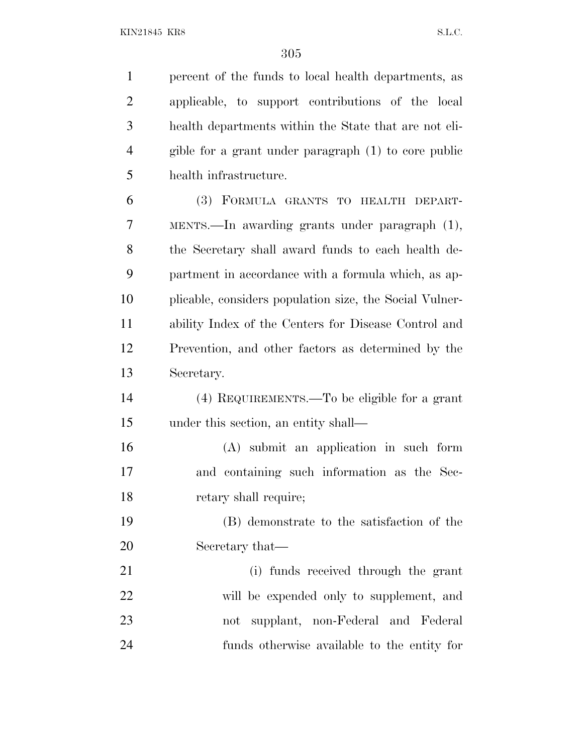percent of the funds to local health departments, as applicable, to support contributions of the local health departments within the State that are not eli- gible for a grant under paragraph (1) to core public health infrastructure. (3) FORMULA GRANTS TO HEALTH DEPART-

 MENTS.—In awarding grants under paragraph (1), the Secretary shall award funds to each health de- partment in accordance with a formula which, as ap- plicable, considers population size, the Social Vulner- ability Index of the Centers for Disease Control and Prevention, and other factors as determined by the Secretary.

- (4) REQUIREMENTS.—To be eligible for a grant under this section, an entity shall—
- (A) submit an application in such form and containing such information as the Sec-retary shall require;

 (B) demonstrate to the satisfaction of the Secretary that—

 (i) funds received through the grant will be expended only to supplement, and not supplant, non-Federal and Federal funds otherwise available to the entity for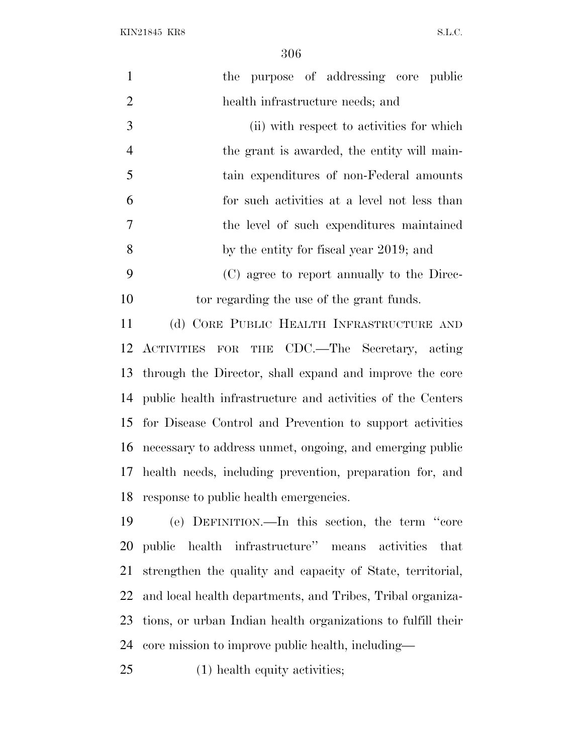$\rm{KIN21845\;\;KRS} \label{eq:KIN21845}$ 

| $\mathbf{1}$   | the purpose of addressing core public                        |
|----------------|--------------------------------------------------------------|
| $\overline{2}$ | health infrastructure needs; and                             |
| 3              | (ii) with respect to activities for which                    |
| $\overline{4}$ | the grant is awarded, the entity will main-                  |
| 5              | tain expenditures of non-Federal amounts                     |
| 6              | for such activities at a level not less than                 |
| $\overline{7}$ | the level of such expenditures maintained                    |
| 8              | by the entity for fiscal year 2019; and                      |
| 9              | (C) agree to report annually to the Direc-                   |
| 10             | tor regarding the use of the grant funds.                    |
| 11             | (d) CORE PUBLIC HEALTH INFRASTRUCTURE AND                    |
| 12             | ACTIVITIES FOR THE CDC.—The Secretary, acting                |
| 13             | through the Director, shall expand and improve the core      |
| 14             | public health infrastructure and activities of the Centers   |
| 15             | for Disease Control and Prevention to support activities     |
|                | 16 necessary to address unmet, ongoing, and emerging public  |
| 17             | health needs, including prevention, preparation for, and     |
|                | 18 response to public health emergencies.                    |
| 19             | (e) DEFINITION.—In this section, the term "core              |
| 20             | public health infrastructure" means activities<br>that       |
| 21             | strengthen the quality and capacity of State, territorial,   |
| 22             | and local health departments, and Tribes, Tribal organiza-   |
| 23             | tions, or urban Indian health organizations to fulfill their |
| 24             | core mission to improve public health, including—            |
|                |                                                              |

(1) health equity activities;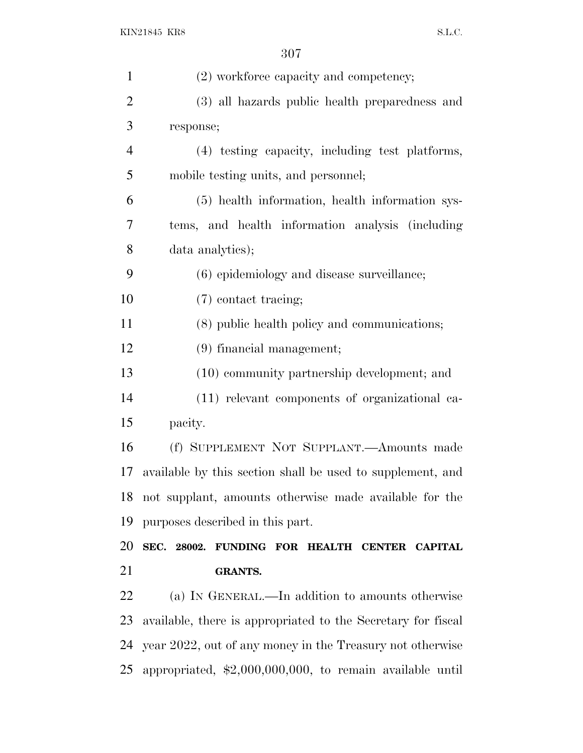| $\mathbf{1}$   | (2) workforce capacity and competency;                            |
|----------------|-------------------------------------------------------------------|
| $\overline{2}$ | (3) all hazards public health preparedness and                    |
| 3              | response;                                                         |
| $\overline{4}$ | (4) testing capacity, including test platforms,                   |
| 5              | mobile testing units, and personnel;                              |
| 6              | (5) health information, health information sys-                   |
| 7              | tems, and health information analysis (including                  |
| 8              | data analytics);                                                  |
| 9              | (6) epidemiology and disease surveillance;                        |
| 10             | (7) contact tracing;                                              |
| 11             | (8) public health policy and communications;                      |
| 12             | (9) financial management;                                         |
| 13             | (10) community partnership development; and                       |
| 14             | (11) relevant components of organizational ca-                    |
| 15             | pacity.                                                           |
| 16             | (f) SUPPLEMENT NOT SUPPLANT.—Amounts made                         |
| 17             | available by this section shall be used to supplement, and        |
| 18             | not supplant, amounts otherwise made available for the            |
| 19             | purposes described in this part.                                  |
| 20             | SEC. 28002. FUNDING FOR HEALTH CENTER CAPITAL                     |
| 21             | <b>GRANTS.</b>                                                    |
| 22             | (a) IN GENERAL.—In addition to amounts otherwise                  |
| 23             | available, there is appropriated to the Secretary for fiscal      |
| 24             | year 2022, out of any money in the Treasury not otherwise         |
| 25             | appropriated, $\text{$2,000,000,000}$ , to remain available until |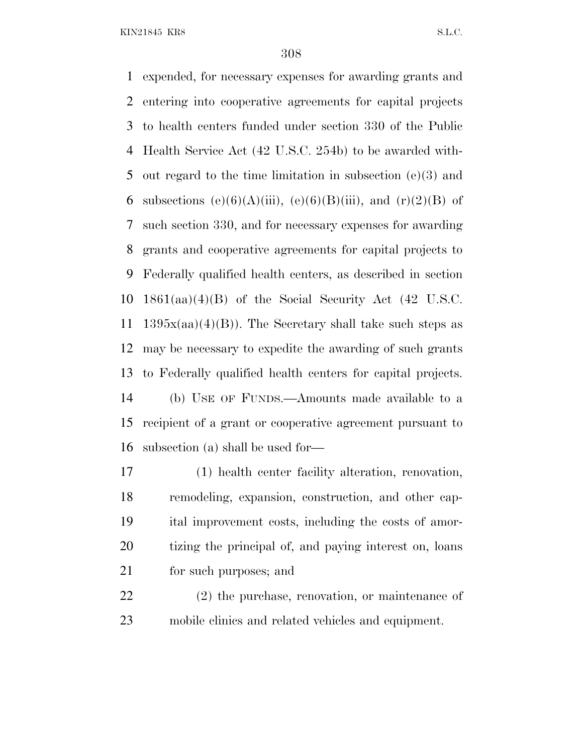expended, for necessary expenses for awarding grants and entering into cooperative agreements for capital projects to health centers funded under section 330 of the Public Health Service Act (42 U.S.C. 254b) to be awarded with- out regard to the time limitation in subsection (e)(3) and 6 subsections (e)(6)(A)(iii), (e)(6)(B)(iii), and (r)(2)(B) of such section 330, and for necessary expenses for awarding grants and cooperative agreements for capital projects to Federally qualified health centers, as described in section 1861(aa)(4)(B) of the Social Security Act (42 U.S.C. 11 1395 $x(aa)(4)(B)$ . The Secretary shall take such steps as may be necessary to expedite the awarding of such grants to Federally qualified health centers for capital projects. (b) USE OF FUNDS.—Amounts made available to a recipient of a grant or cooperative agreement pursuant to subsection (a) shall be used for—

 (1) health center facility alteration, renovation, remodeling, expansion, construction, and other cap- ital improvement costs, including the costs of amor- tizing the principal of, and paying interest on, loans for such purposes; and

 (2) the purchase, renovation, or maintenance of mobile clinics and related vehicles and equipment.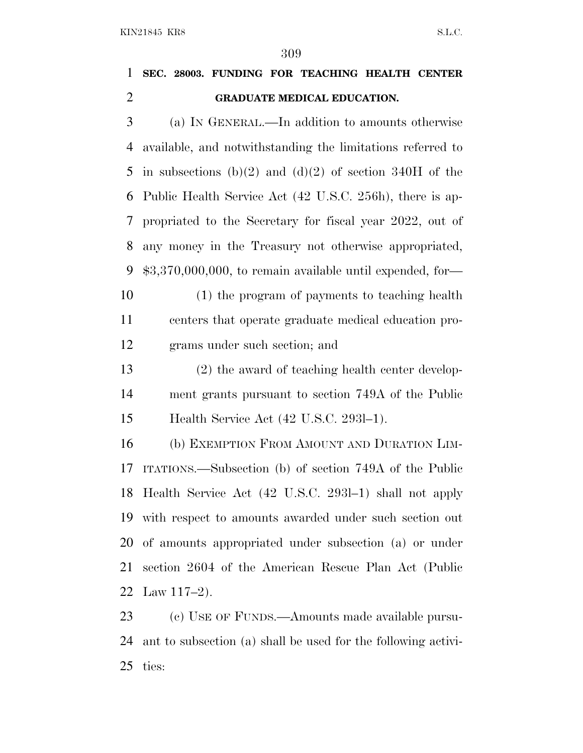#### **SEC. 28003. FUNDING FOR TEACHING HEALTH CENTER GRADUATE MEDICAL EDUCATION.**

 (a) I<sup>N</sup> GENERAL.—In addition to amounts otherwise available, and notwithstanding the limitations referred to 5 in subsections (b)(2) and (d)(2) of section 340H of the Public Health Service Act (42 U.S.C. 256h), there is ap- propriated to the Secretary for fiscal year 2022, out of any money in the Treasury not otherwise appropriated, \$3,370,000,000, to remain available until expended, for— (1) the program of payments to teaching health

 centers that operate graduate medical education pro-grams under such section; and

 (2) the award of teaching health center develop- ment grants pursuant to section 749A of the Public Health Service Act (42 U.S.C. 293l–1).

 (b) EXEMPTION FROM AMOUNT AND DURATION LIM- ITATIONS.—Subsection (b) of section 749A of the Public Health Service Act (42 U.S.C. 293l–1) shall not apply with respect to amounts awarded under such section out of amounts appropriated under subsection (a) or under section 2604 of the American Rescue Plan Act (Public Law 117–2).

23 (c) USE OF FUNDS.—Amounts made available pursu- ant to subsection (a) shall be used for the following activi-ties: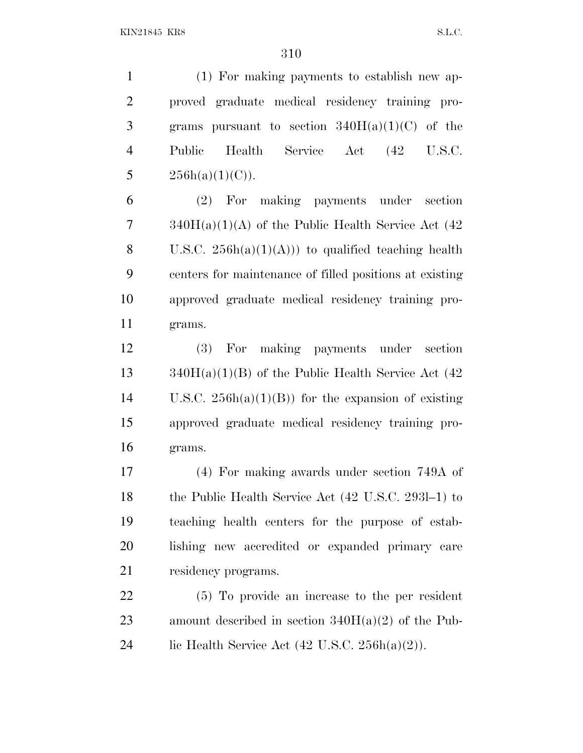(1) For making payments to establish new ap- proved graduate medical residency training pro-3 grams pursuant to section  $340H(a)(1)(C)$  of the Public Health Service Act (42 U.S.C.  $256h(a)(1)(C)$ .

 (2) For making payments under section  $7 \qquad \text{340H(a)(1)(A)}$  of the Public Health Service Act (42) 8 U.S.C.  $256h(a)(1)(A))$  to qualified teaching health centers for maintenance of filled positions at existing approved graduate medical residency training pro-grams.

 (3) For making payments under section 13  $340H(a)(1)(B)$  of the Public Health Service Act (42) 14 U.S.C.  $256h(a)(1)(B)$  for the expansion of existing approved graduate medical residency training pro-grams.

 (4) For making awards under section 749A of the Public Health Service Act (42 U.S.C. 293l–1) to teaching health centers for the purpose of estab- lishing new accredited or expanded primary care 21 residency programs.

 (5) To provide an increase to the per resident amount described in section 340H(a)(2) of the Pub-24 lic Health Service Act  $(42 \text{ U.S.C. } 256h(a)(2))$ .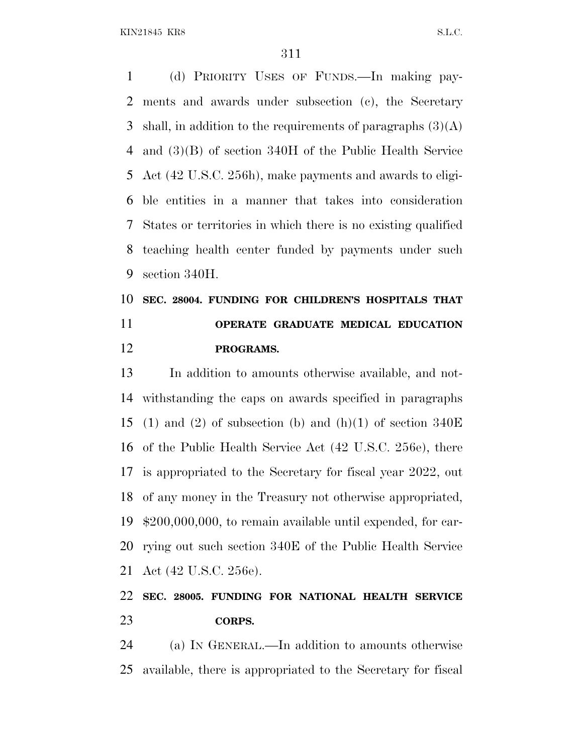(d) PRIORITY USES OF FUNDS.—In making pay- ments and awards under subsection (c), the Secretary 3 shall, in addition to the requirements of paragraphs  $(3)(A)$  and (3)(B) of section 340H of the Public Health Service Act (42 U.S.C. 256h), make payments and awards to eligi- ble entities in a manner that takes into consideration States or territories in which there is no existing qualified teaching health center funded by payments under such section 340H.

## **SEC. 28004. FUNDING FOR CHILDREN'S HOSPITALS THAT OPERATE GRADUATE MEDICAL EDUCATION PROGRAMS.**

 In addition to amounts otherwise available, and not- withstanding the caps on awards specified in paragraphs 15 (1) and (2) of subsection (b) and (h)(1) of section  $340E$  of the Public Health Service Act (42 U.S.C. 256e), there is appropriated to the Secretary for fiscal year 2022, out of any money in the Treasury not otherwise appropriated, \$200,000,000, to remain available until expended, for car- rying out such section 340E of the Public Health Service Act (42 U.S.C. 256e).

#### **SEC. 28005. FUNDING FOR NATIONAL HEALTH SERVICE CORPS.**

 (a) I<sup>N</sup> GENERAL.—In addition to amounts otherwise available, there is appropriated to the Secretary for fiscal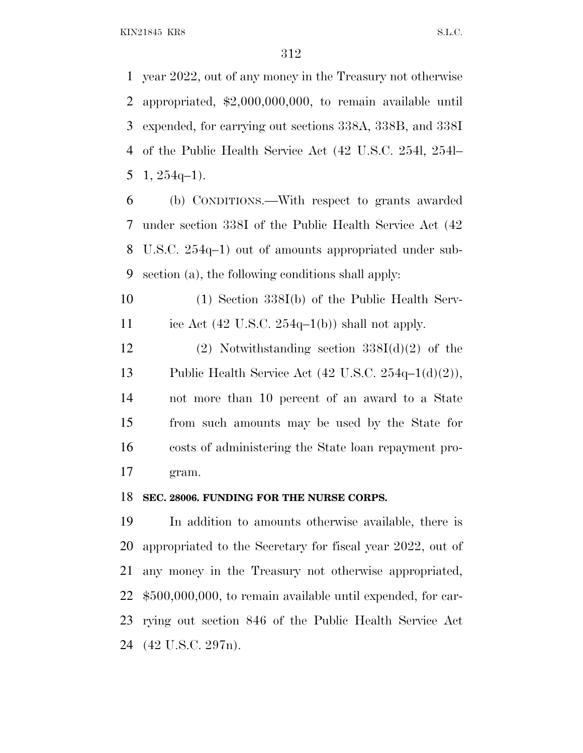year 2022, out of any money in the Treasury not otherwise appropriated, \$2,000,000,000, to remain available until expended, for carrying out sections 338A, 338B, and 338I of the Public Health Service Act (42 U.S.C. 254l, 254l– 5 1,  $254q-1$ ).

 (b) CONDITIONS.—With respect to grants awarded under section 338I of the Public Health Service Act (42 U.S.C. 254q–1) out of amounts appropriated under sub-section (a), the following conditions shall apply:

 (1) Section 338I(b) of the Public Health Serv-11 ice Act  $(42 \text{ U.S.C. } 254q-1(b))$  shall not apply.

12 (2) Notwithstanding section  $338I(d)(2)$  of the Public Health Service Act (42 U.S.C. 254q–1(d)(2)), not more than 10 percent of an award to a State from such amounts may be used by the State for costs of administering the State loan repayment pro-gram.

#### **SEC. 28006. FUNDING FOR THE NURSE CORPS.**

 In addition to amounts otherwise available, there is appropriated to the Secretary for fiscal year 2022, out of any money in the Treasury not otherwise appropriated, \$500,000,000, to remain available until expended, for car- rying out section 846 of the Public Health Service Act (42 U.S.C. 297n).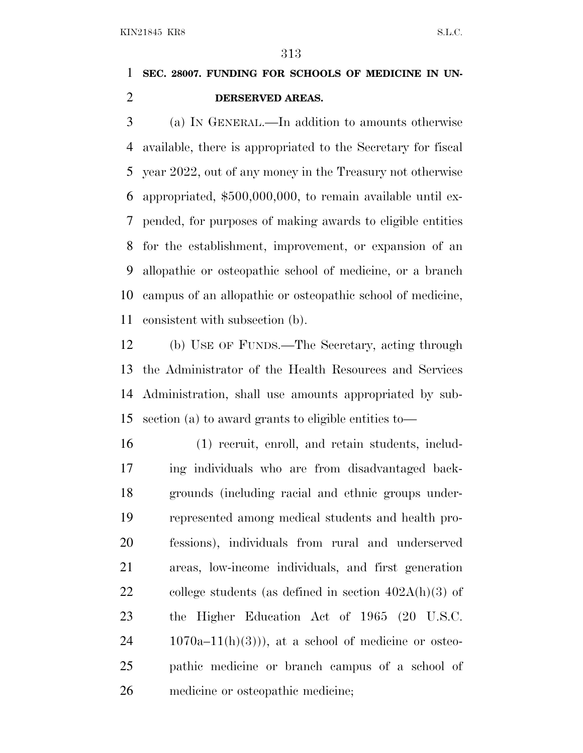#### **SEC. 28007. FUNDING FOR SCHOOLS OF MEDICINE IN UN-DERSERVED AREAS.**

 (a) I<sup>N</sup> GENERAL.—In addition to amounts otherwise available, there is appropriated to the Secretary for fiscal year 2022, out of any money in the Treasury not otherwise appropriated, \$500,000,000, to remain available until ex- pended, for purposes of making awards to eligible entities for the establishment, improvement, or expansion of an allopathic or osteopathic school of medicine, or a branch campus of an allopathic or osteopathic school of medicine, consistent with subsection (b).

 (b) USE OF FUNDS.—The Secretary, acting through the Administrator of the Health Resources and Services Administration, shall use amounts appropriated by sub-section (a) to award grants to eligible entities to—

 (1) recruit, enroll, and retain students, includ- ing individuals who are from disadvantaged back- grounds (including racial and ethnic groups under- represented among medical students and health pro- fessions), individuals from rural and underserved areas, low-income individuals, and first generation 22 college students (as defined in section  $402A(h)(3)$  of the Higher Education Act of 1965 (20 U.S.C.  $24 \t1070a-11(h)(3)$ , at a school of medicine or osteo- pathic medicine or branch campus of a school of medicine or osteopathic medicine;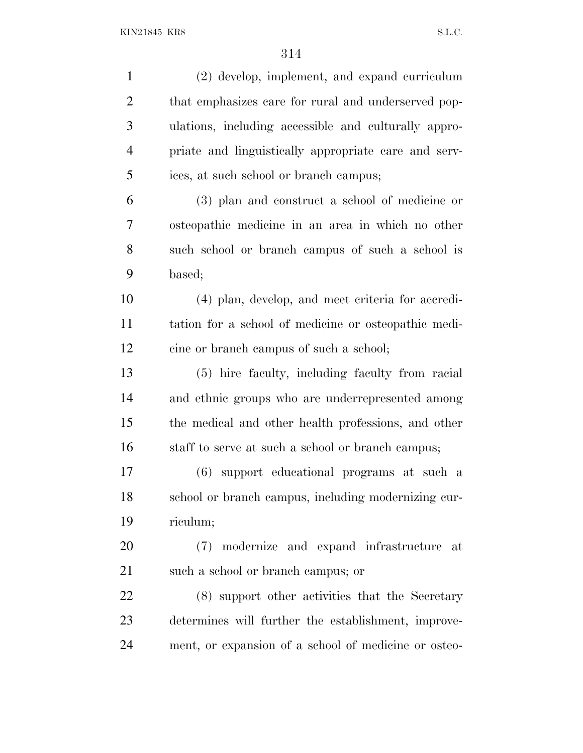| $\mathbf{1}$   | (2) develop, implement, and expand curriculum        |
|----------------|------------------------------------------------------|
| $\overline{2}$ | that emphasizes care for rural and underserved pop-  |
| 3              | ulations, including accessible and culturally appro- |
| $\overline{4}$ | priate and linguistically appropriate care and serv- |
| 5              | ices, at such school or branch campus;               |
| 6              | (3) plan and construct a school of medicine or       |
| 7              | osteopathic medicine in an area in which no other    |
| 8              | such school or branch campus of such a school is     |
| 9              | based;                                               |
| 10             | (4) plan, develop, and meet criteria for accredi-    |
| 11             | tation for a school of medicine or osteopathic medi- |
| 12             | cine or branch campus of such a school;              |
| 13             | (5) hire faculty, including faculty from racial      |
| 14             | and ethnic groups who are underrepresented among     |
| 15             | the medical and other health professions, and other  |
| 16             | staff to serve at such a school or branch campus;    |
| 17             | (6) support educational programs at such a           |
| 18             | school or branch campus, including modernizing cur-  |
| 19             | riculum;                                             |
| 20             | (7) modernize and expand infrastructure at           |
| 21             | such a school or branch campus; or                   |
| 22             | (8) support other activities that the Secretary      |
| 23             | determines will further the establishment, improve-  |
| 24             | ment, or expansion of a school of medicine or osteo- |
|                |                                                      |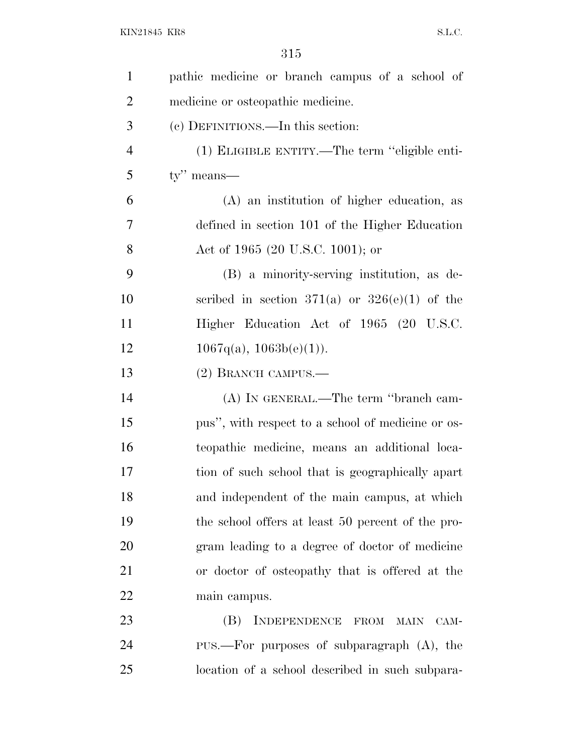| $\mathbf{1}$   | pathic medicine or branch campus of a school of   |
|----------------|---------------------------------------------------|
| $\overline{2}$ | medicine or osteopathic medicine.                 |
| 3              | (c) DEFINITIONS.—In this section:                 |
| $\overline{4}$ | (1) ELIGIBLE ENTITY.—The term "eligible enti-     |
| 5              | $ty''$ means—                                     |
| 6              | (A) an institution of higher education, as        |
| 7              | defined in section 101 of the Higher Education    |
| 8              | Act of 1965 (20 U.S.C. 1001); or                  |
| 9              | (B) a minority-serving institution, as de-        |
| 10             | scribed in section 371(a) or $326(e)(1)$ of the   |
| 11             | Higher Education Act of 1965 (20 U.S.C.           |
| 12             | $1067q(a), 1063b(e)(1)$ .                         |
| 13             | (2) BRANCH CAMPUS.—                               |
| 14             | (A) IN GENERAL.—The term "branch cam-             |
| 15             | pus", with respect to a school of medicine or os- |
| 16             | teopathic medicine, means an additional loca-     |
| 17             | tion of such school that is geographically apart  |
| 18             | and independent of the main campus, at which      |
| 19             | the school offers at least 50 percent of the pro- |
| 20             | gram leading to a degree of doctor of medicine    |
| 21             | or doctor of osteopathy that is offered at the    |
| 22             | main campus.                                      |
| 23             | (B)<br>INDEPENDENCE FROM<br><b>MAIN</b><br>CAM-   |
| 24             | PUS.—For purposes of subparagraph $(A)$ , the     |
| 25             | location of a school described in such subpara-   |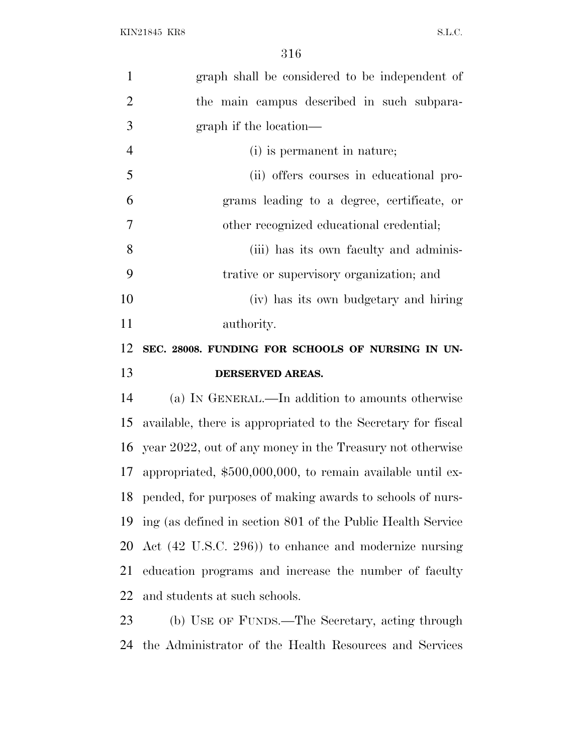| $\mathbf{1}$                                 | graph shall be considered to be independent of                |
|----------------------------------------------|---------------------------------------------------------------|
| $\overline{2}$                               | the main campus described in such subpara-                    |
| 3                                            | graph if the location—                                        |
| $\overline{4}$                               | (i) is permanent in nature;                                   |
| 5                                            | (ii) offers courses in educational pro-                       |
| 6                                            | grams leading to a degree, certificate, or                    |
| $\overline{7}$                               | other recognized educational credential;                      |
| 8                                            | (iii) has its own faculty and adminis-                        |
| 9                                            | trative or supervisory organization; and                      |
| 10                                           | (iv) has its own budgetary and hiring                         |
| 11                                           | authority.                                                    |
| 12                                           | SEC. 28008. FUNDING FOR SCHOOLS OF NURSING IN UN-             |
|                                              |                                                               |
|                                              | DERSERVED AREAS.                                              |
|                                              | (a) IN GENERAL.—In addition to amounts otherwise              |
|                                              | available, there is appropriated to the Secretary for fiscal  |
|                                              | year 2022, out of any money in the Treasury not otherwise     |
|                                              | 17 appropriated, \$500,000,000, to remain available until ex- |
|                                              | 18 pended, for purposes of making awards to schools of nurs-  |
|                                              | ing (as defined in section 801 of the Public Health Service   |
|                                              | Act (42 U.S.C. 296)) to enhance and modernize nursing         |
|                                              | education programs and increase the number of faculty         |
| 13<br>14<br>15<br>16<br>19<br>20<br>21<br>22 | and students at such schools.                                 |
| 23                                           | (b) USE OF FUNDS.—The Secretary, acting through               |

the Administrator of the Health Resources and Services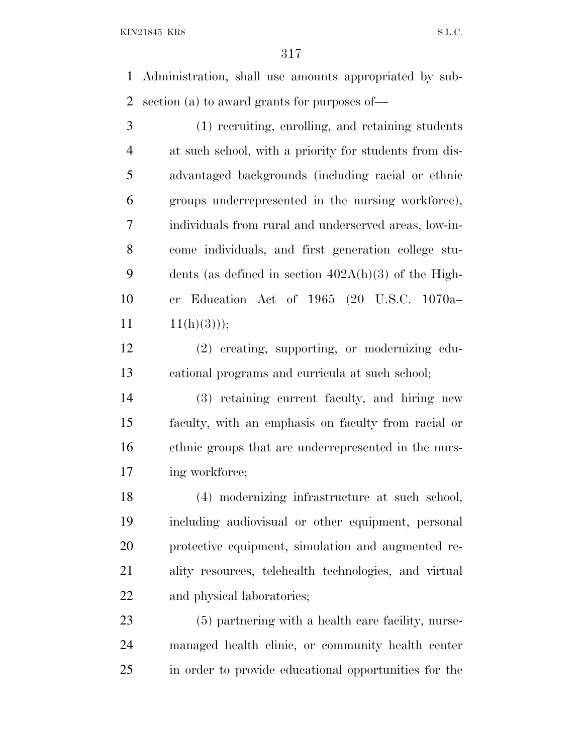Administration, shall use amounts appropriated by sub-section (a) to award grants for purposes of—

 (1) recruiting, enrolling, and retaining students at such school, with a priority for students from dis- advantaged backgrounds (including racial or ethnic groups underrepresented in the nursing workforce), individuals from rural and underserved areas, low-in- come individuals, and first generation college stu- dents (as defined in section 402A(h)(3) of the High- er Education Act of 1965 (20 U.S.C. 1070a–  $11(h)(3))$ ;

 (2) creating, supporting, or modernizing edu-cational programs and curricula at such school;

 (3) retaining current faculty, and hiring new faculty, with an emphasis on faculty from racial or ethnic groups that are underrepresented in the nurs-17 ing workforce;

 (4) modernizing infrastructure at such school, including audiovisual or other equipment, personal protective equipment, simulation and augmented re- ality resources, telehealth technologies, and virtual and physical laboratories;

 (5) partnering with a health care facility, nurse- managed health clinic, or community health center in order to provide educational opportunities for the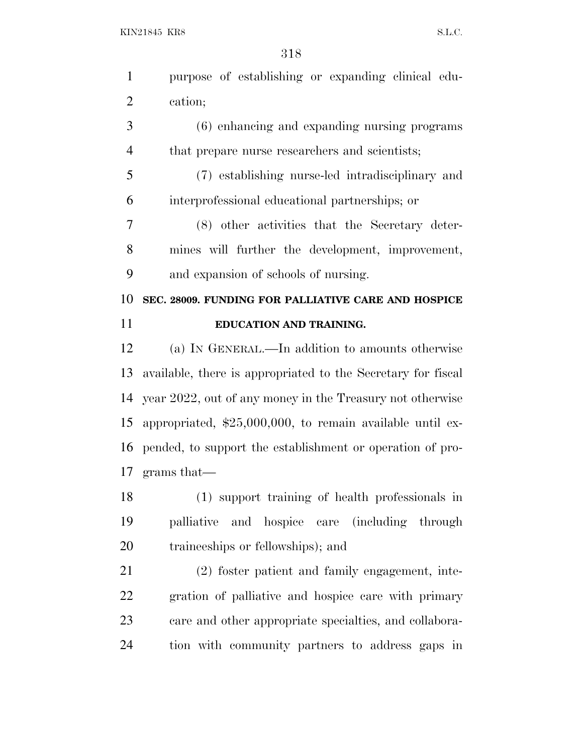purpose of establishing or expanding clinical edu-cation;

 (6) enhancing and expanding nursing programs that prepare nurse researchers and scientists;

 (7) establishing nurse-led intradisciplinary and interprofessional educational partnerships; or

 (8) other activities that the Secretary deter- mines will further the development, improvement, and expansion of schools of nursing.

 **SEC. 28009. FUNDING FOR PALLIATIVE CARE AND HOSPICE EDUCATION AND TRAINING.**

 (a) I<sup>N</sup> GENERAL.—In addition to amounts otherwise available, there is appropriated to the Secretary for fiscal year 2022, out of any money in the Treasury not otherwise appropriated, \$25,000,000, to remain available until ex- pended, to support the establishment or operation of pro-grams that—

 (1) support training of health professionals in palliative and hospice care (including through traineeships or fellowships); and

 (2) foster patient and family engagement, inte- gration of palliative and hospice care with primary care and other appropriate specialties, and collabora-tion with community partners to address gaps in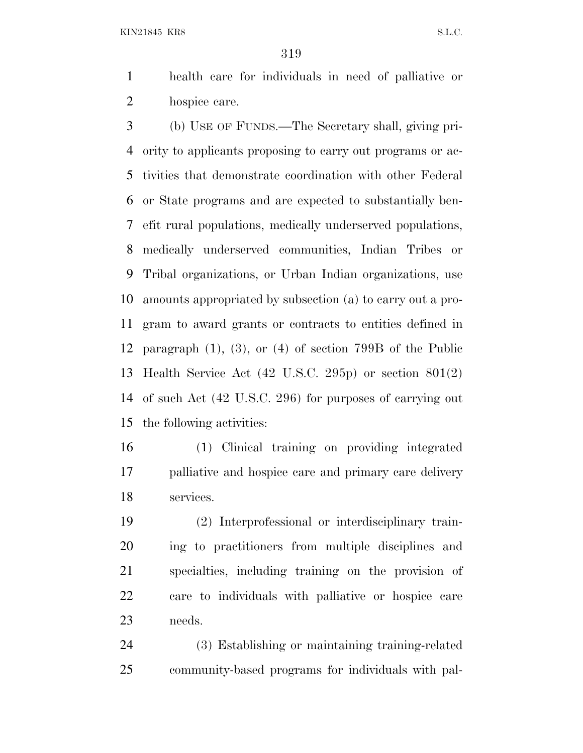health care for individuals in need of palliative or hospice care.

 (b) USE OF FUNDS.—The Secretary shall, giving pri- ority to applicants proposing to carry out programs or ac- tivities that demonstrate coordination with other Federal or State programs and are expected to substantially ben- efit rural populations, medically underserved populations, medically underserved communities, Indian Tribes or Tribal organizations, or Urban Indian organizations, use amounts appropriated by subsection (a) to carry out a pro- gram to award grants or contracts to entities defined in paragraph (1), (3), or (4) of section 799B of the Public Health Service Act (42 U.S.C. 295p) or section 801(2) of such Act (42 U.S.C. 296) for purposes of carrying out the following activities:

 (1) Clinical training on providing integrated palliative and hospice care and primary care delivery services.

 (2) Interprofessional or interdisciplinary train- ing to practitioners from multiple disciplines and specialties, including training on the provision of care to individuals with palliative or hospice care needs.

 (3) Establishing or maintaining training-related community-based programs for individuals with pal-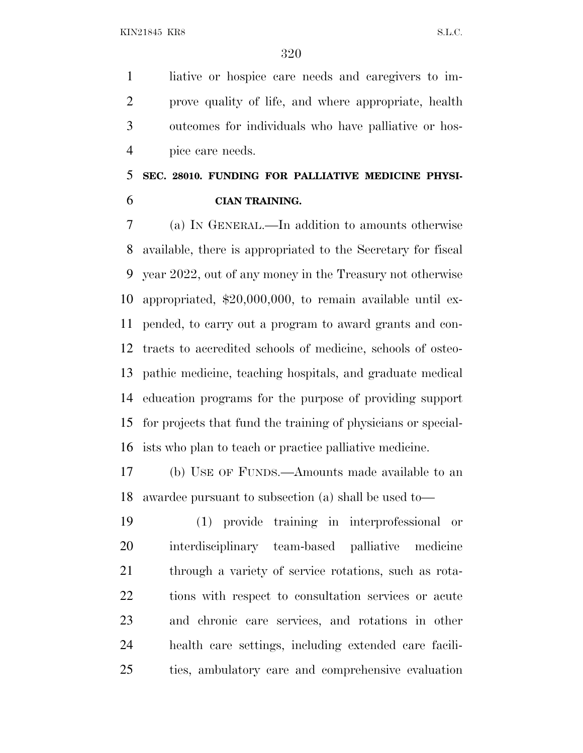liative or hospice care needs and caregivers to im- prove quality of life, and where appropriate, health outcomes for individuals who have palliative or hos-pice care needs.

### **SEC. 28010. FUNDING FOR PALLIATIVE MEDICINE PHYSI-CIAN TRAINING.**

 (a) I<sup>N</sup> GENERAL.—In addition to amounts otherwise available, there is appropriated to the Secretary for fiscal year 2022, out of any money in the Treasury not otherwise appropriated, \$20,000,000, to remain available until ex- pended, to carry out a program to award grants and con- tracts to accredited schools of medicine, schools of osteo- pathic medicine, teaching hospitals, and graduate medical education programs for the purpose of providing support for projects that fund the training of physicians or special-ists who plan to teach or practice palliative medicine.

 (b) USE OF FUNDS.—Amounts made available to an awardee pursuant to subsection (a) shall be used to—

 (1) provide training in interprofessional or interdisciplinary team-based palliative medicine through a variety of service rotations, such as rota- tions with respect to consultation services or acute and chronic care services, and rotations in other health care settings, including extended care facili-ties, ambulatory care and comprehensive evaluation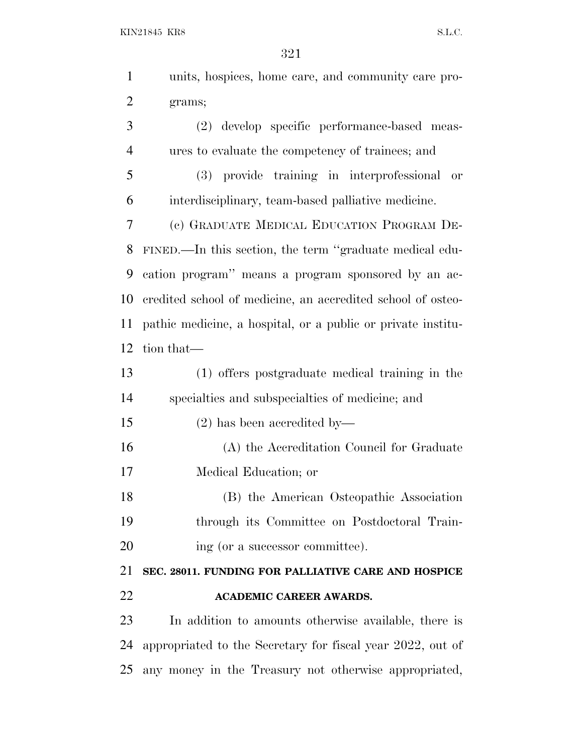|                | 321                                                          |
|----------------|--------------------------------------------------------------|
| $\mathbf{1}$   | units, hospices, home care, and community care pro-          |
| $\overline{2}$ | grams;                                                       |
| 3              | develop specific performance-based meas-<br>(2)              |
| $\overline{4}$ | ures to evaluate the competency of trainees; and             |
| 5              | (3) provide training in interprofessional<br>or              |
| 6              | interdisciplinary, team-based palliative medicine.           |
| 7              | (c) GRADUATE MEDICAL EDUCATION PROGRAM DE-                   |
| 8              | FINED.—In this section, the term "graduate medical edu-      |
| 9              | cation program" means a program sponsored by an ac-          |
| 10             | credited school of medicine, an accredited school of osteo-  |
| 11             | pathic medicine, a hospital, or a public or private institu- |
| 12             | tion that—                                                   |
| 13             | (1) offers postgraduate medical training in the              |
| 14             | specialties and subspecialties of medicine; and              |
| 15             | $(2)$ has been accredited by—                                |
| 16             | (A) the Accreditation Council for Graduate                   |
| 17             | Medical Education; or                                        |
| 18             | (B) the American Osteopathic Association                     |
| 19             | through its Committee on Postdoctoral Train-                 |

20 ing (or a successor committee).

 **SEC. 28011. FUNDING FOR PALLIATIVE CARE AND HOSPICE ACADEMIC CAREER AWARDS.**

 In addition to amounts otherwise available, there is appropriated to the Secretary for fiscal year 2022, out of any money in the Treasury not otherwise appropriated,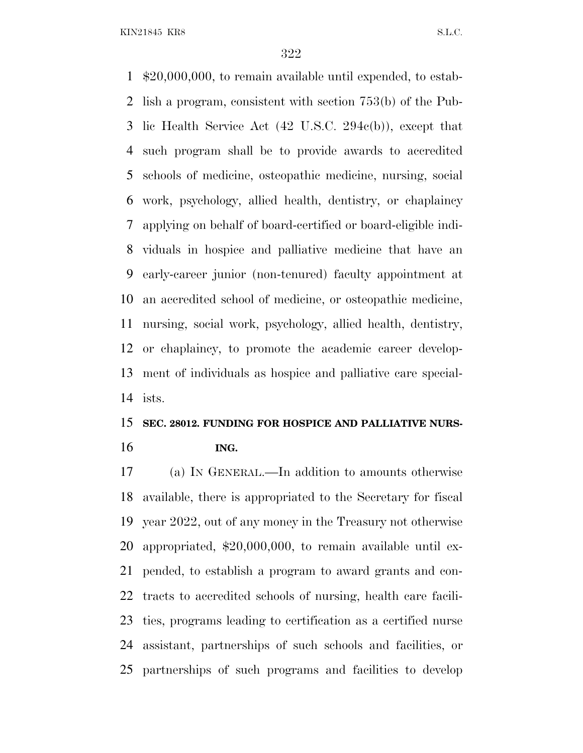\$20,000,000, to remain available until expended, to estab- lish a program, consistent with section 753(b) of the Pub- lic Health Service Act (42 U.S.C. 294c(b)), except that such program shall be to provide awards to accredited schools of medicine, osteopathic medicine, nursing, social work, psychology, allied health, dentistry, or chaplaincy applying on behalf of board-certified or board-eligible indi- viduals in hospice and palliative medicine that have an early-career junior (non-tenured) faculty appointment at an accredited school of medicine, or osteopathic medicine, nursing, social work, psychology, allied health, dentistry, or chaplaincy, to promote the academic career develop- ment of individuals as hospice and palliative care special-ists.

#### **SEC. 28012. FUNDING FOR HOSPICE AND PALLIATIVE NURS-ING.**

 (a) I<sup>N</sup> GENERAL.—In addition to amounts otherwise available, there is appropriated to the Secretary for fiscal year 2022, out of any money in the Treasury not otherwise appropriated, \$20,000,000, to remain available until ex- pended, to establish a program to award grants and con- tracts to accredited schools of nursing, health care facili- ties, programs leading to certification as a certified nurse assistant, partnerships of such schools and facilities, or partnerships of such programs and facilities to develop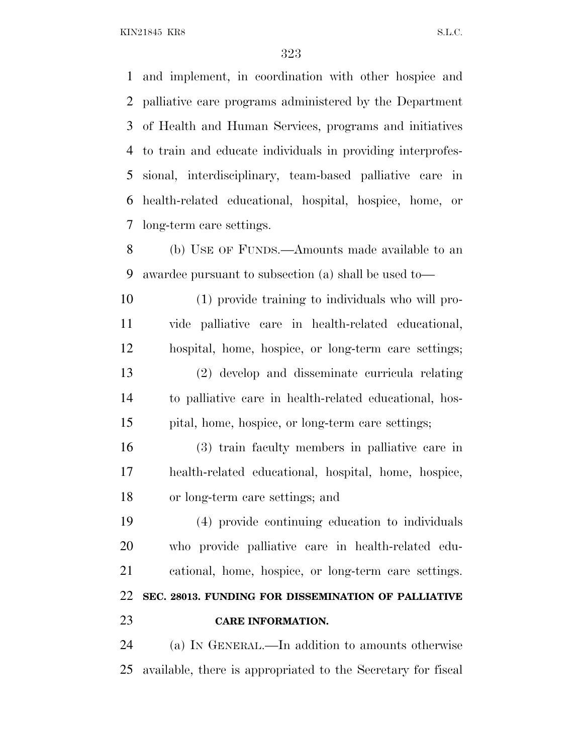and implement, in coordination with other hospice and palliative care programs administered by the Department of Health and Human Services, programs and initiatives to train and educate individuals in providing interprofes- sional, interdisciplinary, team-based palliative care in health-related educational, hospital, hospice, home, or long-term care settings.

 (b) USE OF FUNDS.—Amounts made available to an awardee pursuant to subsection (a) shall be used to—

 (1) provide training to individuals who will pro- vide palliative care in health-related educational, hospital, home, hospice, or long-term care settings; (2) develop and disseminate curricula relating to palliative care in health-related educational, hos-pital, home, hospice, or long-term care settings;

 (3) train faculty members in palliative care in health-related educational, hospital, home, hospice, or long-term care settings; and

 (4) provide continuing education to individuals who provide palliative care in health-related edu- cational, home, hospice, or long-term care settings. **SEC. 28013. FUNDING FOR DISSEMINATION OF PALLIATIVE CARE INFORMATION.**

 (a) I<sup>N</sup> GENERAL.—In addition to amounts otherwise available, there is appropriated to the Secretary for fiscal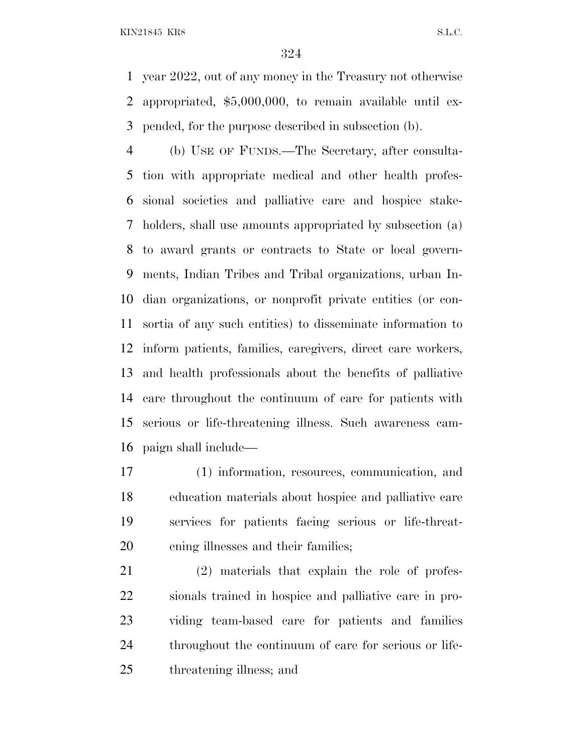year 2022, out of any money in the Treasury not otherwise appropriated, \$5,000,000, to remain available until ex-pended, for the purpose described in subsection (b).

 (b) USE OF FUNDS.—The Secretary, after consulta- tion with appropriate medical and other health profes- sional societies and palliative care and hospice stake- holders, shall use amounts appropriated by subsection (a) to award grants or contracts to State or local govern- ments, Indian Tribes and Tribal organizations, urban In- dian organizations, or nonprofit private entities (or con- sortia of any such entities) to disseminate information to inform patients, families, caregivers, direct care workers, and health professionals about the benefits of palliative care throughout the continuum of care for patients with serious or life-threatening illness. Such awareness cam-paign shall include—

 (1) information, resources, communication, and education materials about hospice and palliative care services for patients facing serious or life-threat-ening illnesses and their families;

 (2) materials that explain the role of profes- sionals trained in hospice and palliative care in pro- viding team-based care for patients and families throughout the continuum of care for serious or life-threatening illness; and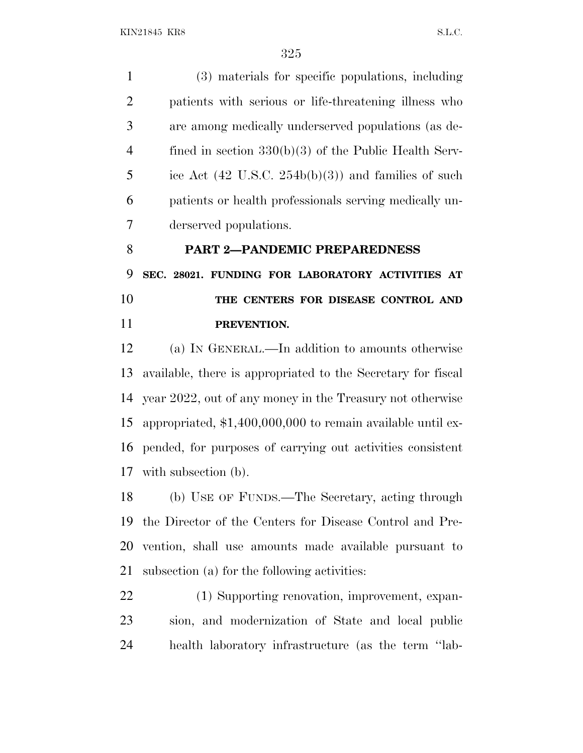(3) materials for specific populations, including patients with serious or life-threatening illness who are among medically underserved populations (as de- fined in section 330(b)(3) of the Public Health Serv- ice Act (42 U.S.C. 254b(b)(3)) and families of such patients or health professionals serving medically un-derserved populations.

 **PART 2—PANDEMIC PREPAREDNESS SEC. 28021. FUNDING FOR LABORATORY ACTIVITIES AT THE CENTERS FOR DISEASE CONTROL AND PREVENTION.**

 (a) I<sup>N</sup> GENERAL.—In addition to amounts otherwise available, there is appropriated to the Secretary for fiscal year 2022, out of any money in the Treasury not otherwise appropriated, \$1,400,000,000 to remain available until ex- pended, for purposes of carrying out activities consistent with subsection (b).

 (b) USE OF FUNDS.—The Secretary, acting through the Director of the Centers for Disease Control and Pre- vention, shall use amounts made available pursuant to subsection (a) for the following activities:

 (1) Supporting renovation, improvement, expan- sion, and modernization of State and local public health laboratory infrastructure (as the term ''lab-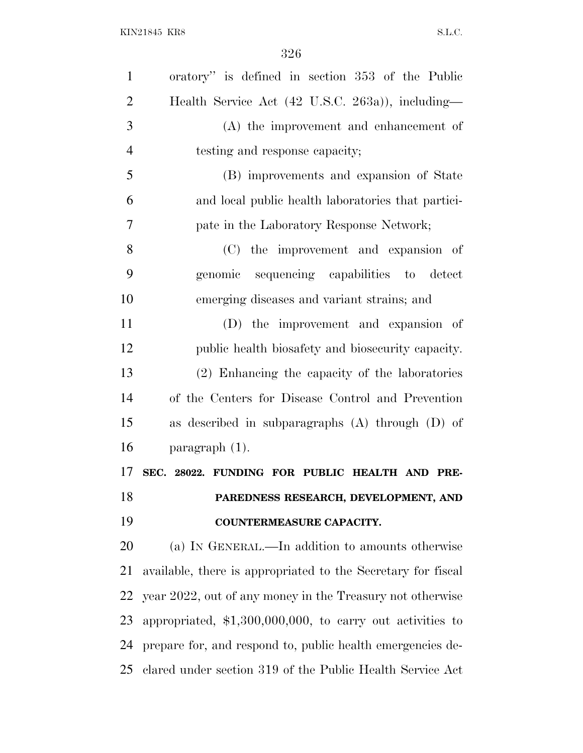| $\mathbf{1}$   | oratory" is defined in section 353 of the Public             |
|----------------|--------------------------------------------------------------|
| $\overline{2}$ | Health Service Act (42 U.S.C. 263a)), including-             |
| 3              | $(A)$ the improvement and enhancement of                     |
| $\overline{4}$ | testing and response capacity;                               |
| 5              | (B) improvements and expansion of State                      |
| 6              | and local public health laboratories that partici-           |
| $\tau$         | pate in the Laboratory Response Network;                     |
| 8              | (C) the improvement and expansion of                         |
| 9              | sequencing capabilities to detect<br>genomic                 |
| 10             | emerging diseases and variant strains; and                   |
| 11             | (D) the improvement and expansion of                         |
| 12             | public health biosafety and biosecurity capacity.            |
| 13             | (2) Enhancing the capacity of the laboratories               |
| 14             | of the Centers for Disease Control and Prevention            |
| 15             | as described in subparagraphs $(A)$ through $(D)$ of         |
| 16             | paragraph $(1)$ .                                            |
| 17             | SEC. 28022. FUNDING FOR PUBLIC HEALTH AND PRE-               |
| 18             | PAREDNESS RESEARCH, DEVELOPMENT, AND                         |
| 19             | COUNTERMEASURE CAPACITY.                                     |
| 20             | (a) IN GENERAL.—In addition to amounts otherwise             |
| 21             | available, there is appropriated to the Secretary for fiscal |
| 22             | year 2022, out of any money in the Treasury not otherwise    |
| 23             | appropriated, $$1,300,000,000$ , to carry out activities to  |
| 24             | prepare for, and respond to, public health emergencies de-   |
| 25             | clared under section 319 of the Public Health Service Act    |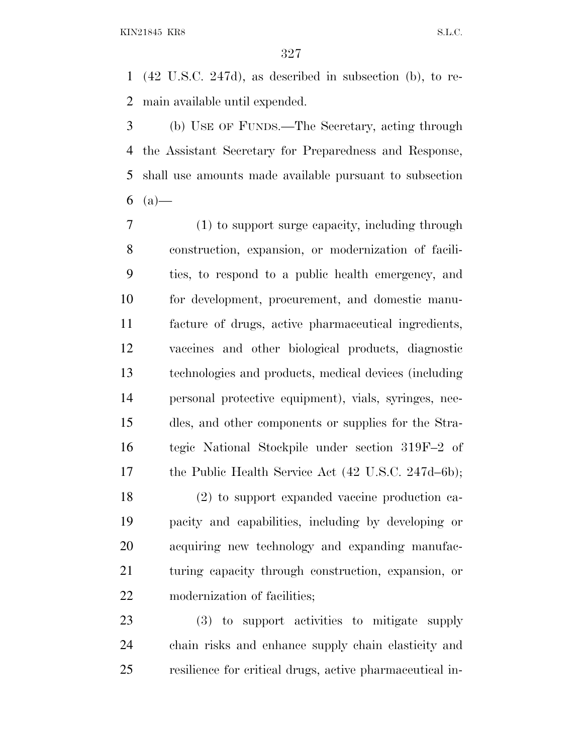(42 U.S.C. 247d), as described in subsection (b), to re-main available until expended.

 (b) USE OF FUNDS.—The Secretary, acting through the Assistant Secretary for Preparedness and Response, shall use amounts made available pursuant to subsection 6  $(a)$ —

 (1) to support surge capacity, including through construction, expansion, or modernization of facili- ties, to respond to a public health emergency, and for development, procurement, and domestic manu- facture of drugs, active pharmaceutical ingredients, vaccines and other biological products, diagnostic technologies and products, medical devices (including personal protective equipment), vials, syringes, nee- dles, and other components or supplies for the Stra- tegic National Stockpile under section 319F–2 of the Public Health Service Act (42 U.S.C. 247d–6b);

 (2) to support expanded vaccine production ca- pacity and capabilities, including by developing or acquiring new technology and expanding manufac- turing capacity through construction, expansion, or modernization of facilities;

 (3) to support activities to mitigate supply chain risks and enhance supply chain elasticity and resilience for critical drugs, active pharmaceutical in-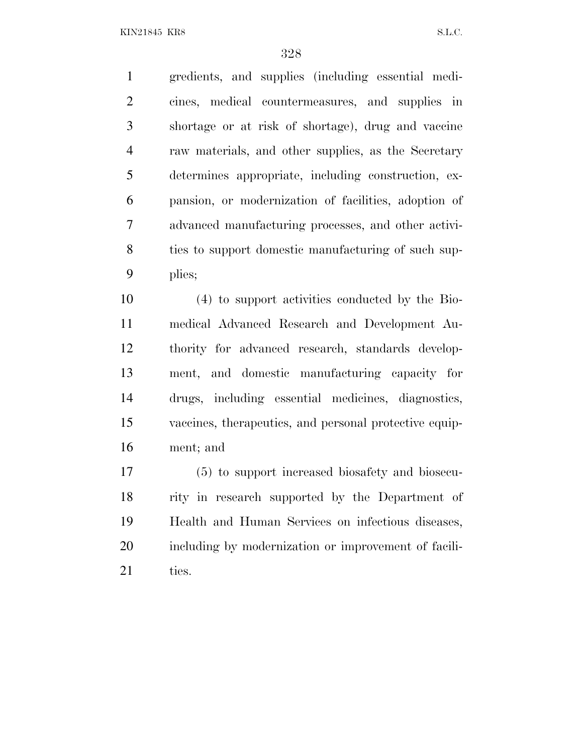gredients, and supplies (including essential medi- cines, medical countermeasures, and supplies in shortage or at risk of shortage), drug and vaccine raw materials, and other supplies, as the Secretary determines appropriate, including construction, ex- pansion, or modernization of facilities, adoption of advanced manufacturing processes, and other activi-8 ties to support domestic manufacturing of such sup-plies;

 (4) to support activities conducted by the Bio- medical Advanced Research and Development Au- thority for advanced research, standards develop- ment, and domestic manufacturing capacity for drugs, including essential medicines, diagnostics, vaccines, therapeutics, and personal protective equip-ment; and

 (5) to support increased biosafety and biosecu- rity in research supported by the Department of Health and Human Services on infectious diseases, including by modernization or improvement of facili-21 ties.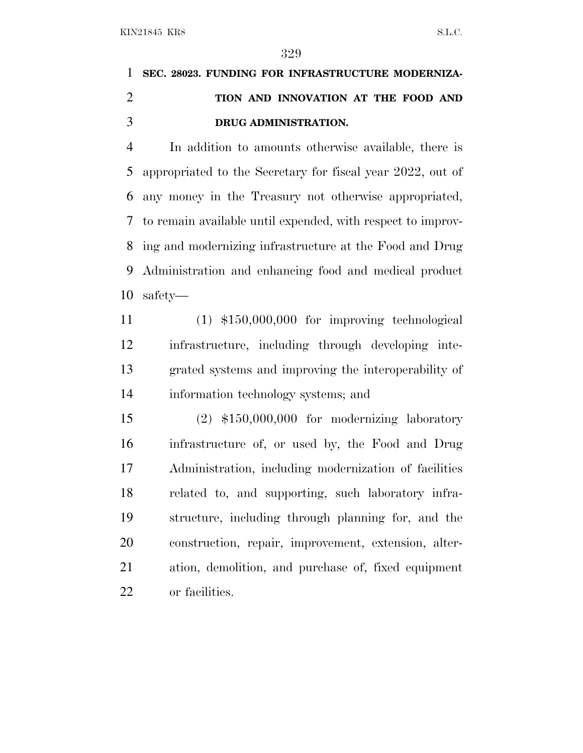# **SEC. 28023. FUNDING FOR INFRASTRUCTURE MODERNIZA- TION AND INNOVATION AT THE FOOD AND DRUG ADMINISTRATION.**

 In addition to amounts otherwise available, there is appropriated to the Secretary for fiscal year 2022, out of any money in the Treasury not otherwise appropriated, to remain available until expended, with respect to improv- ing and modernizing infrastructure at the Food and Drug Administration and enhancing food and medical product safety—

 (1) \$150,000,000 for improving technological infrastructure, including through developing inte- grated systems and improving the interoperability of information technology systems; and

 (2) \$150,000,000 for modernizing laboratory infrastructure of, or used by, the Food and Drug Administration, including modernization of facilities related to, and supporting, such laboratory infra- structure, including through planning for, and the construction, repair, improvement, extension, alter- ation, demolition, and purchase of, fixed equipment or facilities.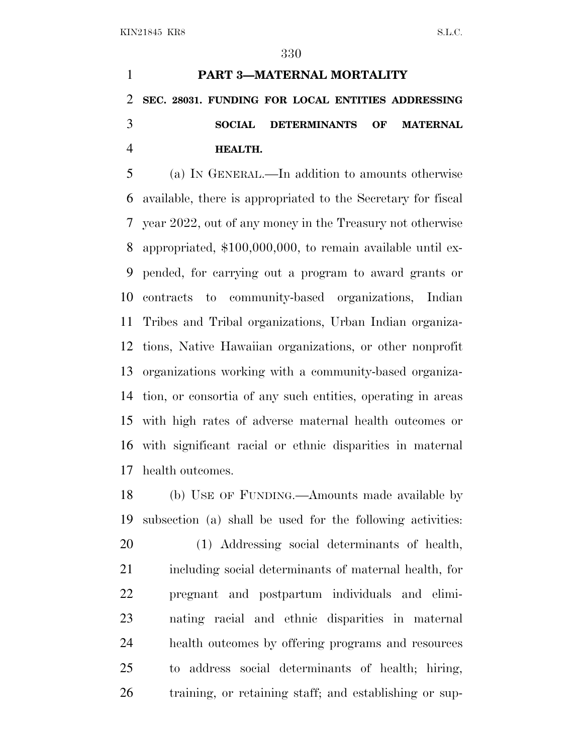# **PART 3—MATERNAL MORTALITY SEC. 28031. FUNDING FOR LOCAL ENTITIES ADDRESSING SOCIAL DETERMINANTS OF MATERNAL HEALTH.**

 (a) I<sup>N</sup> GENERAL.—In addition to amounts otherwise available, there is appropriated to the Secretary for fiscal year 2022, out of any money in the Treasury not otherwise appropriated, \$100,000,000, to remain available until ex- pended, for carrying out a program to award grants or contracts to community-based organizations, Indian Tribes and Tribal organizations, Urban Indian organiza- tions, Native Hawaiian organizations, or other nonprofit organizations working with a community-based organiza- tion, or consortia of any such entities, operating in areas with high rates of adverse maternal health outcomes or with significant racial or ethnic disparities in maternal health outcomes.

 (b) USE OF FUNDING.—Amounts made available by subsection (a) shall be used for the following activities: (1) Addressing social determinants of health, including social determinants of maternal health, for pregnant and postpartum individuals and elimi- nating racial and ethnic disparities in maternal health outcomes by offering programs and resources to address social determinants of health; hiring, training, or retaining staff; and establishing or sup-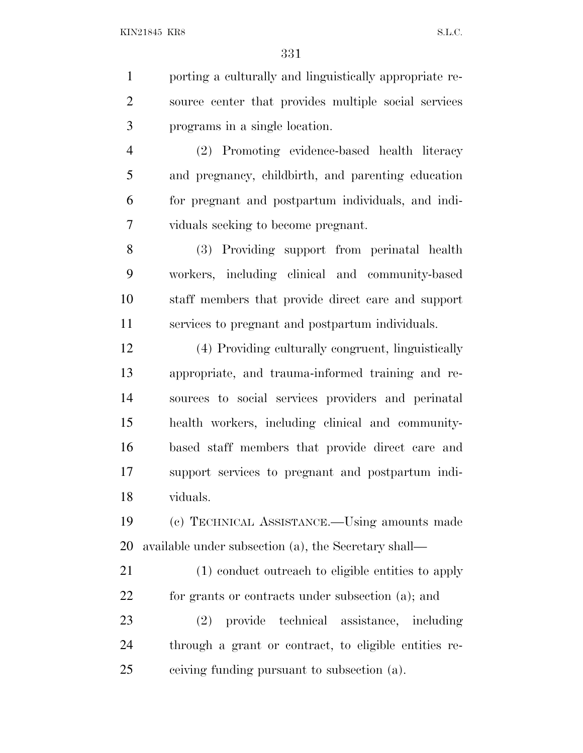porting a culturally and linguistically appropriate re- source center that provides multiple social services programs in a single location.

 (2) Promoting evidence-based health literacy and pregnancy, childbirth, and parenting education for pregnant and postpartum individuals, and indi-viduals seeking to become pregnant.

 (3) Providing support from perinatal health workers, including clinical and community-based staff members that provide direct care and support services to pregnant and postpartum individuals.

 (4) Providing culturally congruent, linguistically appropriate, and trauma-informed training and re- sources to social services providers and perinatal health workers, including clinical and community- based staff members that provide direct care and support services to pregnant and postpartum indi-viduals.

 (c) TECHNICAL ASSISTANCE.—Using amounts made available under subsection (a), the Secretary shall—

 (1) conduct outreach to eligible entities to apply for grants or contracts under subsection (a); and

 (2) provide technical assistance, including through a grant or contract, to eligible entities re-ceiving funding pursuant to subsection (a).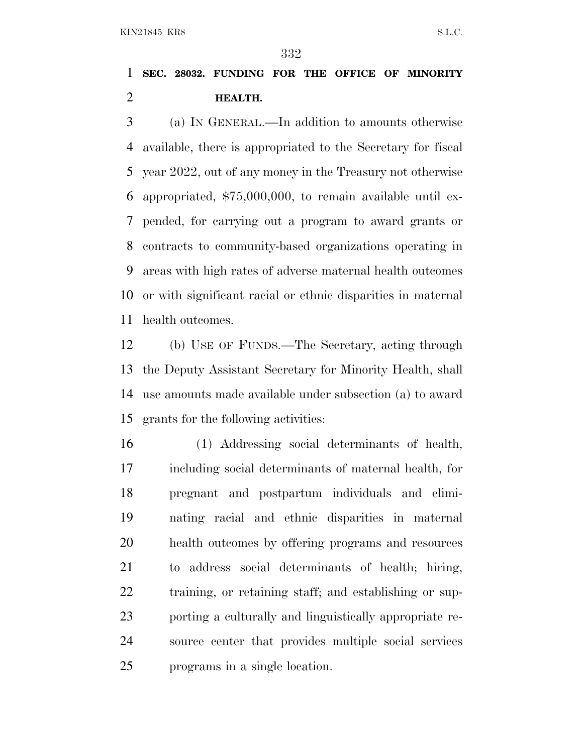### **SEC. 28032. FUNDING FOR THE OFFICE OF MINORITY HEALTH.**

 (a) I<sup>N</sup> GENERAL.—In addition to amounts otherwise available, there is appropriated to the Secretary for fiscal year 2022, out of any money in the Treasury not otherwise appropriated, \$75,000,000, to remain available until ex- pended, for carrying out a program to award grants or contracts to community-based organizations operating in areas with high rates of adverse maternal health outcomes or with significant racial or ethnic disparities in maternal health outcomes.

 (b) USE OF FUNDS.—The Secretary, acting through the Deputy Assistant Secretary for Minority Health, shall use amounts made available under subsection (a) to award grants for the following activities:

 (1) Addressing social determinants of health, including social determinants of maternal health, for pregnant and postpartum individuals and elimi- nating racial and ethnic disparities in maternal health outcomes by offering programs and resources to address social determinants of health; hiring, training, or retaining staff; and establishing or sup- porting a culturally and linguistically appropriate re- source center that provides multiple social services programs in a single location.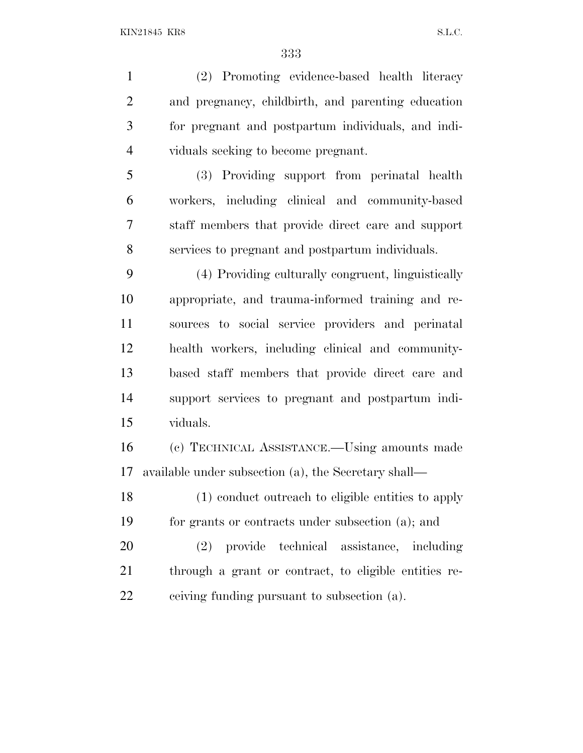(2) Promoting evidence-based health literacy and pregnancy, childbirth, and parenting education for pregnant and postpartum individuals, and indi- viduals seeking to become pregnant. (3) Providing support from perinatal health workers, including clinical and community-based staff members that provide direct care and support services to pregnant and postpartum individuals. (4) Providing culturally congruent, linguistically appropriate, and trauma-informed training and re- sources to social service providers and perinatal health workers, including clinical and community- based staff members that provide direct care and support services to pregnant and postpartum indi-

viduals.

 (c) TECHNICAL ASSISTANCE.—Using amounts made available under subsection (a), the Secretary shall—

 (1) conduct outreach to eligible entities to apply for grants or contracts under subsection (a); and

 (2) provide technical assistance, including through a grant or contract, to eligible entities re-ceiving funding pursuant to subsection (a).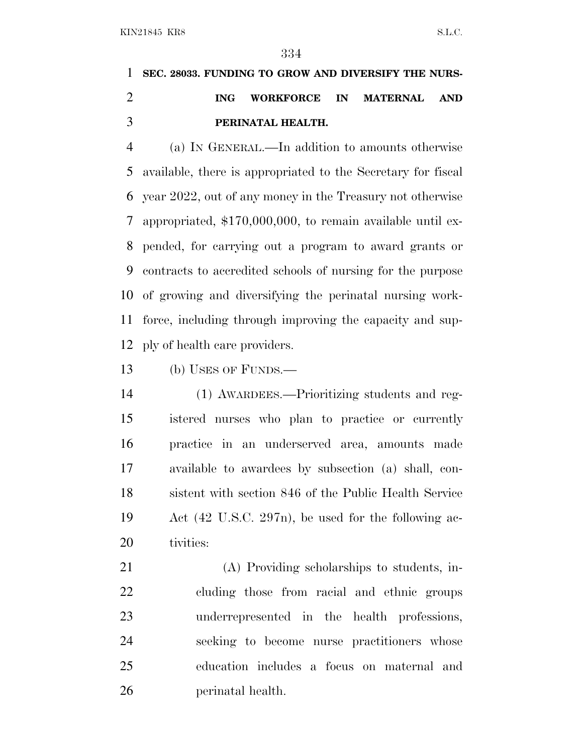# **SEC. 28033. FUNDING TO GROW AND DIVERSIFY THE NURS- ING WORKFORCE IN MATERNAL AND PERINATAL HEALTH.**

 (a) I<sup>N</sup> GENERAL.—In addition to amounts otherwise available, there is appropriated to the Secretary for fiscal year 2022, out of any money in the Treasury not otherwise appropriated, \$170,000,000, to remain available until ex- pended, for carrying out a program to award grants or contracts to accredited schools of nursing for the purpose of growing and diversifying the perinatal nursing work- force, including through improving the capacity and sup-ply of health care providers.

(b) USES OF FUNDS.—

 (1) AWARDEES.—Prioritizing students and reg- istered nurses who plan to practice or currently practice in an underserved area, amounts made available to awardees by subsection (a) shall, con- sistent with section 846 of the Public Health Service Act (42 U.S.C. 297n), be used for the following ac-tivities:

 (A) Providing scholarships to students, in- cluding those from racial and ethnic groups underrepresented in the health professions, seeking to become nurse practitioners whose education includes a focus on maternal and perinatal health.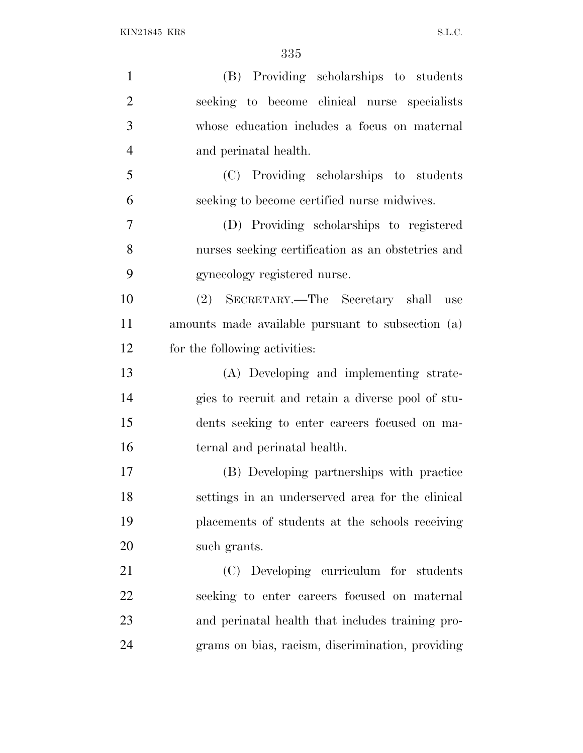| $\mathbf{1}$   | (B) Providing scholarships to students            |
|----------------|---------------------------------------------------|
| $\overline{2}$ | seeking to become clinical nurse specialists      |
| 3              | whose education includes a focus on maternal      |
| $\overline{4}$ | and perinatal health.                             |
| 5              | (C) Providing scholarships to students            |
| 6              | seeking to become certified nurse midwives.       |
| 7              | (D) Providing scholarships to registered          |
| 8              | nurses seeking certification as an obstetrics and |
| 9              | gynecology registered nurse.                      |
| 10             | (2) SECRETARY.—The Secretary shall<br>use         |
| 11             | amounts made available pursuant to subsection (a) |
| 12             | for the following activities:                     |
| 13             | (A) Developing and implementing strate-           |
| 14             | gies to recruit and retain a diverse pool of stu- |
| 15             | dents seeking to enter careers focused on ma-     |
| 16             | ternal and perinatal health.                      |
| 17             | (B) Developing partnerships with practice         |
| 18             | settings in an underserved area for the clinical  |
| 19             | placements of students at the schools receiving   |
| 20             | such grants.                                      |
| 21             | (C) Developing curriculum for students            |
| 22             | seeking to enter careers focused on maternal      |
| 23             | and perinatal health that includes training pro-  |
| 24             | grams on bias, racism, discrimination, providing  |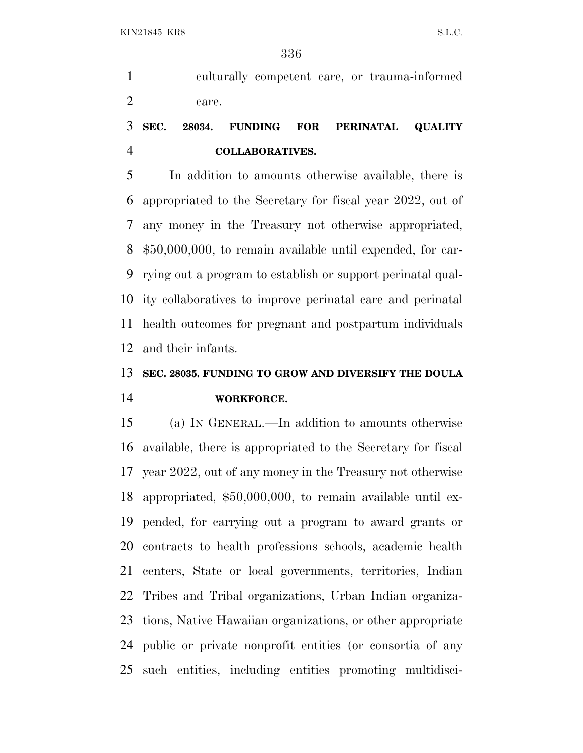culturally competent care, or trauma-informed care.

### **SEC. 28034. FUNDING FOR PERINATAL QUALITY COLLABORATIVES.**

 In addition to amounts otherwise available, there is appropriated to the Secretary for fiscal year 2022, out of any money in the Treasury not otherwise appropriated, \$50,000,000, to remain available until expended, for car- rying out a program to establish or support perinatal qual- ity collaboratives to improve perinatal care and perinatal health outcomes for pregnant and postpartum individuals and their infants.

## **SEC. 28035. FUNDING TO GROW AND DIVERSIFY THE DOULA WORKFORCE.**

 (a) I<sup>N</sup> GENERAL.—In addition to amounts otherwise available, there is appropriated to the Secretary for fiscal year 2022, out of any money in the Treasury not otherwise appropriated, \$50,000,000, to remain available until ex- pended, for carrying out a program to award grants or contracts to health professions schools, academic health centers, State or local governments, territories, Indian Tribes and Tribal organizations, Urban Indian organiza- tions, Native Hawaiian organizations, or other appropriate public or private nonprofit entities (or consortia of any such entities, including entities promoting multidisci-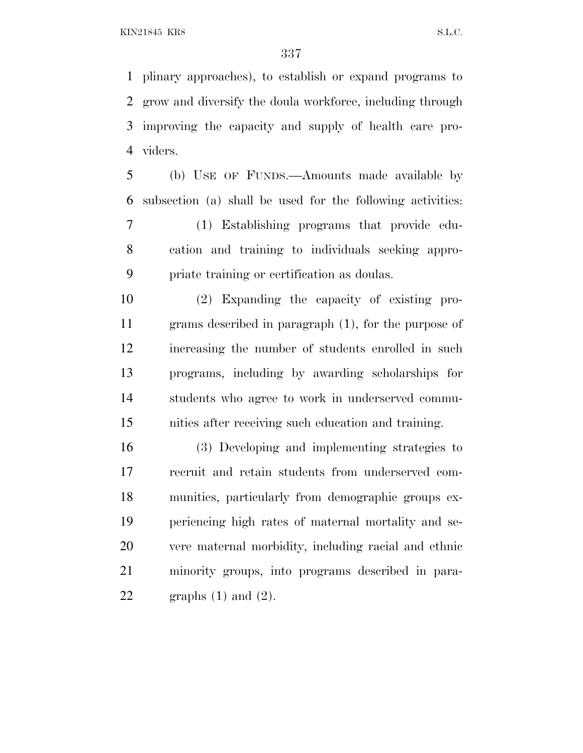plinary approaches), to establish or expand programs to grow and diversify the doula workforce, including through improving the capacity and supply of health care pro-viders.

 (b) USE OF FUNDS.—Amounts made available by subsection (a) shall be used for the following activities:

 (1) Establishing programs that provide edu- cation and training to individuals seeking appro-priate training or certification as doulas.

 (2) Expanding the capacity of existing pro- grams described in paragraph (1), for the purpose of increasing the number of students enrolled in such programs, including by awarding scholarships for students who agree to work in underserved commu-nities after receiving such education and training.

 (3) Developing and implementing strategies to recruit and retain students from underserved com- munities, particularly from demographic groups ex- periencing high rates of maternal mortality and se- vere maternal morbidity, including racial and ethnic minority groups, into programs described in para-22 graphs  $(1)$  and  $(2)$ .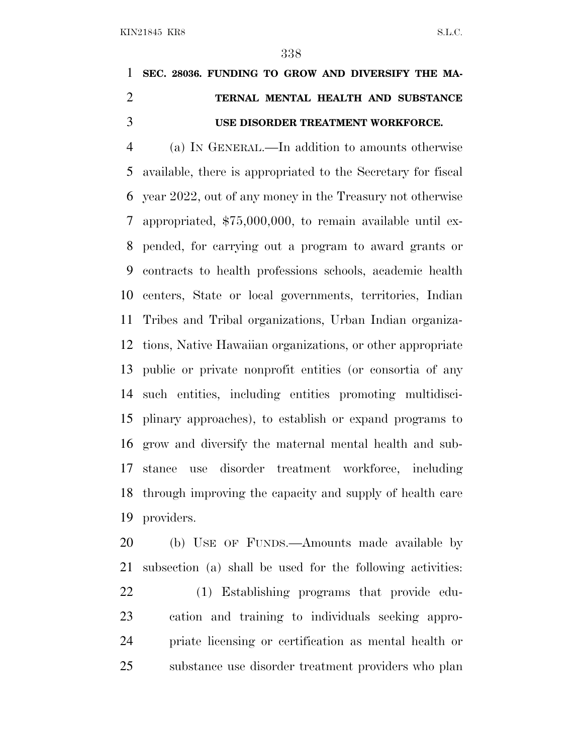# **SEC. 28036. FUNDING TO GROW AND DIVERSIFY THE MA- TERNAL MENTAL HEALTH AND SUBSTANCE USE DISORDER TREATMENT WORKFORCE.**

 (a) I<sup>N</sup> GENERAL.—In addition to amounts otherwise available, there is appropriated to the Secretary for fiscal year 2022, out of any money in the Treasury not otherwise appropriated, \$75,000,000, to remain available until ex- pended, for carrying out a program to award grants or contracts to health professions schools, academic health centers, State or local governments, territories, Indian Tribes and Tribal organizations, Urban Indian organiza- tions, Native Hawaiian organizations, or other appropriate public or private nonprofit entities (or consortia of any such entities, including entities promoting multidisci- plinary approaches), to establish or expand programs to grow and diversify the maternal mental health and sub- stance use disorder treatment workforce, including through improving the capacity and supply of health care providers.

 (b) USE OF FUNDS.—Amounts made available by subsection (a) shall be used for the following activities: (1) Establishing programs that provide edu- cation and training to individuals seeking appro- priate licensing or certification as mental health or substance use disorder treatment providers who plan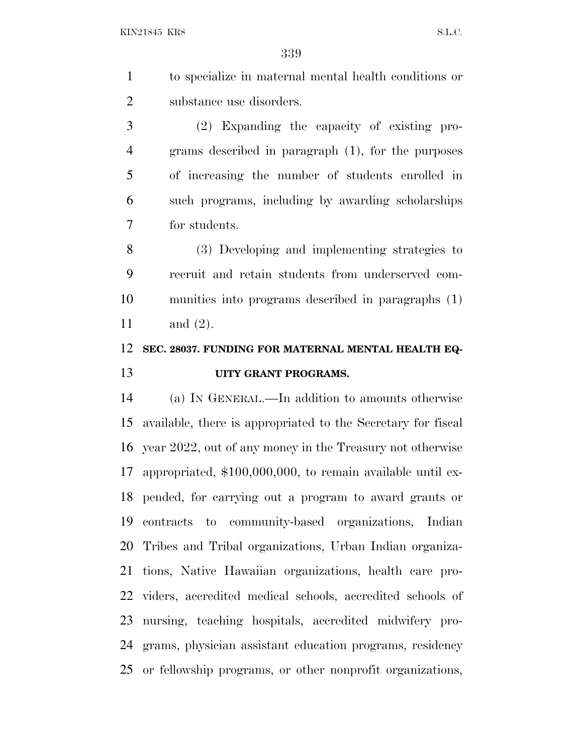to specialize in maternal mental health conditions or substance use disorders.

 (2) Expanding the capacity of existing pro- grams described in paragraph (1), for the purposes of increasing the number of students enrolled in such programs, including by awarding scholarships for students.

 (3) Developing and implementing strategies to recruit and retain students from underserved com- munities into programs described in paragraphs (1) and (2).

#### **SEC. 28037. FUNDING FOR MATERNAL MENTAL HEALTH EQ-UITY GRANT PROGRAMS.**

 (a) I<sup>N</sup> GENERAL.—In addition to amounts otherwise available, there is appropriated to the Secretary for fiscal year 2022, out of any money in the Treasury not otherwise appropriated, \$100,000,000, to remain available until ex- pended, for carrying out a program to award grants or contracts to community-based organizations, Indian Tribes and Tribal organizations, Urban Indian organiza- tions, Native Hawaiian organizations, health care pro- viders, accredited medical schools, accredited schools of nursing, teaching hospitals, accredited midwifery pro- grams, physician assistant education programs, residency or fellowship programs, or other nonprofit organizations,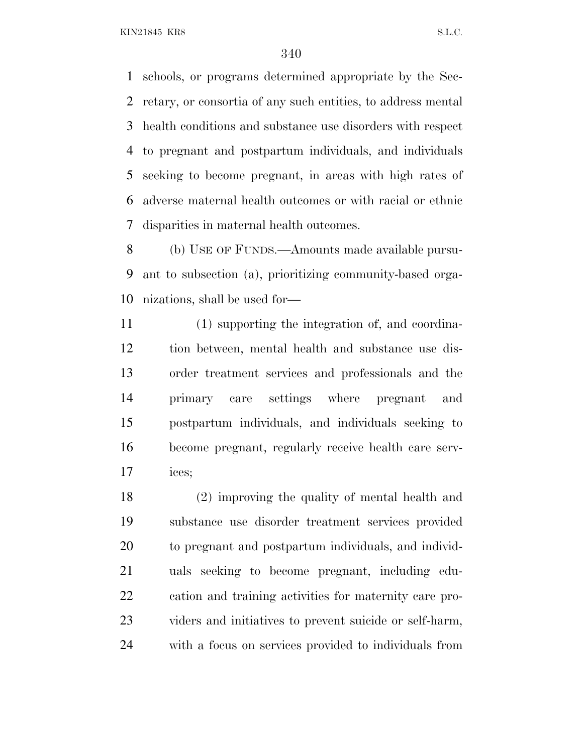schools, or programs determined appropriate by the Sec- retary, or consortia of any such entities, to address mental health conditions and substance use disorders with respect to pregnant and postpartum individuals, and individuals seeking to become pregnant, in areas with high rates of adverse maternal health outcomes or with racial or ethnic disparities in maternal health outcomes.

 (b) USE OF FUNDS.—Amounts made available pursu- ant to subsection (a), prioritizing community-based orga-nizations, shall be used for—

 (1) supporting the integration of, and coordina- tion between, mental health and substance use dis- order treatment services and professionals and the primary care settings where pregnant and postpartum individuals, and individuals seeking to become pregnant, regularly receive health care serv-ices;

 (2) improving the quality of mental health and substance use disorder treatment services provided to pregnant and postpartum individuals, and individ- uals seeking to become pregnant, including edu- cation and training activities for maternity care pro- viders and initiatives to prevent suicide or self-harm, with a focus on services provided to individuals from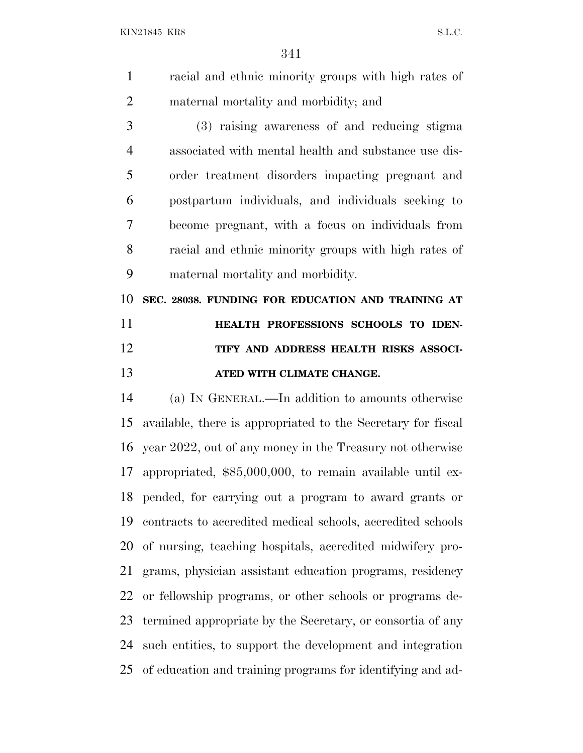| racial and ethnic minority groups with high rates of |
|------------------------------------------------------|
| maternal mortality and morbidity; and                |

 (3) raising awareness of and reducing stigma associated with mental health and substance use dis- order treatment disorders impacting pregnant and postpartum individuals, and individuals seeking to become pregnant, with a focus on individuals from racial and ethnic minority groups with high rates of maternal mortality and morbidity.

 **SEC. 28038. FUNDING FOR EDUCATION AND TRAINING AT HEALTH PROFESSIONS SCHOOLS TO IDEN- TIFY AND ADDRESS HEALTH RISKS ASSOCI-ATED WITH CLIMATE CHANGE.**

 (a) I<sup>N</sup> GENERAL.—In addition to amounts otherwise available, there is appropriated to the Secretary for fiscal year 2022, out of any money in the Treasury not otherwise appropriated, \$85,000,000, to remain available until ex- pended, for carrying out a program to award grants or contracts to accredited medical schools, accredited schools of nursing, teaching hospitals, accredited midwifery pro- grams, physician assistant education programs, residency or fellowship programs, or other schools or programs de- termined appropriate by the Secretary, or consortia of any such entities, to support the development and integration of education and training programs for identifying and ad-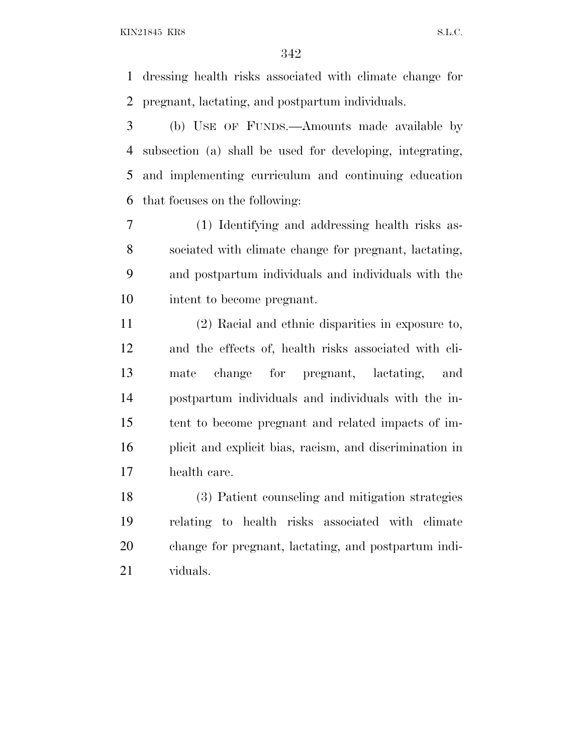dressing health risks associated with climate change for pregnant, lactating, and postpartum individuals.

 (b) USE OF FUNDS.—Amounts made available by subsection (a) shall be used for developing, integrating, and implementing curriculum and continuing education that focuses on the following:

 (1) Identifying and addressing health risks as- sociated with climate change for pregnant, lactating, and postpartum individuals and individuals with the intent to become pregnant.

 (2) Racial and ethnic disparities in exposure to, and the effects of, health risks associated with cli- mate change for pregnant, lactating, and postpartum individuals and individuals with the in- tent to become pregnant and related impacts of im- plicit and explicit bias, racism, and discrimination in health care.

 (3) Patient counseling and mitigation strategies relating to health risks associated with climate change for pregnant, lactating, and postpartum indi-viduals.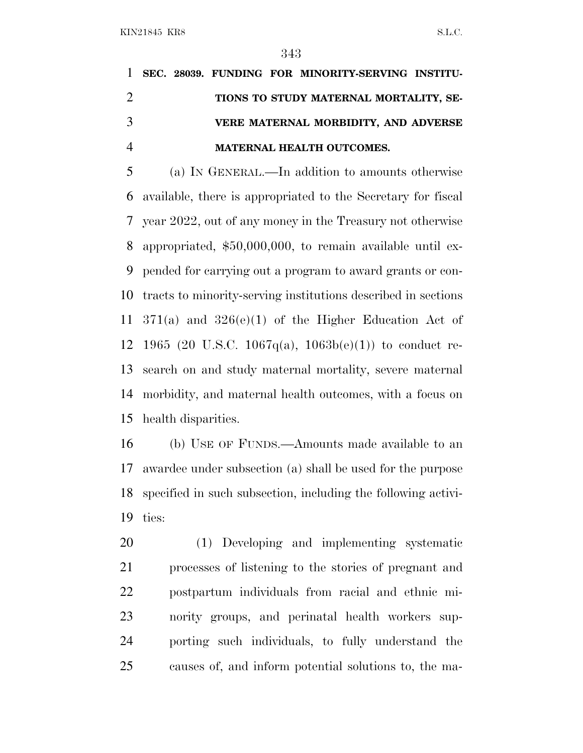# **SEC. 28039. FUNDING FOR MINORITY-SERVING INSTITU- TIONS TO STUDY MATERNAL MORTALITY, SE- VERE MATERNAL MORBIDITY, AND ADVERSE MATERNAL HEALTH OUTCOMES.**

 (a) I<sup>N</sup> GENERAL.—In addition to amounts otherwise available, there is appropriated to the Secretary for fiscal year 2022, out of any money in the Treasury not otherwise appropriated, \$50,000,000, to remain available until ex- pended for carrying out a program to award grants or con- tracts to minority-serving institutions described in sections 371(a) and 326(e)(1) of the Higher Education Act of 12 1965 (20 U.S.C. 1067 $q(a)$ , 1063 $b(e)(1)$ ) to conduct re- search on and study maternal mortality, severe maternal morbidity, and maternal health outcomes, with a focus on health disparities.

 (b) USE OF FUNDS.—Amounts made available to an awardee under subsection (a) shall be used for the purpose specified in such subsection, including the following activi-ties:

 (1) Developing and implementing systematic processes of listening to the stories of pregnant and postpartum individuals from racial and ethnic mi- nority groups, and perinatal health workers sup- porting such individuals, to fully understand the causes of, and inform potential solutions to, the ma-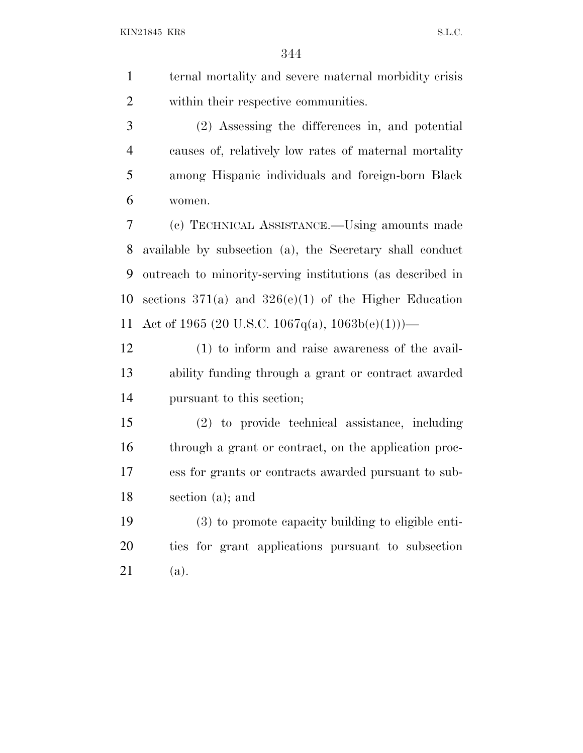ternal mortality and severe maternal morbidity crisis within their respective communities.

 (2) Assessing the differences in, and potential causes of, relatively low rates of maternal mortality among Hispanic individuals and foreign-born Black women.

 (c) TECHNICAL ASSISTANCE.—Using amounts made available by subsection (a), the Secretary shall conduct outreach to minority-serving institutions (as described in sections 371(a) and 326(e)(1) of the Higher Education 11 Act of 1965 (20 U.S.C. 1067q(a),  $1063b(e)(1))$ —

 (1) to inform and raise awareness of the avail- ability funding through a grant or contract awarded pursuant to this section;

 (2) to provide technical assistance, including through a grant or contract, on the application proc- ess for grants or contracts awarded pursuant to sub-section (a); and

 (3) to promote capacity building to eligible enti- ties for grant applications pursuant to subsection (a).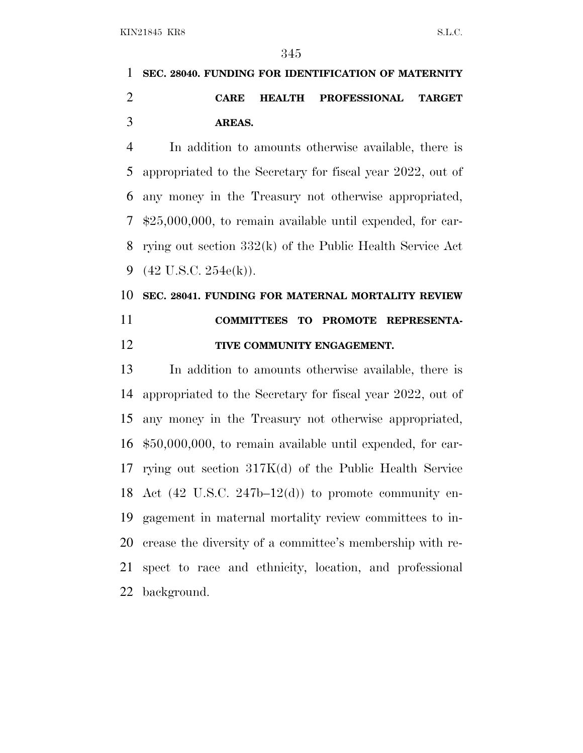**SEC. 28040. FUNDING FOR IDENTIFICATION OF MATERNITY CARE HEALTH PROFESSIONAL TARGET AREAS.**

 In addition to amounts otherwise available, there is appropriated to the Secretary for fiscal year 2022, out of any money in the Treasury not otherwise appropriated, \$25,000,000, to remain available until expended, for car- rying out section 332(k) of the Public Health Service Act (42 U.S.C. 254e(k)).

## **SEC. 28041. FUNDING FOR MATERNAL MORTALITY REVIEW COMMITTEES TO PROMOTE REPRESENTA-TIVE COMMUNITY ENGAGEMENT.**

 In addition to amounts otherwise available, there is appropriated to the Secretary for fiscal year 2022, out of any money in the Treasury not otherwise appropriated, \$50,000,000, to remain available until expended, for car- rying out section 317K(d) of the Public Health Service 18 Act  $(42 \text{ U.S.C. } 247b-12(d))$  to promote community en- gagement in maternal mortality review committees to in- crease the diversity of a committee's membership with re- spect to race and ethnicity, location, and professional background.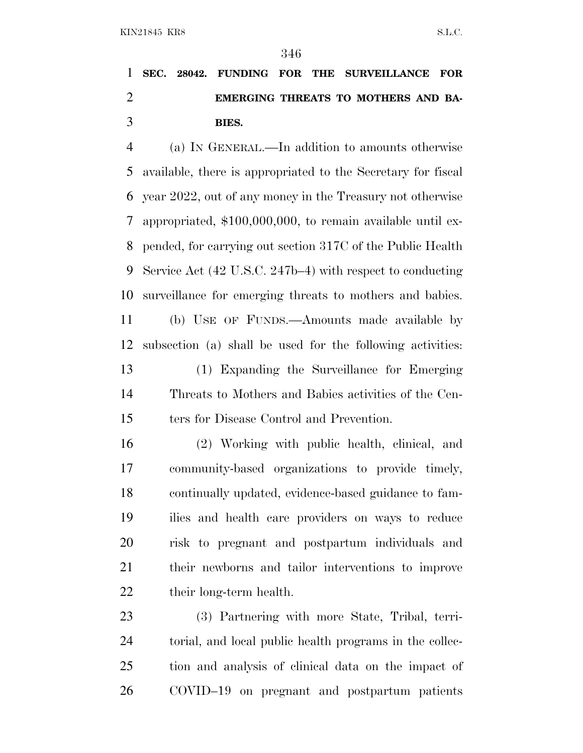# **SEC. 28042. FUNDING FOR THE SURVEILLANCE FOR EMERGING THREATS TO MOTHERS AND BA-BIES.**

 (a) I<sup>N</sup> GENERAL.—In addition to amounts otherwise available, there is appropriated to the Secretary for fiscal year 2022, out of any money in the Treasury not otherwise appropriated, \$100,000,000, to remain available until ex- pended, for carrying out section 317C of the Public Health Service Act (42 U.S.C. 247b–4) with respect to conducting surveillance for emerging threats to mothers and babies. (b) USE OF FUNDS.—Amounts made available by subsection (a) shall be used for the following activities: (1) Expanding the Surveillance for Emerging Threats to Mothers and Babies activities of the Cen-

ters for Disease Control and Prevention.

 (2) Working with public health, clinical, and community-based organizations to provide timely, continually updated, evidence-based guidance to fam- ilies and health care providers on ways to reduce risk to pregnant and postpartum individuals and their newborns and tailor interventions to improve 22 their long-term health.

 (3) Partnering with more State, Tribal, terri- torial, and local public health programs in the collec- tion and analysis of clinical data on the impact of COVID–19 on pregnant and postpartum patients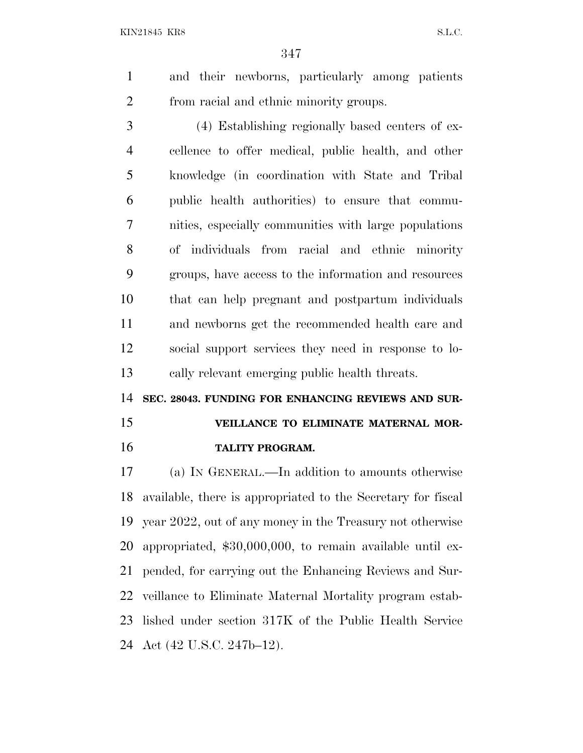and their newborns, particularly among patients from racial and ethnic minority groups.

 (4) Establishing regionally based centers of ex- cellence to offer medical, public health, and other knowledge (in coordination with State and Tribal public health authorities) to ensure that commu- nities, especially communities with large populations of individuals from racial and ethnic minority groups, have access to the information and resources that can help pregnant and postpartum individuals and newborns get the recommended health care and social support services they need in response to lo-cally relevant emerging public health threats.

**SEC. 28043. FUNDING FOR ENHANCING REVIEWS AND SUR-**

**VEILLANCE TO ELIMINATE MATERNAL MOR-**

# **TALITY PROGRAM.**

 (a) I<sup>N</sup> GENERAL.—In addition to amounts otherwise available, there is appropriated to the Secretary for fiscal year 2022, out of any money in the Treasury not otherwise appropriated, \$30,000,000, to remain available until ex- pended, for carrying out the Enhancing Reviews and Sur- veillance to Eliminate Maternal Mortality program estab- lished under section 317K of the Public Health Service Act (42 U.S.C. 247b–12).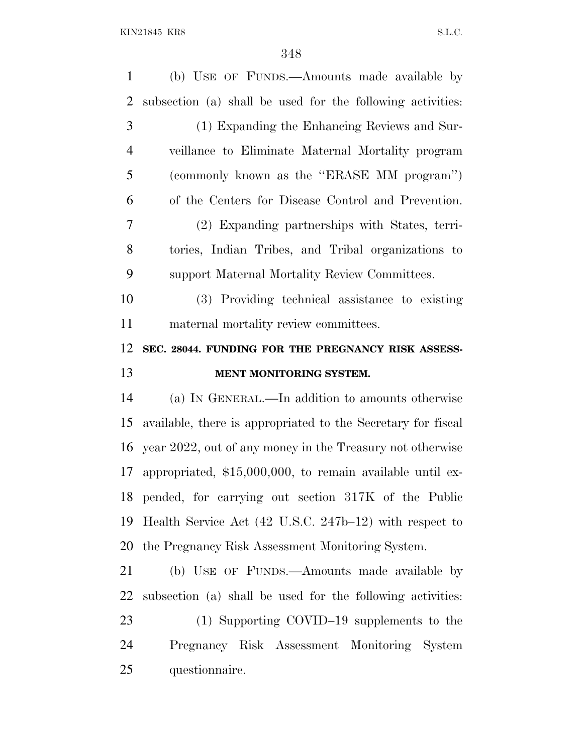| $\mathbf{1}$   | (b) USE OF FUNDS.—Amounts made available by                       |
|----------------|-------------------------------------------------------------------|
| 2              | subsection (a) shall be used for the following activities:        |
| 3              | (1) Expanding the Enhancing Reviews and Sur-                      |
| $\overline{4}$ | veillance to Eliminate Maternal Mortality program                 |
| 5              | (commonly known as the "ERASE MM program")                        |
| 6              | of the Centers for Disease Control and Prevention.                |
| 7              | (2) Expanding partnerships with States, terri-                    |
| 8              | tories, Indian Tribes, and Tribal organizations to                |
| 9              | support Maternal Mortality Review Committees.                     |
| 10             | (3) Providing technical assistance to existing                    |
| 11             | maternal mortality review committees.                             |
| 12             | SEC. 28044. FUNDING FOR THE PREGNANCY RISK ASSESS-                |
|                |                                                                   |
| 13             | MENT MONITORING SYSTEM.                                           |
| 14             | (a) IN GENERAL.—In addition to amounts otherwise                  |
| 15             | available, there is appropriated to the Secretary for fiscal      |
| 16             | year 2022, out of any money in the Treasury not otherwise         |
| 17             | appropriated, $$15,000,000$ , to remain available until ex-       |
| 18             | pended, for carrying out section 317K of the Public               |
| 19             | Health Service Act $(42 \text{ U.S.C. } 247b-12)$ with respect to |
| 20             | the Pregnancy Risk Assessment Monitoring System.                  |
| 21             | (b) USE OF FUNDS.—Amounts made available by                       |
| 22             | subsection (a) shall be used for the following activities:        |
| 23             | (1) Supporting COVID-19 supplements to the                        |
| 24             | Pregnancy Risk Assessment Monitoring System                       |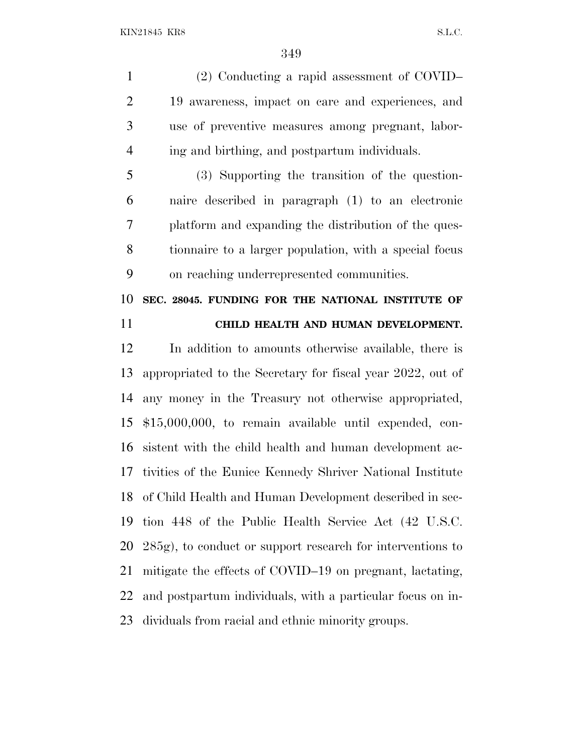(2) Conducting a rapid assessment of COVID– 19 awareness, impact on care and experiences, and use of preventive measures among pregnant, labor-ing and birthing, and postpartum individuals.

 (3) Supporting the transition of the question- naire described in paragraph (1) to an electronic platform and expanding the distribution of the ques- tionnaire to a larger population, with a special focus on reaching underrepresented communities.

 **SEC. 28045. FUNDING FOR THE NATIONAL INSTITUTE OF CHILD HEALTH AND HUMAN DEVELOPMENT.**

 In addition to amounts otherwise available, there is appropriated to the Secretary for fiscal year 2022, out of any money in the Treasury not otherwise appropriated, \$15,000,000, to remain available until expended, con- sistent with the child health and human development ac- tivities of the Eunice Kennedy Shriver National Institute of Child Health and Human Development described in sec- tion 448 of the Public Health Service Act (42 U.S.C. 285g), to conduct or support research for interventions to mitigate the effects of COVID–19 on pregnant, lactating, and postpartum individuals, with a particular focus on in-dividuals from racial and ethnic minority groups.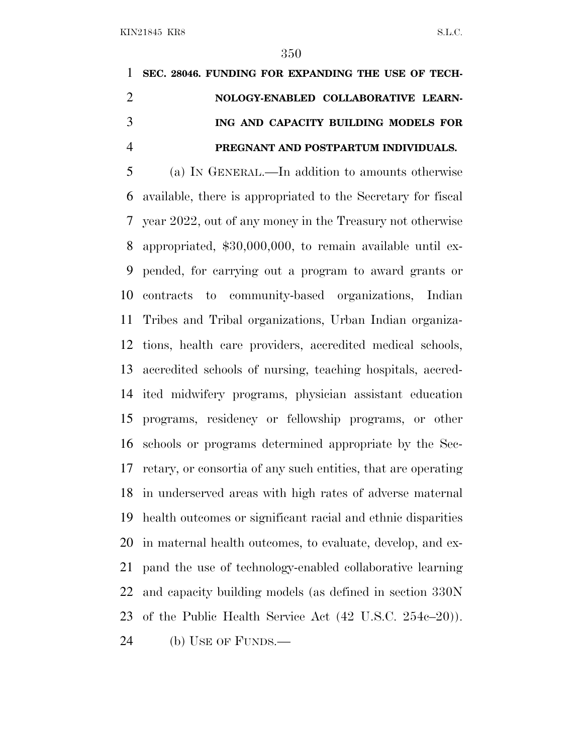# **SEC. 28046. FUNDING FOR EXPANDING THE USE OF TECH- NOLOGY-ENABLED COLLABORATIVE LEARN- ING AND CAPACITY BUILDING MODELS FOR PREGNANT AND POSTPARTUM INDIVIDUALS.**

 (a) I<sup>N</sup> GENERAL.—In addition to amounts otherwise available, there is appropriated to the Secretary for fiscal year 2022, out of any money in the Treasury not otherwise appropriated, \$30,000,000, to remain available until ex- pended, for carrying out a program to award grants or contracts to community-based organizations, Indian Tribes and Tribal organizations, Urban Indian organiza- tions, health care providers, accredited medical schools, accredited schools of nursing, teaching hospitals, accred- ited midwifery programs, physician assistant education programs, residency or fellowship programs, or other schools or programs determined appropriate by the Sec- retary, or consortia of any such entities, that are operating in underserved areas with high rates of adverse maternal health outcomes or significant racial and ethnic disparities in maternal health outcomes, to evaluate, develop, and ex- pand the use of technology-enabled collaborative learning and capacity building models (as defined in section 330N of the Public Health Service Act (42 U.S.C. 254c–20)). (b) USE OF FUNDS.—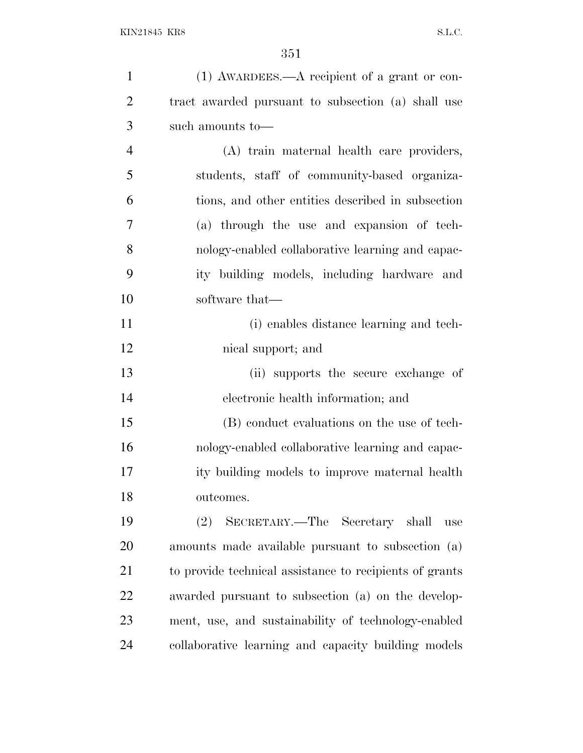| $\mathbf{1}$   | (1) AWARDEES.—A recipient of a grant or con-            |
|----------------|---------------------------------------------------------|
| $\overline{2}$ | tract awarded pursuant to subsection (a) shall use      |
| 3              | such amounts to-                                        |
| $\overline{4}$ | (A) train maternal health care providers,               |
| 5              | students, staff of community-based organiza-            |
| 6              | tions, and other entities described in subsection       |
| 7              | (a) through the use and expansion of tech-              |
| 8              | nology-enabled collaborative learning and capac-        |
| 9              | ity building models, including hardware and             |
| 10             | software that—                                          |
| 11             | (i) enables distance learning and tech-                 |
| 12             | nical support; and                                      |
| 13             | (ii) supports the secure exchange of                    |
| 14             | electronic health information; and                      |
| 15             | (B) conduct evaluations on the use of tech-             |
| 16             | nology-enabled collaborative learning and capac-        |
| 17             | ity building models to improve maternal health          |
| 18             | outcomes.                                               |
| 19             | SECRETARY.—The Secretary shall<br>(2)<br>use            |
| 20             | amounts made available pursuant to subsection (a)       |
| 21             | to provide technical assistance to recipients of grants |
| 22             | awarded pursuant to subsection (a) on the develop-      |
| 23             | ment, use, and sustainability of technology-enabled     |
| 24             | collaborative learning and capacity building models     |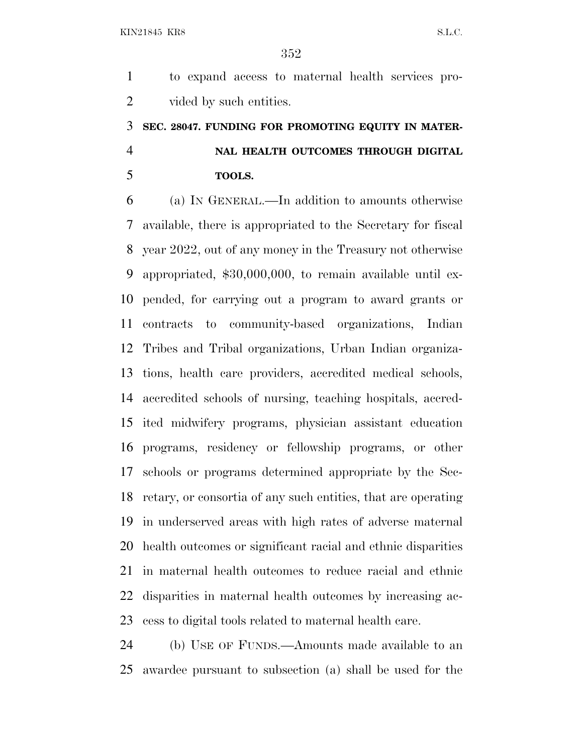to expand access to maternal health services pro-2 vided by such entities.

## **SEC. 28047. FUNDING FOR PROMOTING EQUITY IN MATER- NAL HEALTH OUTCOMES THROUGH DIGITAL TOOLS.**

 (a) I<sup>N</sup> GENERAL.—In addition to amounts otherwise available, there is appropriated to the Secretary for fiscal year 2022, out of any money in the Treasury not otherwise appropriated, \$30,000,000, to remain available until ex- pended, for carrying out a program to award grants or contracts to community-based organizations, Indian Tribes and Tribal organizations, Urban Indian organiza- tions, health care providers, accredited medical schools, accredited schools of nursing, teaching hospitals, accred- ited midwifery programs, physician assistant education programs, residency or fellowship programs, or other schools or programs determined appropriate by the Sec- retary, or consortia of any such entities, that are operating in underserved areas with high rates of adverse maternal health outcomes or significant racial and ethnic disparities in maternal health outcomes to reduce racial and ethnic disparities in maternal health outcomes by increasing ac-cess to digital tools related to maternal health care.

 (b) USE OF FUNDS.—Amounts made available to an awardee pursuant to subsection (a) shall be used for the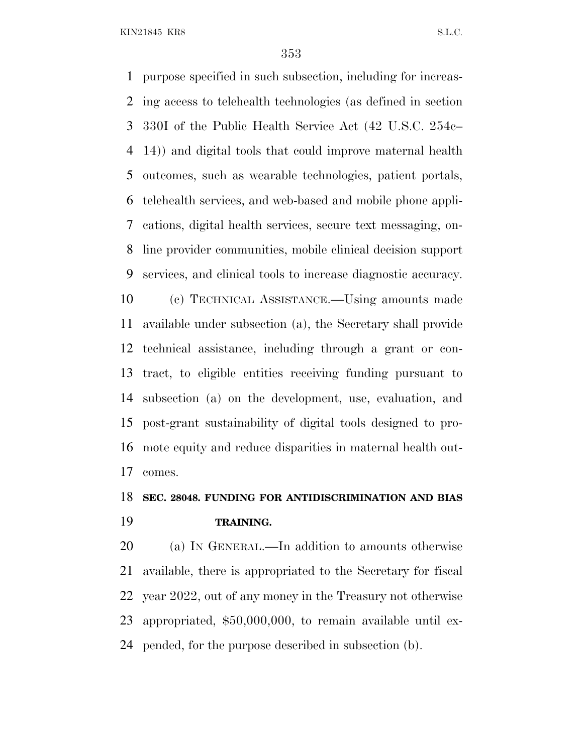purpose specified in such subsection, including for increas- ing access to telehealth technologies (as defined in section 330I of the Public Health Service Act (42 U.S.C. 254c– 14)) and digital tools that could improve maternal health outcomes, such as wearable technologies, patient portals, telehealth services, and web-based and mobile phone appli- cations, digital health services, secure text messaging, on- line provider communities, mobile clinical decision support services, and clinical tools to increase diagnostic accuracy. (c) TECHNICAL ASSISTANCE.—Using amounts made available under subsection (a), the Secretary shall provide technical assistance, including through a grant or con- tract, to eligible entities receiving funding pursuant to subsection (a) on the development, use, evaluation, and post-grant sustainability of digital tools designed to pro- mote equity and reduce disparities in maternal health out-comes.

#### **SEC. 28048. FUNDING FOR ANTIDISCRIMINATION AND BIAS TRAINING.**

 (a) I<sup>N</sup> GENERAL.—In addition to amounts otherwise available, there is appropriated to the Secretary for fiscal year 2022, out of any money in the Treasury not otherwise appropriated, \$50,000,000, to remain available until ex-pended, for the purpose described in subsection (b).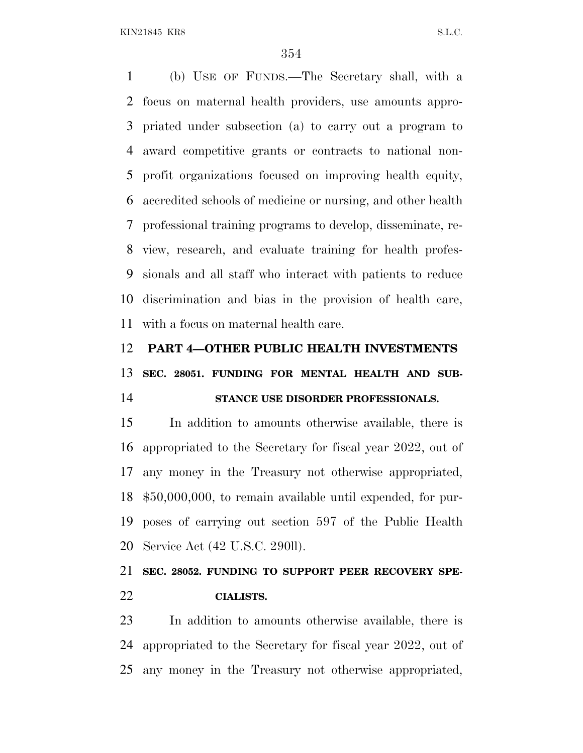(b) USE OF FUNDS.—The Secretary shall, with a focus on maternal health providers, use amounts appro- priated under subsection (a) to carry out a program to award competitive grants or contracts to national non- profit organizations focused on improving health equity, accredited schools of medicine or nursing, and other health professional training programs to develop, disseminate, re- view, research, and evaluate training for health profes- sionals and all staff who interact with patients to reduce discrimination and bias in the provision of health care, with a focus on maternal health care.

#### **PART 4—OTHER PUBLIC HEALTH INVESTMENTS**

**SEC. 28051. FUNDING FOR MENTAL HEALTH AND SUB-**

#### **STANCE USE DISORDER PROFESSIONALS.**

 In addition to amounts otherwise available, there is appropriated to the Secretary for fiscal year 2022, out of any money in the Treasury not otherwise appropriated, \$50,000,000, to remain available until expended, for pur- poses of carrying out section 597 of the Public Health Service Act (42 U.S.C. 290ll).

 **SEC. 28052. FUNDING TO SUPPORT PEER RECOVERY SPE-CIALISTS.**

 In addition to amounts otherwise available, there is appropriated to the Secretary for fiscal year 2022, out of any money in the Treasury not otherwise appropriated,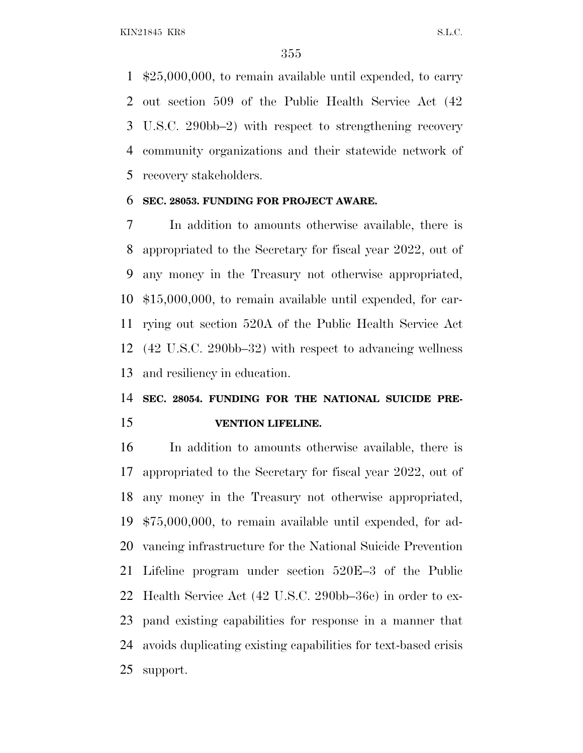\$25,000,000, to remain available until expended, to carry out section 509 of the Public Health Service Act (42 U.S.C. 290bb–2) with respect to strengthening recovery community organizations and their statewide network of recovery stakeholders.

#### **SEC. 28053. FUNDING FOR PROJECT AWARE.**

 In addition to amounts otherwise available, there is appropriated to the Secretary for fiscal year 2022, out of any money in the Treasury not otherwise appropriated, \$15,000,000, to remain available until expended, for car- rying out section 520A of the Public Health Service Act (42 U.S.C. 290bb–32) with respect to advancing wellness and resiliency in education.

## **SEC. 28054. FUNDING FOR THE NATIONAL SUICIDE PRE-VENTION LIFELINE.**

 In addition to amounts otherwise available, there is appropriated to the Secretary for fiscal year 2022, out of any money in the Treasury not otherwise appropriated, \$75,000,000, to remain available until expended, for ad- vancing infrastructure for the National Suicide Prevention Lifeline program under section 520E–3 of the Public Health Service Act (42 U.S.C. 290bb–36c) in order to ex- pand existing capabilities for response in a manner that avoids duplicating existing capabilities for text-based crisis support.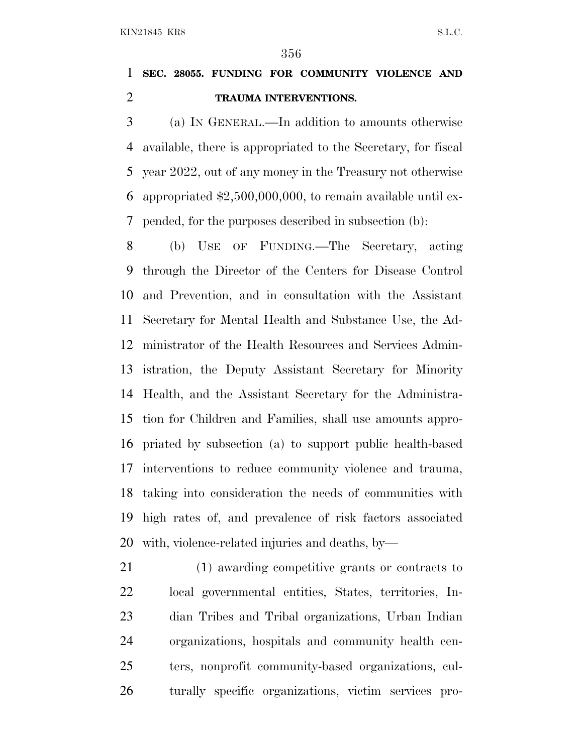### **SEC. 28055. FUNDING FOR COMMUNITY VIOLENCE AND TRAUMA INTERVENTIONS.**

 (a) I<sup>N</sup> GENERAL.—In addition to amounts otherwise available, there is appropriated to the Secretary, for fiscal year 2022, out of any money in the Treasury not otherwise appropriated \$2,500,000,000, to remain available until ex-pended, for the purposes described in subsection (b):

 (b) USE OF FUNDING.—The Secretary, acting through the Director of the Centers for Disease Control and Prevention, and in consultation with the Assistant Secretary for Mental Health and Substance Use, the Ad- ministrator of the Health Resources and Services Admin- istration, the Deputy Assistant Secretary for Minority Health, and the Assistant Secretary for the Administra- tion for Children and Families, shall use amounts appro- priated by subsection (a) to support public health-based interventions to reduce community violence and trauma, taking into consideration the needs of communities with high rates of, and prevalence of risk factors associated with, violence-related injuries and deaths, by—

 (1) awarding competitive grants or contracts to local governmental entities, States, territories, In- dian Tribes and Tribal organizations, Urban Indian organizations, hospitals and community health cen- ters, nonprofit community-based organizations, cul-turally specific organizations, victim services pro-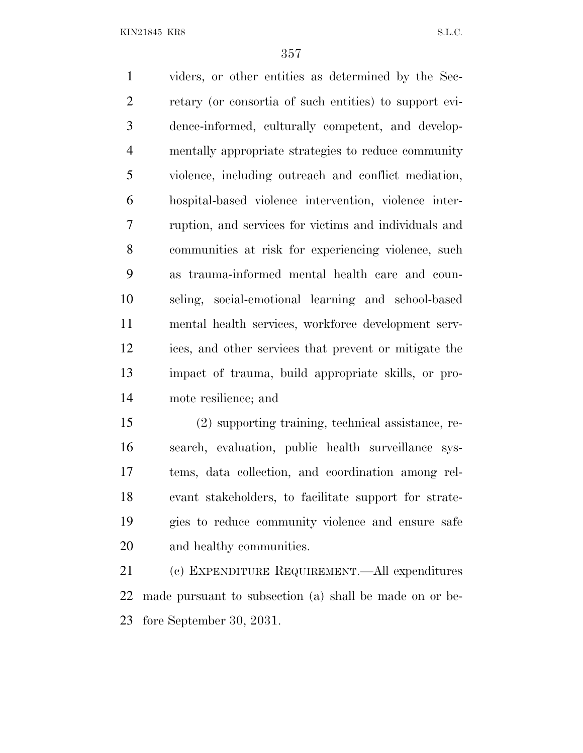viders, or other entities as determined by the Sec- retary (or consortia of such entities) to support evi- dence-informed, culturally competent, and develop- mentally appropriate strategies to reduce community violence, including outreach and conflict mediation, hospital-based violence intervention, violence inter- ruption, and services for victims and individuals and communities at risk for experiencing violence, such as trauma-informed mental health care and coun- seling, social-emotional learning and school-based mental health services, workforce development serv- ices, and other services that prevent or mitigate the impact of trauma, build appropriate skills, or pro-mote resilience; and

 (2) supporting training, technical assistance, re- search, evaluation, public health surveillance sys- tems, data collection, and coordination among rel- evant stakeholders, to facilitate support for strate- gies to reduce community violence and ensure safe and healthy communities.

 (c) EXPENDITURE REQUIREMENT.—All expenditures made pursuant to subsection (a) shall be made on or be-fore September 30, 2031.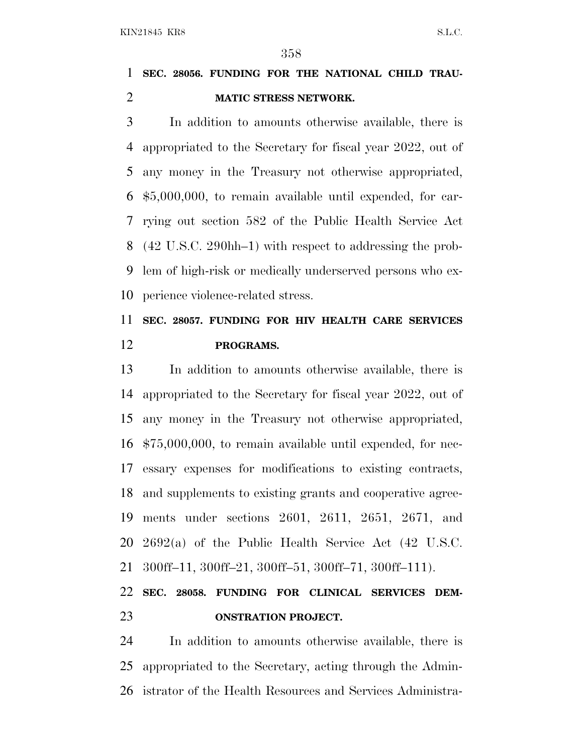#### **SEC. 28056. FUNDING FOR THE NATIONAL CHILD TRAU-MATIC STRESS NETWORK.**

 In addition to amounts otherwise available, there is appropriated to the Secretary for fiscal year 2022, out of any money in the Treasury not otherwise appropriated, \$5,000,000, to remain available until expended, for car- rying out section 582 of the Public Health Service Act (42 U.S.C. 290hh–1) with respect to addressing the prob- lem of high-risk or medically underserved persons who ex-perience violence-related stress.

### **SEC. 28057. FUNDING FOR HIV HEALTH CARE SERVICES PROGRAMS.**

 In addition to amounts otherwise available, there is appropriated to the Secretary for fiscal year 2022, out of any money in the Treasury not otherwise appropriated, \$75,000,000, to remain available until expended, for nec- essary expenses for modifications to existing contracts, and supplements to existing grants and cooperative agree- ments under sections 2601, 2611, 2651, 2671, and 2692(a) of the Public Health Service Act (42 U.S.C. 300ff–11, 300ff–21, 300ff–51, 300ff–71, 300ff–111).

## **SEC. 28058. FUNDING FOR CLINICAL SERVICES DEM-ONSTRATION PROJECT.**

 In addition to amounts otherwise available, there is appropriated to the Secretary, acting through the Admin-istrator of the Health Resources and Services Administra-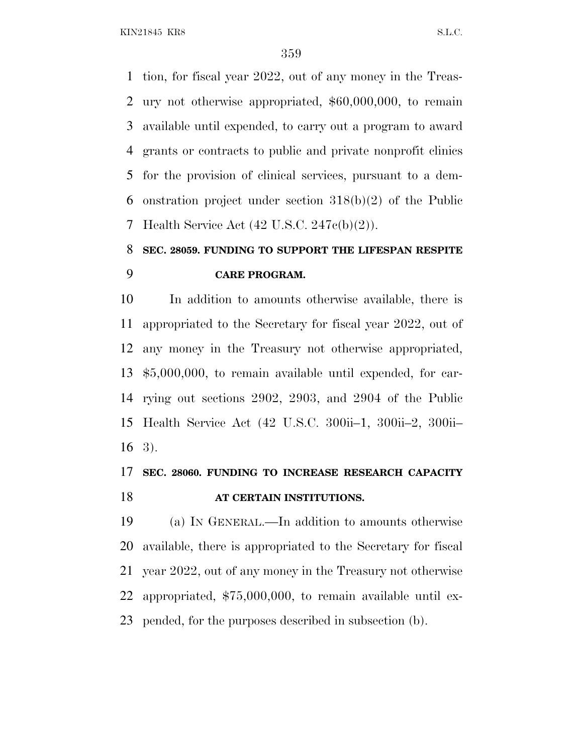tion, for fiscal year 2022, out of any money in the Treas- ury not otherwise appropriated, \$60,000,000, to remain available until expended, to carry out a program to award grants or contracts to public and private nonprofit clinics for the provision of clinical services, pursuant to a dem- onstration project under section 318(b)(2) of the Public Health Service Act (42 U.S.C. 247c(b)(2)).

## **SEC. 28059. FUNDING TO SUPPORT THE LIFESPAN RESPITE CARE PROGRAM.**

 In addition to amounts otherwise available, there is appropriated to the Secretary for fiscal year 2022, out of any money in the Treasury not otherwise appropriated, \$5,000,000, to remain available until expended, for car- rying out sections 2902, 2903, and 2904 of the Public Health Service Act (42 U.S.C. 300ii–1, 300ii–2, 300ii– 3).

#### **SEC. 28060. FUNDING TO INCREASE RESEARCH CAPACITY AT CERTAIN INSTITUTIONS.**

 (a) I<sup>N</sup> GENERAL.—In addition to amounts otherwise available, there is appropriated to the Secretary for fiscal year 2022, out of any money in the Treasury not otherwise appropriated, \$75,000,000, to remain available until ex-pended, for the purposes described in subsection (b).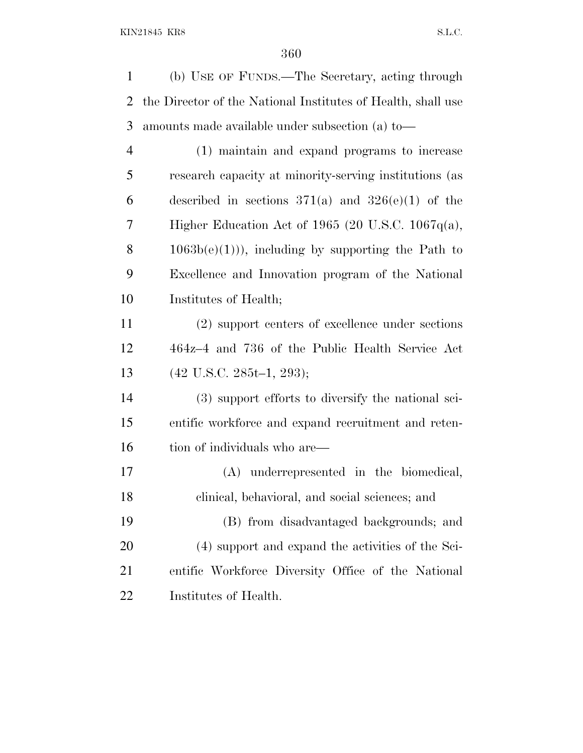(b) USE OF FUNDS.—The Secretary, acting through the Director of the National Institutes of Health, shall use amounts made available under subsection (a) to— (1) maintain and expand programs to increase research capacity at minority-serving institutions (as 6 described in sections  $371(a)$  and  $326(e)(1)$  of the Higher Education Act of 1965 (20 U.S.C. 1067q(a), 8 1063b(e)(1))), including by supporting the Path to Excellence and Innovation program of the National Institutes of Health; (2) support centers of excellence under sections 464z–4 and 736 of the Public Health Service Act (42 U.S.C. 285t–1, 293);

 (3) support efforts to diversify the national sci- entific workforce and expand recruitment and reten-16 tion of individuals who are—

 (A) underrepresented in the biomedical, clinical, behavioral, and social sciences; and (B) from disadvantaged backgrounds; and

 (4) support and expand the activities of the Sci- entific Workforce Diversity Office of the National Institutes of Health.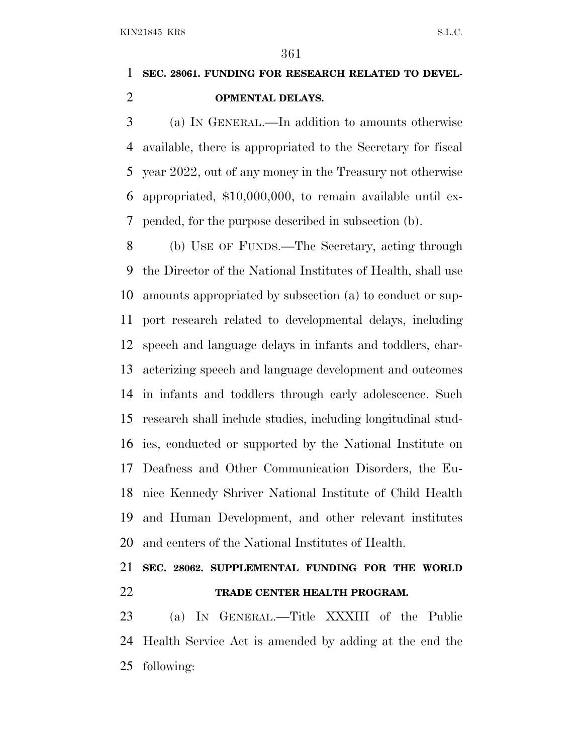## **SEC. 28061. FUNDING FOR RESEARCH RELATED TO DEVEL-OPMENTAL DELAYS.**

 (a) I<sup>N</sup> GENERAL.—In addition to amounts otherwise available, there is appropriated to the Secretary for fiscal year 2022, out of any money in the Treasury not otherwise appropriated, \$10,000,000, to remain available until ex-pended, for the purpose described in subsection (b).

 (b) USE OF FUNDS.—The Secretary, acting through the Director of the National Institutes of Health, shall use amounts appropriated by subsection (a) to conduct or sup- port research related to developmental delays, including speech and language delays in infants and toddlers, char- acterizing speech and language development and outcomes in infants and toddlers through early adolescence. Such research shall include studies, including longitudinal stud- ies, conducted or supported by the National Institute on Deafness and Other Communication Disorders, the Eu- nice Kennedy Shriver National Institute of Child Health and Human Development, and other relevant institutes and centers of the National Institutes of Health.

## **SEC. 28062. SUPPLEMENTAL FUNDING FOR THE WORLD TRADE CENTER HEALTH PROGRAM.**

 (a) I<sup>N</sup> GENERAL.—Title XXXIII of the Public Health Service Act is amended by adding at the end the following: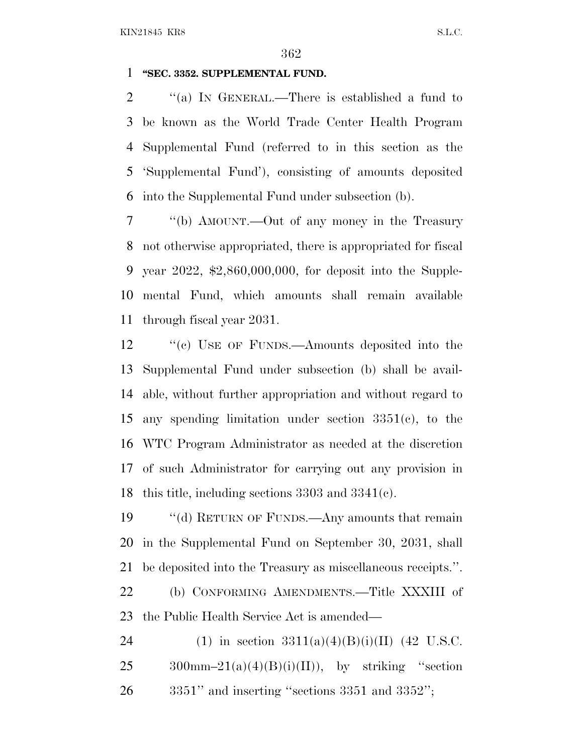## **''SEC. 3352. SUPPLEMENTAL FUND.**

 ''(a) I<sup>N</sup> GENERAL.—There is established a fund to be known as the World Trade Center Health Program Supplemental Fund (referred to in this section as the 'Supplemental Fund'), consisting of amounts deposited into the Supplemental Fund under subsection (b).

 ''(b) AMOUNT.—Out of any money in the Treasury not otherwise appropriated, there is appropriated for fiscal year 2022, \$2,860,000,000, for deposit into the Supple- mental Fund, which amounts shall remain available through fiscal year 2031.

 ''(c) USE OF FUNDS.—Amounts deposited into the Supplemental Fund under subsection (b) shall be avail- able, without further appropriation and without regard to any spending limitation under section 3351(c), to the WTC Program Administrator as needed at the discretion of such Administrator for carrying out any provision in this title, including sections 3303 and 3341(c).

 ''(d) RETURN OF FUNDS.—Any amounts that remain in the Supplemental Fund on September 30, 2031, shall be deposited into the Treasury as miscellaneous receipts.''.

 (b) CONFORMING AMENDMENTS.—Title XXXIII of the Public Health Service Act is amended—

24 (1) in section  $3311(a)(4)(B)(i)(II)$  (42 U.S.C. 25 300mm-21(a)(4)(B)(i)(II)), by striking "section 3351'' and inserting ''sections 3351 and 3352'';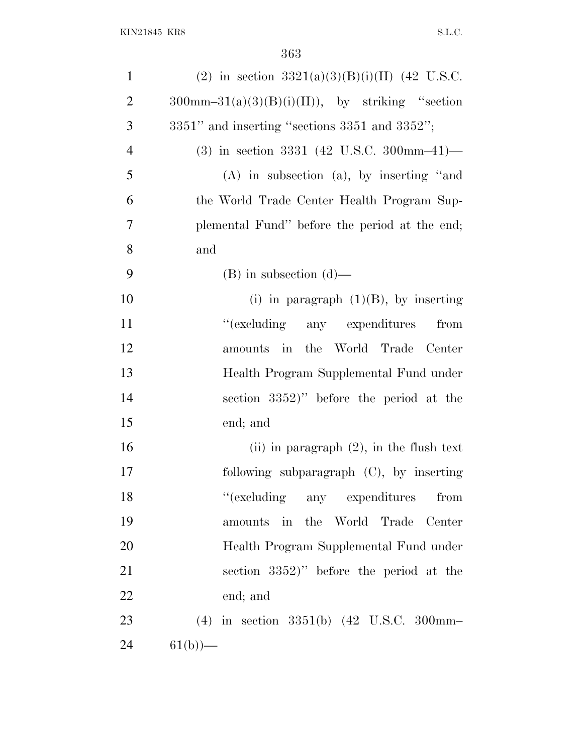| (2) in section $3321(a)(3)(B)(i)(II)$ (42 U.S.C.                     |
|----------------------------------------------------------------------|
| $300 \text{mm} - 31(a)(3)(B)(i)(II)), \text{ by striking}$ "section" |
| $3351"$ and inserting "sections $3351$ and $3352"$ ;                 |
| $(3)$ in section 3331 (42 U.S.C. 300mm-41)-                          |
| $(A)$ in subsection $(a)$ , by inserting "and                        |
| the World Trade Center Health Program Sup-                           |
| plemental Fund" before the period at the end;                        |
| and                                                                  |
| $(B)$ in subsection $(d)$ —                                          |
| (i) in paragraph $(1)(B)$ , by inserting                             |
| "(excluding any expenditures)"<br>from                               |
| amounts in the World Trade Center                                    |
| Health Program Supplemental Fund under                               |
| section 3352)" before the period at the                              |
| end; and                                                             |
| (ii) in paragraph $(2)$ , in the flush text                          |
| following subparagraph $(C)$ , by inserting                          |
| "(excluding any expenditures from                                    |
| amounts in the World Trade Center                                    |
| Health Program Supplemental Fund under                               |
| section 3352)" before the period at the                              |
| end; and                                                             |
| (4) in section $3351(b)$ (42 U.S.C. 300mm-                           |
| $61(b)$ —                                                            |
|                                                                      |